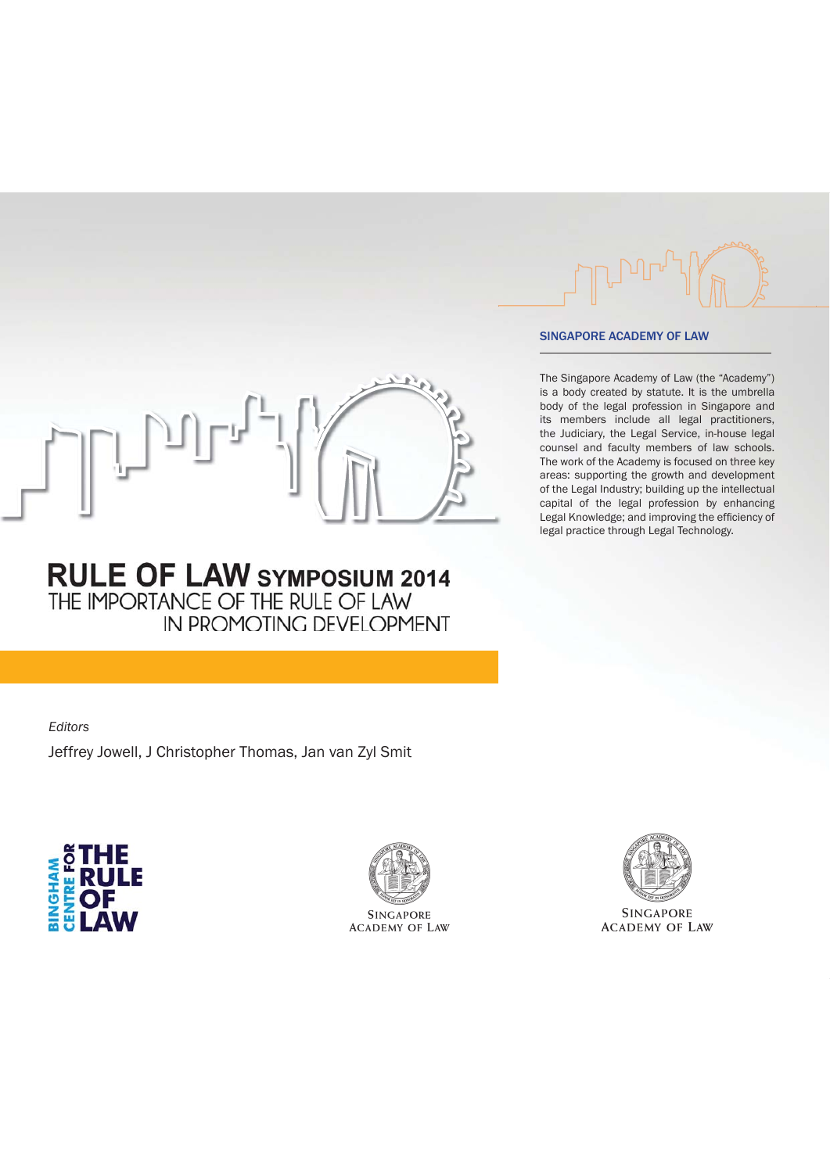

#### SINGAPORE ACADEMY OF LAW

The Singapore Academy of Law (the "Academy") is a body created by statute. It is the umbrella body of the legal profession in Singapore and its members include all legal practitioners, the Judiciary, the Legal Service, in-house legal counsel and faculty members of law schools. The work of the Academy is focused on three key areas: supporting the growth and development of the Legal Industry; building up the intellectual capital of the legal profession by enhancing Legal Knowledge; and improving the efficiency of legal practice through Legal Technology.

## **RULE OF LAW SYMPOSIUM 2014** THE IMPORTANCE OF THE RULE OF LAW IN PROMOTING DEVELOPMENT

*Editors* Jeffrey Jowell, J Christopher Thomas, Jan van Zyl Smit





**SINGAPORE ACADEMY OF LAW** 



**SINGAPORE ACADEMY OF LAW**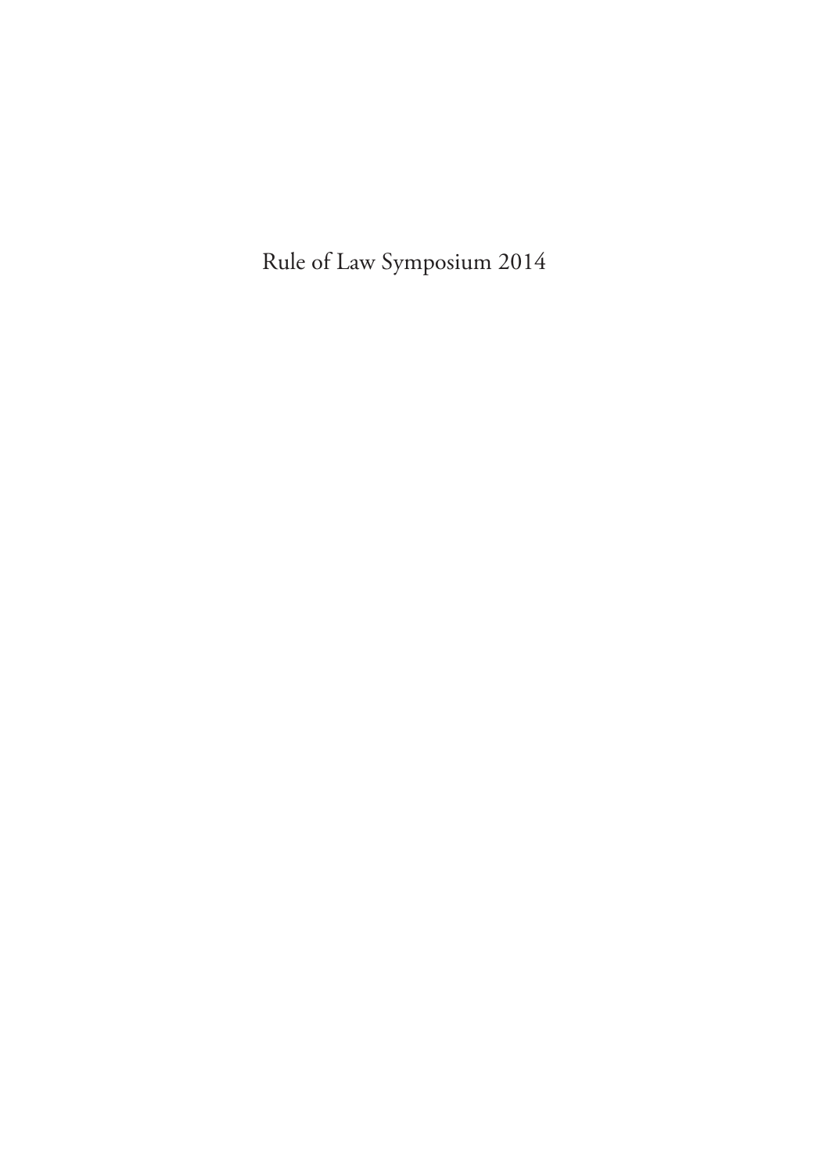Rule of Law Symposium 2014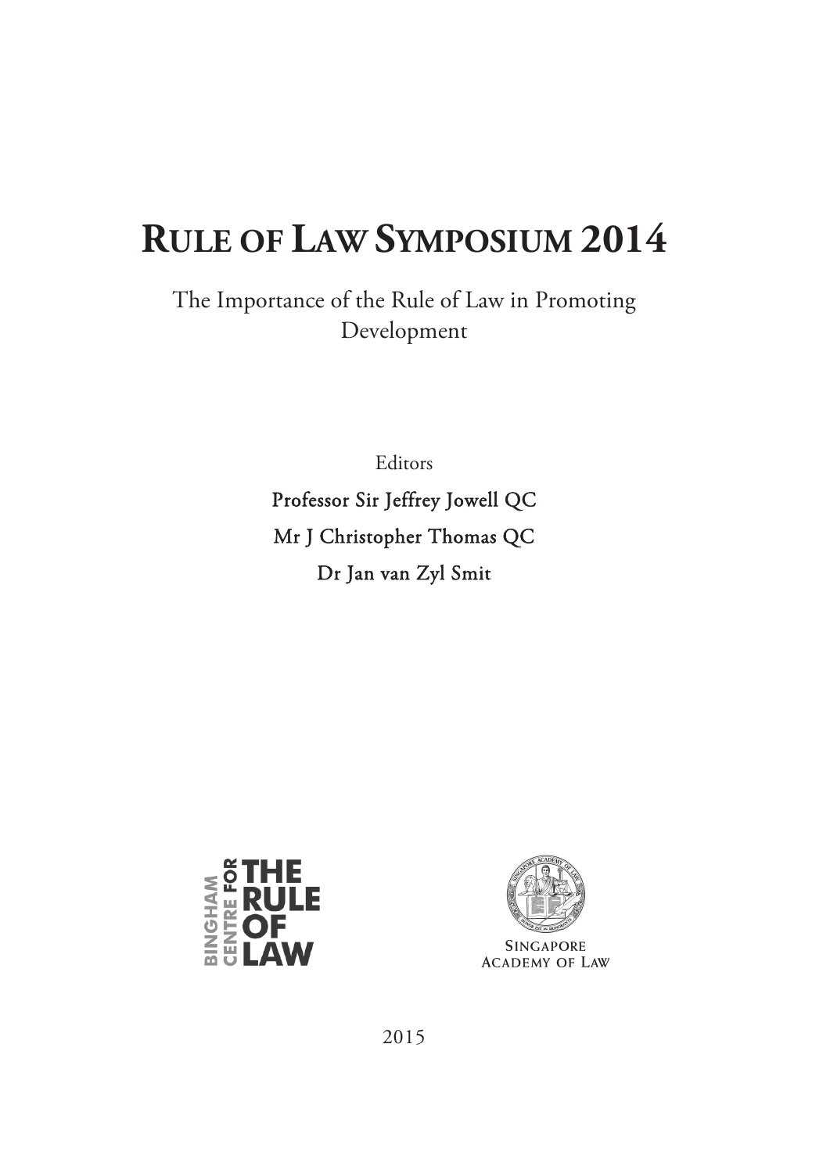# **RULE OF LAW SYMPOSIUM 2014**

The Importance of the Rule of Law in Promoting Development

Editors

Professor Sir Jeffrey Jowell QC Mr J Christopher Thomas QC Dr Jan van Zyl Smit





**ACADEMY OF LAW** 

2015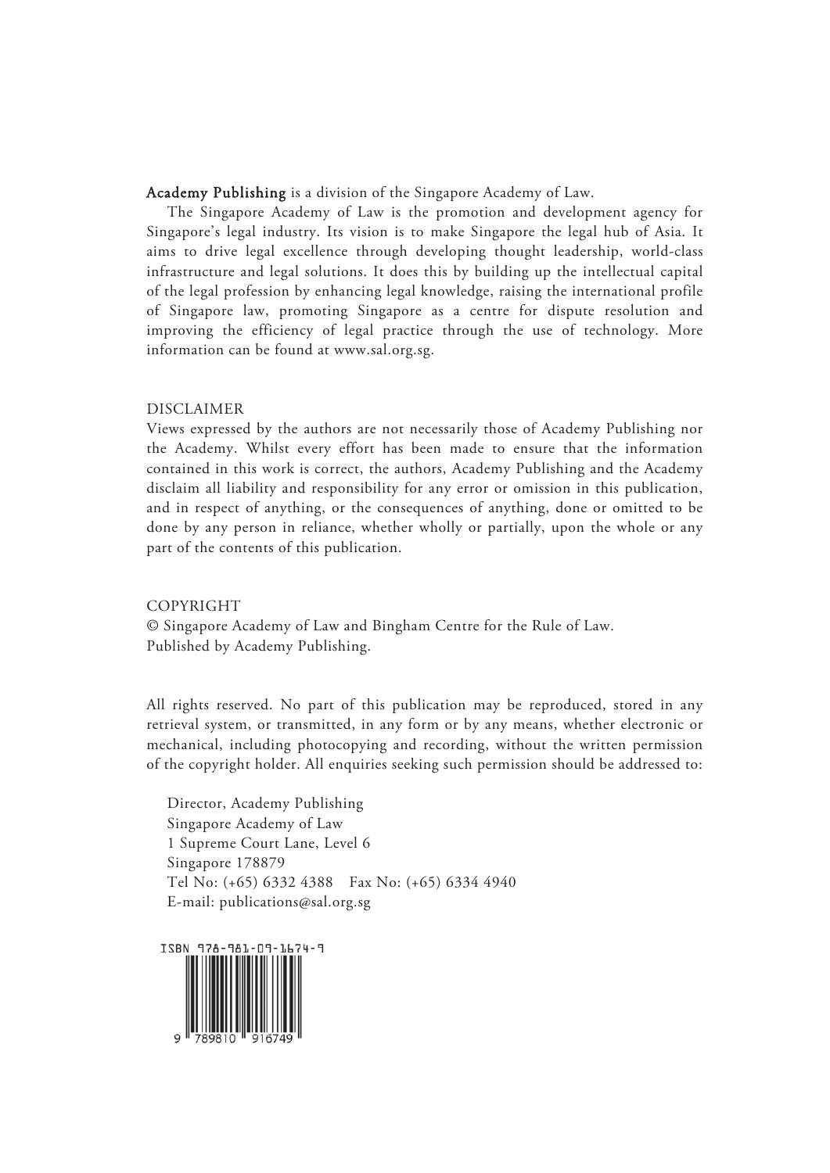#### Academy Publishing is a division of the Singapore Academy of Law.

 The Singapore Academy of Law is the promotion and development agency for Singapore's legal industry. Its vision is to make Singapore the legal hub of Asia. It aims to drive legal excellence through developing thought leadership, world-class infrastructure and legal solutions. It does this by building up the intellectual capital of the legal profession by enhancing legal knowledge, raising the international profile of Singapore law, promoting Singapore as a centre for dispute resolution and improving the efficiency of legal practice through the use of technology. More information can be found at www.sal.org.sg.

#### DISCLAIMER

Views expressed by the authors are not necessarily those of Academy Publishing nor the Academy. Whilst every effort has been made to ensure that the information contained in this work is correct, the authors, Academy Publishing and the Academy disclaim all liability and responsibility for any error or omission in this publication, and in respect of anything, or the consequences of anything, done or omitted to be done by any person in reliance, whether wholly or partially, upon the whole or any part of the contents of this publication.

#### COPYRIGHT

© Singapore Academy of Law and Bingham Centre for the Rule of Law. Published by Academy Publishing.

All rights reserved. No part of this publication may be reproduced, stored in any retrieval system, or transmitted, in any form or by any means, whether electronic or mechanical, including photocopying and recording, without the written permission of the copyright holder. All enquiries seeking such permission should be addressed to:

Director, Academy Publishing Singapore Academy of Law 1 Supreme Court Lane, Level 6 Singapore 178879 Tel No: (+65) 6332 4388 Fax No: (+65) 6334 4940 E-mail: publications@sal.org.sg

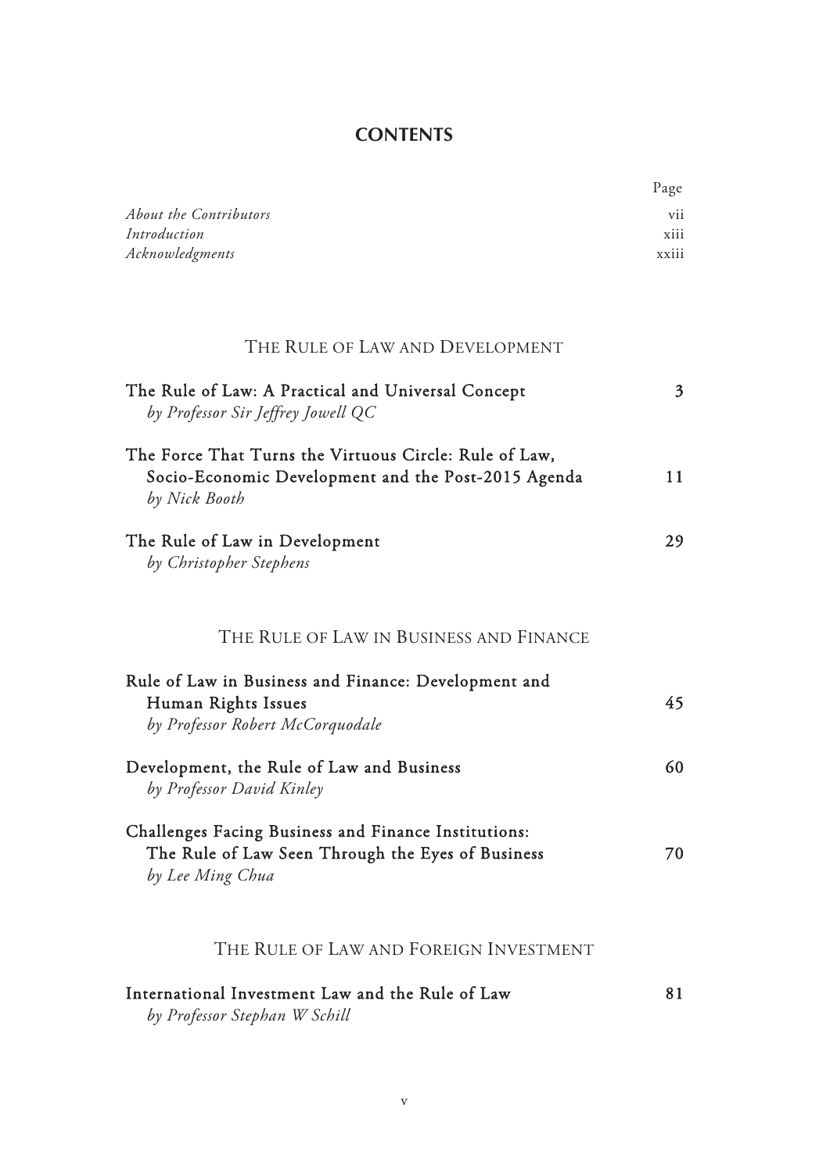## **CONTENTS**

Page

| <b>About the Contributors</b><br>Introduction                                                                                  | vii<br>xiii    |
|--------------------------------------------------------------------------------------------------------------------------------|----------------|
| Acknowledgments                                                                                                                | xxiii          |
| THE RULE OF LAW AND DEVELOPMENT                                                                                                |                |
|                                                                                                                                |                |
| The Rule of Law: A Practical and Universal Concept<br>by Professor Sir Jeffrey Jowell QC                                       | $\mathfrak{Z}$ |
| The Force That Turns the Virtuous Circle: Rule of Law,<br>Socio-Economic Development and the Post-2015 Agenda<br>by Nick Booth | 11             |
| The Rule of Law in Development<br>by Christopher Stephens                                                                      | 29             |
| THE RULE OF LAW IN BUSINESS AND FINANCE                                                                                        |                |
| Rule of Law in Business and Finance: Development and<br>Human Rights Issues<br>by Professor Robert McCorquodale                | 45             |
| Development, the Rule of Law and Business<br>by Professor David Kinley                                                         | 60             |
| Challenges Facing Business and Finance Institutions:<br>The Rule of Law Seen Through the Eyes of Business<br>by Lee Ming Chua  | 70             |
| THE RULE OF LAW AND FOREIGN INVESTMENT                                                                                         |                |
| International Investment Law and the Rule of Law<br>by Professor Stephan W Schill                                              | 81             |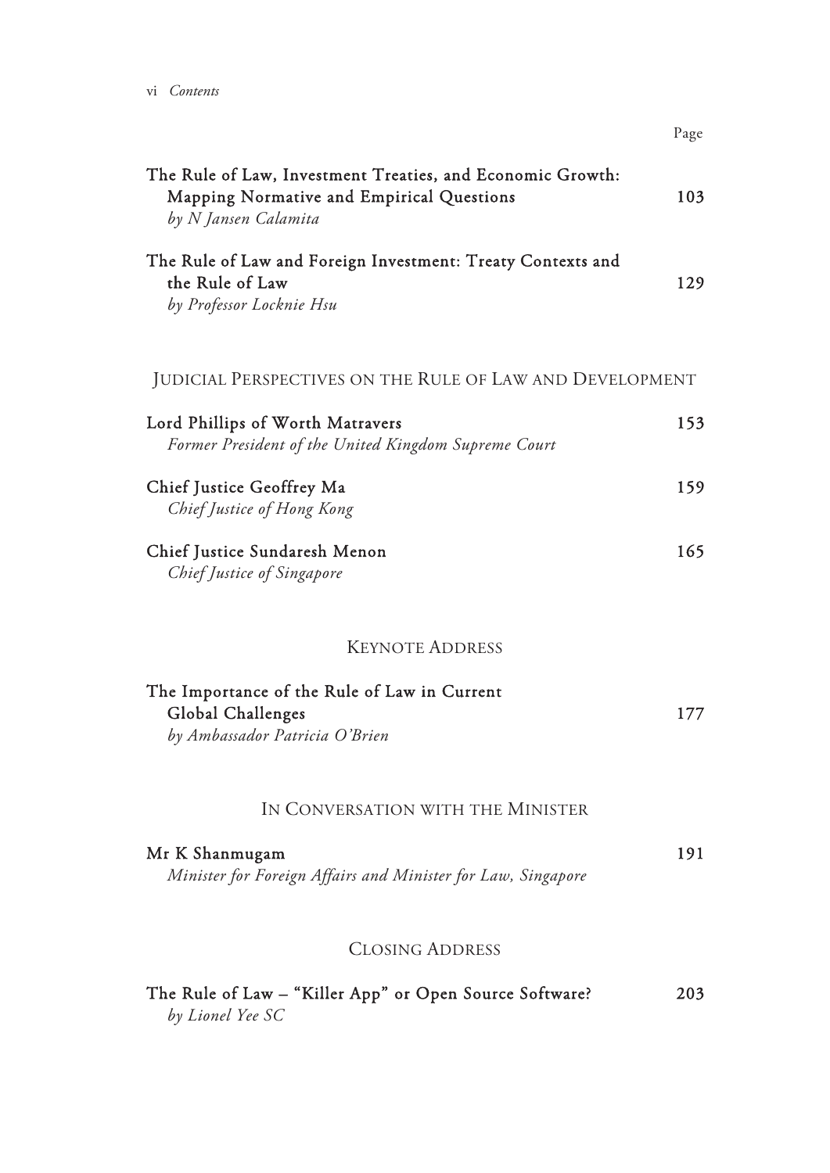| The Rule of Law, Investment Treaties, and Economic Growth:<br>Mapping Normative and Empirical Questions<br>by N Jansen Calamita |  |
|---------------------------------------------------------------------------------------------------------------------------------|--|
| The Rule of Law and Foreign Investment: Treaty Contexts and<br>the Rule of Law<br>by Professor Locknie Hsu                      |  |
| JUDICIAL PERSPECTIVES ON THE RULE OF LAW AND DEVELOPMENT                                                                        |  |
| Lord Phillips of Worth Matravers<br>Former President of the United Kingdom Supreme Court                                        |  |
| Chief Justice Geoffrey Ma<br>Chief Justice of Hong Kong                                                                         |  |
| Chief Justice Sundaresh Menon<br>Chief Justice of Singapore                                                                     |  |
| <b>KEYNOTE ADDRESS</b>                                                                                                          |  |
| The Importance of the Rule of Law in Current<br>Global Challenges<br>by Ambassador Patricia O'Brien                             |  |
| IN CONVERSATION WITH THE MINISTER                                                                                               |  |
| Mr K Shanmugam<br>Minister for Foreign Affairs and Minister for Law, Singapore                                                  |  |
| <b>CLOSING ADDRESS</b>                                                                                                          |  |
| The Rule of Law - "Killer App" or Open Source Software?<br>by Lionel Yee SC                                                     |  |

 $\mathbf{p}_a$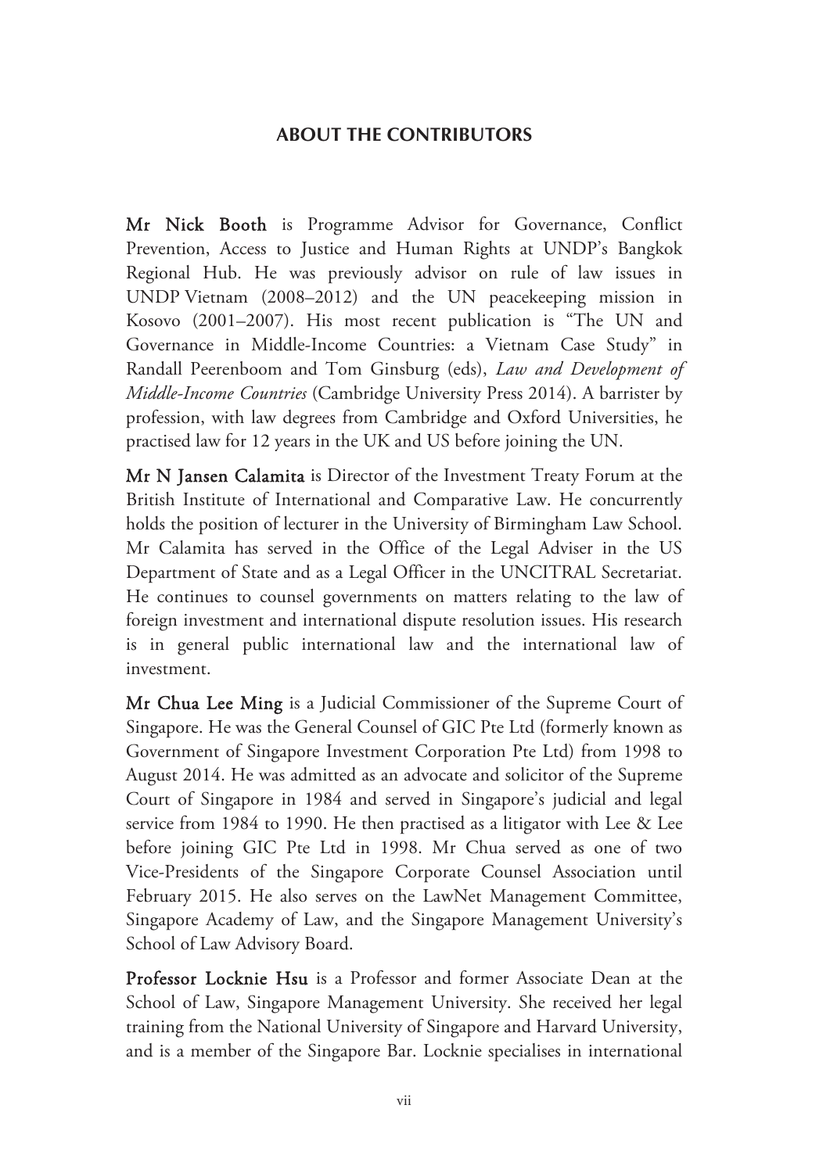## **ABOUT THE CONTRIBUTORS**

Mr Nick Booth is Programme Advisor for Governance, Conflict Prevention, Access to Justice and Human Rights at UNDP's Bangkok Regional Hub. He was previously advisor on rule of law issues in UNDP Vietnam (2008–2012) and the UN peacekeeping mission in Kosovo (2001–2007). His most recent publication is "The UN and Governance in Middle-Income Countries: a Vietnam Case Study" in Randall Peerenboom and Tom Ginsburg (eds), *Law and Development of Middle-Income Countries* (Cambridge University Press 2014). A barrister by profession, with law degrees from Cambridge and Oxford Universities, he practised law for 12 years in the UK and US before joining the UN.

Mr N Jansen Calamita is Director of the Investment Treaty Forum at the British Institute of International and Comparative Law. He concurrently holds the position of lecturer in the University of Birmingham Law School. Mr Calamita has served in the Office of the Legal Adviser in the US Department of State and as a Legal Officer in the UNCITRAL Secretariat. He continues to counsel governments on matters relating to the law of foreign investment and international dispute resolution issues. His research is in general public international law and the international law of investment.

Mr Chua Lee Ming is a Judicial Commissioner of the Supreme Court of Singapore. He was the General Counsel of GIC Pte Ltd (formerly known as Government of Singapore Investment Corporation Pte Ltd) from 1998 to August 2014. He was admitted as an advocate and solicitor of the Supreme Court of Singapore in 1984 and served in Singapore's judicial and legal service from 1984 to 1990. He then practised as a litigator with Lee & Lee before joining GIC Pte Ltd in 1998. Mr Chua served as one of two Vice-Presidents of the Singapore Corporate Counsel Association until February 2015. He also serves on the LawNet Management Committee, Singapore Academy of Law, and the Singapore Management University's School of Law Advisory Board.

Professor Locknie Hsu is a Professor and former Associate Dean at the School of Law, Singapore Management University. She received her legal training from the National University of Singapore and Harvard University, and is a member of the Singapore Bar. Locknie specialises in international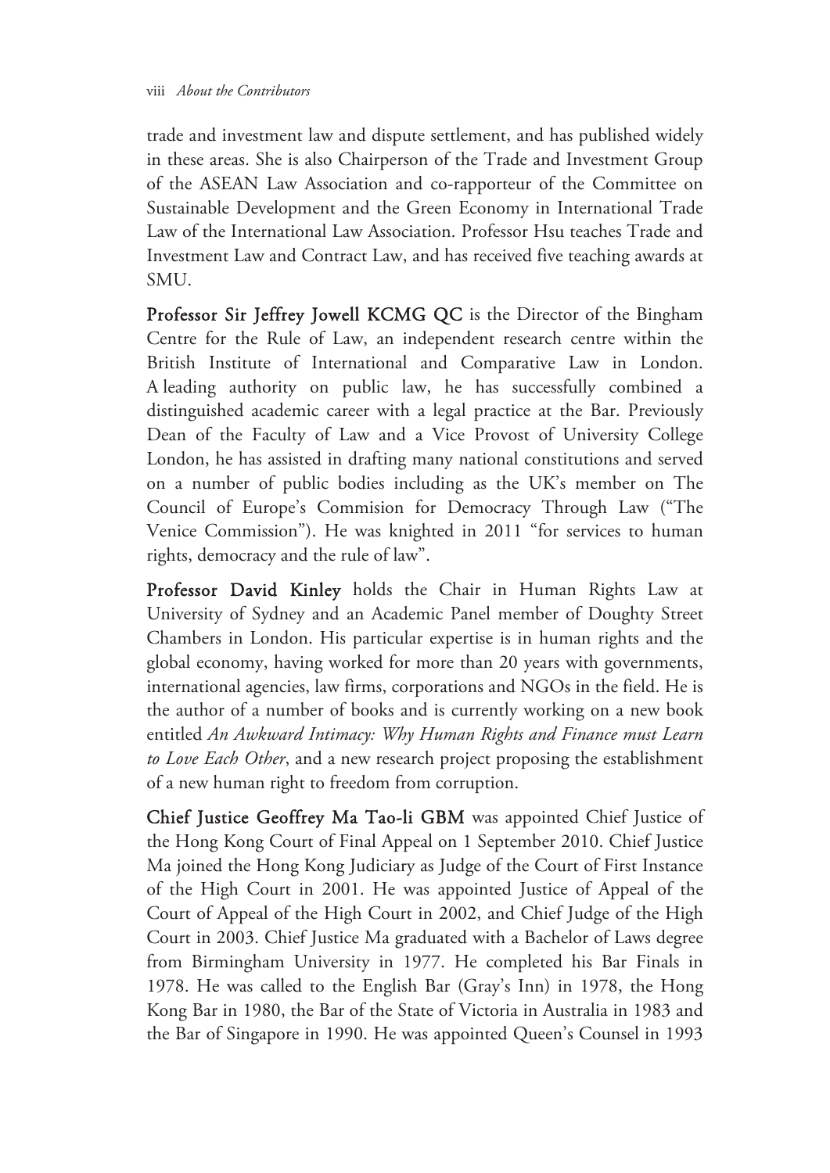trade and investment law and dispute settlement, and has published widely in these areas. She is also Chairperson of the Trade and Investment Group of the ASEAN Law Association and co-rapporteur of the Committee on Sustainable Development and the Green Economy in International Trade Law of the International Law Association. Professor Hsu teaches Trade and Investment Law and Contract Law, and has received five teaching awards at SMU.

Professor Sir Jeffrey Jowell KCMG QC is the Director of the Bingham Centre for the Rule of Law, an independent research centre within the British Institute of International and Comparative Law in London. A leading authority on public law, he has successfully combined a distinguished academic career with a legal practice at the Bar. Previously Dean of the Faculty of Law and a Vice Provost of University College London, he has assisted in drafting many national constitutions and served on a number of public bodies including as the UK's member on The Council of Europe's Commision for Democracy Through Law ("The Venice Commission"). He was knighted in 2011 "for services to human rights, democracy and the rule of law".

Professor David Kinley holds the Chair in Human Rights Law at University of Sydney and an Academic Panel member of Doughty Street Chambers in London. His particular expertise is in human rights and the global economy, having worked for more than 20 years with governments, international agencies, law firms, corporations and NGOs in the field. He is the author of a number of books and is currently working on a new book entitled *An Awkward Intimacy: Why Human Rights and Finance must Learn to Love Each Other*, and a new research project proposing the establishment of a new human right to freedom from corruption.

Chief Justice Geoffrey Ma Tao-li GBM was appointed Chief Justice of the Hong Kong Court of Final Appeal on 1 September 2010. Chief Justice Ma joined the Hong Kong Judiciary as Judge of the Court of First Instance of the High Court in 2001. He was appointed Justice of Appeal of the Court of Appeal of the High Court in 2002, and Chief Judge of the High Court in 2003. Chief Justice Ma graduated with a Bachelor of Laws degree from Birmingham University in 1977. He completed his Bar Finals in 1978. He was called to the English Bar (Gray's Inn) in 1978, the Hong Kong Bar in 1980, the Bar of the State of Victoria in Australia in 1983 and the Bar of Singapore in 1990. He was appointed Queen's Counsel in 1993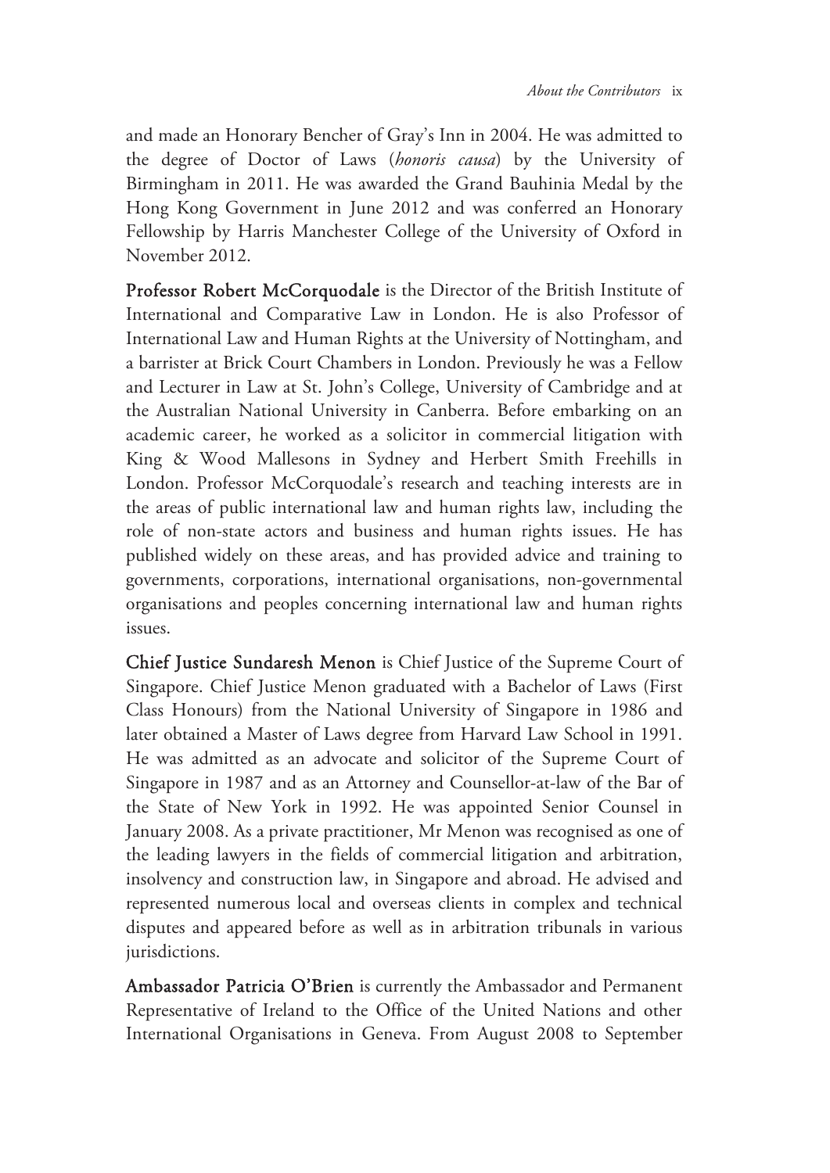and made an Honorary Bencher of Gray's Inn in 2004. He was admitted to the degree of Doctor of Laws (*honoris causa*) by the University of Birmingham in 2011. He was awarded the Grand Bauhinia Medal by the Hong Kong Government in June 2012 and was conferred an Honorary Fellowship by Harris Manchester College of the University of Oxford in November 2012.

Professor Robert McCorquodale is the Director of the British Institute of International and Comparative Law in London. He is also Professor of International Law and Human Rights at the University of Nottingham, and a barrister at Brick Court Chambers in London. Previously he was a Fellow and Lecturer in Law at St. John's College, University of Cambridge and at the Australian National University in Canberra. Before embarking on an academic career, he worked as a solicitor in commercial litigation with King & Wood Mallesons in Sydney and Herbert Smith Freehills in London. Professor McCorquodale's research and teaching interests are in the areas of public international law and human rights law, including the role of non-state actors and business and human rights issues. He has published widely on these areas, and has provided advice and training to governments, corporations, international organisations, non-governmental organisations and peoples concerning international law and human rights issues.

Chief Justice Sundaresh Menon is Chief Justice of the Supreme Court of Singapore. Chief Justice Menon graduated with a Bachelor of Laws (First Class Honours) from the National University of Singapore in 1986 and later obtained a Master of Laws degree from Harvard Law School in 1991. He was admitted as an advocate and solicitor of the Supreme Court of Singapore in 1987 and as an Attorney and Counsellor-at-law of the Bar of the State of New York in 1992. He was appointed Senior Counsel in January 2008. As a private practitioner, Mr Menon was recognised as one of the leading lawyers in the fields of commercial litigation and arbitration, insolvency and construction law, in Singapore and abroad. He advised and represented numerous local and overseas clients in complex and technical disputes and appeared before as well as in arbitration tribunals in various jurisdictions.

Ambassador Patricia O'Brien is currently the Ambassador and Permanent Representative of Ireland to the Office of the United Nations and other International Organisations in Geneva. From August 2008 to September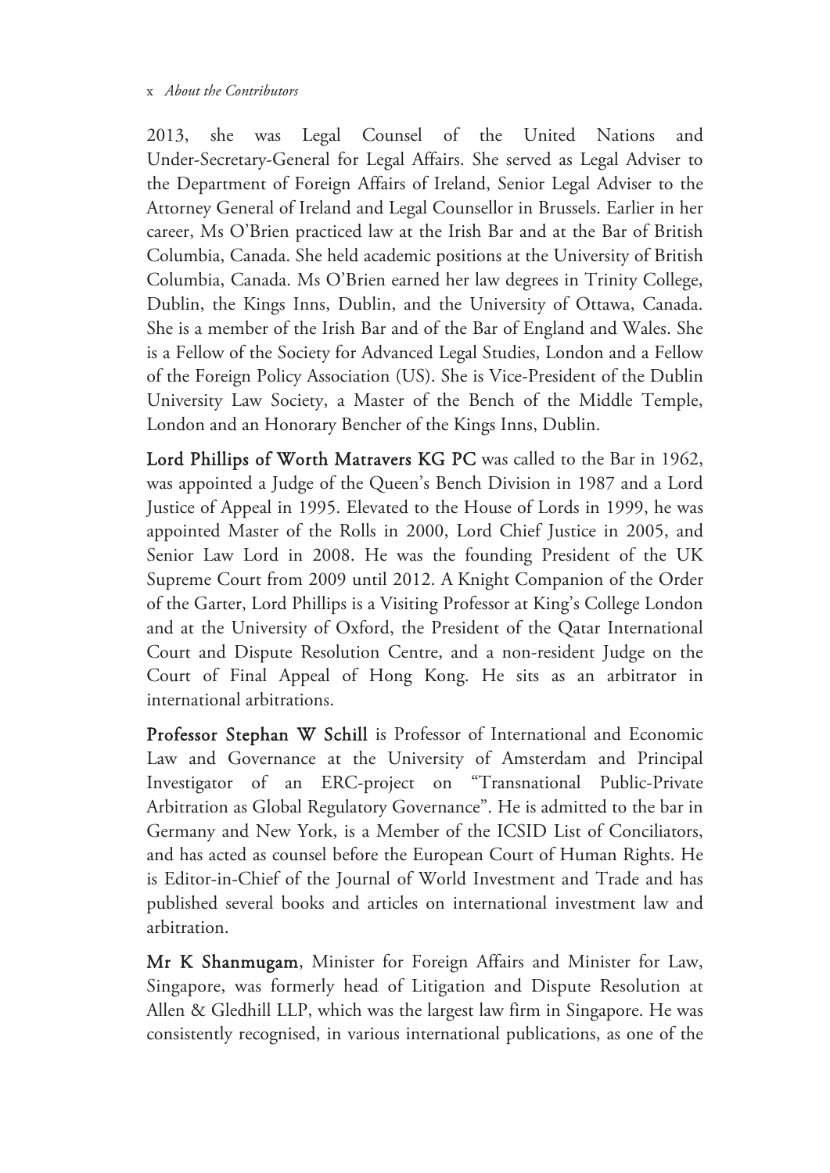#### x *About the Contributors*

2013, she was Legal Counsel of the United Nations and Under-Secretary-General for Legal Affairs. She served as Legal Adviser to the Department of Foreign Affairs of Ireland, Senior Legal Adviser to the Attorney General of Ireland and Legal Counsellor in Brussels. Earlier in her career, Ms O'Brien practiced law at the Irish Bar and at the Bar of British Columbia, Canada. She held academic positions at the University of British Columbia, Canada. Ms O'Brien earned her law degrees in Trinity College, Dublin, the Kings Inns, Dublin, and the University of Ottawa, Canada. She is a member of the Irish Bar and of the Bar of England and Wales. She is a Fellow of the Society for Advanced Legal Studies, London and a Fellow of the Foreign Policy Association (US). She is Vice-President of the Dublin University Law Society, a Master of the Bench of the Middle Temple, London and an Honorary Bencher of the Kings Inns, Dublin.

Lord Phillips of Worth Matravers KG PC was called to the Bar in 1962, was appointed a Judge of the Queen's Bench Division in 1987 and a Lord Justice of Appeal in 1995. Elevated to the House of Lords in 1999, he was appointed Master of the Rolls in 2000, Lord Chief Justice in 2005, and Senior Law Lord in 2008. He was the founding President of the UK Supreme Court from 2009 until 2012. A Knight Companion of the Order of the Garter, Lord Phillips is a Visiting Professor at King's College London and at the University of Oxford, the President of the Qatar International Court and Dispute Resolution Centre, and a non-resident Judge on the Court of Final Appeal of Hong Kong. He sits as an arbitrator in international arbitrations.

Professor Stephan W Schill is Professor of International and Economic Law and Governance at the University of Amsterdam and Principal Investigator of an ERC-project on "Transnational Public-Private Arbitration as Global Regulatory Governance". He is admitted to the bar in Germany and New York, is a Member of the ICSID List of Conciliators, and has acted as counsel before the European Court of Human Rights. He is Editor-in-Chief of the Journal of World Investment and Trade and has published several books and articles on international investment law and arbitration.

Mr K Shanmugam, Minister for Foreign Affairs and Minister for Law, Singapore, was formerly head of Litigation and Dispute Resolution at Allen & Gledhill LLP, which was the largest law firm in Singapore. He was consistently recognised, in various international publications, as one of the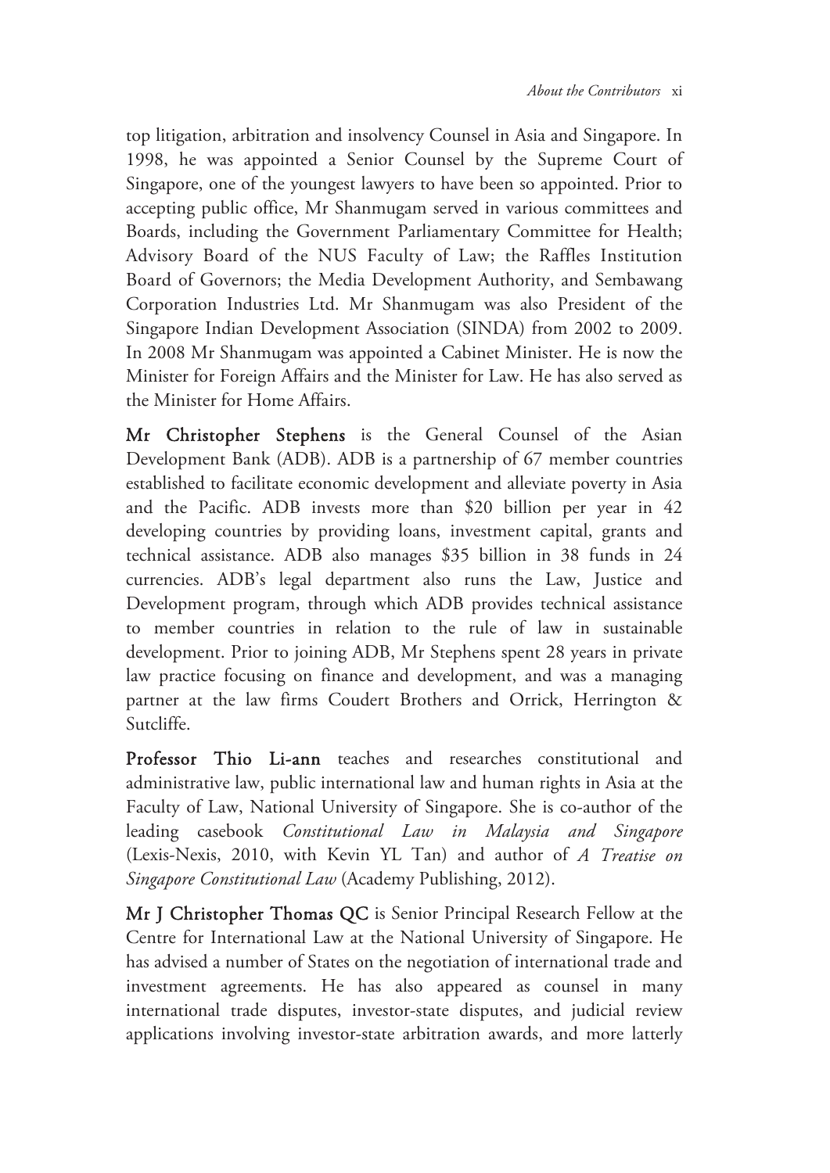top litigation, arbitration and insolvency Counsel in Asia and Singapore. In 1998, he was appointed a Senior Counsel by the Supreme Court of Singapore, one of the youngest lawyers to have been so appointed. Prior to accepting public office, Mr Shanmugam served in various committees and Boards, including the Government Parliamentary Committee for Health; Advisory Board of the NUS Faculty of Law; the Raffles Institution Board of Governors; the Media Development Authority, and Sembawang Corporation Industries Ltd. Mr Shanmugam was also President of the Singapore Indian Development Association (SINDA) from 2002 to 2009. In 2008 Mr Shanmugam was appointed a Cabinet Minister. He is now the Minister for Foreign Affairs and the Minister for Law. He has also served as the Minister for Home Affairs.

Mr Christopher Stephens is the General Counsel of the Asian Development Bank (ADB). ADB is a partnership of 67 member countries established to facilitate economic development and alleviate poverty in Asia and the Pacific. ADB invests more than \$20 billion per year in 42 developing countries by providing loans, investment capital, grants and technical assistance. ADB also manages \$35 billion in 38 funds in 24 currencies. ADB's legal department also runs the Law, Justice and Development program, through which ADB provides technical assistance to member countries in relation to the rule of law in sustainable development. Prior to joining ADB, Mr Stephens spent 28 years in private law practice focusing on finance and development, and was a managing partner at the law firms Coudert Brothers and Orrick, Herrington & Sutcliffe.

Professor Thio Li-ann teaches and researches constitutional and administrative law, public international law and human rights in Asia at the Faculty of Law, National University of Singapore. She is co-author of the leading casebook *Constitutional Law in Malaysia and Singapore* (Lexis-Nexis, 2010, with Kevin YL Tan) and author of *A Treatise on Singapore Constitutional Law* (Academy Publishing, 2012).

Mr J Christopher Thomas QC is Senior Principal Research Fellow at the Centre for International Law at the National University of Singapore. He has advised a number of States on the negotiation of international trade and investment agreements. He has also appeared as counsel in many international trade disputes, investor-state disputes, and judicial review applications involving investor-state arbitration awards, and more latterly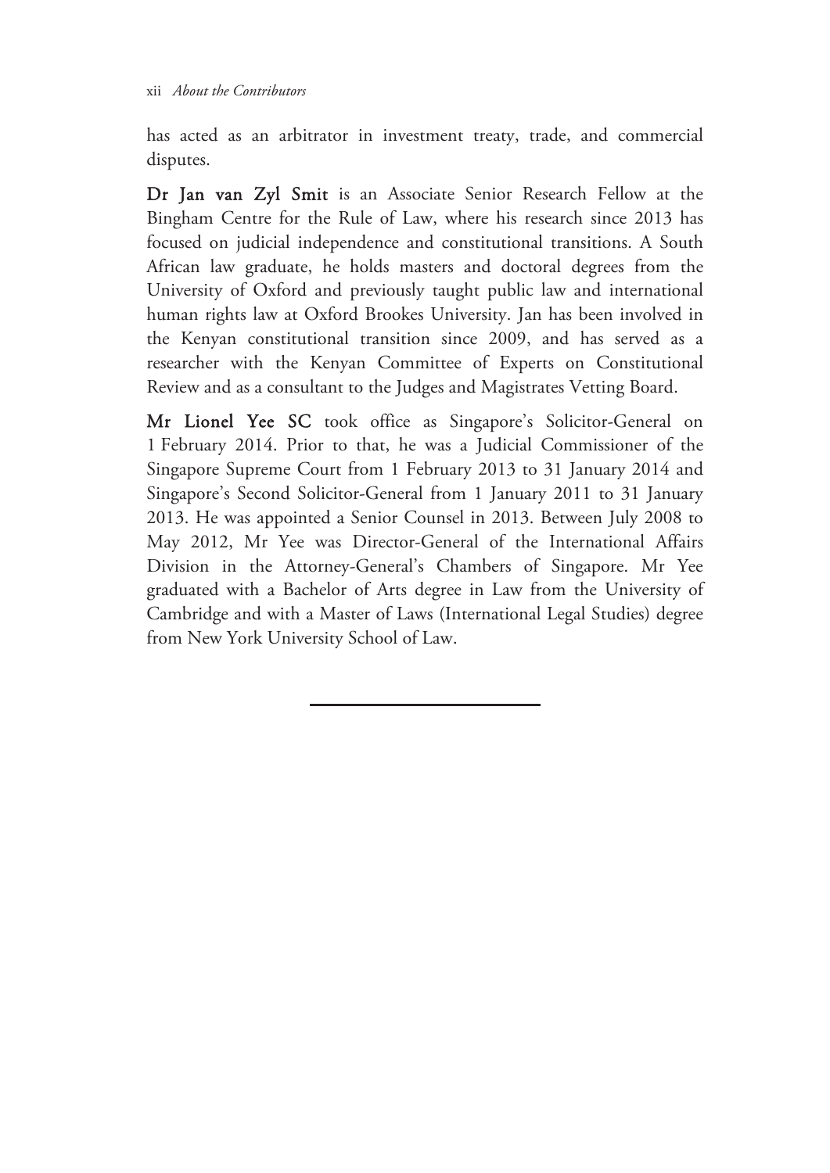has acted as an arbitrator in investment treaty, trade, and commercial disputes.

Dr Jan van Zyl Smit is an Associate Senior Research Fellow at the Bingham Centre for the Rule of Law, where his research since 2013 has focused on judicial independence and constitutional transitions. A South African law graduate, he holds masters and doctoral degrees from the University of Oxford and previously taught public law and international human rights law at Oxford Brookes University. Jan has been involved in the Kenyan constitutional transition since 2009, and has served as a researcher with the Kenyan Committee of Experts on Constitutional Review and as a consultant to the Judges and Magistrates Vetting Board.

Mr Lionel Yee SC took office as Singapore's Solicitor-General on 1 February 2014. Prior to that, he was a Judicial Commissioner of the Singapore Supreme Court from 1 February 2013 to 31 January 2014 and Singapore's Second Solicitor-General from 1 January 2011 to 31 January 2013. He was appointed a Senior Counsel in 2013. Between July 2008 to May 2012, Mr Yee was Director-General of the International Affairs Division in the Attorney-General's Chambers of Singapore. Mr Yee graduated with a Bachelor of Arts degree in Law from the University of Cambridge and with a Master of Laws (International Legal Studies) degree from New York University School of Law.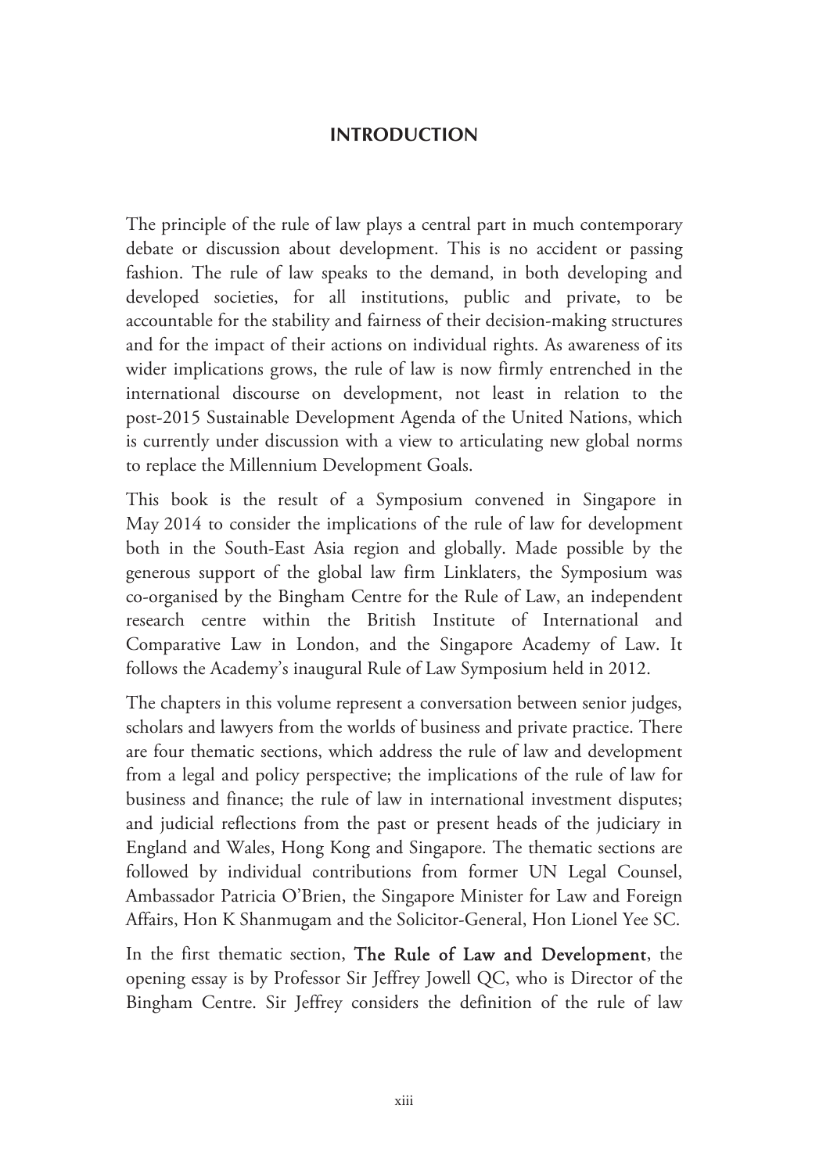### **INTRODUCTION**

The principle of the rule of law plays a central part in much contemporary debate or discussion about development. This is no accident or passing fashion. The rule of law speaks to the demand, in both developing and developed societies, for all institutions, public and private, to be accountable for the stability and fairness of their decision-making structures and for the impact of their actions on individual rights. As awareness of its wider implications grows, the rule of law is now firmly entrenched in the international discourse on development, not least in relation to the post-2015 Sustainable Development Agenda of the United Nations, which is currently under discussion with a view to articulating new global norms to replace the Millennium Development Goals.

This book is the result of a Symposium convened in Singapore in May 2014 to consider the implications of the rule of law for development both in the South-East Asia region and globally. Made possible by the generous support of the global law firm Linklaters, the Symposium was co-organised by the Bingham Centre for the Rule of Law, an independent research centre within the British Institute of International and Comparative Law in London, and the Singapore Academy of Law. It follows the Academy's inaugural Rule of Law Symposium held in 2012.

The chapters in this volume represent a conversation between senior judges, scholars and lawyers from the worlds of business and private practice. There are four thematic sections, which address the rule of law and development from a legal and policy perspective; the implications of the rule of law for business and finance; the rule of law in international investment disputes; and judicial reflections from the past or present heads of the judiciary in England and Wales, Hong Kong and Singapore. The thematic sections are followed by individual contributions from former UN Legal Counsel, Ambassador Patricia O'Brien, the Singapore Minister for Law and Foreign Affairs, Hon K Shanmugam and the Solicitor-General, Hon Lionel Yee SC.

In the first thematic section, The Rule of Law and Development, the opening essay is by Professor Sir Jeffrey Jowell QC, who is Director of the Bingham Centre. Sir Jeffrey considers the definition of the rule of law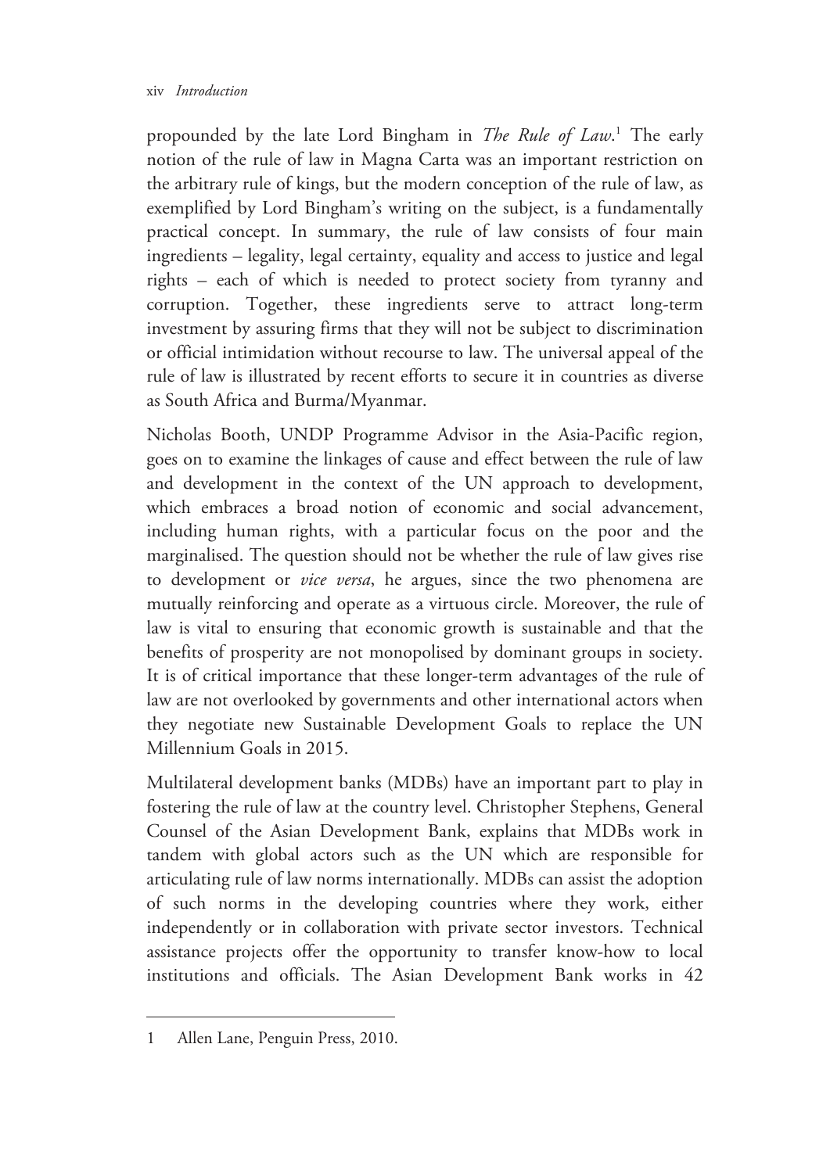propounded by the late Lord Bingham in *The Rule of Law*. 1 The early notion of the rule of law in Magna Carta was an important restriction on the arbitrary rule of kings, but the modern conception of the rule of law, as exemplified by Lord Bingham's writing on the subject, is a fundamentally practical concept. In summary, the rule of law consists of four main ingredients – legality, legal certainty, equality and access to justice and legal rights – each of which is needed to protect society from tyranny and corruption. Together, these ingredients serve to attract long-term investment by assuring firms that they will not be subject to discrimination or official intimidation without recourse to law. The universal appeal of the rule of law is illustrated by recent efforts to secure it in countries as diverse as South Africa and Burma/Myanmar.

Nicholas Booth, UNDP Programme Advisor in the Asia-Pacific region, goes on to examine the linkages of cause and effect between the rule of law and development in the context of the UN approach to development, which embraces a broad notion of economic and social advancement, including human rights, with a particular focus on the poor and the marginalised. The question should not be whether the rule of law gives rise to development or *vice versa*, he argues, since the two phenomena are mutually reinforcing and operate as a virtuous circle. Moreover, the rule of law is vital to ensuring that economic growth is sustainable and that the benefits of prosperity are not monopolised by dominant groups in society. It is of critical importance that these longer-term advantages of the rule of law are not overlooked by governments and other international actors when they negotiate new Sustainable Development Goals to replace the UN Millennium Goals in 2015.

Multilateral development banks (MDBs) have an important part to play in fostering the rule of law at the country level. Christopher Stephens, General Counsel of the Asian Development Bank, explains that MDBs work in tandem with global actors such as the UN which are responsible for articulating rule of law norms internationally. MDBs can assist the adoption of such norms in the developing countries where they work, either independently or in collaboration with private sector investors. Technical assistance projects offer the opportunity to transfer know-how to local institutions and officials. The Asian Development Bank works in 42

 $\overline{a}$ 

<sup>1</sup> Allen Lane, Penguin Press, 2010.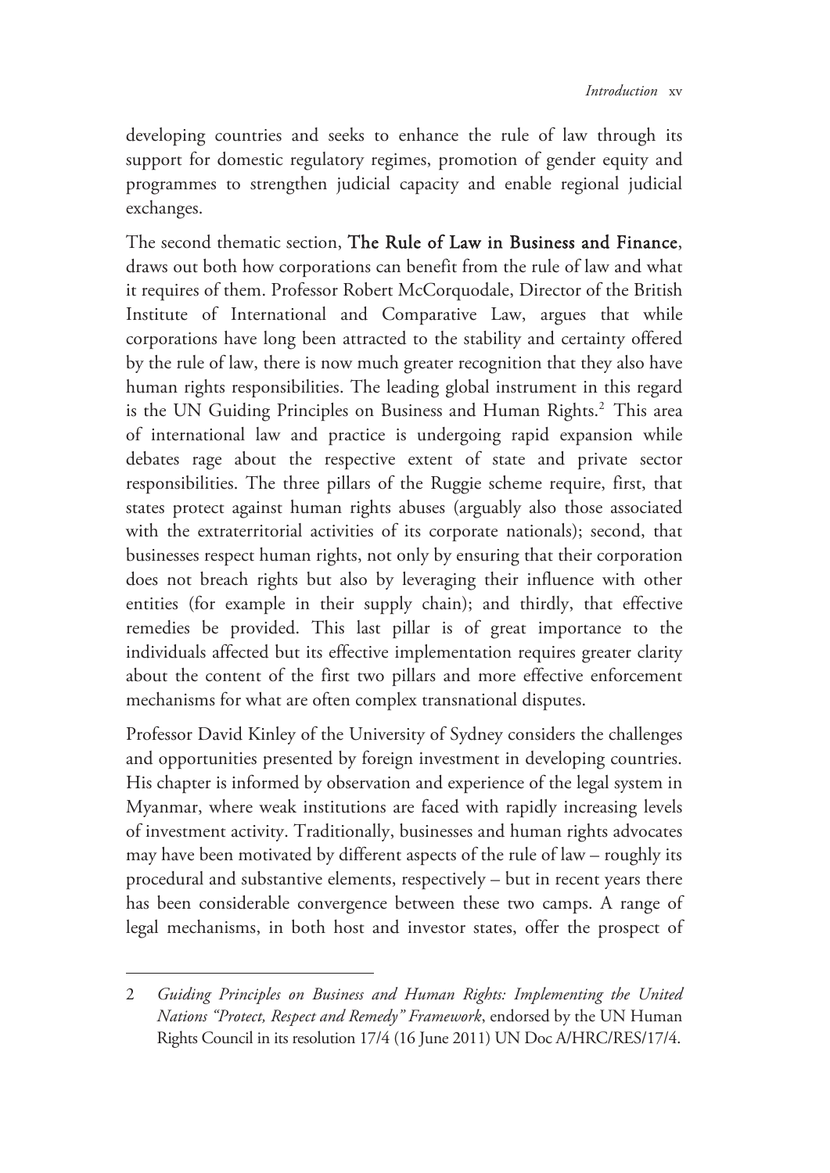developing countries and seeks to enhance the rule of law through its support for domestic regulatory regimes, promotion of gender equity and programmes to strengthen judicial capacity and enable regional judicial exchanges.

The second thematic section, The Rule of Law in Business and Finance, draws out both how corporations can benefit from the rule of law and what it requires of them. Professor Robert McCorquodale, Director of the British Institute of International and Comparative Law, argues that while corporations have long been attracted to the stability and certainty offered by the rule of law, there is now much greater recognition that they also have human rights responsibilities. The leading global instrument in this regard is the UN Guiding Principles on Business and Human Rights.<sup>2</sup> This area of international law and practice is undergoing rapid expansion while debates rage about the respective extent of state and private sector responsibilities. The three pillars of the Ruggie scheme require, first, that states protect against human rights abuses (arguably also those associated with the extraterritorial activities of its corporate nationals); second, that businesses respect human rights, not only by ensuring that their corporation does not breach rights but also by leveraging their influence with other entities (for example in their supply chain); and thirdly, that effective remedies be provided. This last pillar is of great importance to the individuals affected but its effective implementation requires greater clarity about the content of the first two pillars and more effective enforcement mechanisms for what are often complex transnational disputes.

Professor David Kinley of the University of Sydney considers the challenges and opportunities presented by foreign investment in developing countries. His chapter is informed by observation and experience of the legal system in Myanmar, where weak institutions are faced with rapidly increasing levels of investment activity. Traditionally, businesses and human rights advocates may have been motivated by different aspects of the rule of law – roughly its procedural and substantive elements, respectively – but in recent years there has been considerable convergence between these two camps. A range of legal mechanisms, in both host and investor states, offer the prospect of

<sup>2</sup> *Guiding Principles on Business and Human Rights: Implementing the United Nations "Protect, Respect and Remedy" Framework*, endorsed by the UN Human Rights Council in its resolution 17/4 (16 June 2011) UN Doc A/HRC/RES/17/4.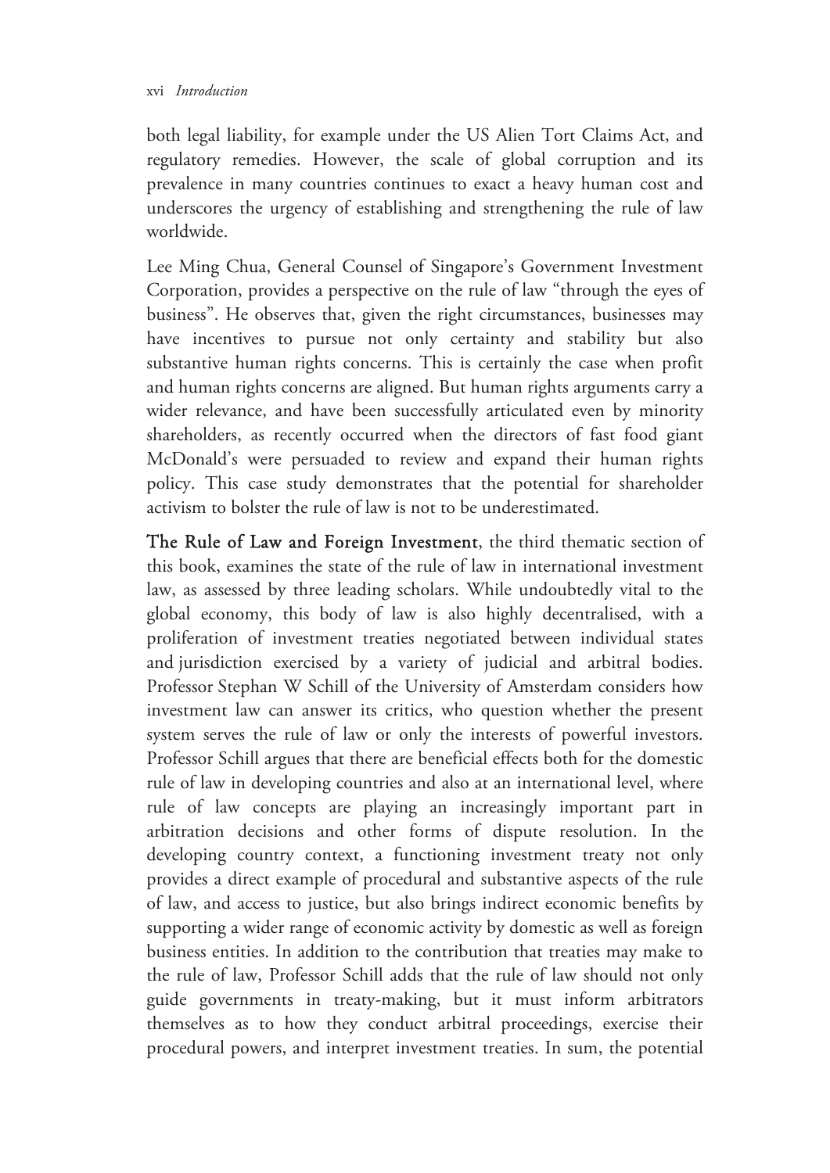#### xvi *Introduction*

both legal liability, for example under the US Alien Tort Claims Act, and regulatory remedies. However, the scale of global corruption and its prevalence in many countries continues to exact a heavy human cost and underscores the urgency of establishing and strengthening the rule of law worldwide.

Lee Ming Chua, General Counsel of Singapore's Government Investment Corporation, provides a perspective on the rule of law "through the eyes of business". He observes that, given the right circumstances, businesses may have incentives to pursue not only certainty and stability but also substantive human rights concerns. This is certainly the case when profit and human rights concerns are aligned. But human rights arguments carry a wider relevance, and have been successfully articulated even by minority shareholders, as recently occurred when the directors of fast food giant McDonald's were persuaded to review and expand their human rights policy. This case study demonstrates that the potential for shareholder activism to bolster the rule of law is not to be underestimated.

The Rule of Law and Foreign Investment, the third thematic section of this book, examines the state of the rule of law in international investment law, as assessed by three leading scholars. While undoubtedly vital to the global economy, this body of law is also highly decentralised, with a proliferation of investment treaties negotiated between individual states and jurisdiction exercised by a variety of judicial and arbitral bodies. Professor Stephan W Schill of the University of Amsterdam considers how investment law can answer its critics, who question whether the present system serves the rule of law or only the interests of powerful investors. Professor Schill argues that there are beneficial effects both for the domestic rule of law in developing countries and also at an international level, where rule of law concepts are playing an increasingly important part in arbitration decisions and other forms of dispute resolution. In the developing country context, a functioning investment treaty not only provides a direct example of procedural and substantive aspects of the rule of law, and access to justice, but also brings indirect economic benefits by supporting a wider range of economic activity by domestic as well as foreign business entities. In addition to the contribution that treaties may make to the rule of law, Professor Schill adds that the rule of law should not only guide governments in treaty-making, but it must inform arbitrators themselves as to how they conduct arbitral proceedings, exercise their procedural powers, and interpret investment treaties. In sum, the potential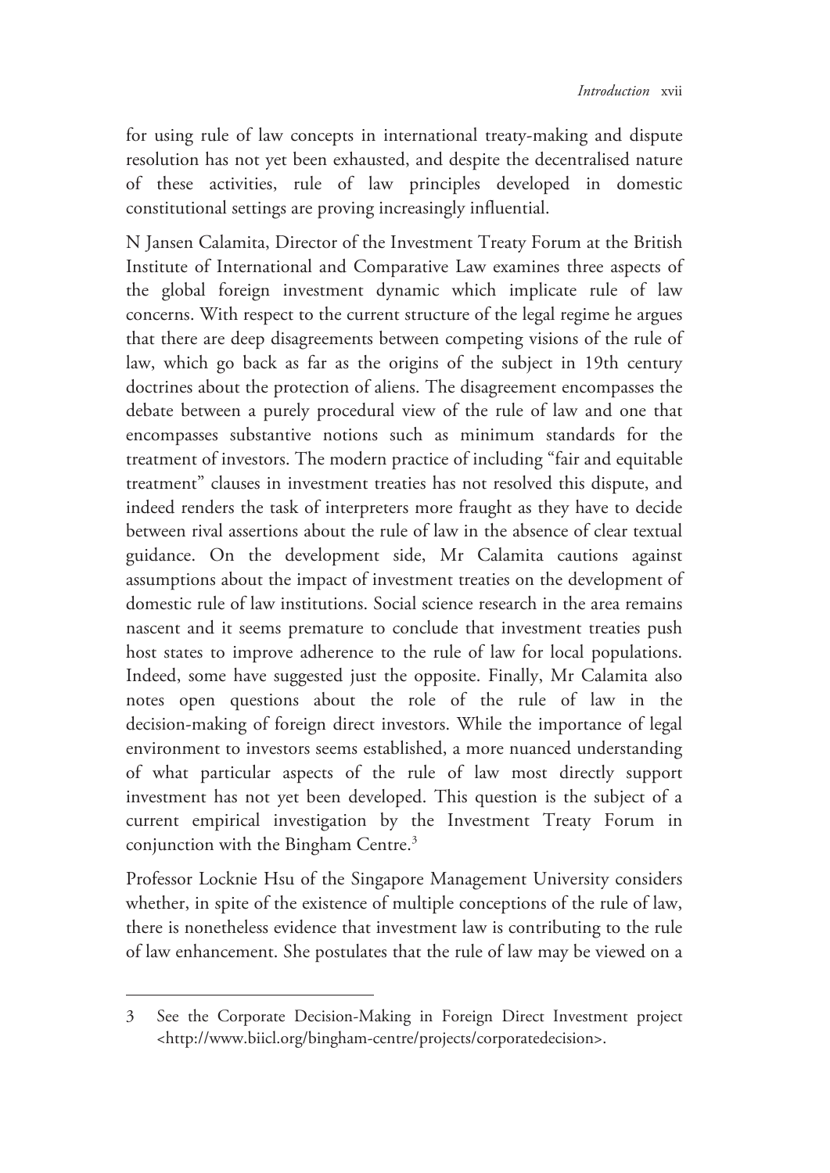for using rule of law concepts in international treaty-making and dispute resolution has not yet been exhausted, and despite the decentralised nature of these activities, rule of law principles developed in domestic constitutional settings are proving increasingly influential.

N Jansen Calamita, Director of the Investment Treaty Forum at the British Institute of International and Comparative Law examines three aspects of the global foreign investment dynamic which implicate rule of law concerns. With respect to the current structure of the legal regime he argues that there are deep disagreements between competing visions of the rule of law, which go back as far as the origins of the subject in 19th century doctrines about the protection of aliens. The disagreement encompasses the debate between a purely procedural view of the rule of law and one that encompasses substantive notions such as minimum standards for the treatment of investors. The modern practice of including "fair and equitable treatment" clauses in investment treaties has not resolved this dispute, and indeed renders the task of interpreters more fraught as they have to decide between rival assertions about the rule of law in the absence of clear textual guidance. On the development side, Mr Calamita cautions against assumptions about the impact of investment treaties on the development of domestic rule of law institutions. Social science research in the area remains nascent and it seems premature to conclude that investment treaties push host states to improve adherence to the rule of law for local populations. Indeed, some have suggested just the opposite. Finally, Mr Calamita also notes open questions about the role of the rule of law in the decision-making of foreign direct investors. While the importance of legal environment to investors seems established, a more nuanced understanding of what particular aspects of the rule of law most directly support investment has not yet been developed. This question is the subject of a current empirical investigation by the Investment Treaty Forum in conjunction with the Bingham Centre.<sup>3</sup>

Professor Locknie Hsu of the Singapore Management University considers whether, in spite of the existence of multiple conceptions of the rule of law, there is nonetheless evidence that investment law is contributing to the rule of law enhancement. She postulates that the rule of law may be viewed on a

<sup>3</sup> See the Corporate Decision-Making in Foreign Direct Investment project <http://www.biicl.org/bingham-centre/projects/corporatedecision>.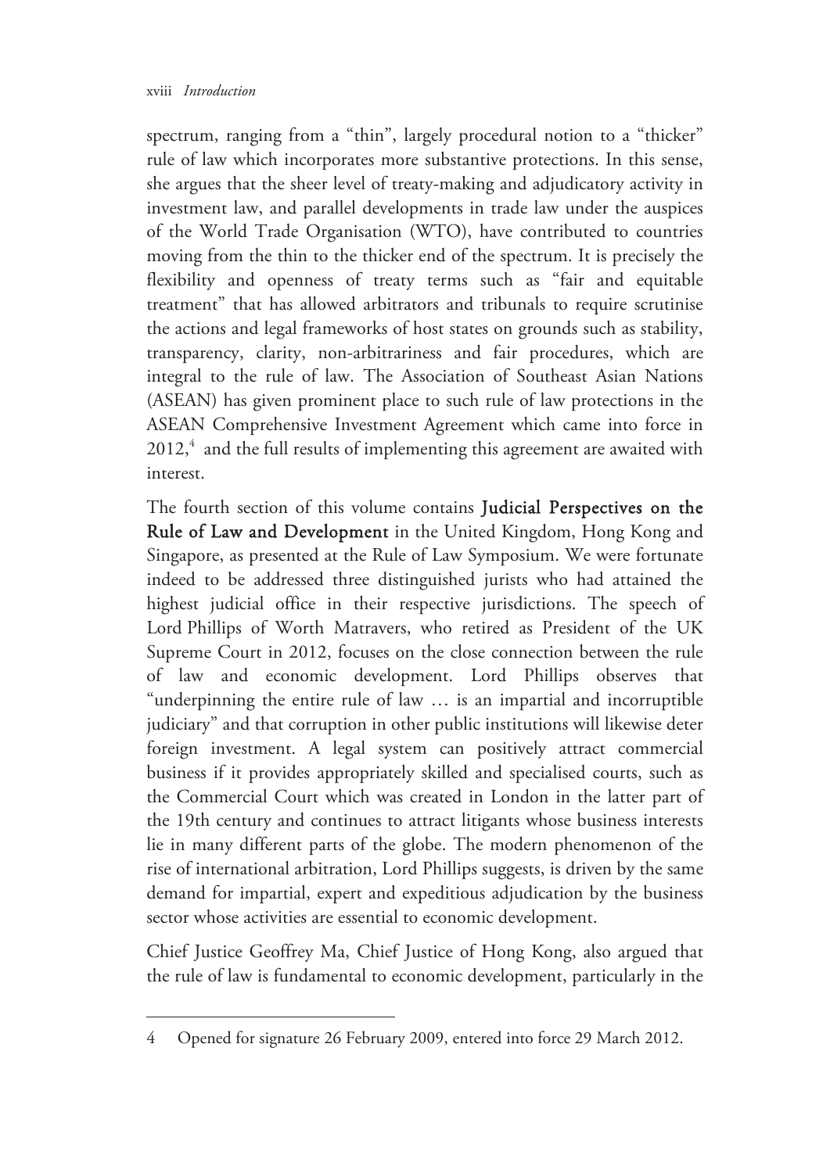$\overline{a}$ 

spectrum, ranging from a "thin", largely procedural notion to a "thicker" rule of law which incorporates more substantive protections. In this sense, she argues that the sheer level of treaty-making and adjudicatory activity in investment law, and parallel developments in trade law under the auspices of the World Trade Organisation (WTO), have contributed to countries moving from the thin to the thicker end of the spectrum. It is precisely the flexibility and openness of treaty terms such as "fair and equitable treatment" that has allowed arbitrators and tribunals to require scrutinise the actions and legal frameworks of host states on grounds such as stability, transparency, clarity, non-arbitrariness and fair procedures, which are integral to the rule of law. The Association of Southeast Asian Nations (ASEAN) has given prominent place to such rule of law protections in the ASEAN Comprehensive Investment Agreement which came into force in  $2012<sup>4</sup>$  and the full results of implementing this agreement are awaited with interest.

The fourth section of this volume contains Judicial Perspectives on the Rule of Law and Development in the United Kingdom, Hong Kong and Singapore, as presented at the Rule of Law Symposium. We were fortunate indeed to be addressed three distinguished jurists who had attained the highest judicial office in their respective jurisdictions. The speech of Lord Phillips of Worth Matravers, who retired as President of the UK Supreme Court in 2012, focuses on the close connection between the rule of law and economic development. Lord Phillips observes that "underpinning the entire rule of law … is an impartial and incorruptible judiciary" and that corruption in other public institutions will likewise deter foreign investment. A legal system can positively attract commercial business if it provides appropriately skilled and specialised courts, such as the Commercial Court which was created in London in the latter part of the 19th century and continues to attract litigants whose business interests lie in many different parts of the globe. The modern phenomenon of the rise of international arbitration, Lord Phillips suggests, is driven by the same demand for impartial, expert and expeditious adjudication by the business sector whose activities are essential to economic development.

Chief Justice Geoffrey Ma, Chief Justice of Hong Kong, also argued that the rule of law is fundamental to economic development, particularly in the

<sup>4</sup> Opened for signature 26 February 2009, entered into force 29 March 2012.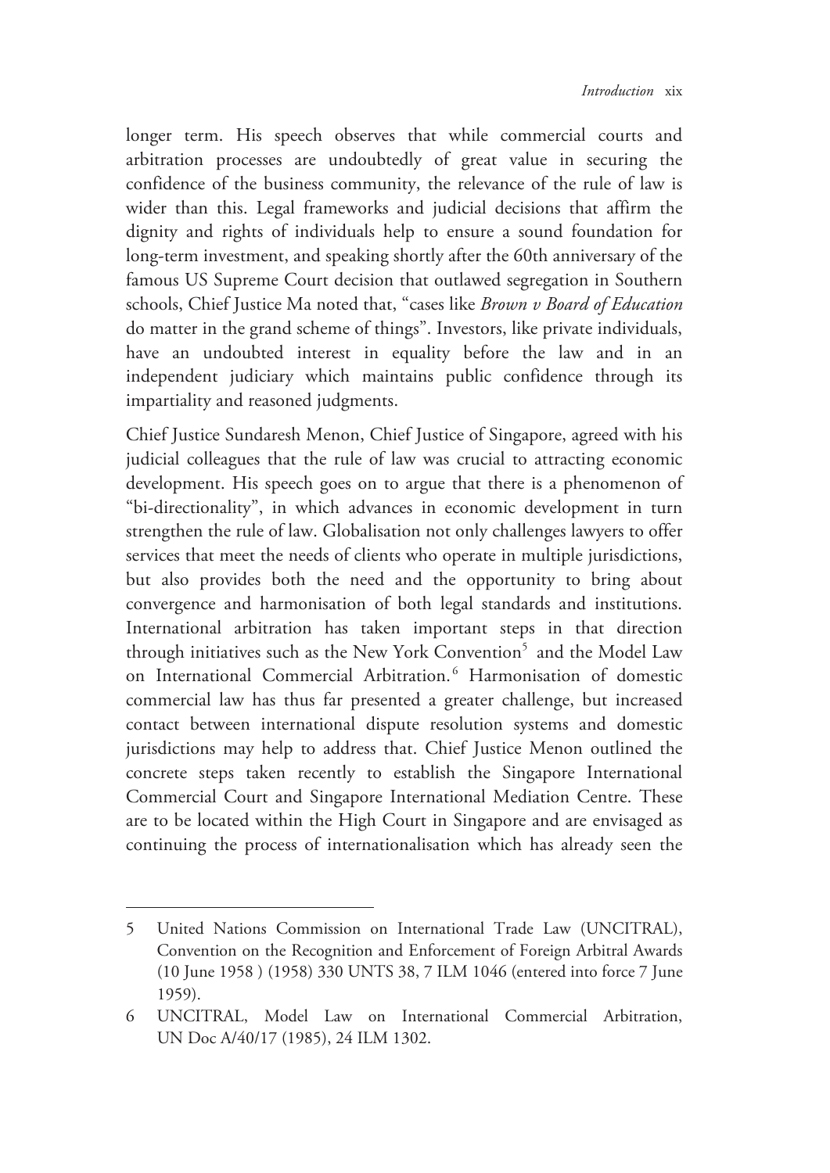longer term. His speech observes that while commercial courts and arbitration processes are undoubtedly of great value in securing the confidence of the business community, the relevance of the rule of law is wider than this. Legal frameworks and judicial decisions that affirm the dignity and rights of individuals help to ensure a sound foundation for long-term investment, and speaking shortly after the 60th anniversary of the famous US Supreme Court decision that outlawed segregation in Southern schools, Chief Justice Ma noted that, "cases like *Brown v Board of Education* do matter in the grand scheme of things". Investors, like private individuals, have an undoubted interest in equality before the law and in an independent judiciary which maintains public confidence through its impartiality and reasoned judgments.

Chief Justice Sundaresh Menon, Chief Justice of Singapore, agreed with his judicial colleagues that the rule of law was crucial to attracting economic development. His speech goes on to argue that there is a phenomenon of "bi-directionality", in which advances in economic development in turn strengthen the rule of law. Globalisation not only challenges lawyers to offer services that meet the needs of clients who operate in multiple jurisdictions, but also provides both the need and the opportunity to bring about convergence and harmonisation of both legal standards and institutions. International arbitration has taken important steps in that direction through initiatives such as the New York Convention<sup>5</sup> and the Model Law on International Commercial Arbitration.<sup>6</sup> Harmonisation of domestic commercial law has thus far presented a greater challenge, but increased contact between international dispute resolution systems and domestic jurisdictions may help to address that. Chief Justice Menon outlined the concrete steps taken recently to establish the Singapore International Commercial Court and Singapore International Mediation Centre. These are to be located within the High Court in Singapore and are envisaged as continuing the process of internationalisation which has already seen the

<sup>5</sup> United Nations Commission on International Trade Law (UNCITRAL), Convention on the Recognition and Enforcement of Foreign Arbitral Awards (10 June 1958 ) (1958) 330 UNTS 38, 7 ILM 1046 (entered into force 7 June 1959).

<sup>6</sup> UNCITRAL, Model Law on International Commercial Arbitration, UN Doc A/40/17 (1985), 24 ILM 1302.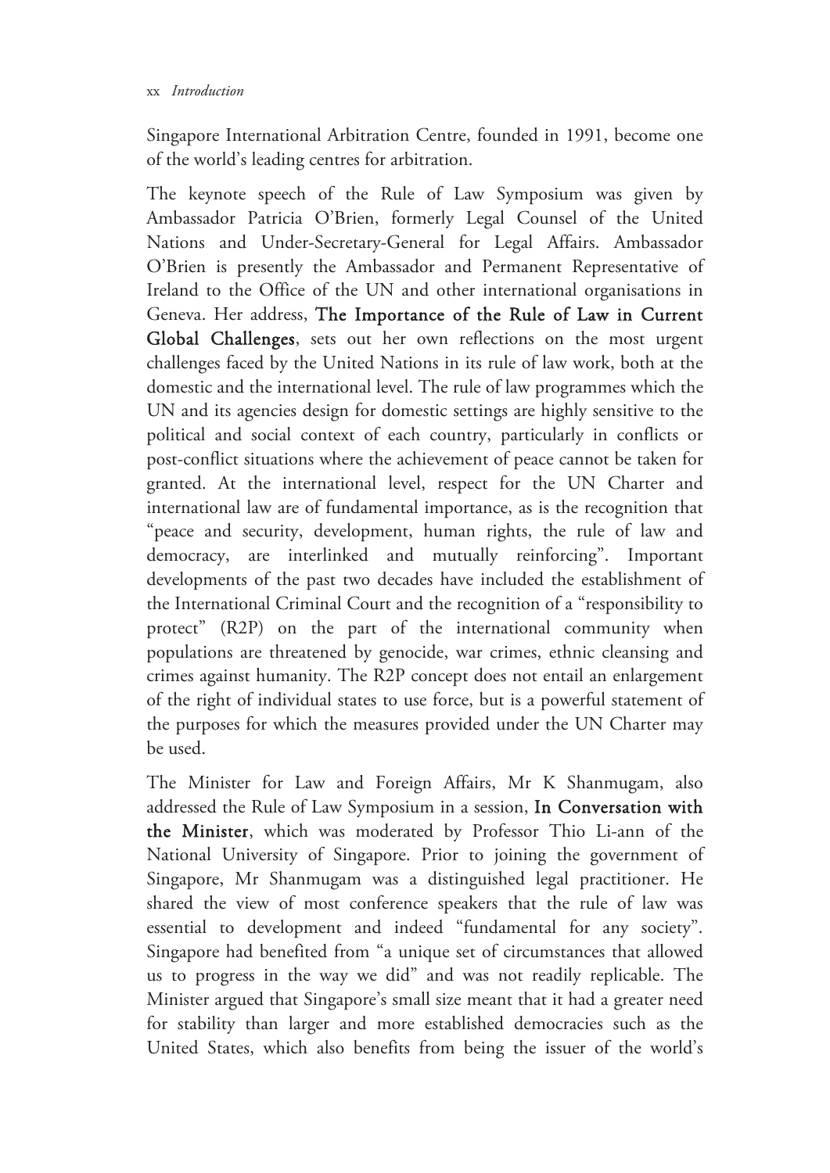#### xx *Introduction*

Singapore International Arbitration Centre, founded in 1991, become one of the world's leading centres for arbitration.

The keynote speech of the Rule of Law Symposium was given by Ambassador Patricia O'Brien, formerly Legal Counsel of the United Nations and Under-Secretary-General for Legal Affairs. Ambassador O'Brien is presently the Ambassador and Permanent Representative of Ireland to the Office of the UN and other international organisations in Geneva. Her address, The Importance of the Rule of Law in Current Global Challenges, sets out her own reflections on the most urgent challenges faced by the United Nations in its rule of law work, both at the domestic and the international level. The rule of law programmes which the UN and its agencies design for domestic settings are highly sensitive to the political and social context of each country, particularly in conflicts or post-conflict situations where the achievement of peace cannot be taken for granted. At the international level, respect for the UN Charter and international law are of fundamental importance, as is the recognition that "peace and security, development, human rights, the rule of law and democracy, are interlinked and mutually reinforcing". Important developments of the past two decades have included the establishment of the International Criminal Court and the recognition of a "responsibility to protect" (R2P) on the part of the international community when populations are threatened by genocide, war crimes, ethnic cleansing and crimes against humanity. The R2P concept does not entail an enlargement of the right of individual states to use force, but is a powerful statement of the purposes for which the measures provided under the UN Charter may be used.

The Minister for Law and Foreign Affairs, Mr K Shanmugam, also addressed the Rule of Law Symposium in a session, In Conversation with the Minister, which was moderated by Professor Thio Li-ann of the National University of Singapore. Prior to joining the government of Singapore, Mr Shanmugam was a distinguished legal practitioner. He shared the view of most conference speakers that the rule of law was essential to development and indeed "fundamental for any society". Singapore had benefited from "a unique set of circumstances that allowed us to progress in the way we did" and was not readily replicable. The Minister argued that Singapore's small size meant that it had a greater need for stability than larger and more established democracies such as the United States, which also benefits from being the issuer of the world's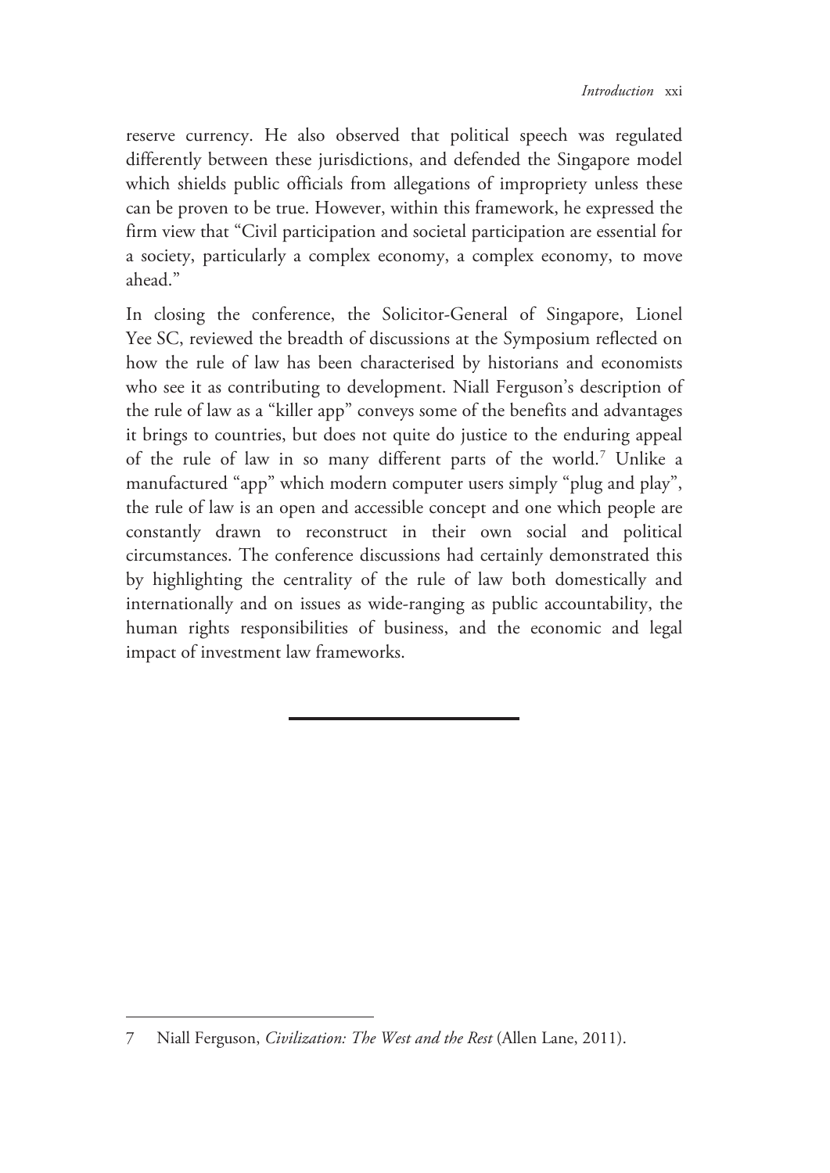reserve currency. He also observed that political speech was regulated differently between these jurisdictions, and defended the Singapore model which shields public officials from allegations of impropriety unless these can be proven to be true. However, within this framework, he expressed the firm view that "Civil participation and societal participation are essential for a society, particularly a complex economy, a complex economy, to move ahead."

In closing the conference, the Solicitor-General of Singapore, Lionel Yee SC, reviewed the breadth of discussions at the Symposium reflected on how the rule of law has been characterised by historians and economists who see it as contributing to development. Niall Ferguson's description of the rule of law as a "killer app" conveys some of the benefits and advantages it brings to countries, but does not quite do justice to the enduring appeal of the rule of law in so many different parts of the world.<sup>7</sup> Unlike a manufactured "app" which modern computer users simply "plug and play", the rule of law is an open and accessible concept and one which people are constantly drawn to reconstruct in their own social and political circumstances. The conference discussions had certainly demonstrated this by highlighting the centrality of the rule of law both domestically and internationally and on issues as wide-ranging as public accountability, the human rights responsibilities of business, and the economic and legal impact of investment law frameworks.

<sup>7</sup> Niall Ferguson, *Civilization: The West and the Rest* (Allen Lane, 2011).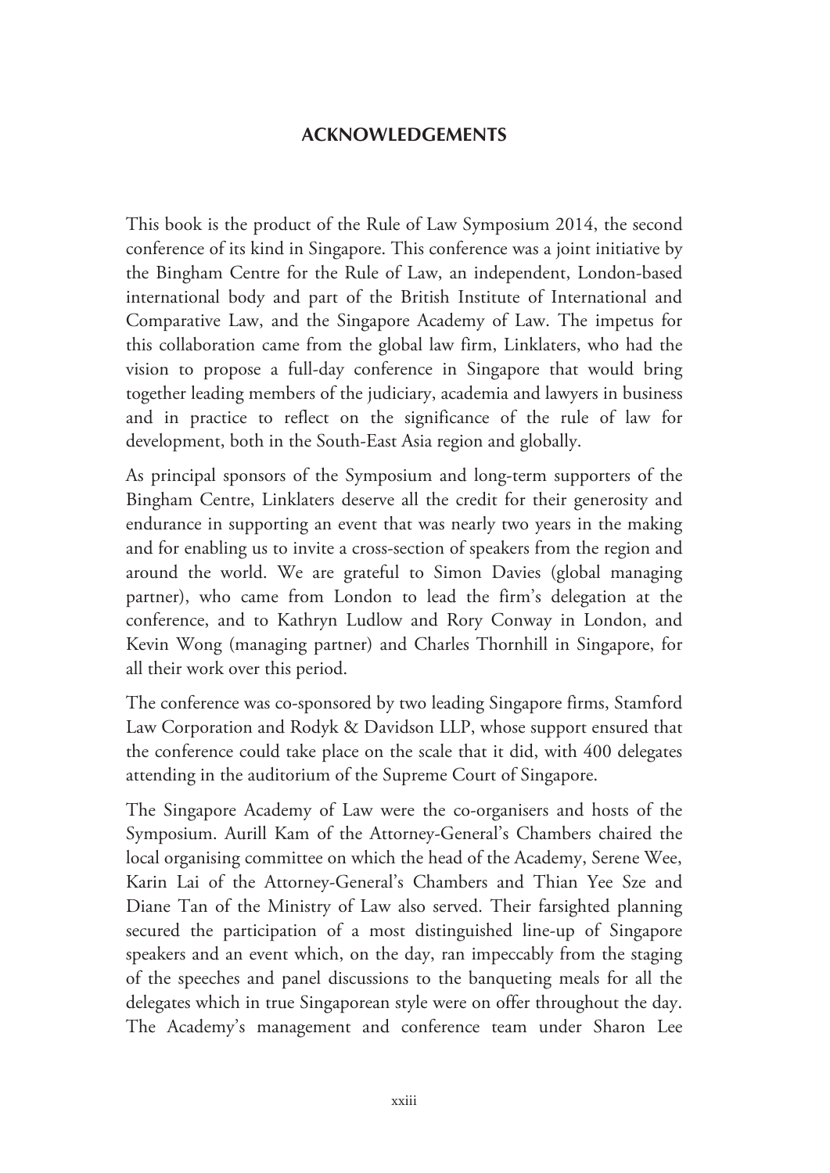## **ACKNOWLEDGEMENTS**

This book is the product of the Rule of Law Symposium 2014, the second conference of its kind in Singapore. This conference was a joint initiative by the Bingham Centre for the Rule of Law, an independent, London-based international body and part of the British Institute of International and Comparative Law, and the Singapore Academy of Law. The impetus for this collaboration came from the global law firm, Linklaters, who had the vision to propose a full-day conference in Singapore that would bring together leading members of the judiciary, academia and lawyers in business and in practice to reflect on the significance of the rule of law for development, both in the South-East Asia region and globally.

As principal sponsors of the Symposium and long-term supporters of the Bingham Centre, Linklaters deserve all the credit for their generosity and endurance in supporting an event that was nearly two years in the making and for enabling us to invite a cross-section of speakers from the region and around the world. We are grateful to Simon Davies (global managing partner), who came from London to lead the firm's delegation at the conference, and to Kathryn Ludlow and Rory Conway in London, and Kevin Wong (managing partner) and Charles Thornhill in Singapore, for all their work over this period.

The conference was co-sponsored by two leading Singapore firms, Stamford Law Corporation and Rodyk & Davidson LLP, whose support ensured that the conference could take place on the scale that it did, with 400 delegates attending in the auditorium of the Supreme Court of Singapore.

The Singapore Academy of Law were the co-organisers and hosts of the Symposium. Aurill Kam of the Attorney-General's Chambers chaired the local organising committee on which the head of the Academy, Serene Wee, Karin Lai of the Attorney-General's Chambers and Thian Yee Sze and Diane Tan of the Ministry of Law also served. Their farsighted planning secured the participation of a most distinguished line-up of Singapore speakers and an event which, on the day, ran impeccably from the staging of the speeches and panel discussions to the banqueting meals for all the delegates which in true Singaporean style were on offer throughout the day. The Academy's management and conference team under Sharon Lee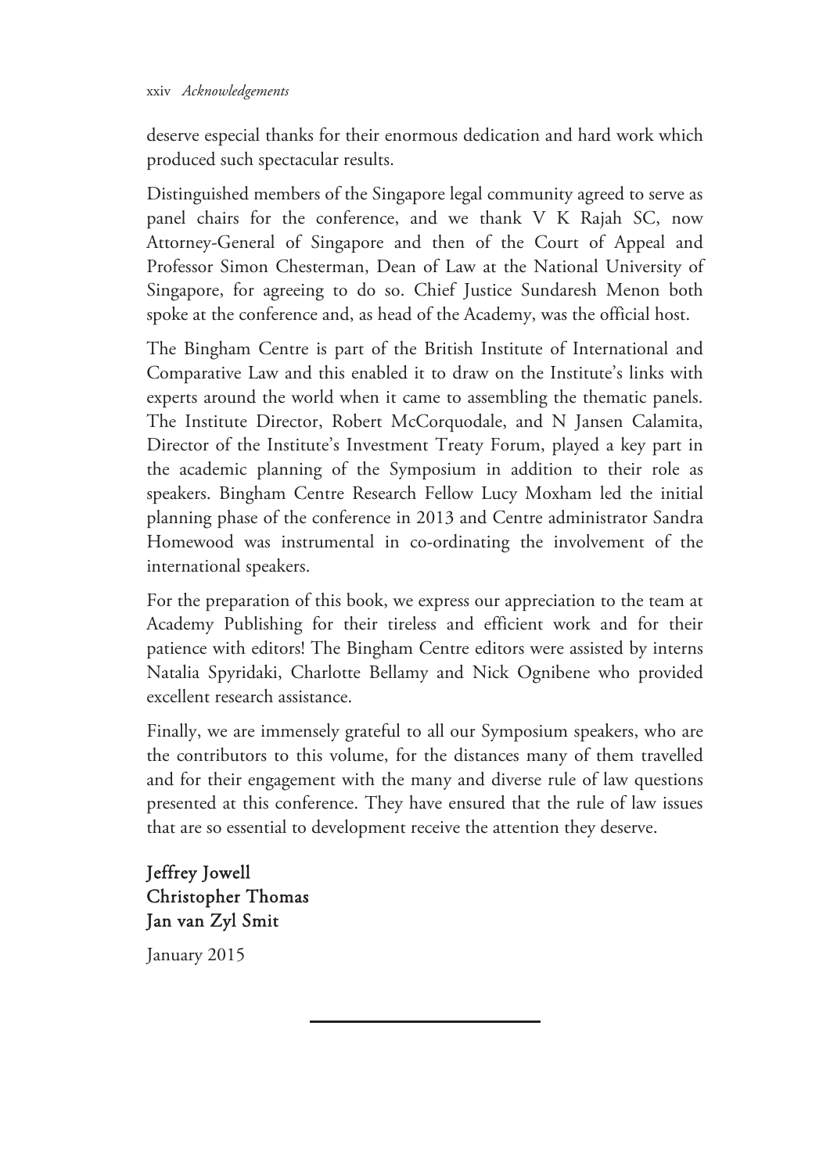#### xxiv *Acknowledgements*

deserve especial thanks for their enormous dedication and hard work which produced such spectacular results.

Distinguished members of the Singapore legal community agreed to serve as panel chairs for the conference, and we thank V K Rajah SC, now Attorney-General of Singapore and then of the Court of Appeal and Professor Simon Chesterman, Dean of Law at the National University of Singapore, for agreeing to do so. Chief Justice Sundaresh Menon both spoke at the conference and, as head of the Academy, was the official host.

The Bingham Centre is part of the British Institute of International and Comparative Law and this enabled it to draw on the Institute's links with experts around the world when it came to assembling the thematic panels. The Institute Director, Robert McCorquodale, and N Jansen Calamita, Director of the Institute's Investment Treaty Forum, played a key part in the academic planning of the Symposium in addition to their role as speakers. Bingham Centre Research Fellow Lucy Moxham led the initial planning phase of the conference in 2013 and Centre administrator Sandra Homewood was instrumental in co-ordinating the involvement of the international speakers.

For the preparation of this book, we express our appreciation to the team at Academy Publishing for their tireless and efficient work and for their patience with editors! The Bingham Centre editors were assisted by interns Natalia Spyridaki, Charlotte Bellamy and Nick Ognibene who provided excellent research assistance.

Finally, we are immensely grateful to all our Symposium speakers, who are the contributors to this volume, for the distances many of them travelled and for their engagement with the many and diverse rule of law questions presented at this conference. They have ensured that the rule of law issues that are so essential to development receive the attention they deserve.

Jeffrey Jowell Christopher Thomas Jan van Zyl Smit

January 2015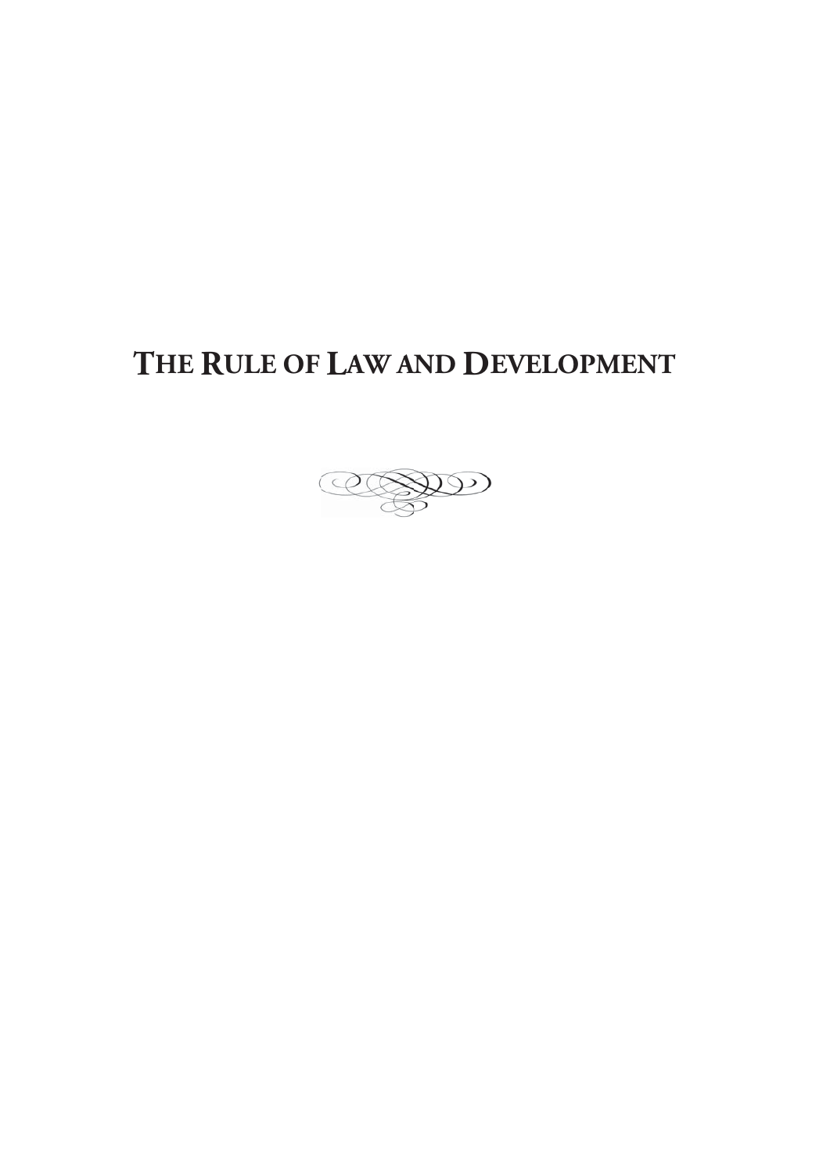# **THE RULE OF LAW AND DEVELOPMENT**

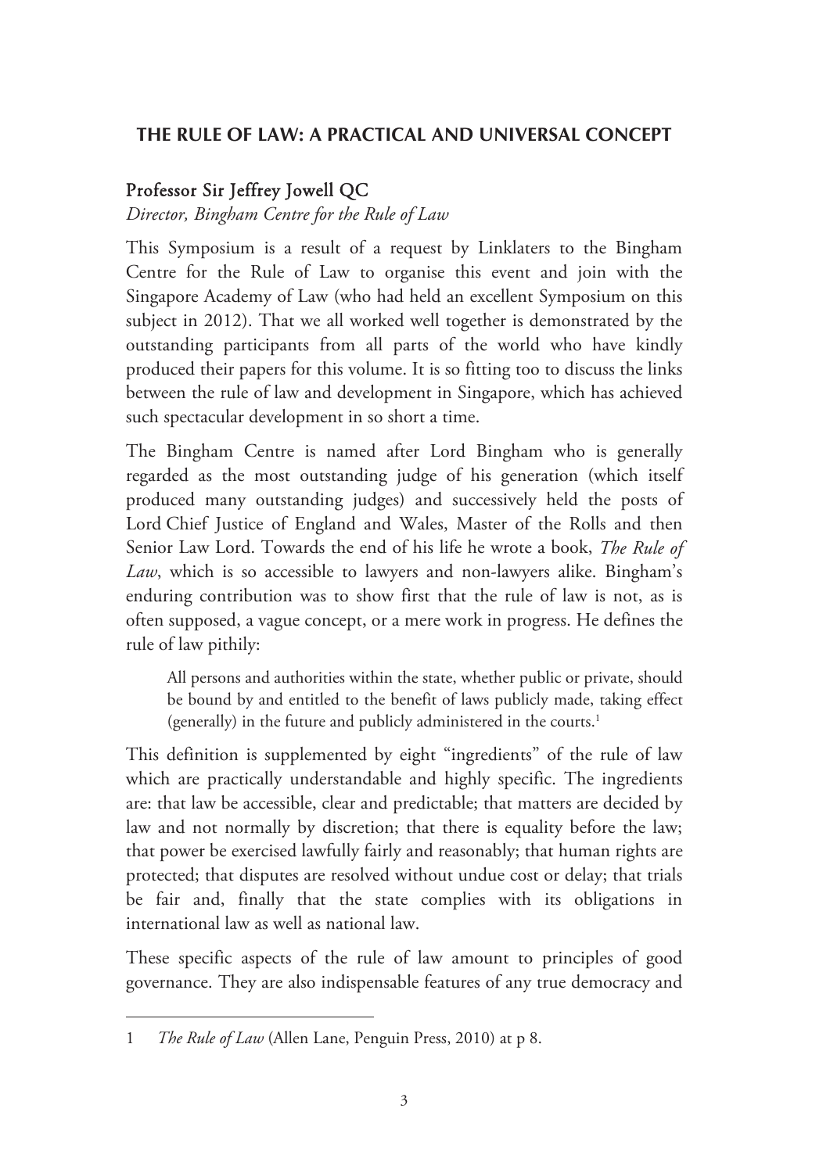## **THE RULE OF LAW: A PRACTICAL AND UNIVERSAL CONCEPT**

## Professor Sir Jeffrey Jowell QC

## *Director, Bingham Centre for the Rule of Law*

This Symposium is a result of a request by Linklaters to the Bingham Centre for the Rule of Law to organise this event and join with the Singapore Academy of Law (who had held an excellent Symposium on this subject in 2012). That we all worked well together is demonstrated by the outstanding participants from all parts of the world who have kindly produced their papers for this volume. It is so fitting too to discuss the links between the rule of law and development in Singapore, which has achieved such spectacular development in so short a time.

The Bingham Centre is named after Lord Bingham who is generally regarded as the most outstanding judge of his generation (which itself produced many outstanding judges) and successively held the posts of Lord Chief Justice of England and Wales, Master of the Rolls and then Senior Law Lord. Towards the end of his life he wrote a book, *The Rule of Law*, which is so accessible to lawyers and non-lawyers alike. Bingham's enduring contribution was to show first that the rule of law is not, as is often supposed, a vague concept, or a mere work in progress. He defines the rule of law pithily:

All persons and authorities within the state, whether public or private, should be bound by and entitled to the benefit of laws publicly made, taking effect (generally) in the future and publicly administered in the courts.<sup>1</sup>

This definition is supplemented by eight "ingredients" of the rule of law which are practically understandable and highly specific. The ingredients are: that law be accessible, clear and predictable; that matters are decided by law and not normally by discretion; that there is equality before the law; that power be exercised lawfully fairly and reasonably; that human rights are protected; that disputes are resolved without undue cost or delay; that trials be fair and, finally that the state complies with its obligations in international law as well as national law.

These specific aspects of the rule of law amount to principles of good governance. They are also indispensable features of any true democracy and

<sup>1</sup> *The Rule of Law* (Allen Lane, Penguin Press, 2010) at p 8.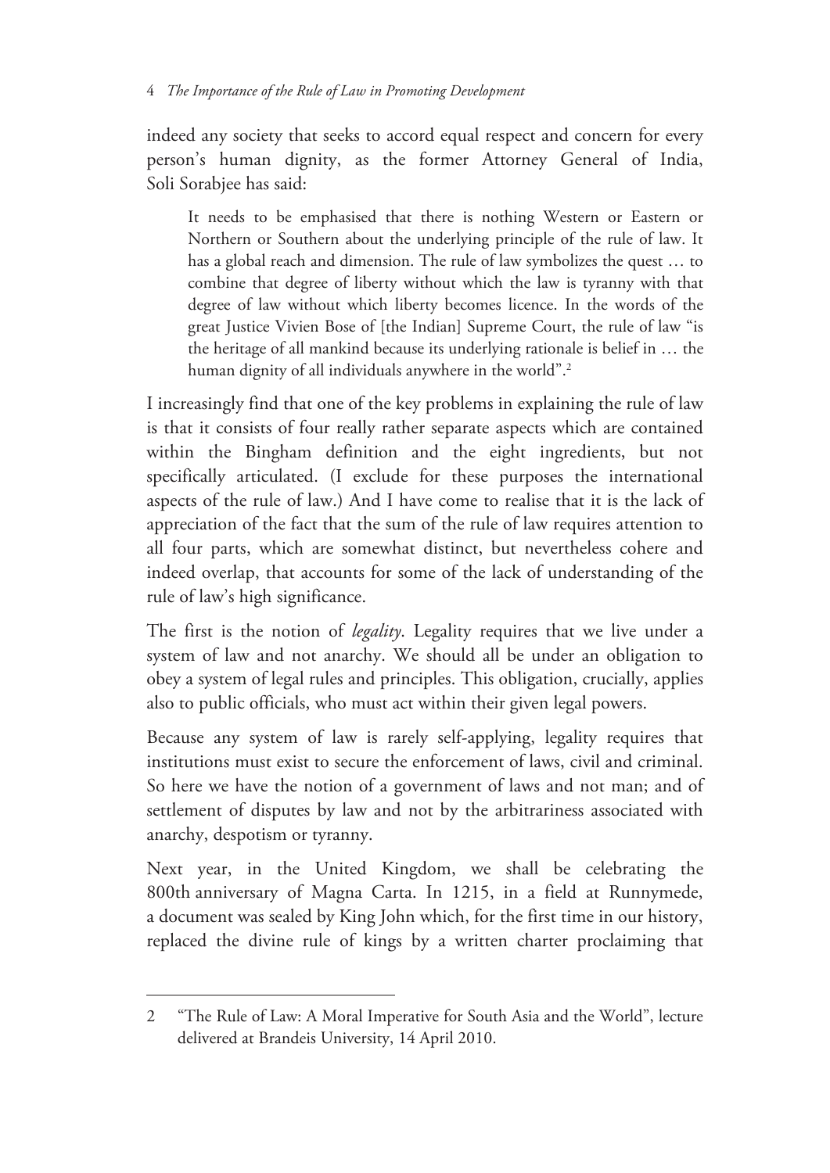indeed any society that seeks to accord equal respect and concern for every person's human dignity, as the former Attorney General of India, Soli Sorabjee has said:

It needs to be emphasised that there is nothing Western or Eastern or Northern or Southern about the underlying principle of the rule of law. It has a global reach and dimension. The rule of law symbolizes the quest … to combine that degree of liberty without which the law is tyranny with that degree of law without which liberty becomes licence. In the words of the great Justice Vivien Bose of [the Indian] Supreme Court, the rule of law "is the heritage of all mankind because its underlying rationale is belief in … the human dignity of all individuals anywhere in the world".<sup>2</sup>

I increasingly find that one of the key problems in explaining the rule of law is that it consists of four really rather separate aspects which are contained within the Bingham definition and the eight ingredients, but not specifically articulated. (I exclude for these purposes the international aspects of the rule of law.) And I have come to realise that it is the lack of appreciation of the fact that the sum of the rule of law requires attention to all four parts, which are somewhat distinct, but nevertheless cohere and indeed overlap, that accounts for some of the lack of understanding of the rule of law's high significance.

The first is the notion of *legality*. Legality requires that we live under a system of law and not anarchy. We should all be under an obligation to obey a system of legal rules and principles. This obligation, crucially, applies also to public officials, who must act within their given legal powers.

Because any system of law is rarely self-applying, legality requires that institutions must exist to secure the enforcement of laws, civil and criminal. So here we have the notion of a government of laws and not man; and of settlement of disputes by law and not by the arbitrariness associated with anarchy, despotism or tyranny.

Next year, in the United Kingdom, we shall be celebrating the 800th anniversary of Magna Carta. In 1215, in a field at Runnymede, a document was sealed by King John which, for the first time in our history, replaced the divine rule of kings by a written charter proclaiming that

 $\overline{a}$ 

<sup>2 &</sup>quot;The Rule of Law: A Moral Imperative for South Asia and the World", lecture delivered at Brandeis University, 14 April 2010.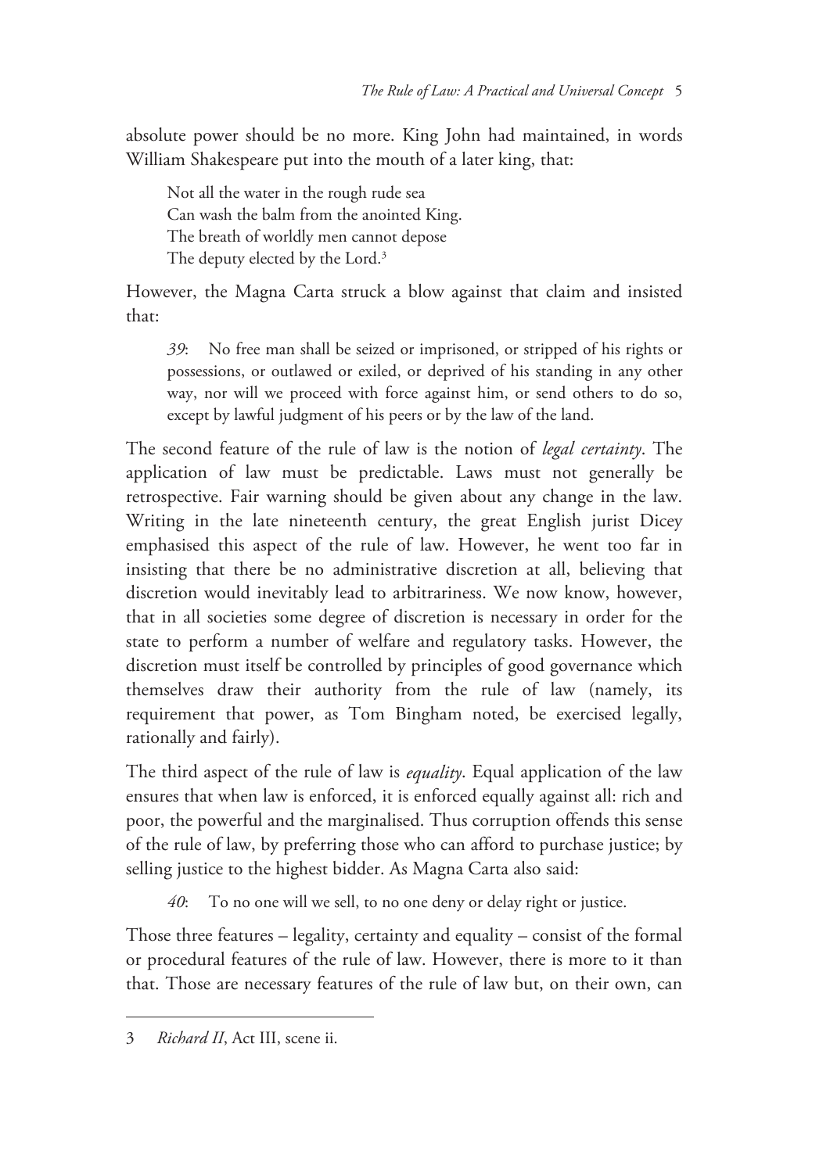absolute power should be no more. King John had maintained, in words William Shakespeare put into the mouth of a later king, that:

Not all the water in the rough rude sea Can wash the balm from the anointed King. The breath of worldly men cannot depose The deputy elected by the Lord.<sup>3</sup>

However, the Magna Carta struck a blow against that claim and insisted that:

*39*: No free man shall be seized or imprisoned, or stripped of his rights or possessions, or outlawed or exiled, or deprived of his standing in any other way, nor will we proceed with force against him, or send others to do so, except by lawful judgment of his peers or by the law of the land.

The second feature of the rule of law is the notion of *legal certainty*. The application of law must be predictable. Laws must not generally be retrospective. Fair warning should be given about any change in the law. Writing in the late nineteenth century, the great English jurist Dicey emphasised this aspect of the rule of law. However, he went too far in insisting that there be no administrative discretion at all, believing that discretion would inevitably lead to arbitrariness. We now know, however, that in all societies some degree of discretion is necessary in order for the state to perform a number of welfare and regulatory tasks. However, the discretion must itself be controlled by principles of good governance which themselves draw their authority from the rule of law (namely, its requirement that power, as Tom Bingham noted, be exercised legally, rationally and fairly).

The third aspect of the rule of law is *equality*. Equal application of the law ensures that when law is enforced, it is enforced equally against all: rich and poor, the powerful and the marginalised. Thus corruption offends this sense of the rule of law, by preferring those who can afford to purchase justice; by selling justice to the highest bidder. As Magna Carta also said:

*40*: To no one will we sell, to no one deny or delay right or justice.

Those three features – legality, certainty and equality – consist of the formal or procedural features of the rule of law. However, there is more to it than that. Those are necessary features of the rule of law but, on their own, can

<sup>3</sup> *Richard II*, Act III, scene ii.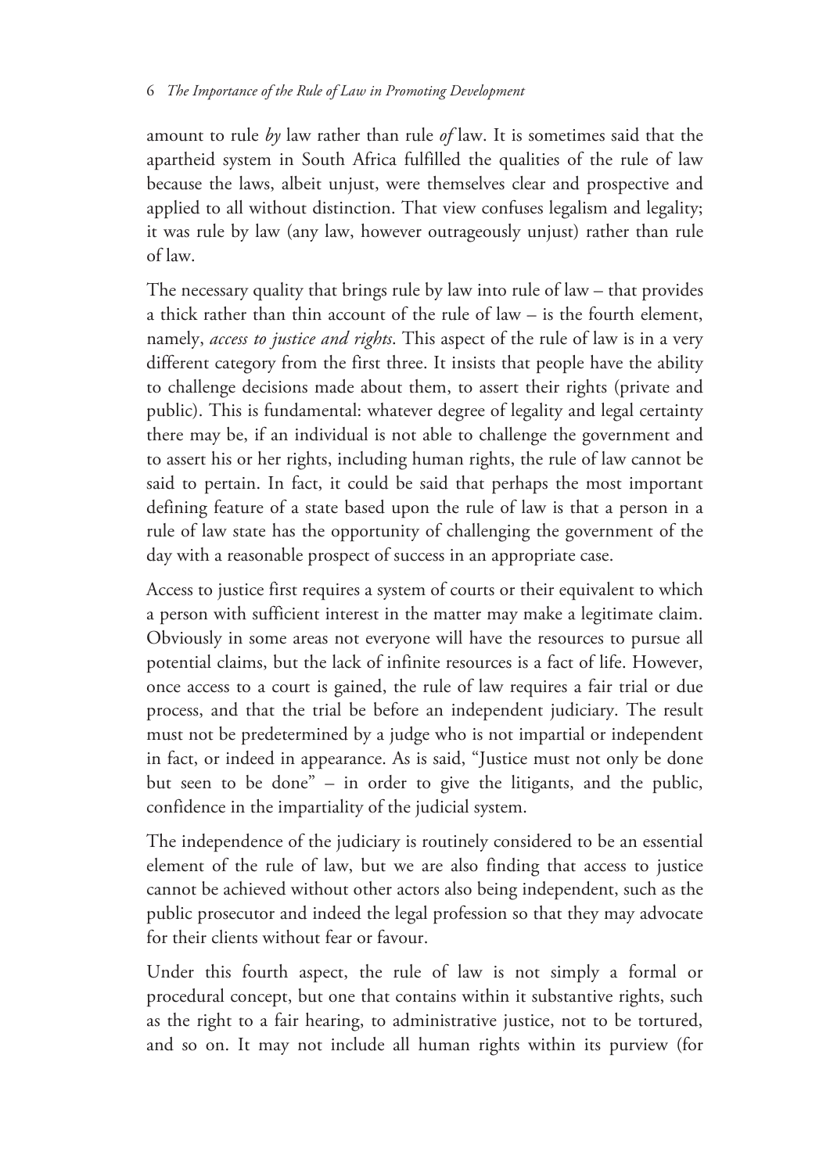#### 6 *The Importance of the Rule of Law in Promoting Development*

amount to rule *by* law rather than rule *of* law. It is sometimes said that the apartheid system in South Africa fulfilled the qualities of the rule of law because the laws, albeit unjust, were themselves clear and prospective and applied to all without distinction. That view confuses legalism and legality; it was rule by law (any law, however outrageously unjust) rather than rule of law.

The necessary quality that brings rule by law into rule of law – that provides a thick rather than thin account of the rule of law – is the fourth element, namely, *access to justice and rights*. This aspect of the rule of law is in a very different category from the first three. It insists that people have the ability to challenge decisions made about them, to assert their rights (private and public). This is fundamental: whatever degree of legality and legal certainty there may be, if an individual is not able to challenge the government and to assert his or her rights, including human rights, the rule of law cannot be said to pertain. In fact, it could be said that perhaps the most important defining feature of a state based upon the rule of law is that a person in a rule of law state has the opportunity of challenging the government of the day with a reasonable prospect of success in an appropriate case.

Access to justice first requires a system of courts or their equivalent to which a person with sufficient interest in the matter may make a legitimate claim. Obviously in some areas not everyone will have the resources to pursue all potential claims, but the lack of infinite resources is a fact of life. However, once access to a court is gained, the rule of law requires a fair trial or due process, and that the trial be before an independent judiciary. The result must not be predetermined by a judge who is not impartial or independent in fact, or indeed in appearance. As is said, "Justice must not only be done but seen to be done" – in order to give the litigants, and the public, confidence in the impartiality of the judicial system.

The independence of the judiciary is routinely considered to be an essential element of the rule of law, but we are also finding that access to justice cannot be achieved without other actors also being independent, such as the public prosecutor and indeed the legal profession so that they may advocate for their clients without fear or favour.

Under this fourth aspect, the rule of law is not simply a formal or procedural concept, but one that contains within it substantive rights, such as the right to a fair hearing, to administrative justice, not to be tortured, and so on. It may not include all human rights within its purview (for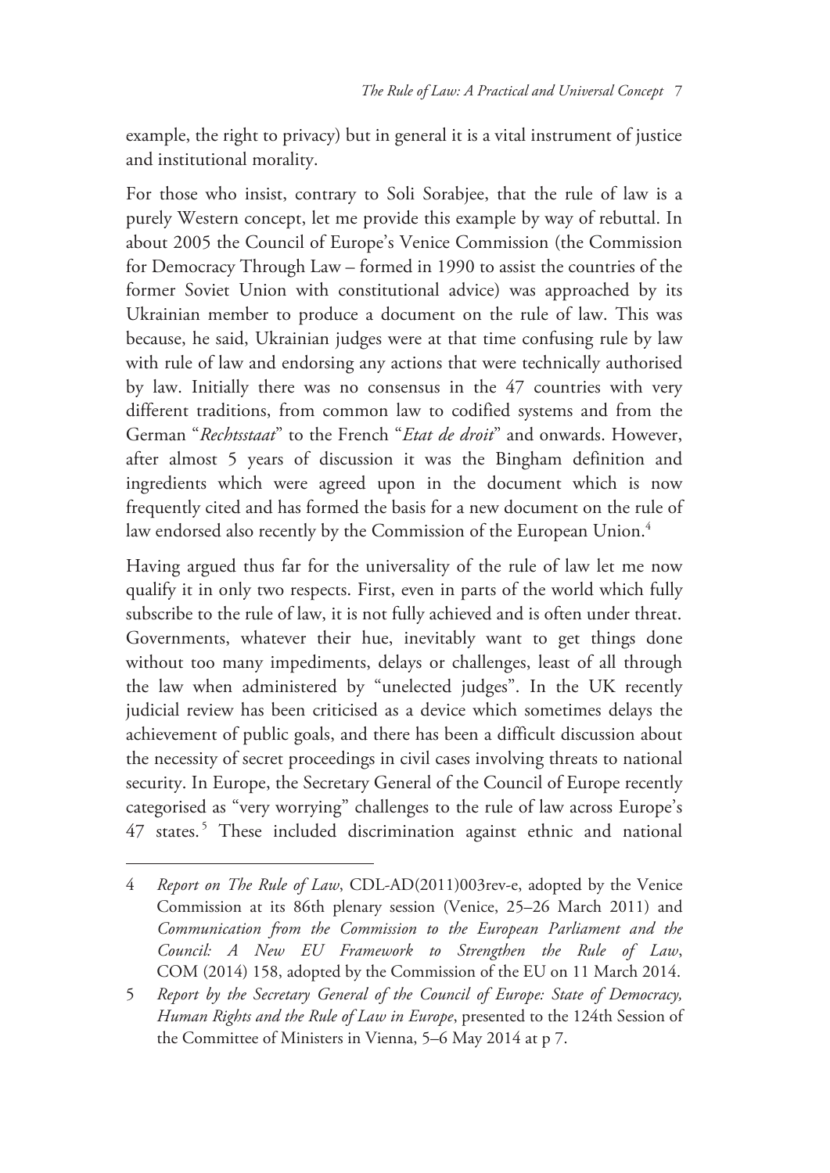example, the right to privacy) but in general it is a vital instrument of justice and institutional morality.

For those who insist, contrary to Soli Sorabjee, that the rule of law is a purely Western concept, let me provide this example by way of rebuttal. In about 2005 the Council of Europe's Venice Commission (the Commission for Democracy Through Law – formed in 1990 to assist the countries of the former Soviet Union with constitutional advice) was approached by its Ukrainian member to produce a document on the rule of law. This was because, he said, Ukrainian judges were at that time confusing rule by law with rule of law and endorsing any actions that were technically authorised by law. Initially there was no consensus in the 47 countries with very different traditions, from common law to codified systems and from the German "*Rechtsstaat*" to the French "*Etat de droit*" and onwards. However, after almost 5 years of discussion it was the Bingham definition and ingredients which were agreed upon in the document which is now frequently cited and has formed the basis for a new document on the rule of law endorsed also recently by the Commission of the European Union.<sup>4</sup>

Having argued thus far for the universality of the rule of law let me now qualify it in only two respects. First, even in parts of the world which fully subscribe to the rule of law, it is not fully achieved and is often under threat. Governments, whatever their hue, inevitably want to get things done without too many impediments, delays or challenges, least of all through the law when administered by "unelected judges". In the UK recently judicial review has been criticised as a device which sometimes delays the achievement of public goals, and there has been a difficult discussion about the necessity of secret proceedings in civil cases involving threats to national security. In Europe, the Secretary General of the Council of Europe recently categorised as "very worrying" challenges to the rule of law across Europe's 47 states.<sup>5</sup> These included discrimination against ethnic and national

<sup>4</sup> *Report on The Rule of Law*, CDL-AD(2011)003rev-e, adopted by the Venice Commission at its 86th plenary session (Venice, 25–26 March 2011) and *Communication from the Commission to the European Parliament and the Council: A New EU Framework to Strengthen the Rule of Law*, COM (2014) 158, adopted by the Commission of the EU on 11 March 2014.

<sup>5</sup> *Report by the Secretary General of the Council of Europe: State of Democracy, Human Rights and the Rule of Law in Europe*, presented to the 124th Session of the Committee of Ministers in Vienna, 5–6 May 2014 at p 7.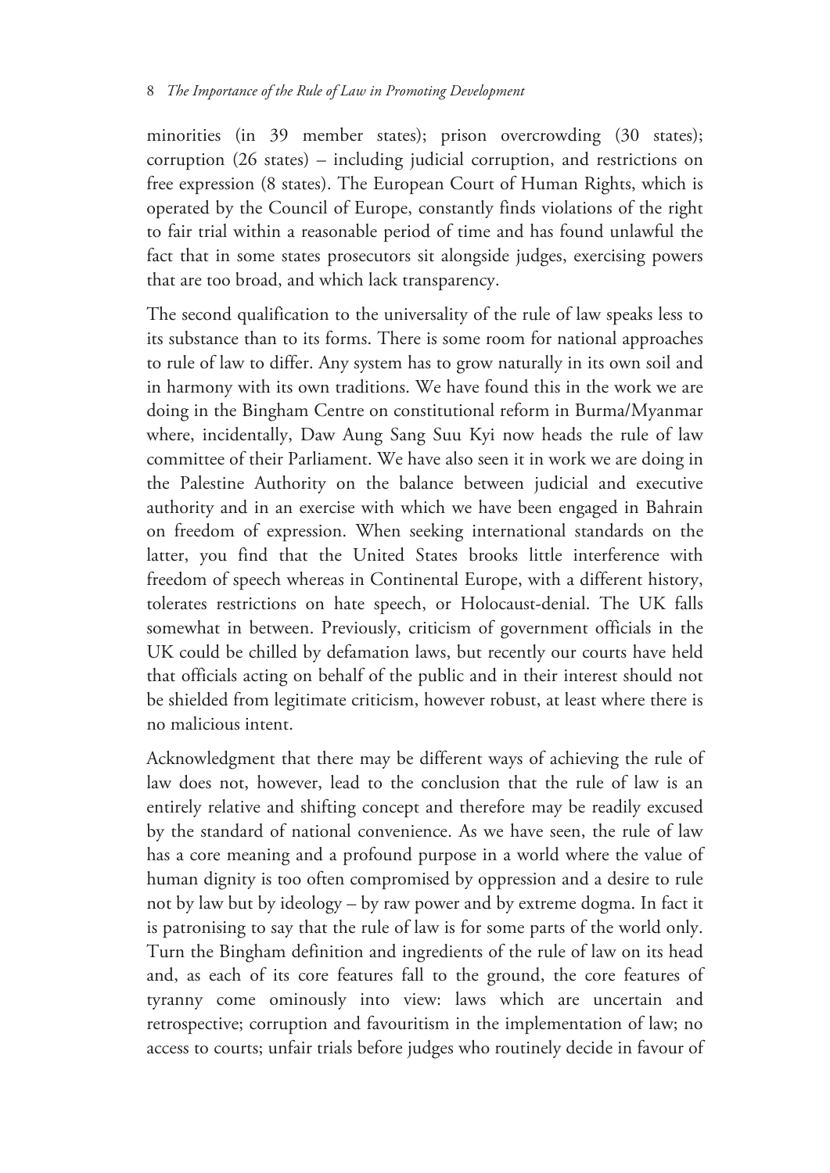minorities (in 39 member states); prison overcrowding (30 states); corruption (26 states) – including judicial corruption, and restrictions on free expression (8 states). The European Court of Human Rights, which is operated by the Council of Europe, constantly finds violations of the right to fair trial within a reasonable period of time and has found unlawful the fact that in some states prosecutors sit alongside judges, exercising powers that are too broad, and which lack transparency.

The second qualification to the universality of the rule of law speaks less to its substance than to its forms. There is some room for national approaches to rule of law to differ. Any system has to grow naturally in its own soil and in harmony with its own traditions. We have found this in the work we are doing in the Bingham Centre on constitutional reform in Burma/Myanmar where, incidentally, Daw Aung Sang Suu Kyi now heads the rule of law committee of their Parliament. We have also seen it in work we are doing in the Palestine Authority on the balance between judicial and executive authority and in an exercise with which we have been engaged in Bahrain on freedom of expression. When seeking international standards on the latter, you find that the United States brooks little interference with freedom of speech whereas in Continental Europe, with a different history, tolerates restrictions on hate speech, or Holocaust-denial. The UK falls somewhat in between. Previously, criticism of government officials in the UK could be chilled by defamation laws, but recently our courts have held that officials acting on behalf of the public and in their interest should not be shielded from legitimate criticism, however robust, at least where there is no malicious intent.

Acknowledgment that there may be different ways of achieving the rule of law does not, however, lead to the conclusion that the rule of law is an entirely relative and shifting concept and therefore may be readily excused by the standard of national convenience. As we have seen, the rule of law has a core meaning and a profound purpose in a world where the value of human dignity is too often compromised by oppression and a desire to rule not by law but by ideology – by raw power and by extreme dogma. In fact it is patronising to say that the rule of law is for some parts of the world only. Turn the Bingham definition and ingredients of the rule of law on its head and, as each of its core features fall to the ground, the core features of tyranny come ominously into view: laws which are uncertain and retrospective; corruption and favouritism in the implementation of law; no access to courts; unfair trials before judges who routinely decide in favour of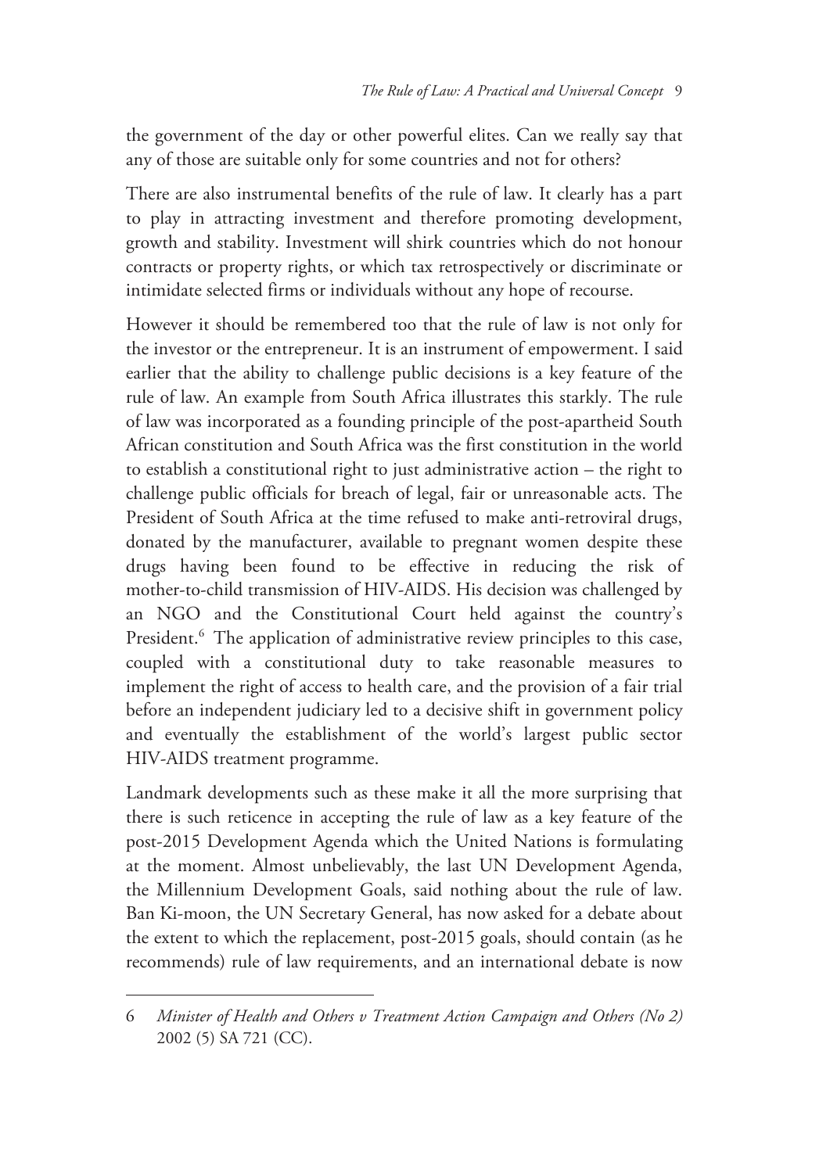the government of the day or other powerful elites. Can we really say that any of those are suitable only for some countries and not for others?

There are also instrumental benefits of the rule of law. It clearly has a part to play in attracting investment and therefore promoting development, growth and stability. Investment will shirk countries which do not honour contracts or property rights, or which tax retrospectively or discriminate or intimidate selected firms or individuals without any hope of recourse.

However it should be remembered too that the rule of law is not only for the investor or the entrepreneur. It is an instrument of empowerment. I said earlier that the ability to challenge public decisions is a key feature of the rule of law. An example from South Africa illustrates this starkly. The rule of law was incorporated as a founding principle of the post-apartheid South African constitution and South Africa was the first constitution in the world to establish a constitutional right to just administrative action – the right to challenge public officials for breach of legal, fair or unreasonable acts. The President of South Africa at the time refused to make anti-retroviral drugs, donated by the manufacturer, available to pregnant women despite these drugs having been found to be effective in reducing the risk of mother-to-child transmission of HIV-AIDS. His decision was challenged by an NGO and the Constitutional Court held against the country's President.<sup>6</sup> The application of administrative review principles to this case, coupled with a constitutional duty to take reasonable measures to implement the right of access to health care, and the provision of a fair trial before an independent judiciary led to a decisive shift in government policy and eventually the establishment of the world's largest public sector HIV-AIDS treatment programme.

Landmark developments such as these make it all the more surprising that there is such reticence in accepting the rule of law as a key feature of the post-2015 Development Agenda which the United Nations is formulating at the moment. Almost unbelievably, the last UN Development Agenda, the Millennium Development Goals, said nothing about the rule of law. Ban Ki-moon, the UN Secretary General, has now asked for a debate about the extent to which the replacement, post-2015 goals, should contain (as he recommends) rule of law requirements, and an international debate is now

<sup>6</sup> *Minister of Health and Others v Treatment Action Campaign and Others (No 2)* 2002 (5) SA 721 (CC).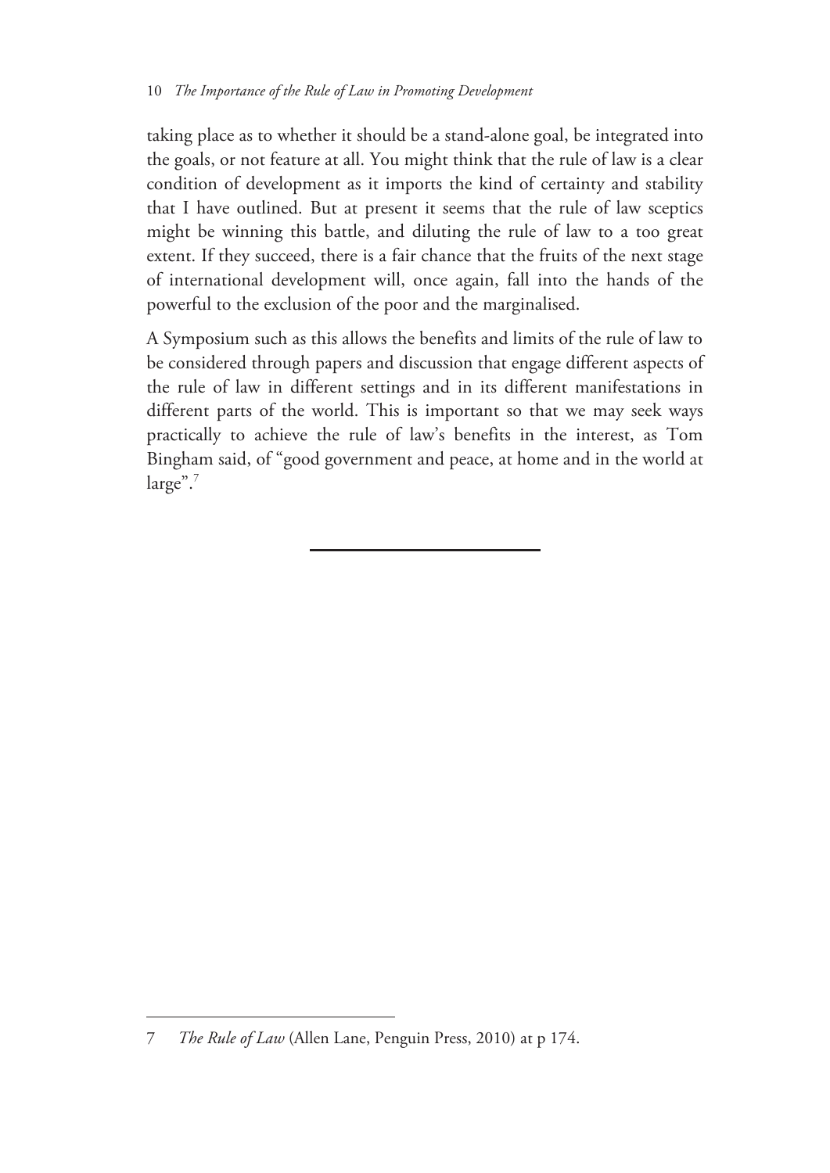taking place as to whether it should be a stand-alone goal, be integrated into the goals, or not feature at all. You might think that the rule of law is a clear condition of development as it imports the kind of certainty and stability that I have outlined. But at present it seems that the rule of law sceptics might be winning this battle, and diluting the rule of law to a too great extent. If they succeed, there is a fair chance that the fruits of the next stage of international development will, once again, fall into the hands of the powerful to the exclusion of the poor and the marginalised.

A Symposium such as this allows the benefits and limits of the rule of law to be considered through papers and discussion that engage different aspects of the rule of law in different settings and in its different manifestations in different parts of the world. This is important so that we may seek ways practically to achieve the rule of law's benefits in the interest, as Tom Bingham said, of "good government and peace, at home and in the world at large".7

 $\overline{a}$ 

<sup>7</sup> *The Rule of Law* (Allen Lane, Penguin Press, 2010) at p 174.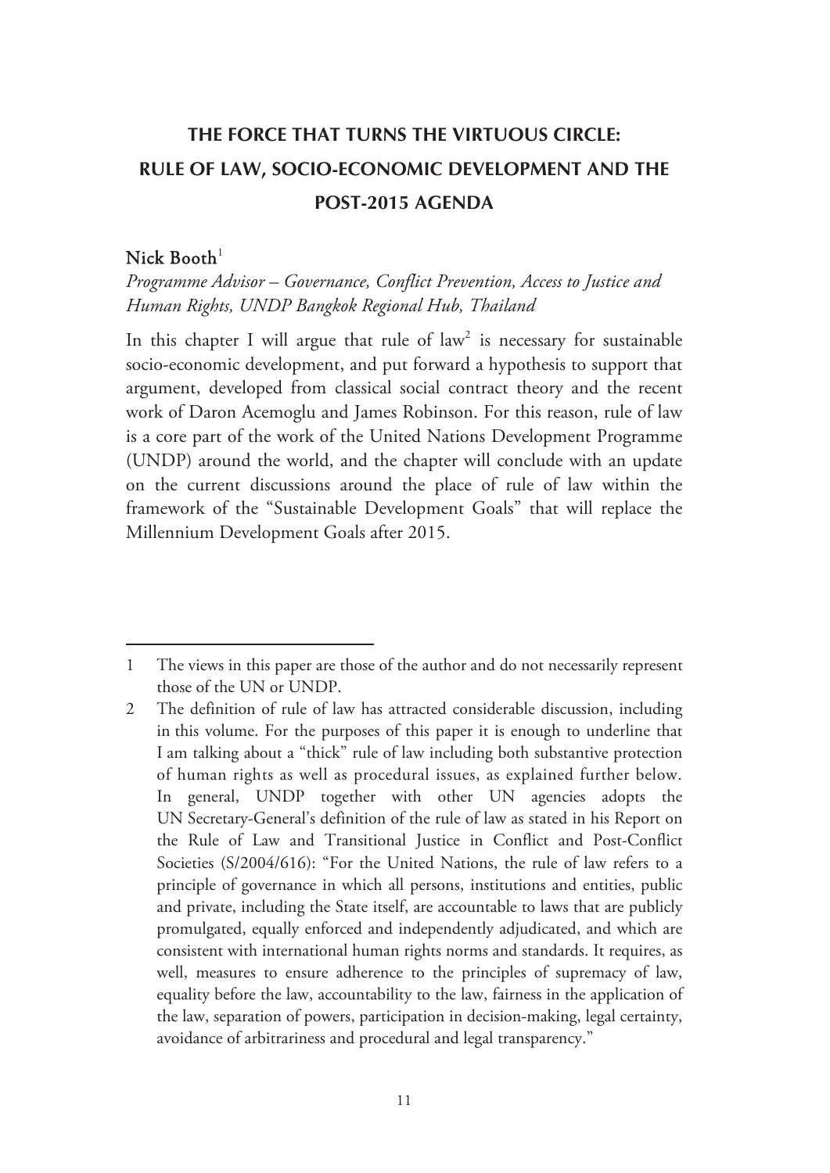## **THE FORCE THAT TURNS THE VIRTUOUS CIRCLE: RULE OF LAW, SOCIO-ECONOMIC DEVELOPMENT AND THE POST-2015 AGENDA**

### Nick  $\text{Booth}^1$

-

*Programme Advisor – Governance, Conflict Prevention, Access to Justice and Human Rights, UNDP Bangkok Regional Hub, Thailand* 

In this chapter I will argue that rule of law<sup>2</sup> is necessary for sustainable socio-economic development, and put forward a hypothesis to support that argument, developed from classical social contract theory and the recent work of Daron Acemoglu and James Robinson. For this reason, rule of law is a core part of the work of the United Nations Development Programme (UNDP) around the world, and the chapter will conclude with an update on the current discussions around the place of rule of law within the framework of the "Sustainable Development Goals" that will replace the Millennium Development Goals after 2015.

<sup>1</sup> The views in this paper are those of the author and do not necessarily represent those of the UN or UNDP.

<sup>2</sup> The definition of rule of law has attracted considerable discussion, including in this volume. For the purposes of this paper it is enough to underline that I am talking about a "thick" rule of law including both substantive protection of human rights as well as procedural issues, as explained further below. In general, UNDP together with other UN agencies adopts the UN Secretary-General's definition of the rule of law as stated in his Report on the Rule of Law and Transitional Justice in Conflict and Post-Conflict Societies (S/2004/616): "For the United Nations, the rule of law refers to a principle of governance in which all persons, institutions and entities, public and private, including the State itself, are accountable to laws that are publicly promulgated, equally enforced and independently adjudicated, and which are consistent with international human rights norms and standards. It requires, as well, measures to ensure adherence to the principles of supremacy of law, equality before the law, accountability to the law, fairness in the application of the law, separation of powers, participation in decision-making, legal certainty, avoidance of arbitrariness and procedural and legal transparency."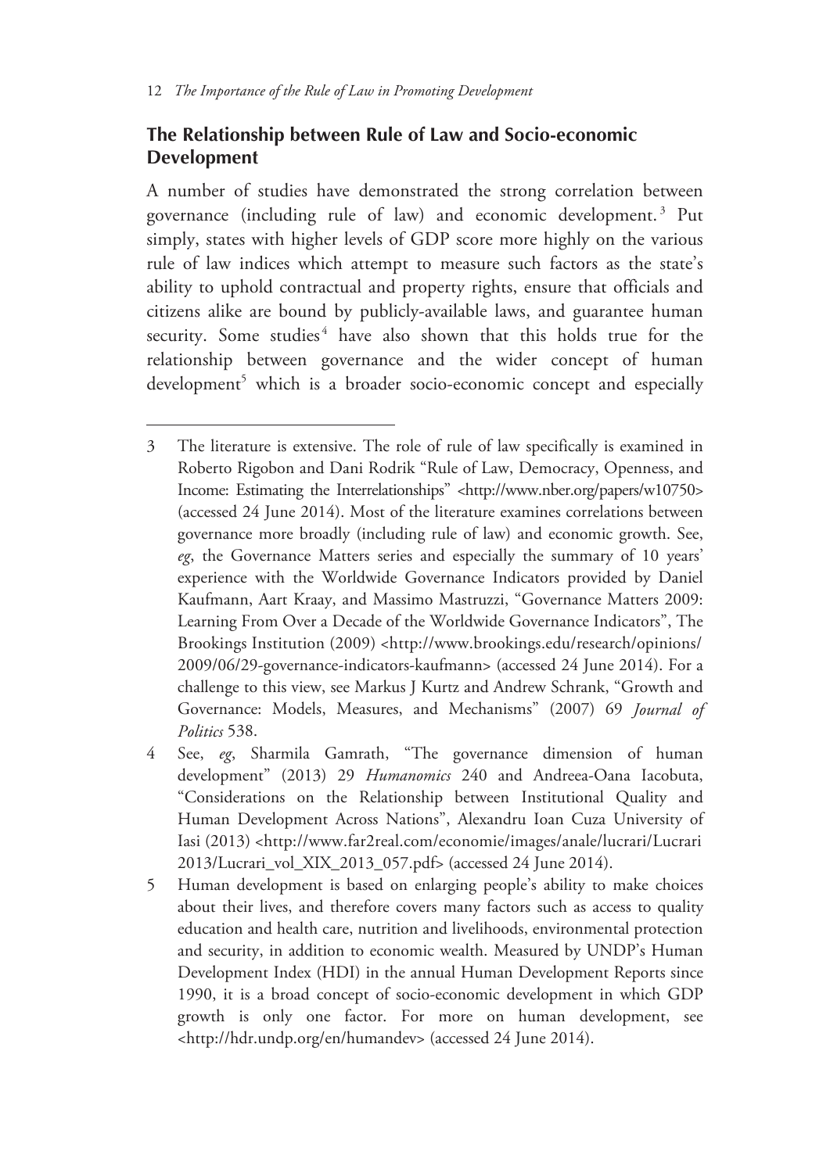$\overline{a}$ 

# **The Relationship between Rule of Law and Socio-economic Development**

A number of studies have demonstrated the strong correlation between governance (including rule of law) and economic development. 3 Put simply, states with higher levels of GDP score more highly on the various rule of law indices which attempt to measure such factors as the state's ability to uphold contractual and property rights, ensure that officials and citizens alike are bound by publicly-available laws, and guarantee human security. Some studies<sup>4</sup> have also shown that this holds true for the relationship between governance and the wider concept of human development<sup>5</sup> which is a broader socio-economic concept and especially

<sup>3</sup> The literature is extensive. The role of rule of law specifically is examined in Roberto Rigobon and Dani Rodrik "Rule of Law, Democracy, Openness, and Income: Estimating the Interrelationships" <http://www.nber.org/papers/w10750> (accessed 24 June 2014). Most of the literature examines correlations between governance more broadly (including rule of law) and economic growth. See, *eg*, the Governance Matters series and especially the summary of 10 years' experience with the Worldwide Governance Indicators provided by Daniel Kaufmann, Aart Kraay, and Massimo Mastruzzi, "Governance Matters 2009: Learning From Over a Decade of the Worldwide Governance Indicators", The Brookings Institution (2009) <http://www.brookings.edu/research/opinions/ 2009/06/29-governance-indicators-kaufmann> (accessed 24 June 2014). For a challenge to this view, see Markus J Kurtz and Andrew Schrank, "Growth and Governance: Models, Measures, and Mechanisms" (2007) 69 *Journal of Politics* 538.

<sup>4</sup> See, *eg*, Sharmila Gamrath, "The governance dimension of human development" (2013) 29 *Humanomics* 240 and Andreea-Oana Iacobuta, "Considerations on the Relationship between Institutional Quality and Human Development Across Nations", Alexandru Ioan Cuza University of Iasi (2013) <http://www.far2real.com/economie/images/anale/lucrari/Lucrari 2013/Lucrari\_vol\_XIX\_2013\_057.pdf> (accessed 24 June 2014).

<sup>5</sup> Human development is based on enlarging people's ability to make choices about their lives, and therefore covers many factors such as access to quality education and health care, nutrition and livelihoods, environmental protection and security, in addition to economic wealth. Measured by UNDP's Human Development Index (HDI) in the annual Human Development Reports since 1990, it is a broad concept of socio-economic development in which GDP growth is only one factor. For more on human development, see <http://hdr.undp.org/en/humandev> (accessed 24 June 2014).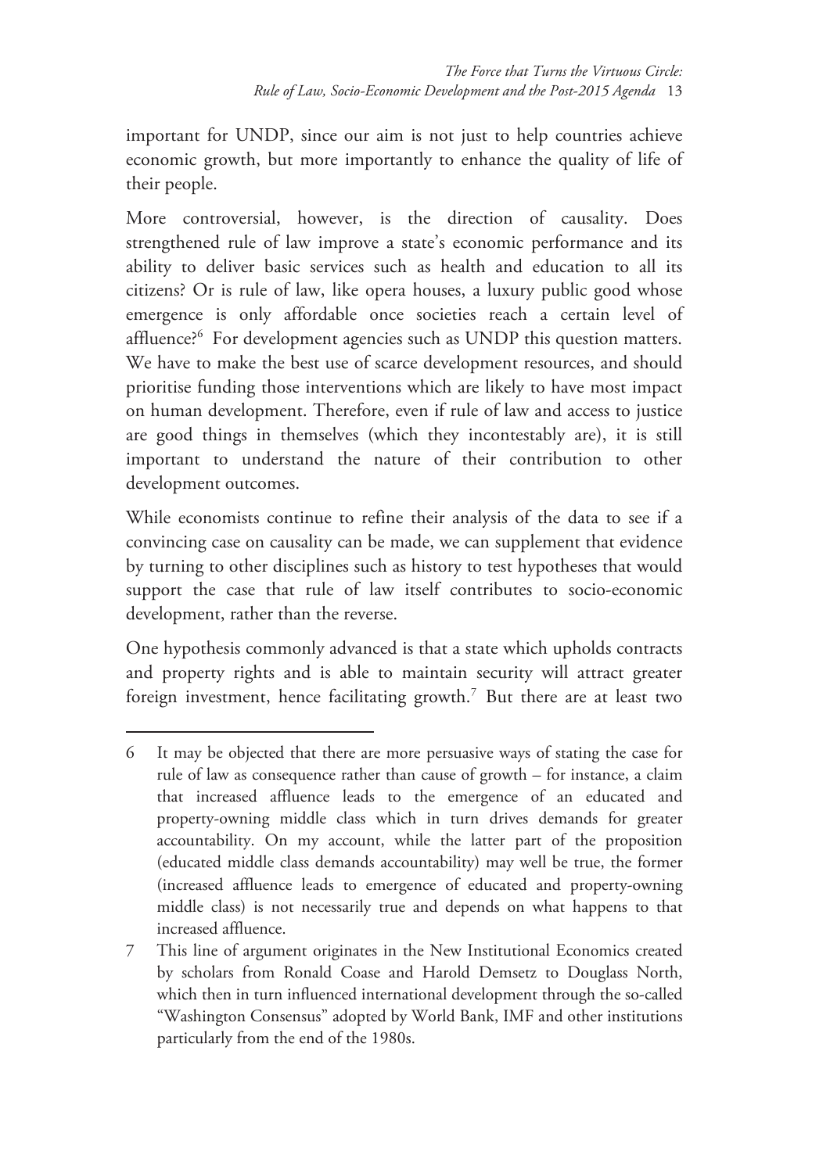important for UNDP, since our aim is not just to help countries achieve economic growth, but more importantly to enhance the quality of life of their people.

More controversial, however, is the direction of causality. Does strengthened rule of law improve a state's economic performance and its ability to deliver basic services such as health and education to all its citizens? Or is rule of law, like opera houses, a luxury public good whose emergence is only affordable once societies reach a certain level of affluence?<sup>6</sup> For development agencies such as UNDP this question matters. We have to make the best use of scarce development resources, and should prioritise funding those interventions which are likely to have most impact on human development. Therefore, even if rule of law and access to justice are good things in themselves (which they incontestably are), it is still important to understand the nature of their contribution to other development outcomes.

While economists continue to refine their analysis of the data to see if a convincing case on causality can be made, we can supplement that evidence by turning to other disciplines such as history to test hypotheses that would support the case that rule of law itself contributes to socio-economic development, rather than the reverse.

One hypothesis commonly advanced is that a state which upholds contracts and property rights and is able to maintain security will attract greater foreign investment, hence facilitating growth.<sup>7</sup> But there are at least two

-

7 This line of argument originates in the New Institutional Economics created by scholars from Ronald Coase and Harold Demsetz to Douglass North, which then in turn influenced international development through the so-called "Washington Consensus" adopted by World Bank, IMF and other institutions particularly from the end of the 1980s.

<sup>6</sup> It may be objected that there are more persuasive ways of stating the case for rule of law as consequence rather than cause of growth – for instance, a claim that increased affluence leads to the emergence of an educated and property-owning middle class which in turn drives demands for greater accountability. On my account, while the latter part of the proposition (educated middle class demands accountability) may well be true, the former (increased affluence leads to emergence of educated and property-owning middle class) is not necessarily true and depends on what happens to that increased affluence.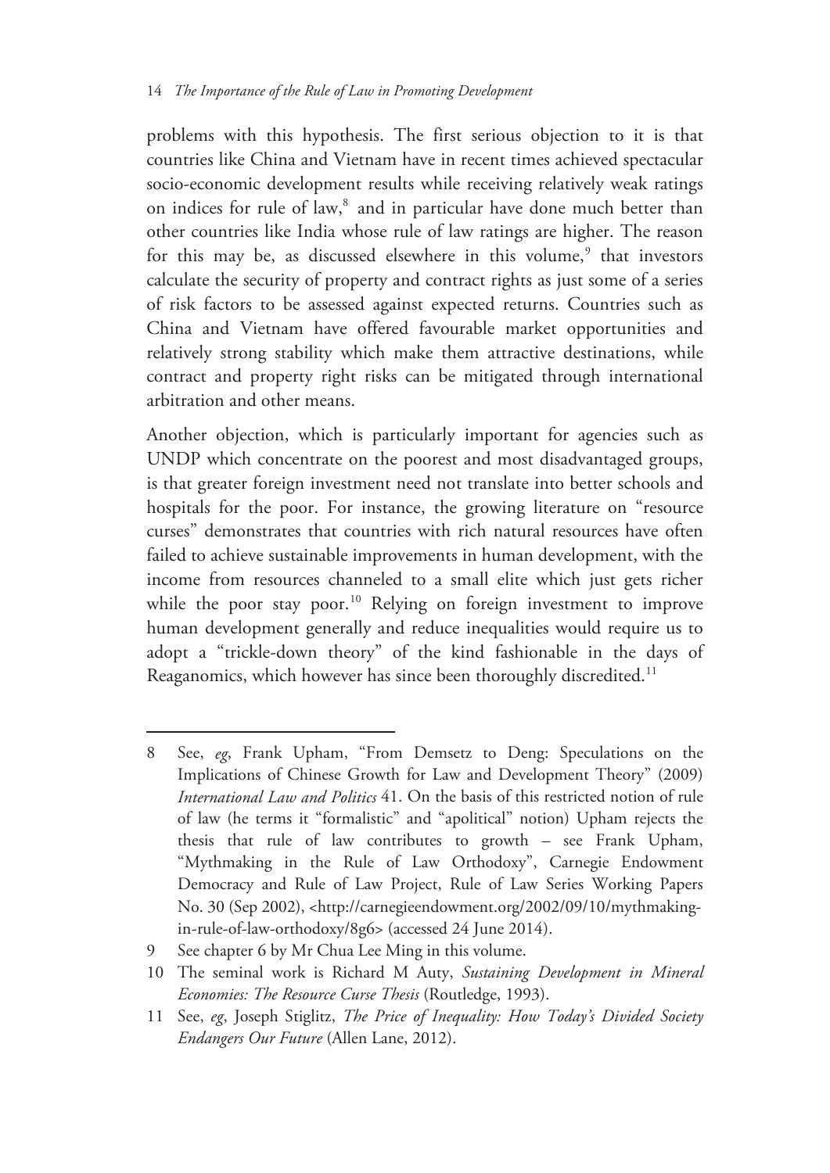problems with this hypothesis. The first serious objection to it is that countries like China and Vietnam have in recent times achieved spectacular socio-economic development results while receiving relatively weak ratings on indices for rule of law,<sup>8</sup> and in particular have done much better than other countries like India whose rule of law ratings are higher. The reason for this may be, as discussed elsewhere in this volume,<sup>9</sup> that investors calculate the security of property and contract rights as just some of a series of risk factors to be assessed against expected returns. Countries such as China and Vietnam have offered favourable market opportunities and relatively strong stability which make them attractive destinations, while contract and property right risks can be mitigated through international arbitration and other means.

Another objection, which is particularly important for agencies such as UNDP which concentrate on the poorest and most disadvantaged groups, is that greater foreign investment need not translate into better schools and hospitals for the poor. For instance, the growing literature on "resource curses" demonstrates that countries with rich natural resources have often failed to achieve sustainable improvements in human development, with the income from resources channeled to a small elite which just gets richer while the poor stay poor.<sup>10</sup> Relying on foreign investment to improve human development generally and reduce inequalities would require us to adopt a "trickle-down theory" of the kind fashionable in the days of Reaganomics, which however has since been thoroughly discredited.<sup>11</sup>

<sup>8</sup> See, *eg*, Frank Upham, "From Demsetz to Deng: Speculations on the Implications of Chinese Growth for Law and Development Theory" (2009) *International Law and Politics* 41. On the basis of this restricted notion of rule of law (he terms it "formalistic" and "apolitical" notion) Upham rejects the thesis that rule of law contributes to growth – see Frank Upham, "Mythmaking in the Rule of Law Orthodoxy", Carnegie Endowment Democracy and Rule of Law Project, Rule of Law Series Working Papers No. 30 (Sep 2002), <http://carnegieendowment.org/2002/09/10/mythmakingin-rule-of-law-orthodoxy/8g6> (accessed 24 June 2014).

<sup>9</sup> See chapter 6 by Mr Chua Lee Ming in this volume.

<sup>10</sup> The seminal work is Richard M Auty, *Sustaining Development in Mineral Economies: The Resource Curse Thesis* (Routledge, 1993).

<sup>11</sup> See, *eg*, Joseph Stiglitz, *The Price of Inequality: How Today's Divided Society Endangers Our Future* (Allen Lane, 2012).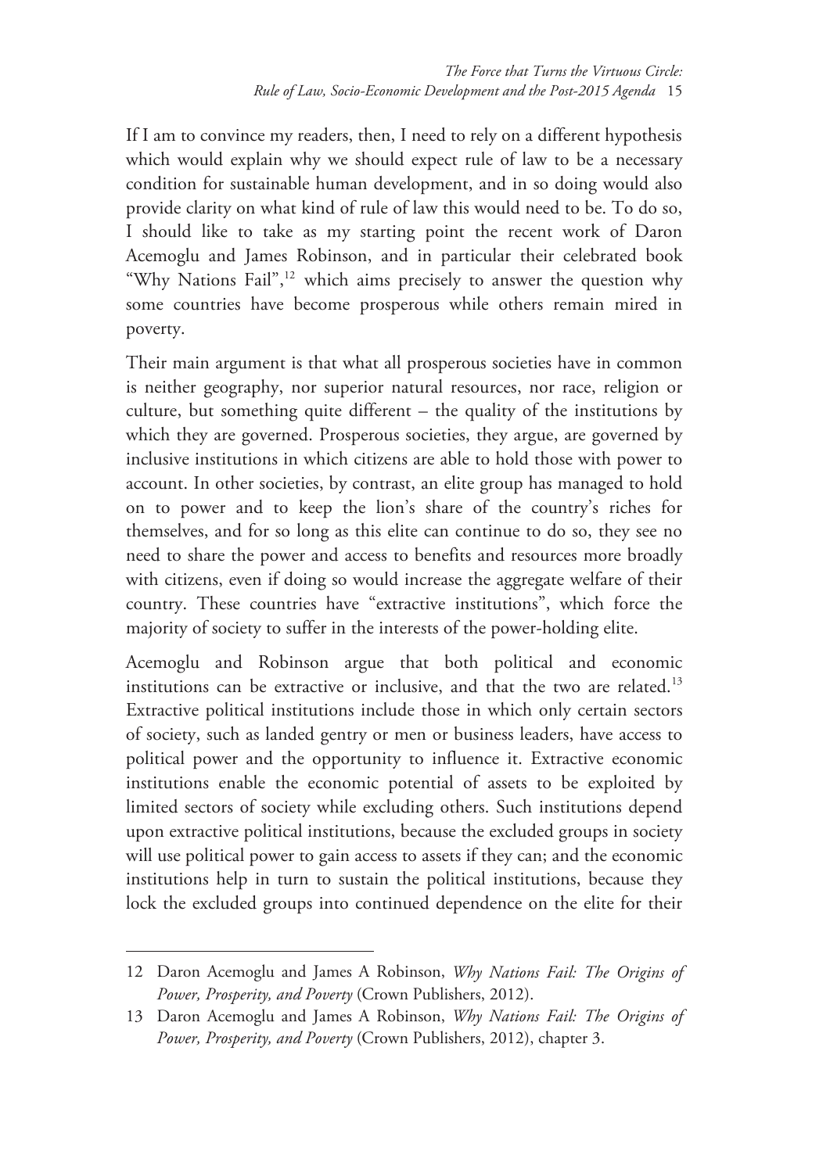If I am to convince my readers, then, I need to rely on a different hypothesis which would explain why we should expect rule of law to be a necessary condition for sustainable human development, and in so doing would also provide clarity on what kind of rule of law this would need to be. To do so, I should like to take as my starting point the recent work of Daron Acemoglu and James Robinson, and in particular their celebrated book "Why Nations Fail",<sup>12</sup> which aims precisely to answer the question why some countries have become prosperous while others remain mired in poverty.

Their main argument is that what all prosperous societies have in common is neither geography, nor superior natural resources, nor race, religion or culture, but something quite different – the quality of the institutions by which they are governed. Prosperous societies, they argue, are governed by inclusive institutions in which citizens are able to hold those with power to account. In other societies, by contrast, an elite group has managed to hold on to power and to keep the lion's share of the country's riches for themselves, and for so long as this elite can continue to do so, they see no need to share the power and access to benefits and resources more broadly with citizens, even if doing so would increase the aggregate welfare of their country. These countries have "extractive institutions", which force the majority of society to suffer in the interests of the power-holding elite.

Acemoglu and Robinson argue that both political and economic institutions can be extractive or inclusive, and that the two are related.<sup>13</sup> Extractive political institutions include those in which only certain sectors of society, such as landed gentry or men or business leaders, have access to political power and the opportunity to influence it. Extractive economic institutions enable the economic potential of assets to be exploited by limited sectors of society while excluding others. Such institutions depend upon extractive political institutions, because the excluded groups in society will use political power to gain access to assets if they can; and the economic institutions help in turn to sustain the political institutions, because they lock the excluded groups into continued dependence on the elite for their

<sup>12</sup> Daron Acemoglu and James A Robinson, *Why Nations Fail: The Origins of Power, Prosperity, and Poverty* (Crown Publishers, 2012).

<sup>13</sup> Daron Acemoglu and James A Robinson, *Why Nations Fail: The Origins of Power, Prosperity, and Poverty* (Crown Publishers, 2012), chapter 3.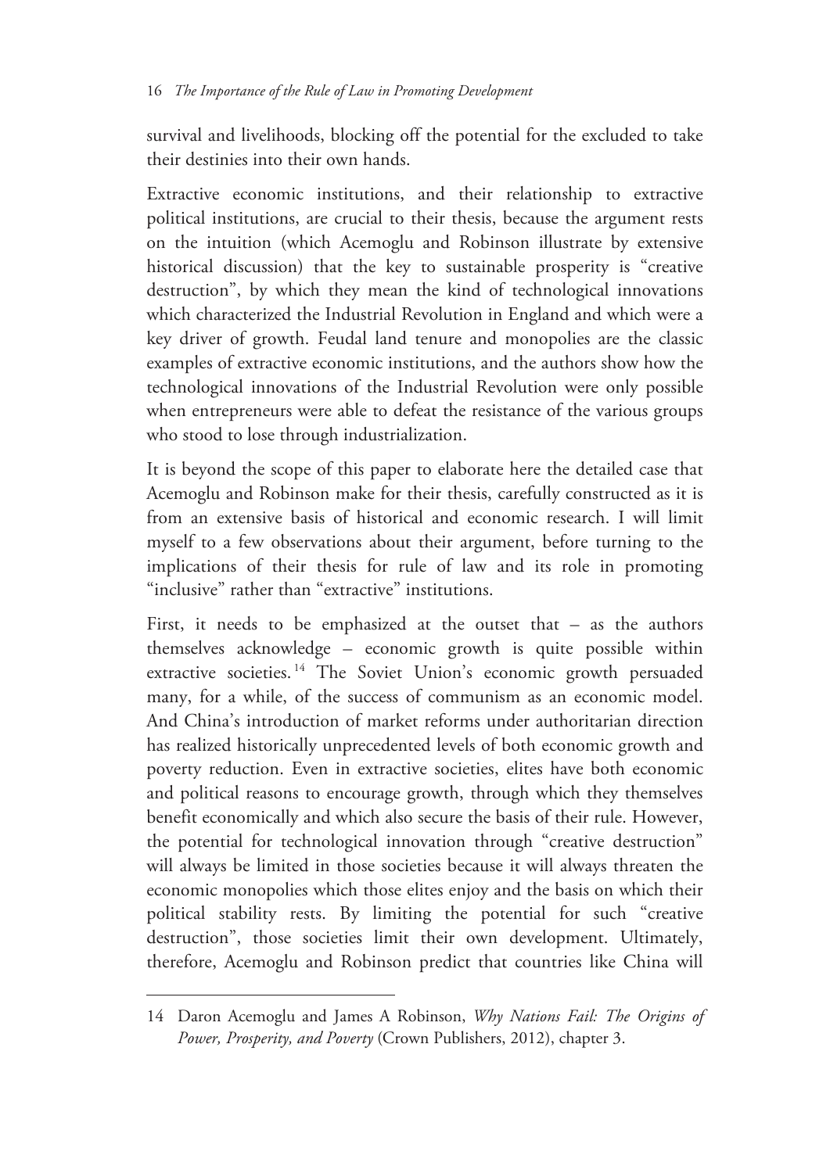survival and livelihoods, blocking off the potential for the excluded to take their destinies into their own hands.

Extractive economic institutions, and their relationship to extractive political institutions, are crucial to their thesis, because the argument rests on the intuition (which Acemoglu and Robinson illustrate by extensive historical discussion) that the key to sustainable prosperity is "creative destruction", by which they mean the kind of technological innovations which characterized the Industrial Revolution in England and which were a key driver of growth. Feudal land tenure and monopolies are the classic examples of extractive economic institutions, and the authors show how the technological innovations of the Industrial Revolution were only possible when entrepreneurs were able to defeat the resistance of the various groups who stood to lose through industrialization.

It is beyond the scope of this paper to elaborate here the detailed case that Acemoglu and Robinson make for their thesis, carefully constructed as it is from an extensive basis of historical and economic research. I will limit myself to a few observations about their argument, before turning to the implications of their thesis for rule of law and its role in promoting "inclusive" rather than "extractive" institutions.

First, it needs to be emphasized at the outset that – as the authors themselves acknowledge – economic growth is quite possible within extractive societies.<sup>14</sup> The Soviet Union's economic growth persuaded many, for a while, of the success of communism as an economic model. And China's introduction of market reforms under authoritarian direction has realized historically unprecedented levels of both economic growth and poverty reduction. Even in extractive societies, elites have both economic and political reasons to encourage growth, through which they themselves benefit economically and which also secure the basis of their rule. However, the potential for technological innovation through "creative destruction" will always be limited in those societies because it will always threaten the economic monopolies which those elites enjoy and the basis on which their political stability rests. By limiting the potential for such "creative destruction", those societies limit their own development. Ultimately, therefore, Acemoglu and Robinson predict that countries like China will

<sup>14</sup> Daron Acemoglu and James A Robinson, *Why Nations Fail: The Origins of Power, Prosperity, and Poverty* (Crown Publishers, 2012), chapter 3.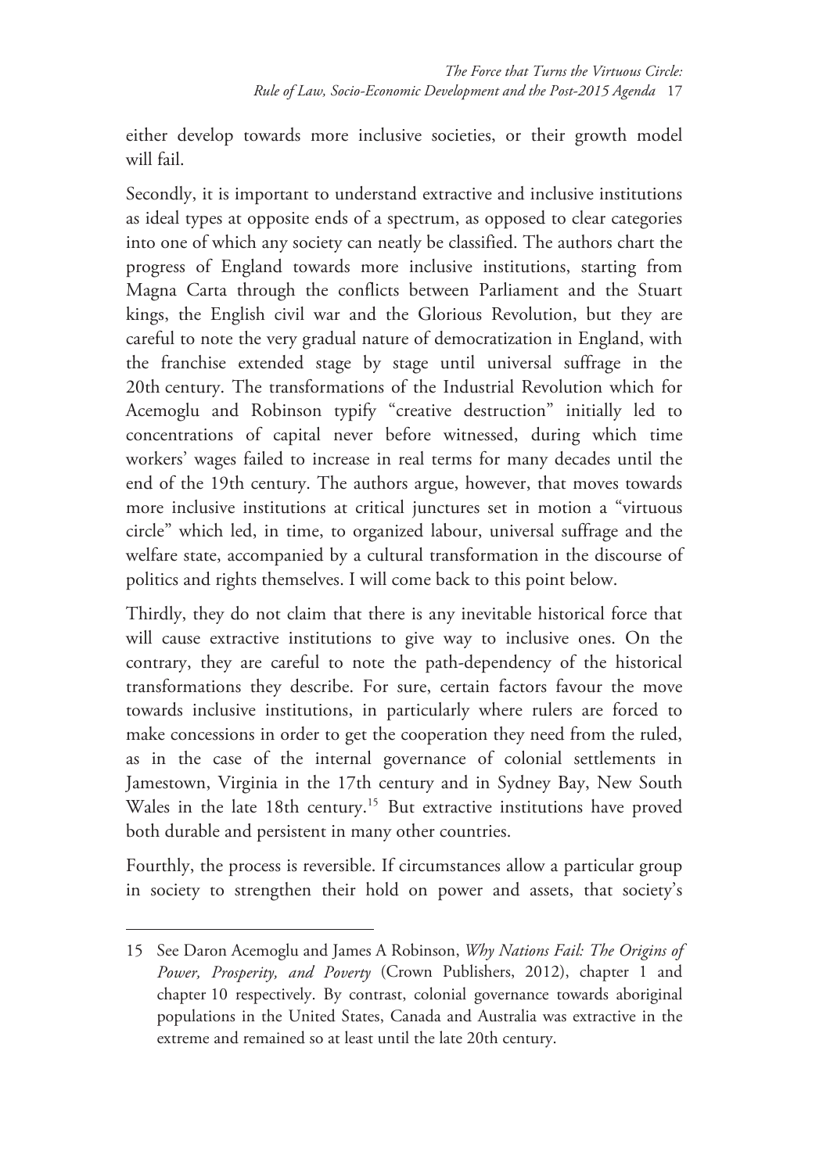either develop towards more inclusive societies, or their growth model will fail.

Secondly, it is important to understand extractive and inclusive institutions as ideal types at opposite ends of a spectrum, as opposed to clear categories into one of which any society can neatly be classified. The authors chart the progress of England towards more inclusive institutions, starting from Magna Carta through the conflicts between Parliament and the Stuart kings, the English civil war and the Glorious Revolution, but they are careful to note the very gradual nature of democratization in England, with the franchise extended stage by stage until universal suffrage in the 20th century. The transformations of the Industrial Revolution which for Acemoglu and Robinson typify "creative destruction" initially led to concentrations of capital never before witnessed, during which time workers' wages failed to increase in real terms for many decades until the end of the 19th century. The authors argue, however, that moves towards more inclusive institutions at critical junctures set in motion a "virtuous circle" which led, in time, to organized labour, universal suffrage and the welfare state, accompanied by a cultural transformation in the discourse of politics and rights themselves. I will come back to this point below.

Thirdly, they do not claim that there is any inevitable historical force that will cause extractive institutions to give way to inclusive ones. On the contrary, they are careful to note the path-dependency of the historical transformations they describe. For sure, certain factors favour the move towards inclusive institutions, in particularly where rulers are forced to make concessions in order to get the cooperation they need from the ruled, as in the case of the internal governance of colonial settlements in Jamestown, Virginia in the 17th century and in Sydney Bay, New South Wales in the late 18th century.<sup>15</sup> But extractive institutions have proved both durable and persistent in many other countries.

Fourthly, the process is reversible. If circumstances allow a particular group in society to strengthen their hold on power and assets, that society's

<sup>15</sup> See Daron Acemoglu and James A Robinson, *Why Nations Fail: The Origins of Power, Prosperity, and Poverty* (Crown Publishers, 2012), chapter 1 and chapter 10 respectively. By contrast, colonial governance towards aboriginal populations in the United States, Canada and Australia was extractive in the extreme and remained so at least until the late 20th century.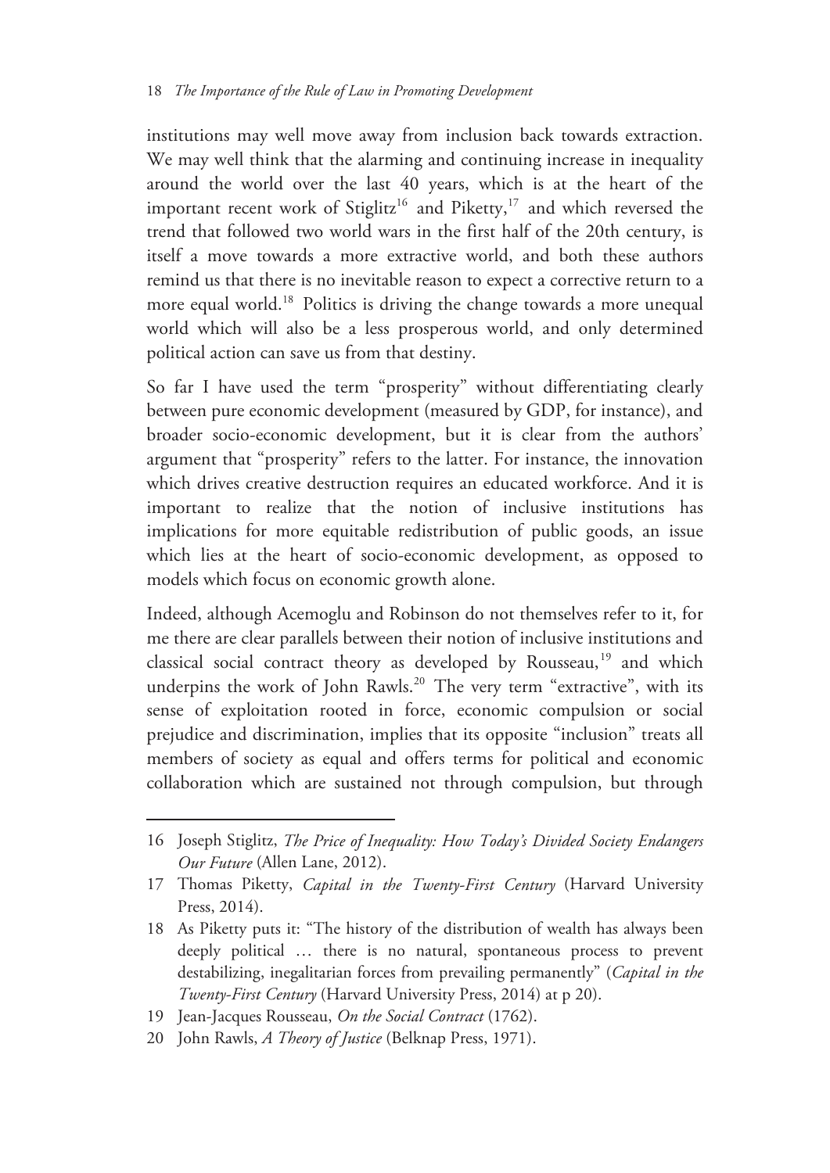institutions may well move away from inclusion back towards extraction. We may well think that the alarming and continuing increase in inequality around the world over the last 40 years, which is at the heart of the important recent work of Stiglitz<sup>16</sup> and Piketty,<sup>17</sup> and which reversed the trend that followed two world wars in the first half of the 20th century, is itself a move towards a more extractive world, and both these authors remind us that there is no inevitable reason to expect a corrective return to a more equal world.<sup>18</sup> Politics is driving the change towards a more unequal world which will also be a less prosperous world, and only determined political action can save us from that destiny.

So far I have used the term "prosperity" without differentiating clearly between pure economic development (measured by GDP, for instance), and broader socio-economic development, but it is clear from the authors' argument that "prosperity" refers to the latter. For instance, the innovation which drives creative destruction requires an educated workforce. And it is important to realize that the notion of inclusive institutions has implications for more equitable redistribution of public goods, an issue which lies at the heart of socio-economic development, as opposed to models which focus on economic growth alone.

Indeed, although Acemoglu and Robinson do not themselves refer to it, for me there are clear parallels between their notion of inclusive institutions and classical social contract theory as developed by Rousseau,<sup>19</sup> and which underpins the work of John Rawls.<sup>20</sup> The very term "extractive", with its sense of exploitation rooted in force, economic compulsion or social prejudice and discrimination, implies that its opposite "inclusion" treats all members of society as equal and offers terms for political and economic collaboration which are sustained not through compulsion, but through

<sup>16</sup> Joseph Stiglitz, *The Price of Inequality: How Today's Divided Society Endangers Our Future* (Allen Lane, 2012).

<sup>17</sup> Thomas Piketty, *Capital in the Twenty-First Century* (Harvard University Press, 2014).

<sup>18</sup> As Piketty puts it: "The history of the distribution of wealth has always been deeply political … there is no natural, spontaneous process to prevent destabilizing, inegalitarian forces from prevailing permanently" (*Capital in the Twenty-First Century* (Harvard University Press, 2014) at p 20).

<sup>19</sup> Jean-Jacques Rousseau, *On the Social Contract* (1762).

<sup>20</sup> John Rawls, *A Theory of Justice* (Belknap Press, 1971).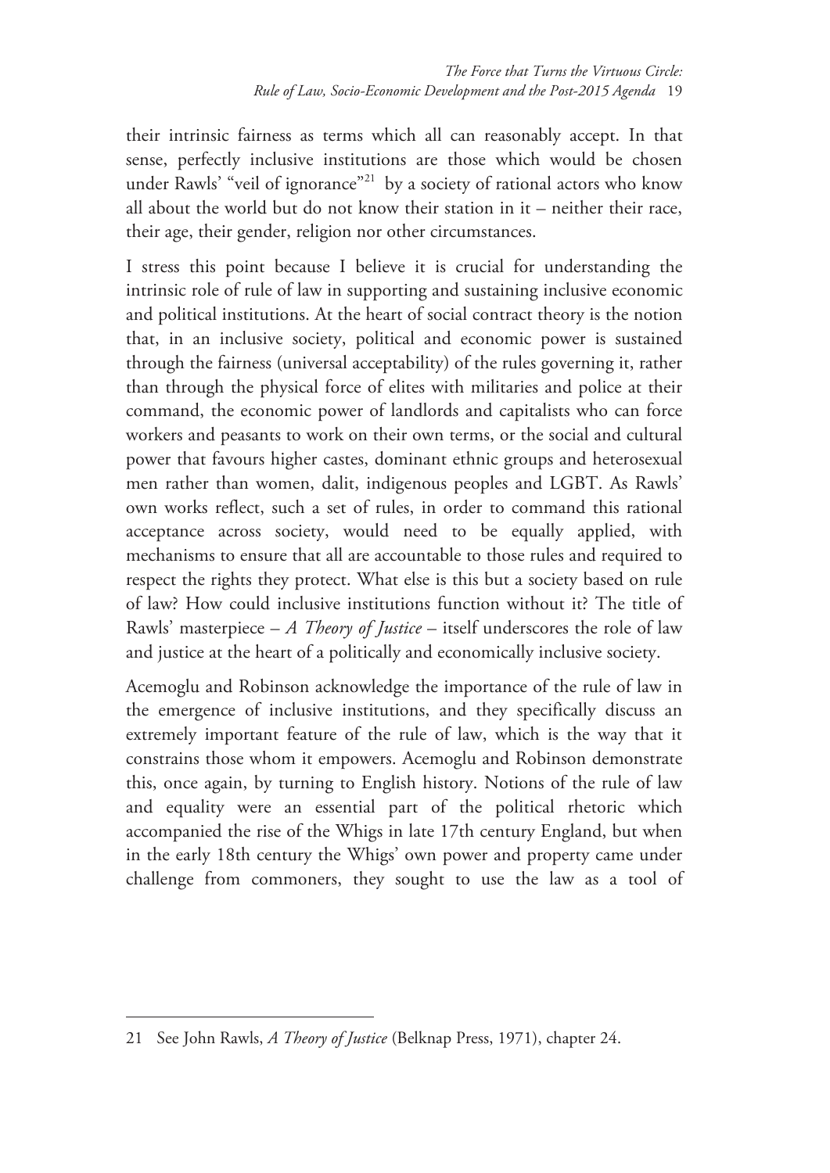their intrinsic fairness as terms which all can reasonably accept. In that sense, perfectly inclusive institutions are those which would be chosen under Rawls' "veil of ignorance"<sup>21</sup> by a society of rational actors who know all about the world but do not know their station in it – neither their race, their age, their gender, religion nor other circumstances.

I stress this point because I believe it is crucial for understanding the intrinsic role of rule of law in supporting and sustaining inclusive economic and political institutions. At the heart of social contract theory is the notion that, in an inclusive society, political and economic power is sustained through the fairness (universal acceptability) of the rules governing it, rather than through the physical force of elites with militaries and police at their command, the economic power of landlords and capitalists who can force workers and peasants to work on their own terms, or the social and cultural power that favours higher castes, dominant ethnic groups and heterosexual men rather than women, dalit, indigenous peoples and LGBT. As Rawls' own works reflect, such a set of rules, in order to command this rational acceptance across society, would need to be equally applied, with mechanisms to ensure that all are accountable to those rules and required to respect the rights they protect. What else is this but a society based on rule of law? How could inclusive institutions function without it? The title of Rawls' masterpiece – *A Theory of Justice* – itself underscores the role of law and justice at the heart of a politically and economically inclusive society.

Acemoglu and Robinson acknowledge the importance of the rule of law in the emergence of inclusive institutions, and they specifically discuss an extremely important feature of the rule of law, which is the way that it constrains those whom it empowers. Acemoglu and Robinson demonstrate this, once again, by turning to English history. Notions of the rule of law and equality were an essential part of the political rhetoric which accompanied the rise of the Whigs in late 17th century England, but when in the early 18th century the Whigs' own power and property came under challenge from commoners, they sought to use the law as a tool of

<sup>21</sup> See John Rawls, *A Theory of Justice* (Belknap Press, 1971), chapter 24.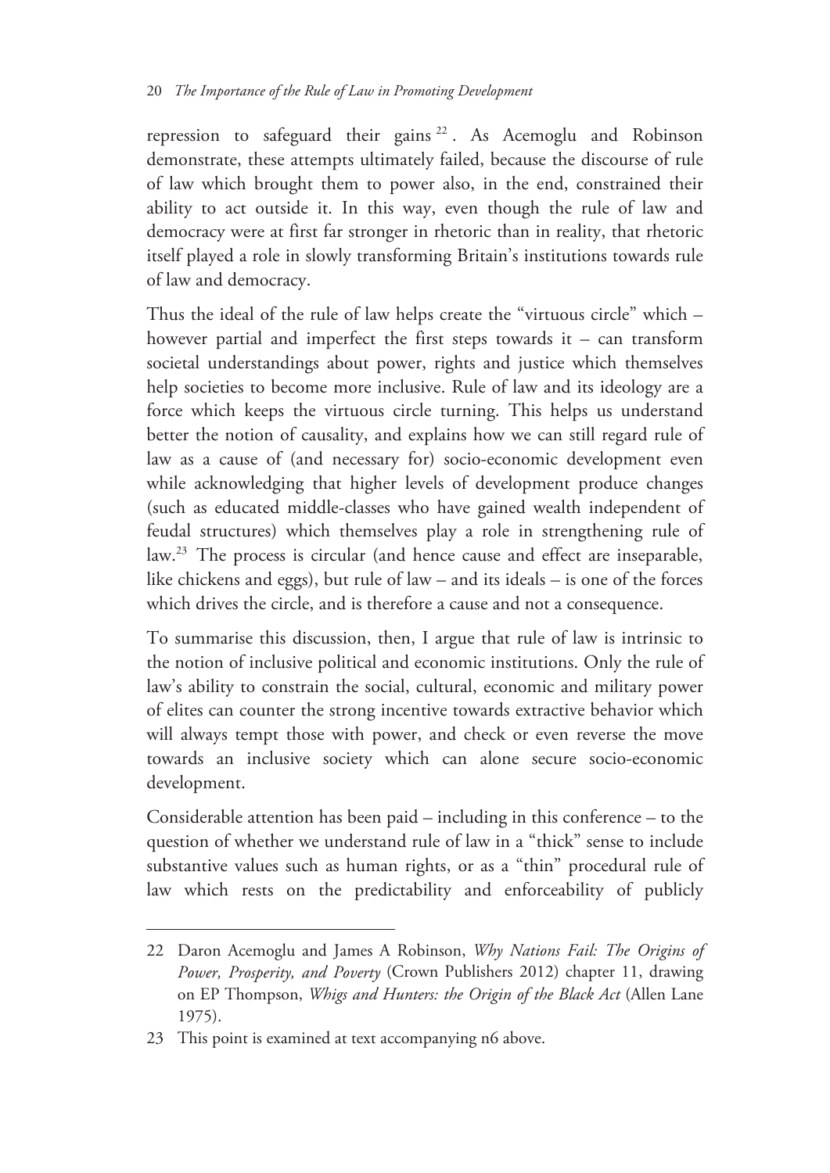repression to safeguard their gains <sup>22</sup> . As Acemoglu and Robinson demonstrate, these attempts ultimately failed, because the discourse of rule of law which brought them to power also, in the end, constrained their ability to act outside it. In this way, even though the rule of law and democracy were at first far stronger in rhetoric than in reality, that rhetoric itself played a role in slowly transforming Britain's institutions towards rule of law and democracy.

Thus the ideal of the rule of law helps create the "virtuous circle" which – however partial and imperfect the first steps towards it – can transform societal understandings about power, rights and justice which themselves help societies to become more inclusive. Rule of law and its ideology are a force which keeps the virtuous circle turning. This helps us understand better the notion of causality, and explains how we can still regard rule of law as a cause of (and necessary for) socio-economic development even while acknowledging that higher levels of development produce changes (such as educated middle-classes who have gained wealth independent of feudal structures) which themselves play a role in strengthening rule of law.23 The process is circular (and hence cause and effect are inseparable, like chickens and eggs), but rule of law – and its ideals – is one of the forces which drives the circle, and is therefore a cause and not a consequence.

To summarise this discussion, then, I argue that rule of law is intrinsic to the notion of inclusive political and economic institutions. Only the rule of law's ability to constrain the social, cultural, economic and military power of elites can counter the strong incentive towards extractive behavior which will always tempt those with power, and check or even reverse the move towards an inclusive society which can alone secure socio-economic development.

Considerable attention has been paid – including in this conference – to the question of whether we understand rule of law in a "thick" sense to include substantive values such as human rights, or as a "thin" procedural rule of law which rests on the predictability and enforceability of publicly

<sup>22</sup> Daron Acemoglu and James A Robinson, *Why Nations Fail: The Origins of Power, Prosperity, and Poverty* (Crown Publishers 2012) chapter 11, drawing on EP Thompson, *Whigs and Hunters: the Origin of the Black Act* (Allen Lane 1975).

<sup>23</sup> This point is examined at text accompanying n6 above.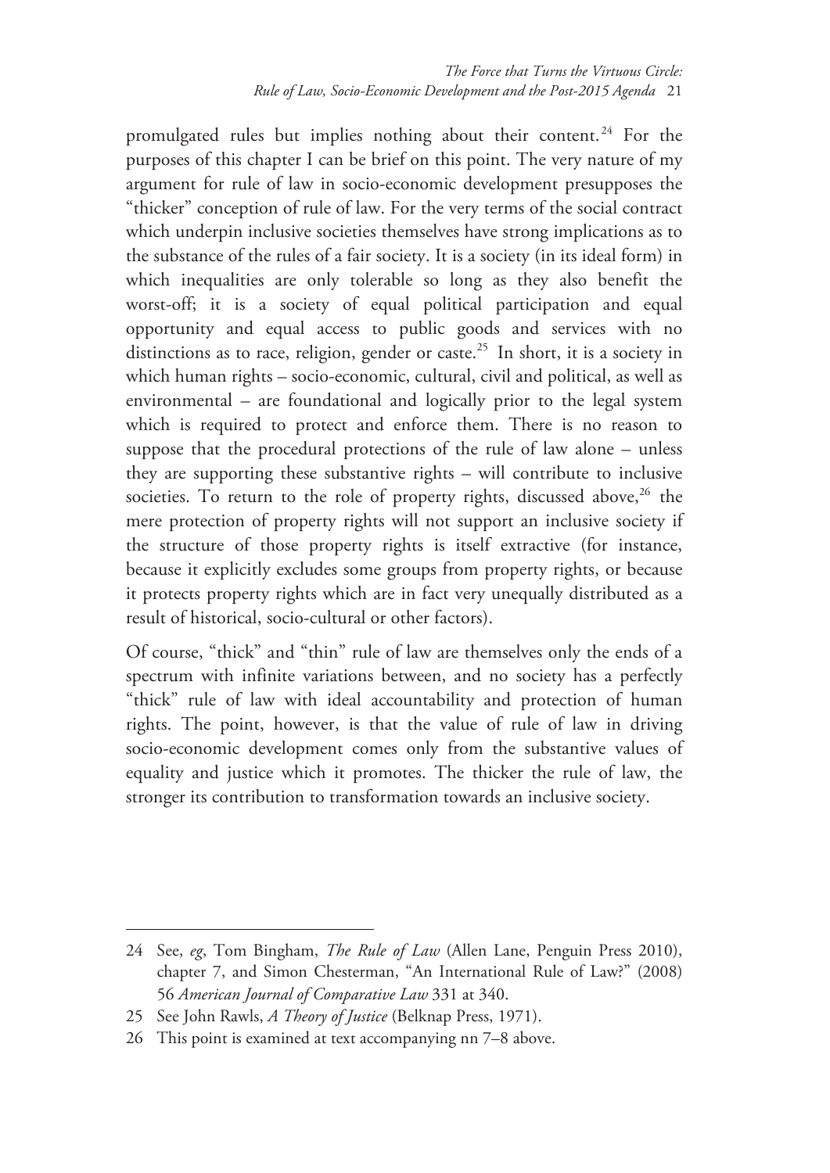promulgated rules but implies nothing about their content.<sup>24</sup> For the purposes of this chapter I can be brief on this point. The very nature of my argument for rule of law in socio-economic development presupposes the "thicker" conception of rule of law. For the very terms of the social contract which underpin inclusive societies themselves have strong implications as to the substance of the rules of a fair society. It is a society (in its ideal form) in which inequalities are only tolerable so long as they also benefit the worst-off; it is a society of equal political participation and equal opportunity and equal access to public goods and services with no distinctions as to race, religion, gender or caste.<sup>25</sup> In short, it is a society in which human rights – socio-economic, cultural, civil and political, as well as environmental – are foundational and logically prior to the legal system which is required to protect and enforce them. There is no reason to suppose that the procedural protections of the rule of law alone – unless they are supporting these substantive rights – will contribute to inclusive societies. To return to the role of property rights, discussed above,  $26$  the mere protection of property rights will not support an inclusive society if the structure of those property rights is itself extractive (for instance, because it explicitly excludes some groups from property rights, or because it protects property rights which are in fact very unequally distributed as a result of historical, socio-cultural or other factors).

Of course, "thick" and "thin" rule of law are themselves only the ends of a spectrum with infinite variations between, and no society has a perfectly "thick" rule of law with ideal accountability and protection of human rights. The point, however, is that the value of rule of law in driving socio-economic development comes only from the substantive values of equality and justice which it promotes. The thicker the rule of law, the stronger its contribution to transformation towards an inclusive society.

<sup>24</sup> See, *eg*, Tom Bingham, *The Rule of Law* (Allen Lane, Penguin Press 2010), chapter 7, and Simon Chesterman, "An International Rule of Law?" (2008) 56 *American Journal of Comparative Law* 331 at 340.

<sup>25</sup> See John Rawls, *A Theory of Justice* (Belknap Press, 1971).

<sup>26</sup> This point is examined at text accompanying nn 7–8 above.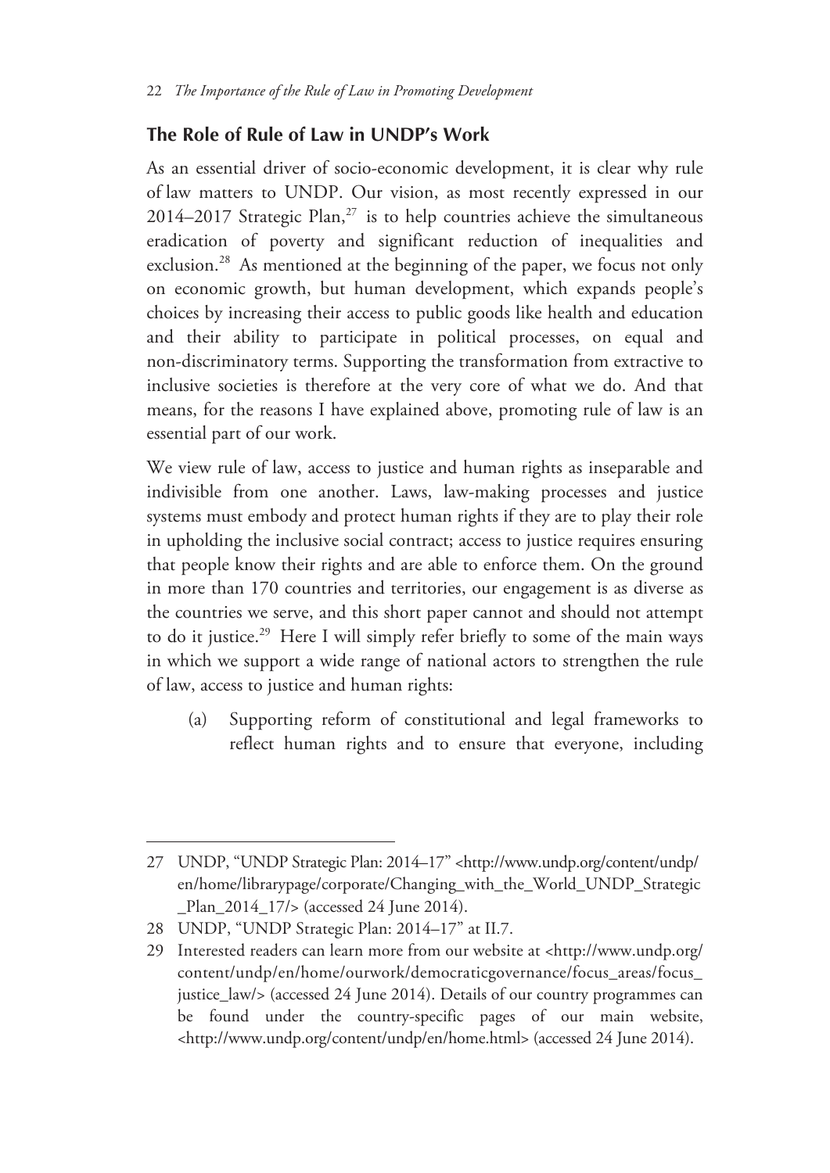#### **The Role of Rule of Law in UNDP's Work**

As an essential driver of socio-economic development, it is clear why rule of law matters to UNDP. Our vision, as most recently expressed in our 2014–2017 Strategic Plan,<sup>27</sup> is to help countries achieve the simultaneous eradication of poverty and significant reduction of inequalities and exclusion.<sup>28</sup> As mentioned at the beginning of the paper, we focus not only on economic growth, but human development, which expands people's choices by increasing their access to public goods like health and education and their ability to participate in political processes, on equal and non-discriminatory terms. Supporting the transformation from extractive to inclusive societies is therefore at the very core of what we do. And that means, for the reasons I have explained above, promoting rule of law is an essential part of our work.

We view rule of law, access to justice and human rights as inseparable and indivisible from one another. Laws, law-making processes and justice systems must embody and protect human rights if they are to play their role in upholding the inclusive social contract; access to justice requires ensuring that people know their rights and are able to enforce them. On the ground in more than 170 countries and territories, our engagement is as diverse as the countries we serve, and this short paper cannot and should not attempt to do it justice.<sup>29</sup> Here I will simply refer briefly to some of the main ways in which we support a wide range of national actors to strengthen the rule of law, access to justice and human rights:

(a) Supporting reform of constitutional and legal frameworks to reflect human rights and to ensure that everyone, including

<sup>27</sup> UNDP, "UNDP Strategic Plan: 2014–17" <http://www.undp.org/content/undp/ en/home/librarypage/corporate/Changing\_with\_the\_World\_UNDP\_Strategic \_Plan\_2014\_17/> (accessed 24 June 2014).

<sup>28</sup> UNDP, "UNDP Strategic Plan: 2014–17" at II.7.

<sup>29</sup> Interested readers can learn more from our website at <http://www.undp.org/ content/undp/en/home/ourwork/democraticgovernance/focus\_areas/focus\_ justice\_law/> (accessed 24 June 2014). Details of our country programmes can be found under the country-specific pages of our main website, <http://www.undp.org/content/undp/en/home.html> (accessed 24 June 2014).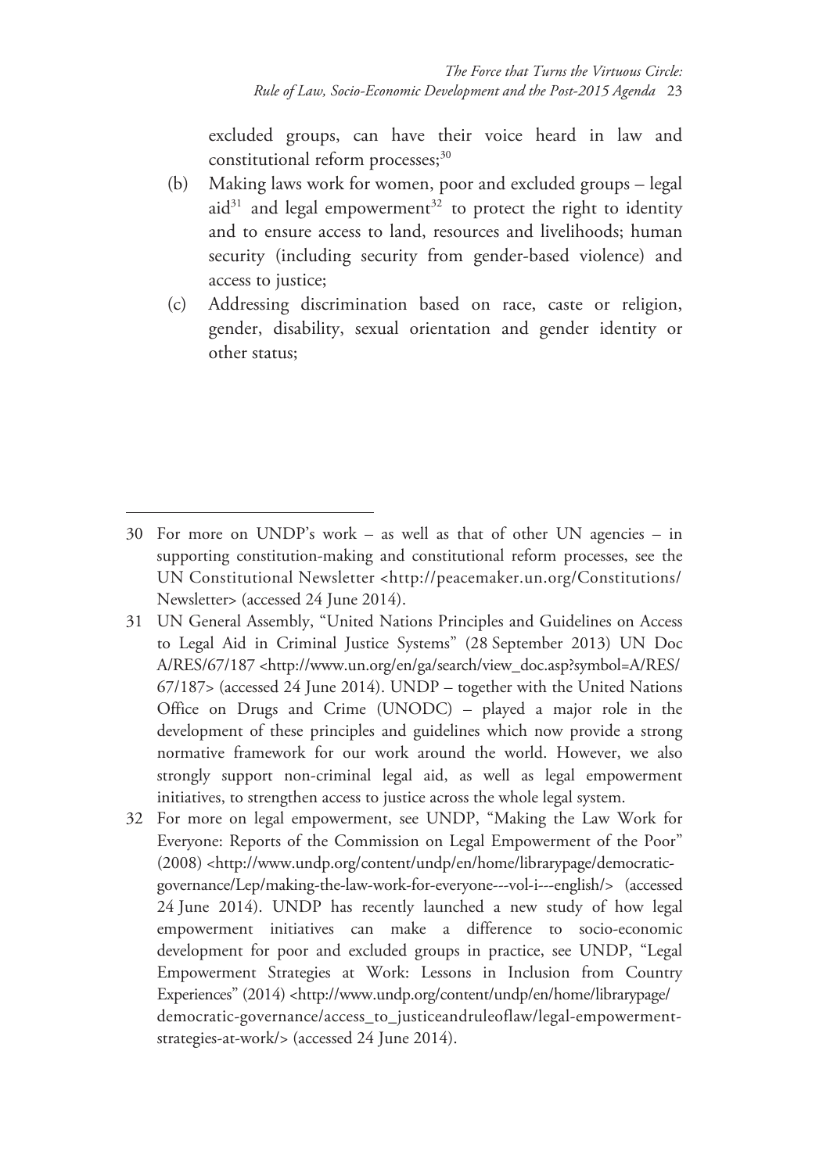excluded groups, can have their voice heard in law and constitutional reform processes; $30$ 

- (b) Making laws work for women, poor and excluded groups legal aid $31$  and legal empowerment<sup>32</sup> to protect the right to identity and to ensure access to land, resources and livelihoods; human security (including security from gender-based violence) and access to justice;
- (c) Addressing discrimination based on race, caste or religion, gender, disability, sexual orientation and gender identity or other status;

- 31 UN General Assembly, "United Nations Principles and Guidelines on Access to Legal Aid in Criminal Justice Systems" (28 September 2013) UN Doc A/RES/67/187 <http://www.un.org/en/ga/search/view\_doc.asp?symbol=A/RES/ 67/187> (accessed 24 June 2014). UNDP – together with the United Nations Office on Drugs and Crime (UNODC) – played a major role in the development of these principles and guidelines which now provide a strong normative framework for our work around the world. However, we also strongly support non-criminal legal aid, as well as legal empowerment initiatives, to strengthen access to justice across the whole legal system.
- 32 For more on legal empowerment, see UNDP, "Making the Law Work for Everyone: Reports of the Commission on Legal Empowerment of the Poor" (2008) <http://www.undp.org/content/undp/en/home/librarypage/democraticgovernance/Lep/making-the-law-work-for-everyone---vol-i---english/> (accessed 24 June 2014). UNDP has recently launched a new study of how legal empowerment initiatives can make a difference to socio-economic development for poor and excluded groups in practice, see UNDP, "Legal Empowerment Strategies at Work: Lessons in Inclusion from Country Experiences" (2014) <http://www.undp.org/content/undp/en/home/librarypage/ democratic-governance/access\_to\_justiceandruleoflaw/legal-empowermentstrategies-at-work/> (accessed 24 June 2014).

<sup>30</sup> For more on UNDP's work – as well as that of other UN agencies – in supporting constitution-making and constitutional reform processes, see the UN Constitutional Newsletter <http://peacemaker.un.org/Constitutions/ Newsletter> (accessed 24 June 2014).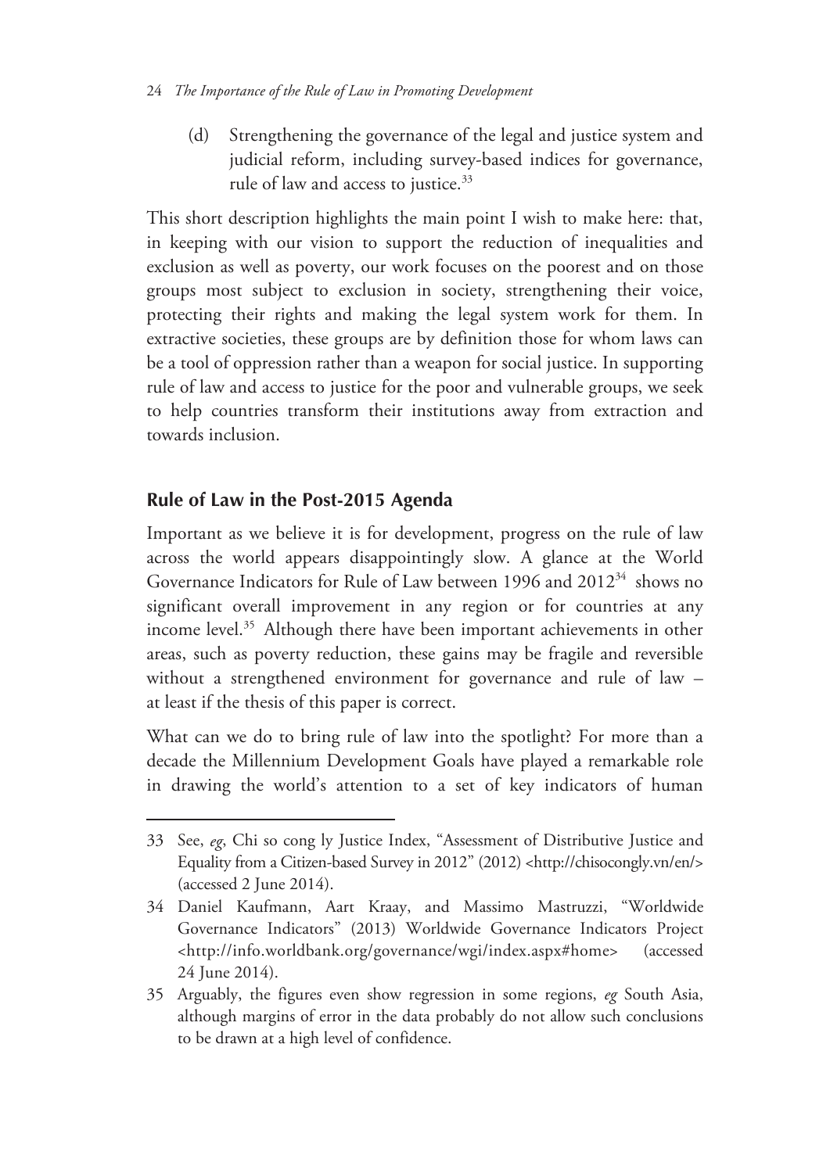(d) Strengthening the governance of the legal and justice system and judicial reform, including survey-based indices for governance, rule of law and access to justice.<sup>33</sup>

This short description highlights the main point I wish to make here: that, in keeping with our vision to support the reduction of inequalities and exclusion as well as poverty, our work focuses on the poorest and on those groups most subject to exclusion in society, strengthening their voice, protecting their rights and making the legal system work for them. In extractive societies, these groups are by definition those for whom laws can be a tool of oppression rather than a weapon for social justice. In supporting rule of law and access to justice for the poor and vulnerable groups, we seek to help countries transform their institutions away from extraction and towards inclusion.

# **Rule of Law in the Post-2015 Agenda**

 $\overline{a}$ 

Important as we believe it is for development, progress on the rule of law across the world appears disappointingly slow. A glance at the World Governance Indicators for Rule of Law between 1996 and 2012<sup>34</sup> shows no significant overall improvement in any region or for countries at any income level.<sup>35</sup> Although there have been important achievements in other areas, such as poverty reduction, these gains may be fragile and reversible without a strengthened environment for governance and rule of law – at least if the thesis of this paper is correct.

What can we do to bring rule of law into the spotlight? For more than a decade the Millennium Development Goals have played a remarkable role in drawing the world's attention to a set of key indicators of human

<sup>33</sup> See, *eg*, Chi so cong ly Justice Index, "Assessment of Distributive Justice and Equality from a Citizen-based Survey in 2012" (2012) <http://chisocongly.vn/en/> (accessed 2 June 2014).

<sup>34</sup> Daniel Kaufmann, Aart Kraay, and Massimo Mastruzzi, "Worldwide Governance Indicators" (2013) Worldwide Governance Indicators Project <http://info.worldbank.org/governance/wgi/index.aspx#home> (accessed 24 June 2014).

<sup>35</sup> Arguably, the figures even show regression in some regions, *eg* South Asia, although margins of error in the data probably do not allow such conclusions to be drawn at a high level of confidence.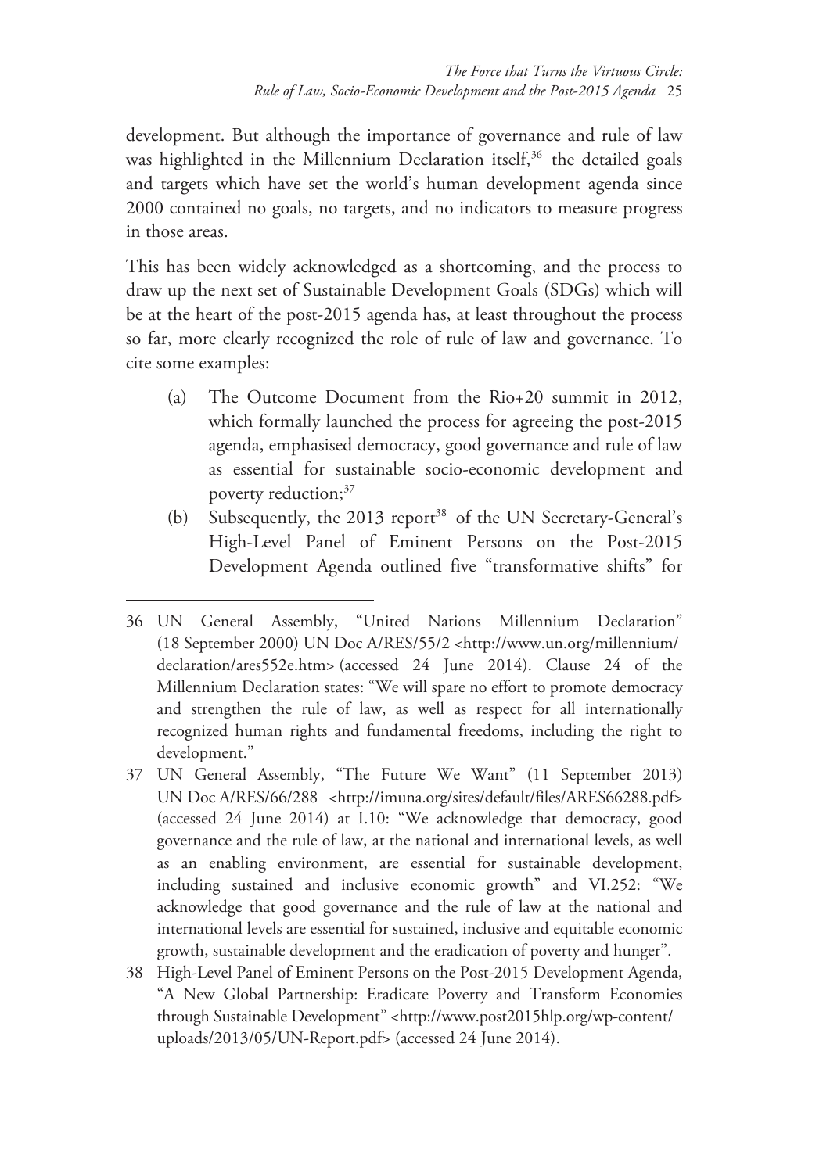development. But although the importance of governance and rule of law was highlighted in the Millennium Declaration itself,<sup>36</sup> the detailed goals and targets which have set the world's human development agenda since 2000 contained no goals, no targets, and no indicators to measure progress in those areas.

This has been widely acknowledged as a shortcoming, and the process to draw up the next set of Sustainable Development Goals (SDGs) which will be at the heart of the post-2015 agenda has, at least throughout the process so far, more clearly recognized the role of rule of law and governance. To cite some examples:

- (a) The Outcome Document from the Rio+20 summit in 2012, which formally launched the process for agreeing the post-2015 agenda, emphasised democracy, good governance and rule of law as essential for sustainable socio-economic development and poverty reduction;<sup>37</sup>
- (b) Subsequently, the  $2013$  report<sup>38</sup> of the UN Secretary-General's High-Level Panel of Eminent Persons on the Post-2015 Development Agenda outlined five "transformative shifts" for

- 37 UN General Assembly, "The Future We Want" (11 September 2013) UN Doc A/RES/66/288 <http://imuna.org/sites/default/files/ARES66288.pdf> (accessed 24 June 2014) at I.10: "We acknowledge that democracy, good governance and the rule of law, at the national and international levels, as well as an enabling environment, are essential for sustainable development, including sustained and inclusive economic growth" and VI.252: "We acknowledge that good governance and the rule of law at the national and international levels are essential for sustained, inclusive and equitable economic growth, sustainable development and the eradication of poverty and hunger".
- 38 High-Level Panel of Eminent Persons on the Post-2015 Development Agenda, "A New Global Partnership: Eradicate Poverty and Transform Economies through Sustainable Development" <http://www.post2015hlp.org/wp-content/ uploads/2013/05/UN-Report.pdf> (accessed 24 June 2014).

<sup>36</sup> UN General Assembly, "United Nations Millennium Declaration" (18 September 2000) UN Doc A/RES/55/2 <http://www.un.org/millennium/ declaration/ares552e.htm> (accessed 24 June 2014). Clause 24 of the Millennium Declaration states: "We will spare no effort to promote democracy and strengthen the rule of law, as well as respect for all internationally recognized human rights and fundamental freedoms, including the right to development."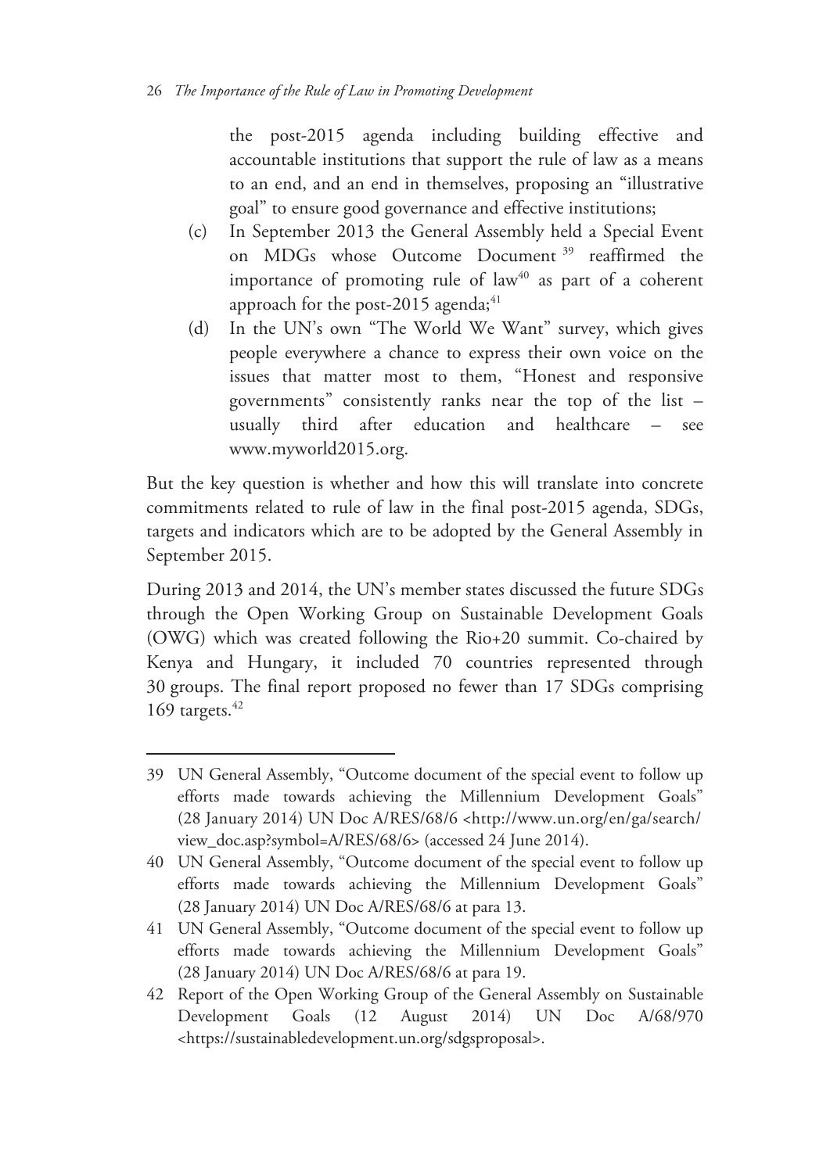the post-2015 agenda including building effective and accountable institutions that support the rule of law as a means to an end, and an end in themselves, proposing an "illustrative goal" to ensure good governance and effective institutions;

- (c) In September 2013 the General Assembly held a Special Event on MDGs whose Outcome Document 39 reaffirmed the importance of promoting rule of  $law<sup>40</sup>$  as part of a coherent approach for the post-2015 agenda; $41$
- (d) In the UN's own "The World We Want" survey, which gives people everywhere a chance to express their own voice on the issues that matter most to them, "Honest and responsive governments" consistently ranks near the top of the list – usually third after education and healthcare – see www.myworld2015.org.

But the key question is whether and how this will translate into concrete commitments related to rule of law in the final post-2015 agenda, SDGs, targets and indicators which are to be adopted by the General Assembly in September 2015.

During 2013 and 2014, the UN's member states discussed the future SDGs through the Open Working Group on Sustainable Development Goals (OWG) which was created following the Rio+20 summit. Co-chaired by Kenya and Hungary, it included 70 countries represented through 30 groups. The final report proposed no fewer than 17 SDGs comprising 169 targets. $42$ 

<sup>39</sup> UN General Assembly, "Outcome document of the special event to follow up efforts made towards achieving the Millennium Development Goals" (28 January 2014) UN Doc A/RES/68/6 <http://www.un.org/en/ga/search/ view\_doc.asp?symbol=A/RES/68/6> (accessed 24 June 2014).

<sup>40</sup> UN General Assembly, "Outcome document of the special event to follow up efforts made towards achieving the Millennium Development Goals" (28 January 2014) UN Doc A/RES/68/6 at para 13.

<sup>41</sup> UN General Assembly, "Outcome document of the special event to follow up efforts made towards achieving the Millennium Development Goals" (28 January 2014) UN Doc A/RES/68/6 at para 19.

<sup>42</sup> Report of the Open Working Group of the General Assembly on Sustainable Development Goals (12 August 2014) UN Doc A/68/970 <https://sustainabledevelopment.un.org/sdgsproposal>.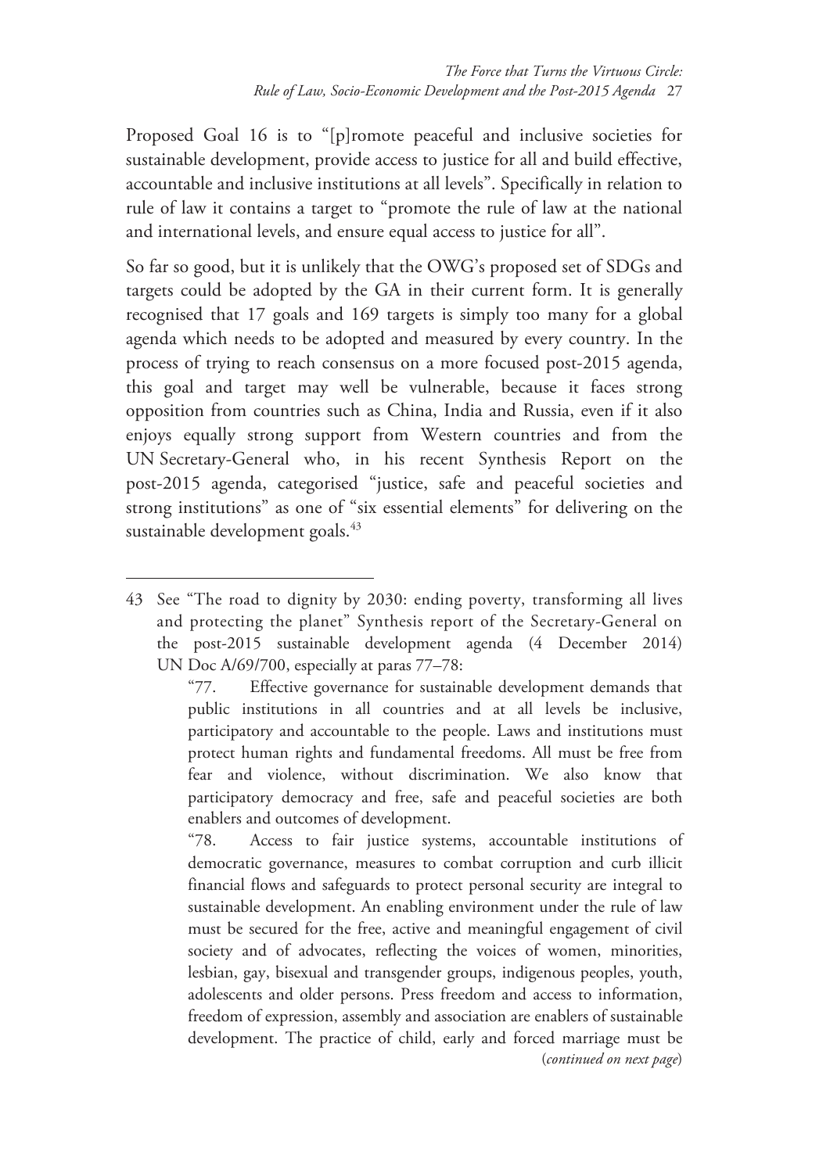Proposed Goal 16 is to "[p]romote peaceful and inclusive societies for sustainable development, provide access to justice for all and build effective, accountable and inclusive institutions at all levels". Specifically in relation to rule of law it contains a target to "promote the rule of law at the national and international levels, and ensure equal access to justice for all".

So far so good, but it is unlikely that the OWG's proposed set of SDGs and targets could be adopted by the GA in their current form. It is generally recognised that 17 goals and 169 targets is simply too many for a global agenda which needs to be adopted and measured by every country. In the process of trying to reach consensus on a more focused post-2015 agenda, this goal and target may well be vulnerable, because it faces strong opposition from countries such as China, India and Russia, even if it also enjoys equally strong support from Western countries and from the UN Secretary-General who, in his recent Synthesis Report on the post-2015 agenda, categorised "justice, safe and peaceful societies and strong institutions" as one of "six essential elements" for delivering on the sustainable development goals.<sup>43</sup>

<sup>43</sup> See "The road to dignity by 2030: ending poverty, transforming all lives and protecting the planet" Synthesis report of the Secretary-General on the post-2015 sustainable development agenda (4 December 2014) UN Doc A/69/700, especially at paras 77–78:

<sup>&</sup>quot;77. Effective governance for sustainable development demands that public institutions in all countries and at all levels be inclusive, participatory and accountable to the people. Laws and institutions must protect human rights and fundamental freedoms. All must be free from fear and violence, without discrimination. We also know that participatory democracy and free, safe and peaceful societies are both enablers and outcomes of development.

<sup>&</sup>quot;78. Access to fair justice systems, accountable institutions of democratic governance, measures to combat corruption and curb illicit financial flows and safeguards to protect personal security are integral to sustainable development. An enabling environment under the rule of law must be secured for the free, active and meaningful engagement of civil society and of advocates, reflecting the voices of women, minorities, lesbian, gay, bisexual and transgender groups, indigenous peoples, youth, adolescents and older persons. Press freedom and access to information, freedom of expression, assembly and association are enablers of sustainable development. The practice of child, early and forced marriage must be (*continued on next page*)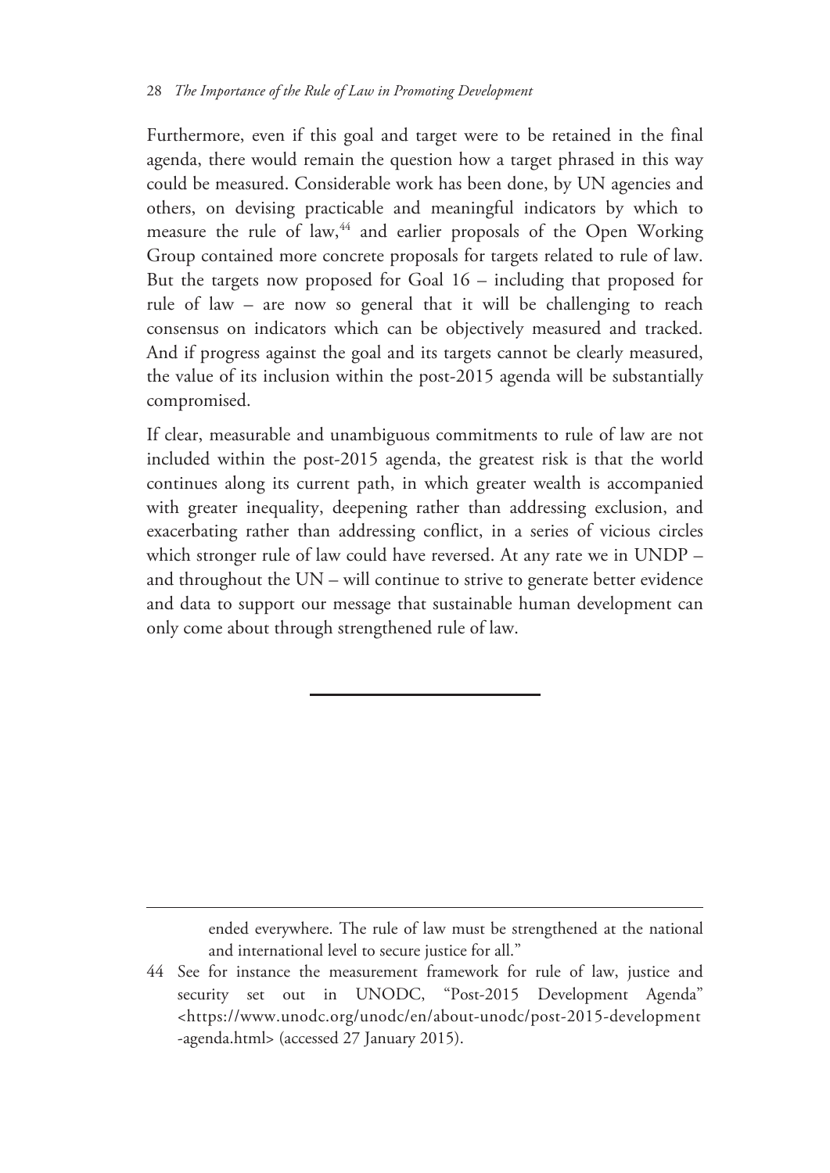Furthermore, even if this goal and target were to be retained in the final agenda, there would remain the question how a target phrased in this way could be measured. Considerable work has been done, by UN agencies and others, on devising practicable and meaningful indicators by which to measure the rule of law,<sup>44</sup> and earlier proposals of the Open Working Group contained more concrete proposals for targets related to rule of law. But the targets now proposed for Goal 16 – including that proposed for rule of law – are now so general that it will be challenging to reach consensus on indicators which can be objectively measured and tracked. And if progress against the goal and its targets cannot be clearly measured, the value of its inclusion within the post-2015 agenda will be substantially compromised.

If clear, measurable and unambiguous commitments to rule of law are not included within the post-2015 agenda, the greatest risk is that the world continues along its current path, in which greater wealth is accompanied with greater inequality, deepening rather than addressing exclusion, and exacerbating rather than addressing conflict, in a series of vicious circles which stronger rule of law could have reversed. At any rate we in UNDP – and throughout the UN – will continue to strive to generate better evidence and data to support our message that sustainable human development can only come about through strengthened rule of law.

> ended everywhere. The rule of law must be strengthened at the national and international level to secure justice for all."

<sup>44</sup> See for instance the measurement framework for rule of law, justice and security set out in UNODC, "Post-2015 Development Agenda" <https://www.unodc.org/unodc/en/about-unodc/post-2015-development -agenda.html> (accessed 27 January 2015).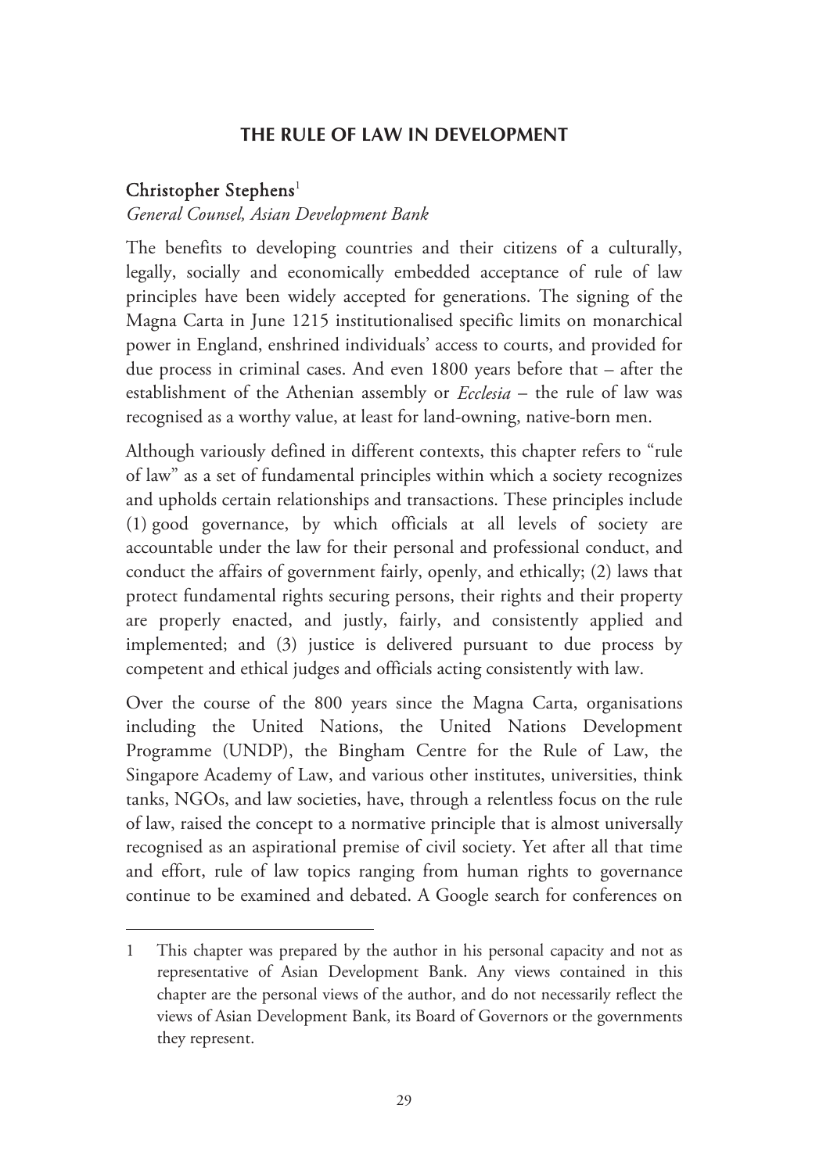#### **THE RULE OF LAW IN DEVELOPMENT**

## Christopher Stephens 1

-

#### *General Counsel, Asian Development Bank*

The benefits to developing countries and their citizens of a culturally, legally, socially and economically embedded acceptance of rule of law principles have been widely accepted for generations. The signing of the Magna Carta in June 1215 institutionalised specific limits on monarchical power in England, enshrined individuals' access to courts, and provided for due process in criminal cases. And even 1800 years before that – after the establishment of the Athenian assembly or *Ecclesia* – the rule of law was recognised as a worthy value, at least for land-owning, native-born men.

Although variously defined in different contexts, this chapter refers to "rule of law" as a set of fundamental principles within which a society recognizes and upholds certain relationships and transactions. These principles include (1) good governance, by which officials at all levels of society are accountable under the law for their personal and professional conduct, and conduct the affairs of government fairly, openly, and ethically; (2) laws that protect fundamental rights securing persons, their rights and their property are properly enacted, and justly, fairly, and consistently applied and implemented; and (3) justice is delivered pursuant to due process by competent and ethical judges and officials acting consistently with law.

Over the course of the 800 years since the Magna Carta, organisations including the United Nations, the United Nations Development Programme (UNDP), the Bingham Centre for the Rule of Law, the Singapore Academy of Law, and various other institutes, universities, think tanks, NGOs, and law societies, have, through a relentless focus on the rule of law, raised the concept to a normative principle that is almost universally recognised as an aspirational premise of civil society. Yet after all that time and effort, rule of law topics ranging from human rights to governance continue to be examined and debated. A Google search for conferences on

<sup>1</sup> This chapter was prepared by the author in his personal capacity and not as representative of Asian Development Bank. Any views contained in this chapter are the personal views of the author, and do not necessarily reflect the views of Asian Development Bank, its Board of Governors or the governments they represent.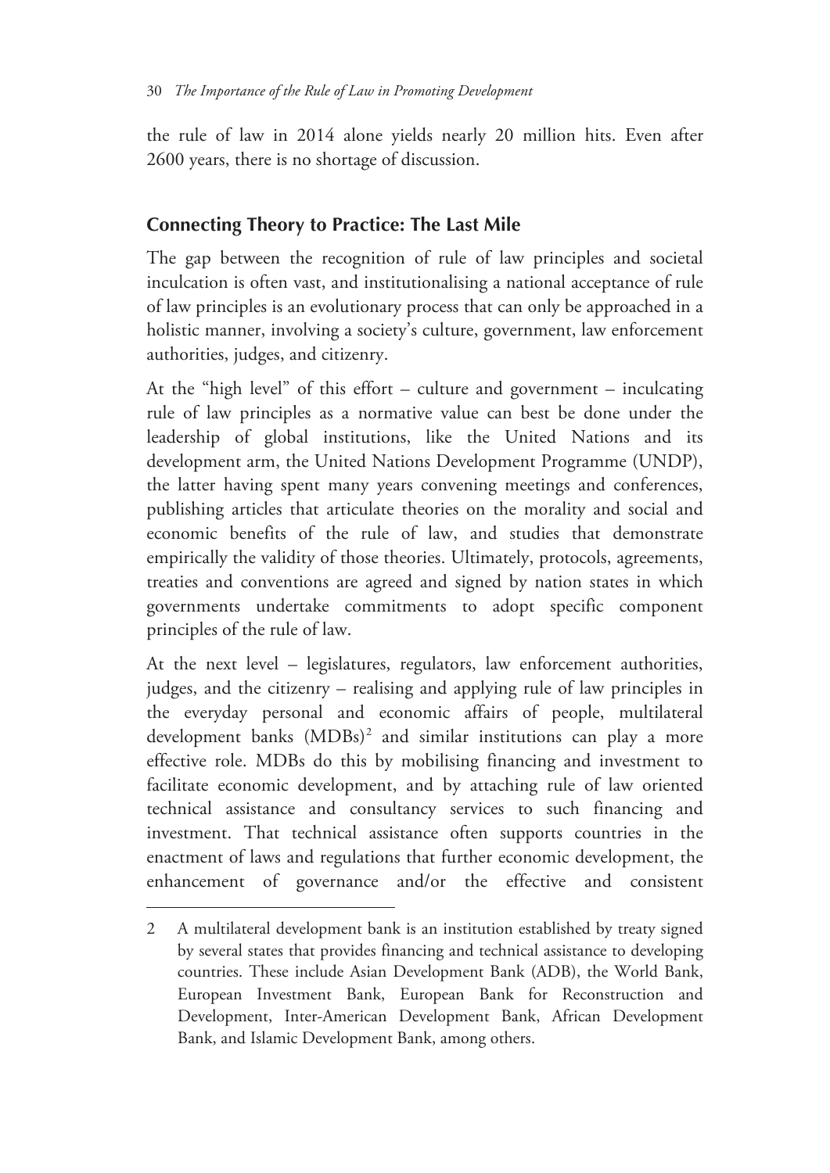the rule of law in 2014 alone yields nearly 20 million hits. Even after 2600 years, there is no shortage of discussion.

# **Connecting Theory to Practice: The Last Mile**

The gap between the recognition of rule of law principles and societal inculcation is often vast, and institutionalising a national acceptance of rule of law principles is an evolutionary process that can only be approached in a holistic manner, involving a society's culture, government, law enforcement authorities, judges, and citizenry.

At the "high level" of this effort – culture and government – inculcating rule of law principles as a normative value can best be done under the leadership of global institutions, like the United Nations and its development arm, the United Nations Development Programme (UNDP), the latter having spent many years convening meetings and conferences, publishing articles that articulate theories on the morality and social and economic benefits of the rule of law, and studies that demonstrate empirically the validity of those theories. Ultimately, protocols, agreements, treaties and conventions are agreed and signed by nation states in which governments undertake commitments to adopt specific component principles of the rule of law.

At the next level – legislatures, regulators, law enforcement authorities, judges, and the citizenry – realising and applying rule of law principles in the everyday personal and economic affairs of people, multilateral development banks (MDBs)<sup>2</sup> and similar institutions can play a more effective role. MDBs do this by mobilising financing and investment to facilitate economic development, and by attaching rule of law oriented technical assistance and consultancy services to such financing and investment. That technical assistance often supports countries in the enactment of laws and regulations that further economic development, the enhancement of governance and/or the effective and consistent

<sup>2</sup> A multilateral development bank is an institution established by treaty signed by several states that provides financing and technical assistance to developing countries. These include Asian Development Bank (ADB), the World Bank, European Investment Bank, European Bank for Reconstruction and Development, Inter-American Development Bank, African Development Bank, and Islamic Development Bank, among others.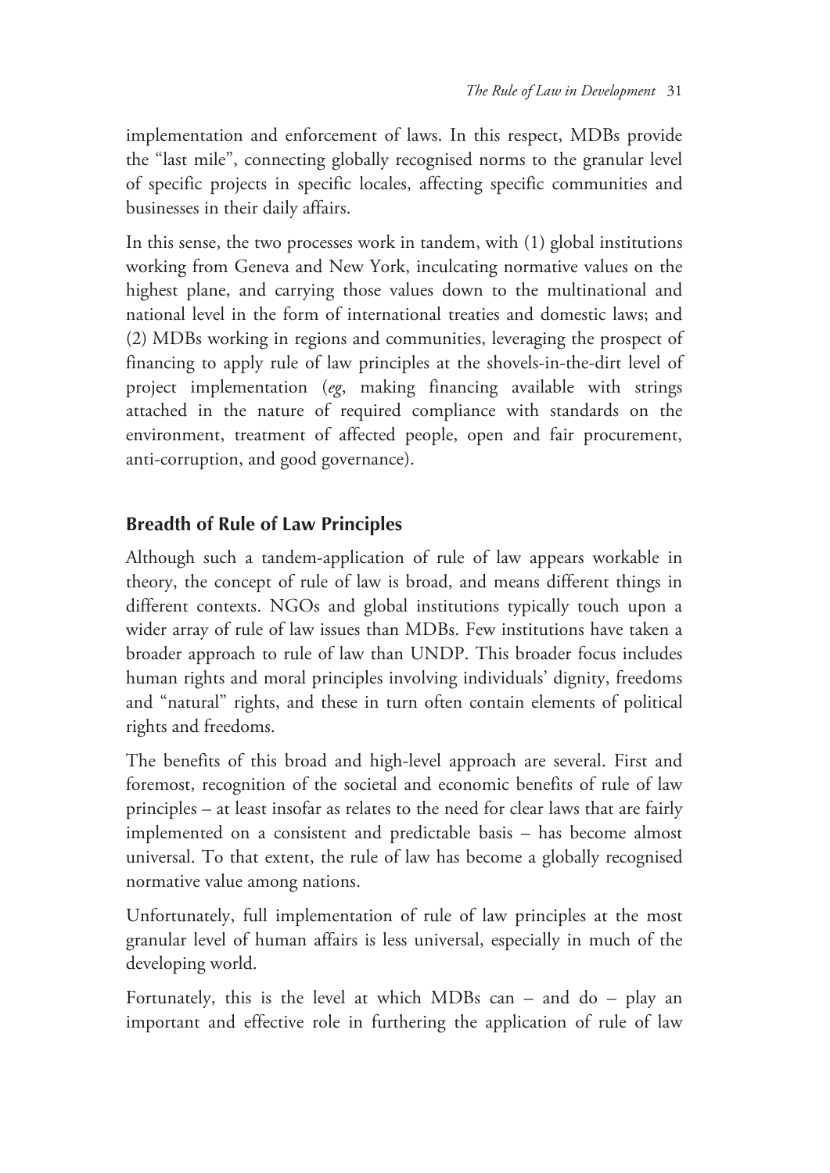implementation and enforcement of laws. In this respect, MDBs provide the "last mile", connecting globally recognised norms to the granular level of specific projects in specific locales, affecting specific communities and businesses in their daily affairs.

In this sense, the two processes work in tandem, with (1) global institutions working from Geneva and New York, inculcating normative values on the highest plane, and carrying those values down to the multinational and national level in the form of international treaties and domestic laws; and (2) MDBs working in regions and communities, leveraging the prospect of financing to apply rule of law principles at the shovels-in-the-dirt level of project implementation (*eg*, making financing available with strings attached in the nature of required compliance with standards on the environment, treatment of affected people, open and fair procurement, anti-corruption, and good governance).

## **Breadth of Rule of Law Principles**

Although such a tandem-application of rule of law appears workable in theory, the concept of rule of law is broad, and means different things in different contexts. NGOs and global institutions typically touch upon a wider array of rule of law issues than MDBs. Few institutions have taken a broader approach to rule of law than UNDP. This broader focus includes human rights and moral principles involving individuals' dignity, freedoms and "natural" rights, and these in turn often contain elements of political rights and freedoms.

The benefits of this broad and high-level approach are several. First and foremost, recognition of the societal and economic benefits of rule of law principles – at least insofar as relates to the need for clear laws that are fairly implemented on a consistent and predictable basis – has become almost universal. To that extent, the rule of law has become a globally recognised normative value among nations.

Unfortunately, full implementation of rule of law principles at the most granular level of human affairs is less universal, especially in much of the developing world.

Fortunately, this is the level at which MDBs can – and do – play an important and effective role in furthering the application of rule of law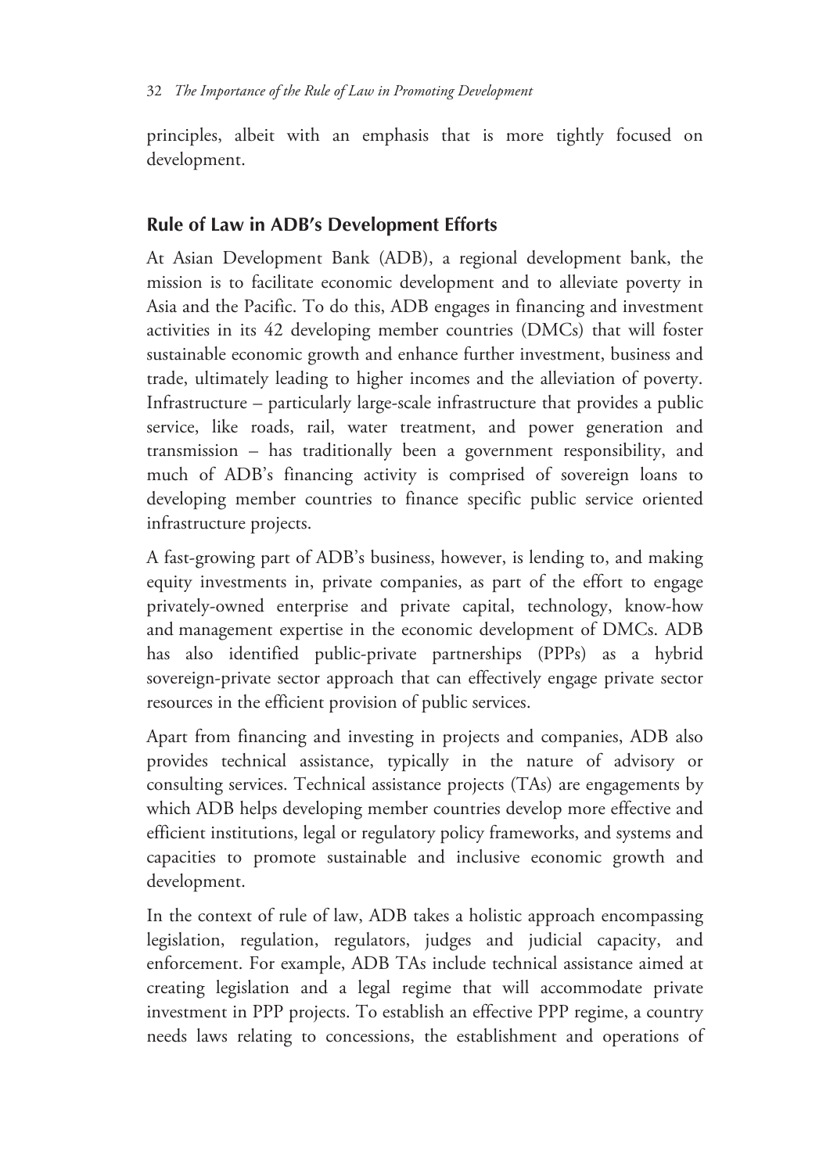principles, albeit with an emphasis that is more tightly focused on development.

# **Rule of Law in ADB's Development Efforts**

At Asian Development Bank (ADB), a regional development bank, the mission is to facilitate economic development and to alleviate poverty in Asia and the Pacific. To do this, ADB engages in financing and investment activities in its 42 developing member countries (DMCs) that will foster sustainable economic growth and enhance further investment, business and trade, ultimately leading to higher incomes and the alleviation of poverty. Infrastructure – particularly large-scale infrastructure that provides a public service, like roads, rail, water treatment, and power generation and transmission – has traditionally been a government responsibility, and much of ADB's financing activity is comprised of sovereign loans to developing member countries to finance specific public service oriented infrastructure projects.

A fast-growing part of ADB's business, however, is lending to, and making equity investments in, private companies, as part of the effort to engage privately-owned enterprise and private capital, technology, know-how and management expertise in the economic development of DMCs. ADB has also identified public-private partnerships (PPPs) as a hybrid sovereign-private sector approach that can effectively engage private sector resources in the efficient provision of public services.

Apart from financing and investing in projects and companies, ADB also provides technical assistance, typically in the nature of advisory or consulting services. Technical assistance projects (TAs) are engagements by which ADB helps developing member countries develop more effective and efficient institutions, legal or regulatory policy frameworks, and systems and capacities to promote sustainable and inclusive economic growth and development.

In the context of rule of law, ADB takes a holistic approach encompassing legislation, regulation, regulators, judges and judicial capacity, and enforcement. For example, ADB TAs include technical assistance aimed at creating legislation and a legal regime that will accommodate private investment in PPP projects. To establish an effective PPP regime, a country needs laws relating to concessions, the establishment and operations of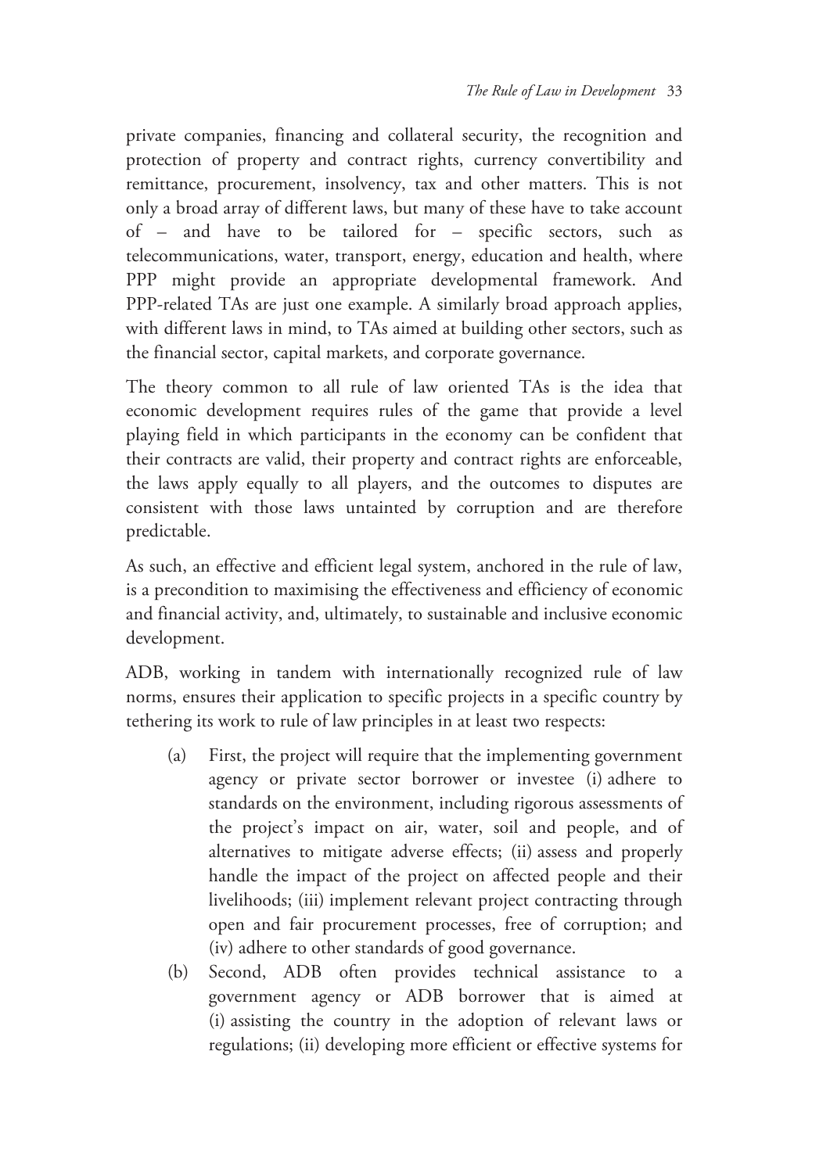private companies, financing and collateral security, the recognition and protection of property and contract rights, currency convertibility and remittance, procurement, insolvency, tax and other matters. This is not only a broad array of different laws, but many of these have to take account of – and have to be tailored for – specific sectors, such as telecommunications, water, transport, energy, education and health, where PPP might provide an appropriate developmental framework. And PPP-related TAs are just one example. A similarly broad approach applies, with different laws in mind, to TAs aimed at building other sectors, such as the financial sector, capital markets, and corporate governance.

The theory common to all rule of law oriented TAs is the idea that economic development requires rules of the game that provide a level playing field in which participants in the economy can be confident that their contracts are valid, their property and contract rights are enforceable, the laws apply equally to all players, and the outcomes to disputes are consistent with those laws untainted by corruption and are therefore predictable.

As such, an effective and efficient legal system, anchored in the rule of law, is a precondition to maximising the effectiveness and efficiency of economic and financial activity, and, ultimately, to sustainable and inclusive economic development.

ADB, working in tandem with internationally recognized rule of law norms, ensures their application to specific projects in a specific country by tethering its work to rule of law principles in at least two respects:

- (a) First, the project will require that the implementing government agency or private sector borrower or investee (i) adhere to standards on the environment, including rigorous assessments of the project's impact on air, water, soil and people, and of alternatives to mitigate adverse effects; (ii) assess and properly handle the impact of the project on affected people and their livelihoods; (iii) implement relevant project contracting through open and fair procurement processes, free of corruption; and (iv) adhere to other standards of good governance.
- (b) Second, ADB often provides technical assistance to a government agency or ADB borrower that is aimed at (i) assisting the country in the adoption of relevant laws or regulations; (ii) developing more efficient or effective systems for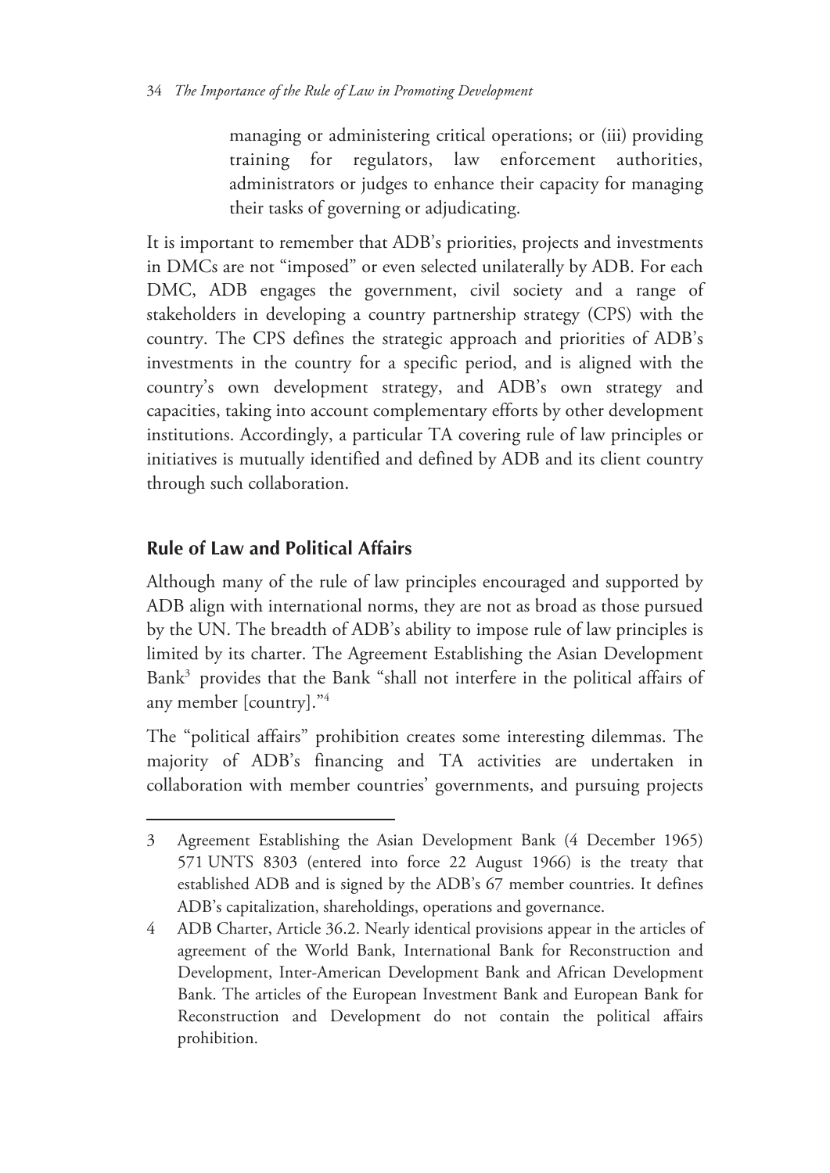managing or administering critical operations; or (iii) providing training for regulators, law enforcement authorities, administrators or judges to enhance their capacity for managing their tasks of governing or adjudicating.

It is important to remember that ADB's priorities, projects and investments in DMCs are not "imposed" or even selected unilaterally by ADB. For each DMC, ADB engages the government, civil society and a range of stakeholders in developing a country partnership strategy (CPS) with the country. The CPS defines the strategic approach and priorities of ADB's investments in the country for a specific period, and is aligned with the country's own development strategy, and ADB's own strategy and capacities, taking into account complementary efforts by other development institutions. Accordingly, a particular TA covering rule of law principles or initiatives is mutually identified and defined by ADB and its client country through such collaboration.

# **Rule of Law and Political Affairs**

 $\overline{a}$ 

Although many of the rule of law principles encouraged and supported by ADB align with international norms, they are not as broad as those pursued by the UN. The breadth of ADB's ability to impose rule of law principles is limited by its charter. The Agreement Establishing the Asian Development Bank<sup>3</sup> provides that the Bank "shall not interfere in the political affairs of any member [country]."4

The "political affairs" prohibition creates some interesting dilemmas. The majority of ADB's financing and TA activities are undertaken in collaboration with member countries' governments, and pursuing projects

<sup>3</sup> Agreement Establishing the Asian Development Bank (4 December 1965) 571 UNTS 8303 (entered into force 22 August 1966) is the treaty that established ADB and is signed by the ADB's 67 member countries. It defines ADB's capitalization, shareholdings, operations and governance.

<sup>4</sup> ADB Charter, Article 36.2. Nearly identical provisions appear in the articles of agreement of the World Bank, International Bank for Reconstruction and Development, Inter-American Development Bank and African Development Bank. The articles of the European Investment Bank and European Bank for Reconstruction and Development do not contain the political affairs prohibition.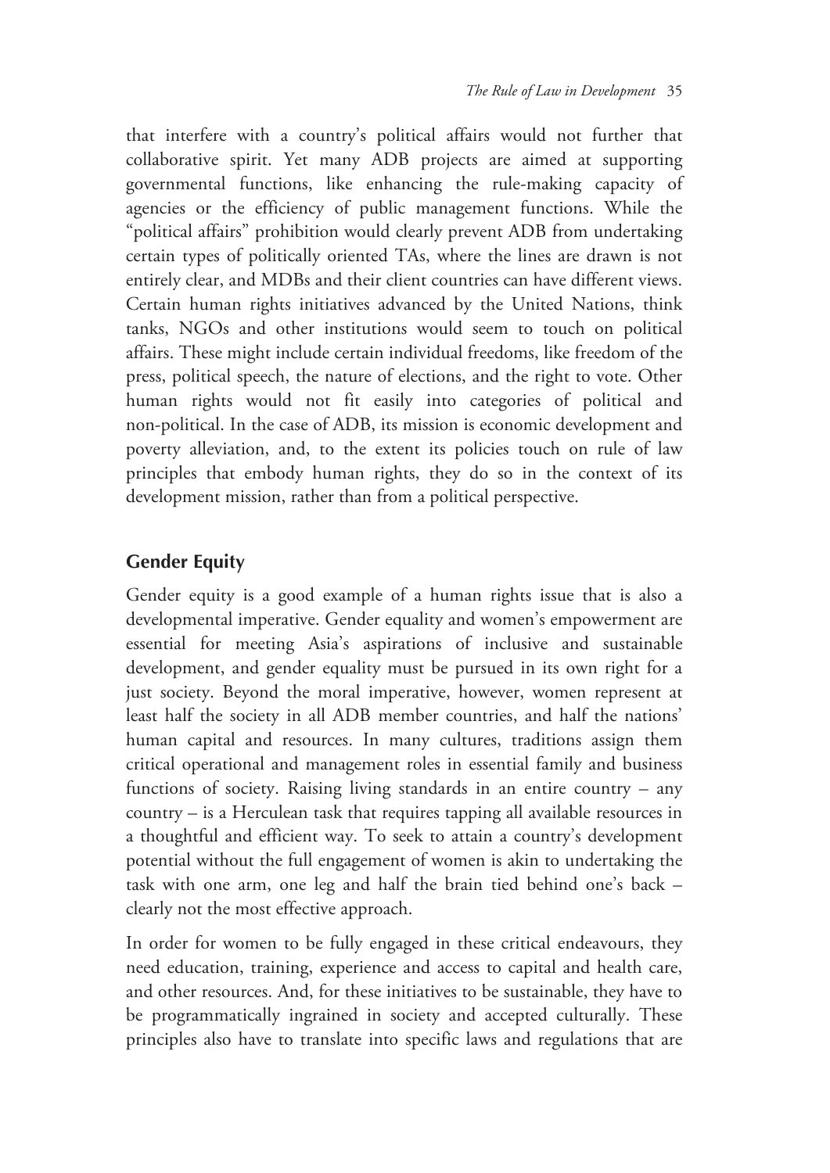that interfere with a country's political affairs would not further that collaborative spirit. Yet many ADB projects are aimed at supporting governmental functions, like enhancing the rule-making capacity of agencies or the efficiency of public management functions. While the "political affairs" prohibition would clearly prevent ADB from undertaking certain types of politically oriented TAs, where the lines are drawn is not entirely clear, and MDBs and their client countries can have different views. Certain human rights initiatives advanced by the United Nations, think tanks, NGOs and other institutions would seem to touch on political affairs. These might include certain individual freedoms, like freedom of the press, political speech, the nature of elections, and the right to vote. Other human rights would not fit easily into categories of political and non-political. In the case of ADB, its mission is economic development and poverty alleviation, and, to the extent its policies touch on rule of law principles that embody human rights, they do so in the context of its development mission, rather than from a political perspective.

## **Gender Equity**

Gender equity is a good example of a human rights issue that is also a developmental imperative. Gender equality and women's empowerment are essential for meeting Asia's aspirations of inclusive and sustainable development, and gender equality must be pursued in its own right for a just society. Beyond the moral imperative, however, women represent at least half the society in all ADB member countries, and half the nations' human capital and resources. In many cultures, traditions assign them critical operational and management roles in essential family and business functions of society. Raising living standards in an entire country – any country – is a Herculean task that requires tapping all available resources in a thoughtful and efficient way. To seek to attain a country's development potential without the full engagement of women is akin to undertaking the task with one arm, one leg and half the brain tied behind one's back – clearly not the most effective approach.

In order for women to be fully engaged in these critical endeavours, they need education, training, experience and access to capital and health care, and other resources. And, for these initiatives to be sustainable, they have to be programmatically ingrained in society and accepted culturally. These principles also have to translate into specific laws and regulations that are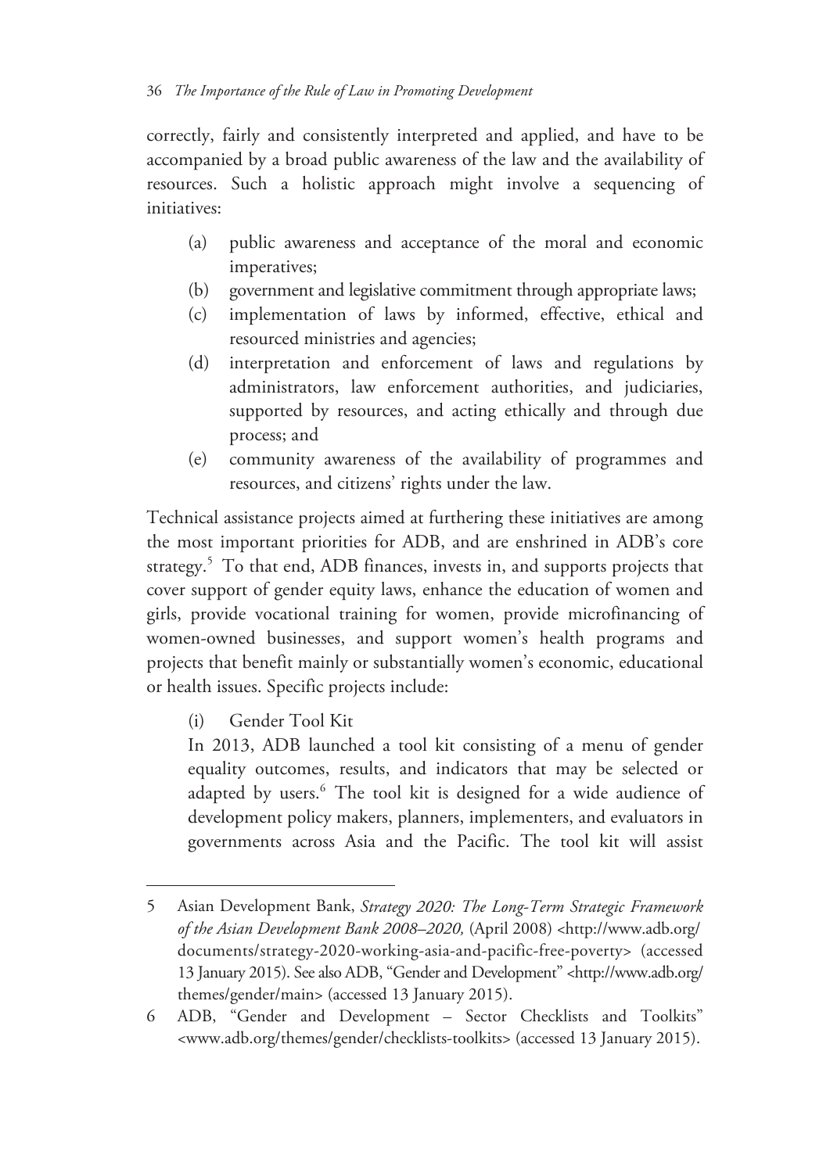correctly, fairly and consistently interpreted and applied, and have to be accompanied by a broad public awareness of the law and the availability of resources. Such a holistic approach might involve a sequencing of initiatives:

- (a) public awareness and acceptance of the moral and economic imperatives;
- (b) government and legislative commitment through appropriate laws;
- (c) implementation of laws by informed, effective, ethical and resourced ministries and agencies;
- (d) interpretation and enforcement of laws and regulations by administrators, law enforcement authorities, and judiciaries, supported by resources, and acting ethically and through due process; and
- (e) community awareness of the availability of programmes and resources, and citizens' rights under the law.

Technical assistance projects aimed at furthering these initiatives are among the most important priorities for ADB, and are enshrined in ADB's core strategy.<sup>5</sup> To that end, ADB finances, invests in, and supports projects that cover support of gender equity laws, enhance the education of women and girls, provide vocational training for women, provide microfinancing of women-owned businesses, and support women's health programs and projects that benefit mainly or substantially women's economic, educational or health issues. Specific projects include:

(i) Gender Tool Kit

 $\overline{a}$ 

In 2013, ADB launched a tool kit consisting of a menu of gender equality outcomes, results, and indicators that may be selected or adapted by users.<sup>6</sup> The tool kit is designed for a wide audience of development policy makers, planners, implementers, and evaluators in governments across Asia and the Pacific. The tool kit will assist

<sup>5</sup> Asian Development Bank, *Strategy 2020: The Long-Term Strategic Framework of the Asian Development Bank 2008–2020,* (April 2008) <http://www.adb.org/ documents/strategy-2020-working-asia-and-pacific-free-poverty> (accessed 13 January 2015). See also ADB, "Gender and Development" <http://www.adb.org/ themes/gender/main> (accessed 13 January 2015).

<sup>6</sup> ADB, "Gender and Development – Sector Checklists and Toolkits" <www.adb.org/themes/gender/checklists-toolkits> (accessed 13 January 2015).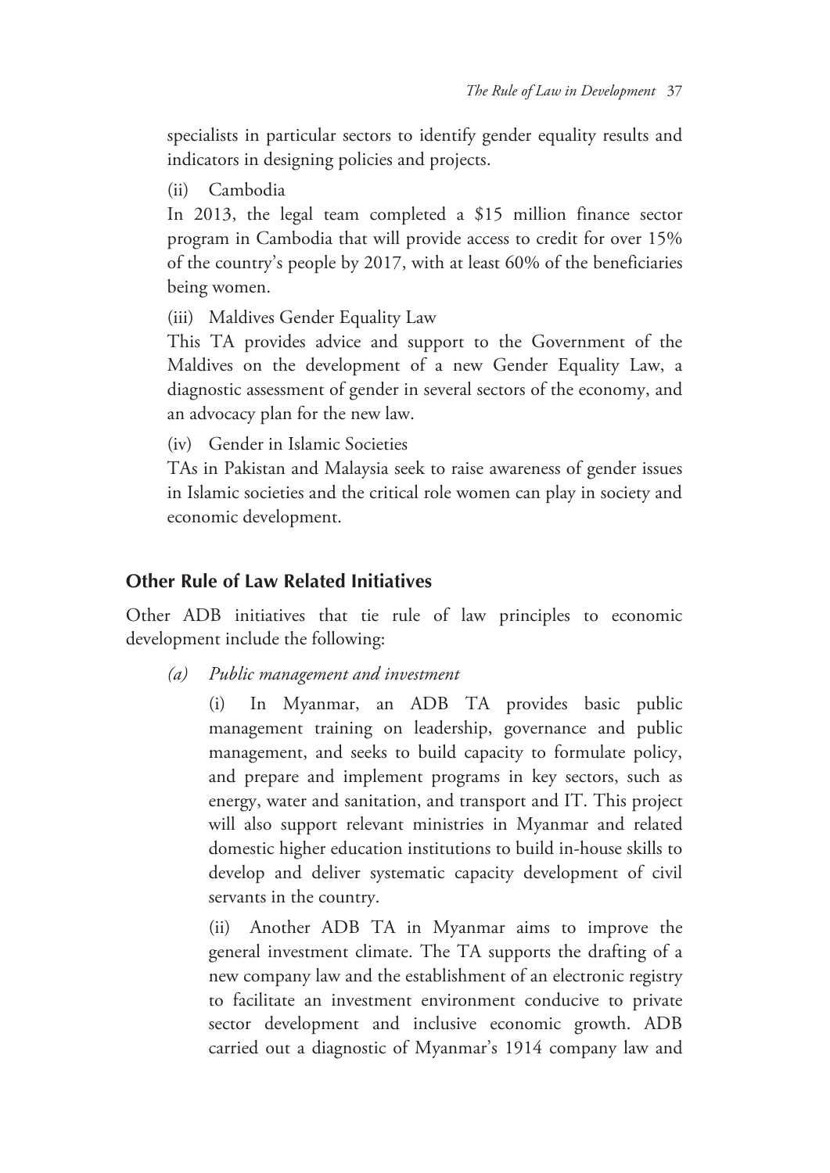specialists in particular sectors to identify gender equality results and indicators in designing policies and projects.

(ii) Cambodia

In 2013, the legal team completed a \$15 million finance sector program in Cambodia that will provide access to credit for over 15% of the country's people by 2017, with at least 60% of the beneficiaries being women.

(iii) Maldives Gender Equality Law

This TA provides advice and support to the Government of the Maldives on the development of a new Gender Equality Law, a diagnostic assessment of gender in several sectors of the economy, and an advocacy plan for the new law.

(iv) Gender in Islamic Societies

TAs in Pakistan and Malaysia seek to raise awareness of gender issues in Islamic societies and the critical role women can play in society and economic development.

#### **Other Rule of Law Related Initiatives**

Other ADB initiatives that tie rule of law principles to economic development include the following:

*(a) Public management and investment* 

(i) In Myanmar, an ADB TA provides basic public management training on leadership, governance and public management, and seeks to build capacity to formulate policy, and prepare and implement programs in key sectors, such as energy, water and sanitation, and transport and IT. This project will also support relevant ministries in Myanmar and related domestic higher education institutions to build in-house skills to develop and deliver systematic capacity development of civil servants in the country.

(ii) Another ADB TA in Myanmar aims to improve the general investment climate. The TA supports the drafting of a new company law and the establishment of an electronic registry to facilitate an investment environment conducive to private sector development and inclusive economic growth. ADB carried out a diagnostic of Myanmar's 1914 company law and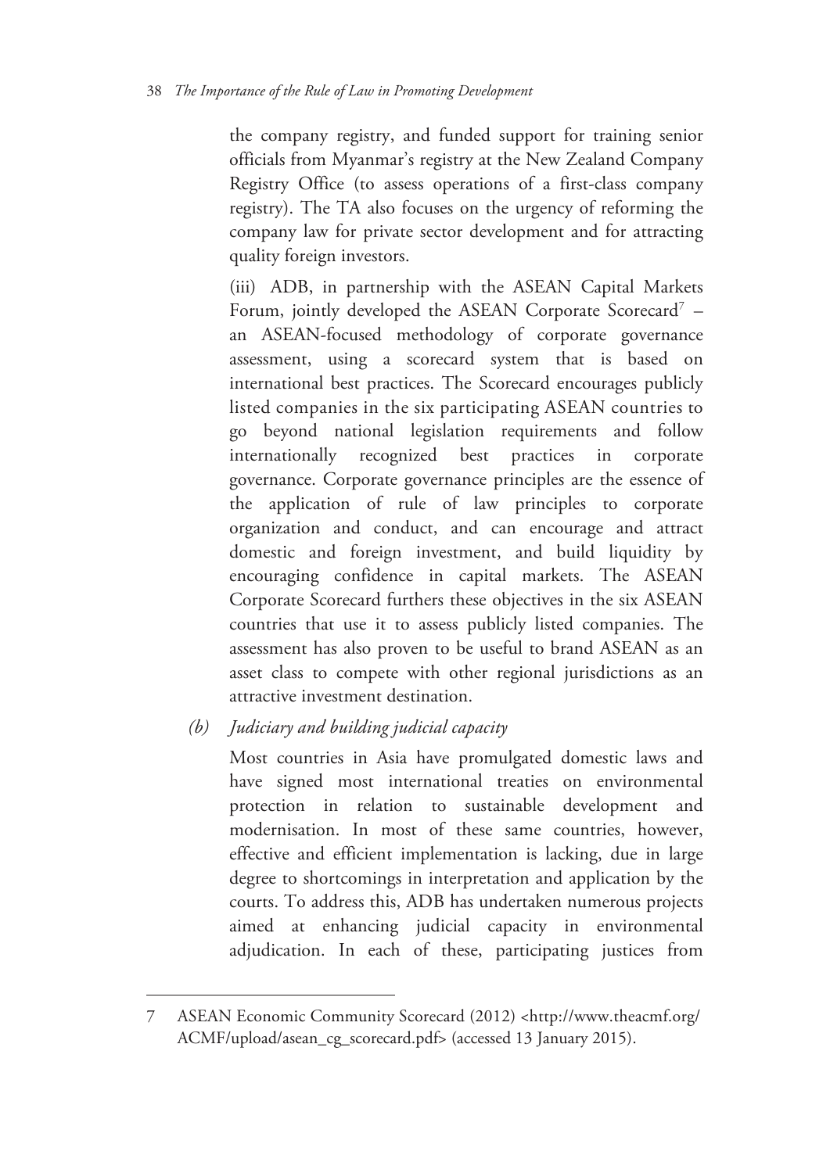the company registry, and funded support for training senior officials from Myanmar's registry at the New Zealand Company Registry Office (to assess operations of a first-class company registry). The TA also focuses on the urgency of reforming the company law for private sector development and for attracting quality foreign investors.

(iii) ADB, in partnership with the ASEAN Capital Markets Forum, jointly developed the ASEAN Corporate Scorecard<sup>7</sup> an ASEAN-focused methodology of corporate governance assessment, using a scorecard system that is based on international best practices. The Scorecard encourages publicly listed companies in the six participating ASEAN countries to go beyond national legislation requirements and follow internationally recognized best practices in corporate governance. Corporate governance principles are the essence of the application of rule of law principles to corporate organization and conduct, and can encourage and attract domestic and foreign investment, and build liquidity by encouraging confidence in capital markets. The ASEAN Corporate Scorecard furthers these objectives in the six ASEAN countries that use it to assess publicly listed companies. The assessment has also proven to be useful to brand ASEAN as an asset class to compete with other regional jurisdictions as an attractive investment destination.

*(b) Judiciary and building judicial capacity* 

 $\overline{a}$ 

Most countries in Asia have promulgated domestic laws and have signed most international treaties on environmental protection in relation to sustainable development and modernisation. In most of these same countries, however, effective and efficient implementation is lacking, due in large degree to shortcomings in interpretation and application by the courts. To address this, ADB has undertaken numerous projects aimed at enhancing judicial capacity in environmental adjudication. In each of these, participating justices from

<sup>7</sup> ASEAN Economic Community Scorecard (2012) <http://www.theacmf.org/ ACMF/upload/asean\_cg\_scorecard.pdf> (accessed 13 January 2015).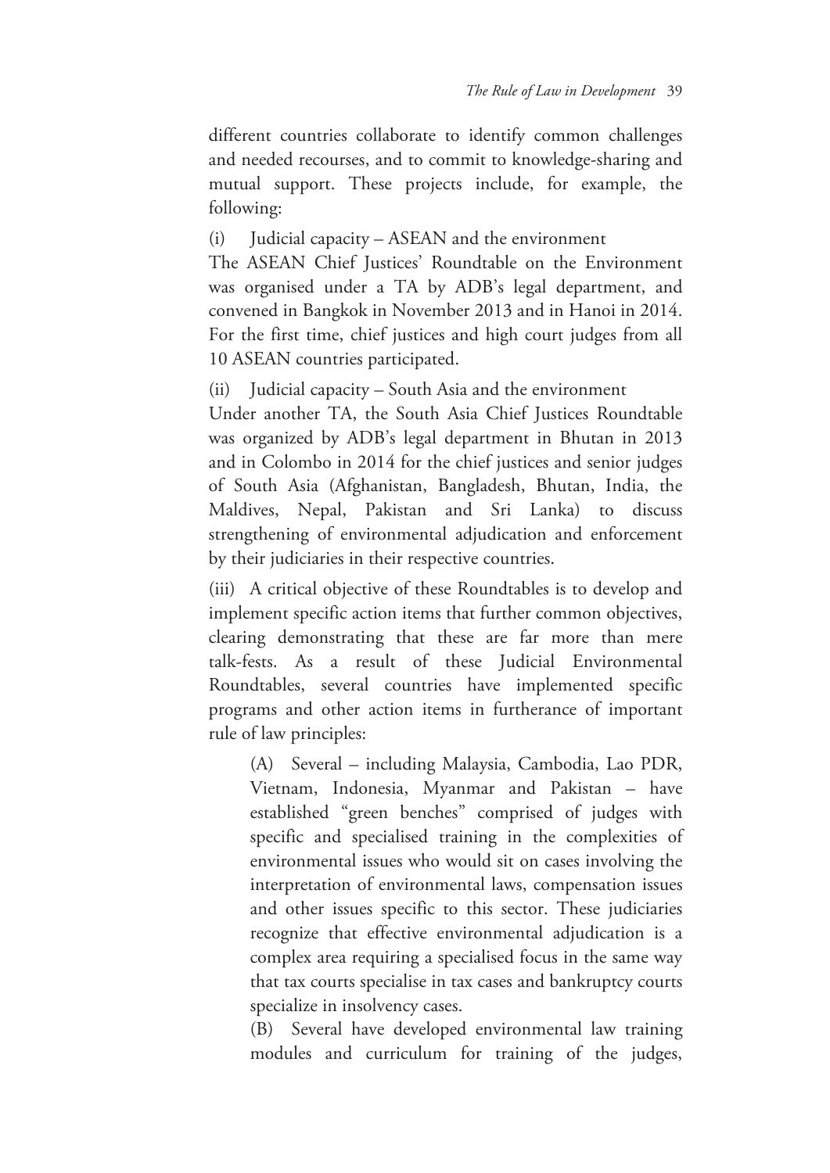different countries collaborate to identify common challenges and needed recourses, and to commit to knowledge-sharing and mutual support. These projects include, for example, the following:

(i) Judicial capacity – ASEAN and the environment

The ASEAN Chief Justices' Roundtable on the Environment was organised under a TA by ADB's legal department, and convened in Bangkok in November 2013 and in Hanoi in 2014. For the first time, chief justices and high court judges from all 10 ASEAN countries participated.

(ii) Judicial capacity – South Asia and the environment

Under another TA, the South Asia Chief Justices Roundtable was organized by ADB's legal department in Bhutan in 2013 and in Colombo in 2014 for the chief justices and senior judges of South Asia (Afghanistan, Bangladesh, Bhutan, India, the Maldives, Nepal, Pakistan and Sri Lanka) to discuss strengthening of environmental adjudication and enforcement by their judiciaries in their respective countries.

(iii) A critical objective of these Roundtables is to develop and implement specific action items that further common objectives, clearing demonstrating that these are far more than mere talk-fests. As a result of these Judicial Environmental Roundtables, several countries have implemented specific programs and other action items in furtherance of important rule of law principles:

(A) Several – including Malaysia, Cambodia, Lao PDR, Vietnam, Indonesia, Myanmar and Pakistan – have established "green benches" comprised of judges with specific and specialised training in the complexities of environmental issues who would sit on cases involving the interpretation of environmental laws, compensation issues and other issues specific to this sector. These judiciaries recognize that effective environmental adjudication is a complex area requiring a specialised focus in the same way that tax courts specialise in tax cases and bankruptcy courts specialize in insolvency cases.

(B) Several have developed environmental law training modules and curriculum for training of the judges,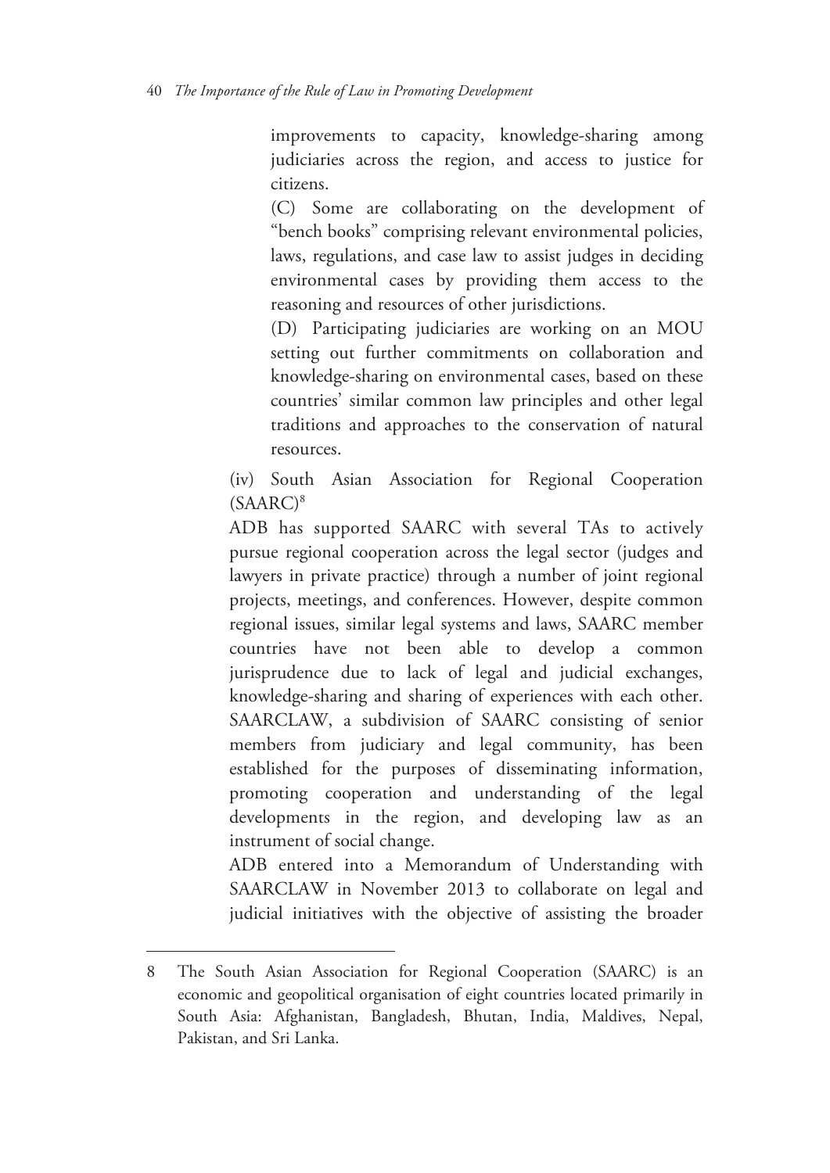improvements to capacity, knowledge-sharing among judiciaries across the region, and access to justice for citizens.

(C) Some are collaborating on the development of "bench books" comprising relevant environmental policies, laws, regulations, and case law to assist judges in deciding environmental cases by providing them access to the reasoning and resources of other jurisdictions.

(D) Participating judiciaries are working on an MOU setting out further commitments on collaboration and knowledge-sharing on environmental cases, based on these countries' similar common law principles and other legal traditions and approaches to the conservation of natural resources.

(iv) South Asian Association for Regional Cooperation  $(SAARC)^8$ 

ADB has supported SAARC with several TAs to actively pursue regional cooperation across the legal sector (judges and lawyers in private practice) through a number of joint regional projects, meetings, and conferences. However, despite common regional issues, similar legal systems and laws, SAARC member countries have not been able to develop a common jurisprudence due to lack of legal and judicial exchanges, knowledge-sharing and sharing of experiences with each other. SAARCLAW, a subdivision of SAARC consisting of senior members from judiciary and legal community, has been established for the purposes of disseminating information, promoting cooperation and understanding of the legal developments in the region, and developing law as an instrument of social change.

ADB entered into a Memorandum of Understanding with SAARCLAW in November 2013 to collaborate on legal and judicial initiatives with the objective of assisting the broader

<sup>8</sup> The South Asian Association for Regional Cooperation (SAARC) is an economic and geopolitical organisation of eight countries located primarily in South Asia: Afghanistan, Bangladesh, Bhutan, India, Maldives, Nepal, Pakistan, and Sri Lanka.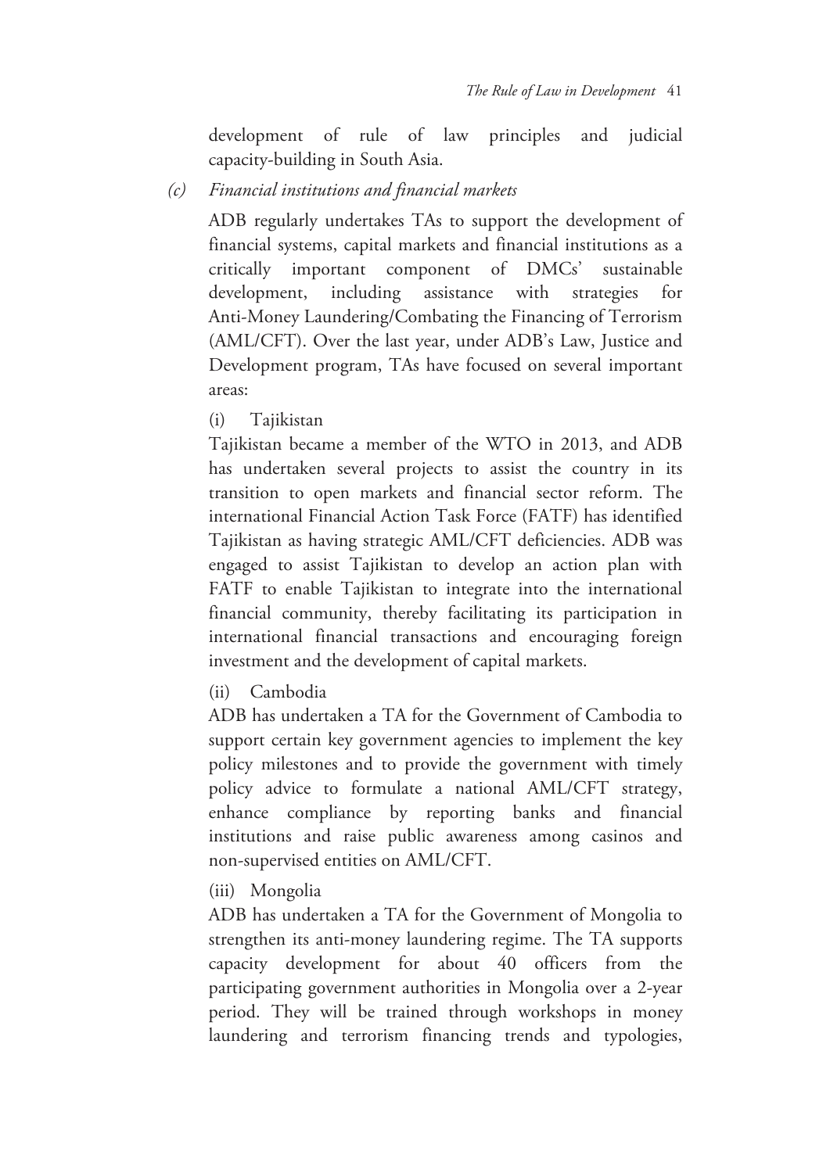development of rule of law principles and judicial capacity-building in South Asia.

#### *(c) Financial institutions and financial markets*

ADB regularly undertakes TAs to support the development of financial systems, capital markets and financial institutions as a critically important component of DMCs' sustainable development, including assistance with strategies for Anti-Money Laundering/Combating the Financing of Terrorism (AML/CFT). Over the last year, under ADB's Law, Justice and Development program, TAs have focused on several important areas:

(i) Tajikistan

Tajikistan became a member of the WTO in 2013, and ADB has undertaken several projects to assist the country in its transition to open markets and financial sector reform. The international Financial Action Task Force (FATF) has identified Tajikistan as having strategic AML/CFT deficiencies. ADB was engaged to assist Tajikistan to develop an action plan with FATF to enable Tajikistan to integrate into the international financial community, thereby facilitating its participation in international financial transactions and encouraging foreign investment and the development of capital markets.

(ii) Cambodia

ADB has undertaken a TA for the Government of Cambodia to support certain key government agencies to implement the key policy milestones and to provide the government with timely policy advice to formulate a national AML/CFT strategy, enhance compliance by reporting banks and financial institutions and raise public awareness among casinos and non-supervised entities on AML/CFT.

(iii) Mongolia

ADB has undertaken a TA for the Government of Mongolia to strengthen its anti-money laundering regime. The TA supports capacity development for about 40 officers from the participating government authorities in Mongolia over a 2-year period. They will be trained through workshops in money laundering and terrorism financing trends and typologies,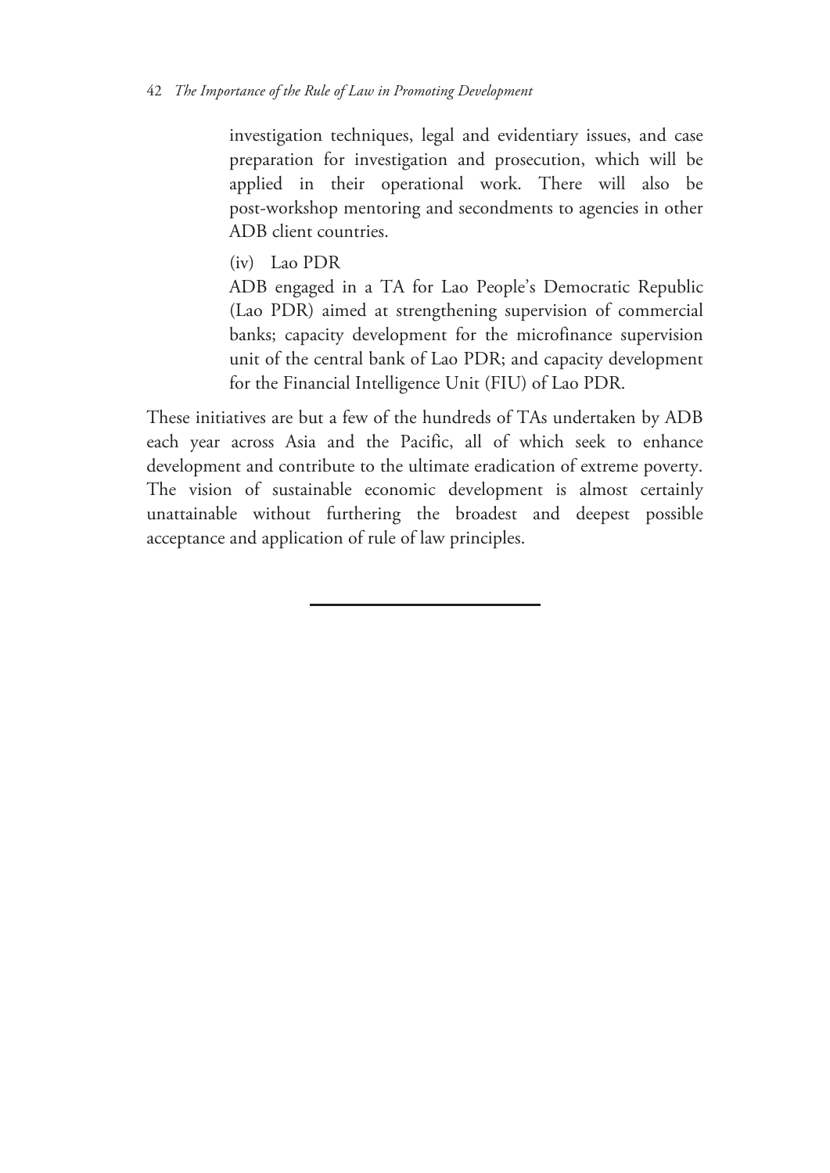#### 42 *The Importance of the Rule of Law in Promoting Development*

investigation techniques, legal and evidentiary issues, and case preparation for investigation and prosecution, which will be applied in their operational work. There will also be post-workshop mentoring and secondments to agencies in other ADB client countries.

(iv) Lao PDR

ADB engaged in a TA for Lao People's Democratic Republic (Lao PDR) aimed at strengthening supervision of commercial banks; capacity development for the microfinance supervision unit of the central bank of Lao PDR; and capacity development for the Financial Intelligence Unit (FIU) of Lao PDR.

These initiatives are but a few of the hundreds of TAs undertaken by ADB each year across Asia and the Pacific, all of which seek to enhance development and contribute to the ultimate eradication of extreme poverty. The vision of sustainable economic development is almost certainly unattainable without furthering the broadest and deepest possible acceptance and application of rule of law principles.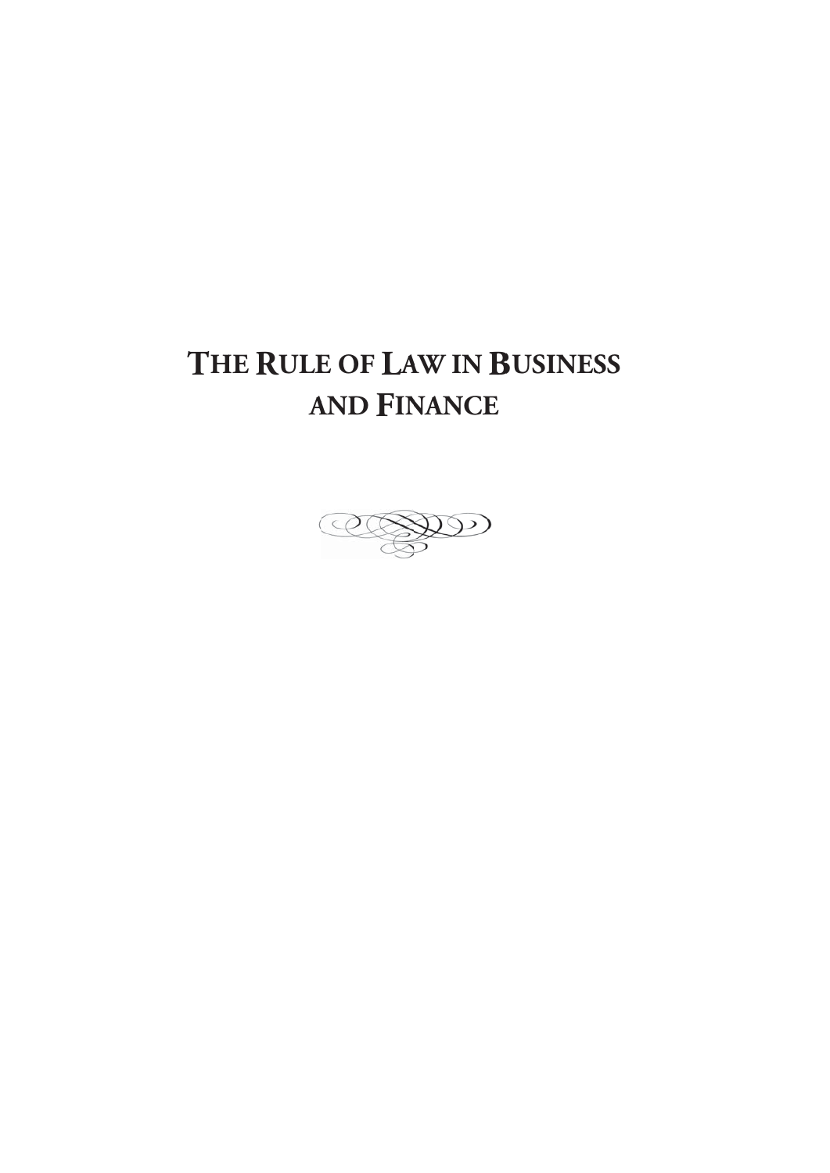# THE RULE OF LAW IN BUSINESS **A ND FIN ANCE**

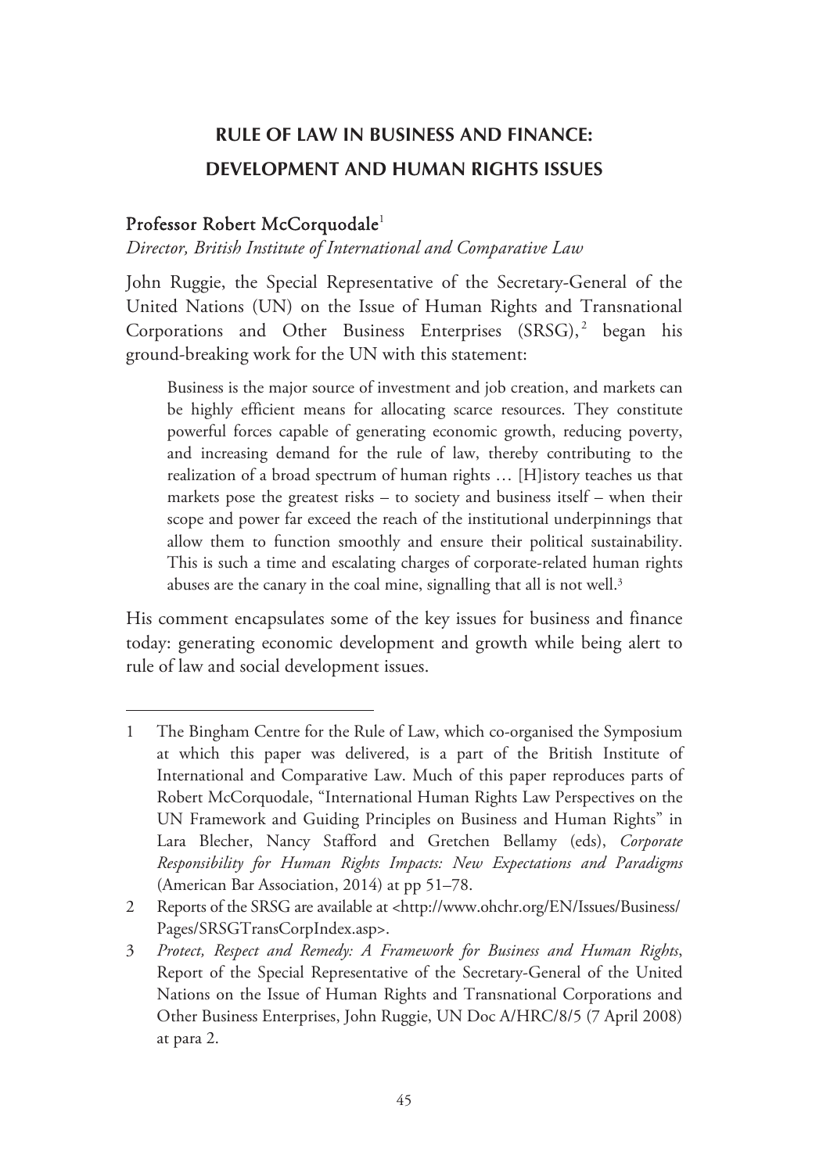# **RULE OF LAW IN BUSINESS AND FINANCE: DEVELOPMENT AND HUMAN RIGHTS ISSUES**

## Professor Robert McCorquodale<sup>1</sup>

-

#### *Director, British Institute of International and Comparative Law*

John Ruggie, the Special Representative of the Secretary-General of the United Nations (UN) on the Issue of Human Rights and Transnational Corporations and Other Business Enterprises  $(SRSG),^2$  began his ground-breaking work for the UN with this statement:

Business is the major source of investment and job creation, and markets can be highly efficient means for allocating scarce resources. They constitute powerful forces capable of generating economic growth, reducing poverty, and increasing demand for the rule of law, thereby contributing to the realization of a broad spectrum of human rights … [H]istory teaches us that markets pose the greatest risks – to society and business itself – when their scope and power far exceed the reach of the institutional underpinnings that allow them to function smoothly and ensure their political sustainability. This is such a time and escalating charges of corporate-related human rights abuses are the canary in the coal mine, signalling that all is not well.<sup>3</sup>

His comment encapsulates some of the key issues for business and finance today: generating economic development and growth while being alert to rule of law and social development issues.

<sup>1</sup> The Bingham Centre for the Rule of Law, which co-organised the Symposium at which this paper was delivered, is a part of the British Institute of International and Comparative Law. Much of this paper reproduces parts of Robert McCorquodale, "International Human Rights Law Perspectives on the UN Framework and Guiding Principles on Business and Human Rights" in Lara Blecher, Nancy Stafford and Gretchen Bellamy (eds), *Corporate Responsibility for Human Rights Impacts: New Expectations and Paradigms* (American Bar Association, 2014) at pp 51–78.

<sup>2</sup> Reports of the SRSG are available at <http://www.ohchr.org/EN/Issues/Business/ Pages/SRSGTransCorpIndex.asp>.

<sup>3</sup> *Protect, Respect and Remedy: A Framework for Business and Human Rights*, Report of the Special Representative of the Secretary-General of the United Nations on the Issue of Human Rights and Transnational Corporations and Other Business Enterprises, John Ruggie, UN Doc A/HRC/8/5 (7 April 2008) at para 2.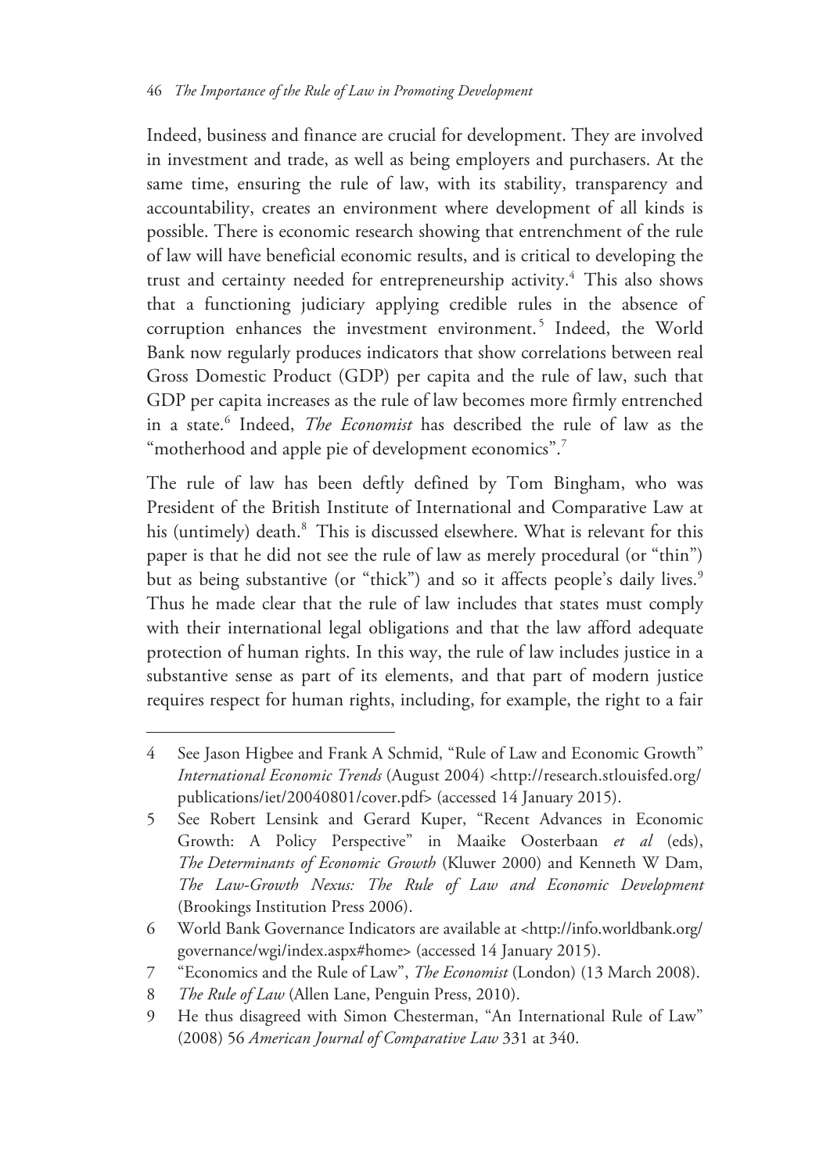Indeed, business and finance are crucial for development. They are involved in investment and trade, as well as being employers and purchasers. At the same time, ensuring the rule of law, with its stability, transparency and accountability, creates an environment where development of all kinds is possible. There is economic research showing that entrenchment of the rule of law will have beneficial economic results, and is critical to developing the trust and certainty needed for entrepreneurship activity.<sup>4</sup> This also shows that a functioning judiciary applying credible rules in the absence of corruption enhances the investment environment.<sup>5</sup> Indeed, the World Bank now regularly produces indicators that show correlations between real Gross Domestic Product (GDP) per capita and the rule of law, such that GDP per capita increases as the rule of law becomes more firmly entrenched in a state.6 Indeed, *The Economist* has described the rule of law as the "motherhood and apple pie of development economics".<sup>7</sup>

The rule of law has been deftly defined by Tom Bingham, who was President of the British Institute of International and Comparative Law at his (untimely) death.<sup>8</sup> This is discussed elsewhere. What is relevant for this paper is that he did not see the rule of law as merely procedural (or "thin") but as being substantive (or "thick") and so it affects people's daily lives.<sup>9</sup> Thus he made clear that the rule of law includes that states must comply with their international legal obligations and that the law afford adequate protection of human rights. In this way, the rule of law includes justice in a substantive sense as part of its elements, and that part of modern justice requires respect for human rights, including, for example, the right to a fair

<sup>4</sup> See Jason Higbee and Frank A Schmid, "Rule of Law and Economic Growth" *International Economic Trends* (August 2004) <http://research.stlouisfed.org/ publications/iet/20040801/cover.pdf> (accessed 14 January 2015).

<sup>5</sup> See Robert Lensink and Gerard Kuper, "Recent Advances in Economic Growth: A Policy Perspective" in Maaike Oosterbaan *et al* (eds), *The Determinants of Economic Growth* (Kluwer 2000) and Kenneth W Dam, *The Law-Growth Nexus: The Rule of Law and Economic Development* (Brookings Institution Press 2006).

<sup>6</sup> World Bank Governance Indicators are available at <http://info.worldbank.org/ governance/wgi/index.aspx#home> (accessed 14 January 2015).

<sup>7 &</sup>quot;Economics and the Rule of Law", *The Economist* (London) (13 March 2008).

<sup>8</sup> *The Rule of Law* (Allen Lane, Penguin Press, 2010).

<sup>9</sup> He thus disagreed with Simon Chesterman, "An International Rule of Law" (2008) 56 *American Journal of Comparative Law* 331 at 340.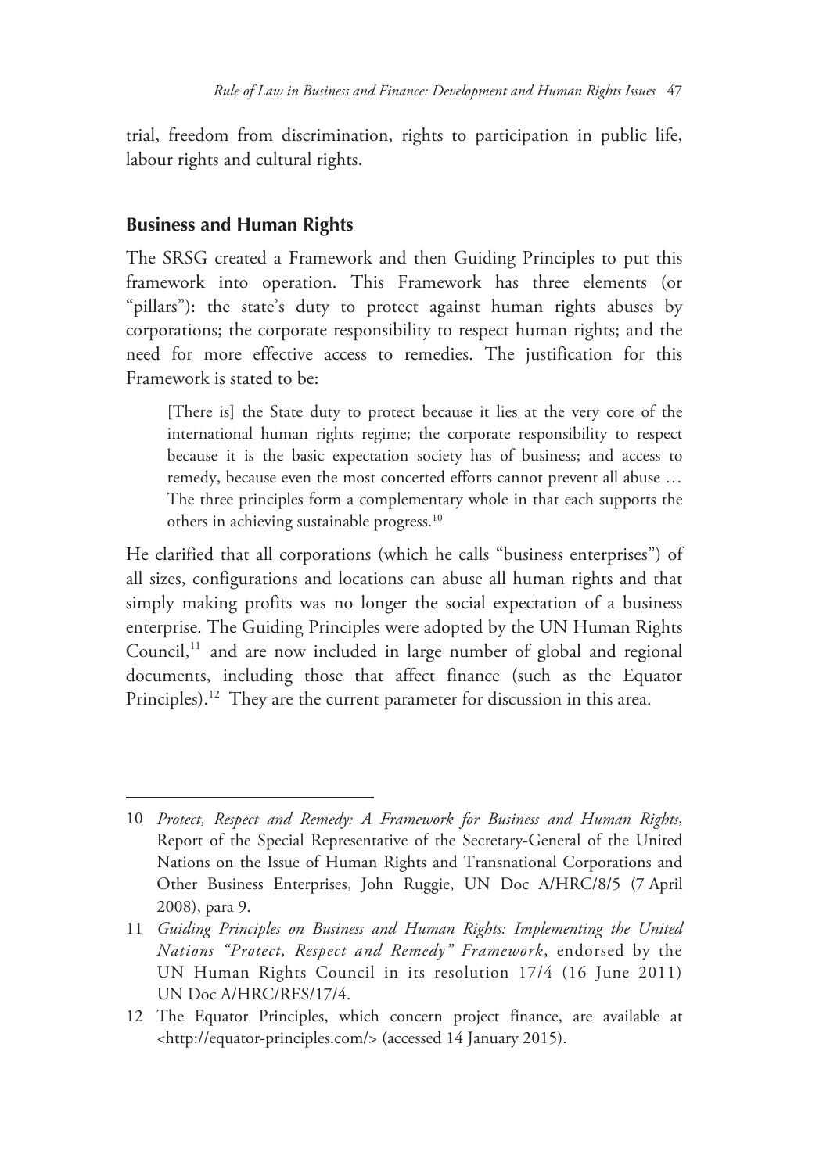trial, freedom from discrimination, rights to participation in public life, labour rights and cultural rights.

#### **Business and Human Rights**

-

The SRSG created a Framework and then Guiding Principles to put this framework into operation. This Framework has three elements (or "pillars"): the state's duty to protect against human rights abuses by corporations; the corporate responsibility to respect human rights; and the need for more effective access to remedies. The justification for this Framework is stated to be:

[There is] the State duty to protect because it lies at the very core of the international human rights regime; the corporate responsibility to respect because it is the basic expectation society has of business; and access to remedy, because even the most concerted efforts cannot prevent all abuse … The three principles form a complementary whole in that each supports the others in achieving sustainable progress.10

He clarified that all corporations (which he calls "business enterprises") of all sizes, configurations and locations can abuse all human rights and that simply making profits was no longer the social expectation of a business enterprise. The Guiding Principles were adopted by the UN Human Rights Council,<sup>11</sup> and are now included in large number of global and regional documents, including those that affect finance (such as the Equator Principles).<sup>12</sup> They are the current parameter for discussion in this area.

<sup>10</sup> *Protect, Respect and Remedy: A Framework for Business and Human Rights*, Report of the Special Representative of the Secretary-General of the United Nations on the Issue of Human Rights and Transnational Corporations and Other Business Enterprises, John Ruggie, UN Doc A/HRC/8/5 (7 April 2008), para 9.

<sup>11</sup> *Guiding Principles on Business and Human Rights: Implementing the United Nations "Protect, Respect and Remedy" Framework*, endorsed by the UN Human Rights Council in its resolution 17/4 (16 June 2011) UN Doc A/HRC/RES/17/4.

<sup>12</sup> The Equator Principles, which concern project finance, are available at <http://equator-principles.com/> (accessed 14 January 2015).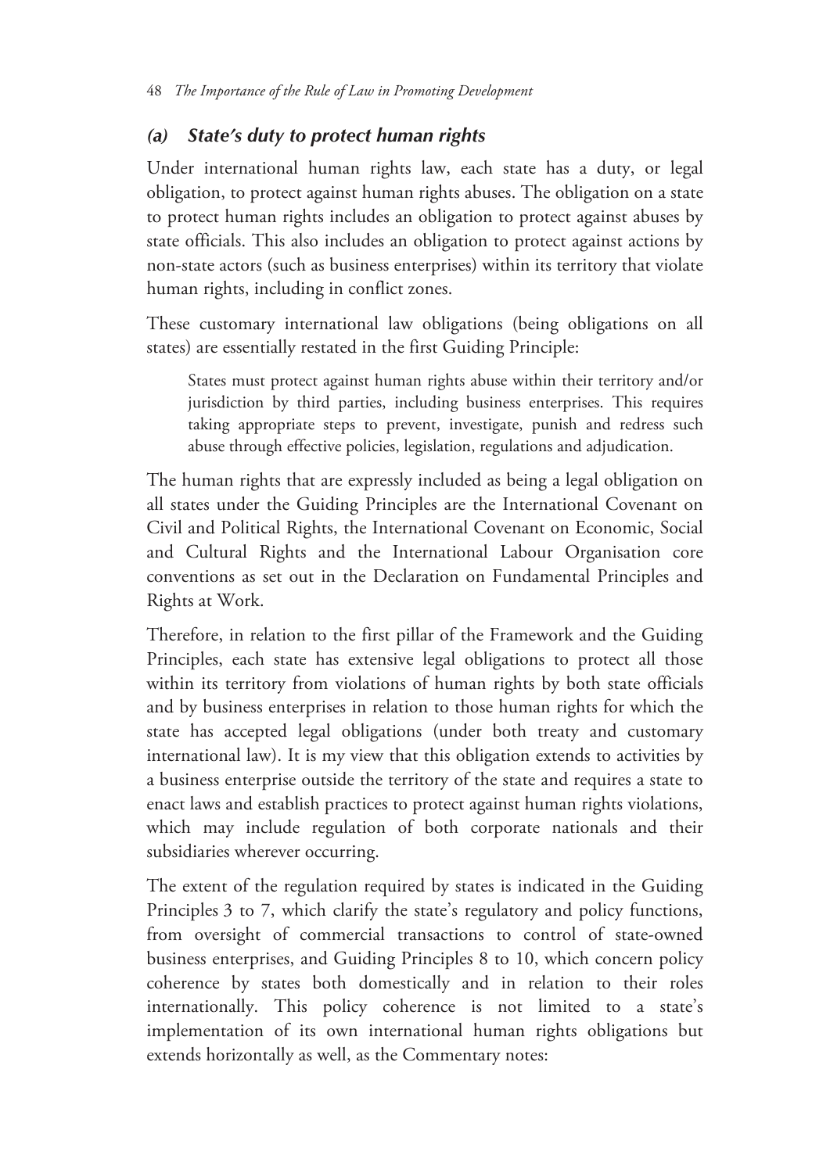## *(a) State's duty to protect human rights*

Under international human rights law, each state has a duty, or legal obligation, to protect against human rights abuses. The obligation on a state to protect human rights includes an obligation to protect against abuses by state officials. This also includes an obligation to protect against actions by non-state actors (such as business enterprises) within its territory that violate human rights, including in conflict zones.

These customary international law obligations (being obligations on all states) are essentially restated in the first Guiding Principle:

States must protect against human rights abuse within their territory and/or jurisdiction by third parties, including business enterprises. This requires taking appropriate steps to prevent, investigate, punish and redress such abuse through effective policies, legislation, regulations and adjudication.

The human rights that are expressly included as being a legal obligation on all states under the Guiding Principles are the International Covenant on Civil and Political Rights, the International Covenant on Economic, Social and Cultural Rights and the International Labour Organisation core conventions as set out in the Declaration on Fundamental Principles and Rights at Work.

Therefore, in relation to the first pillar of the Framework and the Guiding Principles, each state has extensive legal obligations to protect all those within its territory from violations of human rights by both state officials and by business enterprises in relation to those human rights for which the state has accepted legal obligations (under both treaty and customary international law). It is my view that this obligation extends to activities by a business enterprise outside the territory of the state and requires a state to enact laws and establish practices to protect against human rights violations, which may include regulation of both corporate nationals and their subsidiaries wherever occurring.

The extent of the regulation required by states is indicated in the Guiding Principles 3 to 7, which clarify the state's regulatory and policy functions, from oversight of commercial transactions to control of state-owned business enterprises, and Guiding Principles 8 to 10, which concern policy coherence by states both domestically and in relation to their roles internationally. This policy coherence is not limited to a state's implementation of its own international human rights obligations but extends horizontally as well, as the Commentary notes: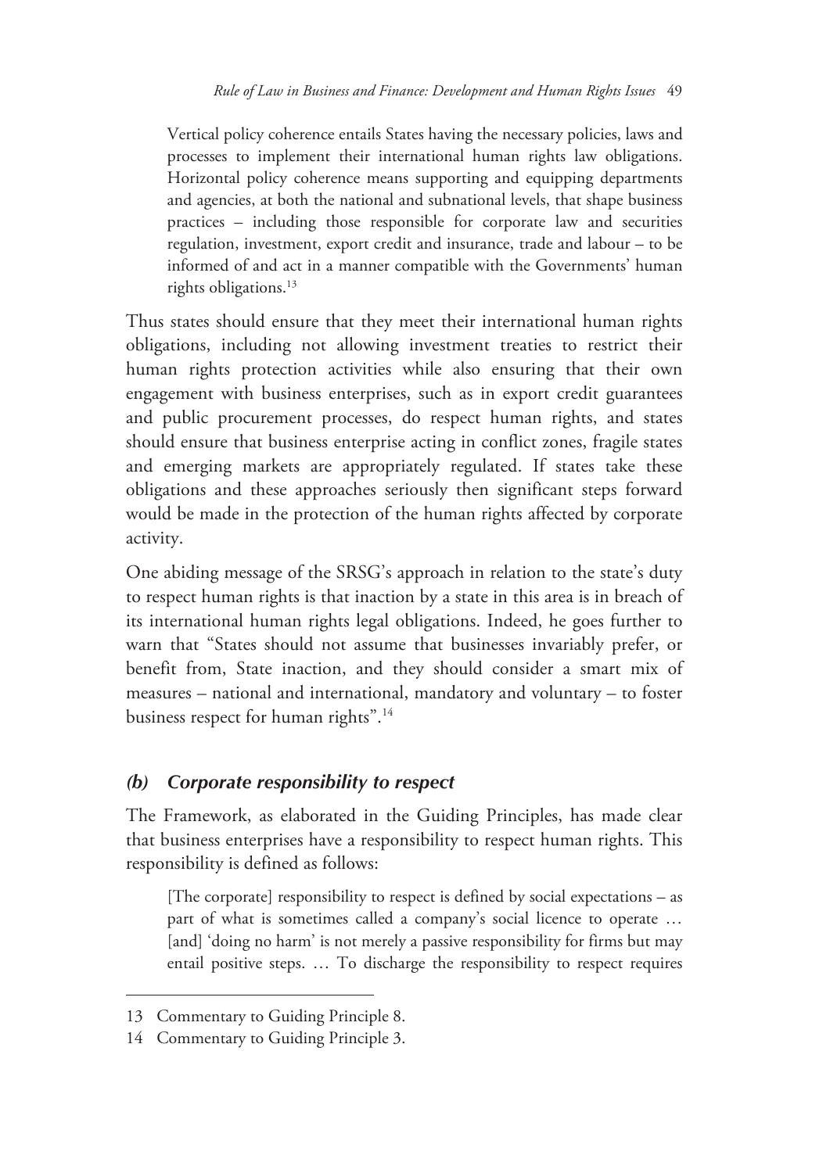Vertical policy coherence entails States having the necessary policies, laws and processes to implement their international human rights law obligations. Horizontal policy coherence means supporting and equipping departments and agencies, at both the national and subnational levels, that shape business practices – including those responsible for corporate law and securities regulation, investment, export credit and insurance, trade and labour – to be informed of and act in a manner compatible with the Governments' human rights obligations.<sup>13</sup>

Thus states should ensure that they meet their international human rights obligations, including not allowing investment treaties to restrict their human rights protection activities while also ensuring that their own engagement with business enterprises, such as in export credit guarantees and public procurement processes, do respect human rights, and states should ensure that business enterprise acting in conflict zones, fragile states and emerging markets are appropriately regulated. If states take these obligations and these approaches seriously then significant steps forward would be made in the protection of the human rights affected by corporate activity.

One abiding message of the SRSG's approach in relation to the state's duty to respect human rights is that inaction by a state in this area is in breach of its international human rights legal obligations. Indeed, he goes further to warn that "States should not assume that businesses invariably prefer, or benefit from, State inaction, and they should consider a smart mix of measures – national and international, mandatory and voluntary – to foster business respect for human rights".<sup>14</sup>

#### *(b) Corporate responsibility to respect*

The Framework, as elaborated in the Guiding Principles, has made clear that business enterprises have a responsibility to respect human rights. This responsibility is defined as follows:

[The corporate] responsibility to respect is defined by social expectations – as part of what is sometimes called a company's social licence to operate … [and] 'doing no harm' is not merely a passive responsibility for firms but may entail positive steps. … To discharge the responsibility to respect requires

<sup>13</sup> Commentary to Guiding Principle 8.

<sup>14</sup> Commentary to Guiding Principle 3.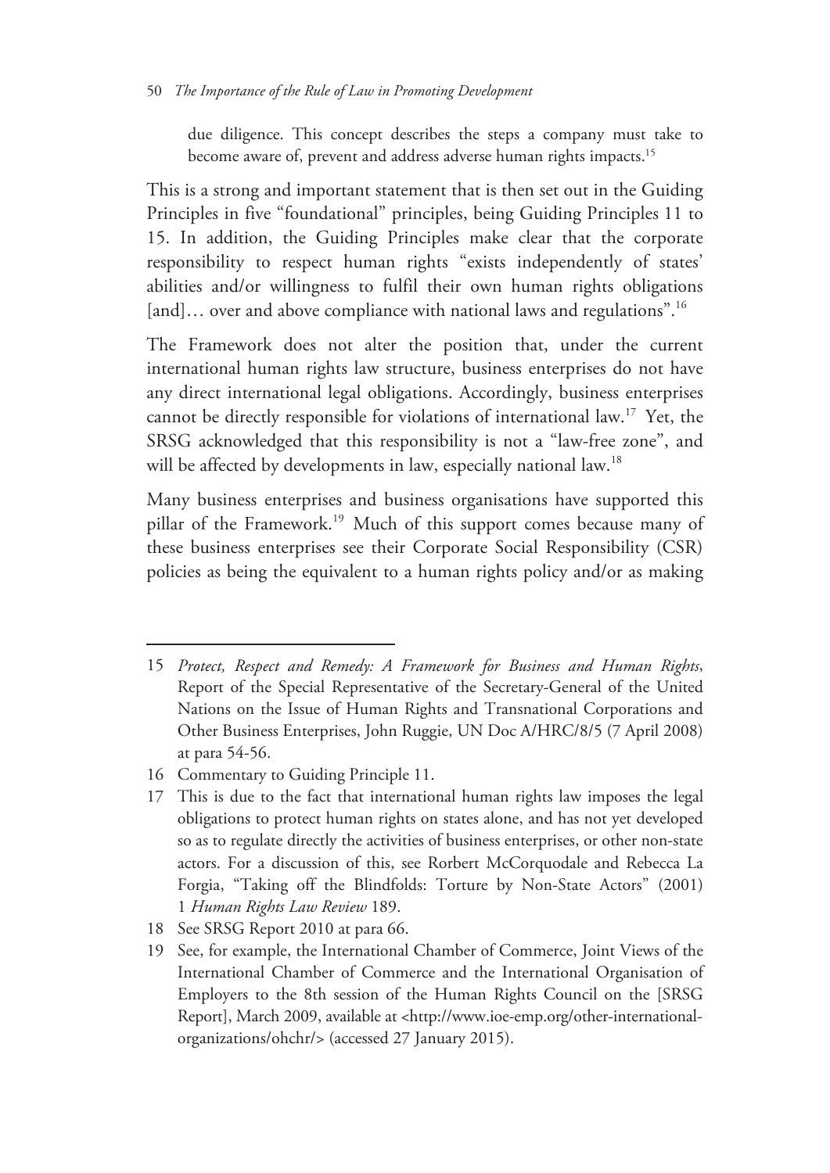due diligence. This concept describes the steps a company must take to become aware of, prevent and address adverse human rights impacts.15

This is a strong and important statement that is then set out in the Guiding Principles in five "foundational" principles, being Guiding Principles 11 to 15. In addition, the Guiding Principles make clear that the corporate responsibility to respect human rights "exists independently of states' abilities and/or willingness to fulfil their own human rights obligations [and]... over and above compliance with national laws and regulations".<sup>16</sup>

The Framework does not alter the position that, under the current international human rights law structure, business enterprises do not have any direct international legal obligations. Accordingly, business enterprises cannot be directly responsible for violations of international law.17 Yet, the SRSG acknowledged that this responsibility is not a "law-free zone", and will be affected by developments in law, especially national law.<sup>18</sup>

Many business enterprises and business organisations have supported this pillar of the Framework.<sup>19</sup> Much of this support comes because many of these business enterprises see their Corporate Social Responsibility (CSR) policies as being the equivalent to a human rights policy and/or as making

<sup>15</sup> *Protect, Respect and Remedy: A Framework for Business and Human Rights*, Report of the Special Representative of the Secretary-General of the United Nations on the Issue of Human Rights and Transnational Corporations and Other Business Enterprises, John Ruggie, UN Doc A/HRC/8/5 (7 April 2008) at para 54-56.

<sup>16</sup> Commentary to Guiding Principle 11.

<sup>17</sup> This is due to the fact that international human rights law imposes the legal obligations to protect human rights on states alone, and has not yet developed so as to regulate directly the activities of business enterprises, or other non-state actors. For a discussion of this, see Rorbert McCorquodale and Rebecca La Forgia, "Taking off the Blindfolds: Torture by Non-State Actors" (2001) 1 *Human Rights Law Review* 189.

<sup>18</sup> See SRSG Report 2010 at para 66.

<sup>19</sup> See, for example, the International Chamber of Commerce, Joint Views of the International Chamber of Commerce and the International Organisation of Employers to the 8th session of the Human Rights Council on the [SRSG Report], March 2009, available at <http://www.ioe-emp.org/other-internationalorganizations/ohchr/> (accessed 27 January 2015).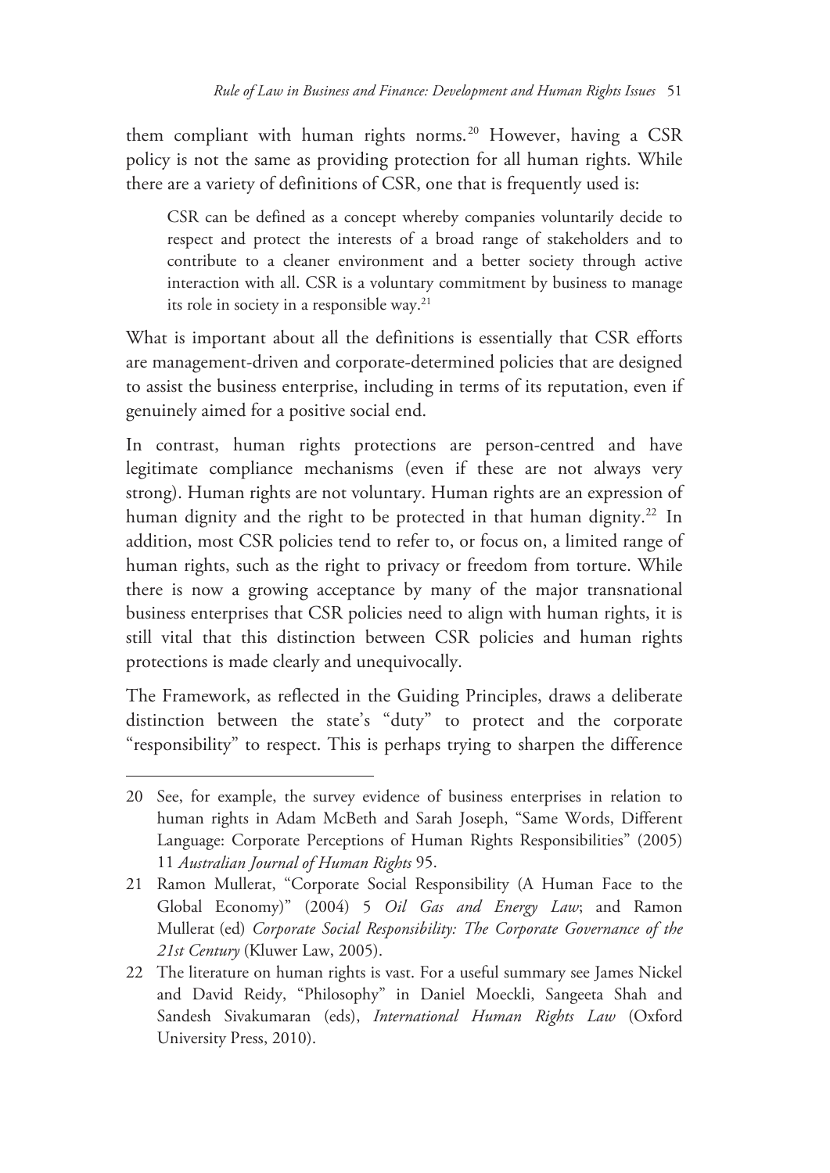them compliant with human rights norms.<sup>20</sup> However, having a CSR policy is not the same as providing protection for all human rights. While there are a variety of definitions of CSR, one that is frequently used is:

CSR can be defined as a concept whereby companies voluntarily decide to respect and protect the interests of a broad range of stakeholders and to contribute to a cleaner environment and a better society through active interaction with all. CSR is a voluntary commitment by business to manage its role in society in a responsible way.21

What is important about all the definitions is essentially that CSR efforts are management-driven and corporate-determined policies that are designed to assist the business enterprise, including in terms of its reputation, even if genuinely aimed for a positive social end.

In contrast, human rights protections are person-centred and have legitimate compliance mechanisms (even if these are not always very strong). Human rights are not voluntary. Human rights are an expression of human dignity and the right to be protected in that human dignity.<sup>22</sup> In addition, most CSR policies tend to refer to, or focus on, a limited range of human rights, such as the right to privacy or freedom from torture. While there is now a growing acceptance by many of the major transnational business enterprises that CSR policies need to align with human rights, it is still vital that this distinction between CSR policies and human rights protections is made clearly and unequivocally.

The Framework, as reflected in the Guiding Principles, draws a deliberate distinction between the state's "duty" to protect and the corporate "responsibility" to respect. This is perhaps trying to sharpen the difference

<sup>20</sup> See, for example, the survey evidence of business enterprises in relation to human rights in Adam McBeth and Sarah Joseph, "Same Words, Different Language: Corporate Perceptions of Human Rights Responsibilities" (2005) 11 *Australian Journal of Human Rights* 95.

<sup>21</sup> Ramon Mullerat, "Corporate Social Responsibility (A Human Face to the Global Economy)" (2004) 5 *Oil Gas and Energy Law*; and Ramon Mullerat (ed) *Corporate Social Responsibility: The Corporate Governance of the 21st Century* (Kluwer Law, 2005).

<sup>22</sup> The literature on human rights is vast. For a useful summary see James Nickel and David Reidy, "Philosophy" in Daniel Moeckli, Sangeeta Shah and Sandesh Sivakumaran (eds), *International Human Rights Law* (Oxford University Press, 2010).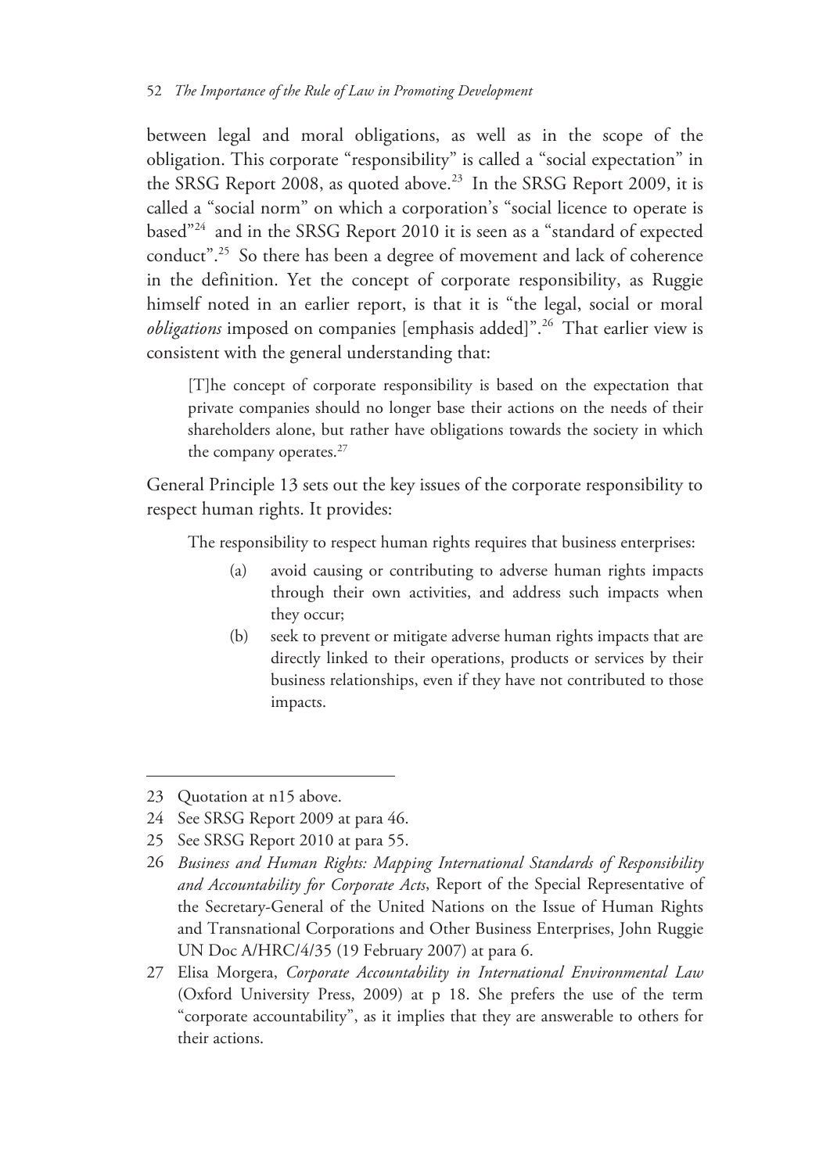between legal and moral obligations, as well as in the scope of the obligation. This corporate "responsibility" is called a "social expectation" in the SRSG Report 2008, as quoted above.<sup>23</sup> In the SRSG Report 2009, it is called a "social norm" on which a corporation's "social licence to operate is based"24 and in the SRSG Report 2010 it is seen as a "standard of expected conduct".25 So there has been a degree of movement and lack of coherence in the definition. Yet the concept of corporate responsibility, as Ruggie himself noted in an earlier report, is that it is "the legal, social or moral *obligations* imposed on companies [emphasis added]".<sup>26</sup> That earlier view is consistent with the general understanding that:

[T]he concept of corporate responsibility is based on the expectation that private companies should no longer base their actions on the needs of their shareholders alone, but rather have obligations towards the society in which the company operates.<sup>27</sup>

General Principle 13 sets out the key issues of the corporate responsibility to respect human rights. It provides:

The responsibility to respect human rights requires that business enterprises:

- (a) avoid causing or contributing to adverse human rights impacts through their own activities, and address such impacts when they occur;
- (b) seek to prevent or mitigate adverse human rights impacts that are directly linked to their operations, products or services by their business relationships, even if they have not contributed to those impacts.

<sup>23</sup> Quotation at n15 above.

<sup>24</sup> See SRSG Report 2009 at para 46.

<sup>25</sup> See SRSG Report 2010 at para 55.

<sup>26</sup> *Business and Human Rights: Mapping International Standards of Responsibility and Accountability for Corporate Acts*, Report of the Special Representative of the Secretary-General of the United Nations on the Issue of Human Rights and Transnational Corporations and Other Business Enterprises, John Ruggie UN Doc A/HRC/4/35 (19 February 2007) at para 6.

<sup>27</sup> Elisa Morgera, *Corporate Accountability in International Environmental Law* (Oxford University Press, 2009) at p 18. She prefers the use of the term "corporate accountability", as it implies that they are answerable to others for their actions.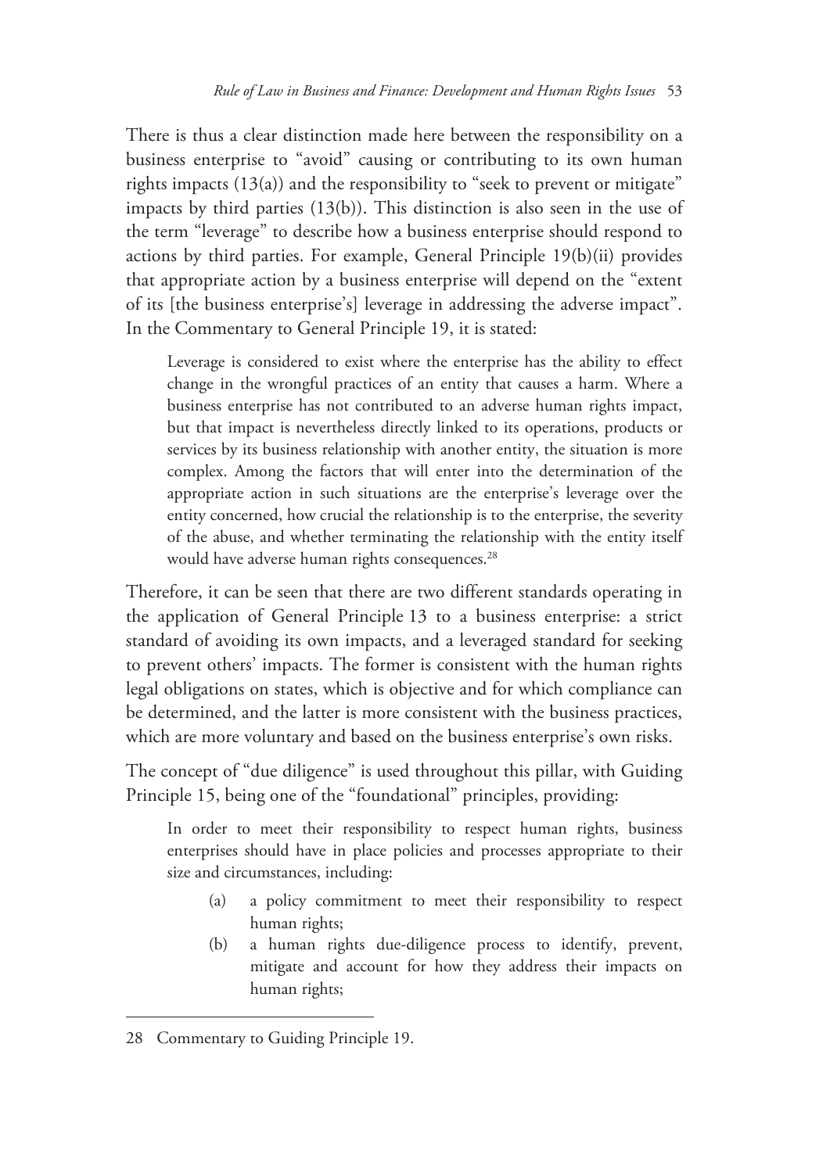There is thus a clear distinction made here between the responsibility on a business enterprise to "avoid" causing or contributing to its own human rights impacts  $(13(a))$  and the responsibility to "seek to prevent or mitigate" impacts by third parties (13(b)). This distinction is also seen in the use of the term "leverage" to describe how a business enterprise should respond to actions by third parties. For example, General Principle 19(b)(ii) provides that appropriate action by a business enterprise will depend on the "extent of its [the business enterprise's] leverage in addressing the adverse impact". In the Commentary to General Principle 19, it is stated:

Leverage is considered to exist where the enterprise has the ability to effect change in the wrongful practices of an entity that causes a harm. Where a business enterprise has not contributed to an adverse human rights impact, but that impact is nevertheless directly linked to its operations, products or services by its business relationship with another entity, the situation is more complex. Among the factors that will enter into the determination of the appropriate action in such situations are the enterprise's leverage over the entity concerned, how crucial the relationship is to the enterprise, the severity of the abuse, and whether terminating the relationship with the entity itself would have adverse human rights consequences.<sup>28</sup>

Therefore, it can be seen that there are two different standards operating in the application of General Principle 13 to a business enterprise: a strict standard of avoiding its own impacts, and a leveraged standard for seeking to prevent others' impacts. The former is consistent with the human rights legal obligations on states, which is objective and for which compliance can be determined, and the latter is more consistent with the business practices, which are more voluntary and based on the business enterprise's own risks.

The concept of "due diligence" is used throughout this pillar, with Guiding Principle 15, being one of the "foundational" principles, providing:

In order to meet their responsibility to respect human rights, business enterprises should have in place policies and processes appropriate to their size and circumstances, including:

- (a) a policy commitment to meet their responsibility to respect human rights;
- (b) a human rights due-diligence process to identify, prevent, mitigate and account for how they address their impacts on human rights;

<sup>28</sup> Commentary to Guiding Principle 19.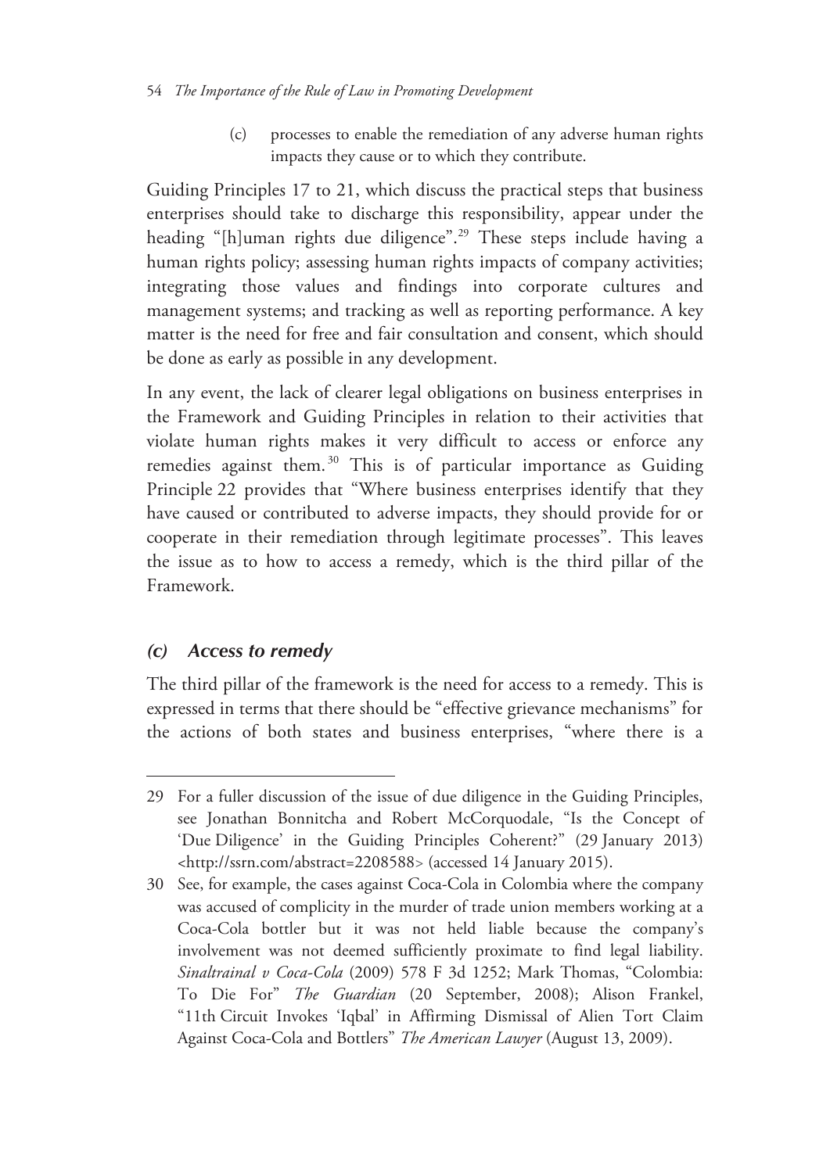#### 54 *The Importance of the Rule of Law in Promoting Development*

(c) processes to enable the remediation of any adverse human rights impacts they cause or to which they contribute.

Guiding Principles 17 to 21, which discuss the practical steps that business enterprises should take to discharge this responsibility, appear under the heading "[h]uman rights due diligence".<sup>29</sup> These steps include having a human rights policy; assessing human rights impacts of company activities; integrating those values and findings into corporate cultures and management systems; and tracking as well as reporting performance. A key matter is the need for free and fair consultation and consent, which should be done as early as possible in any development.

In any event, the lack of clearer legal obligations on business enterprises in the Framework and Guiding Principles in relation to their activities that violate human rights makes it very difficult to access or enforce any remedies against them.<sup>30</sup> This is of particular importance as Guiding Principle 22 provides that "Where business enterprises identify that they have caused or contributed to adverse impacts, they should provide for or cooperate in their remediation through legitimate processes". This leaves the issue as to how to access a remedy, which is the third pillar of the Framework.

#### *(c) Access to remedy*

 $\overline{a}$ 

The third pillar of the framework is the need for access to a remedy. This is expressed in terms that there should be "effective grievance mechanisms" for the actions of both states and business enterprises, "where there is a

<sup>29</sup> For a fuller discussion of the issue of due diligence in the Guiding Principles, see Jonathan Bonnitcha and Robert McCorquodale, "Is the Concept of 'Due Diligence' in the Guiding Principles Coherent?" (29 January 2013) <http://ssrn.com/abstract=2208588> (accessed 14 January 2015).

<sup>30</sup> See, for example, the cases against Coca-Cola in Colombia where the company was accused of complicity in the murder of trade union members working at a Coca-Cola bottler but it was not held liable because the company's involvement was not deemed sufficiently proximate to find legal liability. *Sinaltrainal v Coca-Cola* (2009) 578 F 3d 1252; Mark Thomas, "Colombia: To Die For" *The Guardian* (20 September, 2008); Alison Frankel, "11th Circuit Invokes 'Iqbal' in Affirming Dismissal of Alien Tort Claim Against Coca-Cola and Bottlers" *The American Lawyer* (August 13, 2009).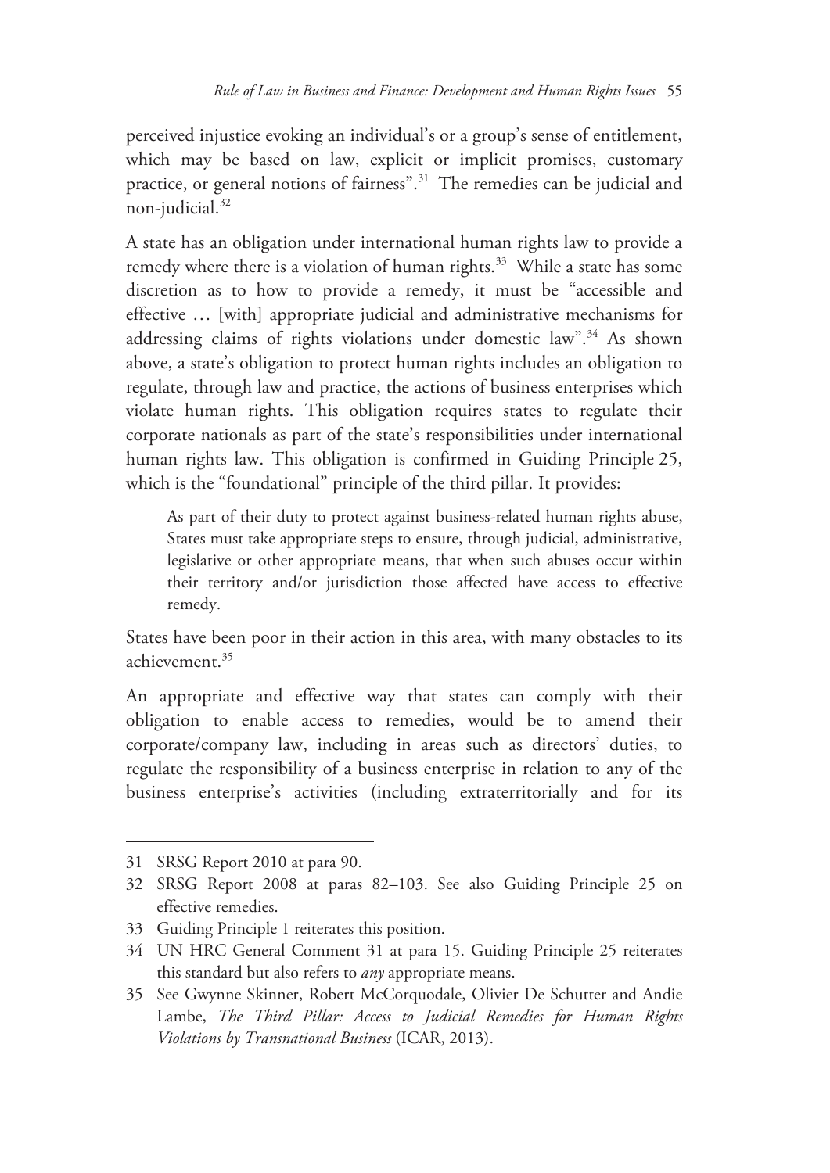perceived injustice evoking an individual's or a group's sense of entitlement, which may be based on law, explicit or implicit promises, customary practice, or general notions of fairness".31 The remedies can be judicial and non-judicial.<sup>32</sup>

A state has an obligation under international human rights law to provide a remedy where there is a violation of human rights.<sup>33</sup> While a state has some discretion as to how to provide a remedy, it must be "accessible and effective … [with] appropriate judicial and administrative mechanisms for addressing claims of rights violations under domestic law".<sup>34</sup> As shown above, a state's obligation to protect human rights includes an obligation to regulate, through law and practice, the actions of business enterprises which violate human rights. This obligation requires states to regulate their corporate nationals as part of the state's responsibilities under international human rights law. This obligation is confirmed in Guiding Principle 25, which is the "foundational" principle of the third pillar. It provides:

As part of their duty to protect against business-related human rights abuse, States must take appropriate steps to ensure, through judicial, administrative, legislative or other appropriate means, that when such abuses occur within their territory and/or jurisdiction those affected have access to effective remedy.

States have been poor in their action in this area, with many obstacles to its achievement.35

An appropriate and effective way that states can comply with their obligation to enable access to remedies, would be to amend their corporate/company law, including in areas such as directors' duties, to regulate the responsibility of a business enterprise in relation to any of the business enterprise's activities (including extraterritorially and for its

<sup>31</sup> SRSG Report 2010 at para 90.

<sup>32</sup> SRSG Report 2008 at paras 82–103. See also Guiding Principle 25 on effective remedies.

<sup>33</sup> Guiding Principle 1 reiterates this position.

<sup>34</sup> UN HRC General Comment 31 at para 15. Guiding Principle 25 reiterates this standard but also refers to *any* appropriate means.

<sup>35</sup> See Gwynne Skinner, Robert McCorquodale, Olivier De Schutter and Andie Lambe, *The Third Pillar: Access to Judicial Remedies for Human Rights Violations by Transnational Business* (ICAR, 2013).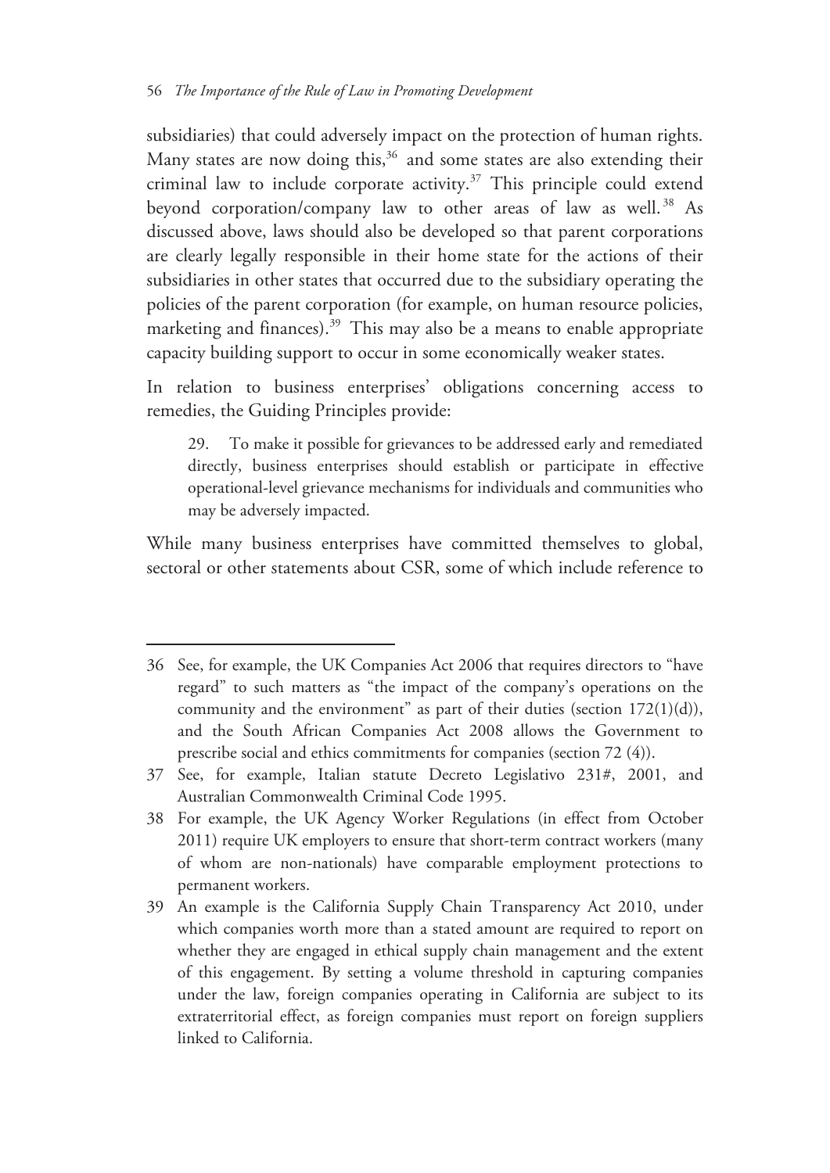subsidiaries) that could adversely impact on the protection of human rights. Many states are now doing this, $36$  and some states are also extending their criminal law to include corporate activity.<sup>37</sup> This principle could extend beyond corporation/company law to other areas of law as well.<sup>38</sup> As discussed above, laws should also be developed so that parent corporations are clearly legally responsible in their home state for the actions of their subsidiaries in other states that occurred due to the subsidiary operating the policies of the parent corporation (for example, on human resource policies, marketing and finances).<sup>39</sup> This may also be a means to enable appropriate capacity building support to occur in some economically weaker states.

In relation to business enterprises' obligations concerning access to remedies, the Guiding Principles provide:

29. To make it possible for grievances to be addressed early and remediated directly, business enterprises should establish or participate in effective operational-level grievance mechanisms for individuals and communities who may be adversely impacted.

While many business enterprises have committed themselves to global, sectoral or other statements about CSR, some of which include reference to

<sup>36</sup> See, for example, the UK Companies Act 2006 that requires directors to "have regard" to such matters as "the impact of the company's operations on the community and the environment" as part of their duties (section  $172(1)(d)$ ), and the South African Companies Act 2008 allows the Government to prescribe social and ethics commitments for companies (section 72 (4)).

<sup>37</sup> See, for example, Italian statute Decreto Legislativo 231#, 2001, and Australian Commonwealth Criminal Code 1995.

<sup>38</sup> For example, the UK Agency Worker Regulations (in effect from October 2011) require UK employers to ensure that short-term contract workers (many of whom are non-nationals) have comparable employment protections to permanent workers.

<sup>39</sup> An example is the California Supply Chain Transparency Act 2010, under which companies worth more than a stated amount are required to report on whether they are engaged in ethical supply chain management and the extent of this engagement. By setting a volume threshold in capturing companies under the law, foreign companies operating in California are subject to its extraterritorial effect, as foreign companies must report on foreign suppliers linked to California.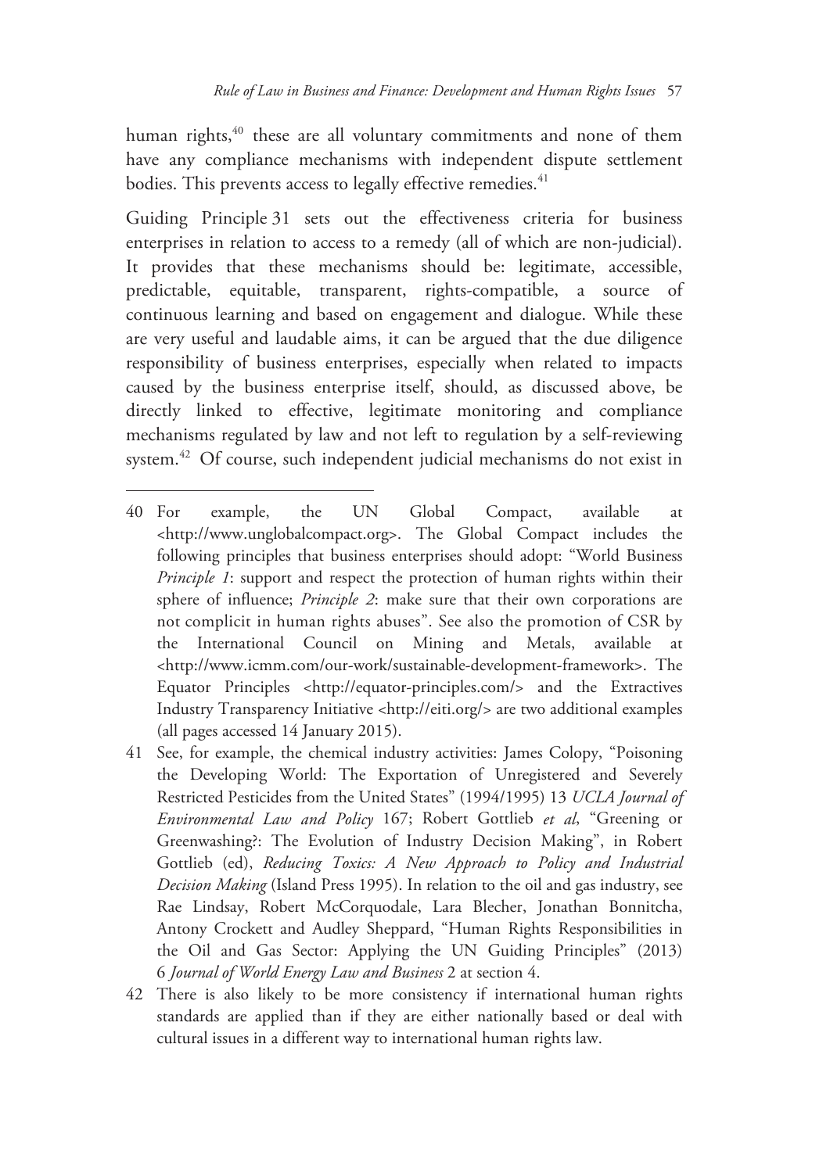human rights, $40$  these are all voluntary commitments and none of them have any compliance mechanisms with independent dispute settlement bodies. This prevents access to legally effective remedies.<sup>41</sup>

Guiding Principle 31 sets out the effectiveness criteria for business enterprises in relation to access to a remedy (all of which are non-judicial). It provides that these mechanisms should be: legitimate, accessible, predictable, equitable, transparent, rights-compatible, a source of continuous learning and based on engagement and dialogue. While these are very useful and laudable aims, it can be argued that the due diligence responsibility of business enterprises, especially when related to impacts caused by the business enterprise itself, should, as discussed above, be directly linked to effective, legitimate monitoring and compliance mechanisms regulated by law and not left to regulation by a self-reviewing system.42 Of course, such independent judicial mechanisms do not exist in

-

42 There is also likely to be more consistency if international human rights standards are applied than if they are either nationally based or deal with cultural issues in a different way to international human rights law.

<sup>40</sup> For example, the UN Global Compact, available at <http://www.unglobalcompact.org>. The Global Compact includes the following principles that business enterprises should adopt: "World Business *Principle 1*: support and respect the protection of human rights within their sphere of influence; *Principle 2*: make sure that their own corporations are not complicit in human rights abuses". See also the promotion of CSR by the International Council on Mining and Metals, available at <http://www.icmm.com/our-work/sustainable-development-framework>. The Equator Principles <http://equator-principles.com/> and the Extractives Industry Transparency Initiative <http://eiti.org/> are two additional examples (all pages accessed 14 January 2015).

<sup>41</sup> See, for example, the chemical industry activities: James Colopy, "Poisoning the Developing World: The Exportation of Unregistered and Severely Restricted Pesticides from the United States" (1994/1995) 13 *UCLA Journal of Environmental Law and Policy* 167; Robert Gottlieb *et al*, "Greening or Greenwashing?: The Evolution of Industry Decision Making", in Robert Gottlieb (ed), *Reducing Toxics: A New Approach to Policy and Industrial Decision Making* (Island Press 1995). In relation to the oil and gas industry, see Rae Lindsay, Robert McCorquodale, Lara Blecher, Jonathan Bonnitcha, Antony Crockett and Audley Sheppard, "Human Rights Responsibilities in the Oil and Gas Sector: Applying the UN Guiding Principles" (2013) 6 *Journal of World Energy Law and Business* 2 at section 4.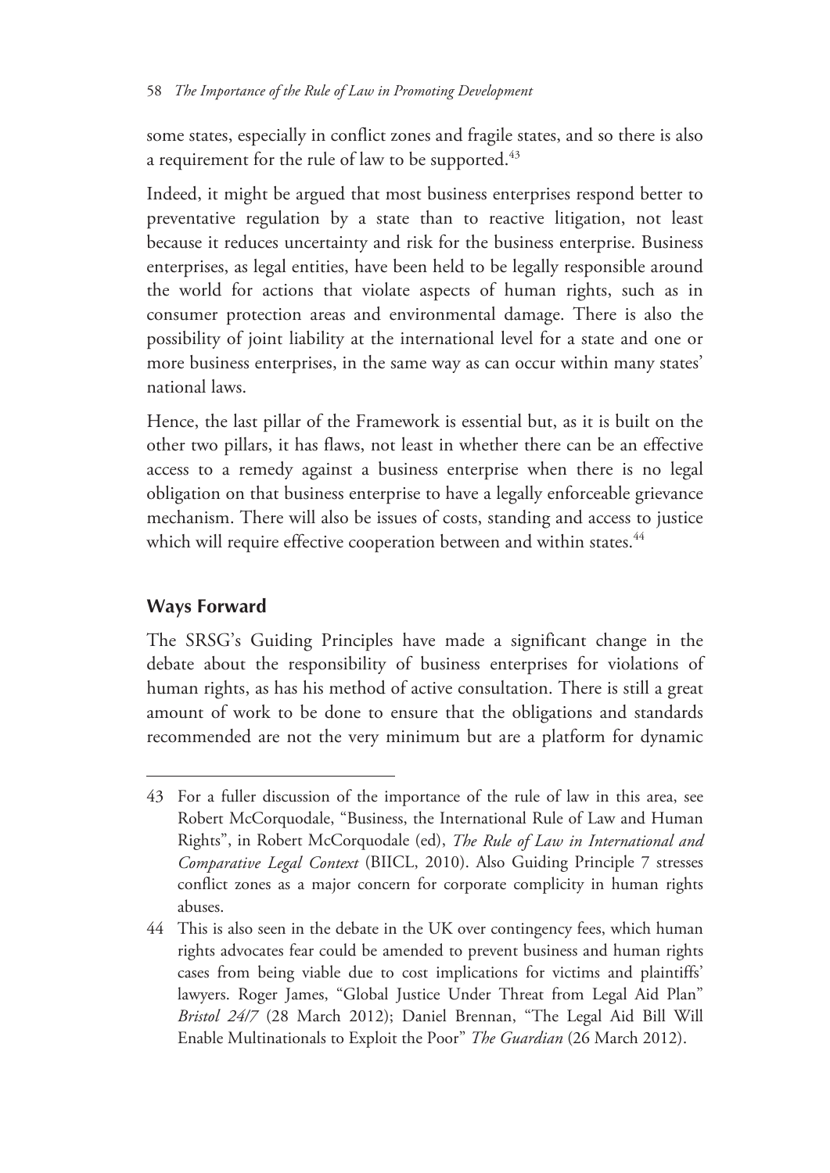some states, especially in conflict zones and fragile states, and so there is also a requirement for the rule of law to be supported.<sup>43</sup>

Indeed, it might be argued that most business enterprises respond better to preventative regulation by a state than to reactive litigation, not least because it reduces uncertainty and risk for the business enterprise. Business enterprises, as legal entities, have been held to be legally responsible around the world for actions that violate aspects of human rights, such as in consumer protection areas and environmental damage. There is also the possibility of joint liability at the international level for a state and one or more business enterprises, in the same way as can occur within many states' national laws.

Hence, the last pillar of the Framework is essential but, as it is built on the other two pillars, it has flaws, not least in whether there can be an effective access to a remedy against a business enterprise when there is no legal obligation on that business enterprise to have a legally enforceable grievance mechanism. There will also be issues of costs, standing and access to justice which will require effective cooperation between and within states.<sup>44</sup>

# **Ways Forward**

 $\overline{a}$ 

The SRSG's Guiding Principles have made a significant change in the debate about the responsibility of business enterprises for violations of human rights, as has his method of active consultation. There is still a great amount of work to be done to ensure that the obligations and standards recommended are not the very minimum but are a platform for dynamic

<sup>43</sup> For a fuller discussion of the importance of the rule of law in this area, see Robert McCorquodale, "Business, the International Rule of Law and Human Rights", in Robert McCorquodale (ed), *The Rule of Law in International and Comparative Legal Context* (BIICL, 2010). Also Guiding Principle 7 stresses conflict zones as a major concern for corporate complicity in human rights abuses.

<sup>44</sup> This is also seen in the debate in the UK over contingency fees, which human rights advocates fear could be amended to prevent business and human rights cases from being viable due to cost implications for victims and plaintiffs' lawyers. Roger James, "Global Justice Under Threat from Legal Aid Plan" *Bristol 24/7* (28 March 2012); Daniel Brennan, "The Legal Aid Bill Will Enable Multinationals to Exploit the Poor" *The Guardian* (26 March 2012).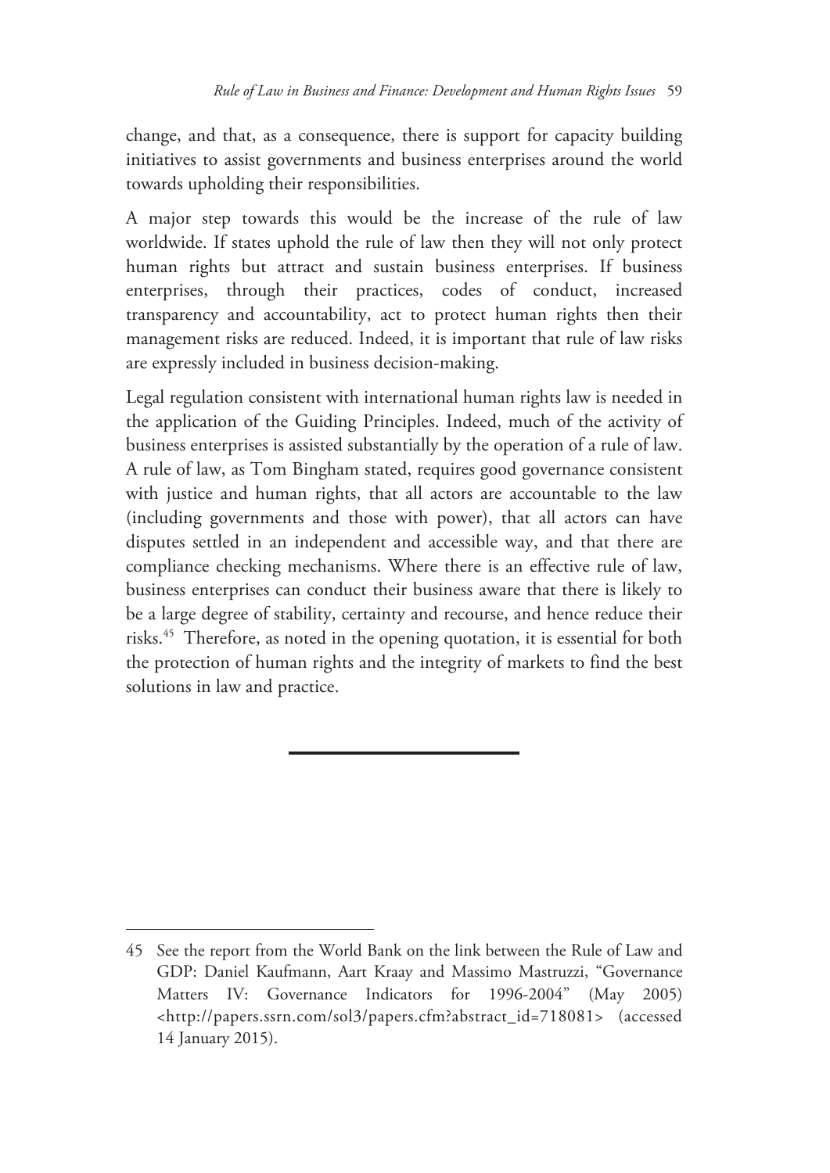change, and that, as a consequence, there is support for capacity building initiatives to assist governments and business enterprises around the world towards upholding their responsibilities.

A major step towards this would be the increase of the rule of law worldwide. If states uphold the rule of law then they will not only protect human rights but attract and sustain business enterprises. If business enterprises, through their practices, codes of conduct, increased transparency and accountability, act to protect human rights then their management risks are reduced. Indeed, it is important that rule of law risks are expressly included in business decision-making.

Legal regulation consistent with international human rights law is needed in the application of the Guiding Principles. Indeed, much of the activity of business enterprises is assisted substantially by the operation of a rule of law. A rule of law, as Tom Bingham stated, requires good governance consistent with justice and human rights, that all actors are accountable to the law (including governments and those with power), that all actors can have disputes settled in an independent and accessible way, and that there are compliance checking mechanisms. Where there is an effective rule of law, business enterprises can conduct their business aware that there is likely to be a large degree of stability, certainty and recourse, and hence reduce their risks.45 Therefore, as noted in the opening quotation, it is essential for both the protection of human rights and the integrity of markets to find the best solutions in law and practice.

<sup>45</sup> See the report from the World Bank on the link between the Rule of Law and GDP: Daniel Kaufmann, Aart Kraay and Massimo Mastruzzi, "Governance Matters IV: Governance Indicators for 1996-2004" (May 2005) <http://papers.ssrn.com/sol3/papers.cfm?abstract\_id=718081> (accessed 14 January 2015).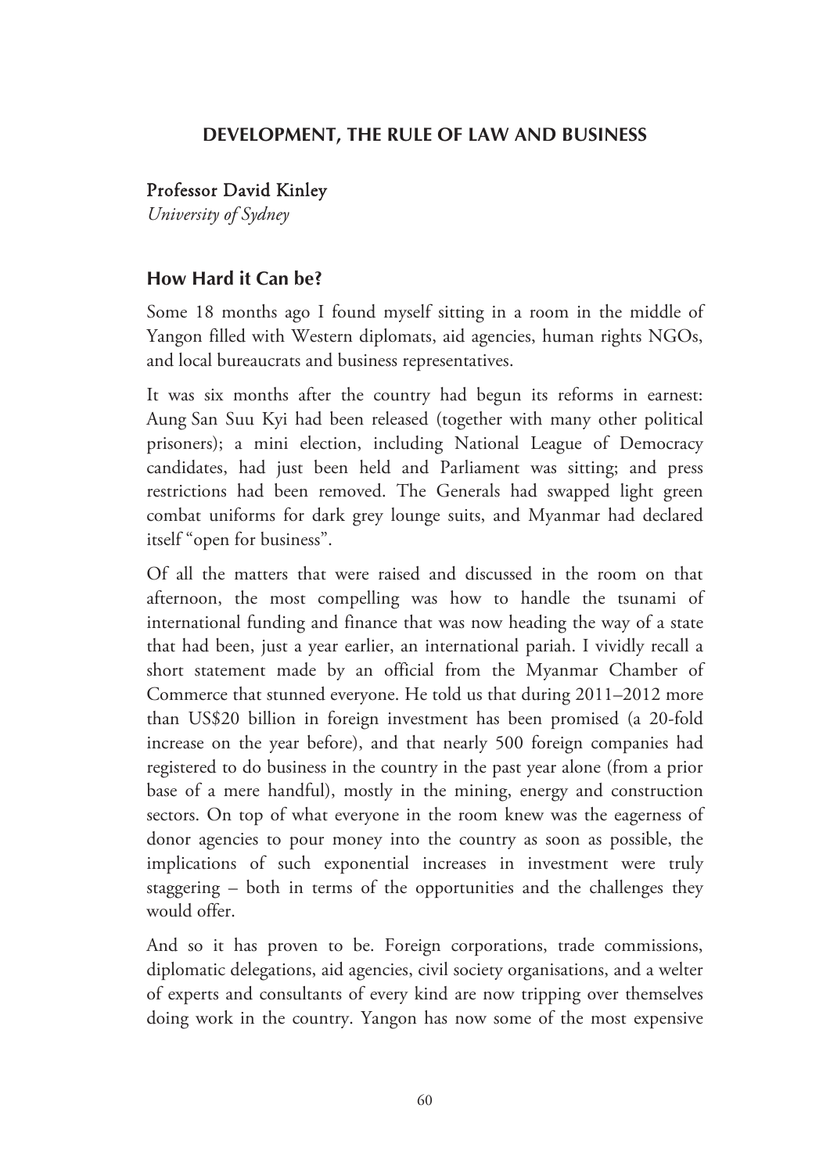#### **DEVELOPMENT, THE RULE OF LAW AND BUSINESS**

#### Professor David Kinley

*University of Sydney* 

#### **How Hard it Can be?**

Some 18 months ago I found myself sitting in a room in the middle of Yangon filled with Western diplomats, aid agencies, human rights NGOs, and local bureaucrats and business representatives.

It was six months after the country had begun its reforms in earnest: Aung San Suu Kyi had been released (together with many other political prisoners); a mini election, including National League of Democracy candidates, had just been held and Parliament was sitting; and press restrictions had been removed. The Generals had swapped light green combat uniforms for dark grey lounge suits, and Myanmar had declared itself "open for business".

Of all the matters that were raised and discussed in the room on that afternoon, the most compelling was how to handle the tsunami of international funding and finance that was now heading the way of a state that had been, just a year earlier, an international pariah. I vividly recall a short statement made by an official from the Myanmar Chamber of Commerce that stunned everyone. He told us that during 2011–2012 more than US\$20 billion in foreign investment has been promised (a 20-fold increase on the year before), and that nearly 500 foreign companies had registered to do business in the country in the past year alone (from a prior base of a mere handful), mostly in the mining, energy and construction sectors. On top of what everyone in the room knew was the eagerness of donor agencies to pour money into the country as soon as possible, the implications of such exponential increases in investment were truly staggering – both in terms of the opportunities and the challenges they would offer.

And so it has proven to be. Foreign corporations, trade commissions, diplomatic delegations, aid agencies, civil society organisations, and a welter of experts and consultants of every kind are now tripping over themselves doing work in the country. Yangon has now some of the most expensive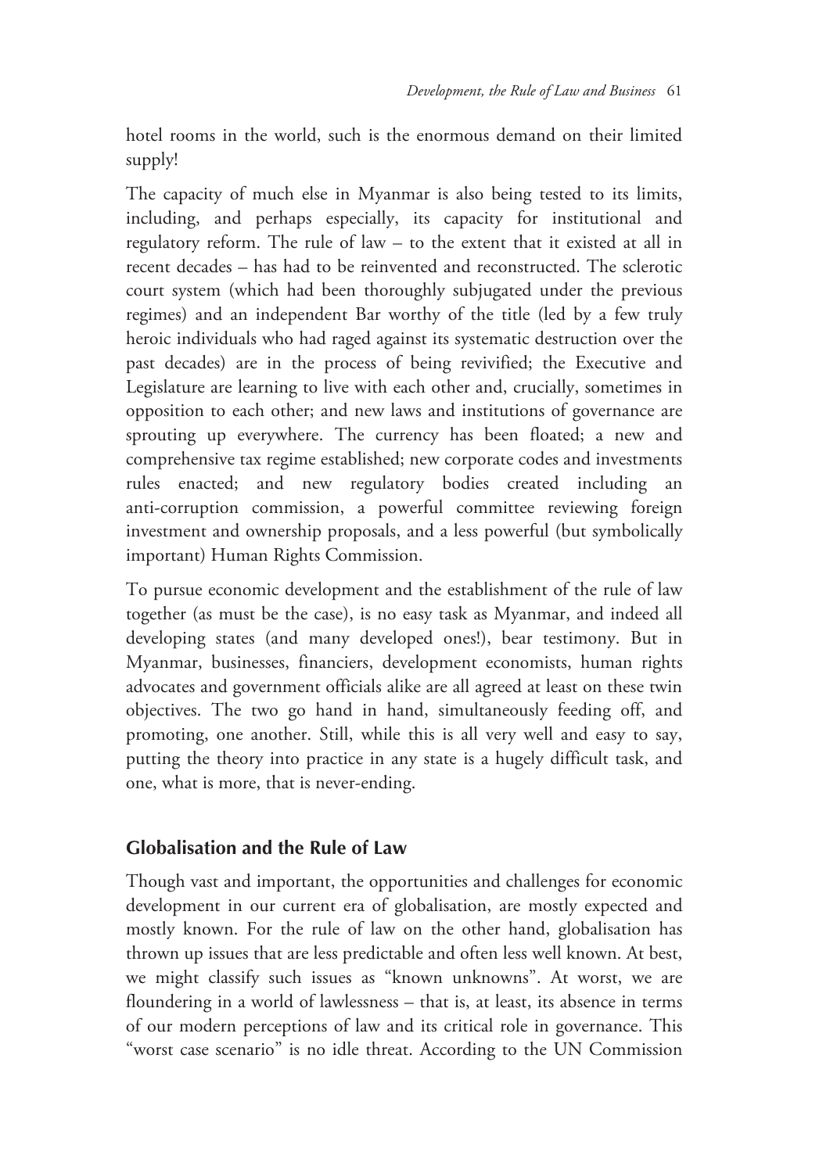hotel rooms in the world, such is the enormous demand on their limited supply!

The capacity of much else in Myanmar is also being tested to its limits, including, and perhaps especially, its capacity for institutional and regulatory reform. The rule of law – to the extent that it existed at all in recent decades – has had to be reinvented and reconstructed. The sclerotic court system (which had been thoroughly subjugated under the previous regimes) and an independent Bar worthy of the title (led by a few truly heroic individuals who had raged against its systematic destruction over the past decades) are in the process of being revivified; the Executive and Legislature are learning to live with each other and, crucially, sometimes in opposition to each other; and new laws and institutions of governance are sprouting up everywhere. The currency has been floated; a new and comprehensive tax regime established; new corporate codes and investments rules enacted; and new regulatory bodies created including an anti-corruption commission, a powerful committee reviewing foreign investment and ownership proposals, and a less powerful (but symbolically important) Human Rights Commission.

To pursue economic development and the establishment of the rule of law together (as must be the case), is no easy task as Myanmar, and indeed all developing states (and many developed ones!), bear testimony. But in Myanmar, businesses, financiers, development economists, human rights advocates and government officials alike are all agreed at least on these twin objectives. The two go hand in hand, simultaneously feeding off, and promoting, one another. Still, while this is all very well and easy to say, putting the theory into practice in any state is a hugely difficult task, and one, what is more, that is never-ending.

#### **Globalisation and the Rule of Law**

Though vast and important, the opportunities and challenges for economic development in our current era of globalisation, are mostly expected and mostly known. For the rule of law on the other hand, globalisation has thrown up issues that are less predictable and often less well known. At best, we might classify such issues as "known unknowns". At worst, we are floundering in a world of lawlessness – that is, at least, its absence in terms of our modern perceptions of law and its critical role in governance. This "worst case scenario" is no idle threat. According to the UN Commission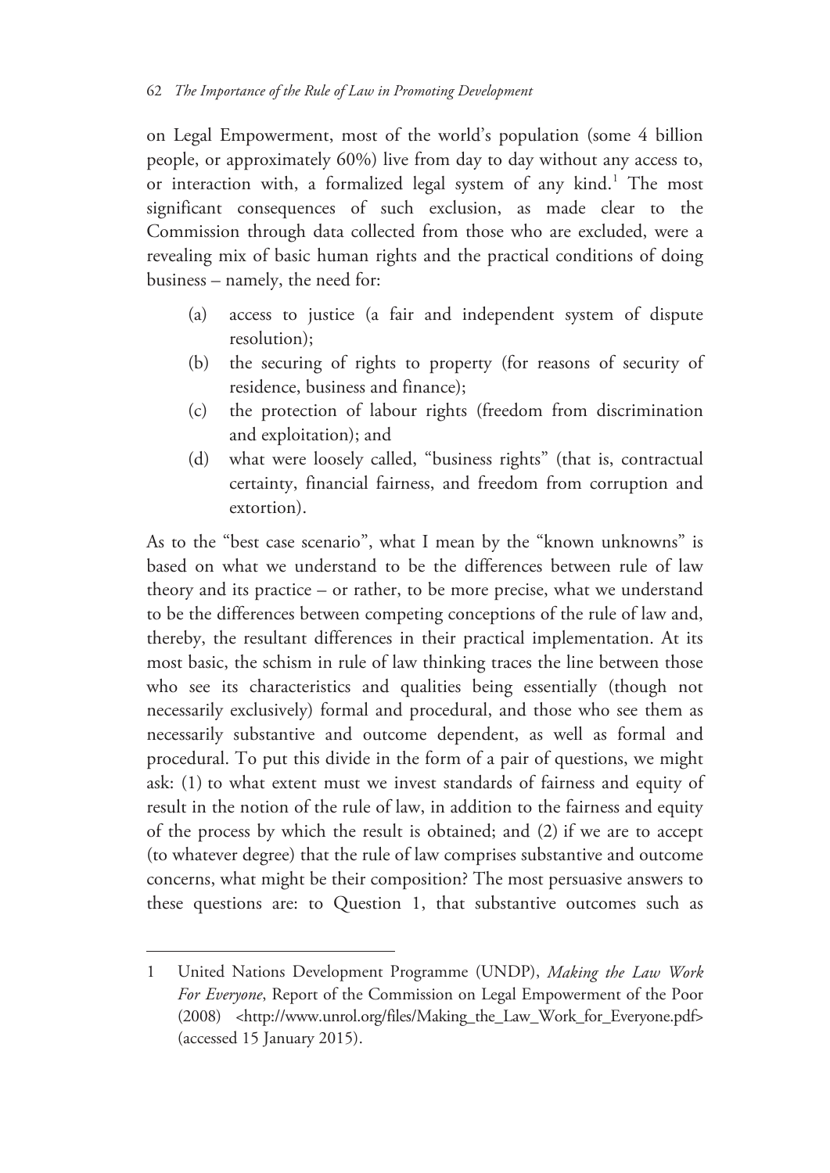on Legal Empowerment, most of the world's population (some 4 billion people, or approximately 60%) live from day to day without any access to, or interaction with, a formalized legal system of any kind.<sup>1</sup> The most significant consequences of such exclusion, as made clear to the Commission through data collected from those who are excluded, were a revealing mix of basic human rights and the practical conditions of doing business – namely, the need for:

- (a) access to justice (a fair and independent system of dispute resolution);
- (b) the securing of rights to property (for reasons of security of residence, business and finance);
- (c) the protection of labour rights (freedom from discrimination and exploitation); and
- (d) what were loosely called, "business rights" (that is, contractual certainty, financial fairness, and freedom from corruption and extortion).

As to the "best case scenario", what I mean by the "known unknowns" is based on what we understand to be the differences between rule of law theory and its practice – or rather, to be more precise, what we understand to be the differences between competing conceptions of the rule of law and, thereby, the resultant differences in their practical implementation. At its most basic, the schism in rule of law thinking traces the line between those who see its characteristics and qualities being essentially (though not necessarily exclusively) formal and procedural, and those who see them as necessarily substantive and outcome dependent, as well as formal and procedural. To put this divide in the form of a pair of questions, we might ask: (1) to what extent must we invest standards of fairness and equity of result in the notion of the rule of law, in addition to the fairness and equity of the process by which the result is obtained; and (2) if we are to accept (to whatever degree) that the rule of law comprises substantive and outcome concerns, what might be their composition? The most persuasive answers to these questions are: to Question 1, that substantive outcomes such as

<sup>1</sup> United Nations Development Programme (UNDP), *Making the Law Work For Everyone*, Report of the Commission on Legal Empowerment of the Poor (2008) <http://www.unrol.org/files/Making\_the\_Law\_Work\_for\_Everyone.pdf> (accessed 15 January 2015).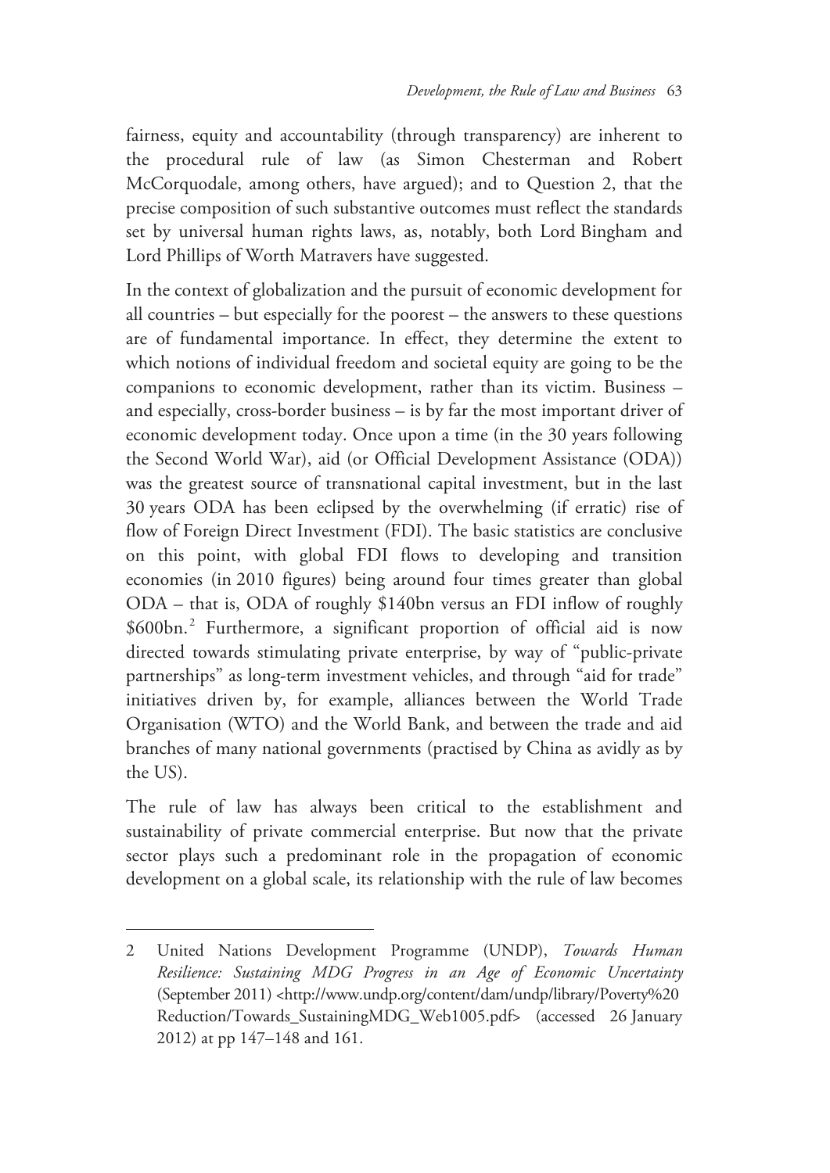fairness, equity and accountability (through transparency) are inherent to the procedural rule of law (as Simon Chesterman and Robert McCorquodale, among others, have argued); and to Question 2, that the precise composition of such substantive outcomes must reflect the standards set by universal human rights laws, as, notably, both Lord Bingham and Lord Phillips of Worth Matravers have suggested.

In the context of globalization and the pursuit of economic development for all countries – but especially for the poorest – the answers to these questions are of fundamental importance. In effect, they determine the extent to which notions of individual freedom and societal equity are going to be the companions to economic development, rather than its victim. Business – and especially, cross-border business – is by far the most important driver of economic development today. Once upon a time (in the 30 years following the Second World War), aid (or Official Development Assistance (ODA)) was the greatest source of transnational capital investment, but in the last 30 years ODA has been eclipsed by the overwhelming (if erratic) rise of flow of Foreign Direct Investment (FDI). The basic statistics are conclusive on this point, with global FDI flows to developing and transition economies (in 2010 figures) being around four times greater than global ODA – that is, ODA of roughly \$140bn versus an FDI inflow of roughly \$600bn.<sup>2</sup> Furthermore, a significant proportion of official aid is now directed towards stimulating private enterprise, by way of "public-private partnerships" as long-term investment vehicles, and through "aid for trade" initiatives driven by, for example, alliances between the World Trade Organisation (WTO) and the World Bank, and between the trade and aid branches of many national governments (practised by China as avidly as by the US).

The rule of law has always been critical to the establishment and sustainability of private commercial enterprise. But now that the private sector plays such a predominant role in the propagation of economic development on a global scale, its relationship with the rule of law becomes

<sup>2</sup> United Nations Development Programme (UNDP), *Towards Human Resilience: Sustaining MDG Progress in an Age of Economic Uncertainty* (September 2011) <http://www.undp.org/content/dam/undp/library/Poverty%20 Reduction/Towards\_SustainingMDG\_Web1005.pdf> (accessed 26 January 2012) at pp 147–148 and 161.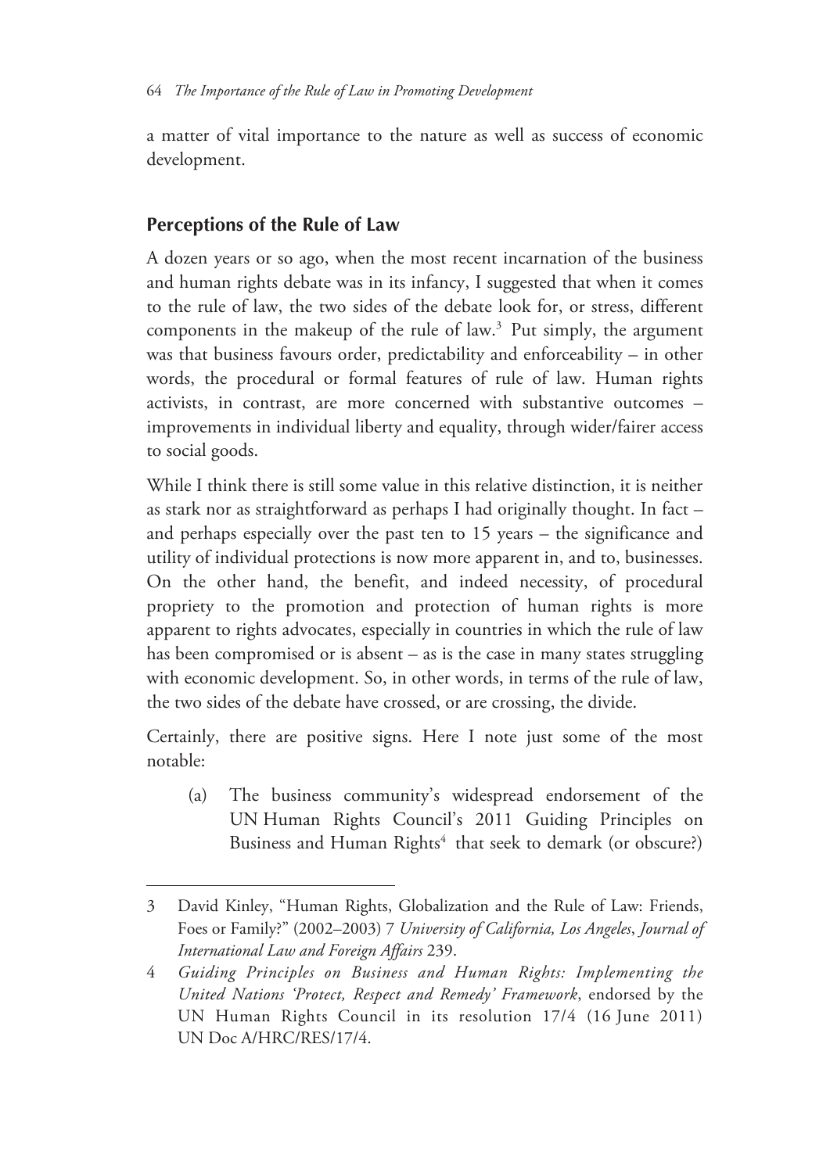a matter of vital importance to the nature as well as success of economic development.

## **Perceptions of the Rule of Law**

 $\overline{a}$ 

A dozen years or so ago, when the most recent incarnation of the business and human rights debate was in its infancy, I suggested that when it comes to the rule of law, the two sides of the debate look for, or stress, different components in the makeup of the rule of law.<sup>3</sup> Put simply, the argument was that business favours order, predictability and enforceability – in other words, the procedural or formal features of rule of law. Human rights activists, in contrast, are more concerned with substantive outcomes – improvements in individual liberty and equality, through wider/fairer access to social goods.

While I think there is still some value in this relative distinction, it is neither as stark nor as straightforward as perhaps I had originally thought. In fact – and perhaps especially over the past ten to 15 years – the significance and utility of individual protections is now more apparent in, and to, businesses. On the other hand, the benefit, and indeed necessity, of procedural propriety to the promotion and protection of human rights is more apparent to rights advocates, especially in countries in which the rule of law has been compromised or is absent – as is the case in many states struggling with economic development. So, in other words, in terms of the rule of law, the two sides of the debate have crossed, or are crossing, the divide.

Certainly, there are positive signs. Here I note just some of the most notable:

(a) The business community's widespread endorsement of the UN Human Rights Council's 2011 Guiding Principles on Business and Human Rights<sup>4</sup> that seek to demark (or obscure?)

<sup>3</sup> David Kinley, "Human Rights, Globalization and the Rule of Law: Friends, Foes or Family?" (2002–2003) 7 *University of California, Los Angeles*, *Journal of International Law and Foreign Affairs* 239.

<sup>4</sup> *Guiding Principles on Business and Human Rights: Implementing the United Nations 'Protect, Respect and Remedy' Framework*, endorsed by the UN Human Rights Council in its resolution 17/4 (16 June 2011) UN Doc A/HRC/RES/17/4.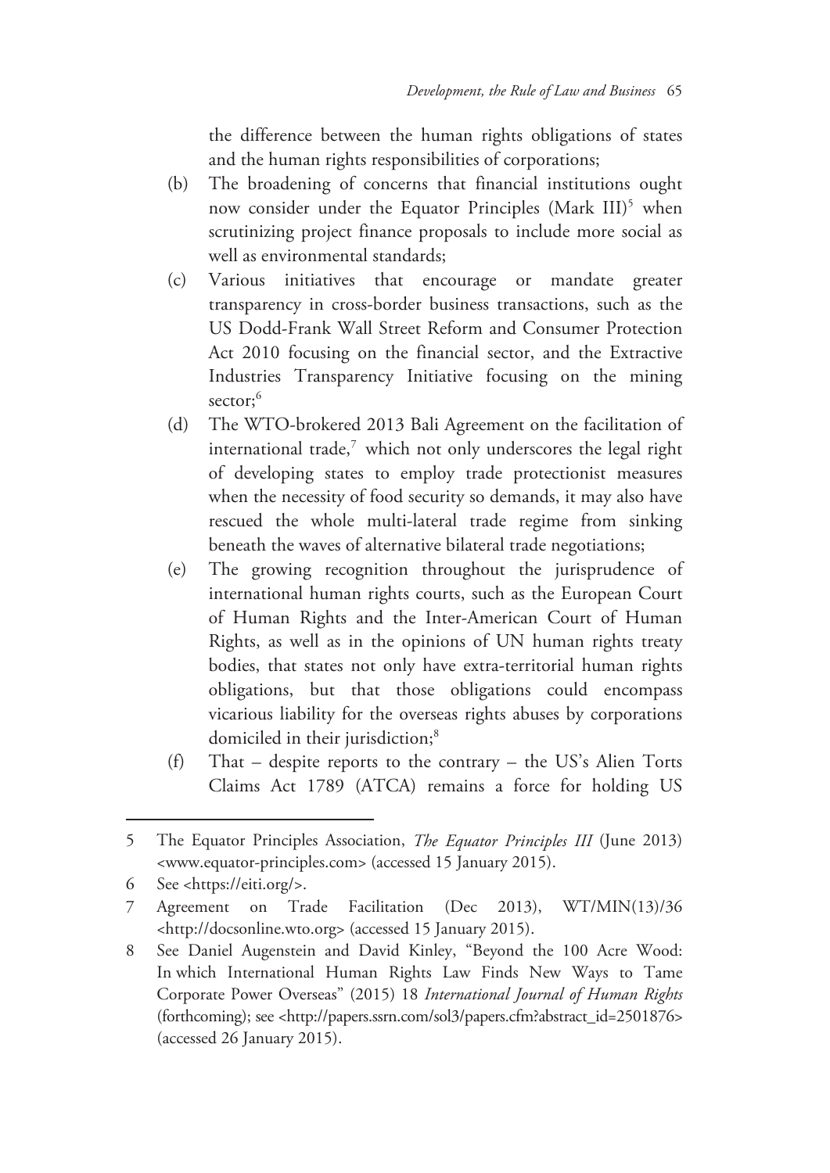the difference between the human rights obligations of states and the human rights responsibilities of corporations;

- (b) The broadening of concerns that financial institutions ought now consider under the Equator Principles (Mark III)<sup>5</sup> when scrutinizing project finance proposals to include more social as well as environmental standards;
- (c) Various initiatives that encourage or mandate greater transparency in cross-border business transactions, such as the US Dodd-Frank Wall Street Reform and Consumer Protection Act 2010 focusing on the financial sector, and the Extractive Industries Transparency Initiative focusing on the mining sector;<sup>6</sup>
- (d) The WTO-brokered 2013 Bali Agreement on the facilitation of international trade, $7$  which not only underscores the legal right of developing states to employ trade protectionist measures when the necessity of food security so demands, it may also have rescued the whole multi-lateral trade regime from sinking beneath the waves of alternative bilateral trade negotiations;
- (e) The growing recognition throughout the jurisprudence of international human rights courts, such as the European Court of Human Rights and the Inter-American Court of Human Rights, as well as in the opinions of UN human rights treaty bodies, that states not only have extra-territorial human rights obligations, but that those obligations could encompass vicarious liability for the overseas rights abuses by corporations domiciled in their jurisdiction;<sup>8</sup>
- (f) That despite reports to the contrary the US's Alien Torts Claims Act 1789 (ATCA) remains a force for holding US

<sup>5</sup> The Equator Principles Association, *The Equator Principles III* (June 2013) <www.equator-principles.com> (accessed 15 January 2015).

<sup>6</sup> See <https://eiti.org/>.

<sup>7</sup> Agreement on Trade Facilitation (Dec 2013), WT/MIN(13)/36 <http://docsonline.wto.org> (accessed 15 January 2015).

<sup>8</sup> See Daniel Augenstein and David Kinley, "Beyond the 100 Acre Wood: In which International Human Rights Law Finds New Ways to Tame Corporate Power Overseas" (2015) 18 *International Journal of Human Rights* (forthcoming); see <http://papers.ssrn.com/sol3/papers.cfm?abstract\_id=2501876> (accessed 26 January 2015).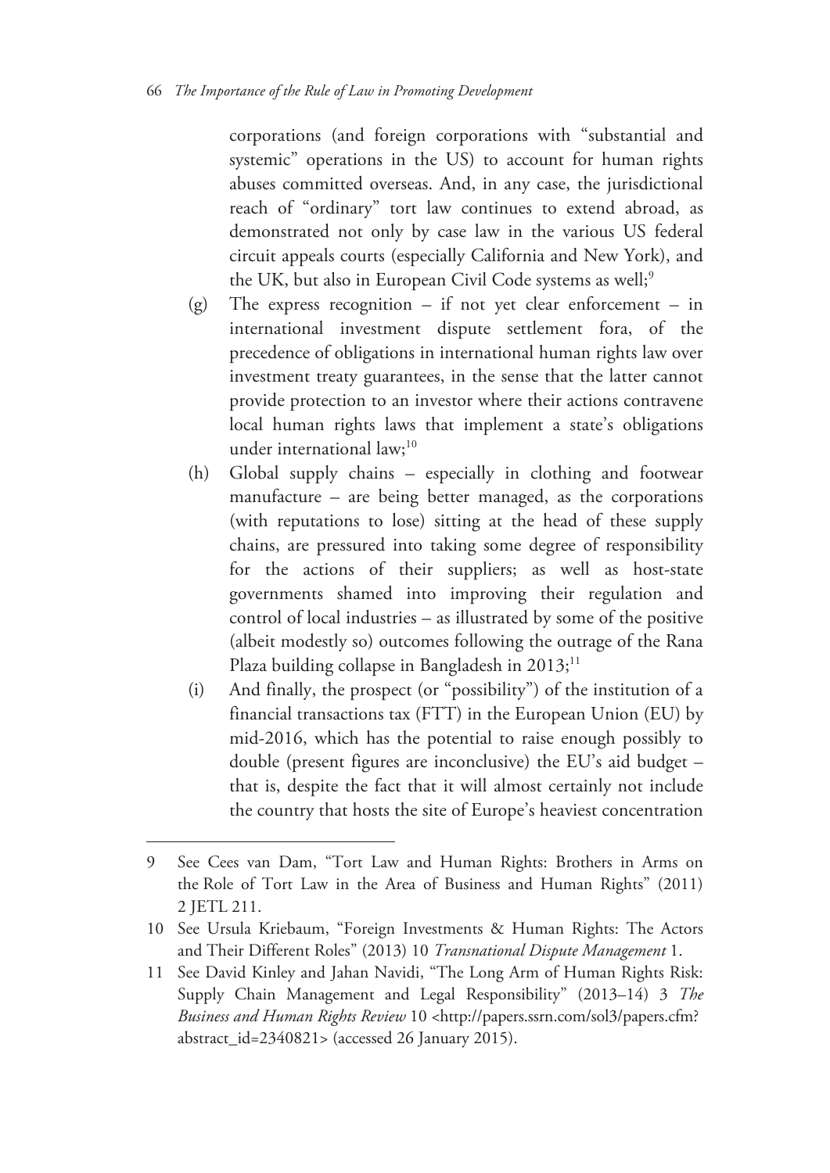corporations (and foreign corporations with "substantial and systemic" operations in the US) to account for human rights abuses committed overseas. And, in any case, the jurisdictional reach of "ordinary" tort law continues to extend abroad, as demonstrated not only by case law in the various US federal circuit appeals courts (especially California and New York), and the UK, but also in European Civil Code systems as well;<sup>9</sup>

- (g) The express recognition if not yet clear enforcement in international investment dispute settlement fora, of the precedence of obligations in international human rights law over investment treaty guarantees, in the sense that the latter cannot provide protection to an investor where their actions contravene local human rights laws that implement a state's obligations under international law;<sup>10</sup>
- (h) Global supply chains especially in clothing and footwear manufacture – are being better managed, as the corporations (with reputations to lose) sitting at the head of these supply chains, are pressured into taking some degree of responsibility for the actions of their suppliers; as well as host-state governments shamed into improving their regulation and control of local industries – as illustrated by some of the positive (albeit modestly so) outcomes following the outrage of the Rana Plaza building collapse in Bangladesh in  $2013$ ;<sup>11</sup>
- (i) And finally, the prospect (or "possibility") of the institution of a financial transactions tax (FTT) in the European Union (EU) by mid-2016, which has the potential to raise enough possibly to double (present figures are inconclusive) the EU's aid budget – that is, despite the fact that it will almost certainly not include the country that hosts the site of Europe's heaviest concentration

<sup>9</sup> See Cees van Dam, "Tort Law and Human Rights: Brothers in Arms on the Role of Tort Law in the Area of Business and Human Rights" (2011) 2 JETL 211.

<sup>10</sup> See Ursula Kriebaum, "Foreign Investments & Human Rights: The Actors and Their Different Roles" (2013) 10 *Transnational Dispute Management* 1.

<sup>11</sup> See David Kinley and Jahan Navidi, "The Long Arm of Human Rights Risk: Supply Chain Management and Legal Responsibility" (2013–14) 3 *The Business and Human Rights Review* 10 <http://papers.ssrn.com/sol3/papers.cfm? abstract\_id=2340821> (accessed 26 January 2015).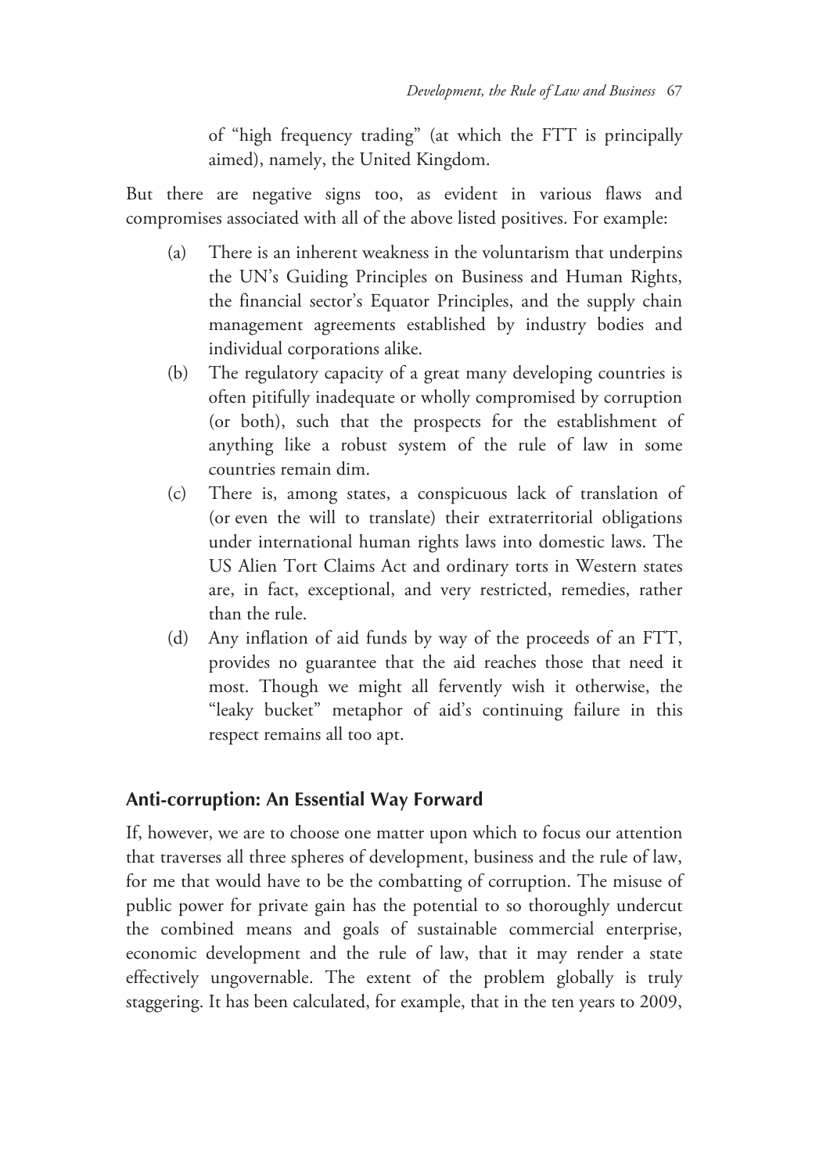of "high frequency trading" (at which the FTT is principally aimed), namely, the United Kingdom.

But there are negative signs too, as evident in various flaws and compromises associated with all of the above listed positives. For example:

- (a) There is an inherent weakness in the voluntarism that underpins the UN's Guiding Principles on Business and Human Rights, the financial sector's Equator Principles, and the supply chain management agreements established by industry bodies and individual corporations alike.
- (b) The regulatory capacity of a great many developing countries is often pitifully inadequate or wholly compromised by corruption (or both), such that the prospects for the establishment of anything like a robust system of the rule of law in some countries remain dim.
- (c) There is, among states, a conspicuous lack of translation of (or even the will to translate) their extraterritorial obligations under international human rights laws into domestic laws. The US Alien Tort Claims Act and ordinary torts in Western states are, in fact, exceptional, and very restricted, remedies, rather than the rule.
- (d) Any inflation of aid funds by way of the proceeds of an FTT, provides no guarantee that the aid reaches those that need it most. Though we might all fervently wish it otherwise, the "leaky bucket" metaphor of aid's continuing failure in this respect remains all too apt.

#### **Anti-corruption: An Essential Way Forward**

If, however, we are to choose one matter upon which to focus our attention that traverses all three spheres of development, business and the rule of law, for me that would have to be the combatting of corruption. The misuse of public power for private gain has the potential to so thoroughly undercut the combined means and goals of sustainable commercial enterprise, economic development and the rule of law, that it may render a state effectively ungovernable. The extent of the problem globally is truly staggering. It has been calculated, for example, that in the ten years to 2009,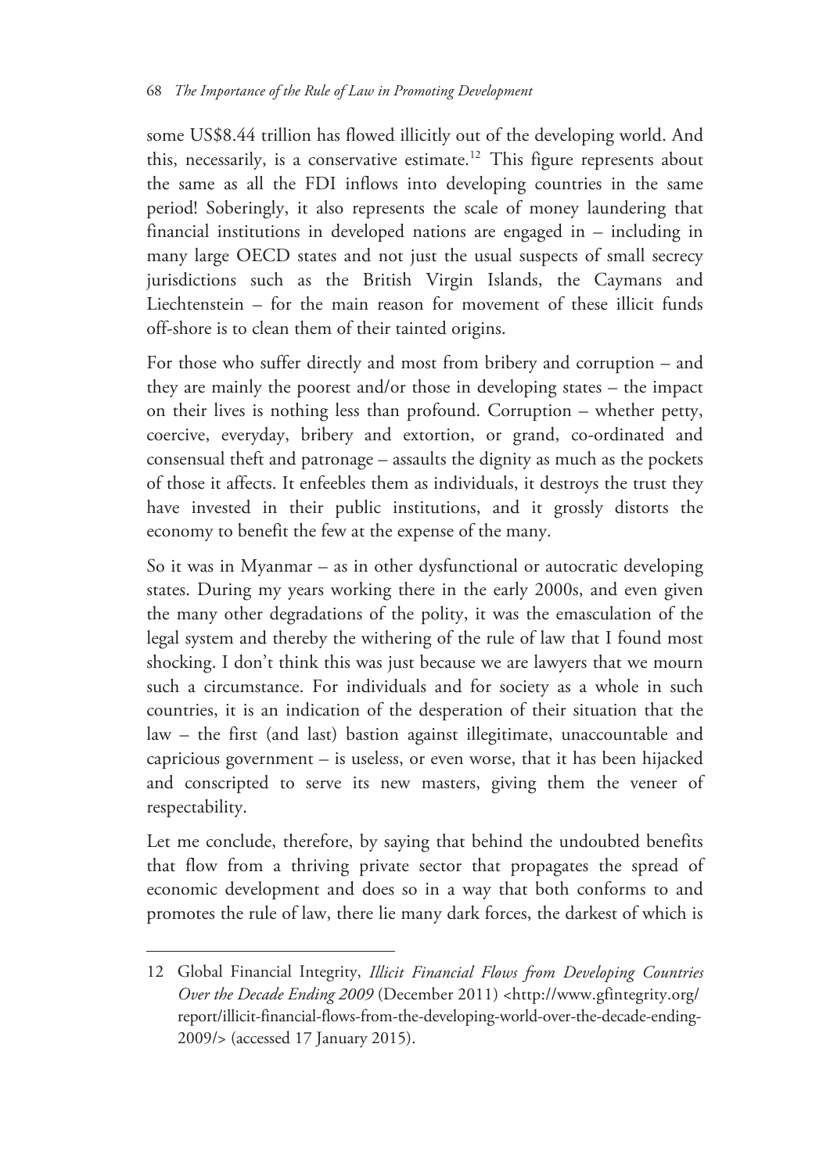some US\$8.44 trillion has flowed illicitly out of the developing world. And this, necessarily, is a conservative estimate.<sup>12</sup> This figure represents about the same as all the FDI inflows into developing countries in the same period! Soberingly, it also represents the scale of money laundering that financial institutions in developed nations are engaged in – including in many large OECD states and not just the usual suspects of small secrecy jurisdictions such as the British Virgin Islands, the Caymans and Liechtenstein – for the main reason for movement of these illicit funds off-shore is to clean them of their tainted origins.

For those who suffer directly and most from bribery and corruption – and they are mainly the poorest and/or those in developing states – the impact on their lives is nothing less than profound. Corruption – whether petty, coercive, everyday, bribery and extortion, or grand, co-ordinated and consensual theft and patronage – assaults the dignity as much as the pockets of those it affects. It enfeebles them as individuals, it destroys the trust they have invested in their public institutions, and it grossly distorts the economy to benefit the few at the expense of the many.

So it was in Myanmar – as in other dysfunctional or autocratic developing states. During my years working there in the early 2000s, and even given the many other degradations of the polity, it was the emasculation of the legal system and thereby the withering of the rule of law that I found most shocking. I don't think this was just because we are lawyers that we mourn such a circumstance. For individuals and for society as a whole in such countries, it is an indication of the desperation of their situation that the law – the first (and last) bastion against illegitimate, unaccountable and capricious government – is useless, or even worse, that it has been hijacked and conscripted to serve its new masters, giving them the veneer of respectability.

Let me conclude, therefore, by saying that behind the undoubted benefits that flow from a thriving private sector that propagates the spread of economic development and does so in a way that both conforms to and promotes the rule of law, there lie many dark forces, the darkest of which is

<sup>12</sup> Global Financial Integrity, *Illicit Financial Flows from Developing Countries Over the Decade Ending 2009* (December 2011) <http://www.gfintegrity.org/ report/illicit-financial-flows-from-the-developing-world-over-the-decade-ending-2009/> (accessed 17 January 2015).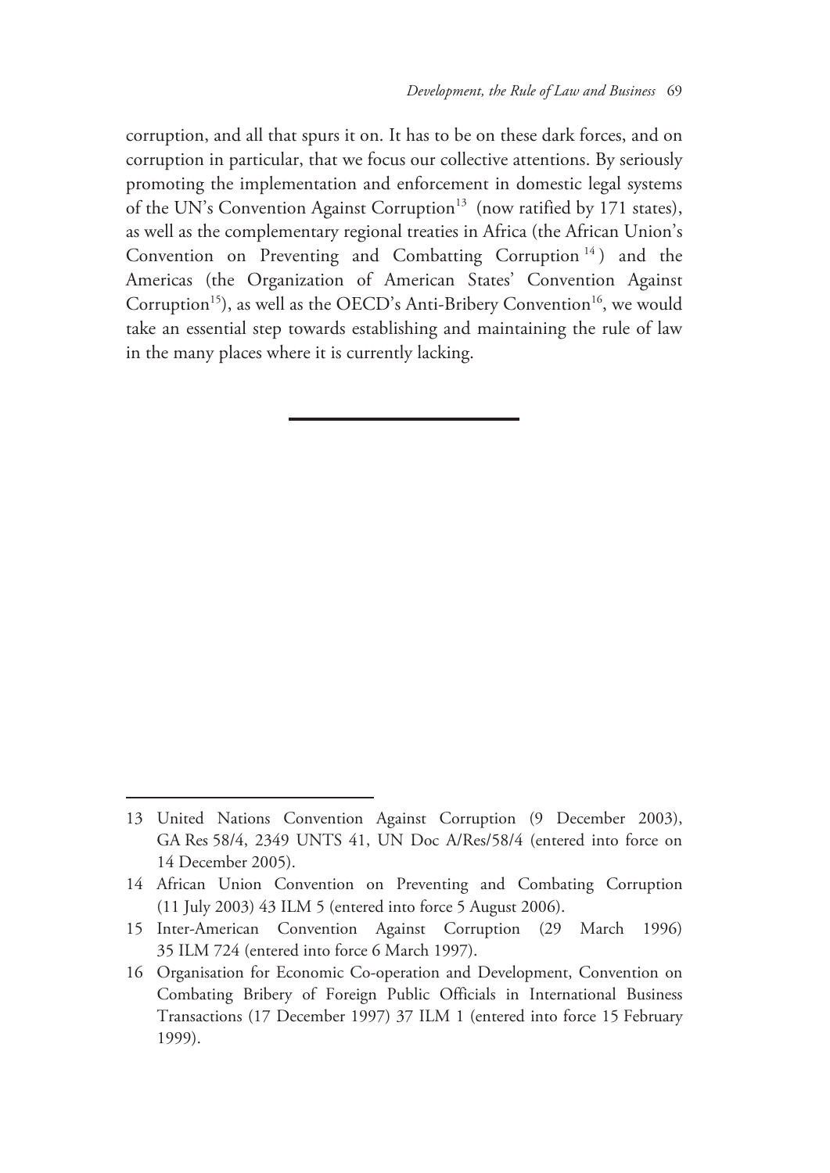corruption, and all that spurs it on. It has to be on these dark forces, and on corruption in particular, that we focus our collective attentions. By seriously promoting the implementation and enforcement in domestic legal systems of the UN's Convention Against Corruption<sup>13</sup> (now ratified by 171 states), as well as the complementary regional treaties in Africa (the African Union's Convention on Preventing and Combatting Corruption<sup>14</sup>) and the Americas (the Organization of American States' Convention Against Corruption<sup>15</sup>), as well as the OECD's Anti-Bribery Convention<sup>16</sup>, we would take an essential step towards establishing and maintaining the rule of law in the many places where it is currently lacking.

<sup>13</sup> United Nations Convention Against Corruption (9 December 2003), GA Res 58/4, 2349 UNTS 41, UN Doc A/Res/58/4 (entered into force on 14 December 2005).

<sup>14</sup> African Union Convention on Preventing and Combating Corruption (11 July 2003) 43 ILM 5 (entered into force 5 August 2006).

<sup>15</sup> Inter-American Convention Against Corruption (29 March 1996) 35 ILM 724 (entered into force 6 March 1997).

<sup>16</sup> Organisation for Economic Co-operation and Development, Convention on Combating Bribery of Foreign Public Officials in International Business Transactions (17 December 1997) 37 ILM 1 (entered into force 15 February 1999).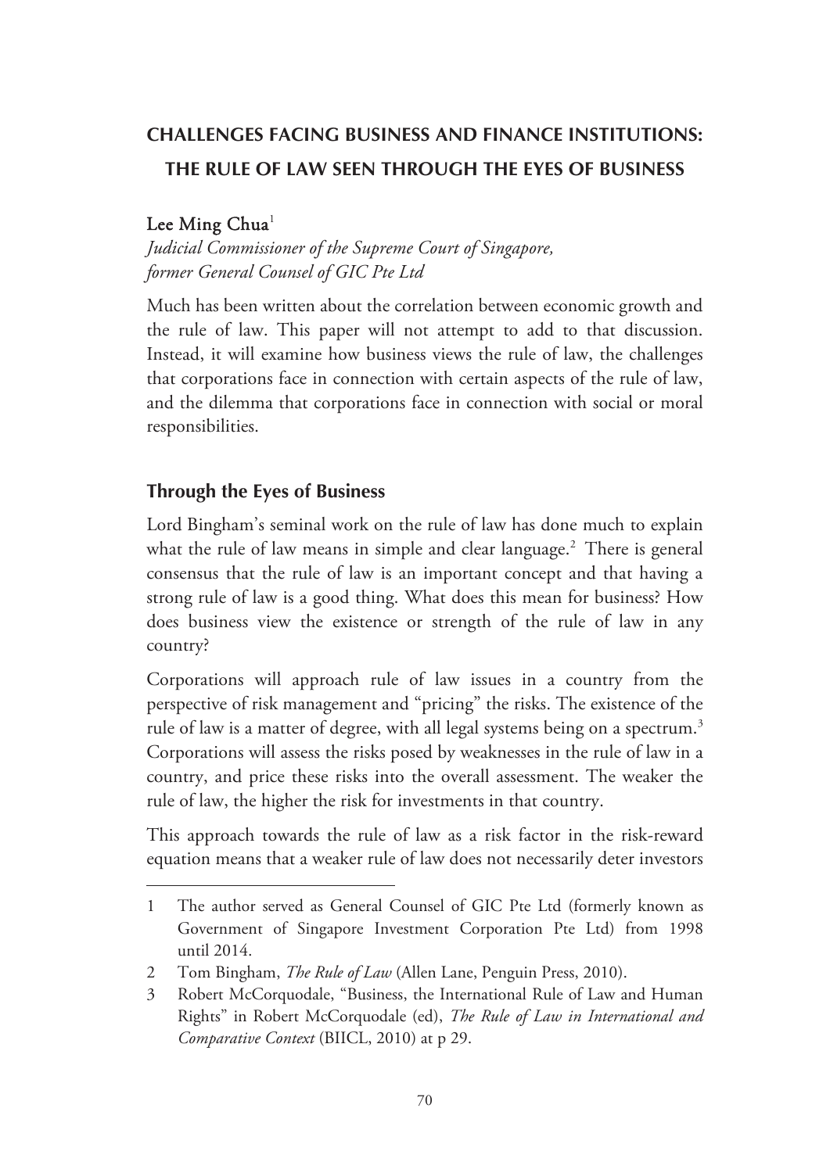# **CHALLENGES FACING BUSINESS AND FINANCE INSTITUTIONS: THE RULE OF LAW SEEN THROUGH THE EYES OF BUSINESS**

#### Lee Ming Chua<sup>1</sup>

 $\overline{a}$ 

*Judicial Commissioner of the Supreme Court of Singapore, former General Counsel of GIC Pte Ltd* 

Much has been written about the correlation between economic growth and the rule of law. This paper will not attempt to add to that discussion. Instead, it will examine how business views the rule of law, the challenges that corporations face in connection with certain aspects of the rule of law, and the dilemma that corporations face in connection with social or moral responsibilities.

## **Through the Eyes of Business**

Lord Bingham's seminal work on the rule of law has done much to explain what the rule of law means in simple and clear language.<sup>2</sup> There is general consensus that the rule of law is an important concept and that having a strong rule of law is a good thing. What does this mean for business? How does business view the existence or strength of the rule of law in any country?

Corporations will approach rule of law issues in a country from the perspective of risk management and "pricing" the risks. The existence of the rule of law is a matter of degree, with all legal systems being on a spectrum.<sup>3</sup> Corporations will assess the risks posed by weaknesses in the rule of law in a country, and price these risks into the overall assessment. The weaker the rule of law, the higher the risk for investments in that country.

This approach towards the rule of law as a risk factor in the risk-reward equation means that a weaker rule of law does not necessarily deter investors

<sup>1</sup> The author served as General Counsel of GIC Pte Ltd (formerly known as Government of Singapore Investment Corporation Pte Ltd) from 1998 until 2014.

<sup>2</sup> Tom Bingham, *The Rule of Law* (Allen Lane, Penguin Press, 2010).

<sup>3</sup> Robert McCorquodale, "Business, the International Rule of Law and Human Rights" in Robert McCorquodale (ed), *The Rule of Law in International and Comparative Context* (BIICL, 2010) at p 29.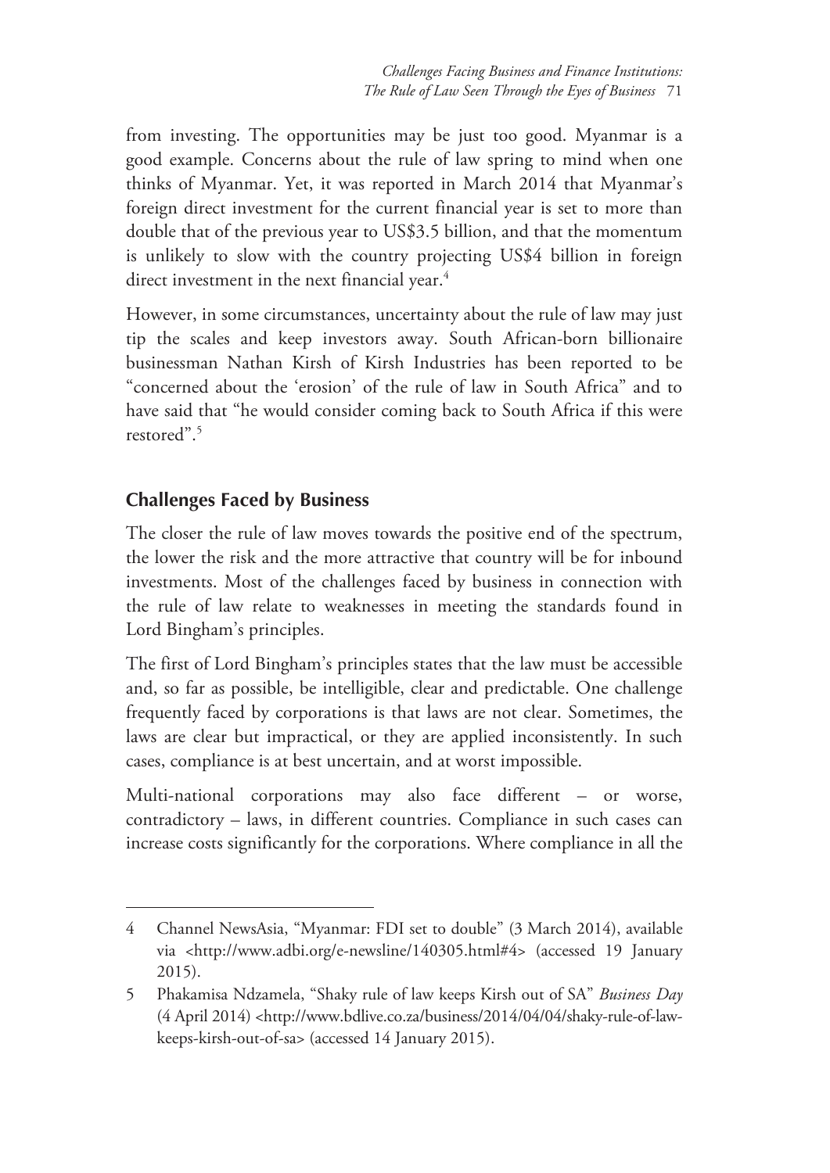from investing. The opportunities may be just too good. Myanmar is a good example. Concerns about the rule of law spring to mind when one thinks of Myanmar. Yet, it was reported in March 2014 that Myanmar's foreign direct investment for the current financial year is set to more than double that of the previous year to US\$3.5 billion, and that the momentum is unlikely to slow with the country projecting US\$4 billion in foreign direct investment in the next financial year.<sup>4</sup>

However, in some circumstances, uncertainty about the rule of law may just tip the scales and keep investors away. South African-born billionaire businessman Nathan Kirsh of Kirsh Industries has been reported to be "concerned about the 'erosion' of the rule of law in South Africa" and to have said that "he would consider coming back to South Africa if this were restored".5

# **Challenges Faced by Business**

-

The closer the rule of law moves towards the positive end of the spectrum, the lower the risk and the more attractive that country will be for inbound investments. Most of the challenges faced by business in connection with the rule of law relate to weaknesses in meeting the standards found in Lord Bingham's principles.

The first of Lord Bingham's principles states that the law must be accessible and, so far as possible, be intelligible, clear and predictable. One challenge frequently faced by corporations is that laws are not clear. Sometimes, the laws are clear but impractical, or they are applied inconsistently. In such cases, compliance is at best uncertain, and at worst impossible.

Multi-national corporations may also face different – or worse, contradictory – laws, in different countries. Compliance in such cases can increase costs significantly for the corporations. Where compliance in all the

<sup>4</sup> Channel NewsAsia, "Myanmar: FDI set to double" (3 March 2014), available via <http://www.adbi.org/e-newsline/140305.html#4> (accessed 19 January 2015).

<sup>5</sup> Phakamisa Ndzamela, "Shaky rule of law keeps Kirsh out of SA" *Business Day* (4 April 2014) <http://www.bdlive.co.za/business/2014/04/04/shaky-rule-of-lawkeeps-kirsh-out-of-sa> (accessed 14 January 2015).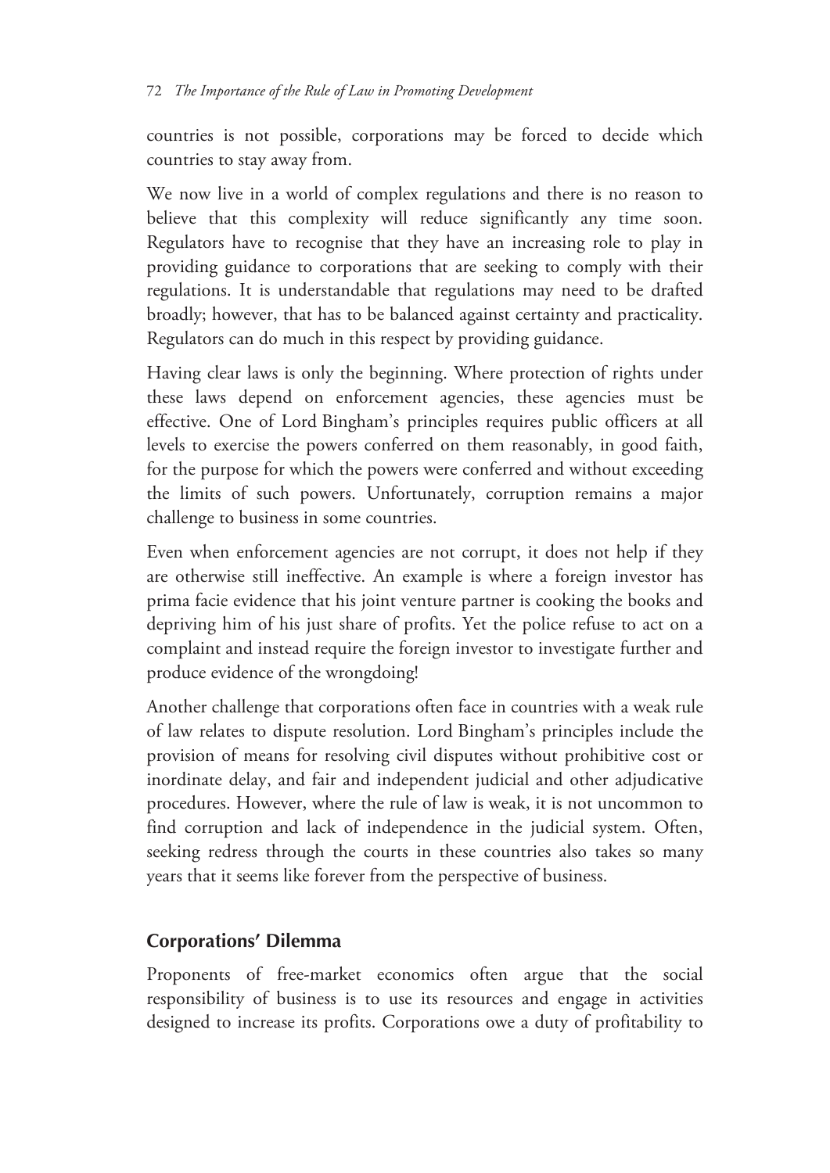countries is not possible, corporations may be forced to decide which countries to stay away from.

We now live in a world of complex regulations and there is no reason to believe that this complexity will reduce significantly any time soon. Regulators have to recognise that they have an increasing role to play in providing guidance to corporations that are seeking to comply with their regulations. It is understandable that regulations may need to be drafted broadly; however, that has to be balanced against certainty and practicality. Regulators can do much in this respect by providing guidance.

Having clear laws is only the beginning. Where protection of rights under these laws depend on enforcement agencies, these agencies must be effective. One of Lord Bingham's principles requires public officers at all levels to exercise the powers conferred on them reasonably, in good faith, for the purpose for which the powers were conferred and without exceeding the limits of such powers. Unfortunately, corruption remains a major challenge to business in some countries.

Even when enforcement agencies are not corrupt, it does not help if they are otherwise still ineffective. An example is where a foreign investor has prima facie evidence that his joint venture partner is cooking the books and depriving him of his just share of profits. Yet the police refuse to act on a complaint and instead require the foreign investor to investigate further and produce evidence of the wrongdoing!

Another challenge that corporations often face in countries with a weak rule of law relates to dispute resolution. Lord Bingham's principles include the provision of means for resolving civil disputes without prohibitive cost or inordinate delay, and fair and independent judicial and other adjudicative procedures. However, where the rule of law is weak, it is not uncommon to find corruption and lack of independence in the judicial system. Often, seeking redress through the courts in these countries also takes so many years that it seems like forever from the perspective of business.

## **Corporations' Dilemma**

Proponents of free-market economics often argue that the social responsibility of business is to use its resources and engage in activities designed to increase its profits. Corporations owe a duty of profitability to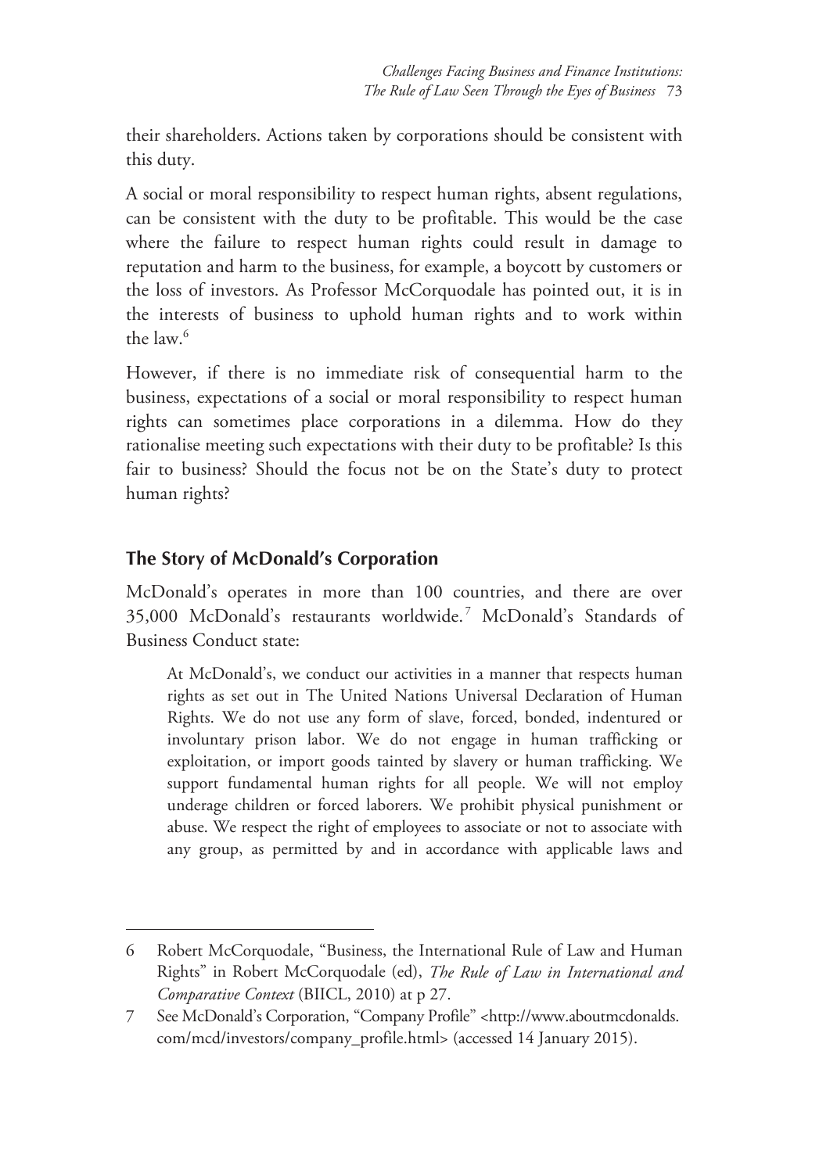their shareholders. Actions taken by corporations should be consistent with this duty.

A social or moral responsibility to respect human rights, absent regulations, can be consistent with the duty to be profitable. This would be the case where the failure to respect human rights could result in damage to reputation and harm to the business, for example, a boycott by customers or the loss of investors. As Professor McCorquodale has pointed out, it is in the interests of business to uphold human rights and to work within the law.6

However, if there is no immediate risk of consequential harm to the business, expectations of a social or moral responsibility to respect human rights can sometimes place corporations in a dilemma. How do they rationalise meeting such expectations with their duty to be profitable? Is this fair to business? Should the focus not be on the State's duty to protect human rights?

# **The Story of McDonald's Corporation**

-

McDonald's operates in more than 100 countries, and there are over 35,000 McDonald's restaurants worldwide. 7 McDonald's Standards of Business Conduct state:

At McDonald's, we conduct our activities in a manner that respects human rights as set out in The United Nations Universal Declaration of Human Rights. We do not use any form of slave, forced, bonded, indentured or involuntary prison labor. We do not engage in human trafficking or exploitation, or import goods tainted by slavery or human trafficking. We support fundamental human rights for all people. We will not employ underage children or forced laborers. We prohibit physical punishment or abuse. We respect the right of employees to associate or not to associate with any group, as permitted by and in accordance with applicable laws and

<sup>6</sup> Robert McCorquodale, "Business, the International Rule of Law and Human Rights" in Robert McCorquodale (ed), *The Rule of Law in International and Comparative Context* (BIICL, 2010) at p 27.

<sup>7</sup> See McDonald's Corporation, "Company Profile" <http://www.aboutmcdonalds. com/mcd/investors/company\_profile.html> (accessed 14 January 2015).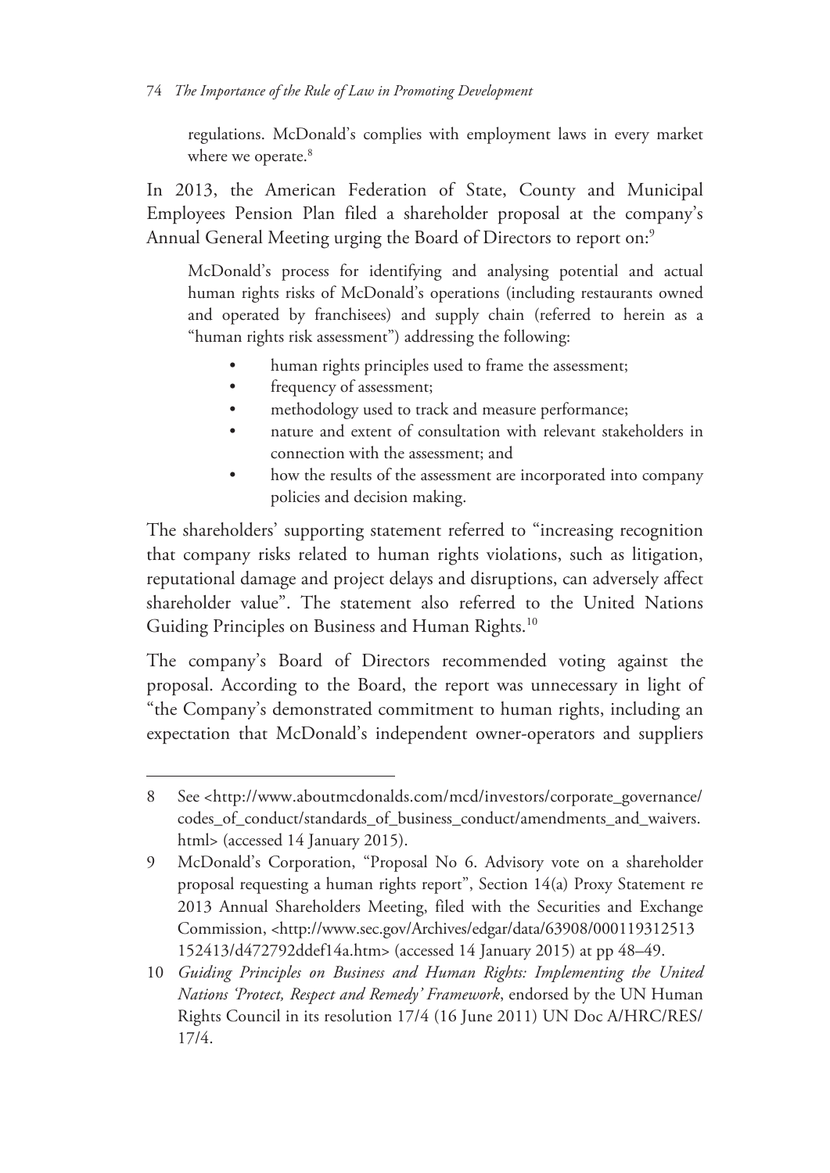#### 74 *The Importance of the Rule of Law in Promoting Development*

regulations. McDonald's complies with employment laws in every market where we operate.<sup>8</sup>

In 2013, the American Federation of State, County and Municipal Employees Pension Plan filed a shareholder proposal at the company's Annual General Meeting urging the Board of Directors to report on:<sup>9</sup>

McDonald's process for identifying and analysing potential and actual human rights risks of McDonald's operations (including restaurants owned and operated by franchisees) and supply chain (referred to herein as a "human rights risk assessment") addressing the following:

- human rights principles used to frame the assessment;
- frequency of assessment;

 $\overline{a}$ 

- methodology used to track and measure performance;
- nature and extent of consultation with relevant stakeholders in connection with the assessment; and
- how the results of the assessment are incorporated into company policies and decision making.

The shareholders' supporting statement referred to "increasing recognition that company risks related to human rights violations, such as litigation, reputational damage and project delays and disruptions, can adversely affect shareholder value". The statement also referred to the United Nations Guiding Principles on Business and Human Rights.<sup>10</sup>

The company's Board of Directors recommended voting against the proposal. According to the Board, the report was unnecessary in light of "the Company's demonstrated commitment to human rights, including an expectation that McDonald's independent owner-operators and suppliers

<sup>8</sup> See <http://www.aboutmcdonalds.com/mcd/investors/corporate\_governance/ codes\_of\_conduct/standards\_of\_business\_conduct/amendments\_and\_waivers. html> (accessed 14 January 2015).

<sup>9</sup> McDonald's Corporation, "Proposal No 6. Advisory vote on a shareholder proposal requesting a human rights report", Section 14(a) Proxy Statement re 2013 Annual Shareholders Meeting, filed with the Securities and Exchange Commission, <http://www.sec.gov/Archives/edgar/data/63908/000119312513 152413/d472792ddef14a.htm> (accessed 14 January 2015) at pp 48–49.

<sup>10</sup> *Guiding Principles on Business and Human Rights: Implementing the United Nations 'Protect, Respect and Remedy' Framework*, endorsed by the UN Human Rights Council in its resolution 17/4 (16 June 2011) UN Doc A/HRC/RES/ 17/4.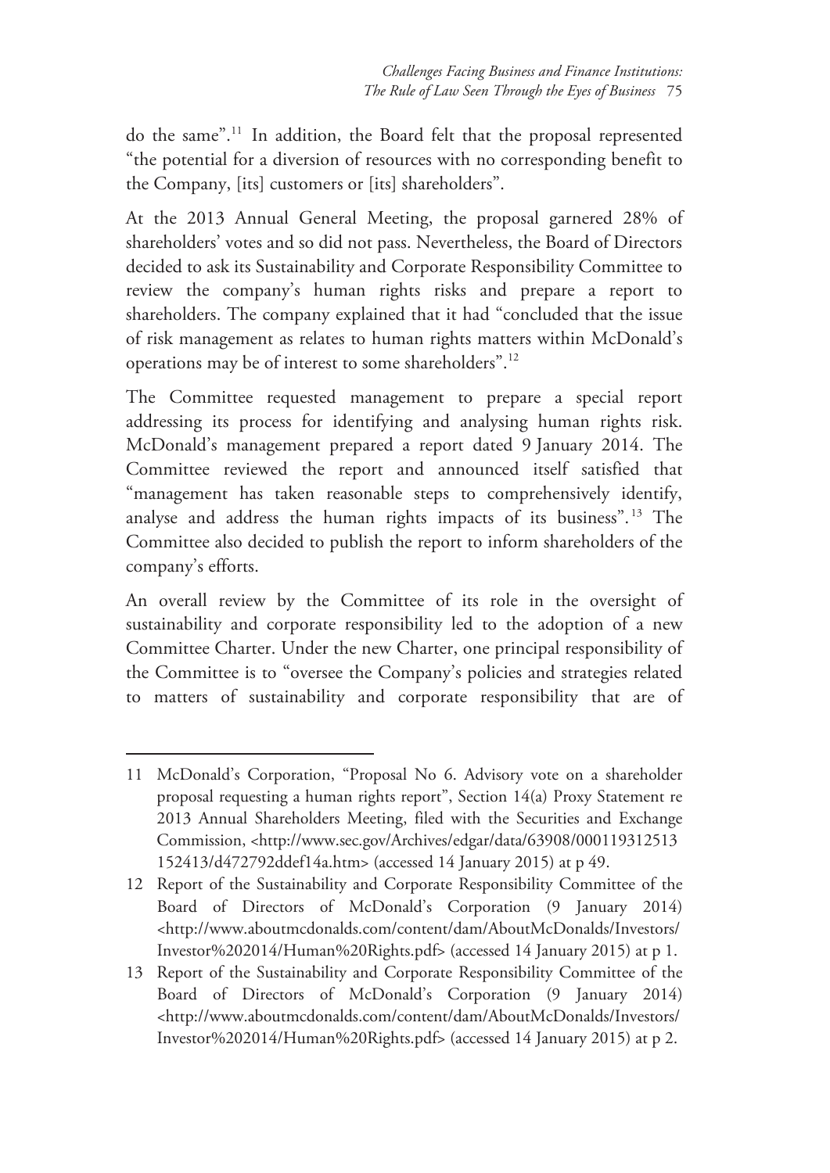do the same".11 In addition, the Board felt that the proposal represented "the potential for a diversion of resources with no corresponding benefit to the Company, [its] customers or [its] shareholders".

At the 2013 Annual General Meeting, the proposal garnered 28% of shareholders' votes and so did not pass. Nevertheless, the Board of Directors decided to ask its Sustainability and Corporate Responsibility Committee to review the company's human rights risks and prepare a report to shareholders. The company explained that it had "concluded that the issue of risk management as relates to human rights matters within McDonald's operations may be of interest to some shareholders".12

The Committee requested management to prepare a special report addressing its process for identifying and analysing human rights risk. McDonald's management prepared a report dated 9 January 2014. The Committee reviewed the report and announced itself satisfied that "management has taken reasonable steps to comprehensively identify, analyse and address the human rights impacts of its business". 13 The Committee also decided to publish the report to inform shareholders of the company's efforts.

An overall review by the Committee of its role in the oversight of sustainability and corporate responsibility led to the adoption of a new Committee Charter. Under the new Charter, one principal responsibility of the Committee is to "oversee the Company's policies and strategies related to matters of sustainability and corporate responsibility that are of

<sup>11</sup> McDonald's Corporation, "Proposal No 6. Advisory vote on a shareholder proposal requesting a human rights report", Section 14(a) Proxy Statement re 2013 Annual Shareholders Meeting, filed with the Securities and Exchange Commission, <http://www.sec.gov/Archives/edgar/data/63908/000119312513 152413/d472792ddef14a.htm> (accessed 14 January 2015) at p 49.

<sup>12</sup> Report of the Sustainability and Corporate Responsibility Committee of the Board of Directors of McDonald's Corporation (9 January 2014) <http://www.aboutmcdonalds.com/content/dam/AboutMcDonalds/Investors/ Investor%202014/Human%20Rights.pdf> (accessed 14 January 2015) at p 1.

<sup>13</sup> Report of the Sustainability and Corporate Responsibility Committee of the Board of Directors of McDonald's Corporation (9 January 2014) <http://www.aboutmcdonalds.com/content/dam/AboutMcDonalds/Investors/ Investor%202014/Human%20Rights.pdf> (accessed 14 January 2015) at p 2.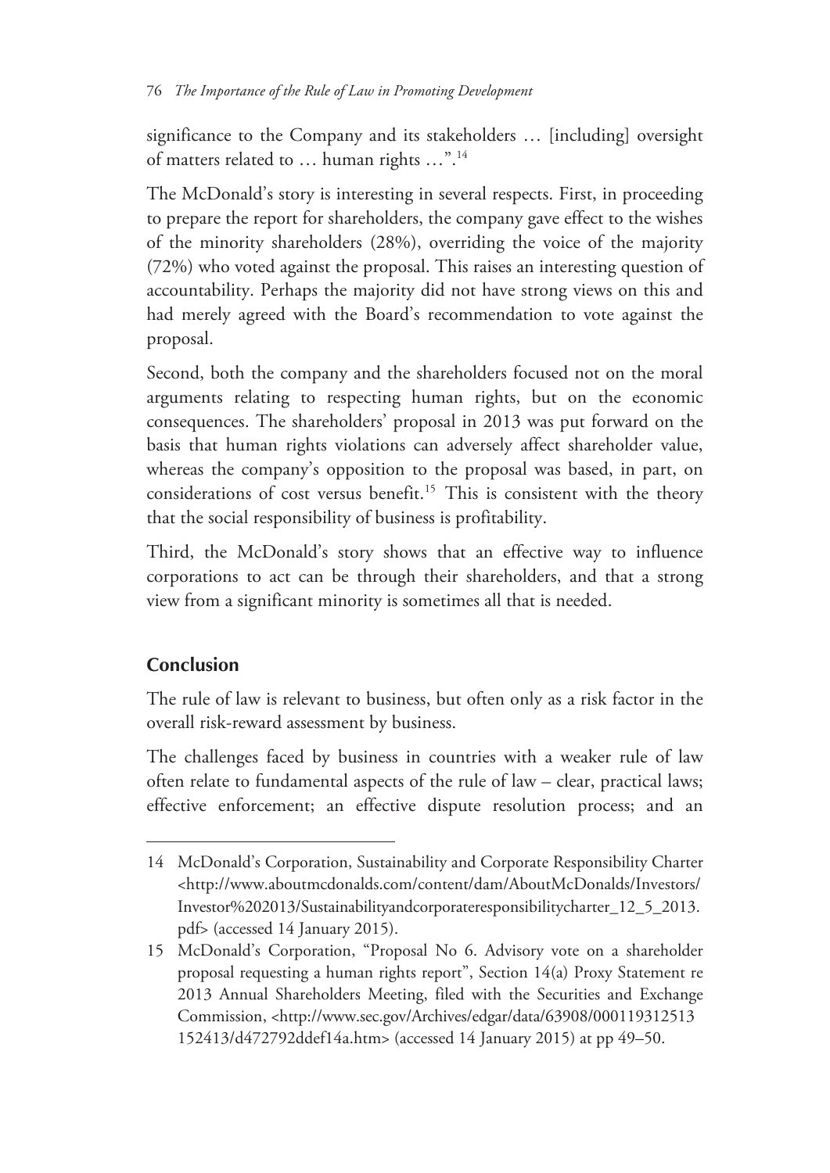significance to the Company and its stakeholders … [including] oversight of matters related to … human rights …".14

The McDonald's story is interesting in several respects. First, in proceeding to prepare the report for shareholders, the company gave effect to the wishes of the minority shareholders (28%), overriding the voice of the majority (72%) who voted against the proposal. This raises an interesting question of accountability. Perhaps the majority did not have strong views on this and had merely agreed with the Board's recommendation to vote against the proposal.

Second, both the company and the shareholders focused not on the moral arguments relating to respecting human rights, but on the economic consequences. The shareholders' proposal in 2013 was put forward on the basis that human rights violations can adversely affect shareholder value, whereas the company's opposition to the proposal was based, in part, on considerations of cost versus benefit.<sup>15</sup> This is consistent with the theory that the social responsibility of business is profitability.

Third, the McDonald's story shows that an effective way to influence corporations to act can be through their shareholders, and that a strong view from a significant minority is sometimes all that is needed.

# **Conclusion**

 $\overline{a}$ 

The rule of law is relevant to business, but often only as a risk factor in the overall risk-reward assessment by business.

The challenges faced by business in countries with a weaker rule of law often relate to fundamental aspects of the rule of law – clear, practical laws; effective enforcement; an effective dispute resolution process; and an

<sup>14</sup> McDonald's Corporation, Sustainability and Corporate Responsibility Charter <http://www.aboutmcdonalds.com/content/dam/AboutMcDonalds/Investors/ Investor%202013/Sustainabilityandcorporateresponsibilitycharter\_12\_5\_2013. pdf> (accessed 14 January 2015).

<sup>15</sup> McDonald's Corporation, "Proposal No 6. Advisory vote on a shareholder proposal requesting a human rights report", Section 14(a) Proxy Statement re 2013 Annual Shareholders Meeting, filed with the Securities and Exchange Commission, <http://www.sec.gov/Archives/edgar/data/63908/000119312513 152413/d472792ddef14a.htm> (accessed 14 January 2015) at pp 49–50.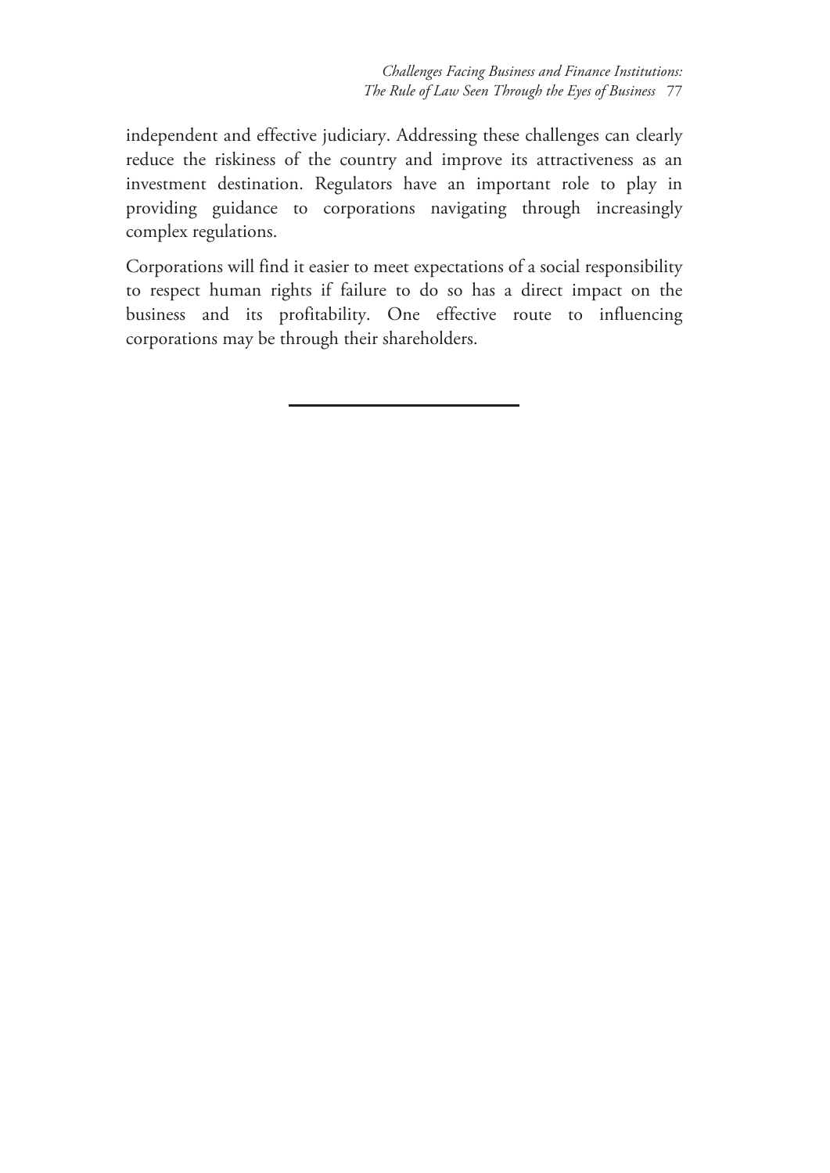*Challenges Facing Business and Finance Institutions: The Rule of Law Seen Through the Eyes of Business* 77

independent and effective judiciary. Addressing these challenges can clearly reduce the riskiness of the country and improve its attractiveness as an investment destination. Regulators have an important role to play in providing guidance to corporations navigating through increasingly complex regulations.

Corporations will find it easier to meet expectations of a social responsibility to respect human rights if failure to do so has a direct impact on the business and its profitability. One effective route to influencing corporations may be through their shareholders.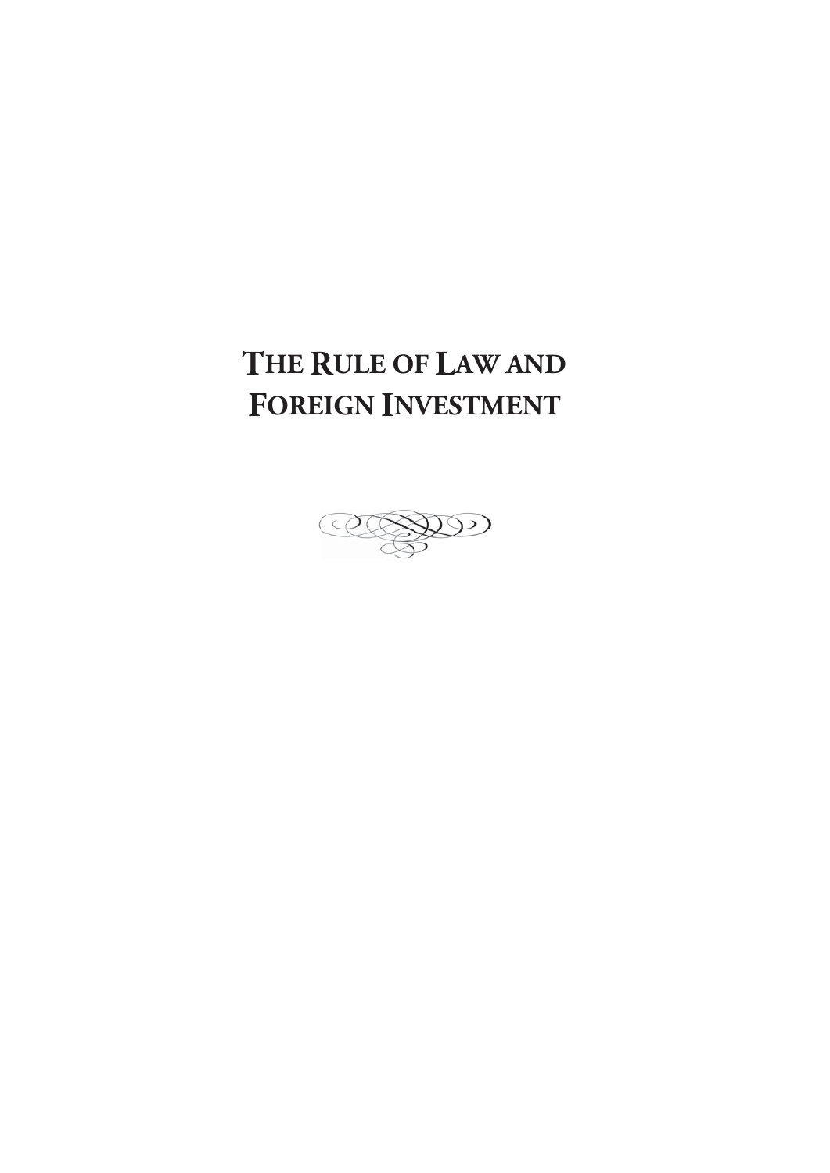# THE RULE OF LAW AND **FOREIGN INVESTMENT**

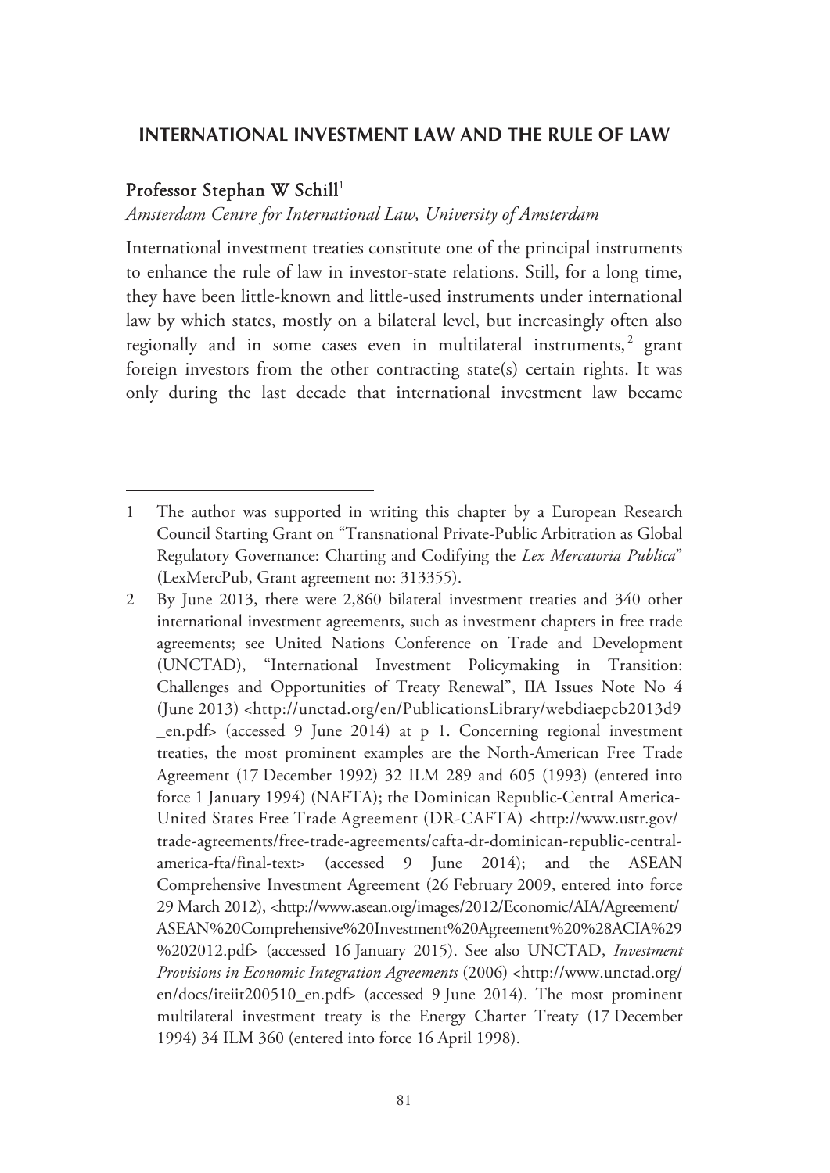#### **INTERNATIONAL INVESTMENT LAW AND THE RULE OF LAW**

#### Professor Stephan W Schill 1

-

#### *Amsterdam Centre for International Law, University of Amsterdam*

International investment treaties constitute one of the principal instruments to enhance the rule of law in investor-state relations. Still, for a long time, they have been little-known and little-used instruments under international law by which states, mostly on a bilateral level, but increasingly often also regionally and in some cases even in multilateral instruments,<sup>2</sup> grant foreign investors from the other contracting state(s) certain rights. It was only during the last decade that international investment law became

<sup>1</sup> The author was supported in writing this chapter by a European Research Council Starting Grant on "Transnational Private-Public Arbitration as Global Regulatory Governance: Charting and Codifying the *Lex Mercatoria Publica*" (LexMercPub, Grant agreement no: 313355).

<sup>2</sup> By June 2013, there were 2,860 bilateral investment treaties and 340 other international investment agreements, such as investment chapters in free trade agreements; see United Nations Conference on Trade and Development (UNCTAD), "International Investment Policymaking in Transition: Challenges and Opportunities of Treaty Renewal", IIA Issues Note No 4 (June 2013) <http://unctad.org/en/PublicationsLibrary/webdiaepcb2013d9 \_en.pdf> (accessed 9 June 2014) at p 1. Concerning regional investment treaties, the most prominent examples are the North-American Free Trade Agreement (17 December 1992) 32 ILM 289 and 605 (1993) (entered into force 1 January 1994) (NAFTA); the Dominican Republic-Central America-United States Free Trade Agreement (DR-CAFTA) <http://www.ustr.gov/ trade-agreements/free-trade-agreements/cafta-dr-dominican-republic-centralamerica-fta/final-text> (accessed 9 June 2014); and the ASEAN Comprehensive Investment Agreement (26 February 2009, entered into force 29 March 2012), <http://www.asean.org/images/2012/Economic/AIA/Agreement/ ASEAN%20Comprehensive%20Investment%20Agreement%20%28ACIA%29 %202012.pdf> (accessed 16 January 2015). See also UNCTAD, *Investment Provisions in Economic Integration Agreements* (2006) <http://www.unctad.org/ en/docs/iteiit200510\_en.pdf> (accessed 9 June 2014). The most prominent multilateral investment treaty is the Energy Charter Treaty (17 December 1994) 34 ILM 360 (entered into force 16 April 1998).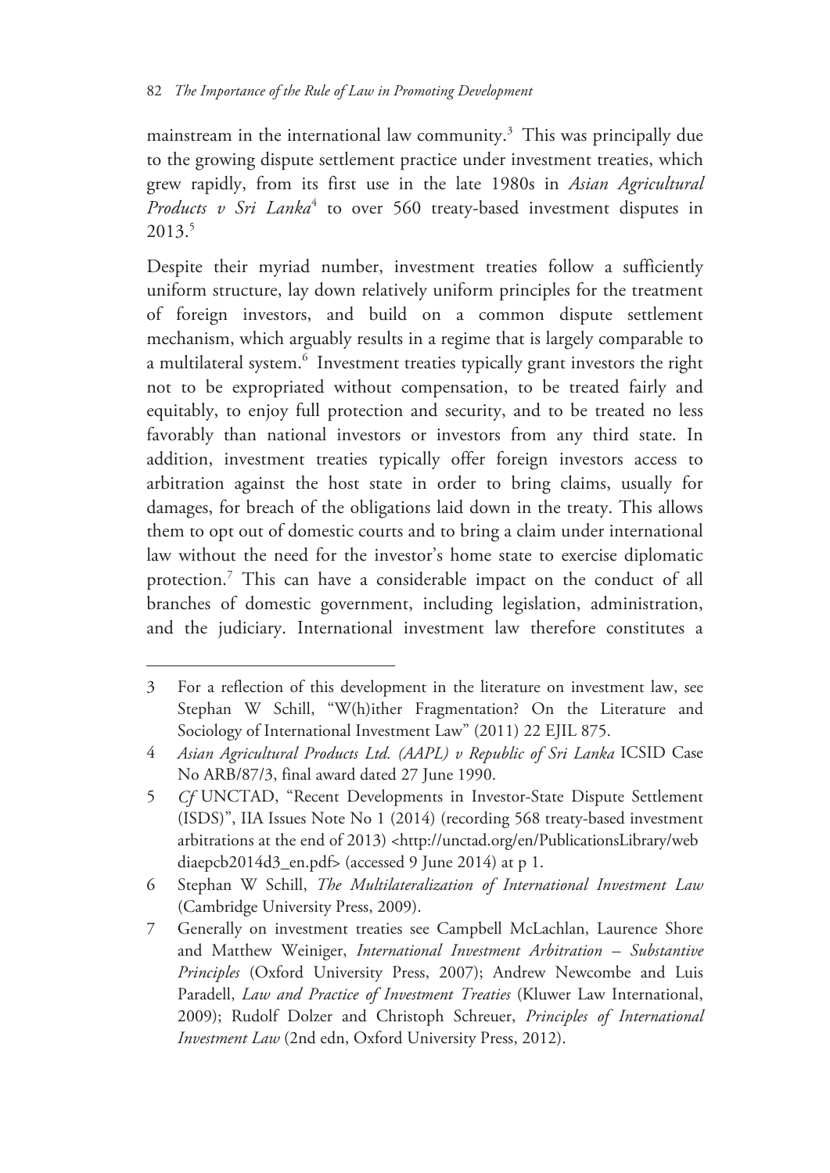mainstream in the international law community. $3$  This was principally due to the growing dispute settlement practice under investment treaties, which grew rapidly, from its first use in the late 1980s in *Asian Agricultural*  Products v Sri Lanka<sup>4</sup> to over 560 treaty-based investment disputes in 2013.5

Despite their myriad number, investment treaties follow a sufficiently uniform structure, lay down relatively uniform principles for the treatment of foreign investors, and build on a common dispute settlement mechanism, which arguably results in a regime that is largely comparable to a multilateral system.<sup>6</sup> Investment treaties typically grant investors the right not to be expropriated without compensation, to be treated fairly and equitably, to enjoy full protection and security, and to be treated no less favorably than national investors or investors from any third state. In addition, investment treaties typically offer foreign investors access to arbitration against the host state in order to bring claims, usually for damages, for breach of the obligations laid down in the treaty. This allows them to opt out of domestic courts and to bring a claim under international law without the need for the investor's home state to exercise diplomatic protection.<sup>7</sup> This can have a considerable impact on the conduct of all branches of domestic government, including legislation, administration, and the judiciary. International investment law therefore constitutes a

<sup>3</sup> For a reflection of this development in the literature on investment law, see Stephan W Schill, "W(h)ither Fragmentation? On the Literature and Sociology of International Investment Law" (2011) 22 EJIL 875.

<sup>4</sup> *Asian Agricultural Products Ltd. (AAPL) v Republic of Sri Lanka* ICSID Case No ARB/87/3, final award dated 27 June 1990.

<sup>5</sup> *Cf* UNCTAD, "Recent Developments in Investor-State Dispute Settlement (ISDS)", IIA Issues Note No 1 (2014) (recording 568 treaty-based investment arbitrations at the end of 2013) <http://unctad.org/en/PublicationsLibrary/web diaepcb2014d3\_en.pdf> (accessed 9 June 2014) at p 1.

<sup>6</sup> Stephan W Schill, *The Multilateralization of International Investment Law* (Cambridge University Press, 2009).

<sup>7</sup> Generally on investment treaties see Campbell McLachlan, Laurence Shore and Matthew Weiniger, *International Investment Arbitration – Substantive Principles* (Oxford University Press, 2007); Andrew Newcombe and Luis Paradell, *Law and Practice of Investment Treaties* (Kluwer Law International, 2009); Rudolf Dolzer and Christoph Schreuer, *Principles of International Investment Law* (2nd edn, Oxford University Press, 2012).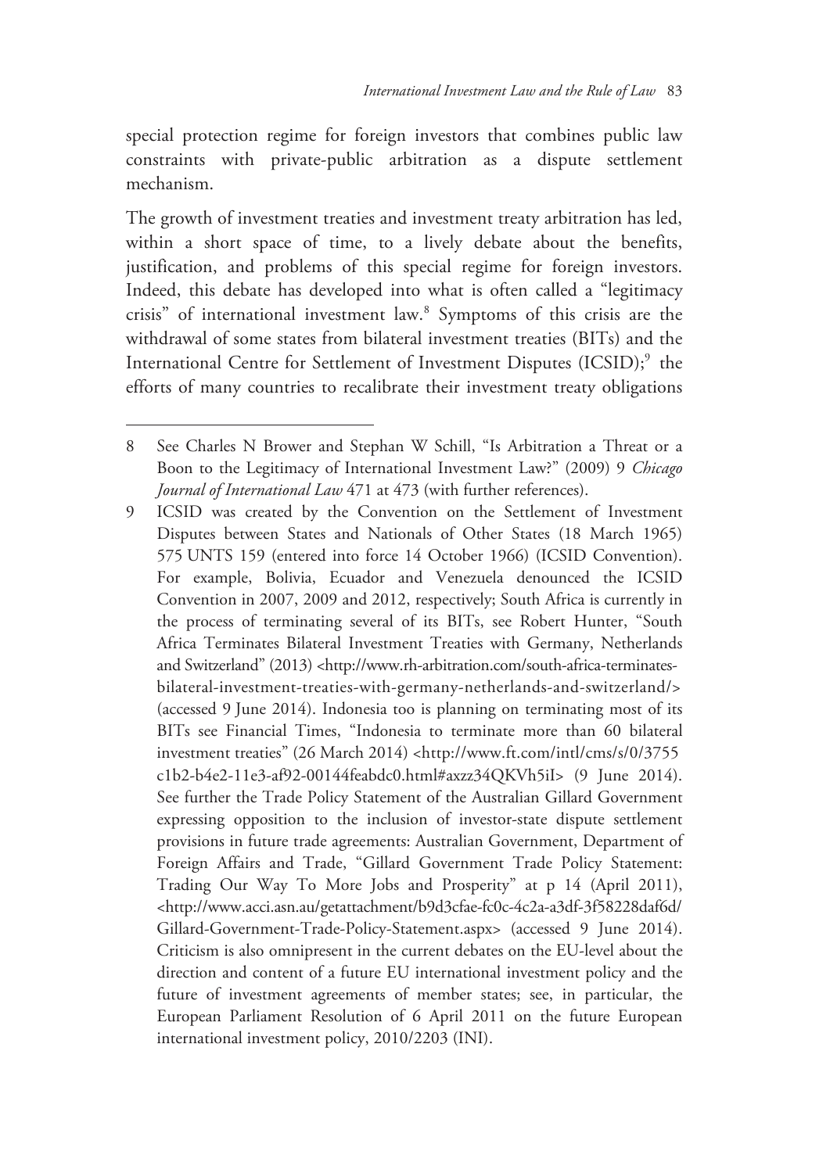special protection regime for foreign investors that combines public law constraints with private-public arbitration as a dispute settlement mechanism.

The growth of investment treaties and investment treaty arbitration has led, within a short space of time, to a lively debate about the benefits, justification, and problems of this special regime for foreign investors. Indeed, this debate has developed into what is often called a "legitimacy crisis" of international investment law.8 Symptoms of this crisis are the withdrawal of some states from bilateral investment treaties (BITs) and the International Centre for Settlement of Investment Disputes (ICSID);<sup>9</sup> the efforts of many countries to recalibrate their investment treaty obligations

<sup>8</sup> See Charles N Brower and Stephan W Schill, "Is Arbitration a Threat or a Boon to the Legitimacy of International Investment Law?" (2009) 9 *Chicago Journal of International Law* 471 at 473 (with further references).

<sup>9</sup> ICSID was created by the Convention on the Settlement of Investment Disputes between States and Nationals of Other States (18 March 1965) 575 UNTS 159 (entered into force 14 October 1966) (ICSID Convention). For example, Bolivia, Ecuador and Venezuela denounced the ICSID Convention in 2007, 2009 and 2012, respectively; South Africa is currently in the process of terminating several of its BITs, see Robert Hunter, "South Africa Terminates Bilateral Investment Treaties with Germany, Netherlands and Switzerland" (2013) <http://www.rh-arbitration.com/south-africa-terminatesbilateral-investment-treaties-with-germany-netherlands-and-switzerland/> (accessed 9 June 2014). Indonesia too is planning on terminating most of its BITs see Financial Times, "Indonesia to terminate more than 60 bilateral investment treaties" (26 March 2014) <http://www.ft.com/intl/cms/s/0/3755 c1b2-b4e2-11e3-af92-00144feabdc0.html#axzz34QKVh5iI> (9 June 2014). See further the Trade Policy Statement of the Australian Gillard Government expressing opposition to the inclusion of investor-state dispute settlement provisions in future trade agreements: Australian Government, Department of Foreign Affairs and Trade, "Gillard Government Trade Policy Statement: Trading Our Way To More Jobs and Prosperity" at p 14 (April 2011), <http://www.acci.asn.au/getattachment/b9d3cfae-fc0c-4c2a-a3df-3f58228daf6d/ Gillard-Government-Trade-Policy-Statement.aspx> (accessed 9 June 2014). Criticism is also omnipresent in the current debates on the EU-level about the direction and content of a future EU international investment policy and the future of investment agreements of member states; see, in particular, the European Parliament Resolution of 6 April 2011 on the future European international investment policy, 2010/2203 (INI).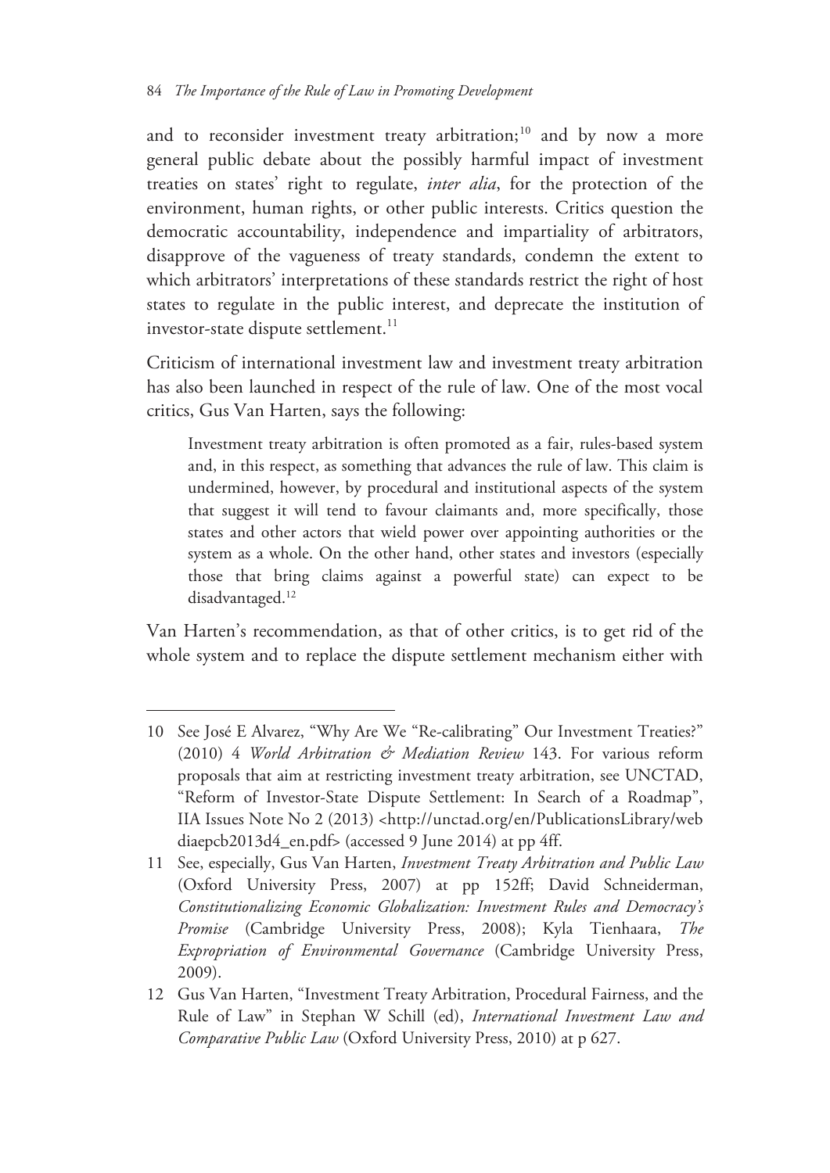and to reconsider investment treaty arbitration;<sup>10</sup> and by now a more general public debate about the possibly harmful impact of investment treaties on states' right to regulate, *inter alia*, for the protection of the environment, human rights, or other public interests. Critics question the democratic accountability, independence and impartiality of arbitrators, disapprove of the vagueness of treaty standards, condemn the extent to which arbitrators' interpretations of these standards restrict the right of host states to regulate in the public interest, and deprecate the institution of investor-state dispute settlement.<sup>11</sup>

Criticism of international investment law and investment treaty arbitration has also been launched in respect of the rule of law. One of the most vocal critics, Gus Van Harten, says the following:

Investment treaty arbitration is often promoted as a fair, rules-based system and, in this respect, as something that advances the rule of law. This claim is undermined, however, by procedural and institutional aspects of the system that suggest it will tend to favour claimants and, more specifically, those states and other actors that wield power over appointing authorities or the system as a whole. On the other hand, other states and investors (especially those that bring claims against a powerful state) can expect to be disadvantaged.<sup>12</sup>

Van Harten's recommendation, as that of other critics, is to get rid of the whole system and to replace the dispute settlement mechanism either with

<sup>10</sup> See José E Alvarez, "Why Are We "Re-calibrating" Our Investment Treaties?" (2010) 4 *World Arbitration & Mediation Review* 143. For various reform proposals that aim at restricting investment treaty arbitration, see UNCTAD, "Reform of Investor-State Dispute Settlement: In Search of a Roadmap", IIA Issues Note No 2 (2013) <http://unctad.org/en/PublicationsLibrary/web diaepcb2013d4\_en.pdf> (accessed 9 June 2014) at pp 4ff.

<sup>11</sup> See, especially, Gus Van Harten, *Investment Treaty Arbitration and Public Law* (Oxford University Press, 2007) at pp 152ff; David Schneiderman, *Constitutionalizing Economic Globalization: Investment Rules and Democracy's Promise* (Cambridge University Press, 2008); Kyla Tienhaara, *The Expropriation of Environmental Governance* (Cambridge University Press, 2009).

<sup>12</sup> Gus Van Harten, "Investment Treaty Arbitration, Procedural Fairness, and the Rule of Law" in Stephan W Schill (ed), *International Investment Law and Comparative Public Law* (Oxford University Press, 2010) at p 627.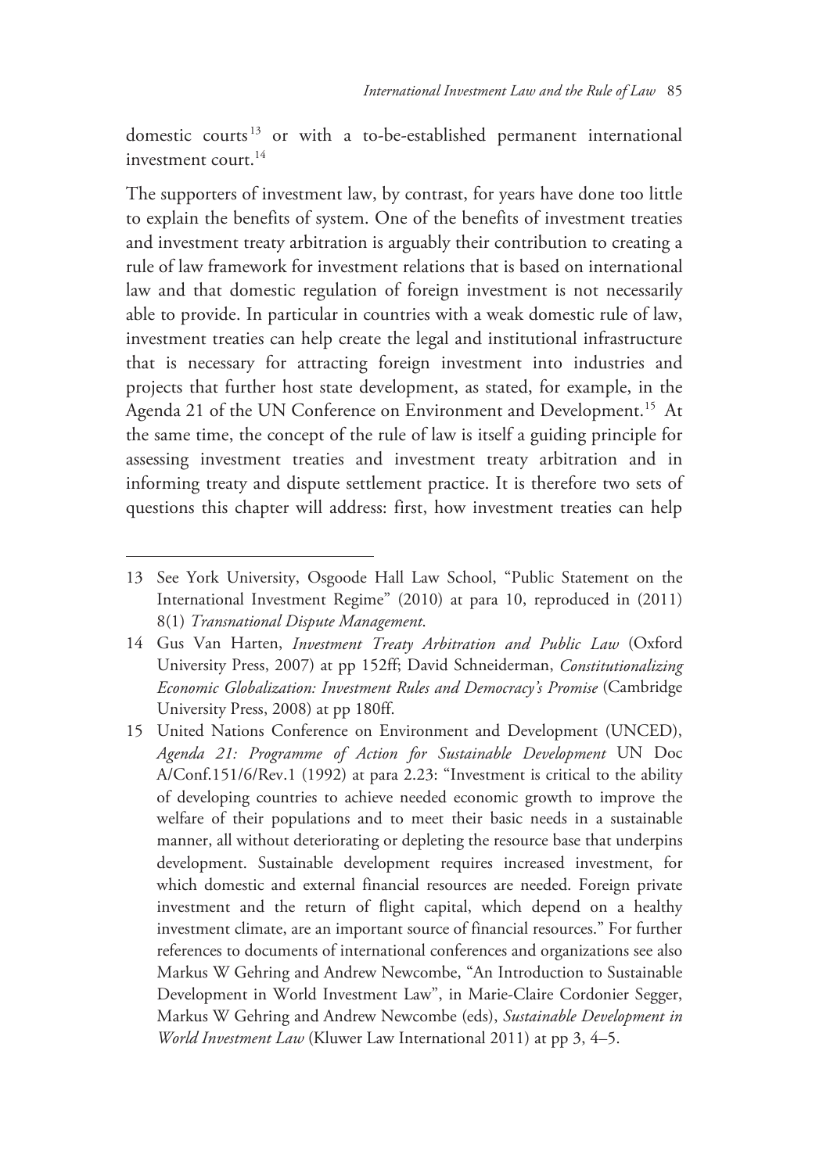domestic courts 13 or with a to-be-established permanent international investment court.<sup>14</sup>

The supporters of investment law, by contrast, for years have done too little to explain the benefits of system. One of the benefits of investment treaties and investment treaty arbitration is arguably their contribution to creating a rule of law framework for investment relations that is based on international law and that domestic regulation of foreign investment is not necessarily able to provide. In particular in countries with a weak domestic rule of law, investment treaties can help create the legal and institutional infrastructure that is necessary for attracting foreign investment into industries and projects that further host state development, as stated, for example, in the Agenda 21 of the UN Conference on Environment and Development.<sup>15</sup> At the same time, the concept of the rule of law is itself a guiding principle for assessing investment treaties and investment treaty arbitration and in informing treaty and dispute settlement practice. It is therefore two sets of questions this chapter will address: first, how investment treaties can help

<sup>13</sup> See York University, Osgoode Hall Law School, "Public Statement on the International Investment Regime" (2010) at para 10, reproduced in (2011) 8(1) *Transnational Dispute Management*.

<sup>14</sup> Gus Van Harten, *Investment Treaty Arbitration and Public Law* (Oxford University Press, 2007) at pp 152ff; David Schneiderman, *Constitutionalizing Economic Globalization: Investment Rules and Democracy's Promise* (Cambridge University Press, 2008) at pp 180ff.

<sup>15</sup> United Nations Conference on Environment and Development (UNCED), *Agenda 21: Programme of Action for Sustainable Development* UN Doc A/Conf.151/6/Rev.1 (1992) at para 2.23: "Investment is critical to the ability of developing countries to achieve needed economic growth to improve the welfare of their populations and to meet their basic needs in a sustainable manner, all without deteriorating or depleting the resource base that underpins development. Sustainable development requires increased investment, for which domestic and external financial resources are needed. Foreign private investment and the return of flight capital, which depend on a healthy investment climate, are an important source of financial resources." For further references to documents of international conferences and organizations see also Markus W Gehring and Andrew Newcombe, "An Introduction to Sustainable Development in World Investment Law", in Marie-Claire Cordonier Segger, Markus W Gehring and Andrew Newcombe (eds), *Sustainable Development in World Investment Law* (Kluwer Law International 2011) at pp 3, 4–5.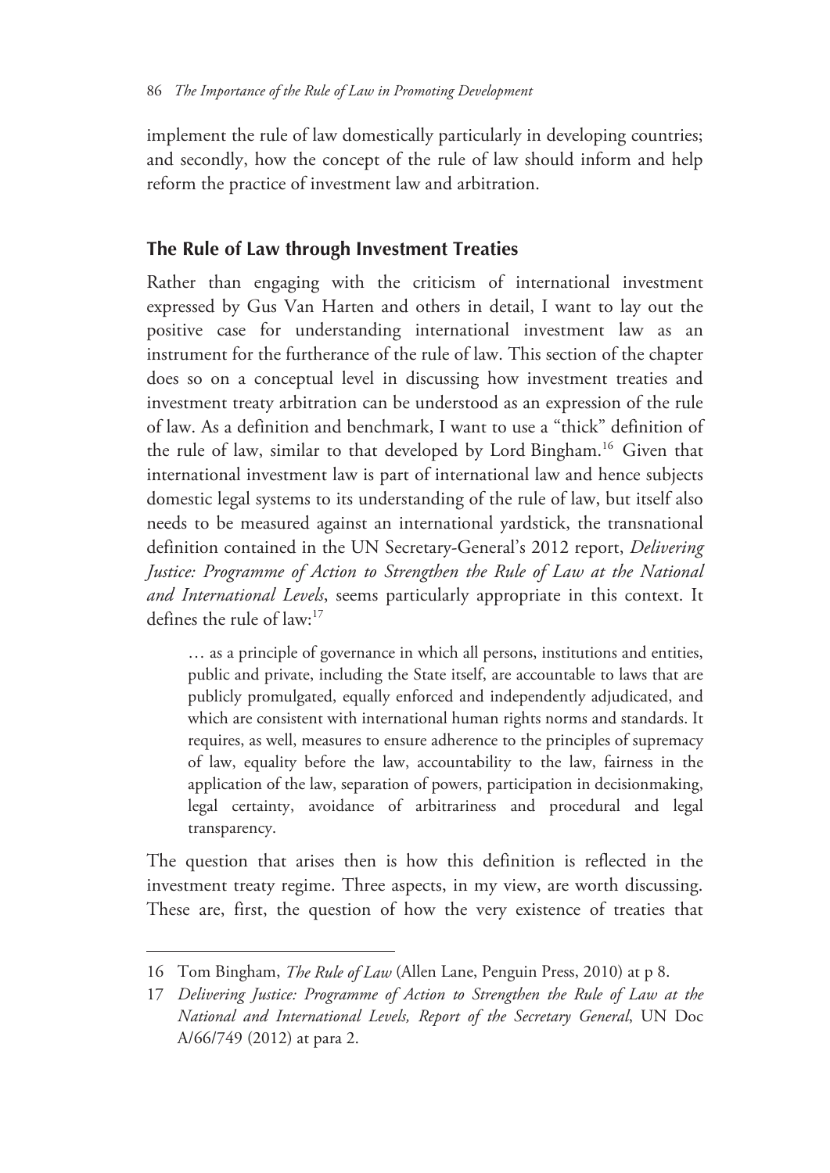implement the rule of law domestically particularly in developing countries; and secondly, how the concept of the rule of law should inform and help reform the practice of investment law and arbitration.

#### **The Rule of Law through Investment Treaties**

Rather than engaging with the criticism of international investment expressed by Gus Van Harten and others in detail, I want to lay out the positive case for understanding international investment law as an instrument for the furtherance of the rule of law. This section of the chapter does so on a conceptual level in discussing how investment treaties and investment treaty arbitration can be understood as an expression of the rule of law. As a definition and benchmark, I want to use a "thick" definition of the rule of law, similar to that developed by Lord Bingham.16 Given that international investment law is part of international law and hence subjects domestic legal systems to its understanding of the rule of law, but itself also needs to be measured against an international yardstick, the transnational definition contained in the UN Secretary-General's 2012 report, *Delivering Justice: Programme of Action to Strengthen the Rule of Law at the National and International Levels*, seems particularly appropriate in this context. It defines the rule of law:17

… as a principle of governance in which all persons, institutions and entities, public and private, including the State itself, are accountable to laws that are publicly promulgated, equally enforced and independently adjudicated, and which are consistent with international human rights norms and standards. It requires, as well, measures to ensure adherence to the principles of supremacy of law, equality before the law, accountability to the law, fairness in the application of the law, separation of powers, participation in decisionmaking, legal certainty, avoidance of arbitrariness and procedural and legal transparency.

The question that arises then is how this definition is reflected in the investment treaty regime. Three aspects, in my view, are worth discussing. These are, first, the question of how the very existence of treaties that

<sup>16</sup> Tom Bingham, *The Rule of Law* (Allen Lane, Penguin Press, 2010) at p 8.

<sup>17</sup> *Delivering Justice: Programme of Action to Strengthen the Rule of Law at the National and International Levels, Report of the Secretary General*, UN Doc A/66/749 (2012) at para 2.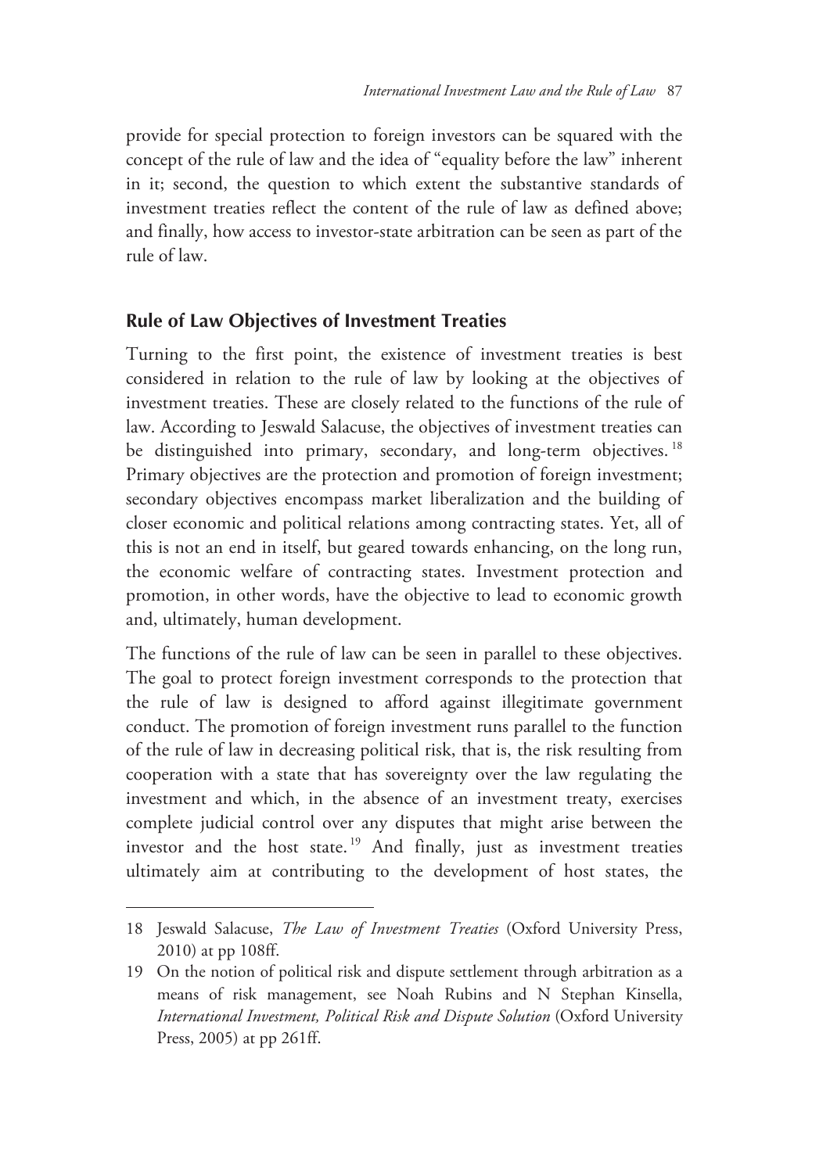provide for special protection to foreign investors can be squared with the concept of the rule of law and the idea of "equality before the law" inherent in it; second, the question to which extent the substantive standards of investment treaties reflect the content of the rule of law as defined above; and finally, how access to investor-state arbitration can be seen as part of the rule of law.

### **Rule of Law Objectives of Investment Treaties**

Turning to the first point, the existence of investment treaties is best considered in relation to the rule of law by looking at the objectives of investment treaties. These are closely related to the functions of the rule of law. According to Jeswald Salacuse, the objectives of investment treaties can be distinguished into primary, secondary, and long-term objectives.<sup>18</sup> Primary objectives are the protection and promotion of foreign investment; secondary objectives encompass market liberalization and the building of closer economic and political relations among contracting states. Yet, all of this is not an end in itself, but geared towards enhancing, on the long run, the economic welfare of contracting states. Investment protection and promotion, in other words, have the objective to lead to economic growth and, ultimately, human development.

The functions of the rule of law can be seen in parallel to these objectives. The goal to protect foreign investment corresponds to the protection that the rule of law is designed to afford against illegitimate government conduct. The promotion of foreign investment runs parallel to the function of the rule of law in decreasing political risk, that is, the risk resulting from cooperation with a state that has sovereignty over the law regulating the investment and which, in the absence of an investment treaty, exercises complete judicial control over any disputes that might arise between the investor and the host state. 19 And finally, just as investment treaties ultimately aim at contributing to the development of host states, the

<sup>18</sup> Jeswald Salacuse, *The Law of Investment Treaties* (Oxford University Press, 2010) at pp 108ff.

<sup>19</sup> On the notion of political risk and dispute settlement through arbitration as a means of risk management, see Noah Rubins and N Stephan Kinsella, *International Investment, Political Risk and Dispute Solution* (Oxford University Press, 2005) at pp 261ff.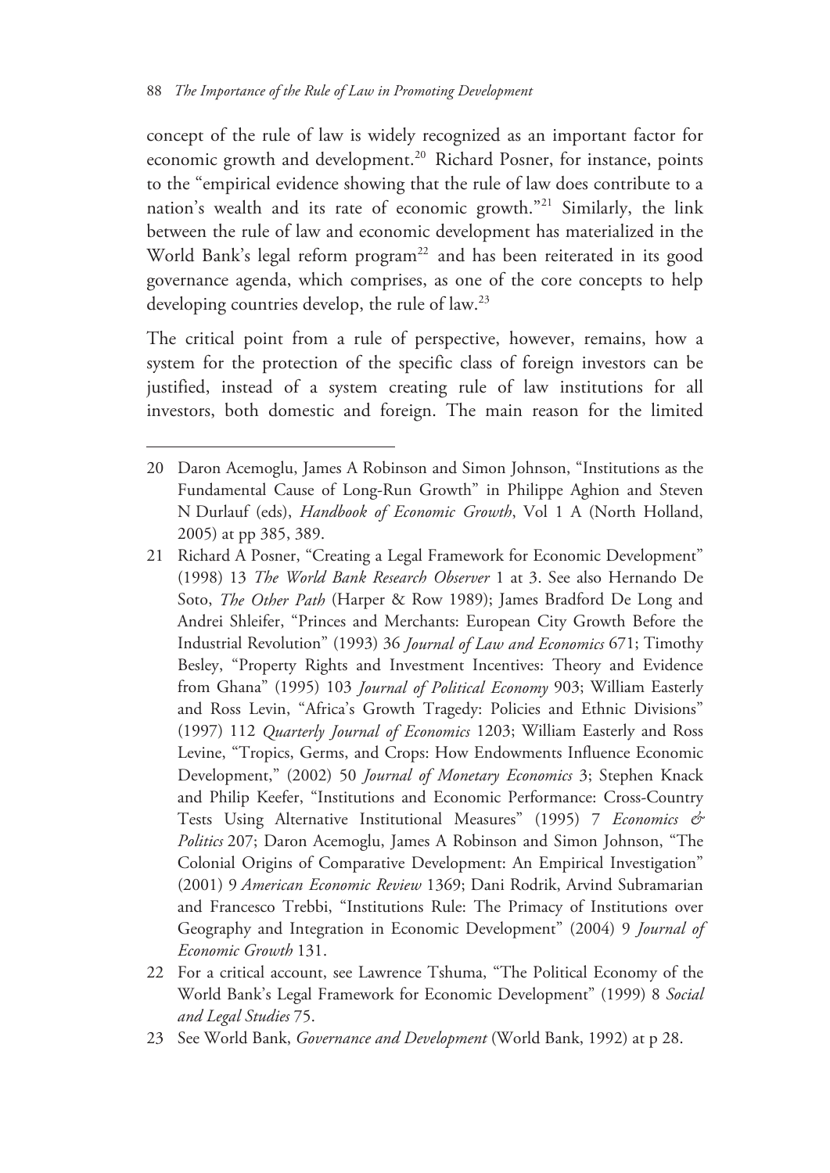$\overline{a}$ 

concept of the rule of law is widely recognized as an important factor for economic growth and development.<sup>20</sup> Richard Posner, for instance, points to the "empirical evidence showing that the rule of law does contribute to a nation's wealth and its rate of economic growth."21 Similarly, the link between the rule of law and economic development has materialized in the World Bank's legal reform program<sup>22</sup> and has been reiterated in its good governance agenda, which comprises, as one of the core concepts to help developing countries develop, the rule of law.<sup>23</sup>

The critical point from a rule of perspective, however, remains, how a system for the protection of the specific class of foreign investors can be justified, instead of a system creating rule of law institutions for all investors, both domestic and foreign. The main reason for the limited

<sup>20</sup> Daron Acemoglu, James A Robinson and Simon Johnson, "Institutions as the Fundamental Cause of Long-Run Growth" in Philippe Aghion and Steven N Durlauf (eds), *Handbook of Economic Growth*, Vol 1 A (North Holland, 2005) at pp 385, 389.

<sup>21</sup> Richard A Posner, "Creating a Legal Framework for Economic Development" (1998) 13 *The World Bank Research Observer* 1 at 3. See also Hernando De Soto, *The Other Path* (Harper & Row 1989); James Bradford De Long and Andrei Shleifer, "Princes and Merchants: European City Growth Before the Industrial Revolution" (1993) 36 *Journal of Law and Economics* 671; Timothy Besley, "Property Rights and Investment Incentives: Theory and Evidence from Ghana" (1995) 103 *Journal of Political Economy* 903; William Easterly and Ross Levin, "Africa's Growth Tragedy: Policies and Ethnic Divisions" (1997) 112 *Quarterly Journal of Economics* 1203; William Easterly and Ross Levine, "Tropics, Germs, and Crops: How Endowments Influence Economic Development," (2002) 50 *Journal of Monetary Economics* 3; Stephen Knack and Philip Keefer, "Institutions and Economic Performance: Cross-Country Tests Using Alternative Institutional Measures" (1995) 7 *Economics & Politics* 207; Daron Acemoglu, James A Robinson and Simon Johnson, "The Colonial Origins of Comparative Development: An Empirical Investigation" (2001) 9 *American Economic Review* 1369; Dani Rodrik, Arvind Subramarian and Francesco Trebbi, "Institutions Rule: The Primacy of Institutions over Geography and Integration in Economic Development" (2004) 9 *Journal of Economic Growth* 131.

<sup>22</sup> For a critical account, see Lawrence Tshuma, "The Political Economy of the World Bank's Legal Framework for Economic Development" (1999) 8 *Social and Legal Studies* 75.

<sup>23</sup> See World Bank, *Governance and Development* (World Bank, 1992) at p 28.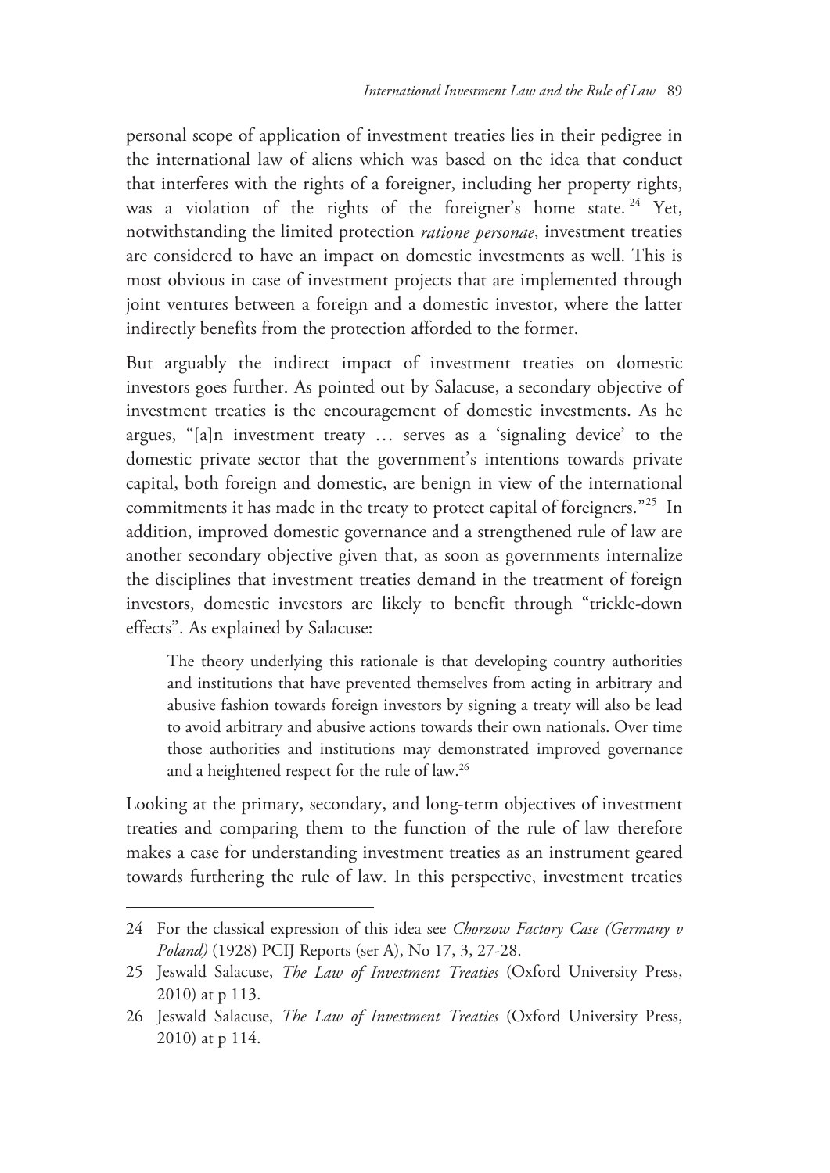personal scope of application of investment treaties lies in their pedigree in the international law of aliens which was based on the idea that conduct that interferes with the rights of a foreigner, including her property rights, was a violation of the rights of the foreigner's home state.<sup>24</sup> Yet, notwithstanding the limited protection *ratione personae*, investment treaties are considered to have an impact on domestic investments as well. This is most obvious in case of investment projects that are implemented through joint ventures between a foreign and a domestic investor, where the latter indirectly benefits from the protection afforded to the former.

But arguably the indirect impact of investment treaties on domestic investors goes further. As pointed out by Salacuse, a secondary objective of investment treaties is the encouragement of domestic investments. As he argues, "[a]n investment treaty … serves as a 'signaling device' to the domestic private sector that the government's intentions towards private capital, both foreign and domestic, are benign in view of the international commitments it has made in the treaty to protect capital of foreigners."25 In addition, improved domestic governance and a strengthened rule of law are another secondary objective given that, as soon as governments internalize the disciplines that investment treaties demand in the treatment of foreign investors, domestic investors are likely to benefit through "trickle-down effects". As explained by Salacuse:

The theory underlying this rationale is that developing country authorities and institutions that have prevented themselves from acting in arbitrary and abusive fashion towards foreign investors by signing a treaty will also be lead to avoid arbitrary and abusive actions towards their own nationals. Over time those authorities and institutions may demonstrated improved governance and a heightened respect for the rule of law.26

Looking at the primary, secondary, and long-term objectives of investment treaties and comparing them to the function of the rule of law therefore makes a case for understanding investment treaties as an instrument geared towards furthering the rule of law. In this perspective, investment treaties

<sup>24</sup> For the classical expression of this idea see *Chorzow Factory Case (Germany v Poland)* (1928) PCIJ Reports (ser A), No 17, 3, 27-28.

<sup>25</sup> Jeswald Salacuse, *The Law of Investment Treaties* (Oxford University Press, 2010) at p 113.

<sup>26</sup> Jeswald Salacuse, *The Law of Investment Treaties* (Oxford University Press, 2010) at p 114.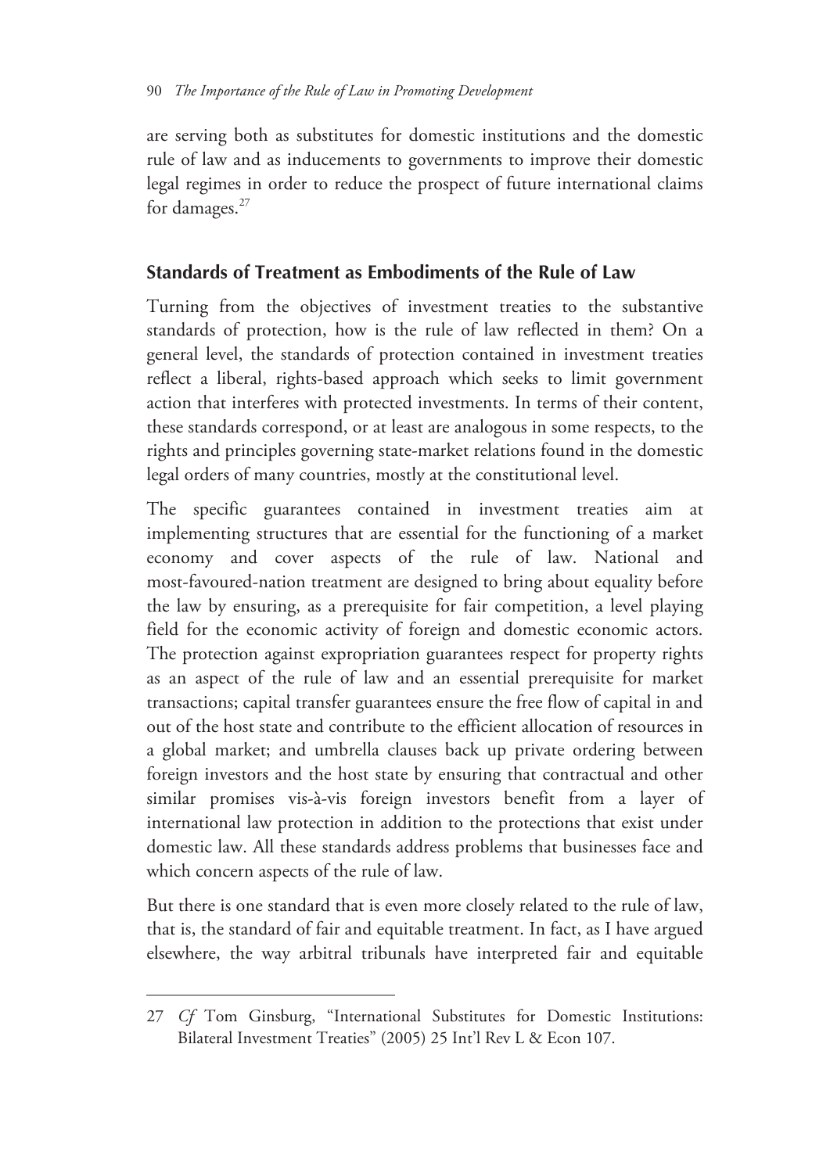are serving both as substitutes for domestic institutions and the domestic rule of law and as inducements to governments to improve their domestic legal regimes in order to reduce the prospect of future international claims for damages.<sup>27</sup>

# **Standards of Treatment as Embodiments of the Rule of Law**

Turning from the objectives of investment treaties to the substantive standards of protection, how is the rule of law reflected in them? On a general level, the standards of protection contained in investment treaties reflect a liberal, rights-based approach which seeks to limit government action that interferes with protected investments. In terms of their content, these standards correspond, or at least are analogous in some respects, to the rights and principles governing state-market relations found in the domestic legal orders of many countries, mostly at the constitutional level.

The specific guarantees contained in investment treaties aim at implementing structures that are essential for the functioning of a market economy and cover aspects of the rule of law. National and most-favoured-nation treatment are designed to bring about equality before the law by ensuring, as a prerequisite for fair competition, a level playing field for the economic activity of foreign and domestic economic actors. The protection against expropriation guarantees respect for property rights as an aspect of the rule of law and an essential prerequisite for market transactions; capital transfer guarantees ensure the free flow of capital in and out of the host state and contribute to the efficient allocation of resources in a global market; and umbrella clauses back up private ordering between foreign investors and the host state by ensuring that contractual and other similar promises vis-à-vis foreign investors benefit from a layer of international law protection in addition to the protections that exist under domestic law. All these standards address problems that businesses face and which concern aspects of the rule of law.

But there is one standard that is even more closely related to the rule of law, that is, the standard of fair and equitable treatment. In fact, as I have argued elsewhere, the way arbitral tribunals have interpreted fair and equitable

<sup>27</sup> *Cf* Tom Ginsburg, "International Substitutes for Domestic Institutions: Bilateral Investment Treaties" (2005) 25 Int'l Rev L & Econ 107.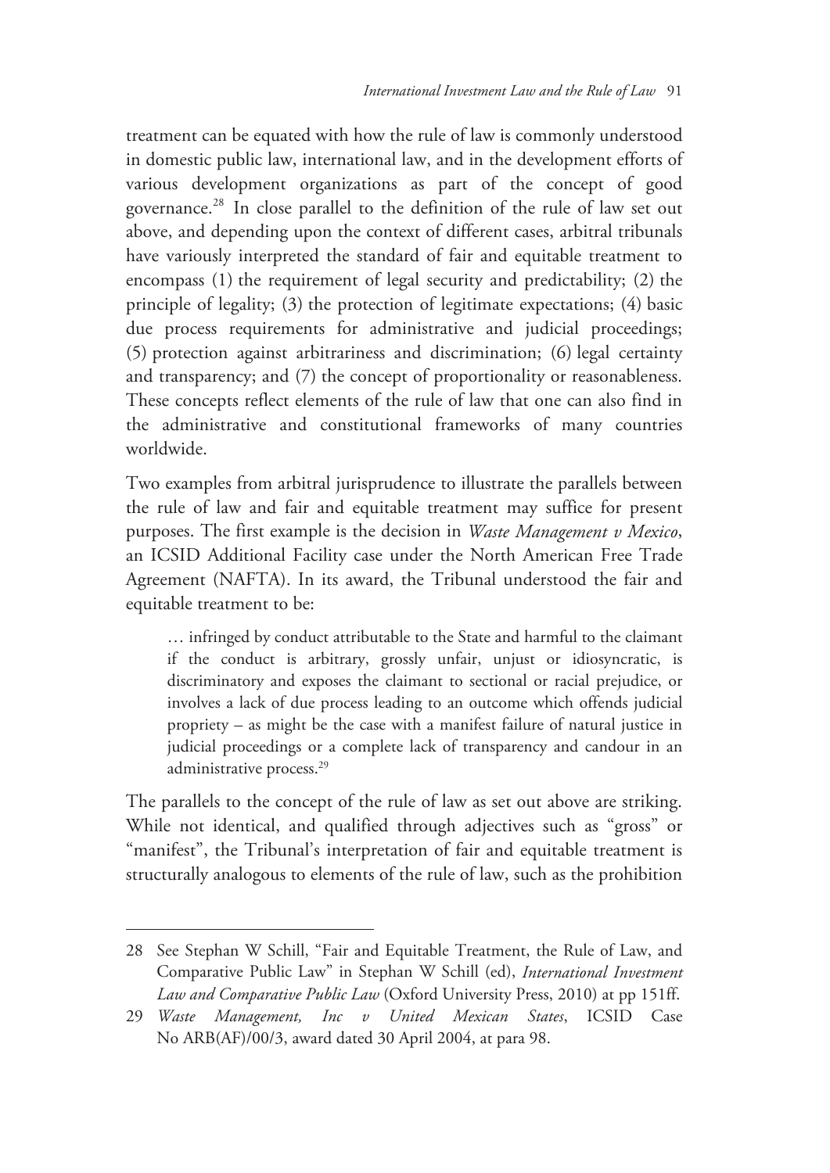treatment can be equated with how the rule of law is commonly understood in domestic public law, international law, and in the development efforts of various development organizations as part of the concept of good governance.28 In close parallel to the definition of the rule of law set out above, and depending upon the context of different cases, arbitral tribunals have variously interpreted the standard of fair and equitable treatment to encompass (1) the requirement of legal security and predictability; (2) the principle of legality; (3) the protection of legitimate expectations; (4) basic due process requirements for administrative and judicial proceedings; (5) protection against arbitrariness and discrimination; (6) legal certainty and transparency; and (7) the concept of proportionality or reasonableness. These concepts reflect elements of the rule of law that one can also find in the administrative and constitutional frameworks of many countries worldwide.

Two examples from arbitral jurisprudence to illustrate the parallels between the rule of law and fair and equitable treatment may suffice for present purposes. The first example is the decision in *Waste Management v Mexico*, an ICSID Additional Facility case under the North American Free Trade Agreement (NAFTA). In its award, the Tribunal understood the fair and equitable treatment to be:

… infringed by conduct attributable to the State and harmful to the claimant if the conduct is arbitrary, grossly unfair, unjust or idiosyncratic, is discriminatory and exposes the claimant to sectional or racial prejudice, or involves a lack of due process leading to an outcome which offends judicial propriety – as might be the case with a manifest failure of natural justice in judicial proceedings or a complete lack of transparency and candour in an administrative process.<sup>29</sup>

The parallels to the concept of the rule of law as set out above are striking. While not identical, and qualified through adjectives such as "gross" or "manifest", the Tribunal's interpretation of fair and equitable treatment is structurally analogous to elements of the rule of law, such as the prohibition

<sup>28</sup> See Stephan W Schill, "Fair and Equitable Treatment, the Rule of Law, and Comparative Public Law" in Stephan W Schill (ed), *International Investment Law and Comparative Public Law* (Oxford University Press, 2010) at pp 151ff.

<sup>29</sup> *Waste Management, Inc v United Mexican States*, ICSID Case No ARB(AF)/00/3, award dated 30 April 2004, at para 98.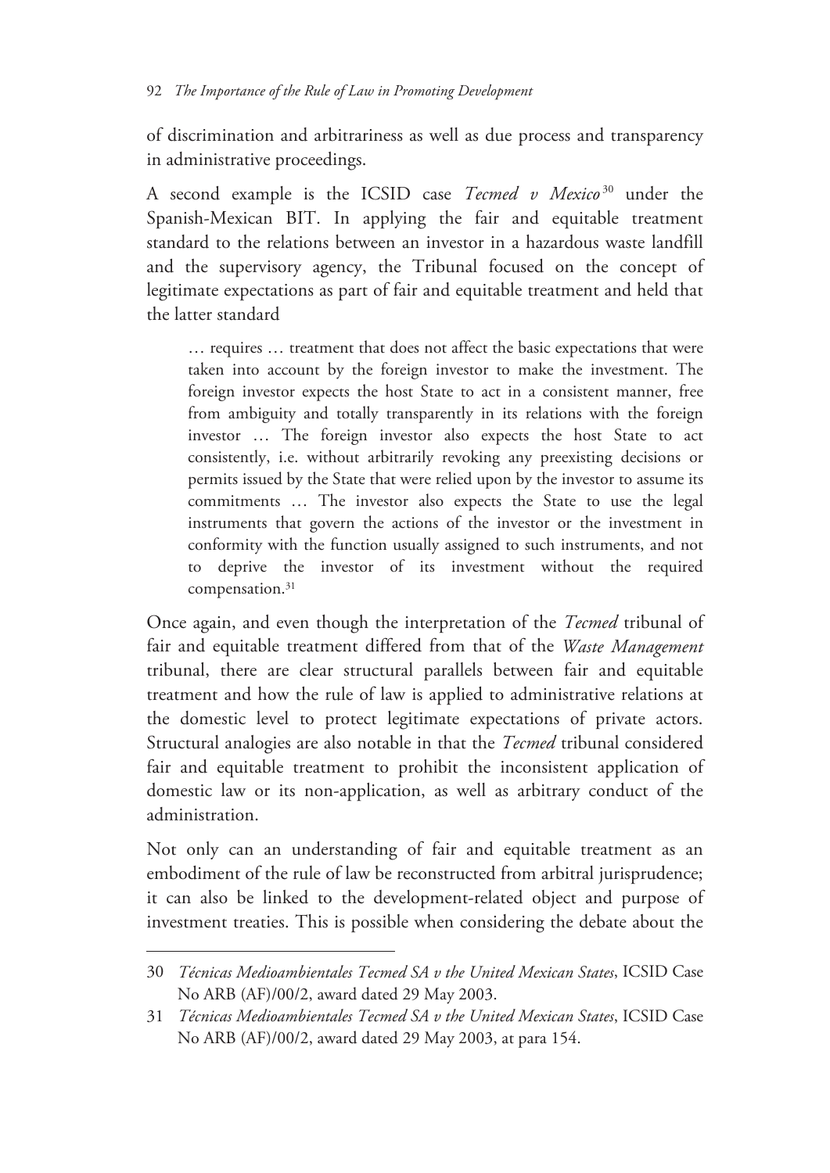of discrimination and arbitrariness as well as due process and transparency in administrative proceedings.

A second example is the ICSID case *Tecmed v Mexico* 30 under the Spanish-Mexican BIT. In applying the fair and equitable treatment standard to the relations between an investor in a hazardous waste landfill and the supervisory agency, the Tribunal focused on the concept of legitimate expectations as part of fair and equitable treatment and held that the latter standard

… requires … treatment that does not affect the basic expectations that were taken into account by the foreign investor to make the investment. The foreign investor expects the host State to act in a consistent manner, free from ambiguity and totally transparently in its relations with the foreign investor … The foreign investor also expects the host State to act consistently, i.e. without arbitrarily revoking any preexisting decisions or permits issued by the State that were relied upon by the investor to assume its commitments … The investor also expects the State to use the legal instruments that govern the actions of the investor or the investment in conformity with the function usually assigned to such instruments, and not to deprive the investor of its investment without the required compensation.<sup>31</sup>

Once again, and even though the interpretation of the *Tecmed* tribunal of fair and equitable treatment differed from that of the *Waste Management* tribunal, there are clear structural parallels between fair and equitable treatment and how the rule of law is applied to administrative relations at the domestic level to protect legitimate expectations of private actors. Structural analogies are also notable in that the *Tecmed* tribunal considered fair and equitable treatment to prohibit the inconsistent application of domestic law or its non-application, as well as arbitrary conduct of the administration.

Not only can an understanding of fair and equitable treatment as an embodiment of the rule of law be reconstructed from arbitral jurisprudence; it can also be linked to the development-related object and purpose of investment treaties. This is possible when considering the debate about the

<sup>30</sup> *Técnicas Medioambientales Tecmed SA v the United Mexican States*, ICSID Case No ARB (AF)/00/2, award dated 29 May 2003.

<sup>31</sup> *Técnicas Medioambientales Tecmed SA v the United Mexican States*, ICSID Case No ARB (AF)/00/2, award dated 29 May 2003, at para 154.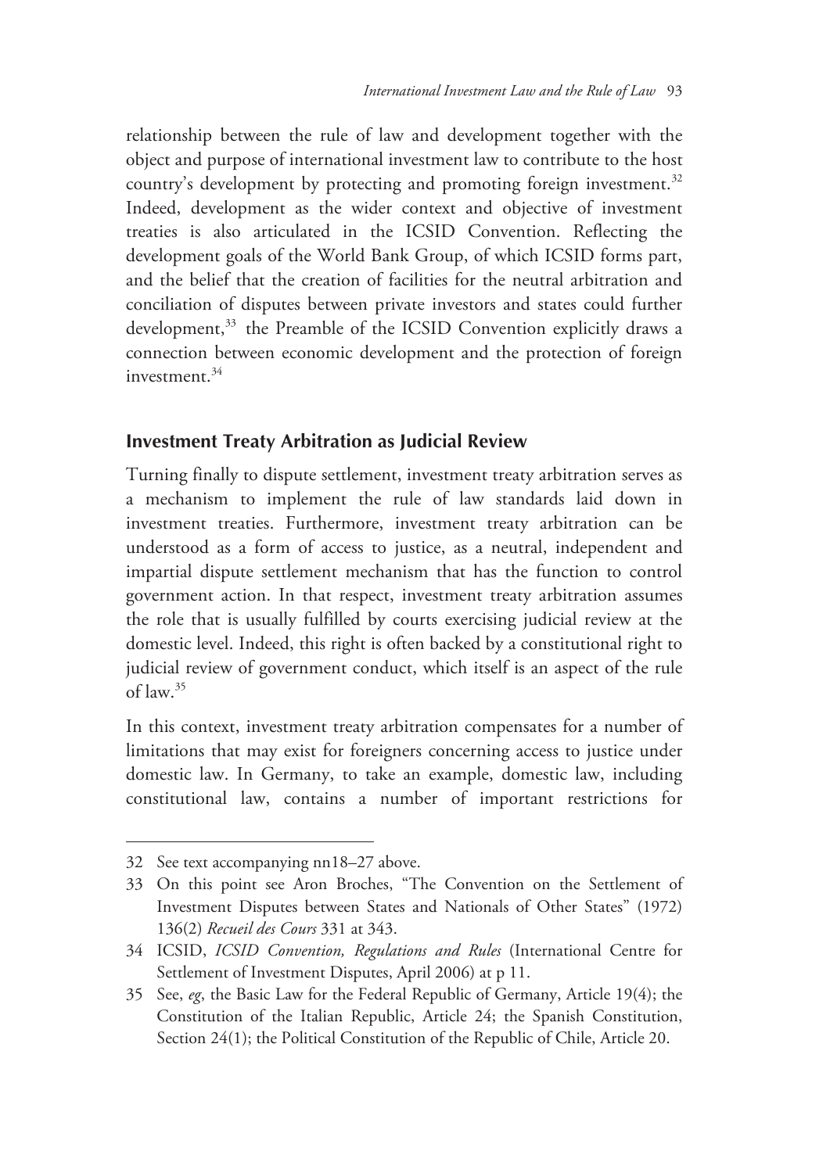relationship between the rule of law and development together with the object and purpose of international investment law to contribute to the host country's development by protecting and promoting foreign investment.<sup>32</sup> Indeed, development as the wider context and objective of investment treaties is also articulated in the ICSID Convention. Reflecting the development goals of the World Bank Group, of which ICSID forms part, and the belief that the creation of facilities for the neutral arbitration and conciliation of disputes between private investors and states could further development,<sup>33</sup> the Preamble of the ICSID Convention explicitly draws a connection between economic development and the protection of foreign investment $34$ 

#### **Investment Treaty Arbitration as Judicial Review**

Turning finally to dispute settlement, investment treaty arbitration serves as a mechanism to implement the rule of law standards laid down in investment treaties. Furthermore, investment treaty arbitration can be understood as a form of access to justice, as a neutral, independent and impartial dispute settlement mechanism that has the function to control government action. In that respect, investment treaty arbitration assumes the role that is usually fulfilled by courts exercising judicial review at the domestic level. Indeed, this right is often backed by a constitutional right to judicial review of government conduct, which itself is an aspect of the rule of law.35

In this context, investment treaty arbitration compensates for a number of limitations that may exist for foreigners concerning access to justice under domestic law. In Germany, to take an example, domestic law, including constitutional law, contains a number of important restrictions for

<sup>32</sup> See text accompanying nn18–27 above.

<sup>33</sup> On this point see Aron Broches, "The Convention on the Settlement of Investment Disputes between States and Nationals of Other States" (1972) 136(2) *Recueil des Cours* 331 at 343.

<sup>34</sup> ICSID, *ICSID Convention, Regulations and Rules* (International Centre for Settlement of Investment Disputes, April 2006) at p 11.

<sup>35</sup> See, *eg*, the Basic Law for the Federal Republic of Germany, Article 19(4); the Constitution of the Italian Republic, Article 24; the Spanish Constitution, Section 24(1); the Political Constitution of the Republic of Chile, Article 20.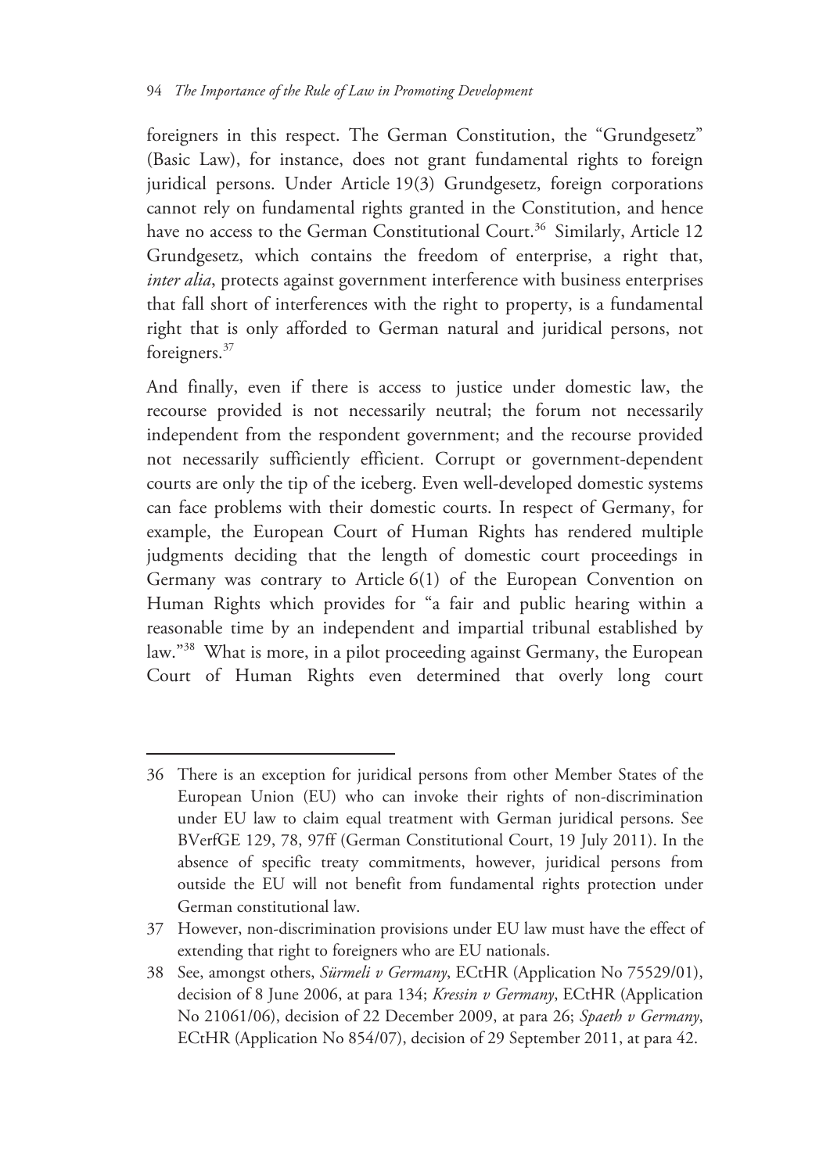foreigners in this respect. The German Constitution, the "Grundgesetz" (Basic Law), for instance, does not grant fundamental rights to foreign juridical persons. Under Article 19(3) Grundgesetz, foreign corporations cannot rely on fundamental rights granted in the Constitution, and hence have no access to the German Constitutional Court.<sup>36</sup> Similarly, Article 12 Grundgesetz, which contains the freedom of enterprise, a right that, *inter alia*, protects against government interference with business enterprises that fall short of interferences with the right to property, is a fundamental right that is only afforded to German natural and juridical persons, not foreigners.37

And finally, even if there is access to justice under domestic law, the recourse provided is not necessarily neutral; the forum not necessarily independent from the respondent government; and the recourse provided not necessarily sufficiently efficient. Corrupt or government-dependent courts are only the tip of the iceberg. Even well-developed domestic systems can face problems with their domestic courts. In respect of Germany, for example, the European Court of Human Rights has rendered multiple judgments deciding that the length of domestic court proceedings in Germany was contrary to Article 6(1) of the European Convention on Human Rights which provides for "a fair and public hearing within a reasonable time by an independent and impartial tribunal established by law."38 What is more, in a pilot proceeding against Germany, the European Court of Human Rights even determined that overly long court

<sup>36</sup> There is an exception for juridical persons from other Member States of the European Union (EU) who can invoke their rights of non-discrimination under EU law to claim equal treatment with German juridical persons. See BVerfGE 129, 78, 97ff (German Constitutional Court, 19 July 2011). In the absence of specific treaty commitments, however, juridical persons from outside the EU will not benefit from fundamental rights protection under German constitutional law.

<sup>37</sup> However, non-discrimination provisions under EU law must have the effect of extending that right to foreigners who are EU nationals.

<sup>38</sup> See, amongst others, *Sürmeli v Germany*, ECtHR (Application No 75529/01), decision of 8 June 2006, at para 134; *Kressin v Germany*, ECtHR (Application No 21061/06), decision of 22 December 2009, at para 26; *Spaeth v Germany*, ECtHR (Application No 854/07), decision of 29 September 2011, at para 42.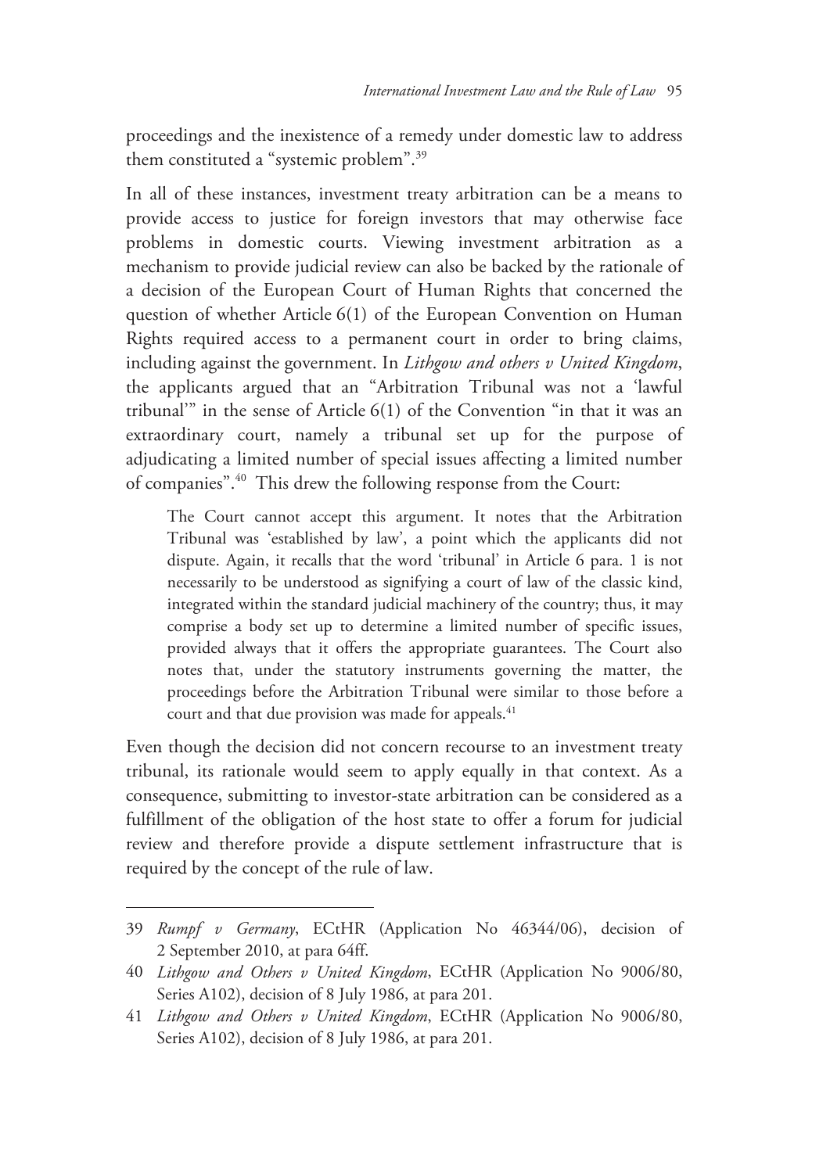proceedings and the inexistence of a remedy under domestic law to address them constituted a "systemic problem".39

In all of these instances, investment treaty arbitration can be a means to provide access to justice for foreign investors that may otherwise face problems in domestic courts. Viewing investment arbitration as a mechanism to provide judicial review can also be backed by the rationale of a decision of the European Court of Human Rights that concerned the question of whether Article 6(1) of the European Convention on Human Rights required access to a permanent court in order to bring claims, including against the government. In *Lithgow and others v United Kingdom*, the applicants argued that an "Arbitration Tribunal was not a 'lawful tribunal'" in the sense of Article 6(1) of the Convention "in that it was an extraordinary court, namely a tribunal set up for the purpose of adjudicating a limited number of special issues affecting a limited number of companies".40 This drew the following response from the Court:

The Court cannot accept this argument. It notes that the Arbitration Tribunal was 'established by law', a point which the applicants did not dispute. Again, it recalls that the word 'tribunal' in Article 6 para. 1 is not necessarily to be understood as signifying a court of law of the classic kind, integrated within the standard judicial machinery of the country; thus, it may comprise a body set up to determine a limited number of specific issues, provided always that it offers the appropriate guarantees. The Court also notes that, under the statutory instruments governing the matter, the proceedings before the Arbitration Tribunal were similar to those before a court and that due provision was made for appeals.<sup>41</sup>

Even though the decision did not concern recourse to an investment treaty tribunal, its rationale would seem to apply equally in that context. As a consequence, submitting to investor-state arbitration can be considered as a fulfillment of the obligation of the host state to offer a forum for judicial review and therefore provide a dispute settlement infrastructure that is required by the concept of the rule of law.

<sup>39</sup> *Rumpf v Germany*, ECtHR (Application No 46344/06), decision of 2 September 2010, at para 64ff.

<sup>40</sup> *Lithgow and Others v United Kingdom*, ECtHR (Application No 9006/80, Series A102), decision of 8 July 1986, at para 201.

<sup>41</sup> *Lithgow and Others v United Kingdom*, ECtHR (Application No 9006/80, Series A102), decision of 8 July 1986, at para 201.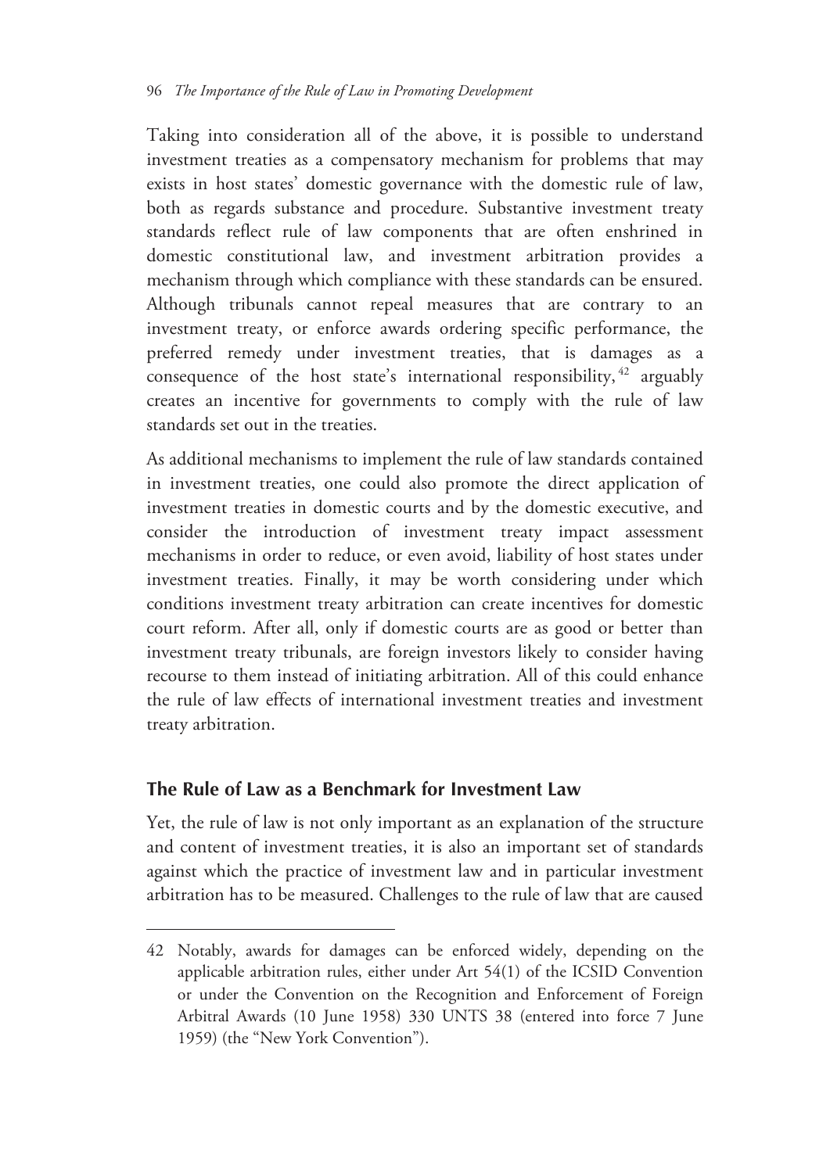Taking into consideration all of the above, it is possible to understand investment treaties as a compensatory mechanism for problems that may exists in host states' domestic governance with the domestic rule of law, both as regards substance and procedure. Substantive investment treaty standards reflect rule of law components that are often enshrined in domestic constitutional law, and investment arbitration provides a mechanism through which compliance with these standards can be ensured. Although tribunals cannot repeal measures that are contrary to an investment treaty, or enforce awards ordering specific performance, the preferred remedy under investment treaties, that is damages as a consequence of the host state's international responsibility,  $42$  arguably creates an incentive for governments to comply with the rule of law standards set out in the treaties.

As additional mechanisms to implement the rule of law standards contained in investment treaties, one could also promote the direct application of investment treaties in domestic courts and by the domestic executive, and consider the introduction of investment treaty impact assessment mechanisms in order to reduce, or even avoid, liability of host states under investment treaties. Finally, it may be worth considering under which conditions investment treaty arbitration can create incentives for domestic court reform. After all, only if domestic courts are as good or better than investment treaty tribunals, are foreign investors likely to consider having recourse to them instead of initiating arbitration. All of this could enhance the rule of law effects of international investment treaties and investment treaty arbitration.

# **The Rule of Law as a Benchmark for Investment Law**

 $\overline{a}$ 

Yet, the rule of law is not only important as an explanation of the structure and content of investment treaties, it is also an important set of standards against which the practice of investment law and in particular investment arbitration has to be measured. Challenges to the rule of law that are caused

<sup>42</sup> Notably, awards for damages can be enforced widely, depending on the applicable arbitration rules, either under Art 54(1) of the ICSID Convention or under the Convention on the Recognition and Enforcement of Foreign Arbitral Awards (10 June 1958) 330 UNTS 38 (entered into force 7 June 1959) (the "New York Convention").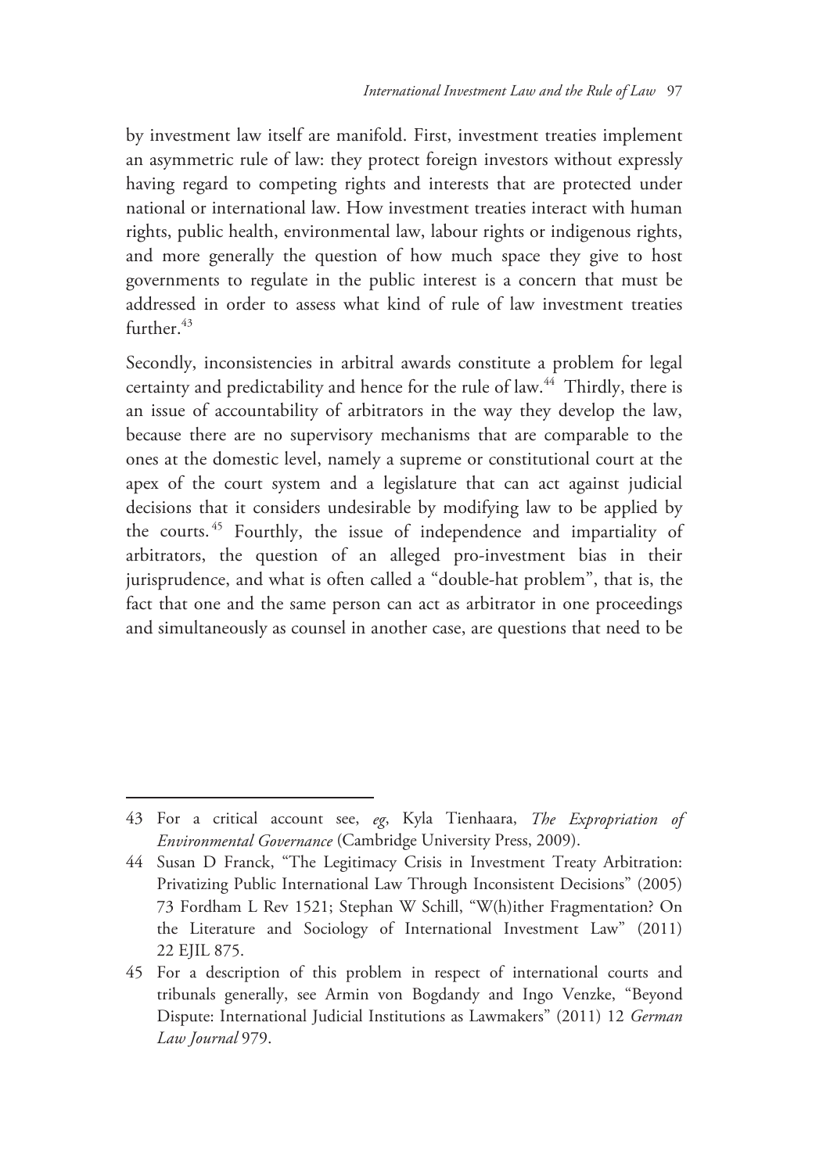by investment law itself are manifold. First, investment treaties implement an asymmetric rule of law: they protect foreign investors without expressly having regard to competing rights and interests that are protected under national or international law. How investment treaties interact with human rights, public health, environmental law, labour rights or indigenous rights, and more generally the question of how much space they give to host governments to regulate in the public interest is a concern that must be addressed in order to assess what kind of rule of law investment treaties further.<sup>43</sup>

Secondly, inconsistencies in arbitral awards constitute a problem for legal certainty and predictability and hence for the rule of law.<sup>44</sup> Thirdly, there is an issue of accountability of arbitrators in the way they develop the law, because there are no supervisory mechanisms that are comparable to the ones at the domestic level, namely a supreme or constitutional court at the apex of the court system and a legislature that can act against judicial decisions that it considers undesirable by modifying law to be applied by the courts. 45 Fourthly, the issue of independence and impartiality of arbitrators, the question of an alleged pro-investment bias in their jurisprudence, and what is often called a "double-hat problem", that is, the fact that one and the same person can act as arbitrator in one proceedings and simultaneously as counsel in another case, are questions that need to be

<sup>43</sup> For a critical account see, *eg*, Kyla Tienhaara, *The Expropriation of Environmental Governance* (Cambridge University Press, 2009).

<sup>44</sup> Susan D Franck, "The Legitimacy Crisis in Investment Treaty Arbitration: Privatizing Public International Law Through Inconsistent Decisions" (2005) 73 Fordham L Rev 1521; Stephan W Schill, "W(h)ither Fragmentation? On the Literature and Sociology of International Investment Law" (2011) 22 EJIL 875.

<sup>45</sup> For a description of this problem in respect of international courts and tribunals generally, see Armin von Bogdandy and Ingo Venzke, "Beyond Dispute: International Judicial Institutions as Lawmakers" (2011) 12 *German Law Journal* 979.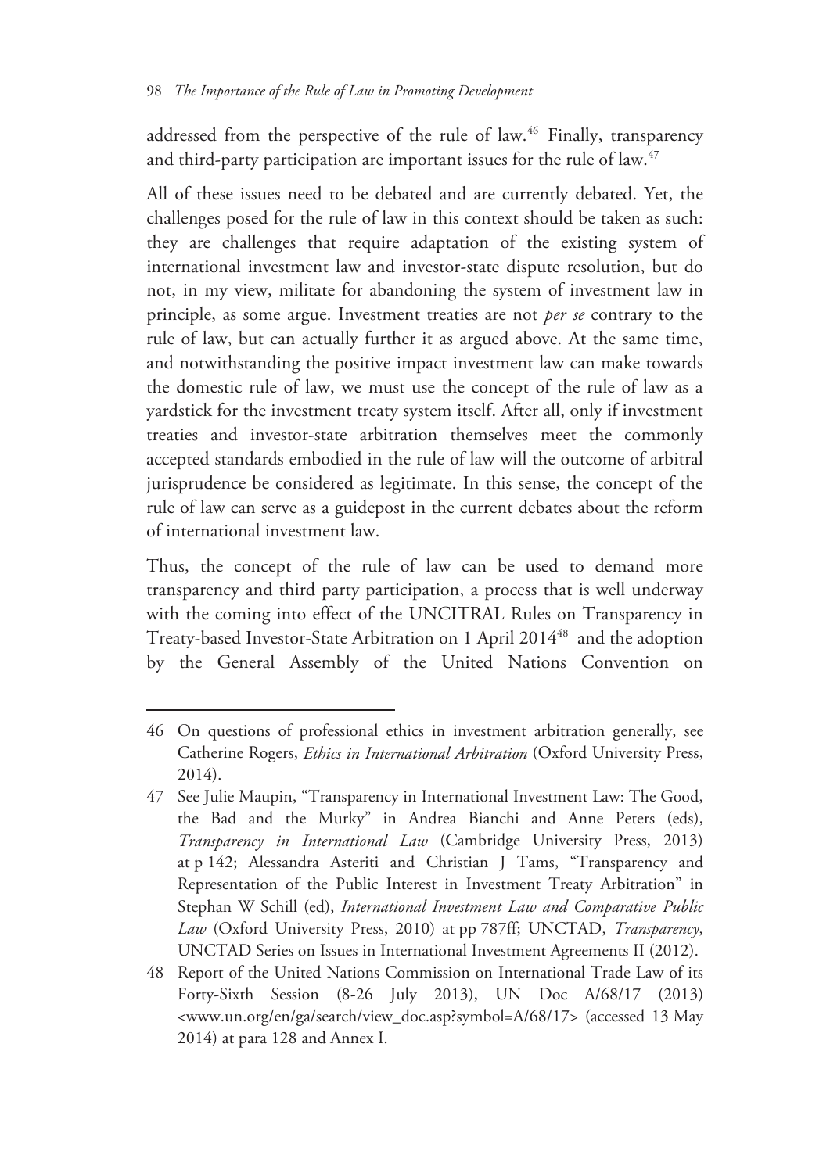addressed from the perspective of the rule of law.<sup>46</sup> Finally, transparency and third-party participation are important issues for the rule of law.<sup>47</sup>

All of these issues need to be debated and are currently debated. Yet, the challenges posed for the rule of law in this context should be taken as such: they are challenges that require adaptation of the existing system of international investment law and investor-state dispute resolution, but do not, in my view, militate for abandoning the system of investment law in principle, as some argue. Investment treaties are not *per se* contrary to the rule of law, but can actually further it as argued above. At the same time, and notwithstanding the positive impact investment law can make towards the domestic rule of law, we must use the concept of the rule of law as a yardstick for the investment treaty system itself. After all, only if investment treaties and investor-state arbitration themselves meet the commonly accepted standards embodied in the rule of law will the outcome of arbitral jurisprudence be considered as legitimate. In this sense, the concept of the rule of law can serve as a guidepost in the current debates about the reform of international investment law.

Thus, the concept of the rule of law can be used to demand more transparency and third party participation, a process that is well underway with the coming into effect of the UNCITRAL Rules on Transparency in Treaty-based Investor-State Arbitration on 1 April 2014<sup>48</sup> and the adoption by the General Assembly of the United Nations Convention on

<sup>46</sup> On questions of professional ethics in investment arbitration generally, see Catherine Rogers, *Ethics in International Arbitration* (Oxford University Press, 2014).

<sup>47</sup> See Julie Maupin, "Transparency in International Investment Law: The Good, the Bad and the Murky" in Andrea Bianchi and Anne Peters (eds), *Transparency in International Law* (Cambridge University Press, 2013) at p 142; Alessandra Asteriti and Christian J Tams, "Transparency and Representation of the Public Interest in Investment Treaty Arbitration" in Stephan W Schill (ed), *International Investment Law and Comparative Public Law* (Oxford University Press, 2010) at pp 787ff; UNCTAD, *Transparency*, UNCTAD Series on Issues in International Investment Agreements II (2012).

<sup>48</sup> Report of the United Nations Commission on International Trade Law of its Forty-Sixth Session (8-26 July 2013), UN Doc A/68/17 (2013) <www.un.org/en/ga/search/view\_doc.asp?symbol=A/68/17> (accessed 13 May 2014) at para 128 and Annex I.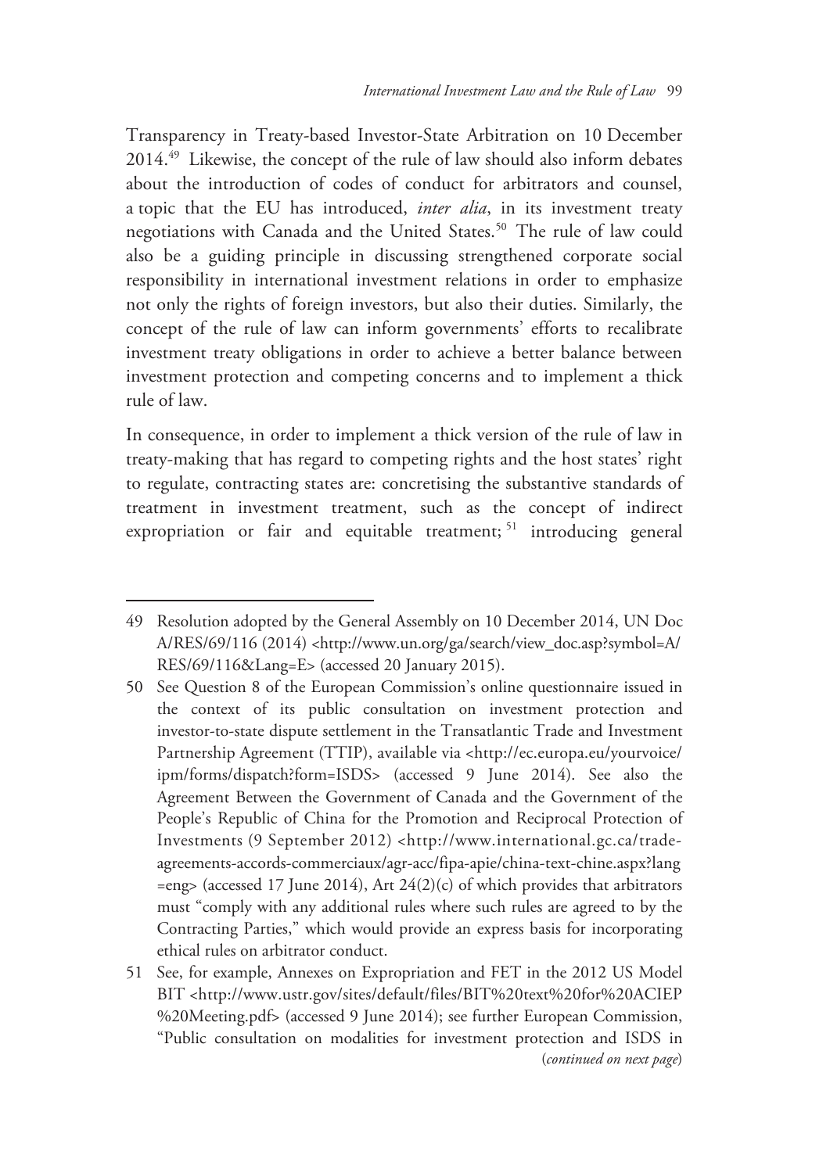Transparency in Treaty-based Investor-State Arbitration on 10 December 2014.49 Likewise, the concept of the rule of law should also inform debates about the introduction of codes of conduct for arbitrators and counsel, a topic that the EU has introduced, *inter alia*, in its investment treaty negotiations with Canada and the United States.<sup>50</sup> The rule of law could also be a guiding principle in discussing strengthened corporate social responsibility in international investment relations in order to emphasize not only the rights of foreign investors, but also their duties. Similarly, the concept of the rule of law can inform governments' efforts to recalibrate investment treaty obligations in order to achieve a better balance between investment protection and competing concerns and to implement a thick rule of law.

In consequence, in order to implement a thick version of the rule of law in treaty-making that has regard to competing rights and the host states' right to regulate, contracting states are: concretising the substantive standards of treatment in investment treatment, such as the concept of indirect expropriation or fair and equitable treatment;<sup>51</sup> introducing general

<sup>49</sup> Resolution adopted by the General Assembly on 10 December 2014, UN Doc A/RES/69/116 (2014) <http://www.un.org/ga/search/view\_doc.asp?symbol=A/ RES/69/116&Lang=E> (accessed 20 January 2015).

<sup>50</sup> See Question 8 of the European Commission's online questionnaire issued in the context of its public consultation on investment protection and investor-to-state dispute settlement in the Transatlantic Trade and Investment Partnership Agreement (TTIP), available via <http://ec.europa.eu/yourvoice/ ipm/forms/dispatch?form=ISDS> (accessed 9 June 2014). See also the Agreement Between the Government of Canada and the Government of the People's Republic of China for the Promotion and Reciprocal Protection of Investments (9 September 2012) <http://www.international.gc.ca/tradeagreements-accords-commerciaux/agr-acc/fipa-apie/china-text-chine.aspx?lang =eng> (accessed 17 June 2014), Art 24(2)(c) of which provides that arbitrators must "comply with any additional rules where such rules are agreed to by the Contracting Parties," which would provide an express basis for incorporating ethical rules on arbitrator conduct.

<sup>51</sup> See, for example, Annexes on Expropriation and FET in the 2012 US Model BIT <http://www.ustr.gov/sites/default/files/BIT%20text%20for%20ACIEP %20Meeting.pdf> (accessed 9 June 2014); see further European Commission, "Public consultation on modalities for investment protection and ISDS in (*continued on next page*)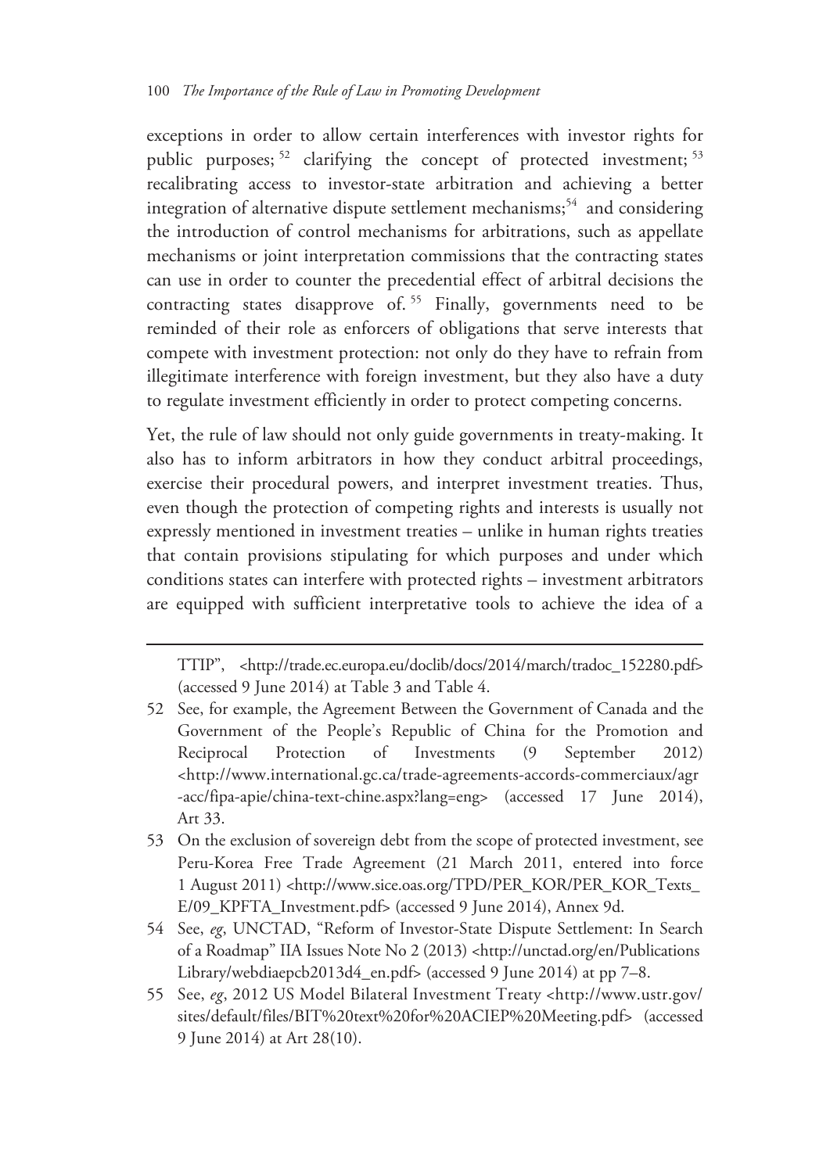exceptions in order to allow certain interferences with investor rights for public purposes; 52 clarifying the concept of protected investment; <sup>53</sup> recalibrating access to investor-state arbitration and achieving a better integration of alternative dispute settlement mechanisms; $54$  and considering the introduction of control mechanisms for arbitrations, such as appellate mechanisms or joint interpretation commissions that the contracting states can use in order to counter the precedential effect of arbitral decisions the contracting states disapprove of.<sup>55</sup> Finally, governments need to be reminded of their role as enforcers of obligations that serve interests that compete with investment protection: not only do they have to refrain from illegitimate interference with foreign investment, but they also have a duty to regulate investment efficiently in order to protect competing concerns.

Yet, the rule of law should not only guide governments in treaty-making. It also has to inform arbitrators in how they conduct arbitral proceedings, exercise their procedural powers, and interpret investment treaties. Thus, even though the protection of competing rights and interests is usually not expressly mentioned in investment treaties – unlike in human rights treaties that contain provisions stipulating for which purposes and under which conditions states can interfere with protected rights – investment arbitrators are equipped with sufficient interpretative tools to achieve the idea of a

TTIP", <http://trade.ec.europa.eu/doclib/docs/2014/march/tradoc\_152280.pdf> (accessed 9 June 2014) at Table 3 and Table 4.

<sup>52</sup> See, for example, the Agreement Between the Government of Canada and the Government of the People's Republic of China for the Promotion and Reciprocal Protection of Investments (9 September 2012) <http://www.international.gc.ca/trade-agreements-accords-commerciaux/agr -acc/fipa-apie/china-text-chine.aspx?lang=eng> (accessed 17 June 2014), Art 33.

<sup>53</sup> On the exclusion of sovereign debt from the scope of protected investment, see Peru-Korea Free Trade Agreement (21 March 2011, entered into force 1 August 2011) <http://www.sice.oas.org/TPD/PER\_KOR/PER\_KOR\_Texts\_ E/09\_KPFTA\_Investment.pdf> (accessed 9 June 2014), Annex 9d.

<sup>54</sup> See, *eg*, UNCTAD, "Reform of Investor-State Dispute Settlement: In Search of a Roadmap" IIA Issues Note No 2 (2013) <http://unctad.org/en/Publications Library/webdiaepcb2013d4\_en.pdf> (accessed 9 June 2014) at pp 7–8.

<sup>55</sup> See, *eg*, 2012 US Model Bilateral Investment Treaty <http://www.ustr.gov/ sites/default/files/BIT%20text%20for%20ACIEP%20Meeting.pdf> (accessed 9 June 2014) at Art 28(10).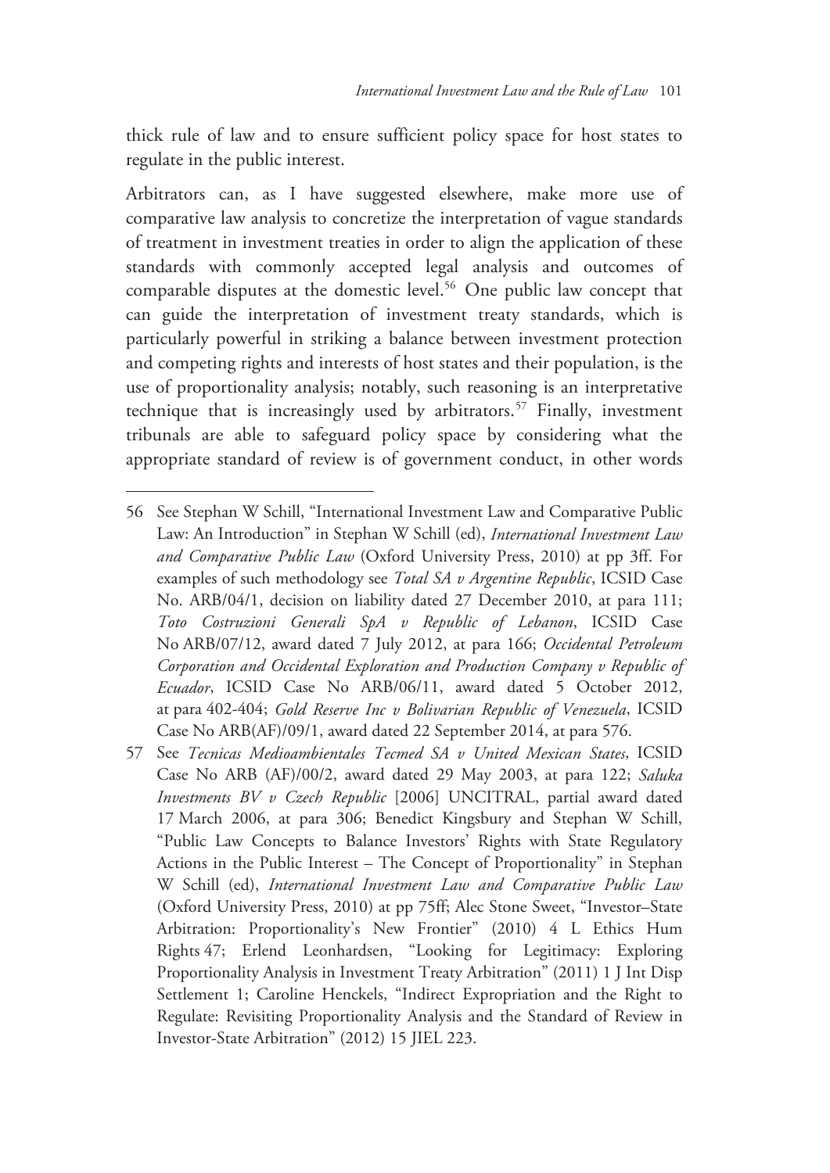thick rule of law and to ensure sufficient policy space for host states to regulate in the public interest.

Arbitrators can, as I have suggested elsewhere, make more use of comparative law analysis to concretize the interpretation of vague standards of treatment in investment treaties in order to align the application of these standards with commonly accepted legal analysis and outcomes of comparable disputes at the domestic level.<sup>56</sup> One public law concept that can guide the interpretation of investment treaty standards, which is particularly powerful in striking a balance between investment protection and competing rights and interests of host states and their population, is the use of proportionality analysis; notably, such reasoning is an interpretative technique that is increasingly used by arbitrators.<sup>57</sup> Finally, investment tribunals are able to safeguard policy space by considering what the appropriate standard of review is of government conduct, in other words

<sup>56</sup> See Stephan W Schill, "International Investment Law and Comparative Public Law: An Introduction" in Stephan W Schill (ed), *International Investment Law and Comparative Public Law* (Oxford University Press, 2010) at pp 3ff. For examples of such methodology see *Total SA v Argentine Republic*, ICSID Case No. ARB/04/1, decision on liability dated 27 December 2010, at para 111; *Toto Costruzioni Generali SpA v Republic of Lebanon*, ICSID Case No ARB/07/12, award dated 7 July 2012, at para 166; *Occidental Petroleum Corporation and Occidental Exploration and Production Company v Republic of Ecuador*, ICSID Case No ARB/06/11, award dated 5 October 2012, at para 402-404; *Gold Reserve Inc v Bolivarian Republic of Venezuela*, ICSID Case No ARB(AF)/09/1, award dated 22 September 2014, at para 576.

<sup>57</sup> See *Tecnicas Medioambientales Tecmed SA v United Mexican States*, ICSID Case No ARB (AF)/00/2, award dated 29 May 2003, at para 122; *Saluka Investments BV v Czech Republic* [2006] UNCITRAL, partial award dated 17 March 2006, at para 306; Benedict Kingsbury and Stephan W Schill, "Public Law Concepts to Balance Investors' Rights with State Regulatory Actions in the Public Interest – The Concept of Proportionality" in Stephan W Schill (ed), *International Investment Law and Comparative Public Law* (Oxford University Press, 2010) at pp 75ff; Alec Stone Sweet, "Investor–State Arbitration: Proportionality's New Frontier" (2010) 4 L Ethics Hum Rights 47; Erlend Leonhardsen, "Looking for Legitimacy: Exploring Proportionality Analysis in Investment Treaty Arbitration" (2011) 1 J Int Disp Settlement 1; Caroline Henckels, "Indirect Expropriation and the Right to Regulate: Revisiting Proportionality Analysis and the Standard of Review in Investor-State Arbitration" (2012) 15 JIEL 223.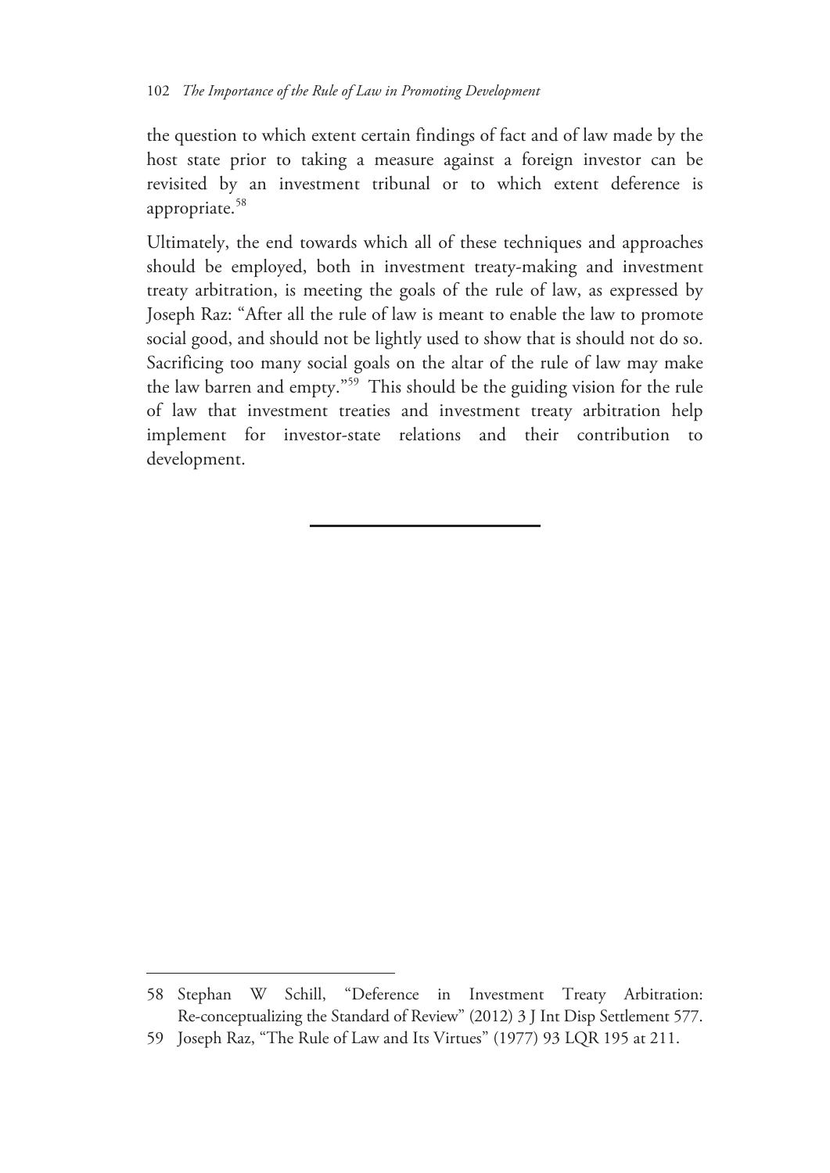the question to which extent certain findings of fact and of law made by the host state prior to taking a measure against a foreign investor can be revisited by an investment tribunal or to which extent deference is appropriate.<sup>58</sup>

Ultimately, the end towards which all of these techniques and approaches should be employed, both in investment treaty-making and investment treaty arbitration, is meeting the goals of the rule of law, as expressed by Joseph Raz: "After all the rule of law is meant to enable the law to promote social good, and should not be lightly used to show that is should not do so. Sacrificing too many social goals on the altar of the rule of law may make the law barren and empty."59 This should be the guiding vision for the rule of law that investment treaties and investment treaty arbitration help implement for investor-state relations and their contribution to development.

<sup>58</sup> Stephan W Schill, "Deference in Investment Treaty Arbitration: Re-conceptualizing the Standard of Review" (2012) 3 J Int Disp Settlement 577.

<sup>59</sup> Joseph Raz, "The Rule of Law and Its Virtues" (1977) 93 LQR 195 at 211.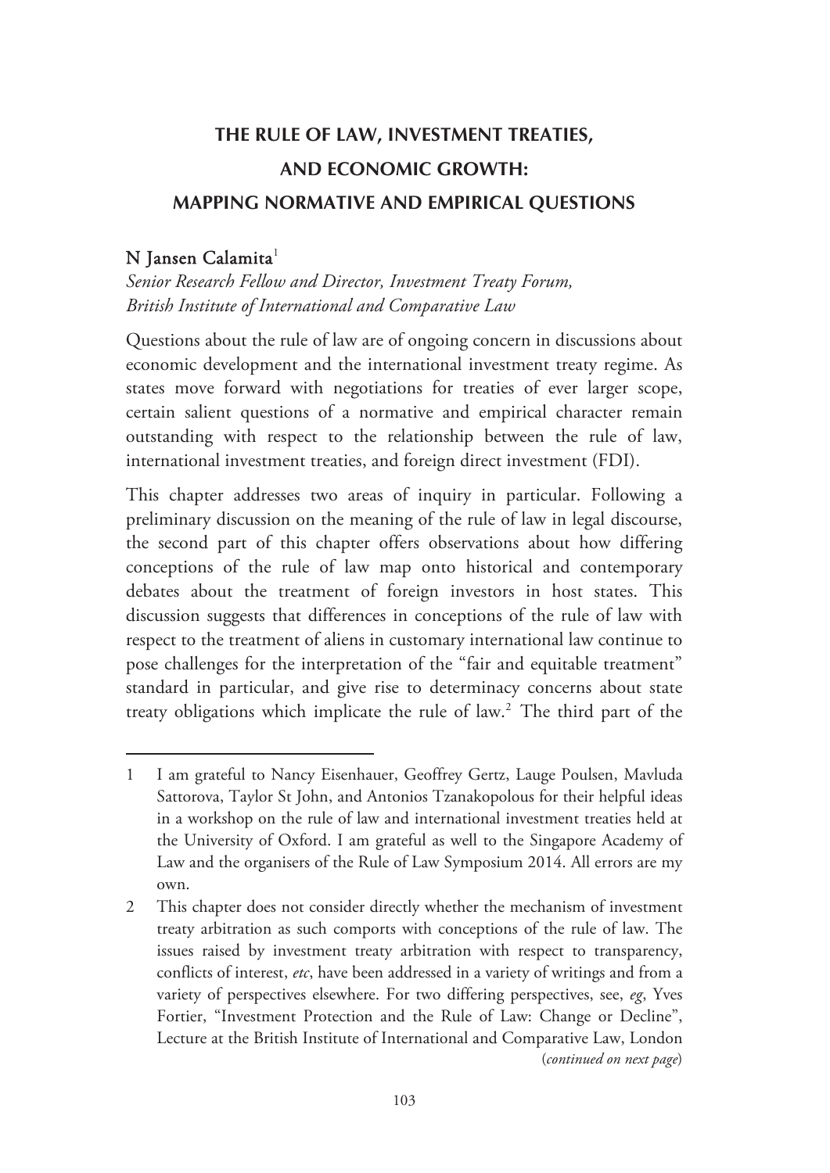# **THE RULE OF LAW, INVESTMENT TREATIES, AND ECONOMIC GROWTH: MAPPING NORMATIVE AND EMPIRICAL QUESTIONS**

### $N$  Jansen Calamita $^1$

-

*Senior Research Fellow and Director, Investment Treaty Forum, British Institute of International and Comparative Law* 

Questions about the rule of law are of ongoing concern in discussions about economic development and the international investment treaty regime. As states move forward with negotiations for treaties of ever larger scope, certain salient questions of a normative and empirical character remain outstanding with respect to the relationship between the rule of law, international investment treaties, and foreign direct investment (FDI).

This chapter addresses two areas of inquiry in particular. Following a preliminary discussion on the meaning of the rule of law in legal discourse, the second part of this chapter offers observations about how differing conceptions of the rule of law map onto historical and contemporary debates about the treatment of foreign investors in host states. This discussion suggests that differences in conceptions of the rule of law with respect to the treatment of aliens in customary international law continue to pose challenges for the interpretation of the "fair and equitable treatment" standard in particular, and give rise to determinacy concerns about state treaty obligations which implicate the rule of law.<sup>2</sup> The third part of the

<sup>1</sup> I am grateful to Nancy Eisenhauer, Geoffrey Gertz, Lauge Poulsen, Mavluda Sattorova, Taylor St John, and Antonios Tzanakopolous for their helpful ideas in a workshop on the rule of law and international investment treaties held at the University of Oxford. I am grateful as well to the Singapore Academy of Law and the organisers of the Rule of Law Symposium 2014. All errors are my own.

<sup>2</sup> This chapter does not consider directly whether the mechanism of investment treaty arbitration as such comports with conceptions of the rule of law. The issues raised by investment treaty arbitration with respect to transparency, conflicts of interest, *etc*, have been addressed in a variety of writings and from a variety of perspectives elsewhere. For two differing perspectives, see, *eg*, Yves Fortier, "Investment Protection and the Rule of Law: Change or Decline", Lecture at the British Institute of International and Comparative Law, London (*continued on next page*)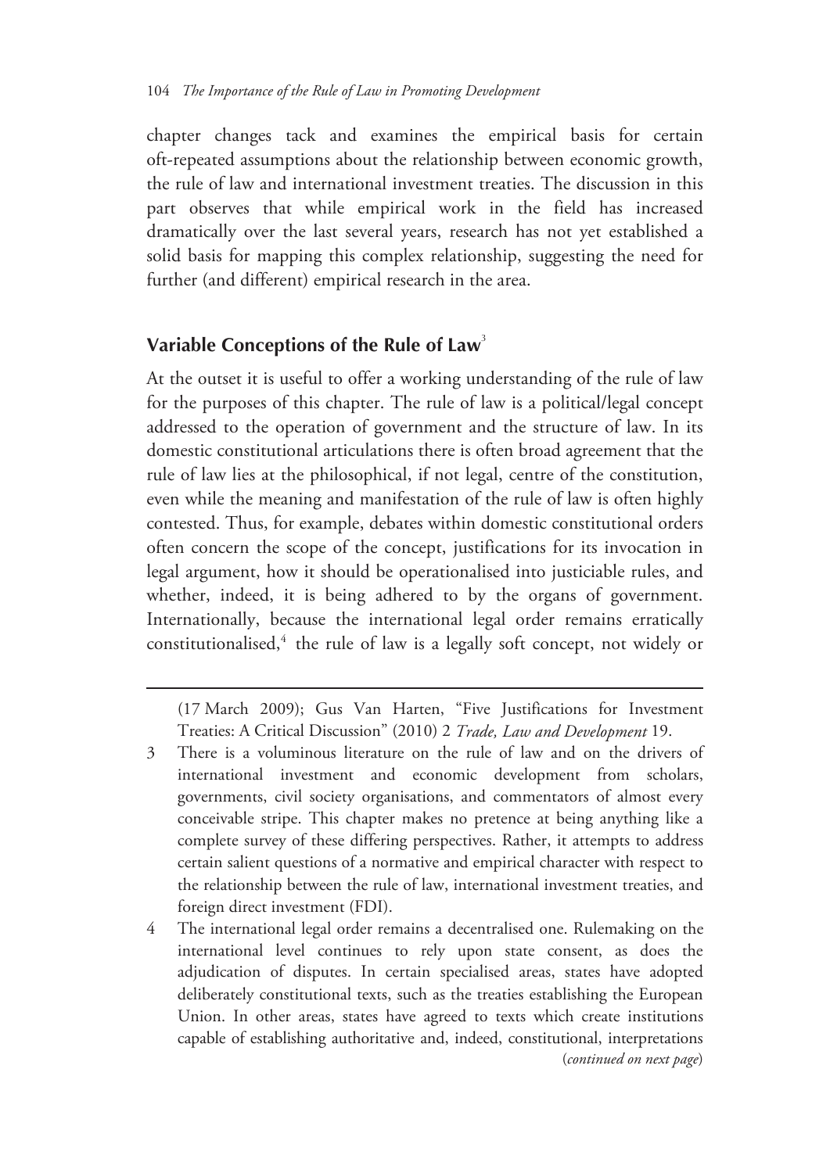chapter changes tack and examines the empirical basis for certain oft-repeated assumptions about the relationship between economic growth, the rule of law and international investment treaties. The discussion in this part observes that while empirical work in the field has increased dramatically over the last several years, research has not yet established a solid basis for mapping this complex relationship, suggesting the need for further (and different) empirical research in the area.

#### **Variable Conceptions of the Rule of Law**<sup>3</sup>

 $\overline{a}$ 

At the outset it is useful to offer a working understanding of the rule of law for the purposes of this chapter. The rule of law is a political/legal concept addressed to the operation of government and the structure of law. In its domestic constitutional articulations there is often broad agreement that the rule of law lies at the philosophical, if not legal, centre of the constitution, even while the meaning and manifestation of the rule of law is often highly contested. Thus, for example, debates within domestic constitutional orders often concern the scope of the concept, justifications for its invocation in legal argument, how it should be operationalised into justiciable rules, and whether, indeed, it is being adhered to by the organs of government. Internationally, because the international legal order remains erratically constitutionalised,<sup>4</sup> the rule of law is a legally soft concept, not widely or

(17 March 2009); Gus Van Harten, "Five Justifications for Investment Treaties: A Critical Discussion" (2010) 2 *Trade, Law and Development* 19.

- 3 There is a voluminous literature on the rule of law and on the drivers of international investment and economic development from scholars, governments, civil society organisations, and commentators of almost every conceivable stripe. This chapter makes no pretence at being anything like a complete survey of these differing perspectives. Rather, it attempts to address certain salient questions of a normative and empirical character with respect to the relationship between the rule of law, international investment treaties, and foreign direct investment (FDI).
- 4 The international legal order remains a decentralised one. Rulemaking on the international level continues to rely upon state consent, as does the adjudication of disputes. In certain specialised areas, states have adopted deliberately constitutional texts, such as the treaties establishing the European Union. In other areas, states have agreed to texts which create institutions capable of establishing authoritative and, indeed, constitutional, interpretations (*continued on next page*)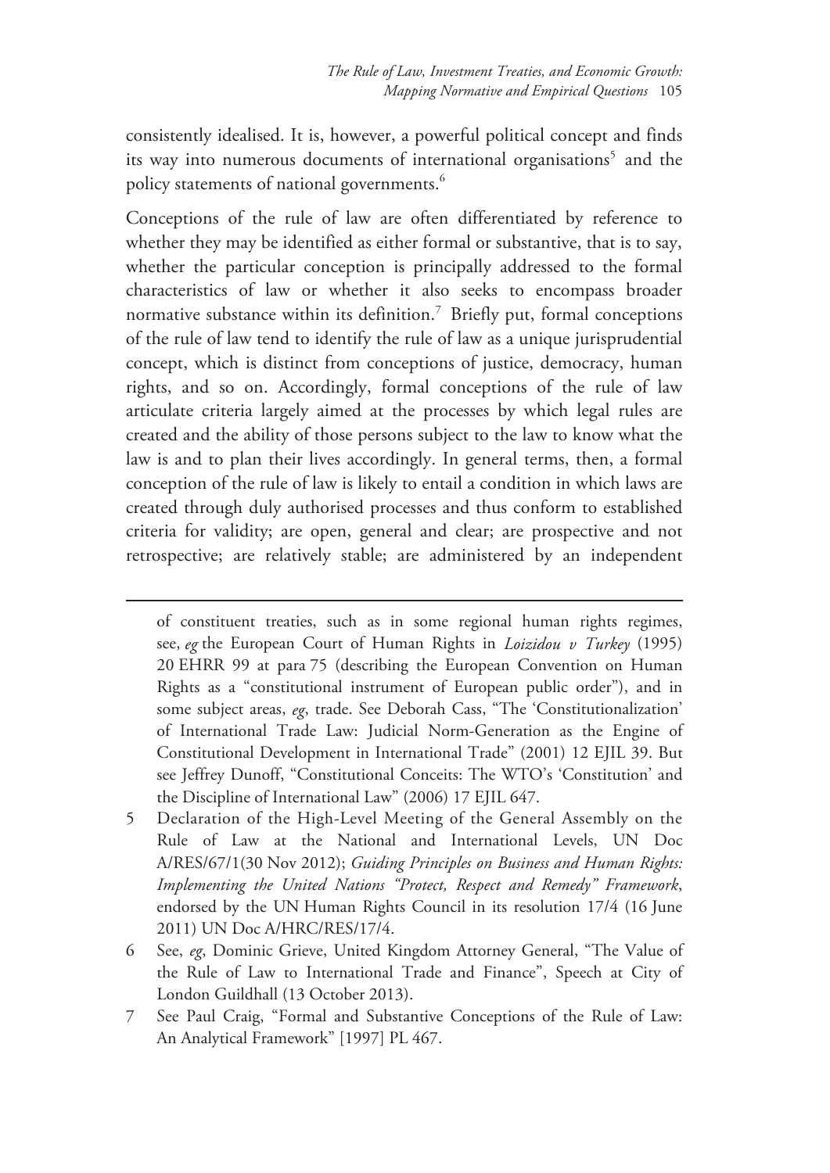consistently idealised. It is, however, a powerful political concept and finds its way into numerous documents of international organisations<sup>5</sup> and the policy statements of national governments.<sup>6</sup>

Conceptions of the rule of law are often differentiated by reference to whether they may be identified as either formal or substantive, that is to say, whether the particular conception is principally addressed to the formal characteristics of law or whether it also seeks to encompass broader normative substance within its definition.<sup>7</sup> Briefly put, formal conceptions of the rule of law tend to identify the rule of law as a unique jurisprudential concept, which is distinct from conceptions of justice, democracy, human rights, and so on. Accordingly, formal conceptions of the rule of law articulate criteria largely aimed at the processes by which legal rules are created and the ability of those persons subject to the law to know what the law is and to plan their lives accordingly. In general terms, then, a formal conception of the rule of law is likely to entail a condition in which laws are created through duly authorised processes and thus conform to established criteria for validity; are open, general and clear; are prospective and not retrospective; are relatively stable; are administered by an independent

- 5 Declaration of the High-Level Meeting of the General Assembly on the Rule of Law at the National and International Levels, UN Doc A/RES/67/1(30 Nov 2012); *Guiding Principles on Business and Human Rights: Implementing the United Nations "Protect, Respect and Remedy" Framework*, endorsed by the UN Human Rights Council in its resolution 17/4 (16 June 2011) UN Doc A/HRC/RES/17/4.
- 6 See, *eg*, Dominic Grieve, United Kingdom Attorney General, "The Value of the Rule of Law to International Trade and Finance", Speech at City of London Guildhall (13 October 2013).
- 7 See Paul Craig, "Formal and Substantive Conceptions of the Rule of Law: An Analytical Framework" [1997] PL 467.

of constituent treaties, such as in some regional human rights regimes, see, *eg* the European Court of Human Rights in *Loizidou v Turkey* (1995) 20 EHRR 99 at para 75 (describing the European Convention on Human Rights as a "constitutional instrument of European public order"), and in some subject areas, *eg*, trade. See Deborah Cass, "The 'Constitutionalization' of International Trade Law: Judicial Norm-Generation as the Engine of Constitutional Development in International Trade" (2001) 12 EJIL 39. But see Jeffrey Dunoff, "Constitutional Conceits: The WTO's 'Constitution' and the Discipline of International Law" (2006) 17 EJIL 647.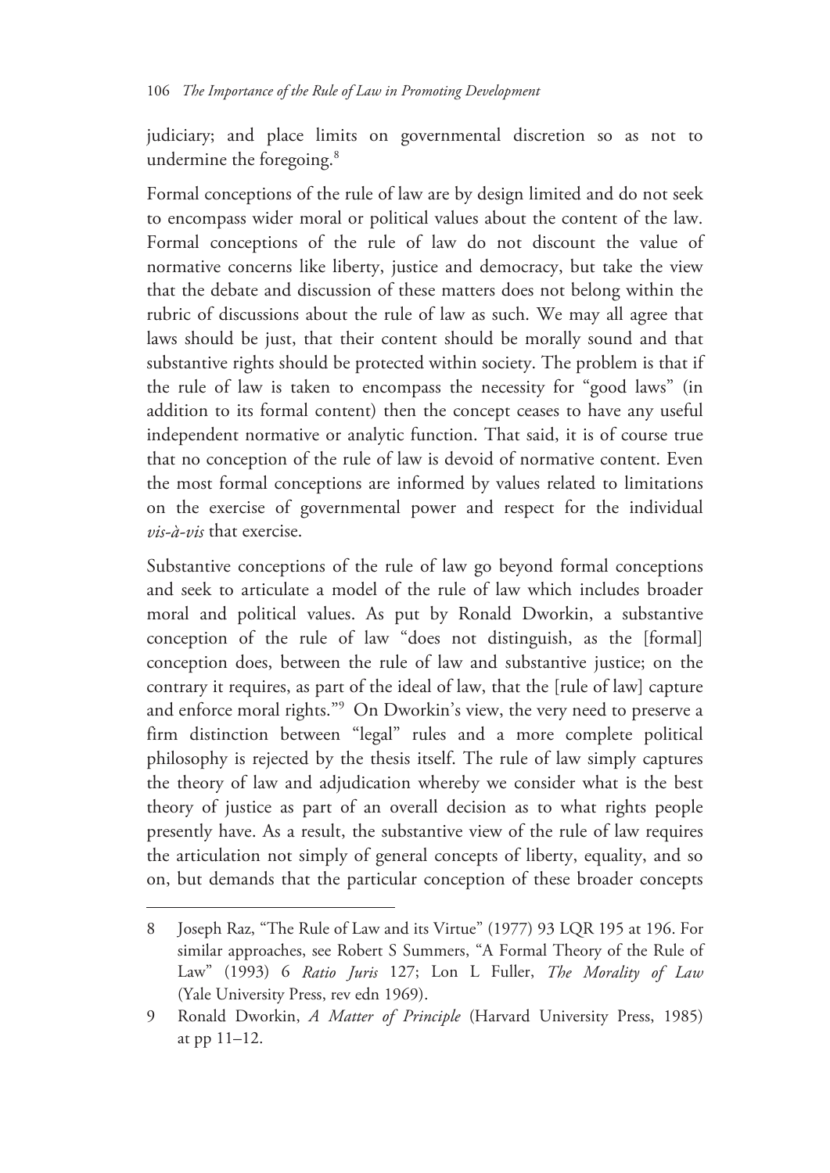judiciary; and place limits on governmental discretion so as not to undermine the foregoing.<sup>8</sup>

Formal conceptions of the rule of law are by design limited and do not seek to encompass wider moral or political values about the content of the law. Formal conceptions of the rule of law do not discount the value of normative concerns like liberty, justice and democracy, but take the view that the debate and discussion of these matters does not belong within the rubric of discussions about the rule of law as such. We may all agree that laws should be just, that their content should be morally sound and that substantive rights should be protected within society. The problem is that if the rule of law is taken to encompass the necessity for "good laws" (in addition to its formal content) then the concept ceases to have any useful independent normative or analytic function. That said, it is of course true that no conception of the rule of law is devoid of normative content. Even the most formal conceptions are informed by values related to limitations on the exercise of governmental power and respect for the individual *vis-à-vis* that exercise.

Substantive conceptions of the rule of law go beyond formal conceptions and seek to articulate a model of the rule of law which includes broader moral and political values. As put by Ronald Dworkin, a substantive conception of the rule of law "does not distinguish, as the [formal] conception does, between the rule of law and substantive justice; on the contrary it requires, as part of the ideal of law, that the [rule of law] capture and enforce moral rights."9 On Dworkin's view, the very need to preserve a firm distinction between "legal" rules and a more complete political philosophy is rejected by the thesis itself. The rule of law simply captures the theory of law and adjudication whereby we consider what is the best theory of justice as part of an overall decision as to what rights people presently have. As a result, the substantive view of the rule of law requires the articulation not simply of general concepts of liberty, equality, and so on, but demands that the particular conception of these broader concepts

<sup>8</sup> Joseph Raz, "The Rule of Law and its Virtue" (1977) 93 LQR 195 at 196. For similar approaches, see Robert S Summers, "A Formal Theory of the Rule of Law" (1993) 6 *Ratio Juris* 127; Lon L Fuller, *The Morality of Law* (Yale University Press, rev edn 1969).

<sup>9</sup> Ronald Dworkin, *A Matter of Principle* (Harvard University Press, 1985) at pp 11–12.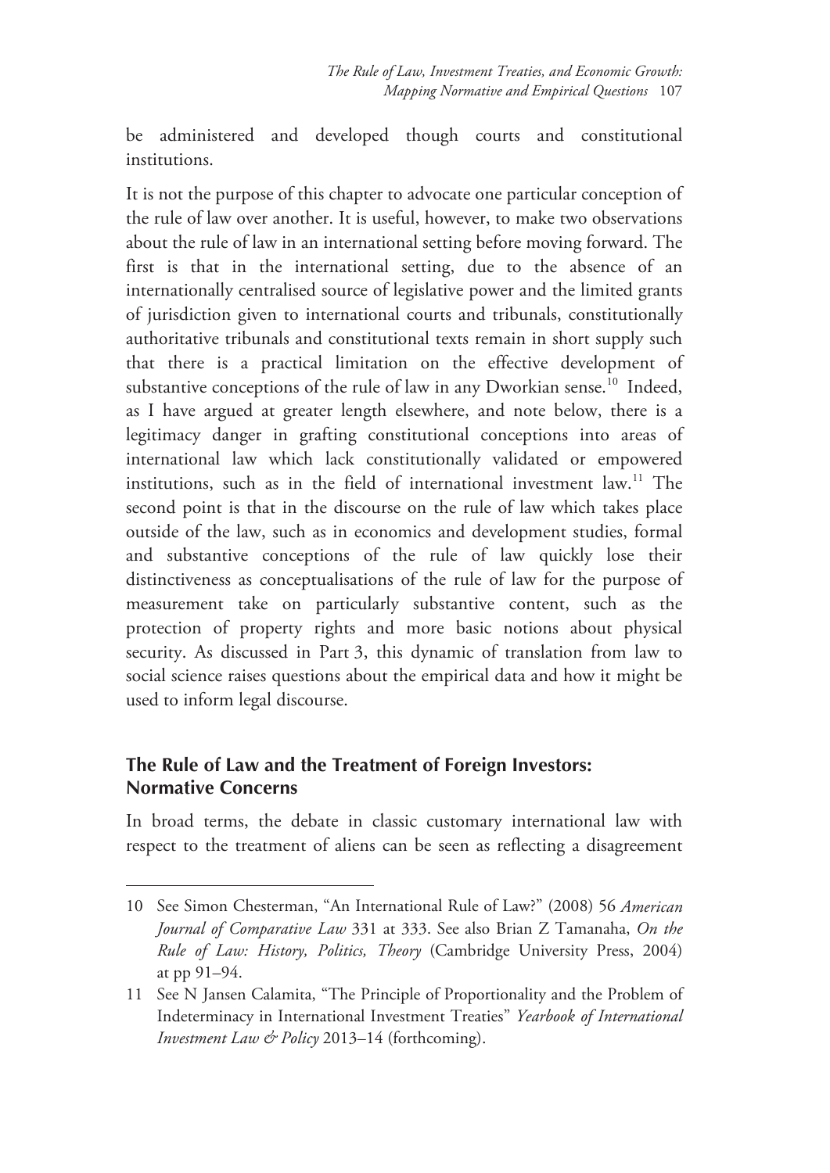be administered and developed though courts and constitutional institutions.

It is not the purpose of this chapter to advocate one particular conception of the rule of law over another. It is useful, however, to make two observations about the rule of law in an international setting before moving forward. The first is that in the international setting, due to the absence of an internationally centralised source of legislative power and the limited grants of jurisdiction given to international courts and tribunals, constitutionally authoritative tribunals and constitutional texts remain in short supply such that there is a practical limitation on the effective development of substantive conceptions of the rule of law in any Dworkian sense.<sup>10</sup> Indeed, as I have argued at greater length elsewhere, and note below, there is a legitimacy danger in grafting constitutional conceptions into areas of international law which lack constitutionally validated or empowered institutions, such as in the field of international investment law.11 The second point is that in the discourse on the rule of law which takes place outside of the law, such as in economics and development studies, formal and substantive conceptions of the rule of law quickly lose their distinctiveness as conceptualisations of the rule of law for the purpose of measurement take on particularly substantive content, such as the protection of property rights and more basic notions about physical security. As discussed in Part 3, this dynamic of translation from law to social science raises questions about the empirical data and how it might be used to inform legal discourse.

# **The Rule of Law and the Treatment of Foreign Investors: Normative Concerns**

-

In broad terms, the debate in classic customary international law with respect to the treatment of aliens can be seen as reflecting a disagreement

<sup>10</sup> See Simon Chesterman, "An International Rule of Law?" (2008) 56 *American Journal of Comparative Law* 331 at 333. See also Brian Z Tamanaha, *On the Rule of Law: History, Politics, Theory* (Cambridge University Press, 2004) at pp 91–94.

<sup>11</sup> See N Jansen Calamita, "The Principle of Proportionality and the Problem of Indeterminacy in International Investment Treaties" *Yearbook of International Investment Law & Policy* 2013–14 (forthcoming).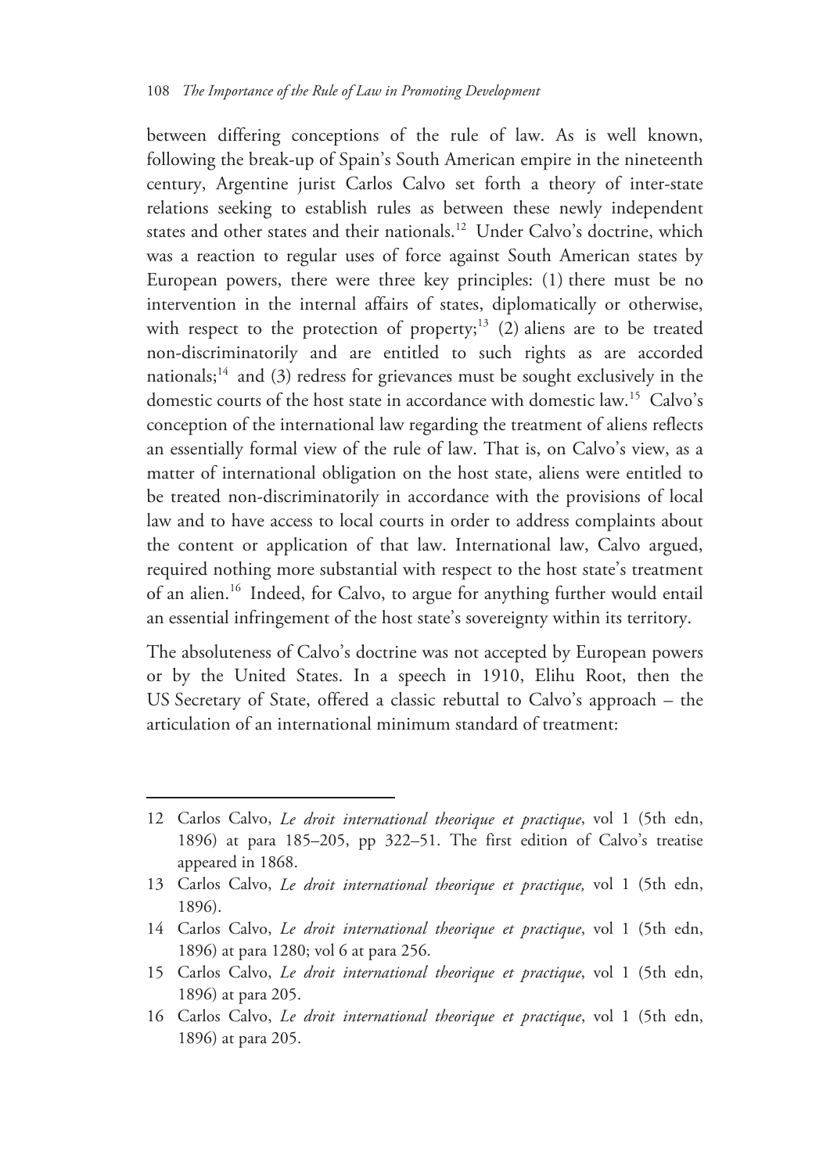between differing conceptions of the rule of law. As is well known, following the break-up of Spain's South American empire in the nineteenth century, Argentine jurist Carlos Calvo set forth a theory of inter-state relations seeking to establish rules as between these newly independent states and other states and their nationals.<sup>12</sup> Under Calvo's doctrine, which was a reaction to regular uses of force against South American states by European powers, there were three key principles: (1) there must be no intervention in the internal affairs of states, diplomatically or otherwise, with respect to the protection of property;<sup>13</sup> (2) aliens are to be treated non-discriminatorily and are entitled to such rights as are accorded nationals;<sup>14</sup> and (3) redress for grievances must be sought exclusively in the domestic courts of the host state in accordance with domestic law.<sup>15</sup> Calvo's conception of the international law regarding the treatment of aliens reflects an essentially formal view of the rule of law. That is, on Calvo's view, as a matter of international obligation on the host state, aliens were entitled to be treated non-discriminatorily in accordance with the provisions of local law and to have access to local courts in order to address complaints about the content or application of that law. International law, Calvo argued, required nothing more substantial with respect to the host state's treatment of an alien.16 Indeed, for Calvo, to argue for anything further would entail an essential infringement of the host state's sovereignty within its territory.

The absoluteness of Calvo's doctrine was not accepted by European powers or by the United States. In a speech in 1910, Elihu Root, then the US Secretary of State, offered a classic rebuttal to Calvo's approach – the articulation of an international minimum standard of treatment:

<sup>12</sup> Carlos Calvo, *Le droit international theorique et practique*, vol 1 (5th edn, 1896) at para 185–205, pp 322–51. The first edition of Calvo's treatise appeared in 1868.

<sup>13</sup> Carlos Calvo, *Le droit international theorique et practique,* vol 1 (5th edn, 1896).

<sup>14</sup> Carlos Calvo, *Le droit international theorique et practique*, vol 1 (5th edn, 1896) at para 1280; vol 6 at para 256.

<sup>15</sup> Carlos Calvo, *Le droit international theorique et practique*, vol 1 (5th edn, 1896) at para 205.

<sup>16</sup> Carlos Calvo, *Le droit international theorique et practique*, vol 1 (5th edn, 1896) at para 205.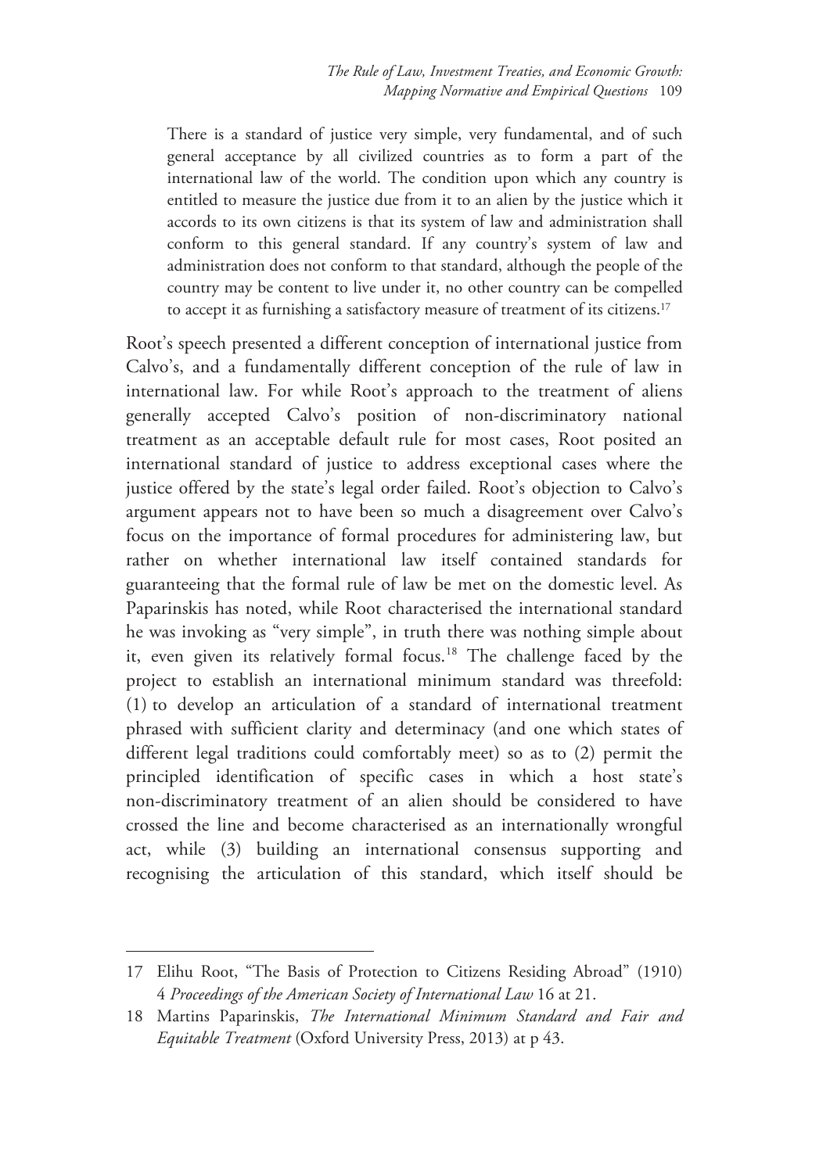There is a standard of justice very simple, very fundamental, and of such general acceptance by all civilized countries as to form a part of the international law of the world. The condition upon which any country is entitled to measure the justice due from it to an alien by the justice which it accords to its own citizens is that its system of law and administration shall conform to this general standard. If any country's system of law and administration does not conform to that standard, although the people of the country may be content to live under it, no other country can be compelled to accept it as furnishing a satisfactory measure of treatment of its citizens.17

Root's speech presented a different conception of international justice from Calvo's, and a fundamentally different conception of the rule of law in international law. For while Root's approach to the treatment of aliens generally accepted Calvo's position of non-discriminatory national treatment as an acceptable default rule for most cases, Root posited an international standard of justice to address exceptional cases where the justice offered by the state's legal order failed. Root's objection to Calvo's argument appears not to have been so much a disagreement over Calvo's focus on the importance of formal procedures for administering law, but rather on whether international law itself contained standards for guaranteeing that the formal rule of law be met on the domestic level. As Paparinskis has noted, while Root characterised the international standard he was invoking as "very simple", in truth there was nothing simple about it, even given its relatively formal focus.<sup>18</sup> The challenge faced by the project to establish an international minimum standard was threefold: (1) to develop an articulation of a standard of international treatment phrased with sufficient clarity and determinacy (and one which states of different legal traditions could comfortably meet) so as to (2) permit the principled identification of specific cases in which a host state's non-discriminatory treatment of an alien should be considered to have crossed the line and become characterised as an internationally wrongful act, while (3) building an international consensus supporting and recognising the articulation of this standard, which itself should be

<sup>17</sup> Elihu Root, "The Basis of Protection to Citizens Residing Abroad" (1910) 4 *Proceedings of the American Society of International Law* 16 at 21.

<sup>18</sup> Martins Paparinskis, *The International Minimum Standard and Fair and Equitable Treatment* (Oxford University Press, 2013) at p 43.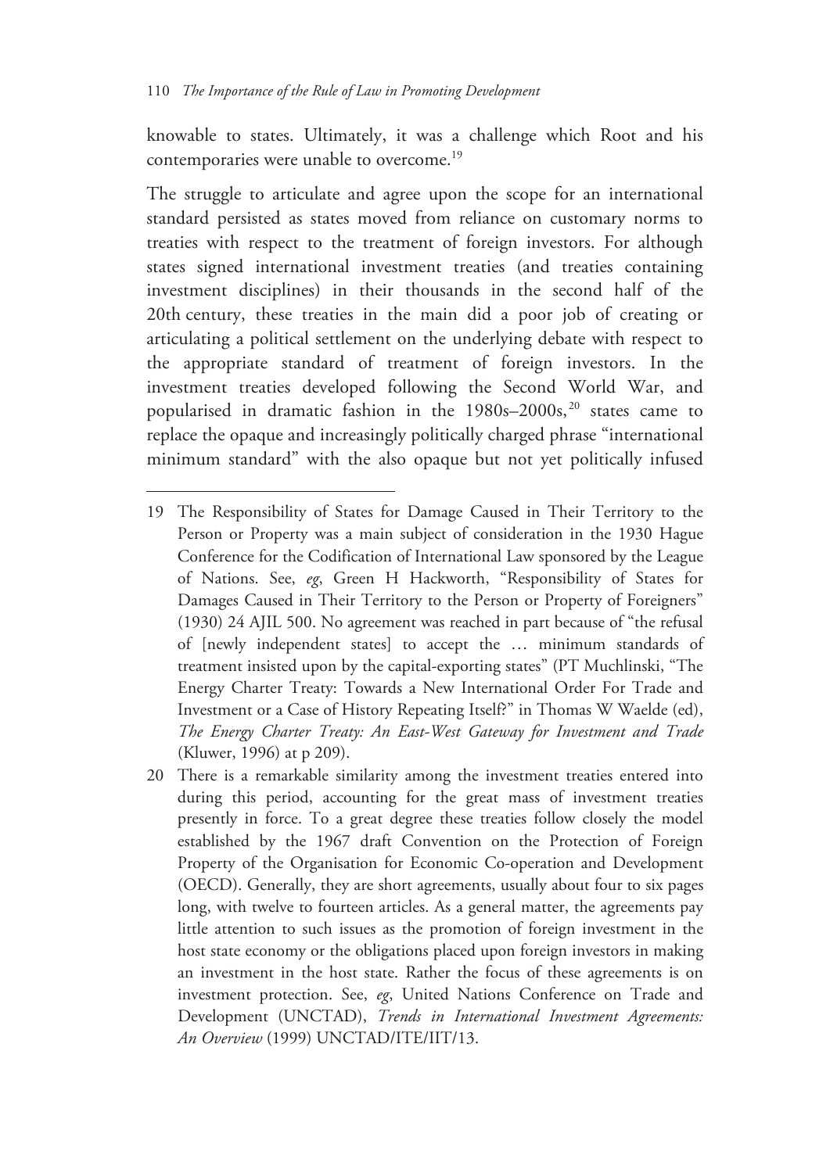$\overline{a}$ 

knowable to states. Ultimately, it was a challenge which Root and his contemporaries were unable to overcome.<sup>19</sup>

The struggle to articulate and agree upon the scope for an international standard persisted as states moved from reliance on customary norms to treaties with respect to the treatment of foreign investors. For although states signed international investment treaties (and treaties containing investment disciplines) in their thousands in the second half of the 20th century, these treaties in the main did a poor job of creating or articulating a political settlement on the underlying debate with respect to the appropriate standard of treatment of foreign investors. In the investment treaties developed following the Second World War, and popularised in dramatic fashion in the  $1980s-2000s$ ,<sup>20</sup> states came to replace the opaque and increasingly politically charged phrase "international minimum standard" with the also opaque but not yet politically infused

<sup>19</sup> The Responsibility of States for Damage Caused in Their Territory to the Person or Property was a main subject of consideration in the 1930 Hague Conference for the Codification of International Law sponsored by the League of Nations. See, *eg*, Green H Hackworth, "Responsibility of States for Damages Caused in Their Territory to the Person or Property of Foreigners" (1930) 24 AJIL 500. No agreement was reached in part because of "the refusal of [newly independent states] to accept the … minimum standards of treatment insisted upon by the capital-exporting states" (PT Muchlinski, "The Energy Charter Treaty: Towards a New International Order For Trade and Investment or a Case of History Repeating Itself?" in Thomas W Waelde (ed), *The Energy Charter Treaty: An East-West Gateway for Investment and Trade* (Kluwer, 1996) at p 209).

<sup>20</sup> There is a remarkable similarity among the investment treaties entered into during this period, accounting for the great mass of investment treaties presently in force. To a great degree these treaties follow closely the model established by the 1967 draft Convention on the Protection of Foreign Property of the Organisation for Economic Co-operation and Development (OECD). Generally, they are short agreements, usually about four to six pages long, with twelve to fourteen articles. As a general matter, the agreements pay little attention to such issues as the promotion of foreign investment in the host state economy or the obligations placed upon foreign investors in making an investment in the host state. Rather the focus of these agreements is on investment protection. See, *eg*, United Nations Conference on Trade and Development (UNCTAD), *Trends in International Investment Agreements: An Overview* (1999) UNCTAD/ITE/IIT/13.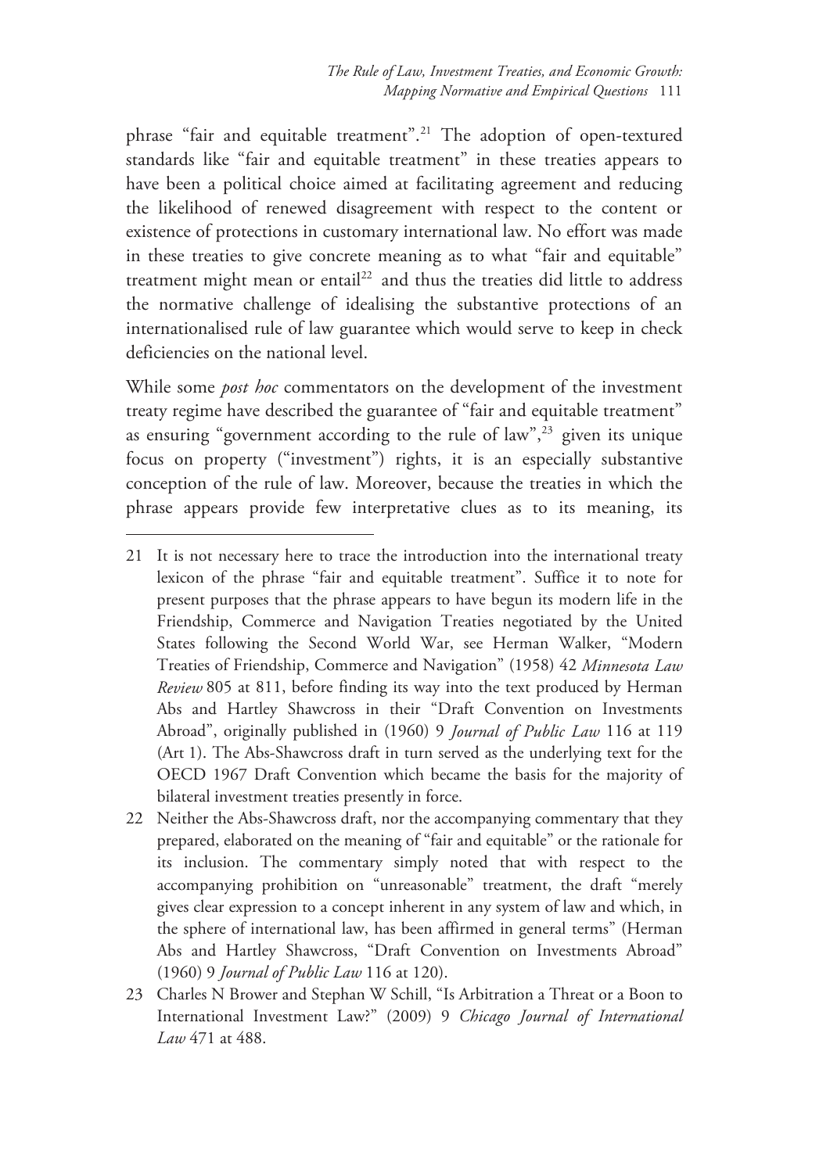phrase "fair and equitable treatment".<sup>21</sup> The adoption of open-textured standards like "fair and equitable treatment" in these treaties appears to have been a political choice aimed at facilitating agreement and reducing the likelihood of renewed disagreement with respect to the content or existence of protections in customary international law. No effort was made in these treaties to give concrete meaning as to what "fair and equitable" treatment might mean or entail<sup>22</sup> and thus the treaties did little to address the normative challenge of idealising the substantive protections of an internationalised rule of law guarantee which would serve to keep in check deficiencies on the national level.

While some *post hoc* commentators on the development of the investment treaty regime have described the guarantee of "fair and equitable treatment" as ensuring "government according to the rule of law",  $23$  given its unique focus on property ("investment") rights, it is an especially substantive conception of the rule of law. Moreover, because the treaties in which the phrase appears provide few interpretative clues as to its meaning, its

- 22 Neither the Abs-Shawcross draft, nor the accompanying commentary that they prepared, elaborated on the meaning of "fair and equitable" or the rationale for its inclusion. The commentary simply noted that with respect to the accompanying prohibition on "unreasonable" treatment, the draft "merely gives clear expression to a concept inherent in any system of law and which, in the sphere of international law, has been affirmed in general terms" (Herman Abs and Hartley Shawcross, "Draft Convention on Investments Abroad" (1960) 9 *Journal of Public Law* 116 at 120).
- 23 Charles N Brower and Stephan W Schill, "Is Arbitration a Threat or a Boon to International Investment Law?" (2009) 9 *Chicago Journal of International Law* 471 at 488.

<sup>21</sup> It is not necessary here to trace the introduction into the international treaty lexicon of the phrase "fair and equitable treatment". Suffice it to note for present purposes that the phrase appears to have begun its modern life in the Friendship, Commerce and Navigation Treaties negotiated by the United States following the Second World War, see Herman Walker, "Modern Treaties of Friendship, Commerce and Navigation" (1958) 42 *Minnesota Law Review* 805 at 811, before finding its way into the text produced by Herman Abs and Hartley Shawcross in their "Draft Convention on Investments Abroad", originally published in (1960) 9 *Journal of Public Law* 116 at 119 (Art 1). The Abs-Shawcross draft in turn served as the underlying text for the OECD 1967 Draft Convention which became the basis for the majority of bilateral investment treaties presently in force.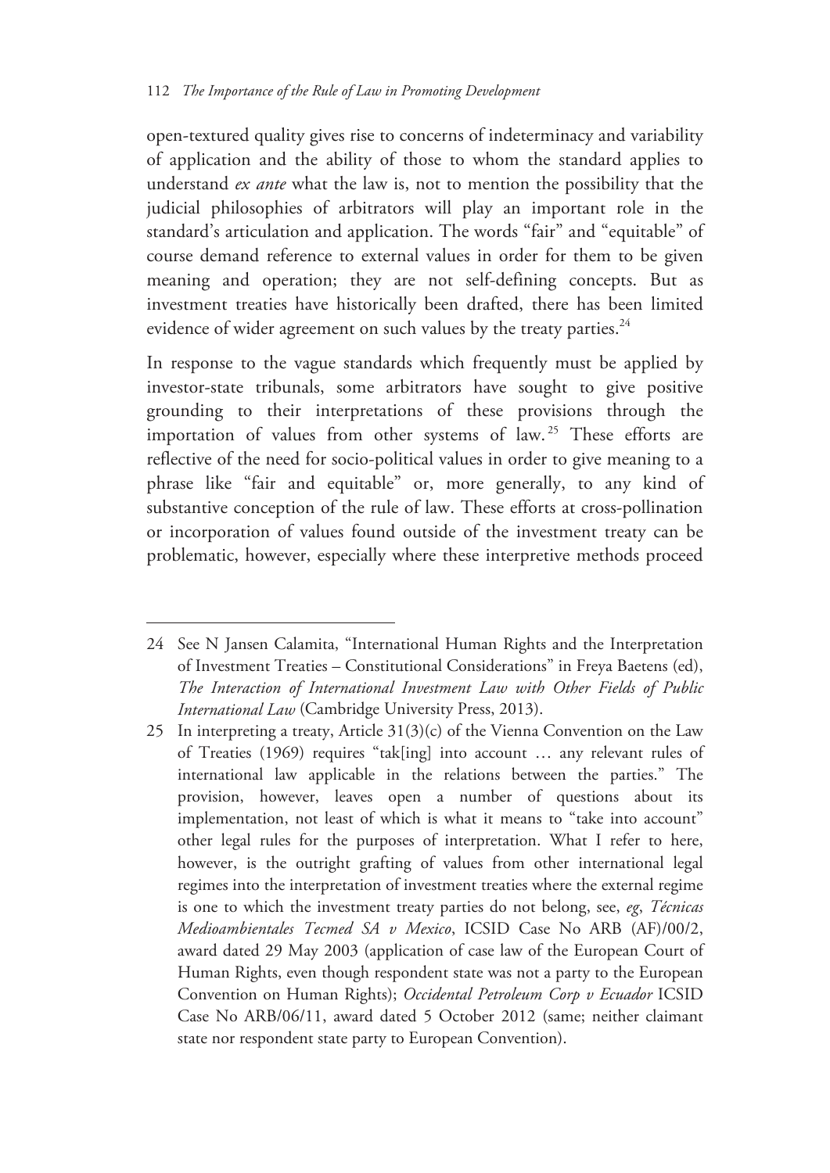open-textured quality gives rise to concerns of indeterminacy and variability of application and the ability of those to whom the standard applies to understand *ex ante* what the law is, not to mention the possibility that the judicial philosophies of arbitrators will play an important role in the standard's articulation and application. The words "fair" and "equitable" of course demand reference to external values in order for them to be given meaning and operation; they are not self-defining concepts. But as investment treaties have historically been drafted, there has been limited evidence of wider agreement on such values by the treaty parties.<sup>24</sup>

In response to the vague standards which frequently must be applied by investor-state tribunals, some arbitrators have sought to give positive grounding to their interpretations of these provisions through the importation of values from other systems of law.<sup>25</sup> These efforts are reflective of the need for socio-political values in order to give meaning to a phrase like "fair and equitable" or, more generally, to any kind of substantive conception of the rule of law. These efforts at cross-pollination or incorporation of values found outside of the investment treaty can be problematic, however, especially where these interpretive methods proceed

<sup>24</sup> See N Jansen Calamita, "International Human Rights and the Interpretation of Investment Treaties – Constitutional Considerations" in Freya Baetens (ed), *The Interaction of International Investment Law with Other Fields of Public International Law* (Cambridge University Press, 2013).

<sup>25</sup> In interpreting a treaty, Article  $31(3)(c)$  of the Vienna Convention on the Law of Treaties (1969) requires "tak[ing] into account … any relevant rules of international law applicable in the relations between the parties." The provision, however, leaves open a number of questions about its implementation, not least of which is what it means to "take into account" other legal rules for the purposes of interpretation. What I refer to here, however, is the outright grafting of values from other international legal regimes into the interpretation of investment treaties where the external regime is one to which the investment treaty parties do not belong, see, *eg*, *Técnicas Medioambientales Tecmed SA v Mexico*, ICSID Case No ARB (AF)/00/2, award dated 29 May 2003 (application of case law of the European Court of Human Rights, even though respondent state was not a party to the European Convention on Human Rights); *Occidental Petroleum Corp v Ecuador* ICSID Case No ARB/06/11, award dated 5 October 2012 (same; neither claimant state nor respondent state party to European Convention).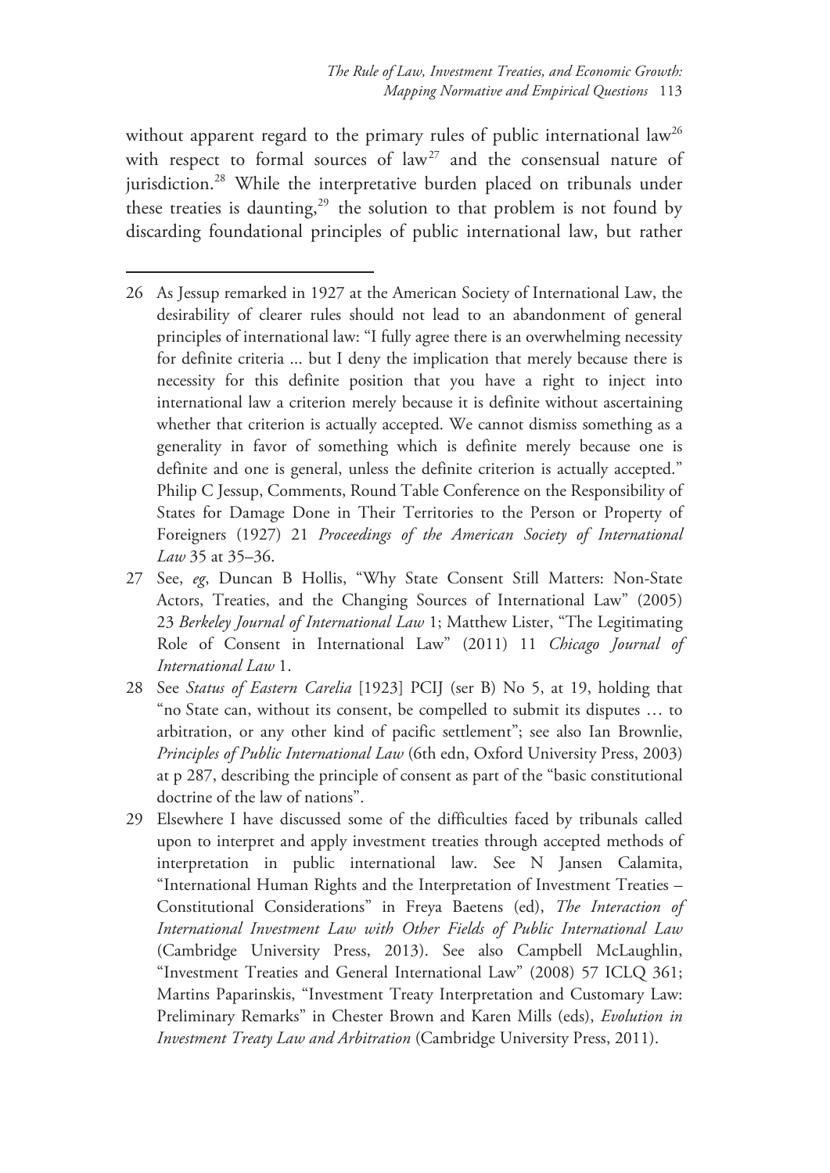without apparent regard to the primary rules of public international  $law<sup>26</sup>$ with respect to formal sources of law<sup>27</sup> and the consensual nature of jurisdiction.<sup>28</sup> While the interpretative burden placed on tribunals under these treaties is daunting, $29$  the solution to that problem is not found by discarding foundational principles of public international law, but rather

- 26 As Jessup remarked in 1927 at the American Society of International Law, the desirability of clearer rules should not lead to an abandonment of general principles of international law: "I fully agree there is an overwhelming necessity for definite criteria ... but I deny the implication that merely because there is necessity for this definite position that you have a right to inject into international law a criterion merely because it is definite without ascertaining whether that criterion is actually accepted. We cannot dismiss something as a generality in favor of something which is definite merely because one is definite and one is general, unless the definite criterion is actually accepted." Philip C Jessup, Comments, Round Table Conference on the Responsibility of States for Damage Done in Their Territories to the Person or Property of Foreigners (1927) 21 *Proceedings of the American Society of International Law* 35 at 35–36.
- 27 See, *eg*, Duncan B Hollis, "Why State Consent Still Matters: Non-State Actors, Treaties, and the Changing Sources of International Law" (2005) 23 *Berkeley Journal of International Law* 1; Matthew Lister, "The Legitimating Role of Consent in International Law" (2011) 11 *Chicago Journal of International Law* 1.
- 28 See *Status of Eastern Carelia* [1923] PCIJ (ser B) No 5, at 19, holding that "no State can, without its consent, be compelled to submit its disputes … to arbitration, or any other kind of pacific settlement"; see also Ian Brownlie, *Principles of Public International Law* (6th edn, Oxford University Press, 2003) at p 287, describing the principle of consent as part of the "basic constitutional doctrine of the law of nations".
- 29 Elsewhere I have discussed some of the difficulties faced by tribunals called upon to interpret and apply investment treaties through accepted methods of interpretation in public international law. See N Jansen Calamita, "International Human Rights and the Interpretation of Investment Treaties – Constitutional Considerations" in Freya Baetens (ed), *The Interaction of International Investment Law with Other Fields of Public International Law* (Cambridge University Press, 2013). See also Campbell McLaughlin, "Investment Treaties and General International Law" (2008) 57 ICLQ 361; Martins Paparinskis, "Investment Treaty Interpretation and Customary Law: Preliminary Remarks" in Chester Brown and Karen Mills (eds), *Evolution in Investment Treaty Law and Arbitration* (Cambridge University Press, 2011).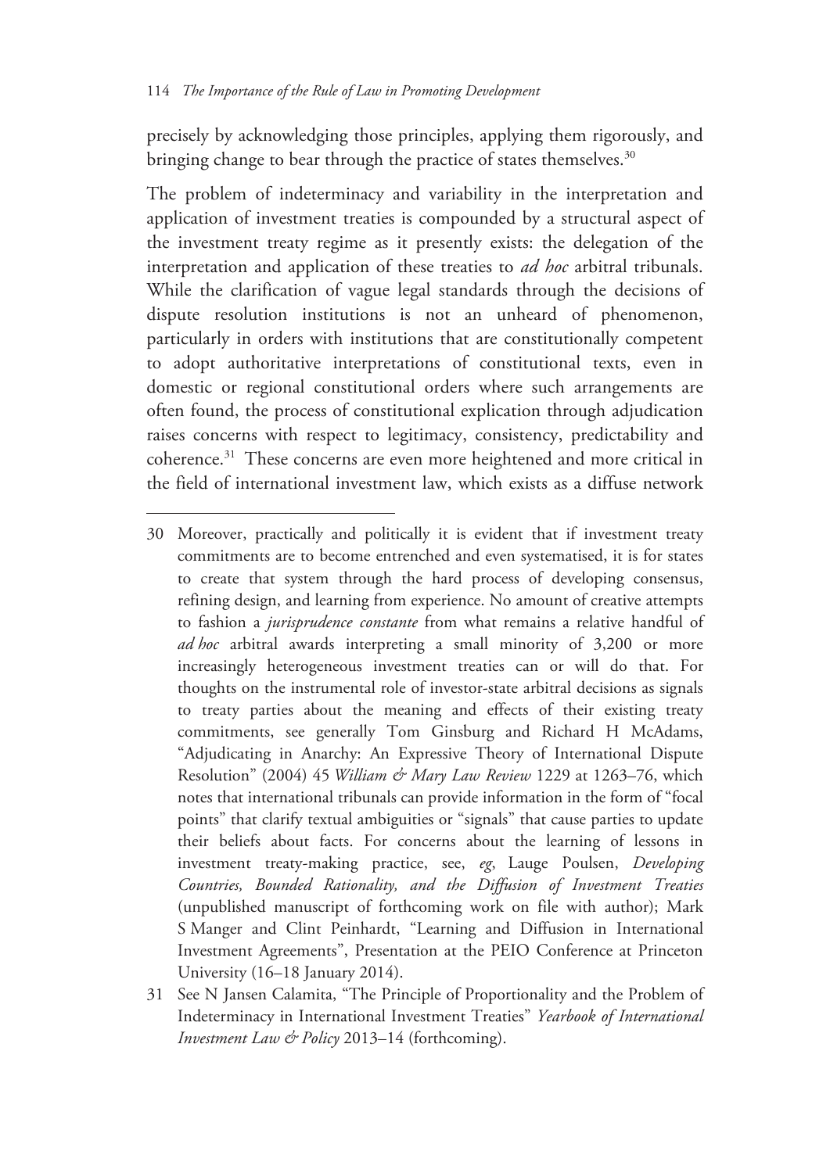$\overline{a}$ 

precisely by acknowledging those principles, applying them rigorously, and bringing change to bear through the practice of states themselves.<sup>30</sup>

The problem of indeterminacy and variability in the interpretation and application of investment treaties is compounded by a structural aspect of the investment treaty regime as it presently exists: the delegation of the interpretation and application of these treaties to *ad hoc* arbitral tribunals. While the clarification of vague legal standards through the decisions of dispute resolution institutions is not an unheard of phenomenon, particularly in orders with institutions that are constitutionally competent to adopt authoritative interpretations of constitutional texts, even in domestic or regional constitutional orders where such arrangements are often found, the process of constitutional explication through adjudication raises concerns with respect to legitimacy, consistency, predictability and coherence.31 These concerns are even more heightened and more critical in the field of international investment law, which exists as a diffuse network

<sup>30</sup> Moreover, practically and politically it is evident that if investment treaty commitments are to become entrenched and even systematised, it is for states to create that system through the hard process of developing consensus, refining design, and learning from experience. No amount of creative attempts to fashion a *jurisprudence constante* from what remains a relative handful of *ad hoc* arbitral awards interpreting a small minority of 3,200 or more increasingly heterogeneous investment treaties can or will do that. For thoughts on the instrumental role of investor-state arbitral decisions as signals to treaty parties about the meaning and effects of their existing treaty commitments, see generally Tom Ginsburg and Richard H McAdams, "Adjudicating in Anarchy: An Expressive Theory of International Dispute Resolution" (2004) 45 *William & Mary Law Review* 1229 at 1263–76, which notes that international tribunals can provide information in the form of "focal points" that clarify textual ambiguities or "signals" that cause parties to update their beliefs about facts. For concerns about the learning of lessons in investment treaty-making practice, see, *eg*, Lauge Poulsen, *Developing Countries, Bounded Rationality, and the Diffusion of Investment Treaties* (unpublished manuscript of forthcoming work on file with author); Mark S Manger and Clint Peinhardt, "Learning and Diffusion in International Investment Agreements", Presentation at the PEIO Conference at Princeton University (16–18 January 2014).

<sup>31</sup> See N Jansen Calamita, "The Principle of Proportionality and the Problem of Indeterminacy in International Investment Treaties" *Yearbook of International Investment Law & Policy* 2013–14 (forthcoming).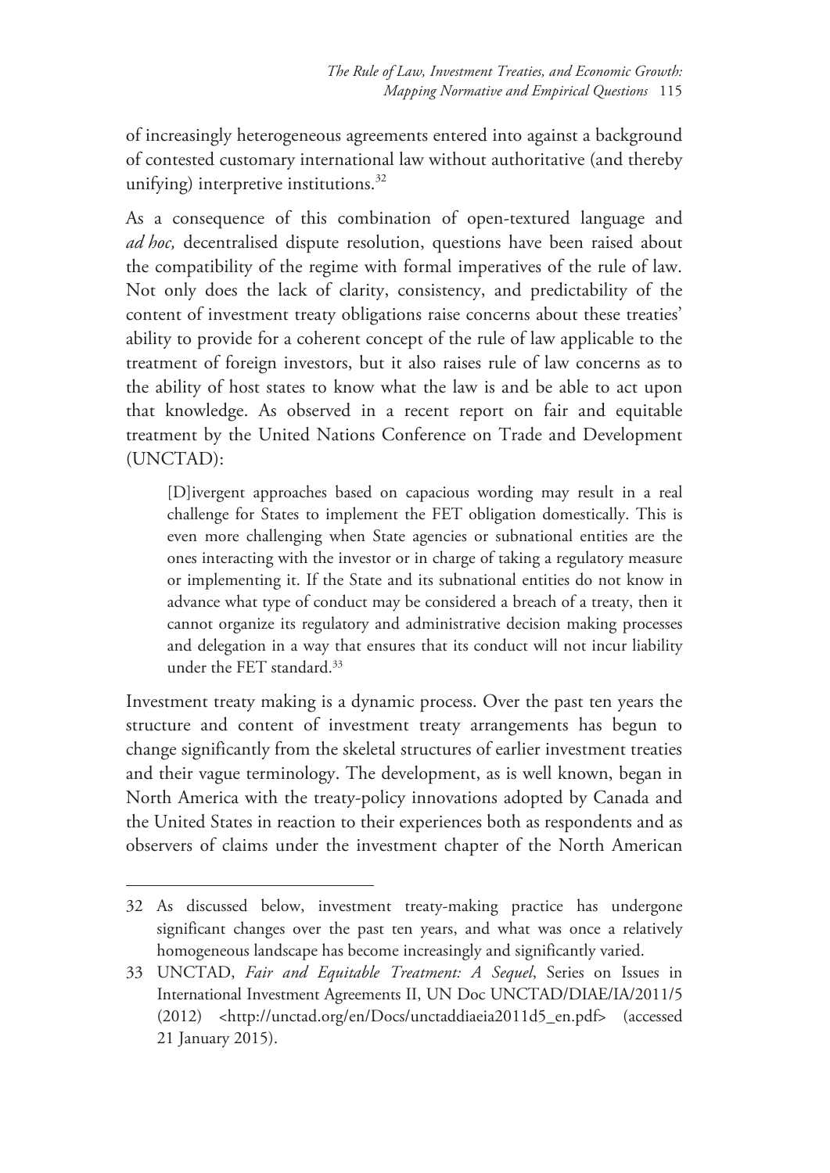of increasingly heterogeneous agreements entered into against a background of contested customary international law without authoritative (and thereby unifying) interpretive institutions. $32$ 

As a consequence of this combination of open-textured language and *ad hoc,* decentralised dispute resolution, questions have been raised about the compatibility of the regime with formal imperatives of the rule of law. Not only does the lack of clarity, consistency, and predictability of the content of investment treaty obligations raise concerns about these treaties' ability to provide for a coherent concept of the rule of law applicable to the treatment of foreign investors, but it also raises rule of law concerns as to the ability of host states to know what the law is and be able to act upon that knowledge. As observed in a recent report on fair and equitable treatment by the United Nations Conference on Trade and Development (UNCTAD):

[D]ivergent approaches based on capacious wording may result in a real challenge for States to implement the FET obligation domestically. This is even more challenging when State agencies or subnational entities are the ones interacting with the investor or in charge of taking a regulatory measure or implementing it. If the State and its subnational entities do not know in advance what type of conduct may be considered a breach of a treaty, then it cannot organize its regulatory and administrative decision making processes and delegation in a way that ensures that its conduct will not incur liability under the FET standard.33

Investment treaty making is a dynamic process. Over the past ten years the structure and content of investment treaty arrangements has begun to change significantly from the skeletal structures of earlier investment treaties and their vague terminology. The development, as is well known, began in North America with the treaty-policy innovations adopted by Canada and the United States in reaction to their experiences both as respondents and as observers of claims under the investment chapter of the North American

<sup>32</sup> As discussed below, investment treaty-making practice has undergone significant changes over the past ten years, and what was once a relatively homogeneous landscape has become increasingly and significantly varied.

<sup>33</sup> UNCTAD, *Fair and Equitable Treatment: A Sequel*, Series on Issues in International Investment Agreements II, UN Doc UNCTAD/DIAE/IA/2011/5 (2012) <http://unctad.org/en/Docs/unctaddiaeia2011d5\_en.pdf> (accessed 21 January 2015).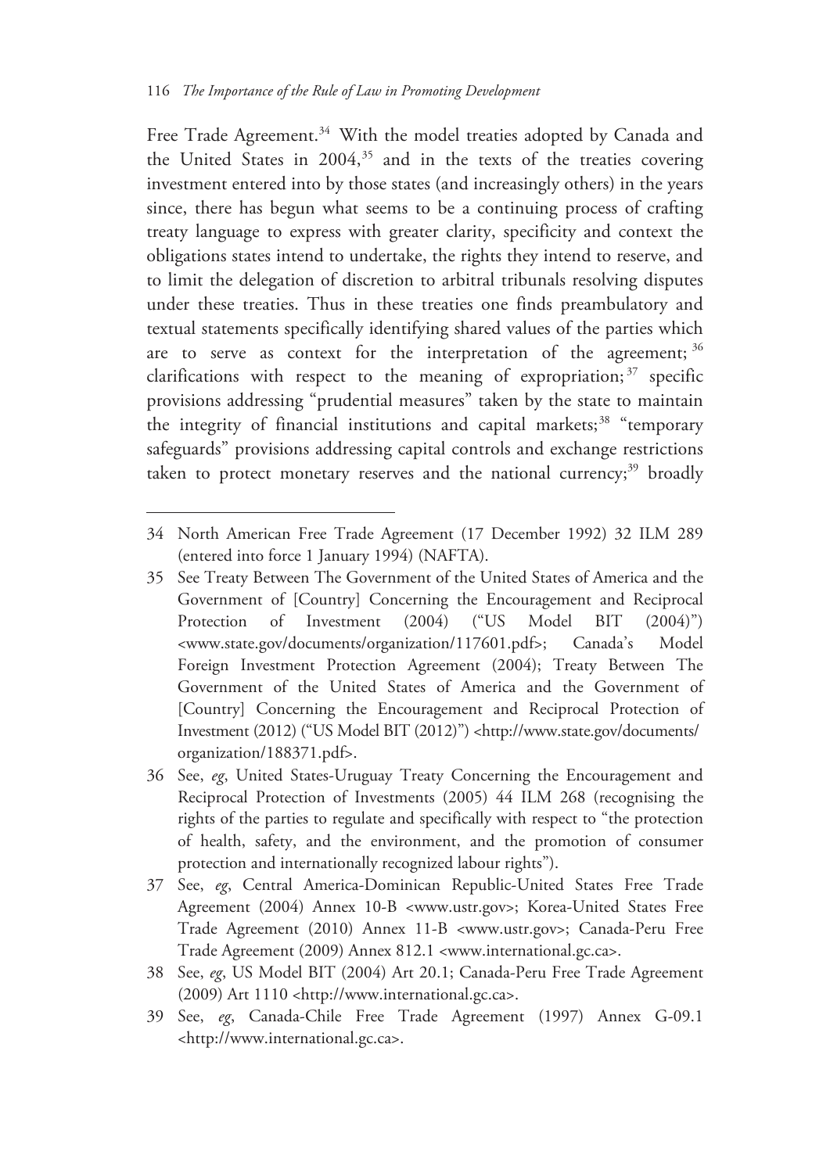$\overline{a}$ 

Free Trade Agreement.<sup>34</sup> With the model treaties adopted by Canada and the United States in  $2004$ ,<sup>35</sup> and in the texts of the treaties covering investment entered into by those states (and increasingly others) in the years since, there has begun what seems to be a continuing process of crafting treaty language to express with greater clarity, specificity and context the obligations states intend to undertake, the rights they intend to reserve, and to limit the delegation of discretion to arbitral tribunals resolving disputes under these treaties. Thus in these treaties one finds preambulatory and textual statements specifically identifying shared values of the parties which are to serve as context for the interpretation of the agreement; 36 clarifications with respect to the meaning of expropriation;  $37$  specific provisions addressing "prudential measures" taken by the state to maintain the integrity of financial institutions and capital markets; $38$  "temporary safeguards" provisions addressing capital controls and exchange restrictions taken to protect monetary reserves and the national currency; $39$  broadly

<sup>34</sup> North American Free Trade Agreement (17 December 1992) 32 ILM 289 (entered into force 1 January 1994) (NAFTA).

<sup>35</sup> See Treaty Between The Government of the United States of America and the Government of [Country] Concerning the Encouragement and Reciprocal Protection of Investment (2004) ("US Model BIT (2004)") <www.state.gov/documents/organization/117601.pdf>; Canada's Model Foreign Investment Protection Agreement (2004); Treaty Between The Government of the United States of America and the Government of [Country] Concerning the Encouragement and Reciprocal Protection of Investment (2012) ("US Model BIT (2012)") <http://www.state.gov/documents/ organization/188371.pdf>.

<sup>36</sup> See, *eg*, United States-Uruguay Treaty Concerning the Encouragement and Reciprocal Protection of Investments (2005) 44 ILM 268 (recognising the rights of the parties to regulate and specifically with respect to "the protection of health, safety, and the environment, and the promotion of consumer protection and internationally recognized labour rights").

<sup>37</sup> See, *eg*, Central America-Dominican Republic-United States Free Trade Agreement (2004) Annex 10-B <www.ustr.gov>; Korea-United States Free Trade Agreement (2010) Annex 11-B <www.ustr.gov>; Canada-Peru Free Trade Agreement (2009) Annex 812.1 <www.international.gc.ca>.

<sup>38</sup> See, *eg*, US Model BIT (2004) Art 20.1; Canada-Peru Free Trade Agreement (2009) Art 1110 <http://www.international.gc.ca>.

<sup>39</sup> See, *eg*, Canada-Chile Free Trade Agreement (1997) Annex G-09.1 <http://www.international.gc.ca>.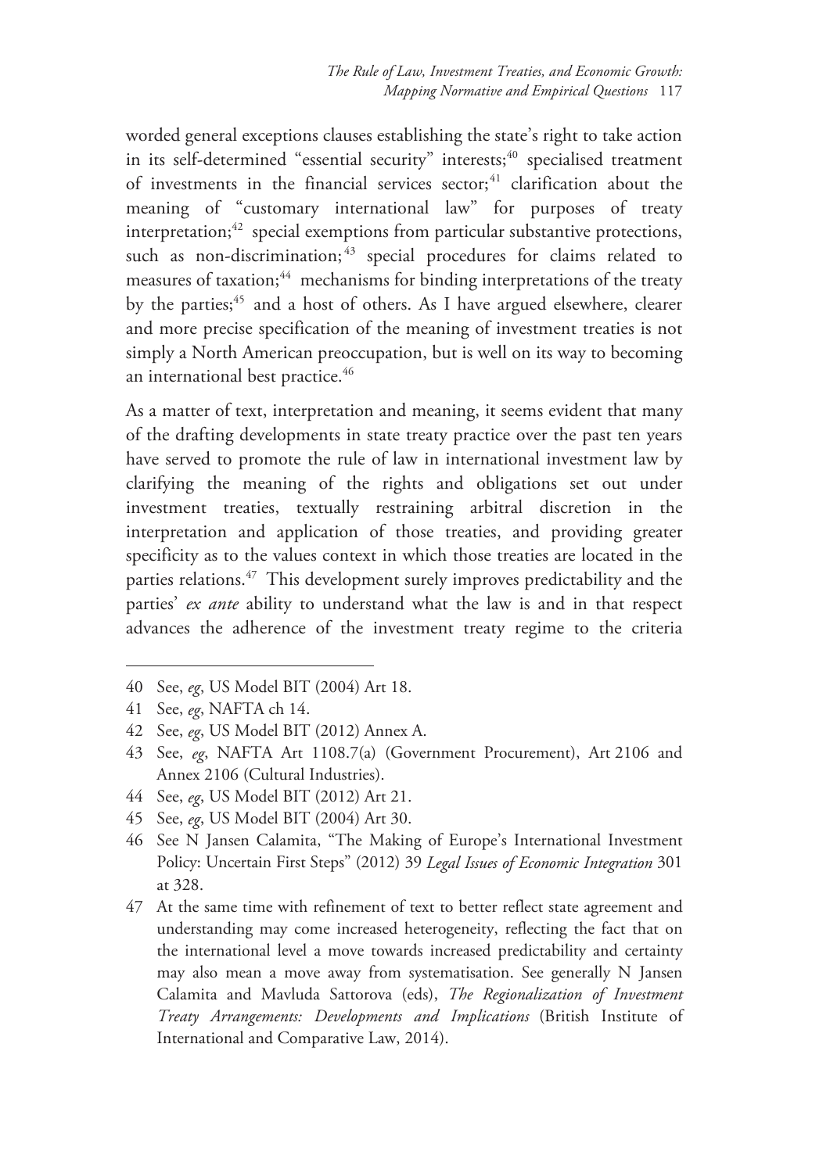worded general exceptions clauses establishing the state's right to take action in its self-determined "essential security" interests; $40$  specialised treatment of investments in the financial services sector; $41$  clarification about the meaning of "customary international law" for purposes of treaty interpretation; $42$  special exemptions from particular substantive protections, such as non-discrimination;<sup>43</sup> special procedures for claims related to measures of taxation;<sup>44</sup> mechanisms for binding interpretations of the treaty by the parties;<sup>45</sup> and a host of others. As I have argued elsewhere, clearer and more precise specification of the meaning of investment treaties is not simply a North American preoccupation, but is well on its way to becoming an international best practice.<sup>46</sup>

As a matter of text, interpretation and meaning, it seems evident that many of the drafting developments in state treaty practice over the past ten years have served to promote the rule of law in international investment law by clarifying the meaning of the rights and obligations set out under investment treaties, textually restraining arbitral discretion in the interpretation and application of those treaties, and providing greater specificity as to the values context in which those treaties are located in the parties relations.<sup>47</sup> This development surely improves predictability and the parties' *ex ante* ability to understand what the law is and in that respect advances the adherence of the investment treaty regime to the criteria

- 44 See, *eg*, US Model BIT (2012) Art 21.
- 45 See, *eg*, US Model BIT (2004) Art 30.
- 46 See N Jansen Calamita, "The Making of Europe's International Investment Policy: Uncertain First Steps" (2012) 39 *Legal Issues of Economic Integration* 301 at 328.
- 47 At the same time with refinement of text to better reflect state agreement and understanding may come increased heterogeneity, reflecting the fact that on the international level a move towards increased predictability and certainty may also mean a move away from systematisation. See generally N Jansen Calamita and Mavluda Sattorova (eds), *The Regionalization of Investment Treaty Arrangements: Developments and Implications* (British Institute of International and Comparative Law, 2014).

<sup>40</sup> See, *eg*, US Model BIT (2004) Art 18.

<sup>41</sup> See, *eg*, NAFTA ch 14.

<sup>42</sup> See, *eg*, US Model BIT (2012) Annex A.

<sup>43</sup> See, *eg*, NAFTA Art 1108.7(a) (Government Procurement), Art 2106 and Annex 2106 (Cultural Industries).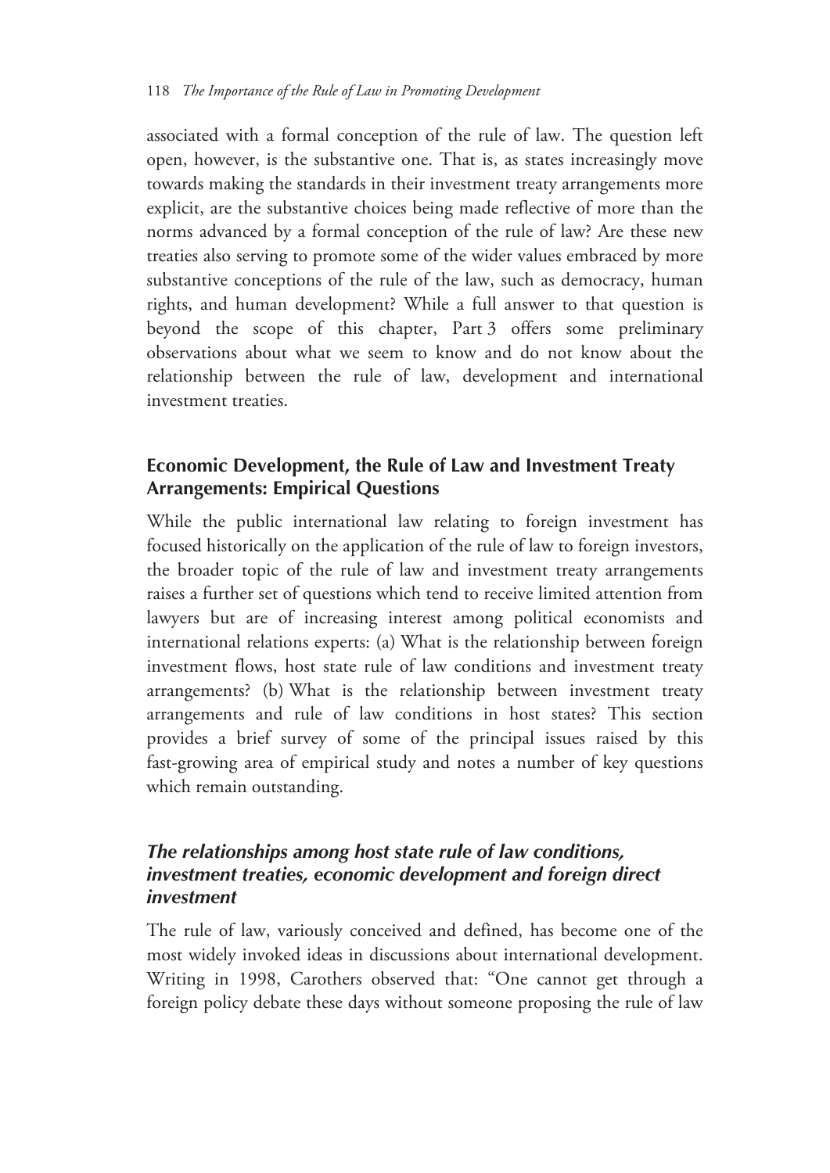associated with a formal conception of the rule of law. The question left open, however, is the substantive one. That is, as states increasingly move towards making the standards in their investment treaty arrangements more explicit, are the substantive choices being made reflective of more than the norms advanced by a formal conception of the rule of law? Are these new treaties also serving to promote some of the wider values embraced by more substantive conceptions of the rule of the law, such as democracy, human rights, and human development? While a full answer to that question is beyond the scope of this chapter, Part 3 offers some preliminary observations about what we seem to know and do not know about the relationship between the rule of law, development and international investment treaties.

#### **Economic Development, the Rule of Law and Investment Treaty Arrangements: Empirical Questions**

While the public international law relating to foreign investment has focused historically on the application of the rule of law to foreign investors, the broader topic of the rule of law and investment treaty arrangements raises a further set of questions which tend to receive limited attention from lawyers but are of increasing interest among political economists and international relations experts: (a) What is the relationship between foreign investment flows, host state rule of law conditions and investment treaty arrangements? (b) What is the relationship between investment treaty arrangements and rule of law conditions in host states? This section provides a brief survey of some of the principal issues raised by this fast-growing area of empirical study and notes a number of key questions which remain outstanding.

### *The relationships among host state rule of law conditions, investment treaties, economic development and foreign direct investment*

The rule of law, variously conceived and defined, has become one of the most widely invoked ideas in discussions about international development. Writing in 1998, Carothers observed that: "One cannot get through a foreign policy debate these days without someone proposing the rule of law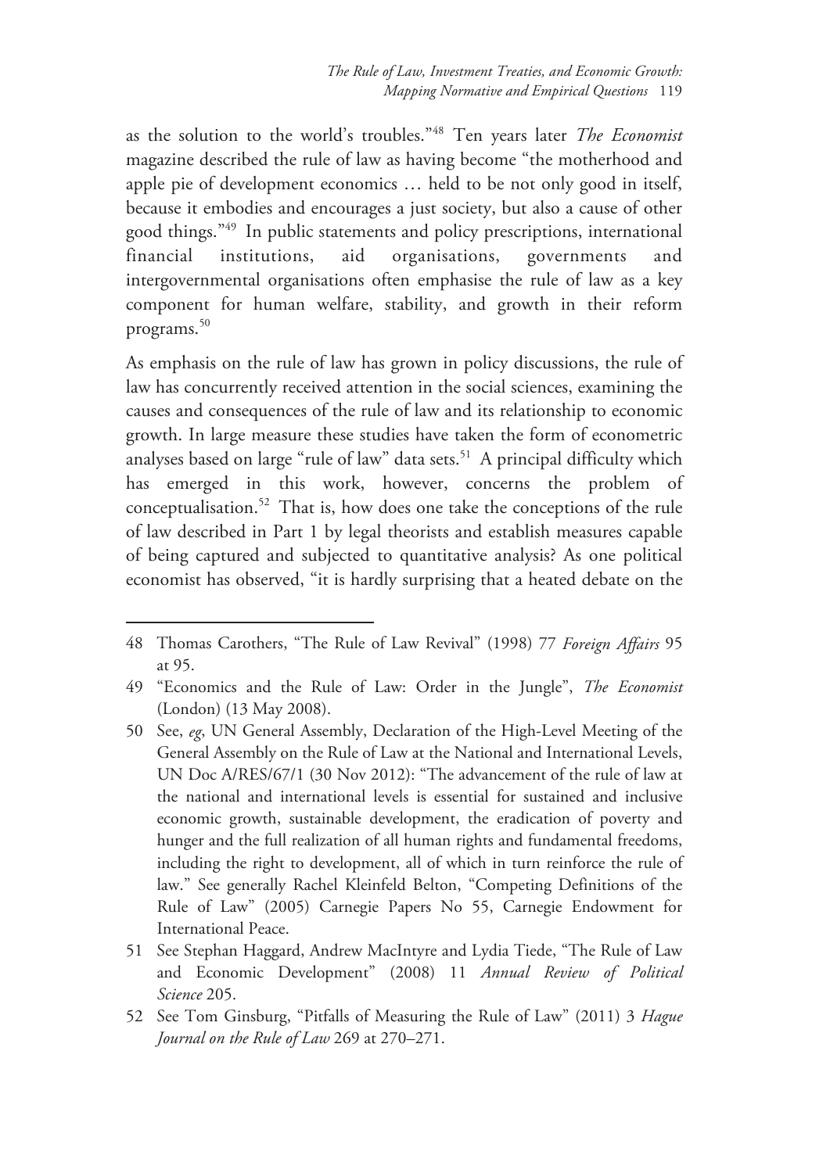as the solution to the world's troubles."48 Ten years later *The Economist* magazine described the rule of law as having become "the motherhood and apple pie of development economics … held to be not only good in itself, because it embodies and encourages a just society, but also a cause of other good things."49 In public statements and policy prescriptions, international financial institutions, aid organisations, governments and intergovernmental organisations often emphasise the rule of law as a key component for human welfare, stability, and growth in their reform programs.<sup>50</sup>

As emphasis on the rule of law has grown in policy discussions, the rule of law has concurrently received attention in the social sciences, examining the causes and consequences of the rule of law and its relationship to economic growth. In large measure these studies have taken the form of econometric analyses based on large "rule of law" data sets.<sup>51</sup> A principal difficulty which has emerged in this work, however, concerns the problem of conceptualisation.52 That is, how does one take the conceptions of the rule of law described in Part 1 by legal theorists and establish measures capable of being captured and subjected to quantitative analysis? As one political economist has observed, "it is hardly surprising that a heated debate on the

<sup>48</sup> Thomas Carothers, "The Rule of Law Revival" (1998) 77 *Foreign Affairs* 95 at 95.

<sup>49 &</sup>quot;Economics and the Rule of Law: Order in the Jungle", *The Economist* (London) (13 May 2008).

<sup>50</sup> See, *eg*, UN General Assembly, Declaration of the High-Level Meeting of the General Assembly on the Rule of Law at the National and International Levels, UN Doc A/RES/67/1 (30 Nov 2012): "The advancement of the rule of law at the national and international levels is essential for sustained and inclusive economic growth, sustainable development, the eradication of poverty and hunger and the full realization of all human rights and fundamental freedoms, including the right to development, all of which in turn reinforce the rule of law." See generally Rachel Kleinfeld Belton, "Competing Definitions of the Rule of Law" (2005) Carnegie Papers No 55, Carnegie Endowment for International Peace.

<sup>51</sup> See Stephan Haggard, Andrew MacIntyre and Lydia Tiede, "The Rule of Law and Economic Development" (2008) 11 *Annual Review of Political Science* 205.

<sup>52</sup> See Tom Ginsburg, "Pitfalls of Measuring the Rule of Law" (2011) 3 *Hague Journal on the Rule of Law* 269 at 270–271.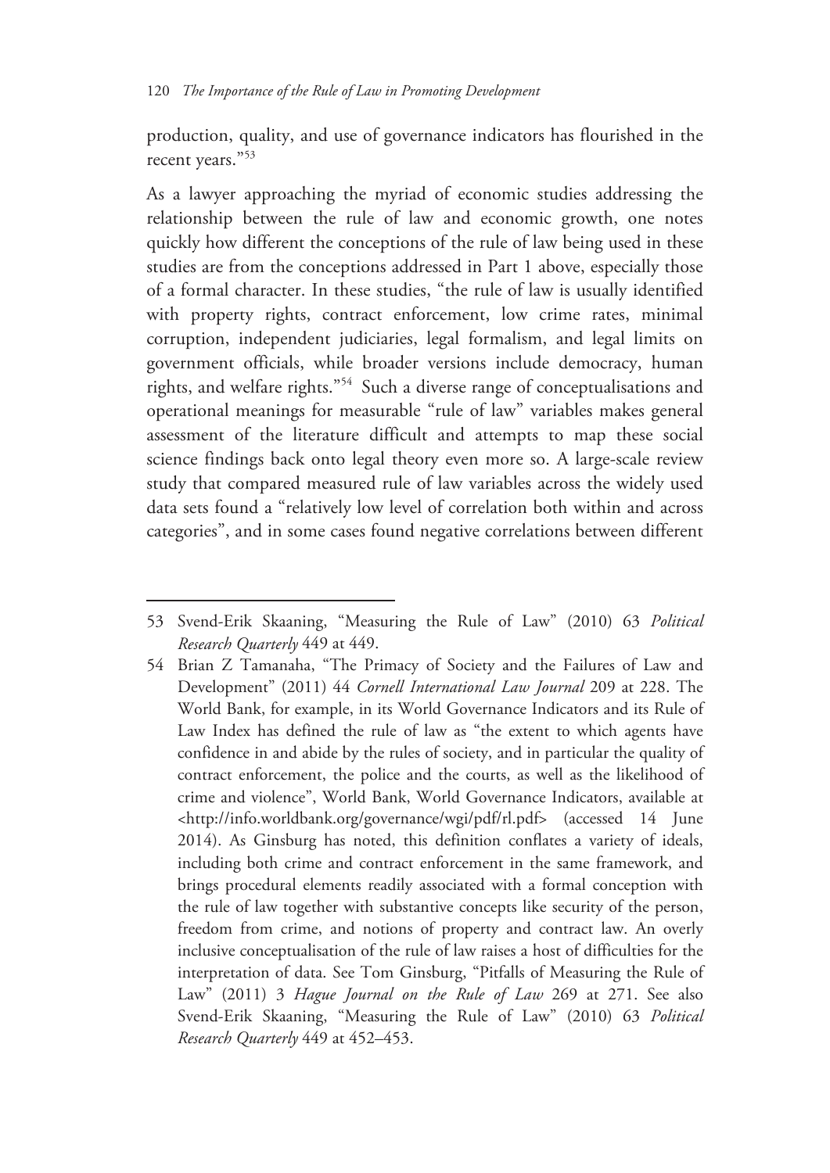production, quality, and use of governance indicators has flourished in the recent years."53

As a lawyer approaching the myriad of economic studies addressing the relationship between the rule of law and economic growth, one notes quickly how different the conceptions of the rule of law being used in these studies are from the conceptions addressed in Part 1 above, especially those of a formal character. In these studies, "the rule of law is usually identified with property rights, contract enforcement, low crime rates, minimal corruption, independent judiciaries, legal formalism, and legal limits on government officials, while broader versions include democracy, human rights, and welfare rights."54 Such a diverse range of conceptualisations and operational meanings for measurable "rule of law" variables makes general assessment of the literature difficult and attempts to map these social science findings back onto legal theory even more so. A large-scale review study that compared measured rule of law variables across the widely used data sets found a "relatively low level of correlation both within and across categories", and in some cases found negative correlations between different

<sup>53</sup> Svend-Erik Skaaning, "Measuring the Rule of Law" (2010) 63 *Political Research Quarterly* 449 at 449.

<sup>54</sup> Brian Z Tamanaha, "The Primacy of Society and the Failures of Law and Development" (2011) 44 *Cornell International Law Journal* 209 at 228. The World Bank, for example, in its World Governance Indicators and its Rule of Law Index has defined the rule of law as "the extent to which agents have confidence in and abide by the rules of society, and in particular the quality of contract enforcement, the police and the courts, as well as the likelihood of crime and violence", World Bank, World Governance Indicators, available at <http://info.worldbank.org/governance/wgi/pdf/rl.pdf> (accessed 14 June 2014). As Ginsburg has noted, this definition conflates a variety of ideals, including both crime and contract enforcement in the same framework, and brings procedural elements readily associated with a formal conception with the rule of law together with substantive concepts like security of the person, freedom from crime, and notions of property and contract law. An overly inclusive conceptualisation of the rule of law raises a host of difficulties for the interpretation of data. See Tom Ginsburg, "Pitfalls of Measuring the Rule of Law" (2011) 3 *Hague Journal on the Rule of Law* 269 at 271. See also Svend-Erik Skaaning, "Measuring the Rule of Law" (2010) 63 *Political Research Quarterly* 449 at 452–453.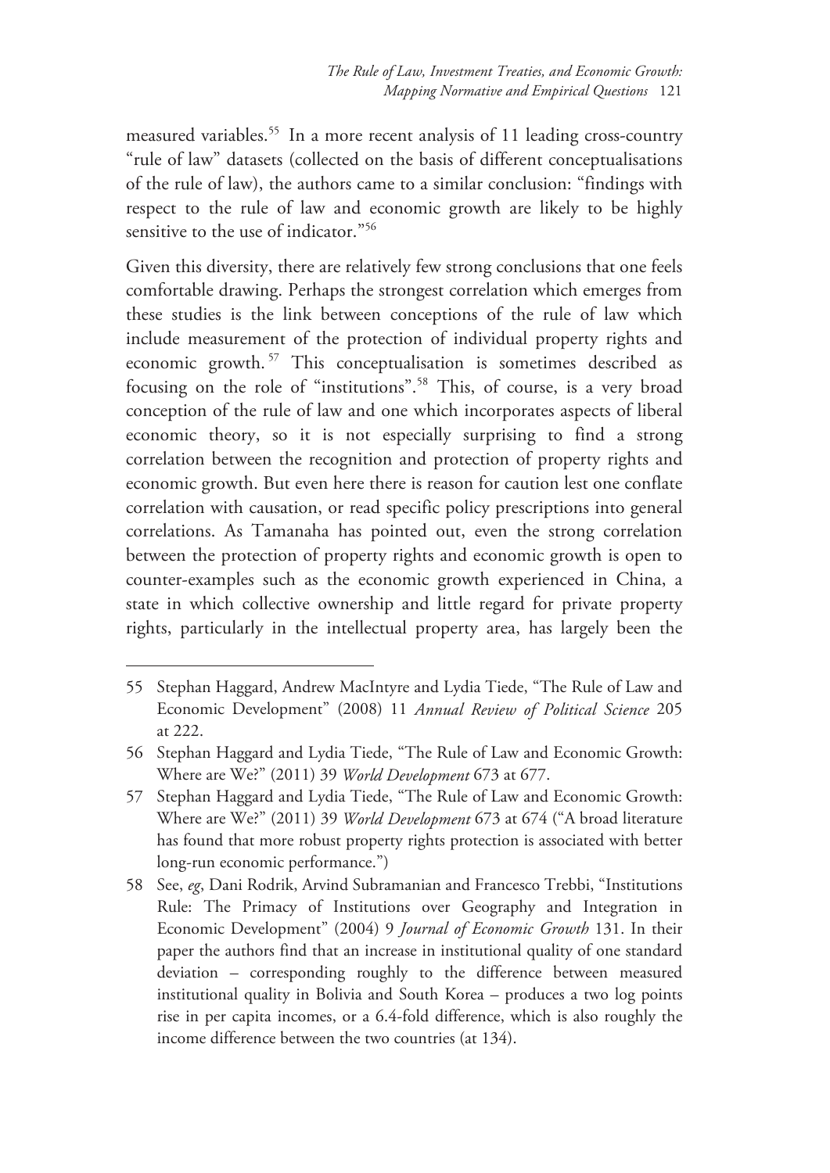measured variables.<sup>55</sup> In a more recent analysis of 11 leading cross-country "rule of law" datasets (collected on the basis of different conceptualisations of the rule of law), the authors came to a similar conclusion: "findings with respect to the rule of law and economic growth are likely to be highly sensitive to the use of indicator."56

Given this diversity, there are relatively few strong conclusions that one feels comfortable drawing. Perhaps the strongest correlation which emerges from these studies is the link between conceptions of the rule of law which include measurement of the protection of individual property rights and economic growth. 57 This conceptualisation is sometimes described as focusing on the role of "institutions".58 This, of course, is a very broad conception of the rule of law and one which incorporates aspects of liberal economic theory, so it is not especially surprising to find a strong correlation between the recognition and protection of property rights and economic growth. But even here there is reason for caution lest one conflate correlation with causation, or read specific policy prescriptions into general correlations. As Tamanaha has pointed out, even the strong correlation between the protection of property rights and economic growth is open to counter-examples such as the economic growth experienced in China, a state in which collective ownership and little regard for private property rights, particularly in the intellectual property area, has largely been the

<sup>55</sup> Stephan Haggard, Andrew MacIntyre and Lydia Tiede, "The Rule of Law and Economic Development" (2008) 11 *Annual Review of Political Science* 205 at 222.

<sup>56</sup> Stephan Haggard and Lydia Tiede, "The Rule of Law and Economic Growth: Where are We?" (2011) 39 *World Development* 673 at 677.

<sup>57</sup> Stephan Haggard and Lydia Tiede, "The Rule of Law and Economic Growth: Where are We?" (2011) 39 *World Development* 673 at 674 ("A broad literature has found that more robust property rights protection is associated with better long-run economic performance.")

<sup>58</sup> See, *eg*, Dani Rodrik, Arvind Subramanian and Francesco Trebbi, "Institutions Rule: The Primacy of Institutions over Geography and Integration in Economic Development" (2004) 9 *Journal of Economic Growth* 131. In their paper the authors find that an increase in institutional quality of one standard deviation – corresponding roughly to the difference between measured institutional quality in Bolivia and South Korea – produces a two log points rise in per capita incomes, or a 6.4-fold difference, which is also roughly the income difference between the two countries (at 134).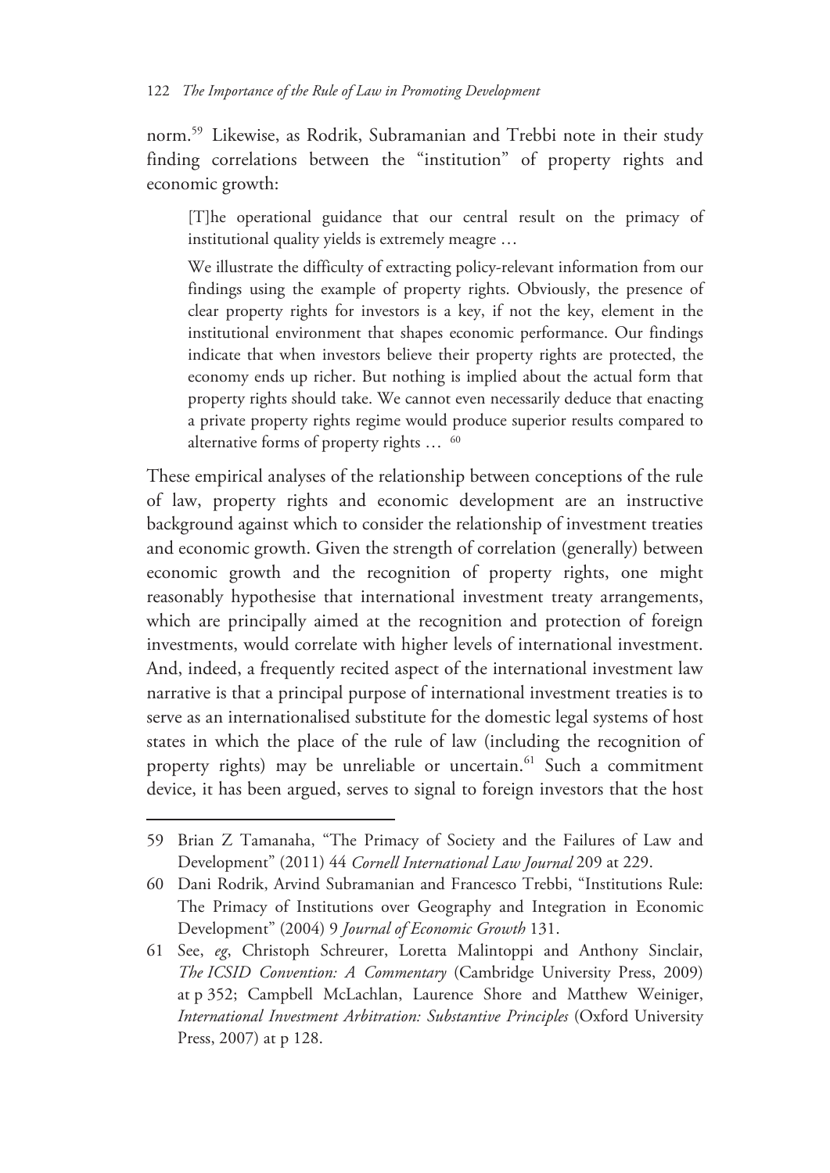norm.59 Likewise, as Rodrik, Subramanian and Trebbi note in their study finding correlations between the "institution" of property rights and economic growth:

[T]he operational guidance that our central result on the primacy of institutional quality yields is extremely meagre …

We illustrate the difficulty of extracting policy-relevant information from our findings using the example of property rights. Obviously, the presence of clear property rights for investors is a key, if not the key, element in the institutional environment that shapes economic performance. Our findings indicate that when investors believe their property rights are protected, the economy ends up richer. But nothing is implied about the actual form that property rights should take. We cannot even necessarily deduce that enacting a private property rights regime would produce superior results compared to alternative forms of property rights ... <sup>60</sup>

These empirical analyses of the relationship between conceptions of the rule of law, property rights and economic development are an instructive background against which to consider the relationship of investment treaties and economic growth. Given the strength of correlation (generally) between economic growth and the recognition of property rights, one might reasonably hypothesise that international investment treaty arrangements, which are principally aimed at the recognition and protection of foreign investments, would correlate with higher levels of international investment. And, indeed, a frequently recited aspect of the international investment law narrative is that a principal purpose of international investment treaties is to serve as an internationalised substitute for the domestic legal systems of host states in which the place of the rule of law (including the recognition of property rights) may be unreliable or uncertain.<sup>61</sup> Such a commitment device, it has been argued, serves to signal to foreign investors that the host

<sup>59</sup> Brian Z Tamanaha, "The Primacy of Society and the Failures of Law and Development" (2011) 44 *Cornell International Law Journal* 209 at 229.

<sup>60</sup> Dani Rodrik, Arvind Subramanian and Francesco Trebbi, "Institutions Rule: The Primacy of Institutions over Geography and Integration in Economic Development" (2004) 9 *Journal of Economic Growth* 131.

<sup>61</sup> See, *eg*, Christoph Schreurer, Loretta Malintoppi and Anthony Sinclair, *The ICSID Convention: A Commentary* (Cambridge University Press, 2009) at p 352; Campbell McLachlan, Laurence Shore and Matthew Weiniger, *International Investment Arbitration: Substantive Principles* (Oxford University Press, 2007) at p 128.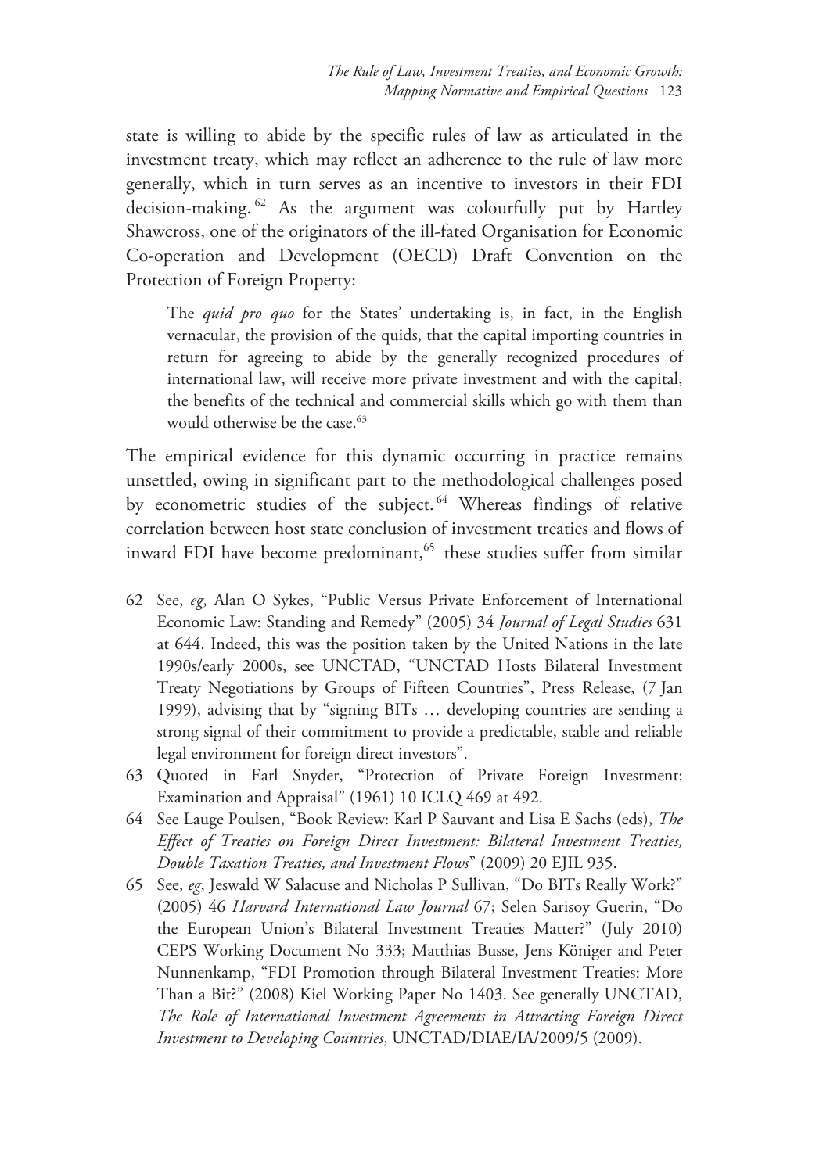state is willing to abide by the specific rules of law as articulated in the investment treaty, which may reflect an adherence to the rule of law more generally, which in turn serves as an incentive to investors in their FDI decision-making. 62 As the argument was colourfully put by Hartley Shawcross, one of the originators of the ill-fated Organisation for Economic Co-operation and Development (OECD) Draft Convention on the Protection of Foreign Property:

The *quid pro quo* for the States' undertaking is, in fact, in the English vernacular, the provision of the quids, that the capital importing countries in return for agreeing to abide by the generally recognized procedures of international law, will receive more private investment and with the capital, the benefits of the technical and commercial skills which go with them than would otherwise be the case.<sup>63</sup>

The empirical evidence for this dynamic occurring in practice remains unsettled, owing in significant part to the methodological challenges posed by econometric studies of the subject.<sup>64</sup> Whereas findings of relative correlation between host state conclusion of investment treaties and flows of inward FDI have become predominant,<sup>65</sup> these studies suffer from similar

- 63 Quoted in Earl Snyder, "Protection of Private Foreign Investment: Examination and Appraisal" (1961) 10 ICLQ 469 at 492.
- 64 See Lauge Poulsen, "Book Review: Karl P Sauvant and Lisa E Sachs (eds), *The Effect of Treaties on Foreign Direct Investment: Bilateral Investment Treaties, Double Taxation Treaties, and Investment Flows*" (2009) 20 EJIL 935.
- 65 See, *eg*, Jeswald W Salacuse and Nicholas P Sullivan, "Do BITs Really Work?" (2005) 46 *Harvard International Law Journal* 67; Selen Sarisoy Guerin, "Do the European Union's Bilateral Investment Treaties Matter?" (July 2010) CEPS Working Document No 333; Matthias Busse, Jens Königer and Peter Nunnenkamp, "FDI Promotion through Bilateral Investment Treaties: More Than a Bit?" (2008) Kiel Working Paper No 1403. See generally UNCTAD, *The Role of International Investment Agreements in Attracting Foreign Direct Investment to Developing Countries*, UNCTAD/DIAE/IA/2009/5 (2009).

<sup>62</sup> See, *eg*, Alan O Sykes, "Public Versus Private Enforcement of International Economic Law: Standing and Remedy" (2005) 34 *Journal of Legal Studies* 631 at 644. Indeed, this was the position taken by the United Nations in the late 1990s/early 2000s, see UNCTAD, "UNCTAD Hosts Bilateral Investment Treaty Negotiations by Groups of Fifteen Countries", Press Release, (7 Jan 1999), advising that by "signing BITs … developing countries are sending a strong signal of their commitment to provide a predictable, stable and reliable legal environment for foreign direct investors".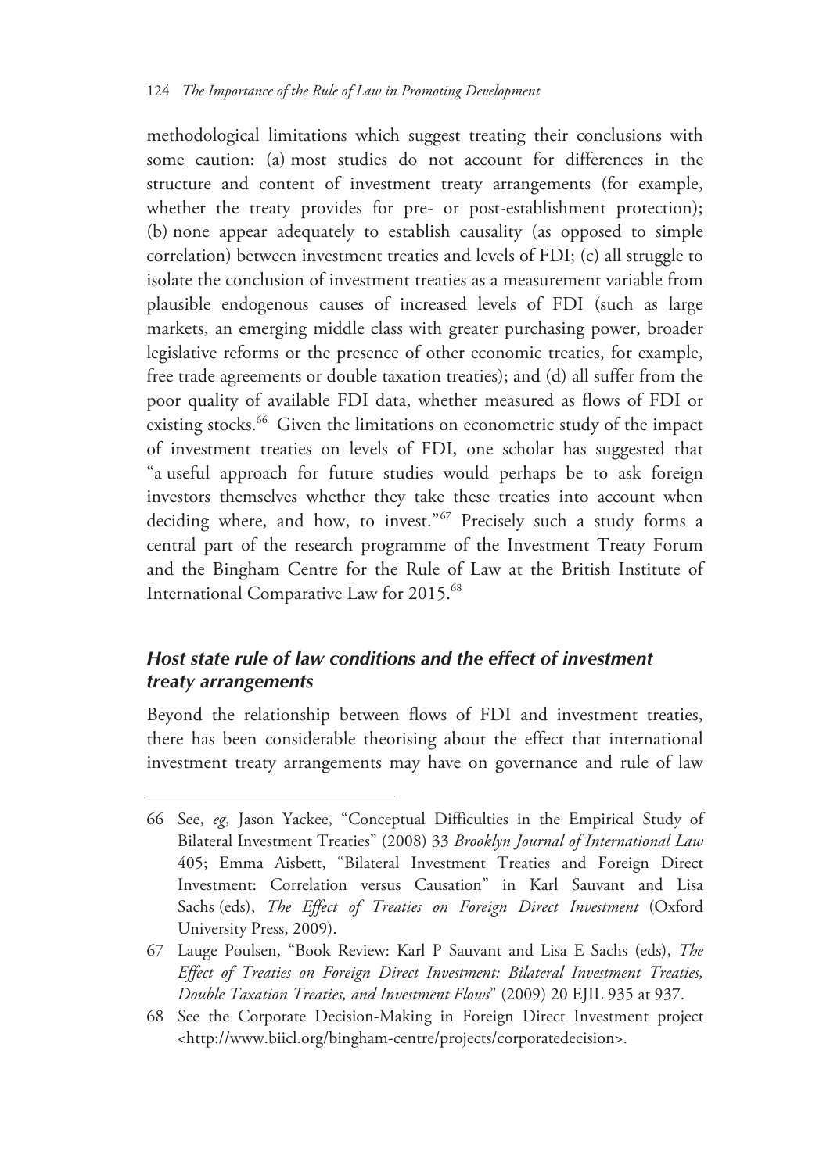methodological limitations which suggest treating their conclusions with some caution: (a) most studies do not account for differences in the structure and content of investment treaty arrangements (for example, whether the treaty provides for pre- or post-establishment protection); (b) none appear adequately to establish causality (as opposed to simple correlation) between investment treaties and levels of FDI; (c) all struggle to isolate the conclusion of investment treaties as a measurement variable from plausible endogenous causes of increased levels of FDI (such as large markets, an emerging middle class with greater purchasing power, broader legislative reforms or the presence of other economic treaties, for example, free trade agreements or double taxation treaties); and (d) all suffer from the poor quality of available FDI data, whether measured as flows of FDI or existing stocks.<sup>66</sup> Given the limitations on econometric study of the impact of investment treaties on levels of FDI, one scholar has suggested that "a useful approach for future studies would perhaps be to ask foreign investors themselves whether they take these treaties into account when deciding where, and how, to invest."<sup>67</sup> Precisely such a study forms a central part of the research programme of the Investment Treaty Forum and the Bingham Centre for the Rule of Law at the British Institute of International Comparative Law for 2015.68

### *Host state rule of law conditions and the effect of investment treaty arrangements*

 $\overline{a}$ 

Beyond the relationship between flows of FDI and investment treaties, there has been considerable theorising about the effect that international investment treaty arrangements may have on governance and rule of law

<sup>66</sup> See, *eg*, Jason Yackee, "Conceptual Difficulties in the Empirical Study of Bilateral Investment Treaties" (2008) 33 *Brooklyn Journal of International Law* 405; Emma Aisbett, "Bilateral Investment Treaties and Foreign Direct Investment: Correlation versus Causation" in Karl Sauvant and Lisa Sachs (eds), *The Effect of Treaties on Foreign Direct Investment* (Oxford University Press, 2009).

<sup>67</sup> Lauge Poulsen, "Book Review: Karl P Sauvant and Lisa E Sachs (eds), *The Effect of Treaties on Foreign Direct Investment: Bilateral Investment Treaties, Double Taxation Treaties, and Investment Flows*" (2009) 20 EJIL 935 at 937.

<sup>68</sup> See the Corporate Decision-Making in Foreign Direct Investment project <http://www.biicl.org/bingham-centre/projects/corporatedecision>.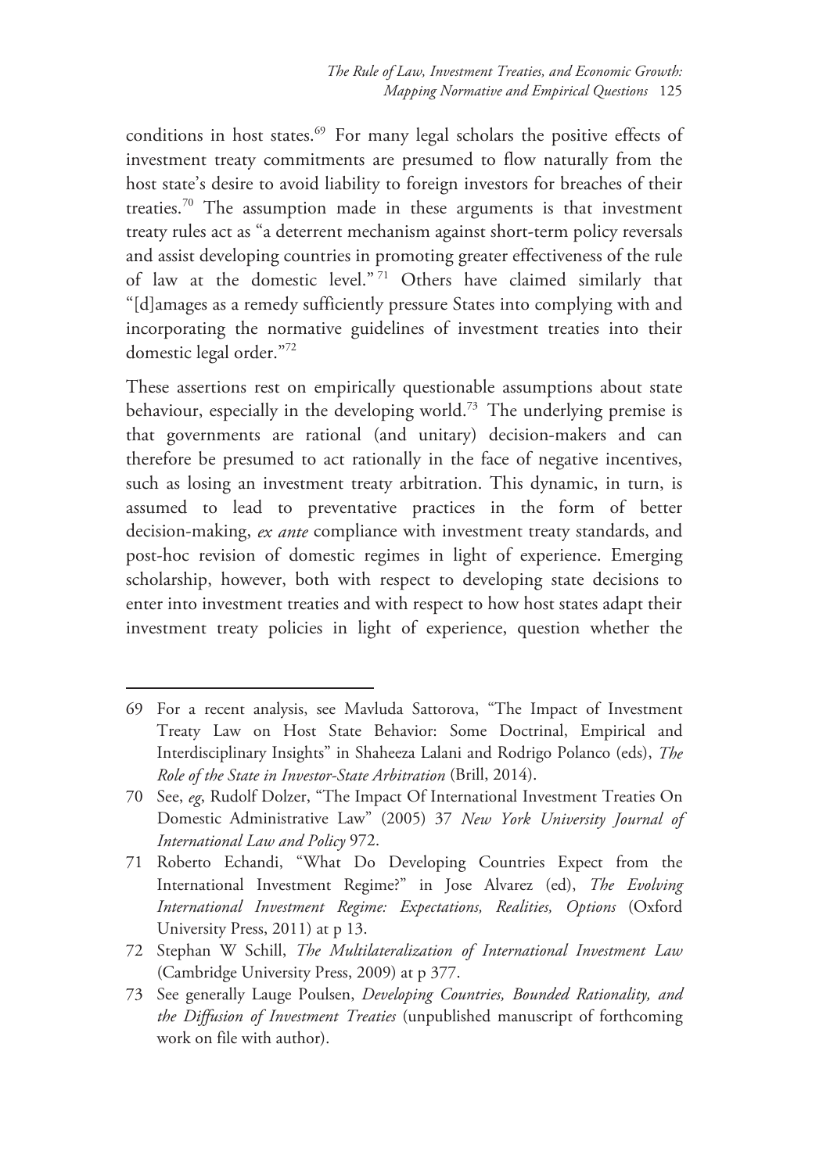conditions in host states.<sup>69</sup> For many legal scholars the positive effects of investment treaty commitments are presumed to flow naturally from the host state's desire to avoid liability to foreign investors for breaches of their treaties.70 The assumption made in these arguments is that investment treaty rules act as "a deterrent mechanism against short-term policy reversals and assist developing countries in promoting greater effectiveness of the rule of law at the domestic level." 71 Others have claimed similarly that "[d]amages as a remedy sufficiently pressure States into complying with and incorporating the normative guidelines of investment treaties into their domestic legal order."72

These assertions rest on empirically questionable assumptions about state behaviour, especially in the developing world.<sup>73</sup> The underlying premise is that governments are rational (and unitary) decision-makers and can therefore be presumed to act rationally in the face of negative incentives, such as losing an investment treaty arbitration. This dynamic, in turn, is assumed to lead to preventative practices in the form of better decision-making, *ex ante* compliance with investment treaty standards, and post-hoc revision of domestic regimes in light of experience. Emerging scholarship, however, both with respect to developing state decisions to enter into investment treaties and with respect to how host states adapt their investment treaty policies in light of experience, question whether the

<sup>69</sup> For a recent analysis, see Mavluda Sattorova, "The Impact of Investment Treaty Law on Host State Behavior: Some Doctrinal, Empirical and Interdisciplinary Insights" in Shaheeza Lalani and Rodrigo Polanco (eds), *The Role of the State in Investor-State Arbitration* (Brill, 2014).

<sup>70</sup> See, *eg*, Rudolf Dolzer, "The Impact Of International Investment Treaties On Domestic Administrative Law" (2005) 37 *New York University Journal of International Law and Policy* 972.

<sup>71</sup> Roberto Echandi, "What Do Developing Countries Expect from the International Investment Regime?" in Jose Alvarez (ed), *The Evolving International Investment Regime: Expectations, Realities, Options* (Oxford University Press, 2011) at p 13.

<sup>72</sup> Stephan W Schill, *The Multilateralization of International Investment Law* (Cambridge University Press, 2009) at p 377.

<sup>73</sup> See generally Lauge Poulsen, *Developing Countries, Bounded Rationality, and the Diffusion of Investment Treaties* (unpublished manuscript of forthcoming work on file with author).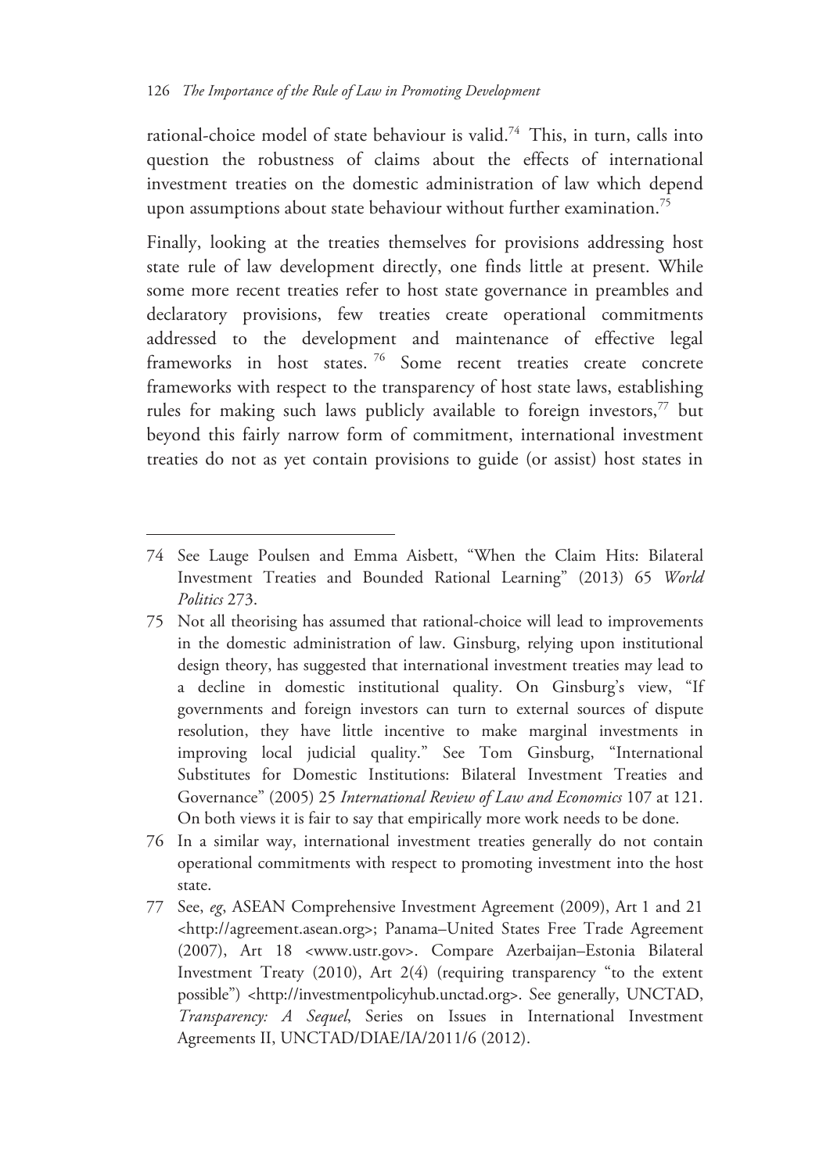$\overline{a}$ 

rational-choice model of state behaviour is valid.<sup>74</sup> This, in turn, calls into question the robustness of claims about the effects of international investment treaties on the domestic administration of law which depend upon assumptions about state behaviour without further examination.<sup>75</sup>

Finally, looking at the treaties themselves for provisions addressing host state rule of law development directly, one finds little at present. While some more recent treaties refer to host state governance in preambles and declaratory provisions, few treaties create operational commitments addressed to the development and maintenance of effective legal frameworks in host states.<sup>76</sup> Some recent treaties create concrete frameworks with respect to the transparency of host state laws, establishing rules for making such laws publicly available to foreign investors,<sup>77</sup> but beyond this fairly narrow form of commitment, international investment treaties do not as yet contain provisions to guide (or assist) host states in

- 75 Not all theorising has assumed that rational-choice will lead to improvements in the domestic administration of law. Ginsburg, relying upon institutional design theory, has suggested that international investment treaties may lead to a decline in domestic institutional quality. On Ginsburg's view, "If governments and foreign investors can turn to external sources of dispute resolution, they have little incentive to make marginal investments in improving local judicial quality." See Tom Ginsburg, "International Substitutes for Domestic Institutions: Bilateral Investment Treaties and Governance" (2005) 25 *International Review of Law and Economics* 107 at 121. On both views it is fair to say that empirically more work needs to be done.
- 76 In a similar way, international investment treaties generally do not contain operational commitments with respect to promoting investment into the host state.
- 77 See, *eg*, ASEAN Comprehensive Investment Agreement (2009), Art 1 and 21 <http://agreement.asean.org>; Panama–United States Free Trade Agreement (2007), Art 18 <www.ustr.gov>. Compare Azerbaijan–Estonia Bilateral Investment Treaty (2010), Art 2(4) (requiring transparency "to the extent possible") <http://investmentpolicyhub.unctad.org>. See generally, UNCTAD, *Transparency: A Sequel*, Series on Issues in International Investment Agreements II, UNCTAD/DIAE/IA/2011/6 (2012).

<sup>74</sup> See Lauge Poulsen and Emma Aisbett, "When the Claim Hits: Bilateral Investment Treaties and Bounded Rational Learning" (2013) 65 *World Politics* 273.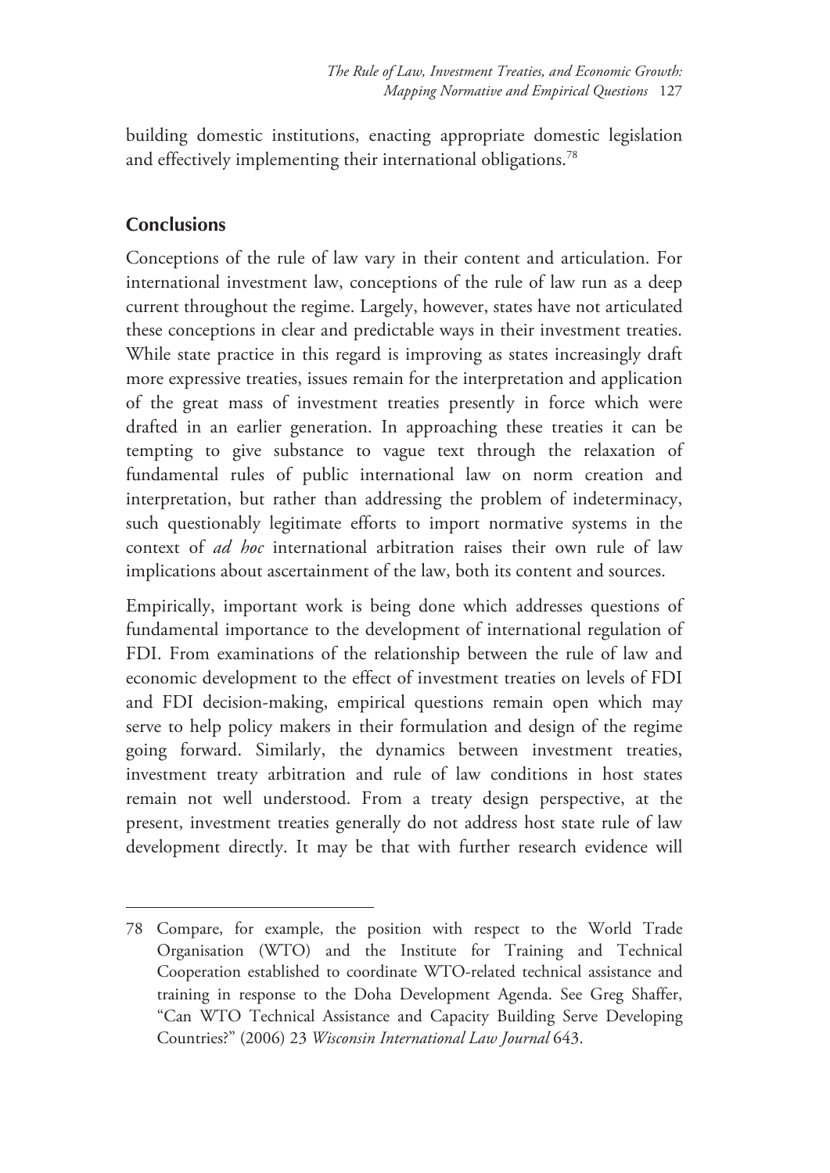building domestic institutions, enacting appropriate domestic legislation and effectively implementing their international obligations.<sup>78</sup>

## **Conclusions**

-

Conceptions of the rule of law vary in their content and articulation. For international investment law, conceptions of the rule of law run as a deep current throughout the regime. Largely, however, states have not articulated these conceptions in clear and predictable ways in their investment treaties. While state practice in this regard is improving as states increasingly draft more expressive treaties, issues remain for the interpretation and application of the great mass of investment treaties presently in force which were drafted in an earlier generation. In approaching these treaties it can be tempting to give substance to vague text through the relaxation of fundamental rules of public international law on norm creation and interpretation, but rather than addressing the problem of indeterminacy, such questionably legitimate efforts to import normative systems in the context of *ad hoc* international arbitration raises their own rule of law implications about ascertainment of the law, both its content and sources.

Empirically, important work is being done which addresses questions of fundamental importance to the development of international regulation of FDI. From examinations of the relationship between the rule of law and economic development to the effect of investment treaties on levels of FDI and FDI decision-making, empirical questions remain open which may serve to help policy makers in their formulation and design of the regime going forward. Similarly, the dynamics between investment treaties, investment treaty arbitration and rule of law conditions in host states remain not well understood. From a treaty design perspective, at the present, investment treaties generally do not address host state rule of law development directly. It may be that with further research evidence will

<sup>78</sup> Compare, for example, the position with respect to the World Trade Organisation (WTO) and the Institute for Training and Technical Cooperation established to coordinate WTO-related technical assistance and training in response to the Doha Development Agenda. See Greg Shaffer, "Can WTO Technical Assistance and Capacity Building Serve Developing Countries?" (2006) 23 *Wisconsin International Law Journal* 643.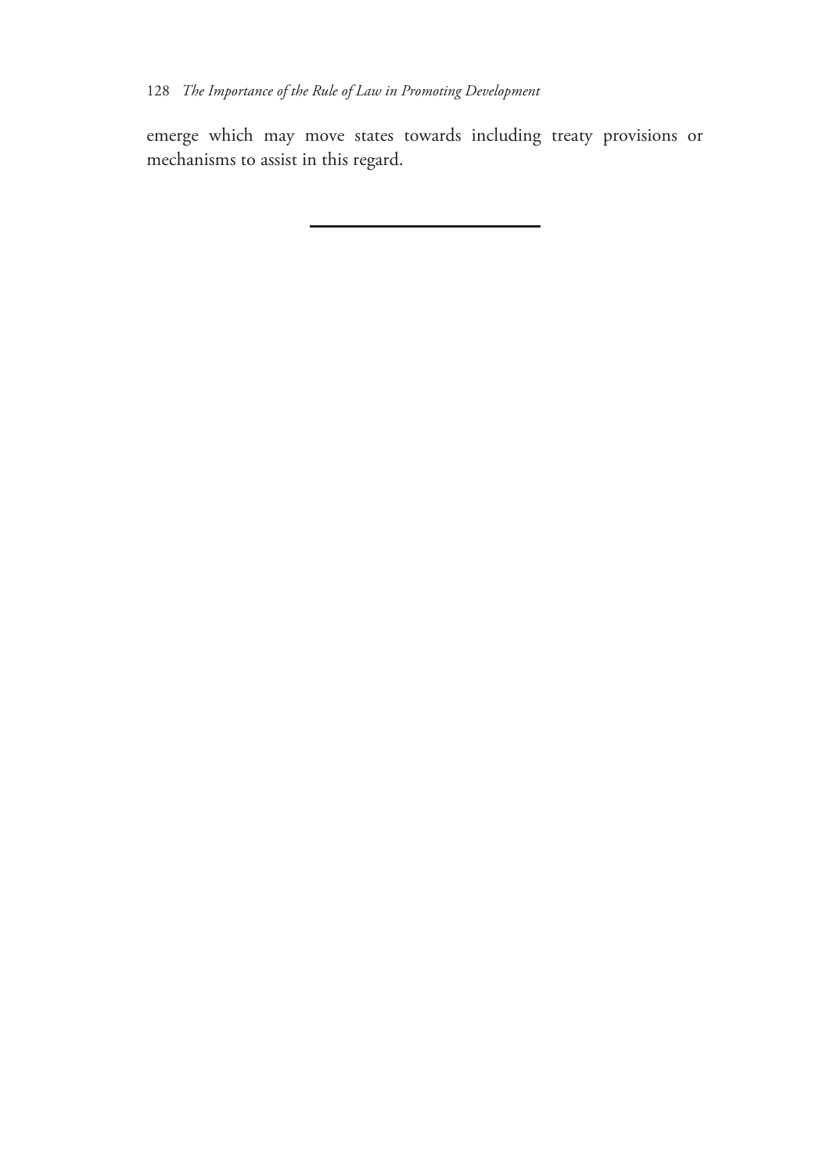emerge which may move states towards including treaty provisions or mechanisms to assist in this regard.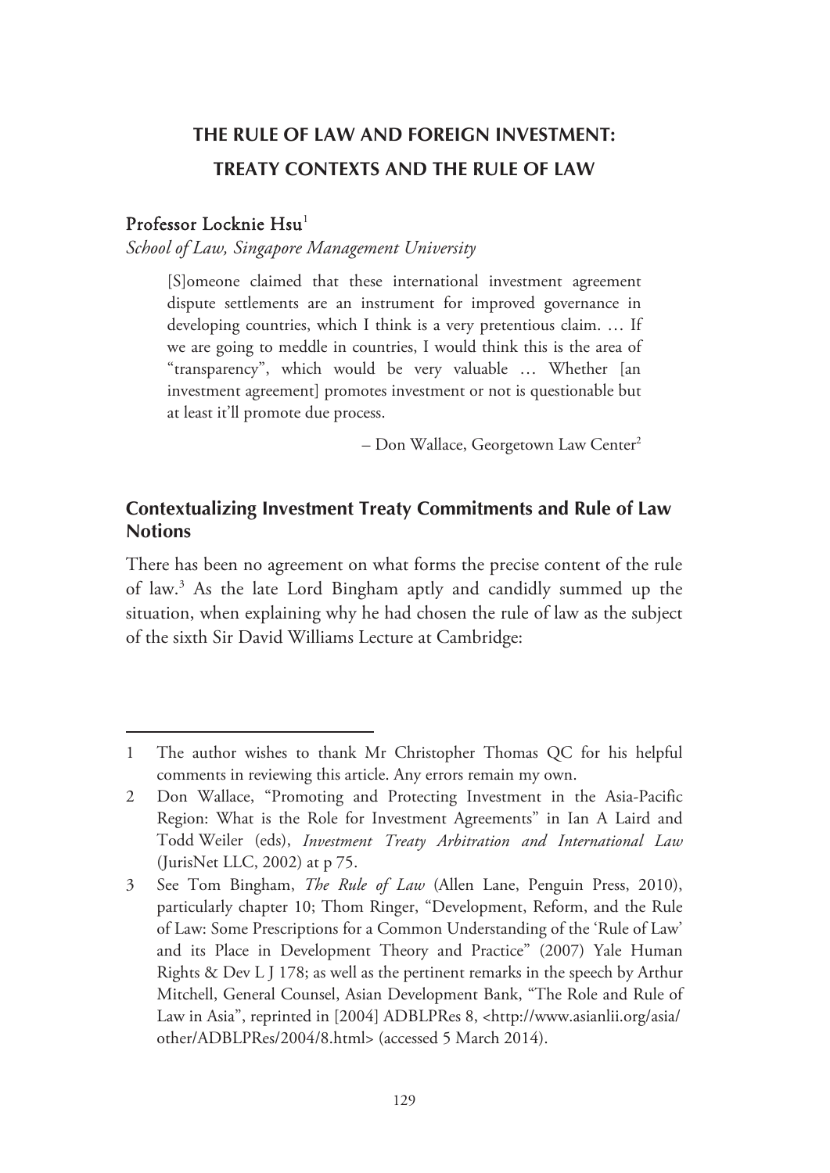# **THE RULE OF LAW AND FOREIGN INVESTMENT: TREATY CONTEXTS AND THE RULE OF LAW**

#### Professor Locknie Hsu<sup>1</sup>

-

*School of Law, Singapore Management University* 

[S]omeone claimed that these international investment agreement dispute settlements are an instrument for improved governance in developing countries, which I think is a very pretentious claim. … If we are going to meddle in countries, I would think this is the area of "transparency", which would be very valuable … Whether [an investment agreement] promotes investment or not is questionable but at least it'll promote due process.

 $-$  Don Wallace, Georgetown Law Center<sup>2</sup>

## **Contextualizing Investment Treaty Commitments and Rule of Law Notions**

There has been no agreement on what forms the precise content of the rule of law.3 As the late Lord Bingham aptly and candidly summed up the situation, when explaining why he had chosen the rule of law as the subject of the sixth Sir David Williams Lecture at Cambridge:

<sup>1</sup> The author wishes to thank Mr Christopher Thomas QC for his helpful comments in reviewing this article. Any errors remain my own.

<sup>2</sup> Don Wallace, "Promoting and Protecting Investment in the Asia-Pacific Region: What is the Role for Investment Agreements" in Ian A Laird and Todd Weiler (eds), *Investment Treaty Arbitration and International Law* (JurisNet LLC, 2002) at p 75.

<sup>3</sup> See Tom Bingham, *The Rule of Law* (Allen Lane, Penguin Press, 2010), particularly chapter 10; Thom Ringer, "Development, Reform, and the Rule of Law: Some Prescriptions for a Common Understanding of the 'Rule of Law' and its Place in Development Theory and Practice" (2007) Yale Human Rights & Dev L J 178; as well as the pertinent remarks in the speech by Arthur Mitchell, General Counsel, Asian Development Bank, "The Role and Rule of Law in Asia", reprinted in [2004] ADBLPRes 8, <http://www.asianlii.org/asia/ other/ADBLPRes/2004/8.html> (accessed 5 March 2014).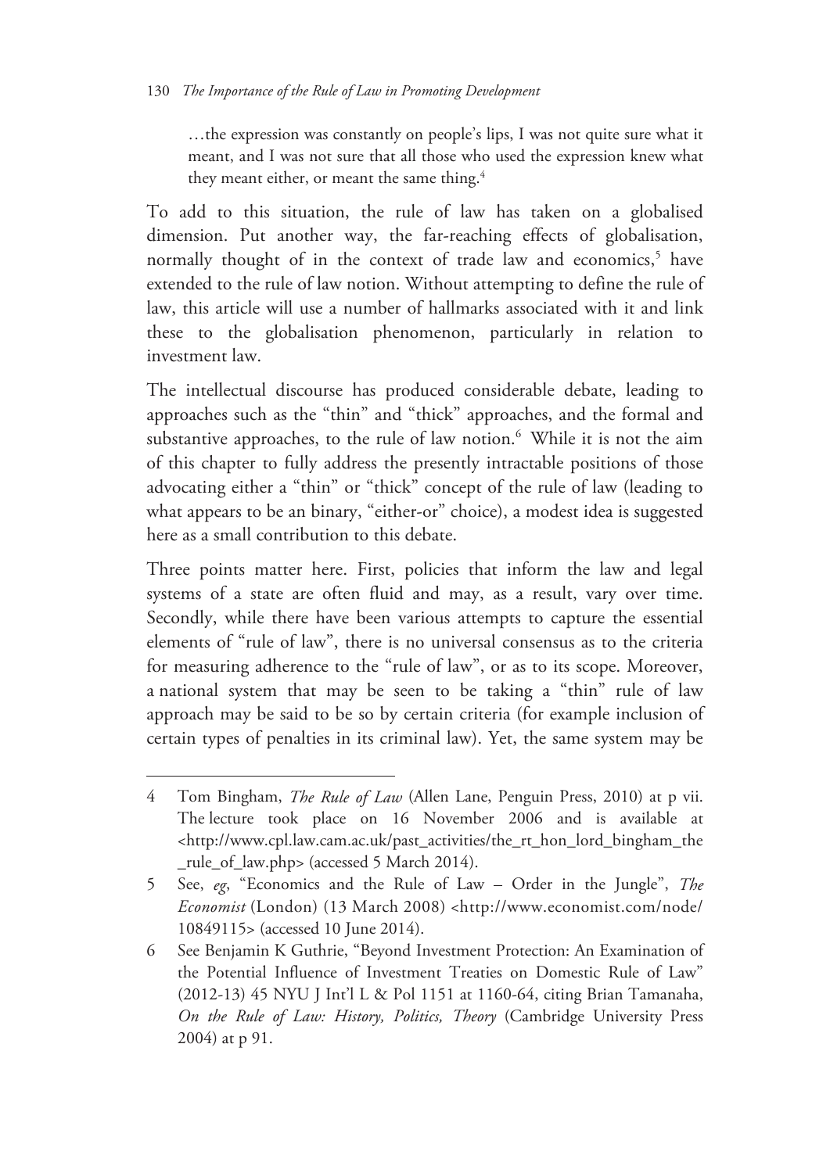…the expression was constantly on people's lips, I was not quite sure what it meant, and I was not sure that all those who used the expression knew what they meant either, or meant the same thing.<sup>4</sup>

To add to this situation, the rule of law has taken on a globalised dimension. Put another way, the far-reaching effects of globalisation, normally thought of in the context of trade law and economics,<sup>5</sup> have extended to the rule of law notion. Without attempting to define the rule of law, this article will use a number of hallmarks associated with it and link these to the globalisation phenomenon, particularly in relation to investment law.

The intellectual discourse has produced considerable debate, leading to approaches such as the "thin" and "thick" approaches, and the formal and substantive approaches, to the rule of law notion.<sup>6</sup> While it is not the aim of this chapter to fully address the presently intractable positions of those advocating either a "thin" or "thick" concept of the rule of law (leading to what appears to be an binary, "either-or" choice), a modest idea is suggested here as a small contribution to this debate.

Three points matter here. First, policies that inform the law and legal systems of a state are often fluid and may, as a result, vary over time. Secondly, while there have been various attempts to capture the essential elements of "rule of law", there is no universal consensus as to the criteria for measuring adherence to the "rule of law", or as to its scope. Moreover, a national system that may be seen to be taking a "thin" rule of law approach may be said to be so by certain criteria (for example inclusion of certain types of penalties in its criminal law). Yet, the same system may be

<sup>4</sup> Tom Bingham, *The Rule of Law* (Allen Lane, Penguin Press, 2010) at p vii. The lecture took place on 16 November 2006 and is available at <http://www.cpl.law.cam.ac.uk/past\_activities/the\_rt\_hon\_lord\_bingham\_the \_rule\_of\_law.php> (accessed 5 March 2014).

<sup>5</sup> See, *eg*, "Economics and the Rule of Law – Order in the Jungle", *The Economist* (London) (13 March 2008) <http://www.economist.com/node/ 10849115> (accessed 10 June 2014).

<sup>6</sup> See Benjamin K Guthrie, "Beyond Investment Protection: An Examination of the Potential Influence of Investment Treaties on Domestic Rule of Law" (2012-13) 45 NYU J Int'l L & Pol 1151 at 1160-64, citing Brian Tamanaha, *On the Rule of Law: History, Politics, Theory* (Cambridge University Press 2004) at p 91.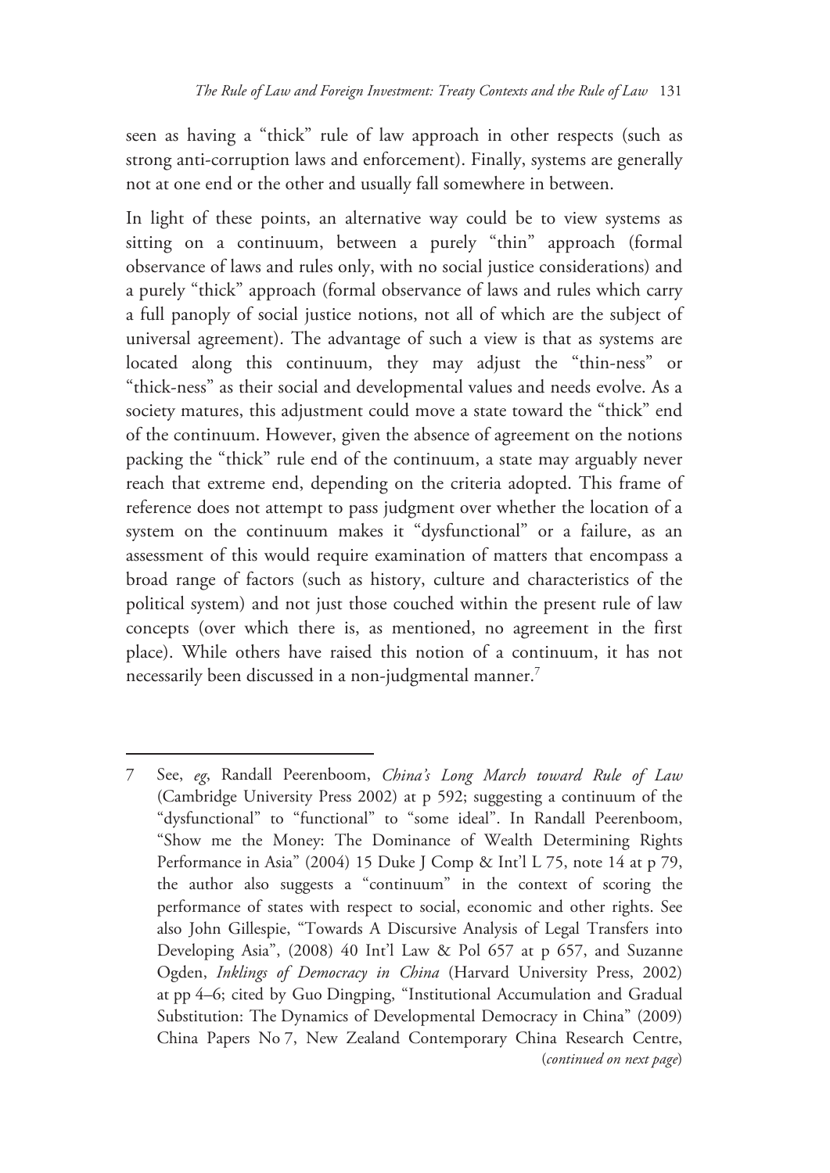seen as having a "thick" rule of law approach in other respects (such as strong anti-corruption laws and enforcement). Finally, systems are generally not at one end or the other and usually fall somewhere in between.

In light of these points, an alternative way could be to view systems as sitting on a continuum, between a purely "thin" approach (formal observance of laws and rules only, with no social justice considerations) and a purely "thick" approach (formal observance of laws and rules which carry a full panoply of social justice notions, not all of which are the subject of universal agreement). The advantage of such a view is that as systems are located along this continuum, they may adjust the "thin-ness" or "thick-ness" as their social and developmental values and needs evolve. As a society matures, this adjustment could move a state toward the "thick" end of the continuum. However, given the absence of agreement on the notions packing the "thick" rule end of the continuum, a state may arguably never reach that extreme end, depending on the criteria adopted. This frame of reference does not attempt to pass judgment over whether the location of a system on the continuum makes it "dysfunctional" or a failure, as an assessment of this would require examination of matters that encompass a broad range of factors (such as history, culture and characteristics of the political system) and not just those couched within the present rule of law concepts (over which there is, as mentioned, no agreement in the first place). While others have raised this notion of a continuum, it has not necessarily been discussed in a non-judgmental manner.<sup>7</sup>

<sup>7</sup> See, *eg*, Randall Peerenboom, *China's Long March toward Rule of Law* (Cambridge University Press 2002) at p 592; suggesting a continuum of the "dysfunctional" to "functional" to "some ideal". In Randall Peerenboom, "Show me the Money: The Dominance of Wealth Determining Rights Performance in Asia" (2004) 15 Duke J Comp & Int'l L 75, note 14 at p 79, the author also suggests a "continuum" in the context of scoring the performance of states with respect to social, economic and other rights. See also John Gillespie, "Towards A Discursive Analysis of Legal Transfers into Developing Asia", (2008) 40 Int'l Law & Pol 657 at p 657, and Suzanne Ogden, *Inklings of Democracy in China* (Harvard University Press, 2002) at pp 4–6; cited by Guo Dingping, "Institutional Accumulation and Gradual Substitution: The Dynamics of Developmental Democracy in China" (2009) China Papers No 7, New Zealand Contemporary China Research Centre, (*continued on next page*)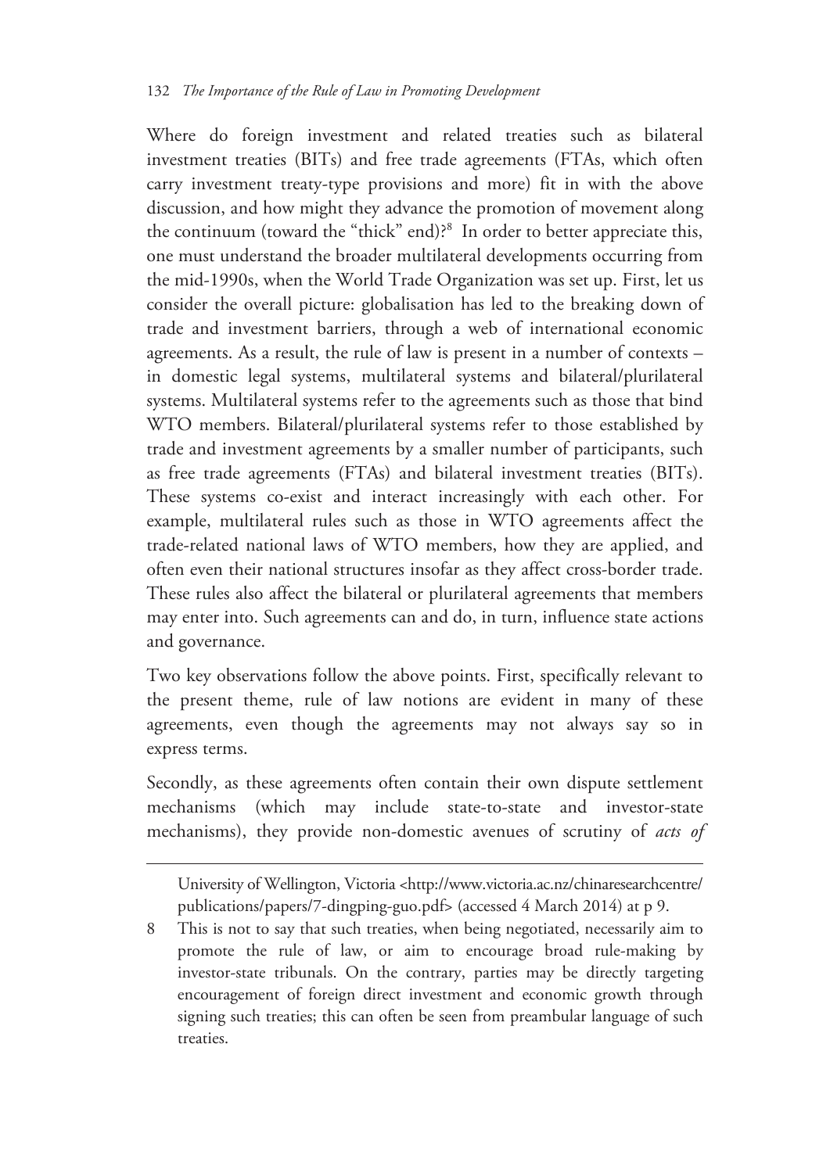Where do foreign investment and related treaties such as bilateral investment treaties (BITs) and free trade agreements (FTAs, which often carry investment treaty-type provisions and more) fit in with the above discussion, and how might they advance the promotion of movement along the continuum (toward the "thick" end)?<sup>8</sup> In order to better appreciate this, one must understand the broader multilateral developments occurring from the mid-1990s, when the World Trade Organization was set up. First, let us consider the overall picture: globalisation has led to the breaking down of trade and investment barriers, through a web of international economic agreements. As a result, the rule of law is present in a number of contexts – in domestic legal systems, multilateral systems and bilateral/plurilateral systems. Multilateral systems refer to the agreements such as those that bind WTO members. Bilateral/plurilateral systems refer to those established by trade and investment agreements by a smaller number of participants, such as free trade agreements (FTAs) and bilateral investment treaties (BITs). These systems co-exist and interact increasingly with each other. For example, multilateral rules such as those in WTO agreements affect the trade-related national laws of WTO members, how they are applied, and often even their national structures insofar as they affect cross-border trade. These rules also affect the bilateral or plurilateral agreements that members may enter into. Such agreements can and do, in turn, influence state actions and governance.

Two key observations follow the above points. First, specifically relevant to the present theme, rule of law notions are evident in many of these agreements, even though the agreements may not always say so in express terms.

Secondly, as these agreements often contain their own dispute settlement mechanisms (which may include state-to-state and investor-state mechanisms), they provide non-domestic avenues of scrutiny of *acts of* 

 $\overline{a}$ 

University of Wellington, Victoria <http://www.victoria.ac.nz/chinaresearchcentre/ publications/papers/7-dingping-guo.pdf> (accessed 4 March 2014) at p 9.

8 This is not to say that such treaties, when being negotiated, necessarily aim to promote the rule of law, or aim to encourage broad rule-making by investor-state tribunals. On the contrary, parties may be directly targeting encouragement of foreign direct investment and economic growth through signing such treaties; this can often be seen from preambular language of such treaties.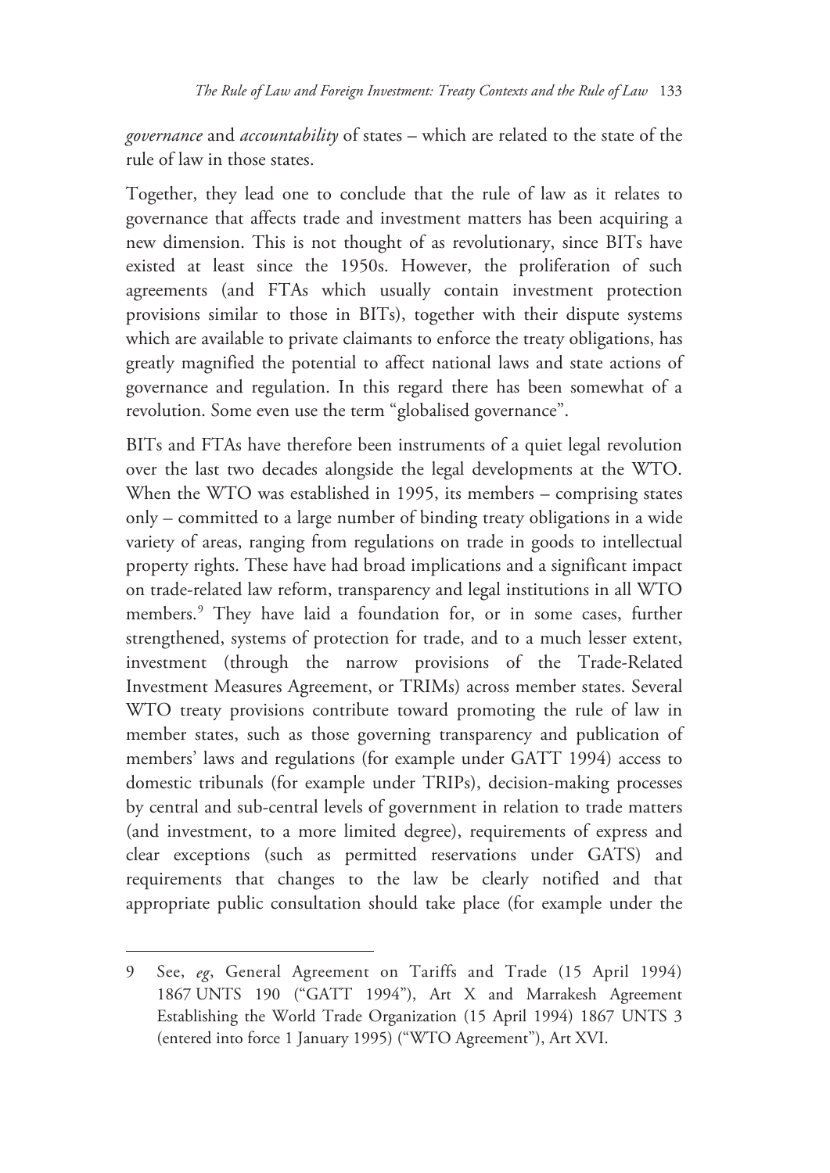*governance* and *accountability* of states – which are related to the state of the rule of law in those states.

Together, they lead one to conclude that the rule of law as it relates to governance that affects trade and investment matters has been acquiring a new dimension. This is not thought of as revolutionary, since BITs have existed at least since the 1950s. However, the proliferation of such agreements (and FTAs which usually contain investment protection provisions similar to those in BITs), together with their dispute systems which are available to private claimants to enforce the treaty obligations, has greatly magnified the potential to affect national laws and state actions of governance and regulation. In this regard there has been somewhat of a revolution. Some even use the term "globalised governance".

BITs and FTAs have therefore been instruments of a quiet legal revolution over the last two decades alongside the legal developments at the WTO. When the WTO was established in 1995, its members – comprising states only – committed to a large number of binding treaty obligations in a wide variety of areas, ranging from regulations on trade in goods to intellectual property rights. These have had broad implications and a significant impact on trade-related law reform, transparency and legal institutions in all WTO members.<sup>9</sup> They have laid a foundation for, or in some cases, further strengthened, systems of protection for trade, and to a much lesser extent, investment (through the narrow provisions of the Trade-Related Investment Measures Agreement, or TRIMs) across member states. Several WTO treaty provisions contribute toward promoting the rule of law in member states, such as those governing transparency and publication of members' laws and regulations (for example under GATT 1994) access to domestic tribunals (for example under TRIPs), decision-making processes by central and sub-central levels of government in relation to trade matters (and investment, to a more limited degree), requirements of express and clear exceptions (such as permitted reservations under GATS) and requirements that changes to the law be clearly notified and that appropriate public consultation should take place (for example under the

<sup>9</sup> See, *eg*, General Agreement on Tariffs and Trade (15 April 1994) 1867 UNTS 190 ("GATT 1994"), Art X and Marrakesh Agreement Establishing the World Trade Organization (15 April 1994) 1867 UNTS 3 (entered into force 1 January 1995) ("WTO Agreement"), Art XVI.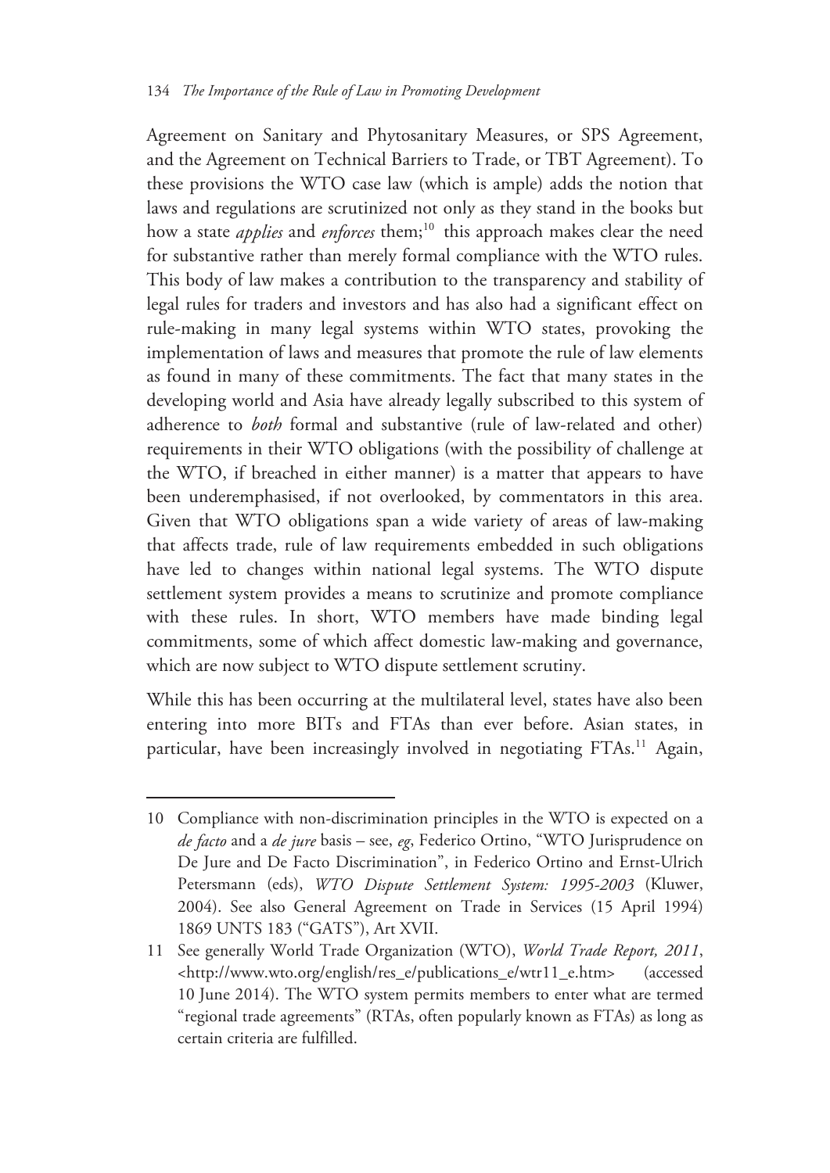Agreement on Sanitary and Phytosanitary Measures, or SPS Agreement, and the Agreement on Technical Barriers to Trade, or TBT Agreement). To these provisions the WTO case law (which is ample) adds the notion that laws and regulations are scrutinized not only as they stand in the books but how a state *applies* and *enforces* them;<sup>10</sup> this approach makes clear the need for substantive rather than merely formal compliance with the WTO rules. This body of law makes a contribution to the transparency and stability of legal rules for traders and investors and has also had a significant effect on rule-making in many legal systems within WTO states, provoking the implementation of laws and measures that promote the rule of law elements as found in many of these commitments. The fact that many states in the developing world and Asia have already legally subscribed to this system of adherence to *both* formal and substantive (rule of law-related and other) requirements in their WTO obligations (with the possibility of challenge at the WTO, if breached in either manner) is a matter that appears to have been underemphasised, if not overlooked, by commentators in this area. Given that WTO obligations span a wide variety of areas of law-making that affects trade, rule of law requirements embedded in such obligations have led to changes within national legal systems. The WTO dispute settlement system provides a means to scrutinize and promote compliance with these rules. In short, WTO members have made binding legal commitments, some of which affect domestic law-making and governance, which are now subject to WTO dispute settlement scrutiny.

While this has been occurring at the multilateral level, states have also been entering into more BITs and FTAs than ever before. Asian states, in particular, have been increasingly involved in negotiating FTAs.<sup>11</sup> Again,

<sup>10</sup> Compliance with non-discrimination principles in the WTO is expected on a *de facto* and a *de jure* basis – see, *eg*, Federico Ortino, "WTO Jurisprudence on De Jure and De Facto Discrimination", in Federico Ortino and Ernst-Ulrich Petersmann (eds), *WTO Dispute Settlement System: 1995-2003* (Kluwer, 2004). See also General Agreement on Trade in Services (15 April 1994) 1869 UNTS 183 ("GATS"), Art XVII.

<sup>11</sup> See generally World Trade Organization (WTO), *World Trade Report, 2011*, <http://www.wto.org/english/res\_e/publications\_e/wtr11\_e.htm> (accessed 10 June 2014). The WTO system permits members to enter what are termed "regional trade agreements" (RTAs, often popularly known as FTAs) as long as certain criteria are fulfilled.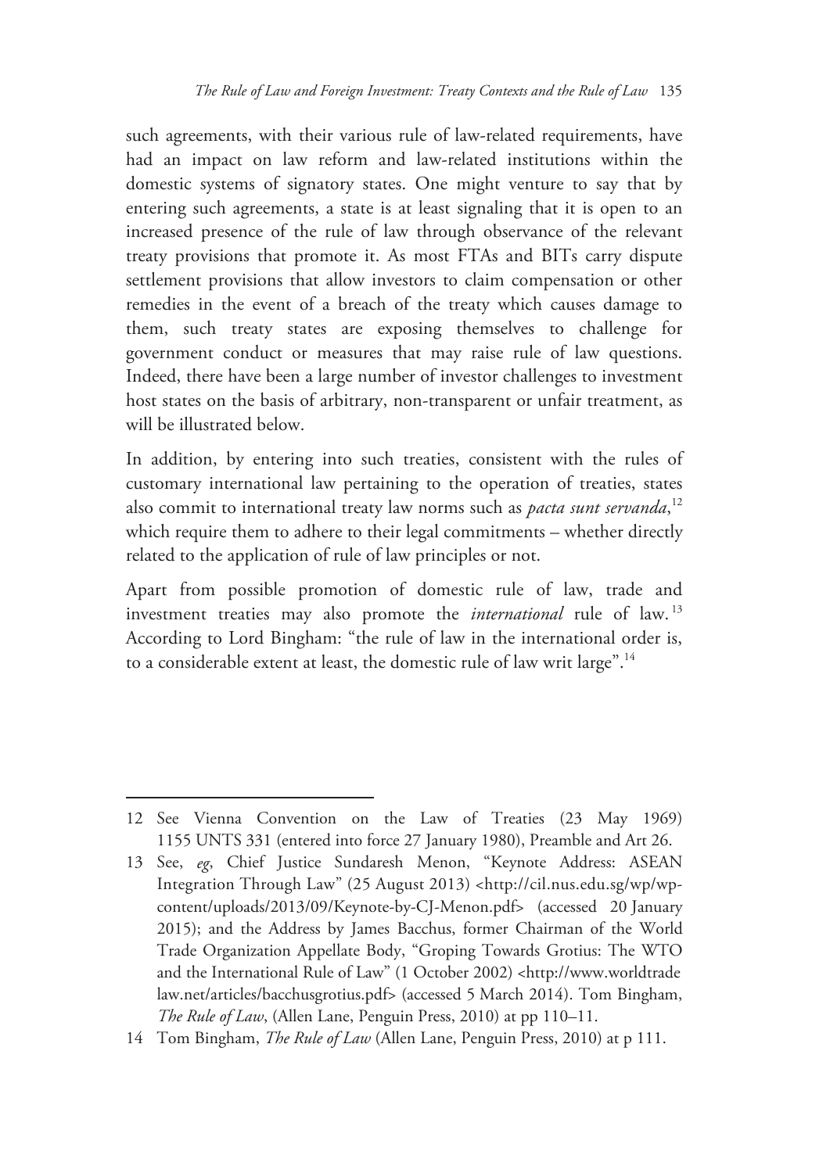such agreements, with their various rule of law-related requirements, have had an impact on law reform and law-related institutions within the domestic systems of signatory states. One might venture to say that by entering such agreements, a state is at least signaling that it is open to an increased presence of the rule of law through observance of the relevant treaty provisions that promote it. As most FTAs and BITs carry dispute settlement provisions that allow investors to claim compensation or other remedies in the event of a breach of the treaty which causes damage to them, such treaty states are exposing themselves to challenge for government conduct or measures that may raise rule of law questions. Indeed, there have been a large number of investor challenges to investment host states on the basis of arbitrary, non-transparent or unfair treatment, as will be illustrated below.

In addition, by entering into such treaties, consistent with the rules of customary international law pertaining to the operation of treaties, states also commit to international treaty law norms such as *pacta sunt servanda*,<sup>12</sup> which require them to adhere to their legal commitments – whether directly related to the application of rule of law principles or not.

Apart from possible promotion of domestic rule of law, trade and investment treaties may also promote the *international* rule of law. <sup>13</sup> According to Lord Bingham: "the rule of law in the international order is, to a considerable extent at least, the domestic rule of law writ large".14

<sup>12</sup> See Vienna Convention on the Law of Treaties (23 May 1969) 1155 UNTS 331 (entered into force 27 January 1980), Preamble and Art 26.

<sup>13</sup> See, *eg*, Chief Justice Sundaresh Menon, "Keynote Address: ASEAN Integration Through Law" (25 August 2013) <http://cil.nus.edu.sg/wp/wpcontent/uploads/2013/09/Keynote-by-CJ-Menon.pdf> (accessed 20 January 2015); and the Address by James Bacchus, former Chairman of the World Trade Organization Appellate Body, "Groping Towards Grotius: The WTO and the International Rule of Law" (1 October 2002) <http://www.worldtrade law.net/articles/bacchusgrotius.pdf> (accessed 5 March 2014). Tom Bingham, *The Rule of Law*, (Allen Lane, Penguin Press, 2010) at pp 110–11.

<sup>14</sup> Tom Bingham, *The Rule of Law* (Allen Lane, Penguin Press, 2010) at p 111.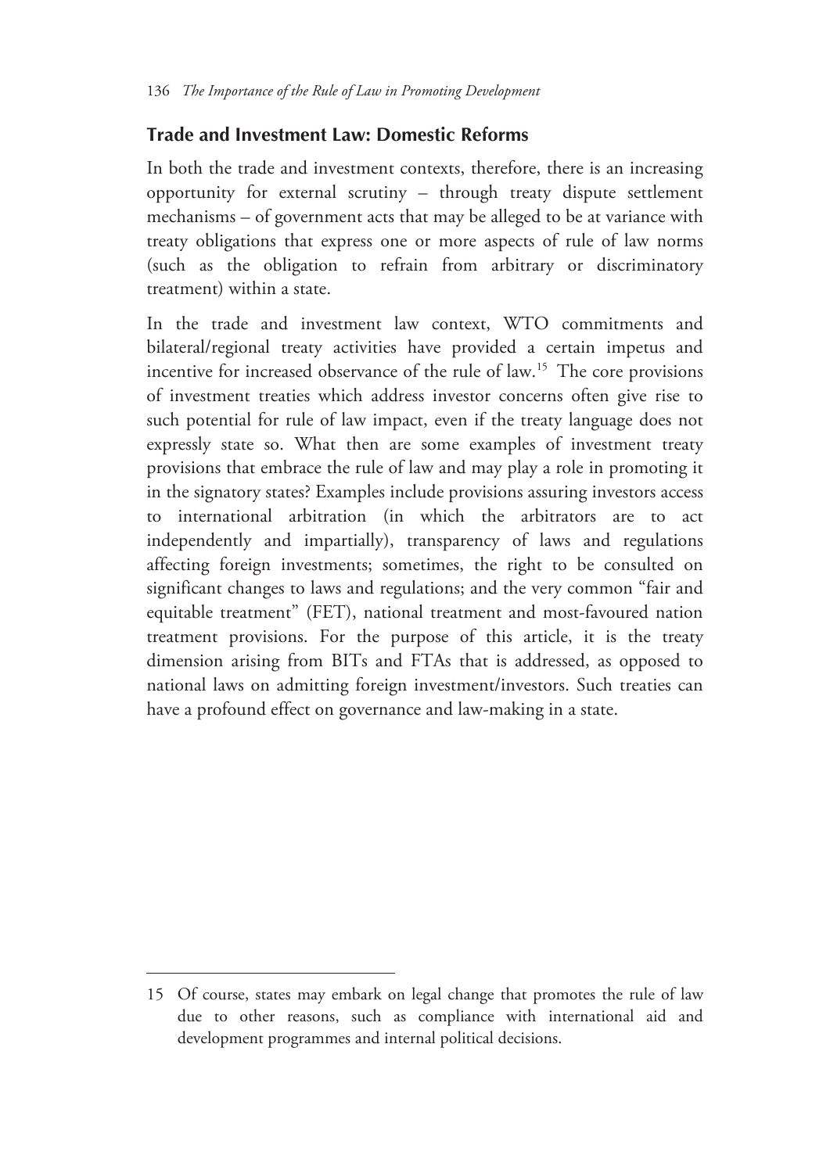#### **Trade and Investment Law: Domestic Reforms**

In both the trade and investment contexts, therefore, there is an increasing opportunity for external scrutiny – through treaty dispute settlement mechanisms – of government acts that may be alleged to be at variance with treaty obligations that express one or more aspects of rule of law norms (such as the obligation to refrain from arbitrary or discriminatory treatment) within a state.

In the trade and investment law context, WTO commitments and bilateral/regional treaty activities have provided a certain impetus and incentive for increased observance of the rule of law.<sup>15</sup> The core provisions of investment treaties which address investor concerns often give rise to such potential for rule of law impact, even if the treaty language does not expressly state so. What then are some examples of investment treaty provisions that embrace the rule of law and may play a role in promoting it in the signatory states? Examples include provisions assuring investors access to international arbitration (in which the arbitrators are to act independently and impartially), transparency of laws and regulations affecting foreign investments; sometimes, the right to be consulted on significant changes to laws and regulations; and the very common "fair and equitable treatment" (FET), national treatment and most-favoured nation treatment provisions. For the purpose of this article, it is the treaty dimension arising from BITs and FTAs that is addressed, as opposed to national laws on admitting foreign investment/investors. Such treaties can have a profound effect on governance and law-making in a state.

<sup>15</sup> Of course, states may embark on legal change that promotes the rule of law due to other reasons, such as compliance with international aid and development programmes and internal political decisions.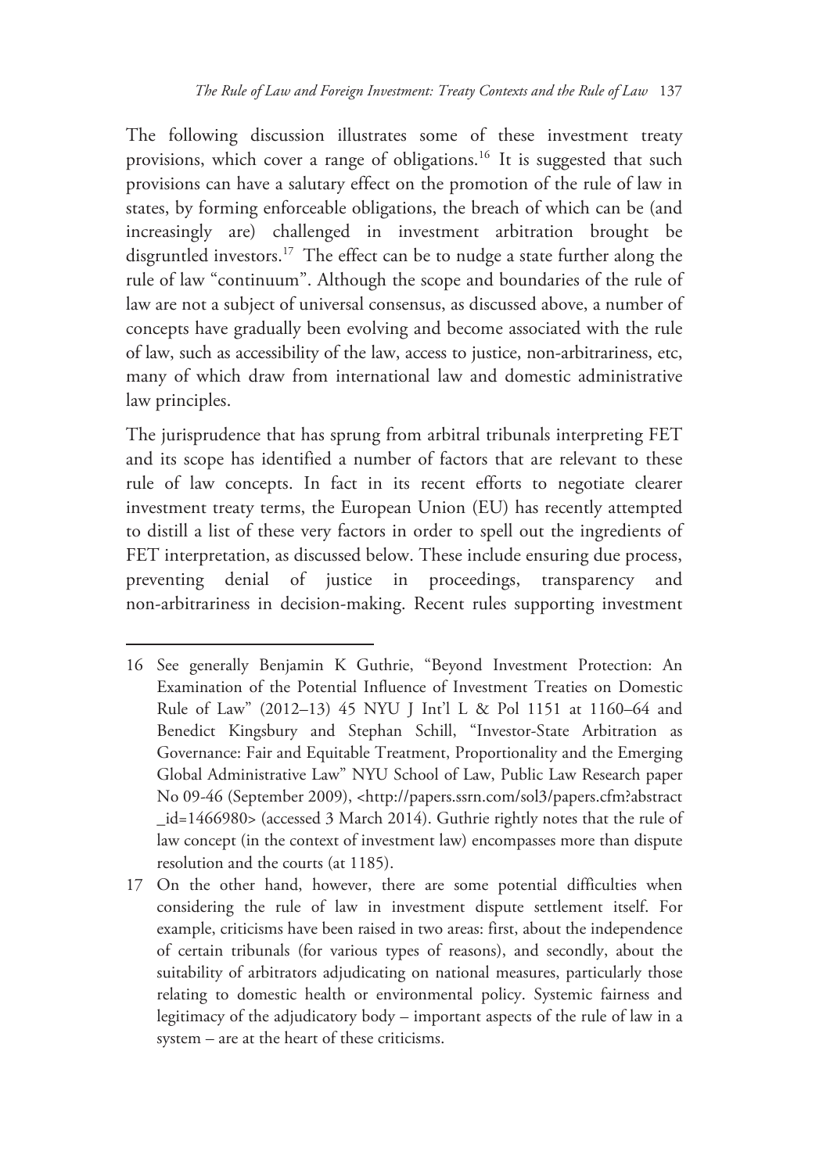The following discussion illustrates some of these investment treaty provisions, which cover a range of obligations.<sup>16</sup> It is suggested that such provisions can have a salutary effect on the promotion of the rule of law in states, by forming enforceable obligations, the breach of which can be (and increasingly are) challenged in investment arbitration brought be disgruntled investors.17 The effect can be to nudge a state further along the rule of law "continuum". Although the scope and boundaries of the rule of law are not a subject of universal consensus, as discussed above, a number of concepts have gradually been evolving and become associated with the rule of law, such as accessibility of the law, access to justice, non-arbitrariness, etc, many of which draw from international law and domestic administrative law principles.

The jurisprudence that has sprung from arbitral tribunals interpreting FET and its scope has identified a number of factors that are relevant to these rule of law concepts. In fact in its recent efforts to negotiate clearer investment treaty terms, the European Union (EU) has recently attempted to distill a list of these very factors in order to spell out the ingredients of FET interpretation, as discussed below. These include ensuring due process, preventing denial of justice in proceedings, transparency and non-arbitrariness in decision-making. Recent rules supporting investment

<sup>16</sup> See generally Benjamin K Guthrie, "Beyond Investment Protection: An Examination of the Potential Influence of Investment Treaties on Domestic Rule of Law" (2012–13) 45 NYU J Int'l L & Pol 1151 at 1160–64 and Benedict Kingsbury and Stephan Schill, "Investor-State Arbitration as Governance: Fair and Equitable Treatment, Proportionality and the Emerging Global Administrative Law" NYU School of Law, Public Law Research paper No 09-46 (September 2009), <http://papers.ssrn.com/sol3/papers.cfm?abstract \_id=1466980> (accessed 3 March 2014). Guthrie rightly notes that the rule of law concept (in the context of investment law) encompasses more than dispute resolution and the courts (at 1185).

<sup>17</sup> On the other hand, however, there are some potential difficulties when considering the rule of law in investment dispute settlement itself. For example, criticisms have been raised in two areas: first, about the independence of certain tribunals (for various types of reasons), and secondly, about the suitability of arbitrators adjudicating on national measures, particularly those relating to domestic health or environmental policy. Systemic fairness and legitimacy of the adjudicatory body – important aspects of the rule of law in a system – are at the heart of these criticisms.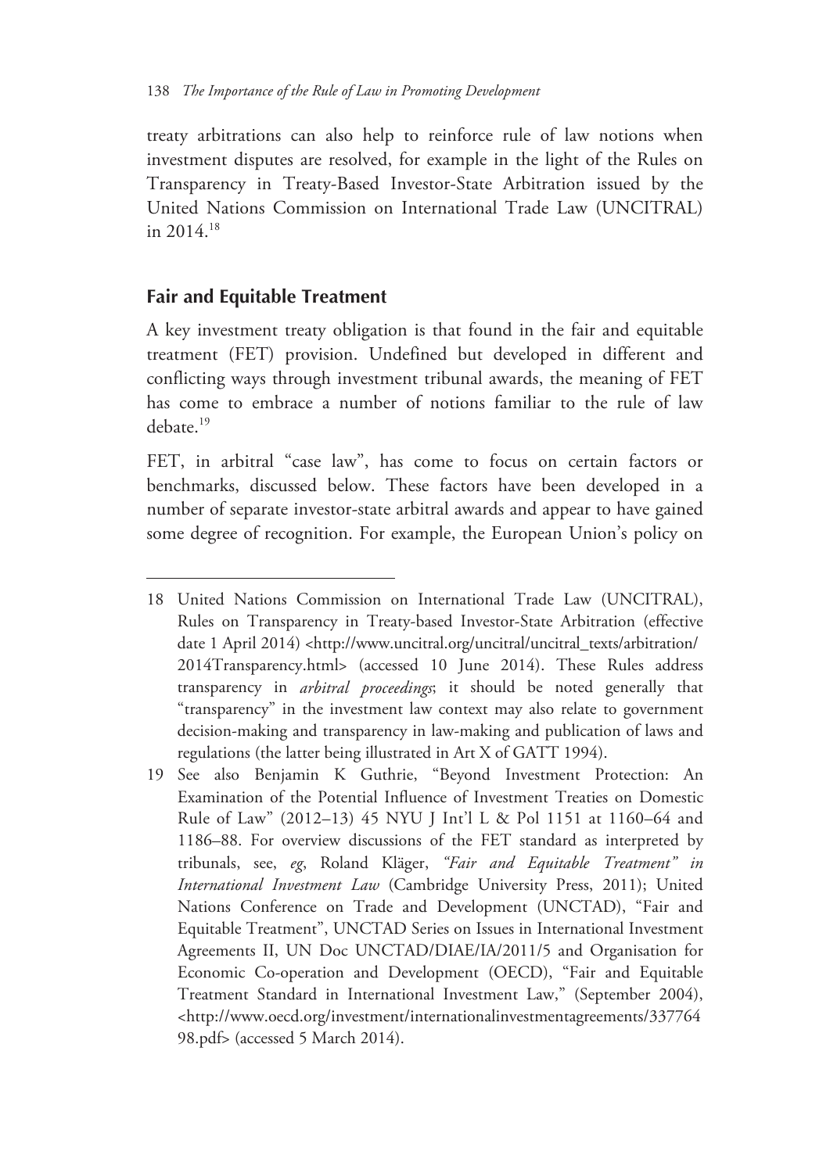treaty arbitrations can also help to reinforce rule of law notions when investment disputes are resolved, for example in the light of the Rules on Transparency in Treaty-Based Investor-State Arbitration issued by the United Nations Commission on International Trade Law (UNCITRAL) in 2014.18

#### **Fair and Equitable Treatment**

 $\overline{a}$ 

A key investment treaty obligation is that found in the fair and equitable treatment (FET) provision. Undefined but developed in different and conflicting ways through investment tribunal awards, the meaning of FET has come to embrace a number of notions familiar to the rule of law debate.<sup>19</sup>

FET, in arbitral "case law", has come to focus on certain factors or benchmarks, discussed below. These factors have been developed in a number of separate investor-state arbitral awards and appear to have gained some degree of recognition. For example, the European Union's policy on

<sup>18</sup> United Nations Commission on International Trade Law (UNCITRAL), Rules on Transparency in Treaty-based Investor-State Arbitration (effective date 1 April 2014) <http://www.uncitral.org/uncitral/uncitral\_texts/arbitration/ 2014Transparency.html> (accessed 10 June 2014). These Rules address transparency in *arbitral proceedings*; it should be noted generally that "transparency" in the investment law context may also relate to government decision-making and transparency in law-making and publication of laws and regulations (the latter being illustrated in Art X of GATT 1994).

<sup>19</sup> See also Benjamin K Guthrie, "Beyond Investment Protection: An Examination of the Potential Influence of Investment Treaties on Domestic Rule of Law" (2012–13) 45 NYU J Int'l L & Pol 1151 at 1160–64 and 1186–88. For overview discussions of the FET standard as interpreted by tribunals, see, *eg*, Roland Kläger, *"Fair and Equitable Treatment" in International Investment Law* (Cambridge University Press, 2011); United Nations Conference on Trade and Development (UNCTAD), "Fair and Equitable Treatment", UNCTAD Series on Issues in International Investment Agreements II, UN Doc UNCTAD/DIAE/IA/2011/5 and Organisation for Economic Co-operation and Development (OECD), "Fair and Equitable Treatment Standard in International Investment Law," (September 2004), <http://www.oecd.org/investment/internationalinvestmentagreements/337764 98.pdf> (accessed 5 March 2014).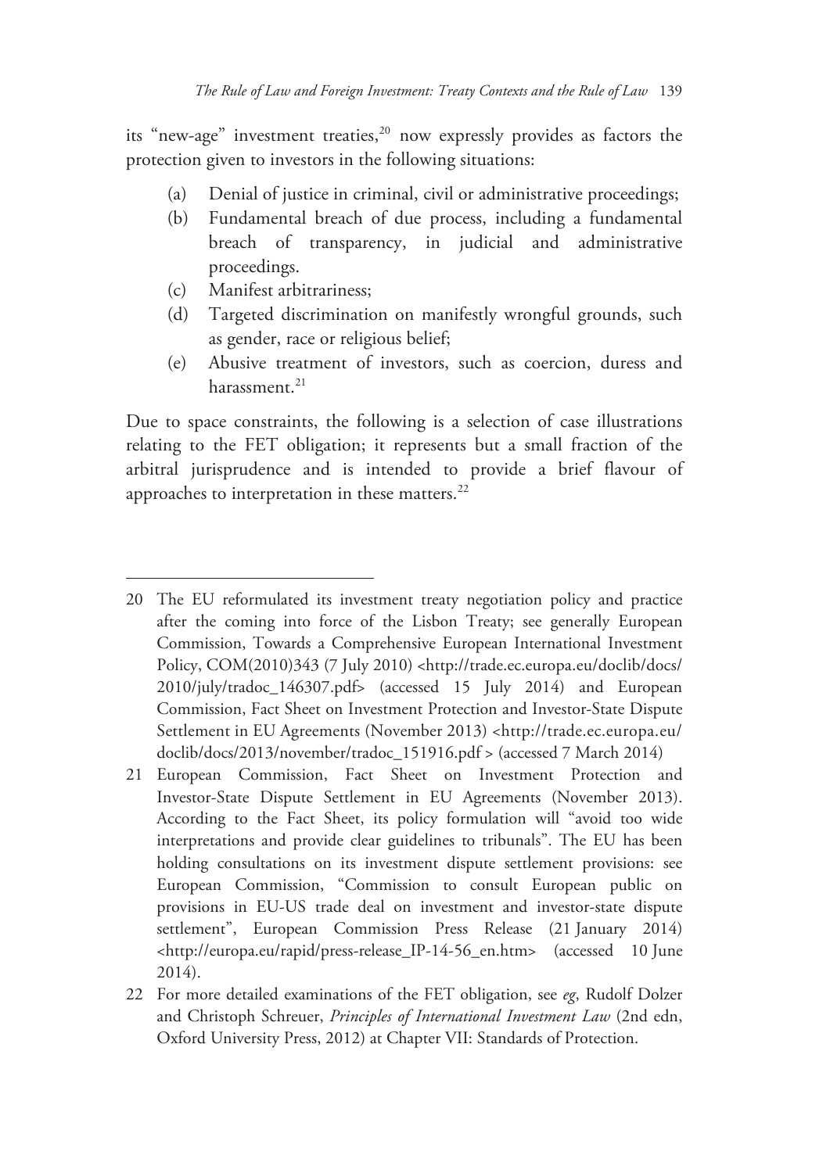its "new-age" investment treaties,<sup>20</sup> now expressly provides as factors the protection given to investors in the following situations:

- (a) Denial of justice in criminal, civil or administrative proceedings;
- (b) Fundamental breach of due process, including a fundamental breach of transparency, in judicial and administrative proceedings.
- (c) Manifest arbitrariness;

-

- (d) Targeted discrimination on manifestly wrongful grounds, such as gender, race or religious belief;
- (e) Abusive treatment of investors, such as coercion, duress and harassment.<sup>21</sup>

Due to space constraints, the following is a selection of case illustrations relating to the FET obligation; it represents but a small fraction of the arbitral jurisprudence and is intended to provide a brief flavour of approaches to interpretation in these matters.<sup>22</sup>

<sup>20</sup> The EU reformulated its investment treaty negotiation policy and practice after the coming into force of the Lisbon Treaty; see generally European Commission, Towards a Comprehensive European International Investment Policy, COM(2010)343 (7 July 2010) <http://trade.ec.europa.eu/doclib/docs/ 2010/july/tradoc\_146307.pdf> (accessed 15 July 2014) and European Commission, Fact Sheet on Investment Protection and Investor-State Dispute Settlement in EU Agreements (November 2013) <http://trade.ec.europa.eu/ doclib/docs/2013/november/tradoc\_151916.pdf > (accessed 7 March 2014)

<sup>21</sup> European Commission, Fact Sheet on Investment Protection and Investor-State Dispute Settlement in EU Agreements (November 2013). According to the Fact Sheet, its policy formulation will "avoid too wide interpretations and provide clear guidelines to tribunals". The EU has been holding consultations on its investment dispute settlement provisions: see European Commission, "Commission to consult European public on provisions in EU-US trade deal on investment and investor-state dispute settlement", European Commission Press Release (21 January 2014) <http://europa.eu/rapid/press-release\_IP-14-56\_en.htm> (accessed 10 June 2014).

<sup>22</sup> For more detailed examinations of the FET obligation, see *eg*, Rudolf Dolzer and Christoph Schreuer, *Principles of International Investment Law* (2nd edn, Oxford University Press, 2012) at Chapter VII: Standards of Protection.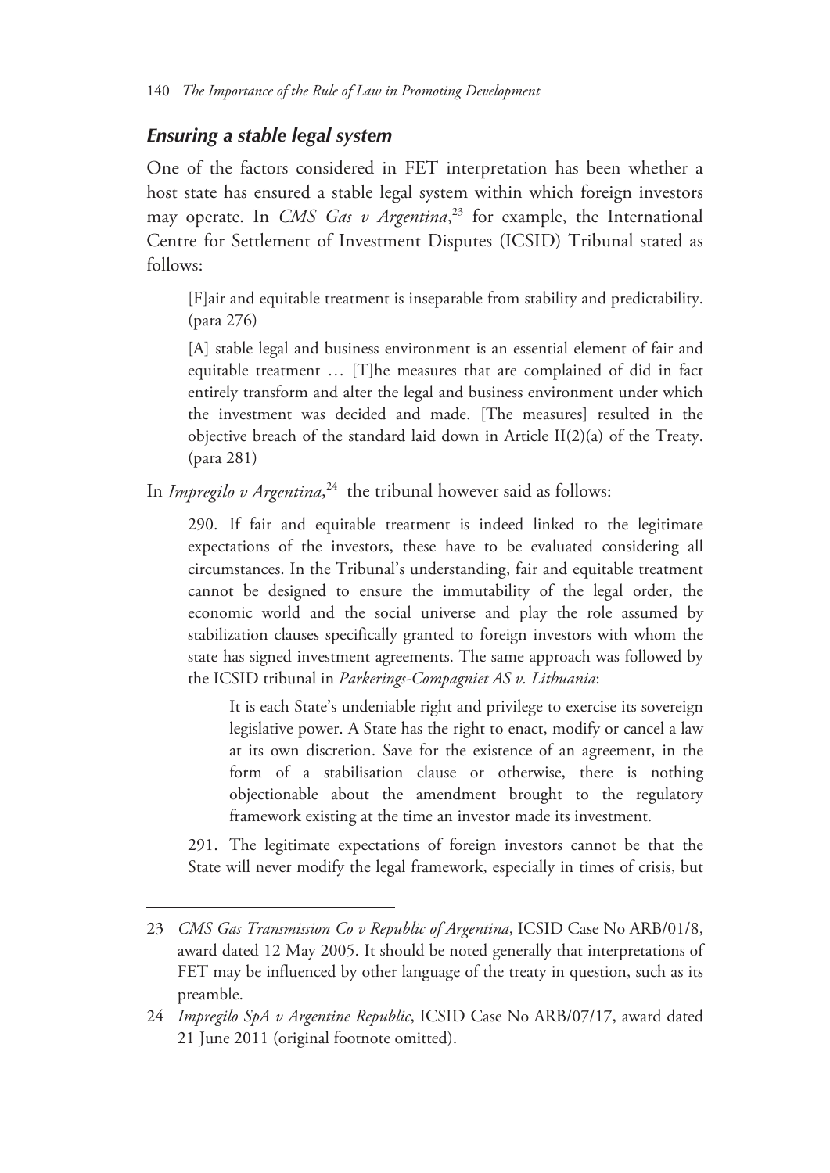#### *Ensuring a stable legal system*

 $\overline{a}$ 

One of the factors considered in FET interpretation has been whether a host state has ensured a stable legal system within which foreign investors may operate. In *CMS Gas v Argentina*, 23 for example, the International Centre for Settlement of Investment Disputes (ICSID) Tribunal stated as follows:

[F]air and equitable treatment is inseparable from stability and predictability. (para 276)

[A] stable legal and business environment is an essential element of fair and equitable treatment … [T]he measures that are complained of did in fact entirely transform and alter the legal and business environment under which the investment was decided and made. [The measures] resulted in the objective breach of the standard laid down in Article II(2)(a) of the Treaty. (para 281)

In *Impregilo v Argentina*, 24 the tribunal however said as follows:

290. If fair and equitable treatment is indeed linked to the legitimate expectations of the investors, these have to be evaluated considering all circumstances. In the Tribunal's understanding, fair and equitable treatment cannot be designed to ensure the immutability of the legal order, the economic world and the social universe and play the role assumed by stabilization clauses specifically granted to foreign investors with whom the state has signed investment agreements. The same approach was followed by the ICSID tribunal in *Parkerings-Compagniet AS v. Lithuania*:

It is each State's undeniable right and privilege to exercise its sovereign legislative power. A State has the right to enact, modify or cancel a law at its own discretion. Save for the existence of an agreement, in the form of a stabilisation clause or otherwise, there is nothing objectionable about the amendment brought to the regulatory framework existing at the time an investor made its investment.

291. The legitimate expectations of foreign investors cannot be that the State will never modify the legal framework, especially in times of crisis, but

<sup>23</sup> *CMS Gas Transmission Co v Republic of Argentina*, ICSID Case No ARB/01/8, award dated 12 May 2005. It should be noted generally that interpretations of FET may be influenced by other language of the treaty in question, such as its preamble.

<sup>24</sup> *Impregilo SpA v Argentine Republic*, ICSID Case No ARB/07/17, award dated 21 June 2011 (original footnote omitted).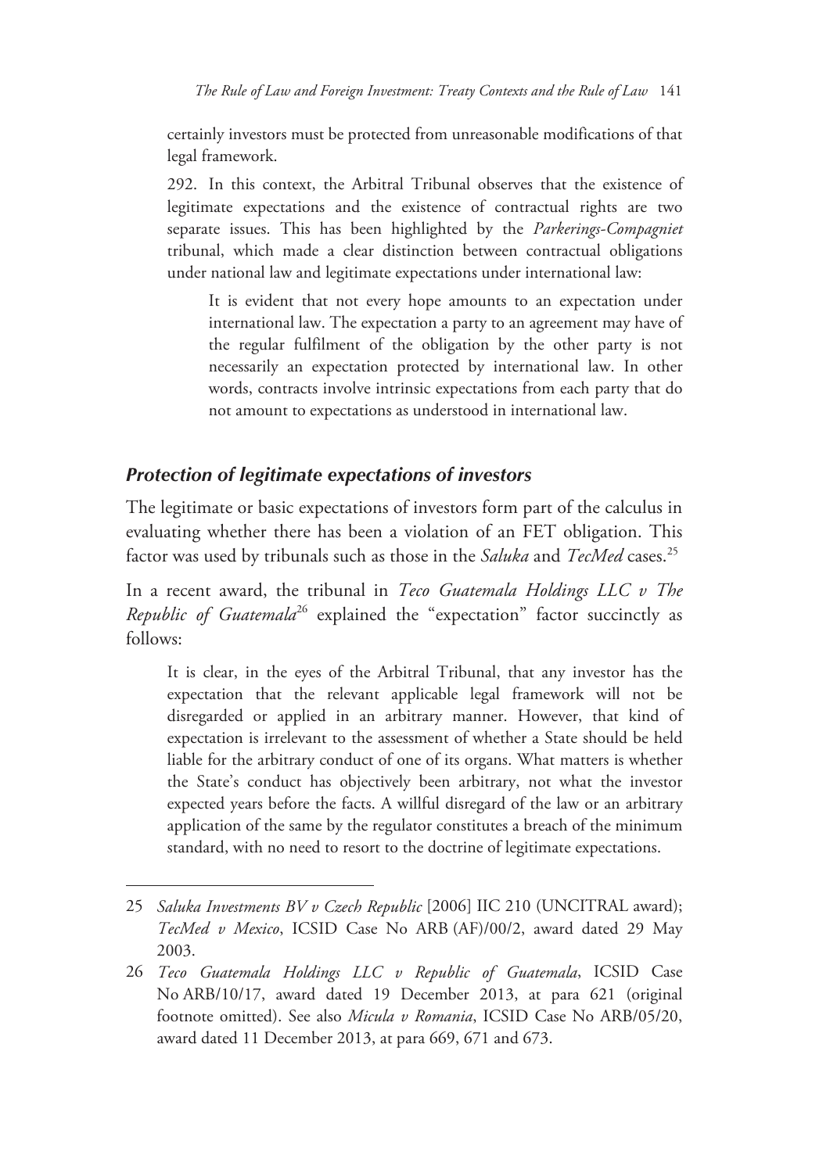certainly investors must be protected from unreasonable modifications of that legal framework.

292. In this context, the Arbitral Tribunal observes that the existence of legitimate expectations and the existence of contractual rights are two separate issues. This has been highlighted by the *Parkerings-Compagniet* tribunal, which made a clear distinction between contractual obligations under national law and legitimate expectations under international law:

It is evident that not every hope amounts to an expectation under international law. The expectation a party to an agreement may have of the regular fulfilment of the obligation by the other party is not necessarily an expectation protected by international law. In other words, contracts involve intrinsic expectations from each party that do not amount to expectations as understood in international law.

#### *Protection of legitimate expectations of investors*

-

The legitimate or basic expectations of investors form part of the calculus in evaluating whether there has been a violation of an FET obligation. This factor was used by tribunals such as those in the *Saluka* and *TecMed* cases.25

In a recent award, the tribunal in *Teco Guatemala Holdings LLC v The Republic of Guatemala*<sup>26</sup> explained the "expectation" factor succinctly as follows:

It is clear, in the eyes of the Arbitral Tribunal, that any investor has the expectation that the relevant applicable legal framework will not be disregarded or applied in an arbitrary manner. However, that kind of expectation is irrelevant to the assessment of whether a State should be held liable for the arbitrary conduct of one of its organs. What matters is whether the State's conduct has objectively been arbitrary, not what the investor expected years before the facts. A willful disregard of the law or an arbitrary application of the same by the regulator constitutes a breach of the minimum standard, with no need to resort to the doctrine of legitimate expectations.

<sup>25</sup> *Saluka Investments BV v Czech Republic* [2006] IIC 210 (UNCITRAL award); *TecMed v Mexico*, ICSID Case No ARB (AF)/00/2, award dated 29 May 2003.

<sup>26</sup> *Teco Guatemala Holdings LLC v Republic of Guatemala*, ICSID Case No ARB/10/17, award dated 19 December 2013, at para 621 (original footnote omitted). See also *Micula v Romania*, ICSID Case No ARB/05/20, award dated 11 December 2013, at para 669, 671 and 673.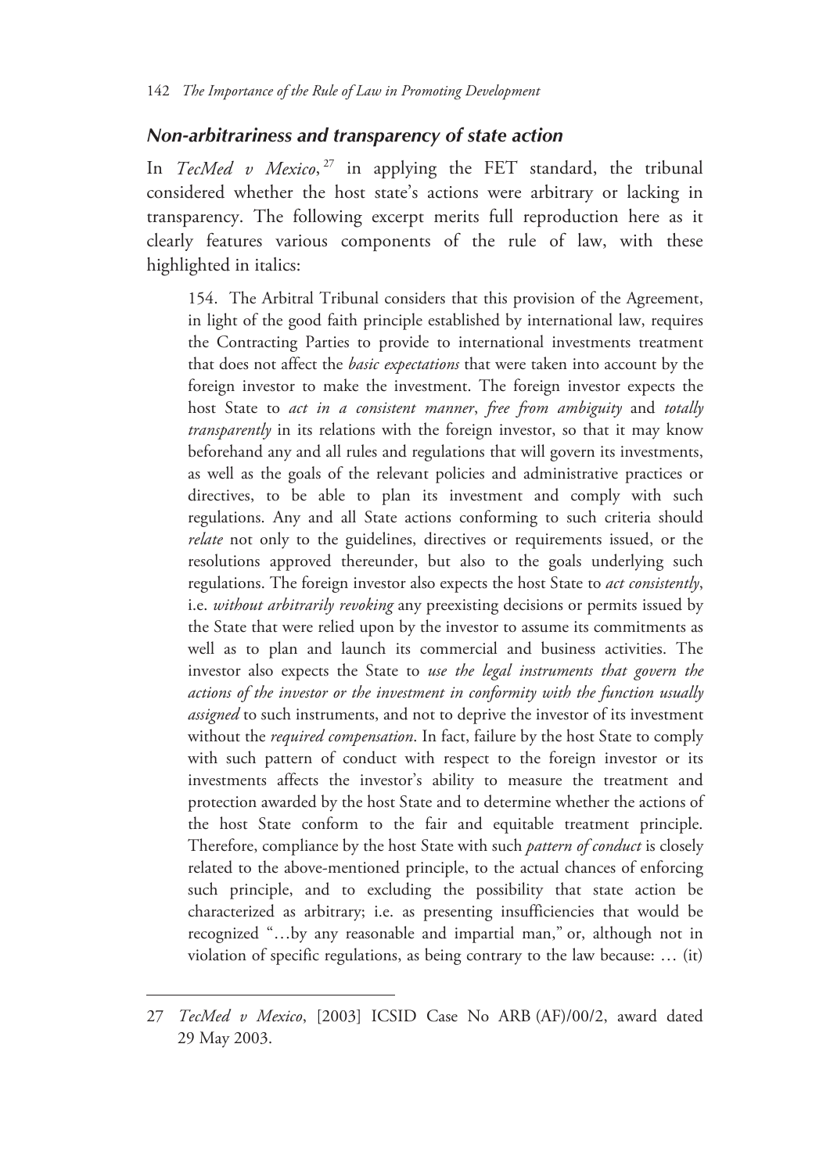#### *Non-arbitrariness and transparency of state action*

In *TecMed v Mexico*,<sup>27</sup> in applying the FET standard, the tribunal considered whether the host state's actions were arbitrary or lacking in transparency. The following excerpt merits full reproduction here as it clearly features various components of the rule of law, with these highlighted in italics:

154. The Arbitral Tribunal considers that this provision of the Agreement, in light of the good faith principle established by international law, requires the Contracting Parties to provide to international investments treatment that does not affect the *basic expectations* that were taken into account by the foreign investor to make the investment. The foreign investor expects the host State to *act in a consistent manner*, *free from ambiguity* and *totally transparently* in its relations with the foreign investor, so that it may know beforehand any and all rules and regulations that will govern its investments, as well as the goals of the relevant policies and administrative practices or directives, to be able to plan its investment and comply with such regulations. Any and all State actions conforming to such criteria should *relate* not only to the guidelines, directives or requirements issued, or the resolutions approved thereunder, but also to the goals underlying such regulations. The foreign investor also expects the host State to *act consistently*, i.e. *without arbitrarily revoking* any preexisting decisions or permits issued by the State that were relied upon by the investor to assume its commitments as well as to plan and launch its commercial and business activities. The investor also expects the State to *use the legal instruments that govern the actions of the investor or the investment in conformity with the function usually assigned* to such instruments, and not to deprive the investor of its investment without the *required compensation*. In fact, failure by the host State to comply with such pattern of conduct with respect to the foreign investor or its investments affects the investor's ability to measure the treatment and protection awarded by the host State and to determine whether the actions of the host State conform to the fair and equitable treatment principle. Therefore, compliance by the host State with such *pattern of conduct* is closely related to the above-mentioned principle, to the actual chances of enforcing such principle, and to excluding the possibility that state action be characterized as arbitrary; i.e. as presenting insufficiencies that would be recognized "…by any reasonable and impartial man," or, although not in violation of specific regulations, as being contrary to the law because: … (it)

<sup>27</sup> *TecMed v Mexico*, [2003] ICSID Case No ARB (AF)/00/2, award dated 29 May 2003.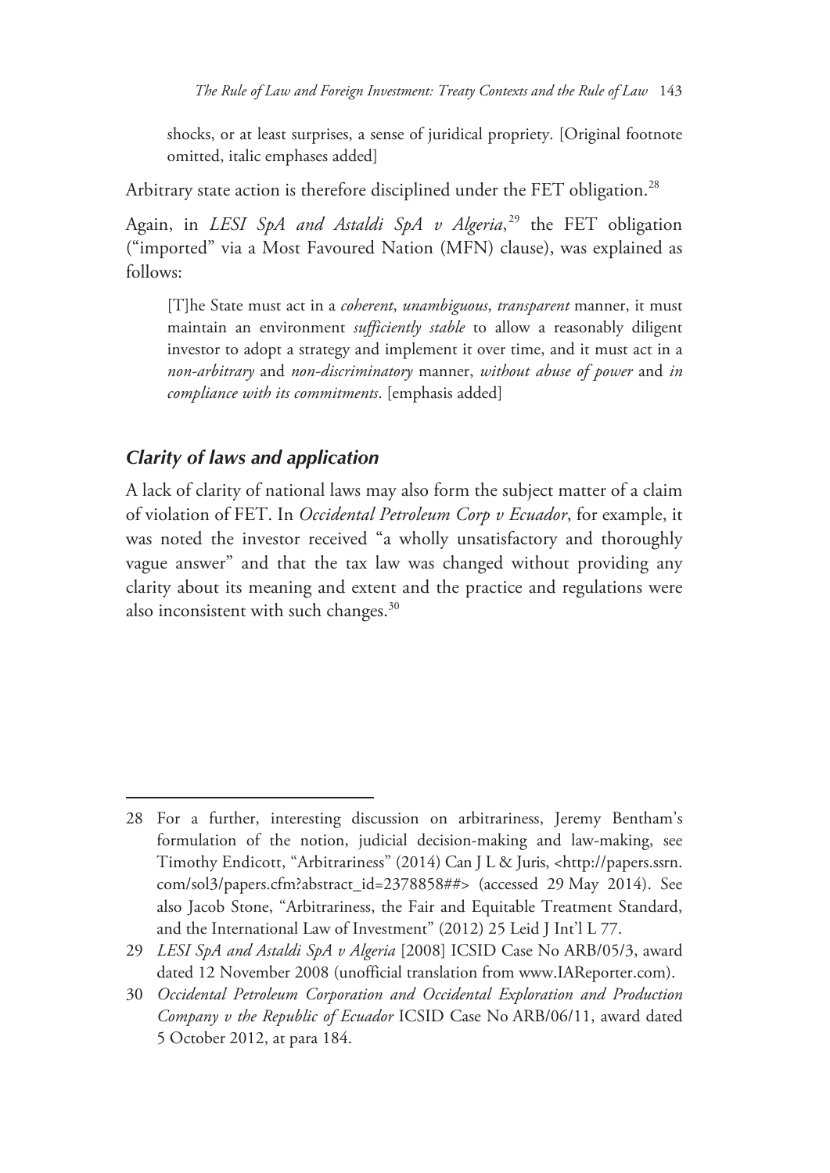shocks, or at least surprises, a sense of juridical propriety. [Original footnote omitted, italic emphases added]

Arbitrary state action is therefore disciplined under the FET obligation.<sup>28</sup>

Again, in *LESI SpA and Astaldi SpA v Algeria*, 29 the FET obligation ("imported" via a Most Favoured Nation (MFN) clause), was explained as follows:

[T]he State must act in a *coherent*, *unambiguous*, *transparent* manner, it must maintain an environment *sufficiently stable* to allow a reasonably diligent investor to adopt a strategy and implement it over time, and it must act in a *non-arbitrary* and *non-discriminatory* manner, *without abuse of power* and *in compliance with its commitments*. [emphasis added]

### *Clarity of laws and application*

-

A lack of clarity of national laws may also form the subject matter of a claim of violation of FET. In *Occidental Petroleum Corp v Ecuador*, for example, it was noted the investor received "a wholly unsatisfactory and thoroughly vague answer" and that the tax law was changed without providing any clarity about its meaning and extent and the practice and regulations were also inconsistent with such changes.<sup>30</sup>

<sup>28</sup> For a further, interesting discussion on arbitrariness, Jeremy Bentham's formulation of the notion, judicial decision-making and law-making, see Timothy Endicott, "Arbitrariness" (2014) Can J L & Juris, <http://papers.ssrn. com/sol3/papers.cfm?abstract\_id=2378858##> (accessed 29 May 2014). See also Jacob Stone, "Arbitrariness, the Fair and Equitable Treatment Standard, and the International Law of Investment" (2012) 25 Leid J Int'l L 77.

<sup>29</sup> *LESI SpA and Astaldi SpA v Algeria* [2008] ICSID Case No ARB/05/3, award dated 12 November 2008 (unofficial translation from www.IAReporter.com).

<sup>30</sup> *Occidental Petroleum Corporation and Occidental Exploration and Production Company v the Republic of Ecuador* ICSID Case No ARB/06/11, award dated 5 October 2012, at para 184.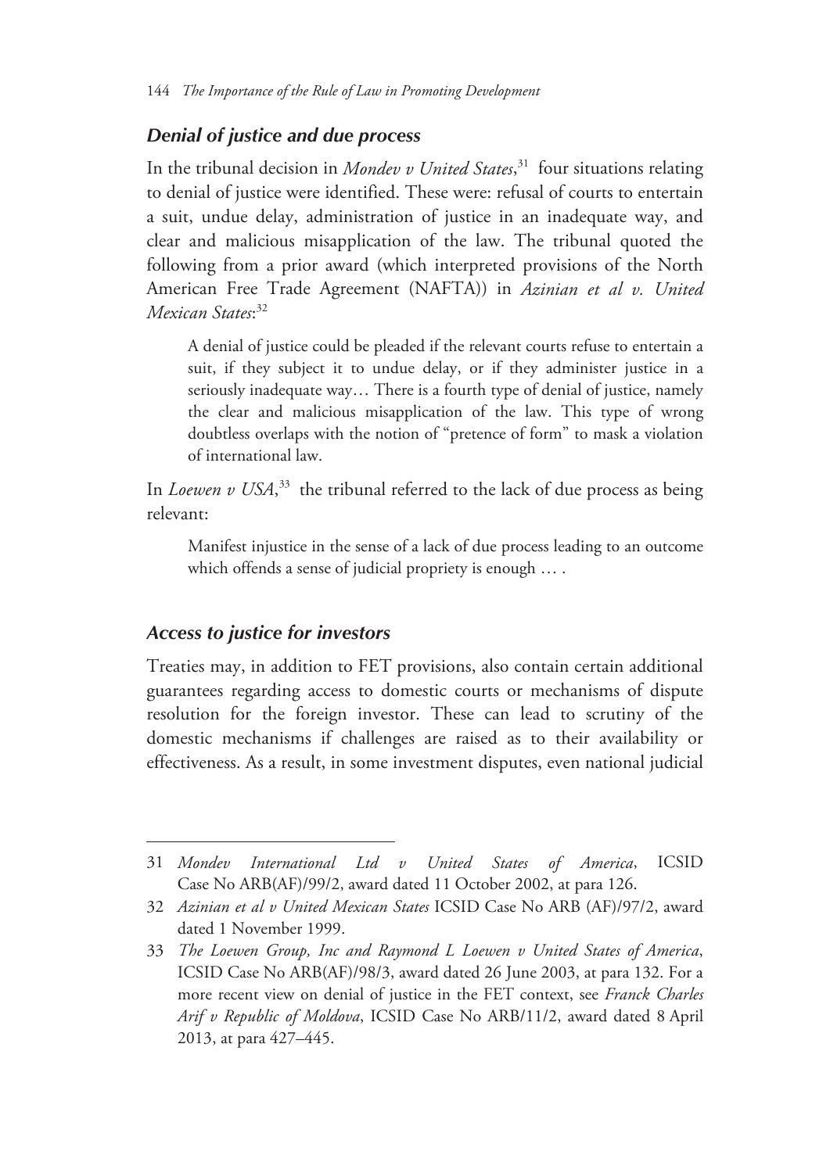#### *Denial of justice and due process*

In the tribunal decision in *Mondev v United States*, 31 four situations relating to denial of justice were identified. These were: refusal of courts to entertain a suit, undue delay, administration of justice in an inadequate way, and clear and malicious misapplication of the law. The tribunal quoted the following from a prior award (which interpreted provisions of the North American Free Trade Agreement (NAFTA)) in *Azinian et al v. United Mexican States*: 32

A denial of justice could be pleaded if the relevant courts refuse to entertain a suit, if they subject it to undue delay, or if they administer justice in a seriously inadequate way… There is a fourth type of denial of justice, namely the clear and malicious misapplication of the law. This type of wrong doubtless overlaps with the notion of "pretence of form" to mask a violation of international law.

In *Loewen v USA*,<sup>33</sup> the tribunal referred to the lack of due process as being relevant:

Manifest injustice in the sense of a lack of due process leading to an outcome which offends a sense of judicial propriety is enough … .

#### *Access to justice for investors*

 $\overline{a}$ 

Treaties may, in addition to FET provisions, also contain certain additional guarantees regarding access to domestic courts or mechanisms of dispute resolution for the foreign investor. These can lead to scrutiny of the domestic mechanisms if challenges are raised as to their availability or effectiveness. As a result, in some investment disputes, even national judicial

<sup>31</sup> *Mondev International Ltd v United States of America*, ICSID Case No ARB(AF)/99/2, award dated 11 October 2002, at para 126.

<sup>32</sup> *Azinian et al v United Mexican States* ICSID Case No ARB (AF)/97/2, award dated 1 November 1999.

<sup>33</sup> *The Loewen Group, Inc and Raymond L Loewen v United States of America*, ICSID Case No ARB(AF)/98/3, award dated 26 June 2003, at para 132. For a more recent view on denial of justice in the FET context, see *Franck Charles Arif v Republic of Moldova*, ICSID Case No ARB/11/2, award dated 8 April 2013, at para 427–445.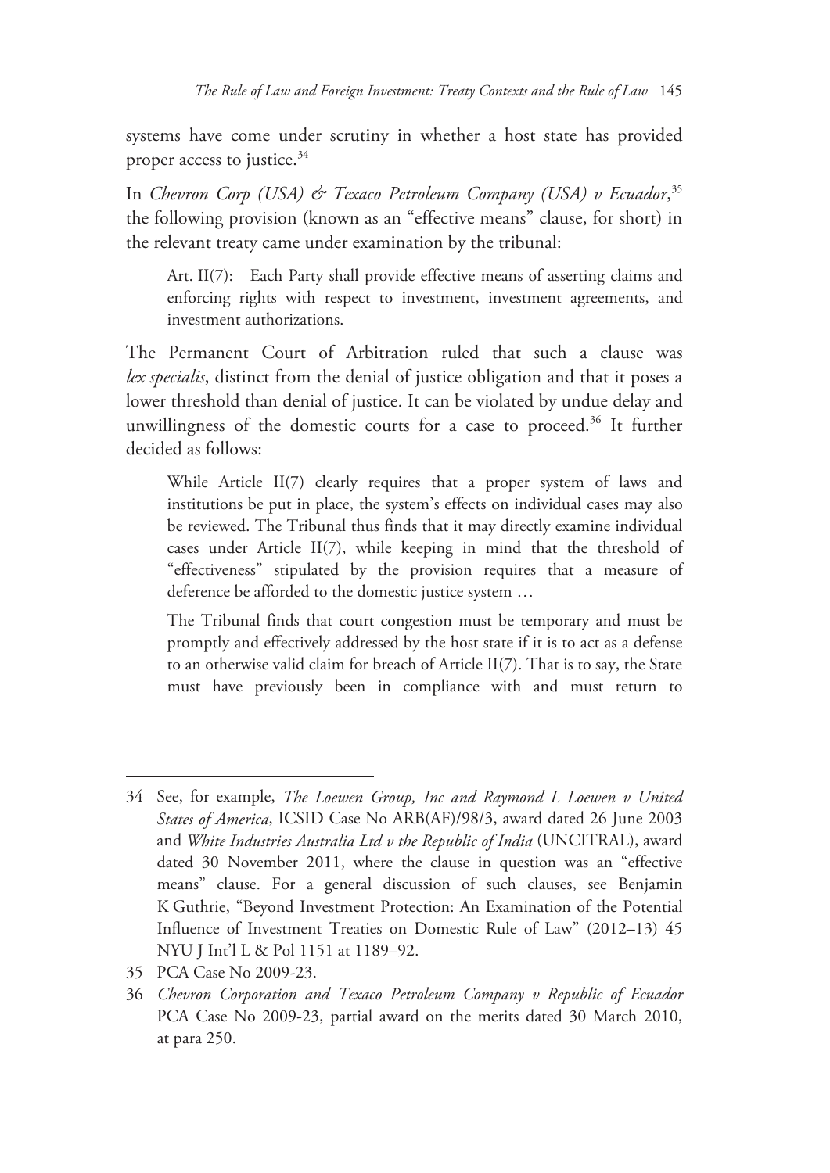systems have come under scrutiny in whether a host state has provided proper access to justice. $34$ 

In *Chevron Corp (USA) & Texaco Petroleum Company (USA) v Ecuador*, 35 the following provision (known as an "effective means" clause, for short) in the relevant treaty came under examination by the tribunal:

Art. II(7): Each Party shall provide effective means of asserting claims and enforcing rights with respect to investment, investment agreements, and investment authorizations.

The Permanent Court of Arbitration ruled that such a clause was *lex specialis*, distinct from the denial of justice obligation and that it poses a lower threshold than denial of justice. It can be violated by undue delay and unwillingness of the domestic courts for a case to proceed.<sup>36</sup> It further decided as follows:

While Article II(7) clearly requires that a proper system of laws and institutions be put in place, the system's effects on individual cases may also be reviewed. The Tribunal thus finds that it may directly examine individual cases under Article II(7), while keeping in mind that the threshold of "effectiveness" stipulated by the provision requires that a measure of deference be afforded to the domestic justice system …

The Tribunal finds that court congestion must be temporary and must be promptly and effectively addressed by the host state if it is to act as a defense to an otherwise valid claim for breach of Article II(7). That is to say, the State must have previously been in compliance with and must return to

<sup>34</sup> See, for example, *The Loewen Group, Inc and Raymond L Loewen v United States of America*, ICSID Case No ARB(AF)/98/3, award dated 26 June 2003 and *White Industries Australia Ltd v the Republic of India* (UNCITRAL), award dated 30 November 2011, where the clause in question was an "effective means" clause. For a general discussion of such clauses, see Benjamin K Guthrie, "Beyond Investment Protection: An Examination of the Potential Influence of Investment Treaties on Domestic Rule of Law" (2012–13) 45 NYU J Int'l L & Pol 1151 at 1189–92.

<sup>35</sup> PCA Case No 2009-23.

<sup>36</sup> *Chevron Corporation and Texaco Petroleum Company v Republic of Ecuador* PCA Case No 2009-23, partial award on the merits dated 30 March 2010, at para 250.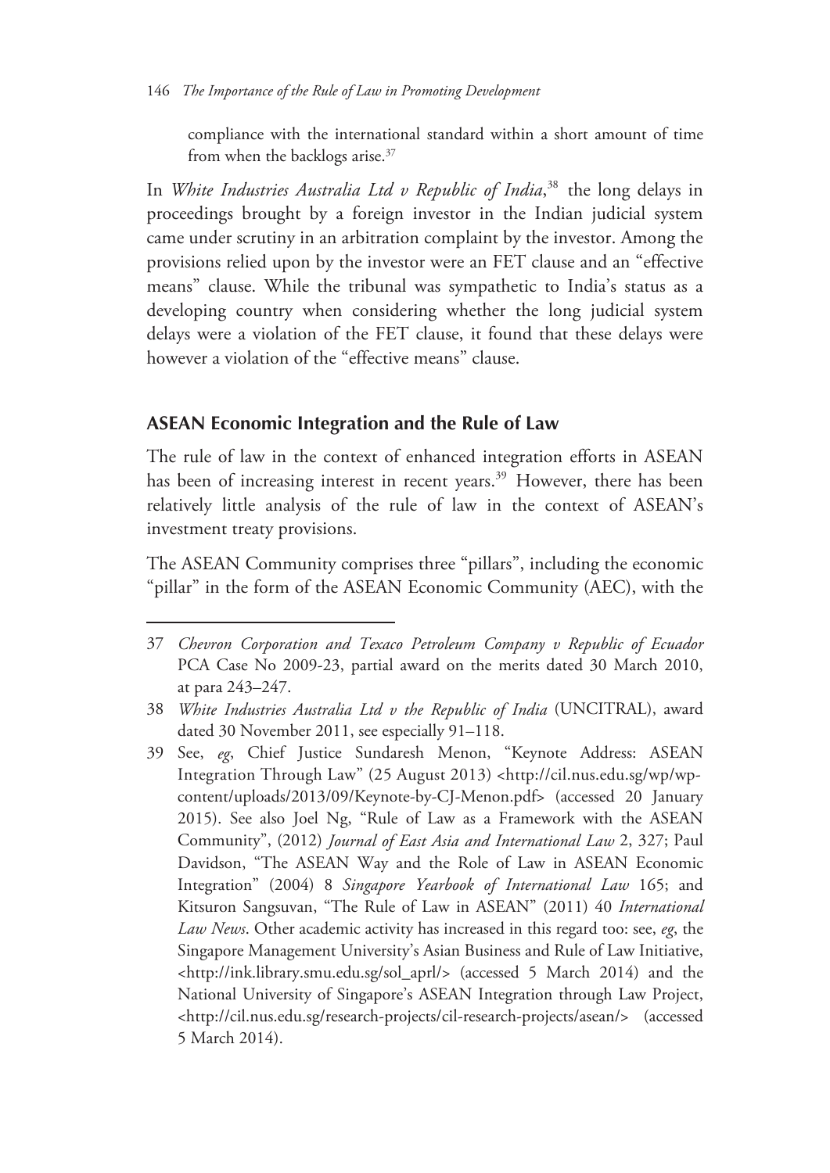compliance with the international standard within a short amount of time from when the backlogs arise.37

In *White Industries Australia Ltd v Republic of India*, 38 the long delays in proceedings brought by a foreign investor in the Indian judicial system came under scrutiny in an arbitration complaint by the investor. Among the provisions relied upon by the investor were an FET clause and an "effective means" clause. While the tribunal was sympathetic to India's status as a developing country when considering whether the long judicial system delays were a violation of the FET clause, it found that these delays were however a violation of the "effective means" clause.

#### **ASEAN Economic Integration and the Rule of Law**

 $\overline{a}$ 

The rule of law in the context of enhanced integration efforts in ASEAN has been of increasing interest in recent years.<sup>39</sup> However, there has been relatively little analysis of the rule of law in the context of ASEAN's investment treaty provisions.

The ASEAN Community comprises three "pillars", including the economic "pillar" in the form of the ASEAN Economic Community (AEC), with the

<sup>37</sup> *Chevron Corporation and Texaco Petroleum Company v Republic of Ecuador* PCA Case No 2009-23, partial award on the merits dated 30 March 2010, at para 243–247.

<sup>38</sup> *White Industries Australia Ltd v the Republic of India* (UNCITRAL), award dated 30 November 2011, see especially 91–118.

<sup>39</sup> See, *eg*, Chief Justice Sundaresh Menon, "Keynote Address: ASEAN Integration Through Law" (25 August 2013) <http://cil.nus.edu.sg/wp/wpcontent/uploads/2013/09/Keynote-by-CJ-Menon.pdf> (accessed 20 January 2015). See also Joel Ng, "Rule of Law as a Framework with the ASEAN Community", (2012) *Journal of East Asia and International Law* 2, 327; Paul Davidson, "The ASEAN Way and the Role of Law in ASEAN Economic Integration" (2004) 8 *Singapore Yearbook of International Law* 165; and Kitsuron Sangsuvan, "The Rule of Law in ASEAN" (2011) 40 *International Law News*. Other academic activity has increased in this regard too: see, *eg*, the Singapore Management University's Asian Business and Rule of Law Initiative, <http://ink.library.smu.edu.sg/sol\_aprl/> (accessed 5 March 2014) and the National University of Singapore's ASEAN Integration through Law Project, <http://cil.nus.edu.sg/research-projects/cil-research-projects/asean/> (accessed 5 March 2014).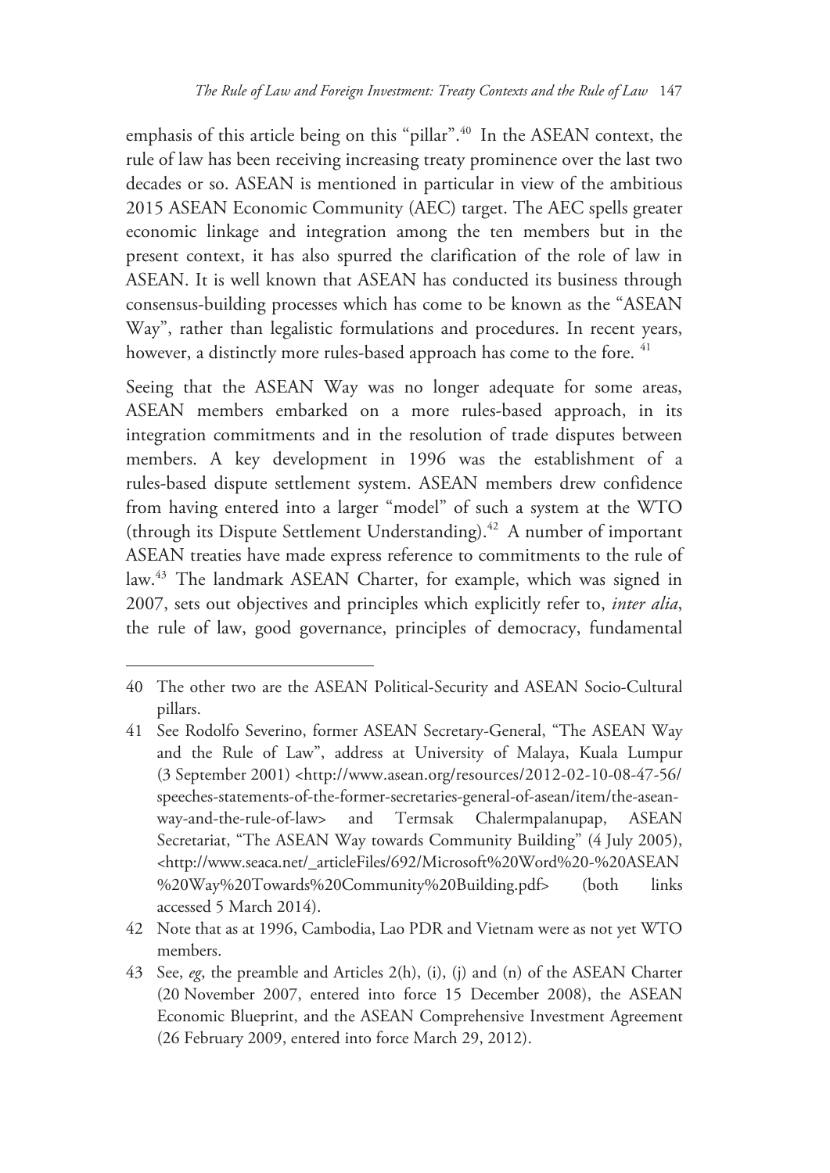emphasis of this article being on this "pillar".<sup>40</sup> In the ASEAN context, the rule of law has been receiving increasing treaty prominence over the last two decades or so. ASEAN is mentioned in particular in view of the ambitious 2015 ASEAN Economic Community (AEC) target. The AEC spells greater economic linkage and integration among the ten members but in the present context, it has also spurred the clarification of the role of law in ASEAN. It is well known that ASEAN has conducted its business through consensus-building processes which has come to be known as the "ASEAN Way", rather than legalistic formulations and procedures. In recent years, however, a distinctly more rules-based approach has come to the fore. <sup>41</sup>

Seeing that the ASEAN Way was no longer adequate for some areas, ASEAN members embarked on a more rules-based approach, in its integration commitments and in the resolution of trade disputes between members. A key development in 1996 was the establishment of a rules-based dispute settlement system. ASEAN members drew confidence from having entered into a larger "model" of such a system at the WTO (through its Dispute Settlement Understanding).42 A number of important ASEAN treaties have made express reference to commitments to the rule of law.43 The landmark ASEAN Charter, for example, which was signed in 2007, sets out objectives and principles which explicitly refer to, *inter alia*, the rule of law, good governance, principles of democracy, fundamental

<sup>40</sup> The other two are the ASEAN Political-Security and ASEAN Socio-Cultural pillars.

<sup>41</sup> See Rodolfo Severino, former ASEAN Secretary-General, "The ASEAN Way and the Rule of Law", address at University of Malaya, Kuala Lumpur (3 September 2001) <http://www.asean.org/resources/2012-02-10-08-47-56/ speeches-statements-of-the-former-secretaries-general-of-asean/item/the-aseanway-and-the-rule-of-law> and Termsak Chalermpalanupap, ASEAN Secretariat, "The ASEAN Way towards Community Building" (4 July 2005), <http://www.seaca.net/\_articleFiles/692/Microsoft%20Word%20-%20ASEAN %20Way%20Towards%20Community%20Building.pdf> (both links accessed 5 March 2014).

<sup>42</sup> Note that as at 1996, Cambodia, Lao PDR and Vietnam were as not yet WTO members.

<sup>43</sup> See, *eg*, the preamble and Articles 2(h), (i), (j) and (n) of the ASEAN Charter (20 November 2007, entered into force 15 December 2008), the ASEAN Economic Blueprint, and the ASEAN Comprehensive Investment Agreement (26 February 2009, entered into force March 29, 2012).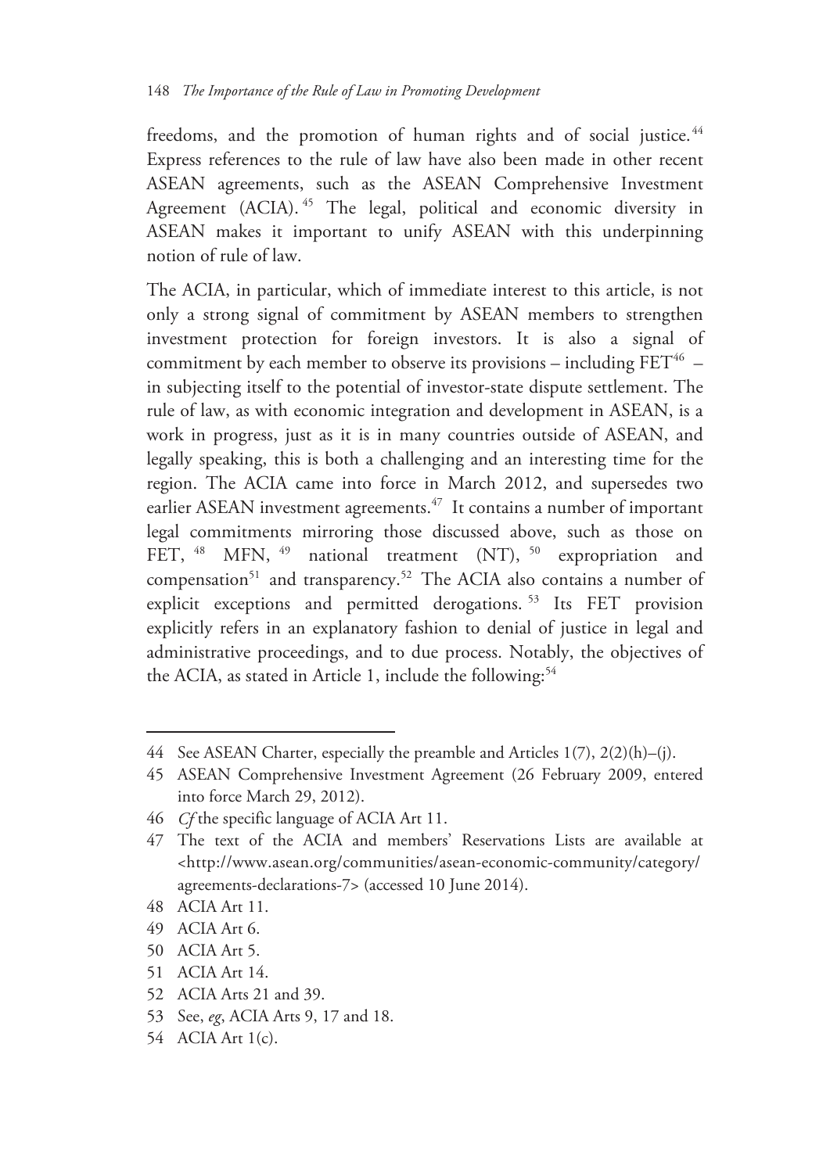freedoms, and the promotion of human rights and of social justice.<sup>44</sup> Express references to the rule of law have also been made in other recent ASEAN agreements, such as the ASEAN Comprehensive Investment Agreement (ACIA).<sup>45</sup> The legal, political and economic diversity in ASEAN makes it important to unify ASEAN with this underpinning notion of rule of law.

The ACIA, in particular, which of immediate interest to this article, is not only a strong signal of commitment by ASEAN members to strengthen investment protection for foreign investors. It is also a signal of commitment by each member to observe its provisions – including  $FET^{46}$  – in subjecting itself to the potential of investor-state dispute settlement. The rule of law, as with economic integration and development in ASEAN, is a work in progress, just as it is in many countries outside of ASEAN, and legally speaking, this is both a challenging and an interesting time for the region. The ACIA came into force in March 2012, and supersedes two earlier ASEAN investment agreements.<sup>47</sup> It contains a number of important legal commitments mirroring those discussed above, such as those on FET, <sup>48</sup> MFN, <sup>49</sup> national treatment (NT), <sup>50</sup> expropriation and compensation<sup>51</sup> and transparency.<sup>52</sup> The ACIA also contains a number of explicit exceptions and permitted derogations. 53 Its FET provision explicitly refers in an explanatory fashion to denial of justice in legal and administrative proceedings, and to due process. Notably, the objectives of the ACIA, as stated in Article 1, include the following:<sup>54</sup>

48 ACIA Art 11.

- 49 ACIA Art 6.
- 50 ACIA Art 5.
- 51 ACIA Art 14.
- 52 ACIA Arts 21 and 39.
- 53 See, *eg*, ACIA Arts 9, 17 and 18.
- 54 ACIA Art 1(c).

<sup>44</sup> See ASEAN Charter, especially the preamble and Articles 1(7), 2(2)(h)–(j).

<sup>45</sup> ASEAN Comprehensive Investment Agreement (26 February 2009, entered into force March 29, 2012).

<sup>46</sup> *Cf* the specific language of ACIA Art 11.

<sup>47</sup> The text of the ACIA and members' Reservations Lists are available at <http://www.asean.org/communities/asean-economic-community/category/ agreements-declarations-7> (accessed 10 June 2014).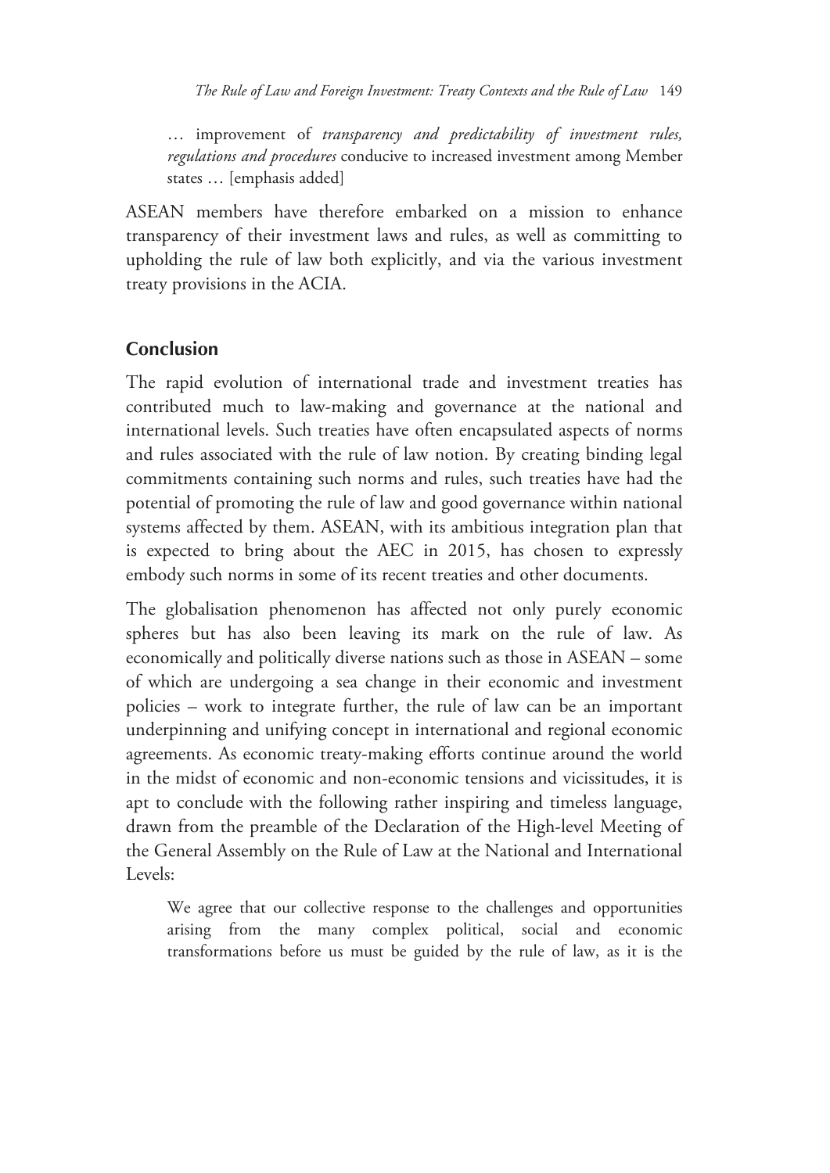… improvement of *transparency and predictability of investment rules, regulations and procedures* conducive to increased investment among Member states … [emphasis added]

ASEAN members have therefore embarked on a mission to enhance transparency of their investment laws and rules, as well as committing to upholding the rule of law both explicitly, and via the various investment treaty provisions in the ACIA.

#### **Conclusion**

The rapid evolution of international trade and investment treaties has contributed much to law-making and governance at the national and international levels. Such treaties have often encapsulated aspects of norms and rules associated with the rule of law notion. By creating binding legal commitments containing such norms and rules, such treaties have had the potential of promoting the rule of law and good governance within national systems affected by them. ASEAN, with its ambitious integration plan that is expected to bring about the AEC in 2015, has chosen to expressly embody such norms in some of its recent treaties and other documents.

The globalisation phenomenon has affected not only purely economic spheres but has also been leaving its mark on the rule of law. As economically and politically diverse nations such as those in ASEAN – some of which are undergoing a sea change in their economic and investment policies – work to integrate further, the rule of law can be an important underpinning and unifying concept in international and regional economic agreements. As economic treaty-making efforts continue around the world in the midst of economic and non-economic tensions and vicissitudes, it is apt to conclude with the following rather inspiring and timeless language, drawn from the preamble of the Declaration of the High-level Meeting of the General Assembly on the Rule of Law at the National and International Levels:

We agree that our collective response to the challenges and opportunities arising from the many complex political, social and economic transformations before us must be guided by the rule of law, as it is the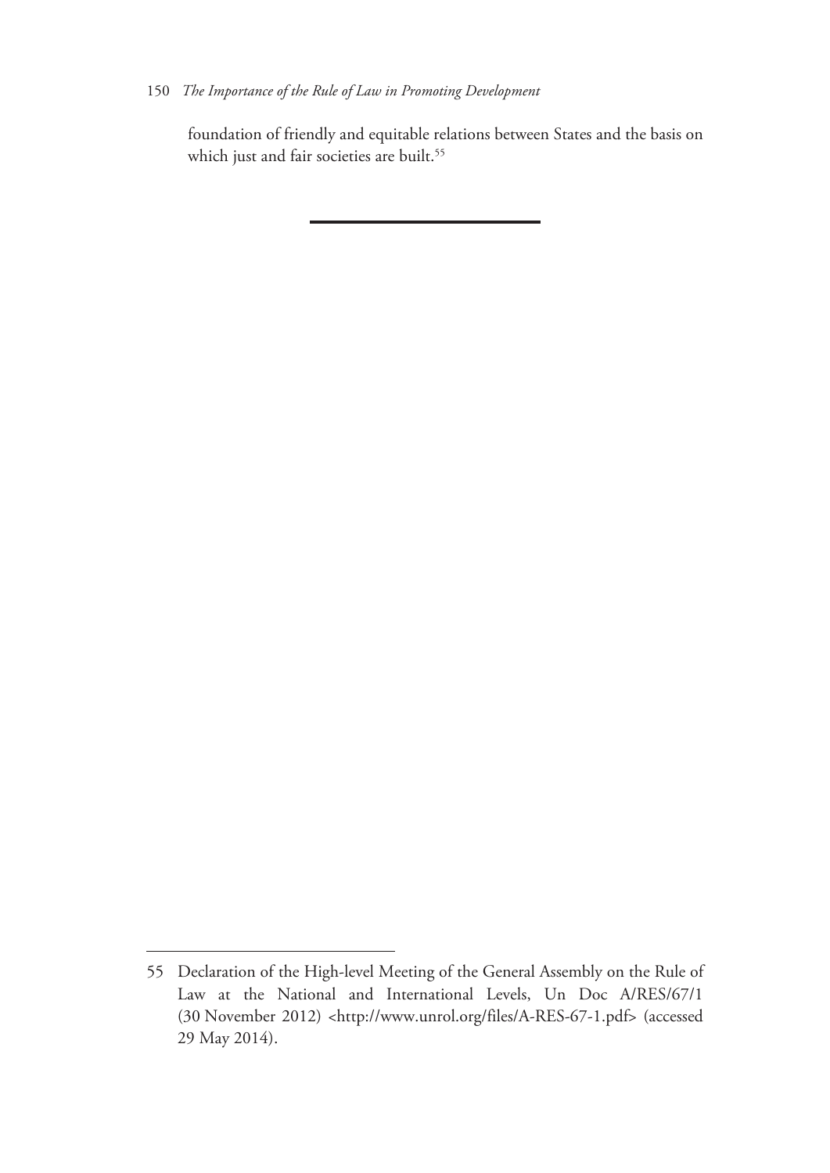#### 150 *The Importance of the Rule of Law in Promoting Development*

foundation of friendly and equitable relations between States and the basis on which just and fair societies are built.<sup>55</sup>

<sup>55</sup> Declaration of the High-level Meeting of the General Assembly on the Rule of Law at the National and International Levels, Un Doc A/RES/67/1 (30 November 2012) <http://www.unrol.org/files/A-RES-67-1.pdf> (accessed 29 May 2014).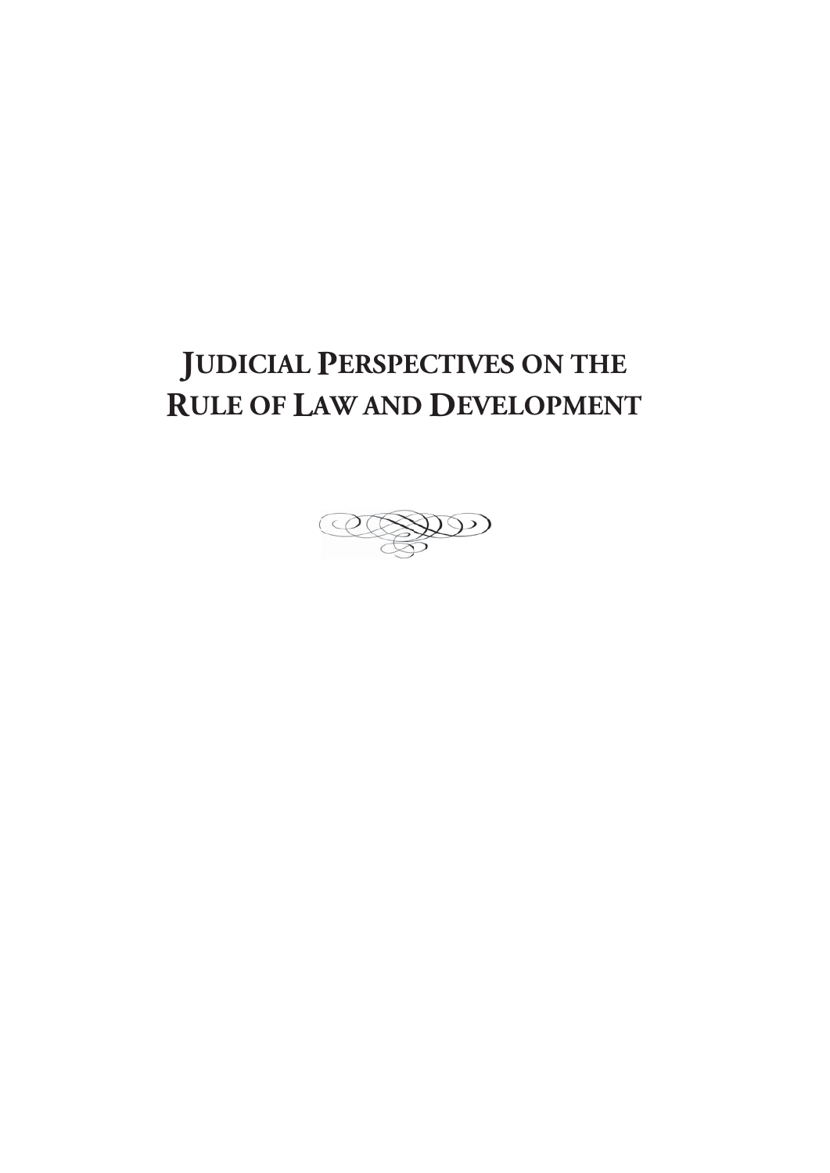# **IUDICIAL PERSPECTIVES ON THE RULE OF LAW AND DEVELOPMENT**

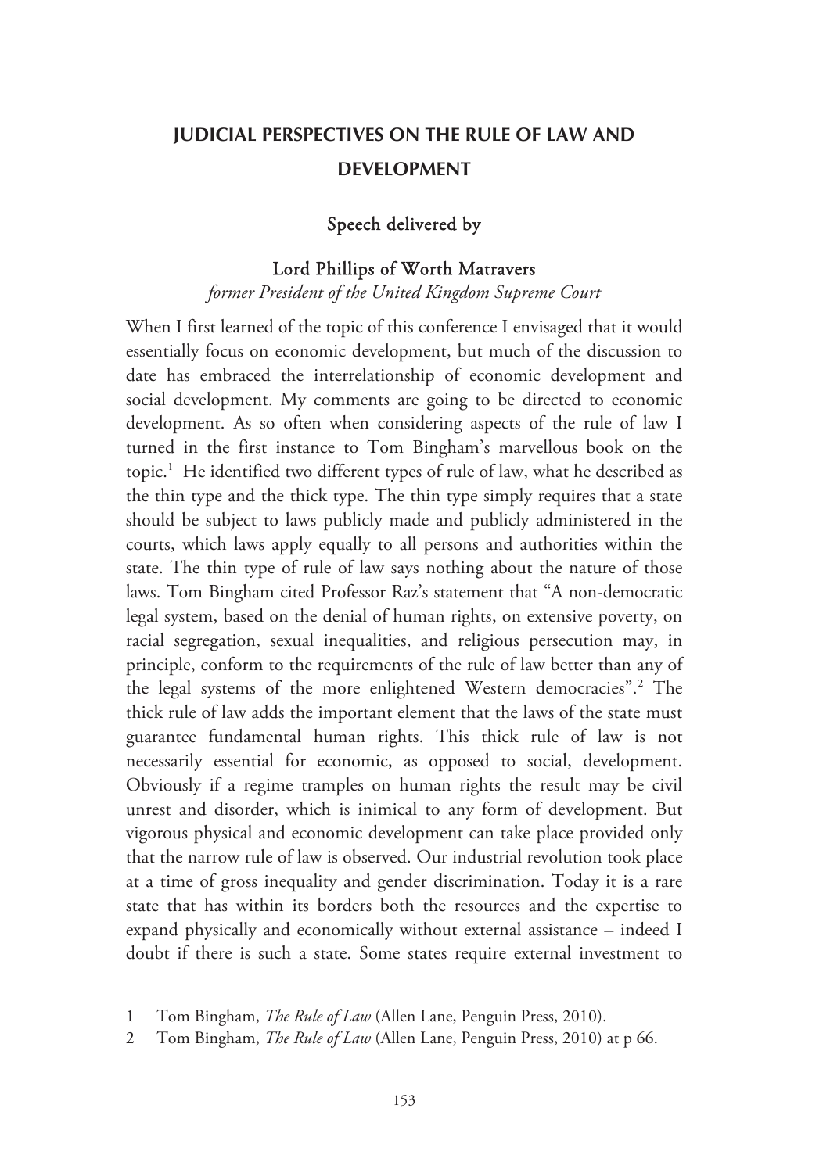# **JUDICIAL PERSPECTIVES ON THE RULE OF LAW AND DEVELOPMENT**

#### Speech delivered by

#### Lord Phillips of Worth Matravers

*former President of the United Kingdom Supreme Court* 

When I first learned of the topic of this conference I envisaged that it would essentially focus on economic development, but much of the discussion to date has embraced the interrelationship of economic development and social development. My comments are going to be directed to economic development. As so often when considering aspects of the rule of law I turned in the first instance to Tom Bingham's marvellous book on the topic.<sup>1</sup> He identified two different types of rule of law, what he described as the thin type and the thick type. The thin type simply requires that a state should be subject to laws publicly made and publicly administered in the courts, which laws apply equally to all persons and authorities within the state. The thin type of rule of law says nothing about the nature of those laws. Tom Bingham cited Professor Raz's statement that "A non-democratic legal system, based on the denial of human rights, on extensive poverty, on racial segregation, sexual inequalities, and religious persecution may, in principle, conform to the requirements of the rule of law better than any of the legal systems of the more enlightened Western democracies".<sup>2</sup> The thick rule of law adds the important element that the laws of the state must guarantee fundamental human rights. This thick rule of law is not necessarily essential for economic, as opposed to social, development. Obviously if a regime tramples on human rights the result may be civil unrest and disorder, which is inimical to any form of development. But vigorous physical and economic development can take place provided only that the narrow rule of law is observed. Our industrial revolution took place at a time of gross inequality and gender discrimination. Today it is a rare state that has within its borders both the resources and the expertise to expand physically and economically without external assistance – indeed I doubt if there is such a state. Some states require external investment to

<sup>1</sup> Tom Bingham, *The Rule of Law* (Allen Lane, Penguin Press, 2010).

<sup>2</sup> Tom Bingham, *The Rule of Law* (Allen Lane, Penguin Press, 2010) at p 66.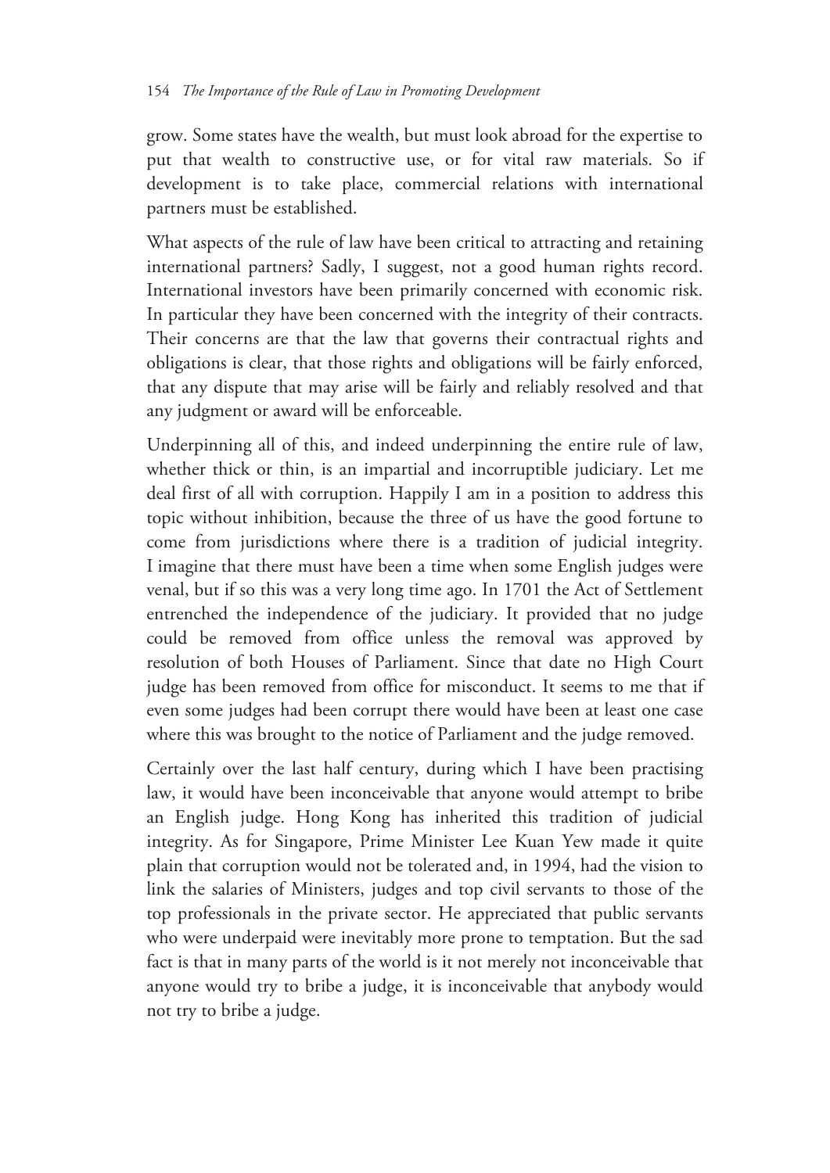grow. Some states have the wealth, but must look abroad for the expertise to put that wealth to constructive use, or for vital raw materials. So if development is to take place, commercial relations with international partners must be established.

What aspects of the rule of law have been critical to attracting and retaining international partners? Sadly, I suggest, not a good human rights record. International investors have been primarily concerned with economic risk. In particular they have been concerned with the integrity of their contracts. Their concerns are that the law that governs their contractual rights and obligations is clear, that those rights and obligations will be fairly enforced, that any dispute that may arise will be fairly and reliably resolved and that any judgment or award will be enforceable.

Underpinning all of this, and indeed underpinning the entire rule of law, whether thick or thin, is an impartial and incorruptible judiciary. Let me deal first of all with corruption. Happily I am in a position to address this topic without inhibition, because the three of us have the good fortune to come from jurisdictions where there is a tradition of judicial integrity. I imagine that there must have been a time when some English judges were venal, but if so this was a very long time ago. In 1701 the Act of Settlement entrenched the independence of the judiciary. It provided that no judge could be removed from office unless the removal was approved by resolution of both Houses of Parliament. Since that date no High Court judge has been removed from office for misconduct. It seems to me that if even some judges had been corrupt there would have been at least one case where this was brought to the notice of Parliament and the judge removed.

Certainly over the last half century, during which I have been practising law, it would have been inconceivable that anyone would attempt to bribe an English judge. Hong Kong has inherited this tradition of judicial integrity. As for Singapore, Prime Minister Lee Kuan Yew made it quite plain that corruption would not be tolerated and, in 1994, had the vision to link the salaries of Ministers, judges and top civil servants to those of the top professionals in the private sector. He appreciated that public servants who were underpaid were inevitably more prone to temptation. But the sad fact is that in many parts of the world is it not merely not inconceivable that anyone would try to bribe a judge, it is inconceivable that anybody would not try to bribe a judge.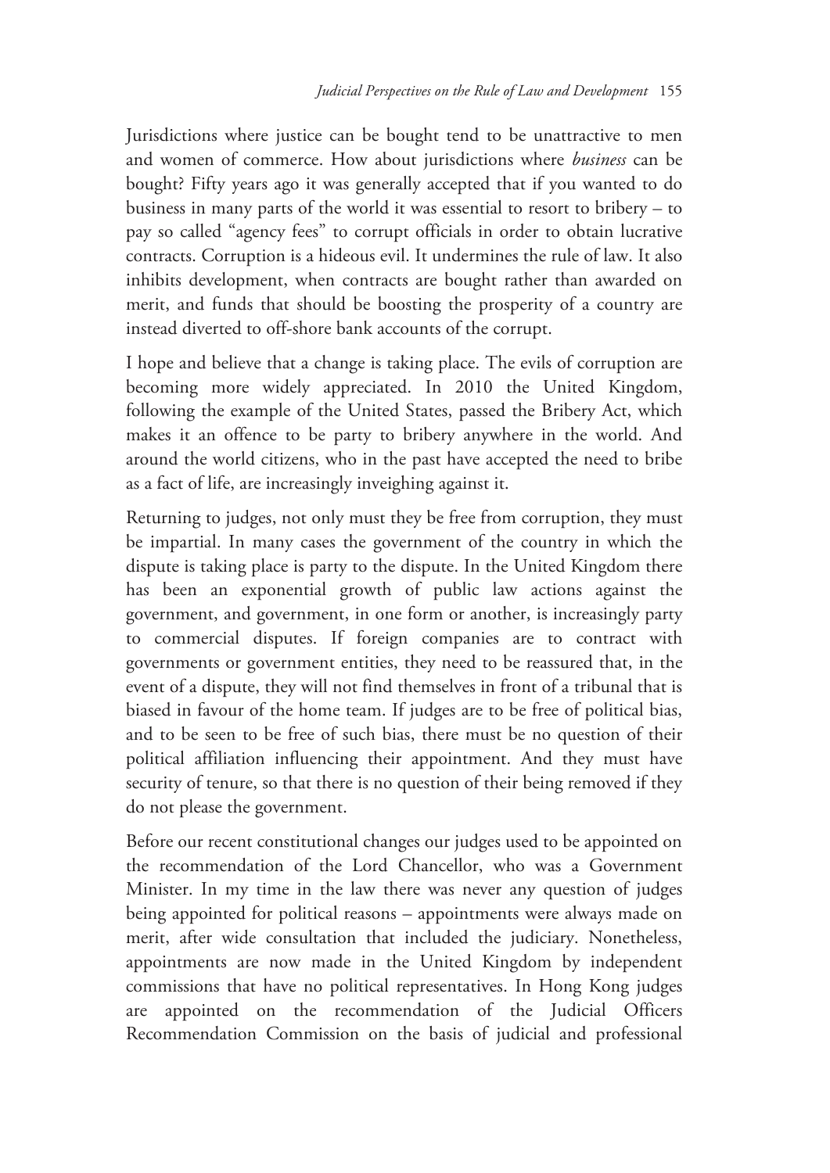Jurisdictions where justice can be bought tend to be unattractive to men and women of commerce. How about jurisdictions where *business* can be bought? Fifty years ago it was generally accepted that if you wanted to do business in many parts of the world it was essential to resort to bribery – to pay so called "agency fees" to corrupt officials in order to obtain lucrative contracts. Corruption is a hideous evil. It undermines the rule of law. It also inhibits development, when contracts are bought rather than awarded on merit, and funds that should be boosting the prosperity of a country are instead diverted to off-shore bank accounts of the corrupt.

I hope and believe that a change is taking place. The evils of corruption are becoming more widely appreciated. In 2010 the United Kingdom, following the example of the United States, passed the Bribery Act, which makes it an offence to be party to bribery anywhere in the world. And around the world citizens, who in the past have accepted the need to bribe as a fact of life, are increasingly inveighing against it.

Returning to judges, not only must they be free from corruption, they must be impartial. In many cases the government of the country in which the dispute is taking place is party to the dispute. In the United Kingdom there has been an exponential growth of public law actions against the government, and government, in one form or another, is increasingly party to commercial disputes. If foreign companies are to contract with governments or government entities, they need to be reassured that, in the event of a dispute, they will not find themselves in front of a tribunal that is biased in favour of the home team. If judges are to be free of political bias, and to be seen to be free of such bias, there must be no question of their political affiliation influencing their appointment. And they must have security of tenure, so that there is no question of their being removed if they do not please the government.

Before our recent constitutional changes our judges used to be appointed on the recommendation of the Lord Chancellor, who was a Government Minister. In my time in the law there was never any question of judges being appointed for political reasons – appointments were always made on merit, after wide consultation that included the judiciary. Nonetheless, appointments are now made in the United Kingdom by independent commissions that have no political representatives. In Hong Kong judges are appointed on the recommendation of the Judicial Officers Recommendation Commission on the basis of judicial and professional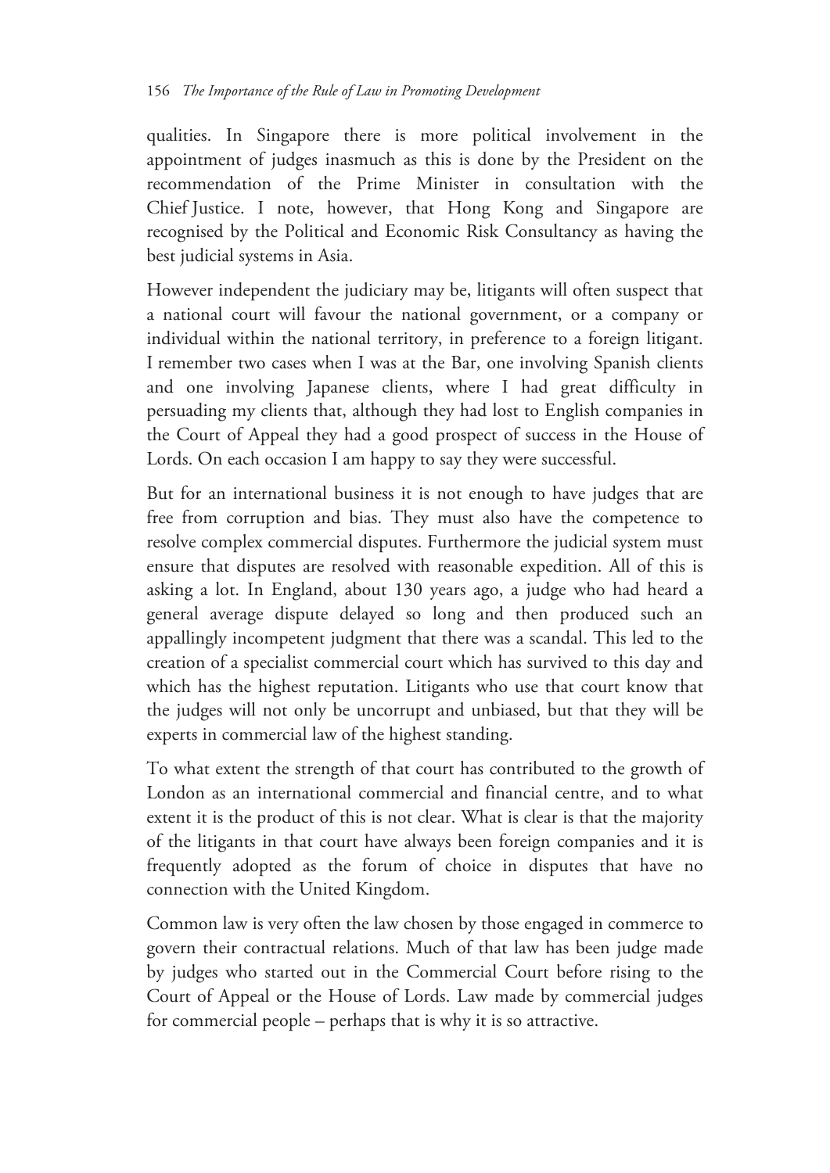qualities. In Singapore there is more political involvement in the appointment of judges inasmuch as this is done by the President on the recommendation of the Prime Minister in consultation with the Chief Justice. I note, however, that Hong Kong and Singapore are recognised by the Political and Economic Risk Consultancy as having the best judicial systems in Asia.

However independent the judiciary may be, litigants will often suspect that a national court will favour the national government, or a company or individual within the national territory, in preference to a foreign litigant. I remember two cases when I was at the Bar, one involving Spanish clients and one involving Japanese clients, where I had great difficulty in persuading my clients that, although they had lost to English companies in the Court of Appeal they had a good prospect of success in the House of Lords. On each occasion I am happy to say they were successful.

But for an international business it is not enough to have judges that are free from corruption and bias. They must also have the competence to resolve complex commercial disputes. Furthermore the judicial system must ensure that disputes are resolved with reasonable expedition. All of this is asking a lot. In England, about 130 years ago, a judge who had heard a general average dispute delayed so long and then produced such an appallingly incompetent judgment that there was a scandal. This led to the creation of a specialist commercial court which has survived to this day and which has the highest reputation. Litigants who use that court know that the judges will not only be uncorrupt and unbiased, but that they will be experts in commercial law of the highest standing.

To what extent the strength of that court has contributed to the growth of London as an international commercial and financial centre, and to what extent it is the product of this is not clear. What is clear is that the majority of the litigants in that court have always been foreign companies and it is frequently adopted as the forum of choice in disputes that have no connection with the United Kingdom.

Common law is very often the law chosen by those engaged in commerce to govern their contractual relations. Much of that law has been judge made by judges who started out in the Commercial Court before rising to the Court of Appeal or the House of Lords. Law made by commercial judges for commercial people – perhaps that is why it is so attractive.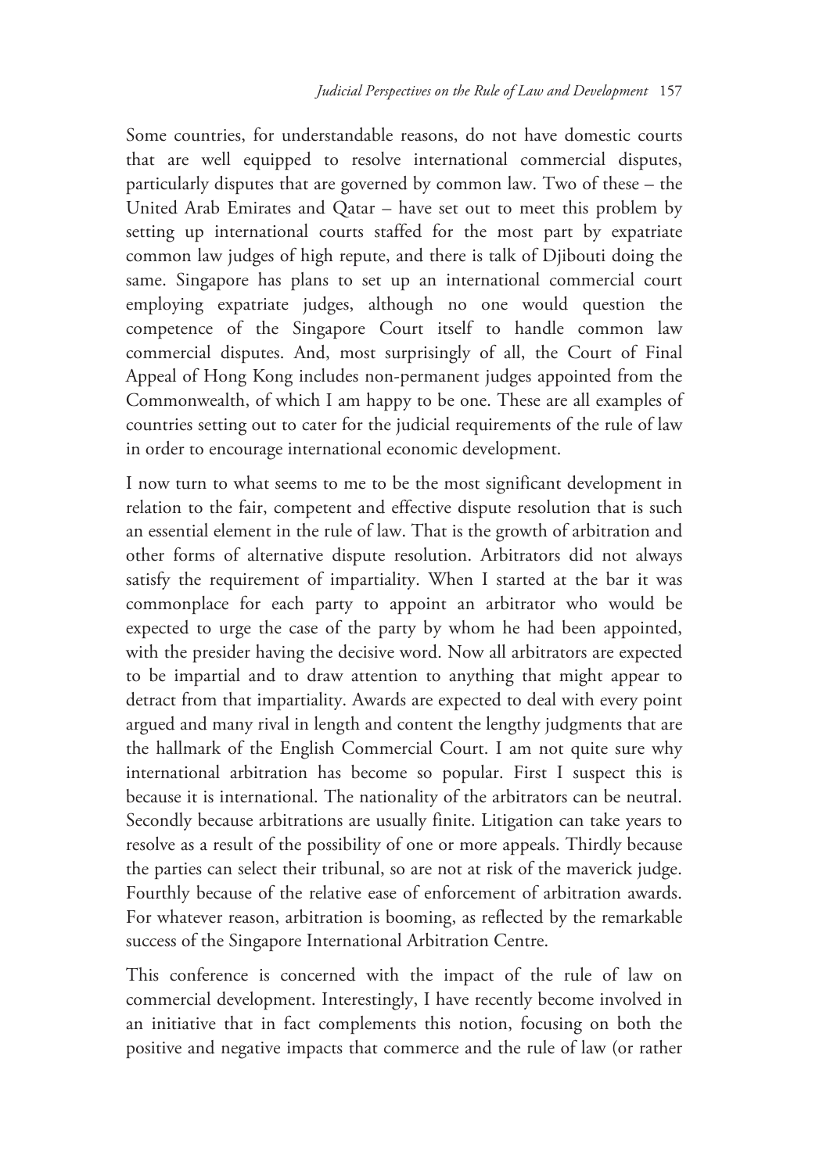Some countries, for understandable reasons, do not have domestic courts that are well equipped to resolve international commercial disputes, particularly disputes that are governed by common law. Two of these – the United Arab Emirates and Qatar – have set out to meet this problem by setting up international courts staffed for the most part by expatriate common law judges of high repute, and there is talk of Djibouti doing the same. Singapore has plans to set up an international commercial court employing expatriate judges, although no one would question the competence of the Singapore Court itself to handle common law commercial disputes. And, most surprisingly of all, the Court of Final Appeal of Hong Kong includes non-permanent judges appointed from the Commonwealth, of which I am happy to be one. These are all examples of countries setting out to cater for the judicial requirements of the rule of law in order to encourage international economic development.

I now turn to what seems to me to be the most significant development in relation to the fair, competent and effective dispute resolution that is such an essential element in the rule of law. That is the growth of arbitration and other forms of alternative dispute resolution. Arbitrators did not always satisfy the requirement of impartiality. When I started at the bar it was commonplace for each party to appoint an arbitrator who would be expected to urge the case of the party by whom he had been appointed, with the presider having the decisive word. Now all arbitrators are expected to be impartial and to draw attention to anything that might appear to detract from that impartiality. Awards are expected to deal with every point argued and many rival in length and content the lengthy judgments that are the hallmark of the English Commercial Court. I am not quite sure why international arbitration has become so popular. First I suspect this is because it is international. The nationality of the arbitrators can be neutral. Secondly because arbitrations are usually finite. Litigation can take years to resolve as a result of the possibility of one or more appeals. Thirdly because the parties can select their tribunal, so are not at risk of the maverick judge. Fourthly because of the relative ease of enforcement of arbitration awards. For whatever reason, arbitration is booming, as reflected by the remarkable success of the Singapore International Arbitration Centre.

This conference is concerned with the impact of the rule of law on commercial development. Interestingly, I have recently become involved in an initiative that in fact complements this notion, focusing on both the positive and negative impacts that commerce and the rule of law (or rather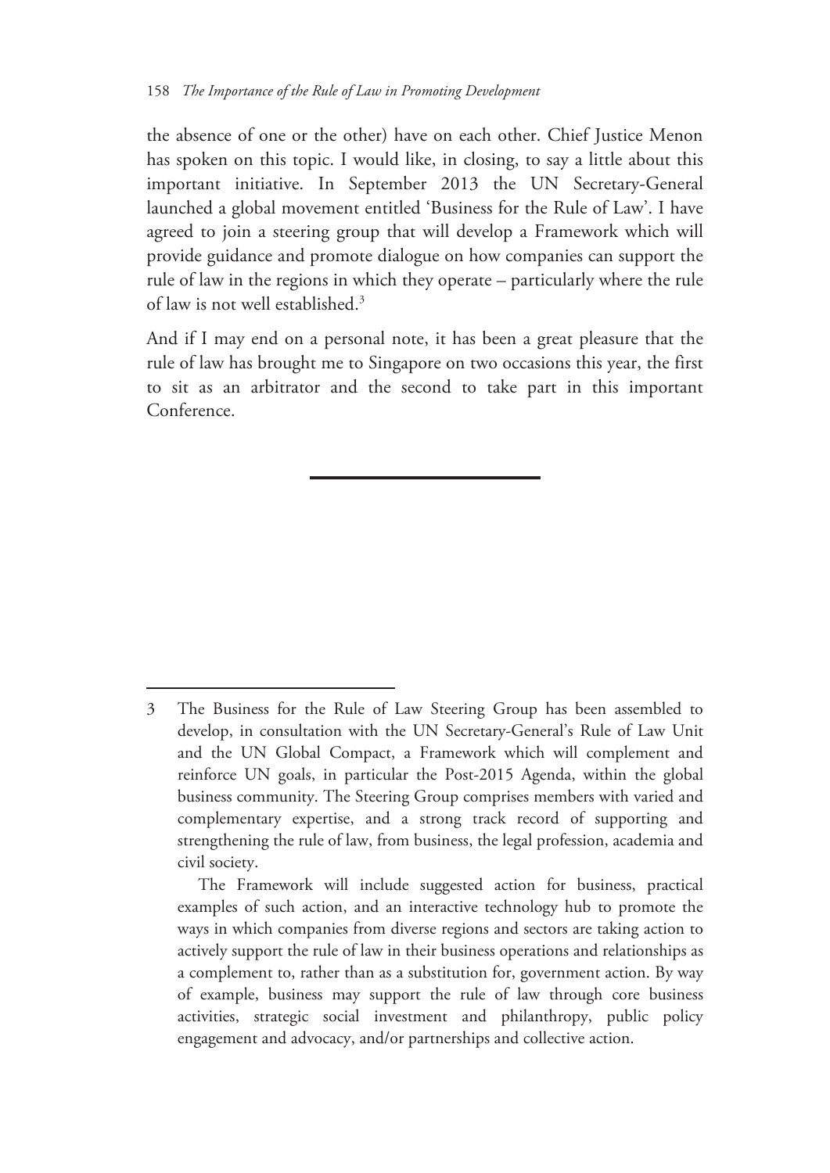the absence of one or the other) have on each other. Chief Justice Menon has spoken on this topic. I would like, in closing, to say a little about this important initiative. In September 2013 the UN Secretary-General launched a global movement entitled 'Business for the Rule of Law'. I have agreed to join a steering group that will develop a Framework which will provide guidance and promote dialogue on how companies can support the rule of law in the regions in which they operate – particularly where the rule of law is not well established.3

And if I may end on a personal note, it has been a great pleasure that the rule of law has brought me to Singapore on two occasions this year, the first to sit as an arbitrator and the second to take part in this important Conference.

<sup>3</sup> The Business for the Rule of Law Steering Group has been assembled to develop, in consultation with the UN Secretary-General's Rule of Law Unit and the UN Global Compact, a Framework which will complement and reinforce UN goals, in particular the Post-2015 Agenda, within the global business community. The Steering Group comprises members with varied and complementary expertise, and a strong track record of supporting and strengthening the rule of law, from business, the legal profession, academia and civil society.

The Framework will include suggested action for business, practical examples of such action, and an interactive technology hub to promote the ways in which companies from diverse regions and sectors are taking action to actively support the rule of law in their business operations and relationships as a complement to, rather than as a substitution for, government action. By way of example, business may support the rule of law through core business activities, strategic social investment and philanthropy, public policy engagement and advocacy, and/or partnerships and collective action.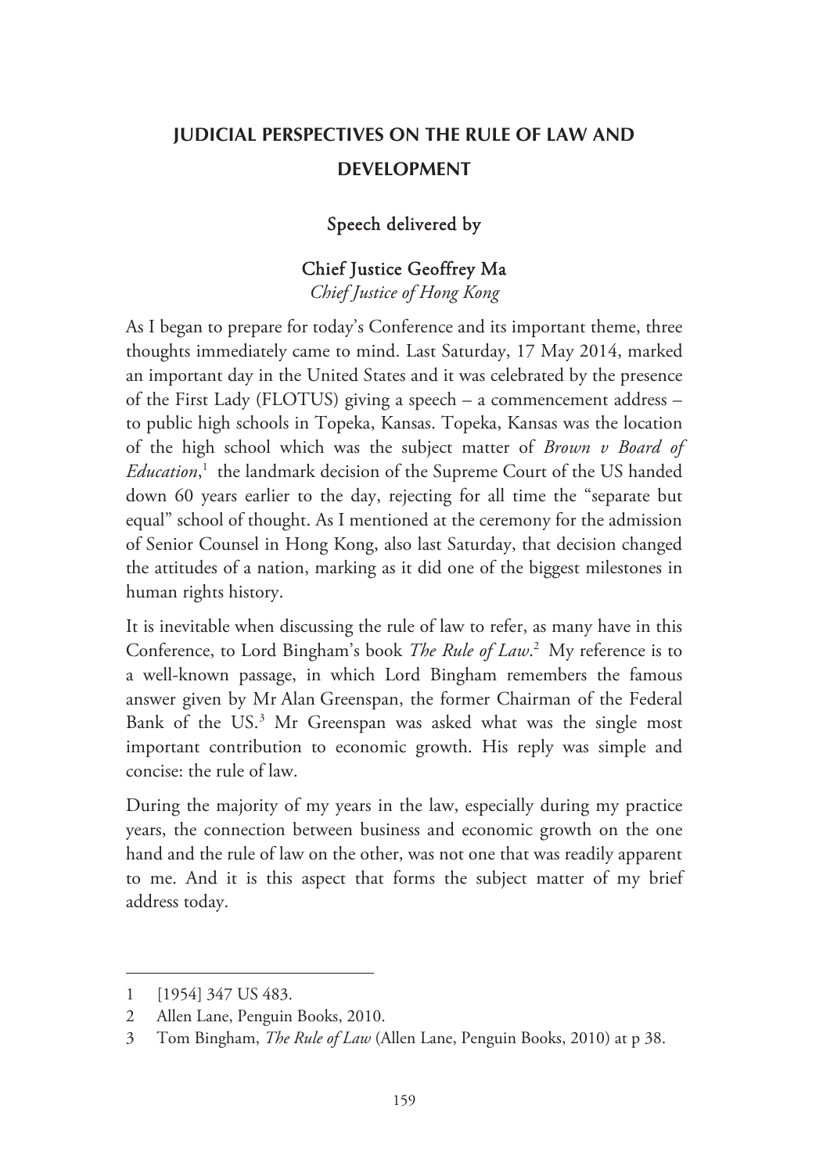## **JUDICIAL PERSPECTIVES ON THE RULE OF LAW AND DEVELOPMENT**

#### Speech delivered by

## Chief Justice Geoffrey Ma

*Chief Justice of Hong Kong* 

As I began to prepare for today's Conference and its important theme, three thoughts immediately came to mind. Last Saturday, 17 May 2014, marked an important day in the United States and it was celebrated by the presence of the First Lady (FLOTUS) giving a speech – a commencement address – to public high schools in Topeka, Kansas. Topeka, Kansas was the location of the high school which was the subject matter of *Brown v Board of Education*, 1 the landmark decision of the Supreme Court of the US handed down 60 years earlier to the day, rejecting for all time the "separate but equal" school of thought. As I mentioned at the ceremony for the admission of Senior Counsel in Hong Kong, also last Saturday, that decision changed the attitudes of a nation, marking as it did one of the biggest milestones in human rights history.

It is inevitable when discussing the rule of law to refer, as many have in this Conference, to Lord Bingham's book *The Rule of Law*. 2 My reference is to a well-known passage, in which Lord Bingham remembers the famous answer given by Mr Alan Greenspan, the former Chairman of the Federal Bank of the US.<sup>3</sup> Mr Greenspan was asked what was the single most important contribution to economic growth. His reply was simple and concise: the rule of law.

During the majority of my years in the law, especially during my practice years, the connection between business and economic growth on the one hand and the rule of law on the other, was not one that was readily apparent to me. And it is this aspect that forms the subject matter of my brief address today.

-

<sup>1 [1954] 347</sup> US 483.

<sup>2</sup> Allen Lane, Penguin Books, 2010.

<sup>3</sup> Tom Bingham, *The Rule of Law* (Allen Lane, Penguin Books, 2010) at p 38.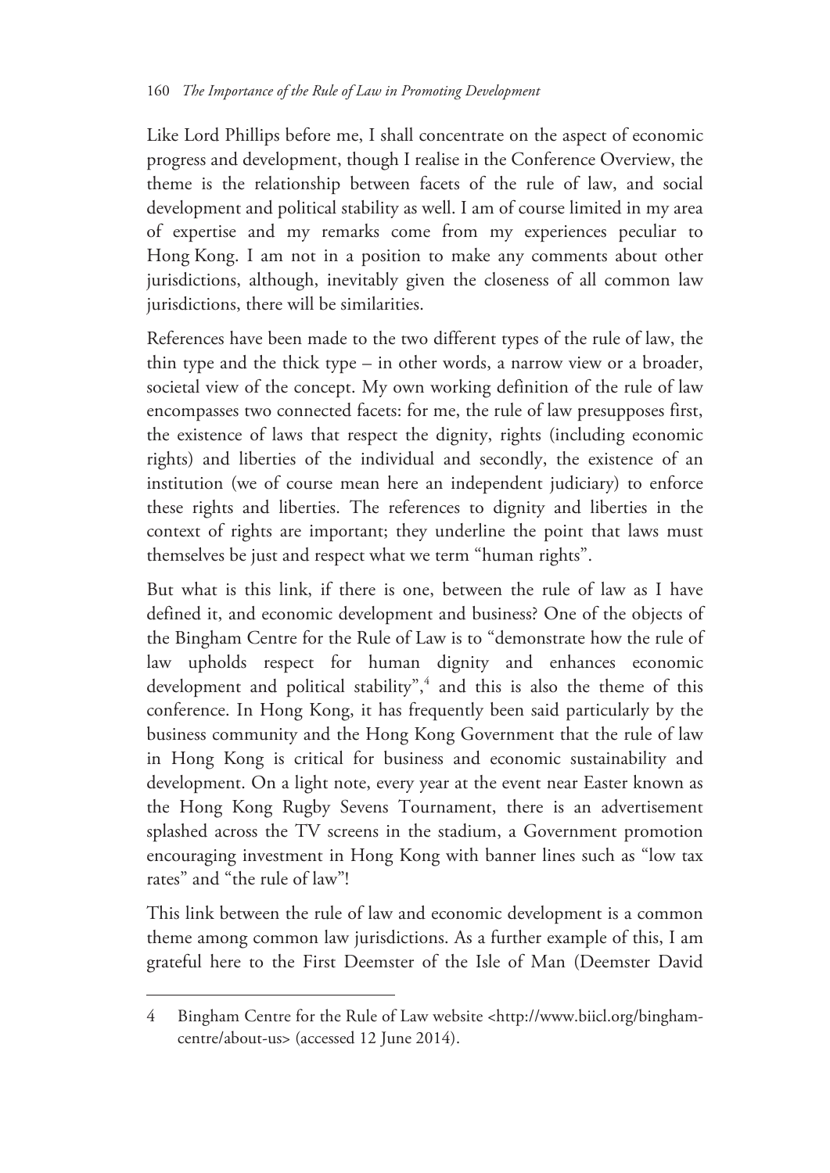Like Lord Phillips before me, I shall concentrate on the aspect of economic progress and development, though I realise in the Conference Overview, the theme is the relationship between facets of the rule of law, and social development and political stability as well. I am of course limited in my area of expertise and my remarks come from my experiences peculiar to Hong Kong. I am not in a position to make any comments about other jurisdictions, although, inevitably given the closeness of all common law jurisdictions, there will be similarities.

References have been made to the two different types of the rule of law, the thin type and the thick type – in other words, a narrow view or a broader, societal view of the concept. My own working definition of the rule of law encompasses two connected facets: for me, the rule of law presupposes first, the existence of laws that respect the dignity, rights (including economic rights) and liberties of the individual and secondly, the existence of an institution (we of course mean here an independent judiciary) to enforce these rights and liberties. The references to dignity and liberties in the context of rights are important; they underline the point that laws must themselves be just and respect what we term "human rights".

But what is this link, if there is one, between the rule of law as I have defined it, and economic development and business? One of the objects of the Bingham Centre for the Rule of Law is to "demonstrate how the rule of law upholds respect for human dignity and enhances economic development and political stability",<sup>4</sup> and this is also the theme of this conference. In Hong Kong, it has frequently been said particularly by the business community and the Hong Kong Government that the rule of law in Hong Kong is critical for business and economic sustainability and development. On a light note, every year at the event near Easter known as the Hong Kong Rugby Sevens Tournament, there is an advertisement splashed across the TV screens in the stadium, a Government promotion encouraging investment in Hong Kong with banner lines such as "low tax rates" and "the rule of law"!

This link between the rule of law and economic development is a common theme among common law jurisdictions. As a further example of this, I am grateful here to the First Deemster of the Isle of Man (Deemster David

<sup>4</sup> Bingham Centre for the Rule of Law website <http://www.biicl.org/binghamcentre/about-us> (accessed 12 June 2014).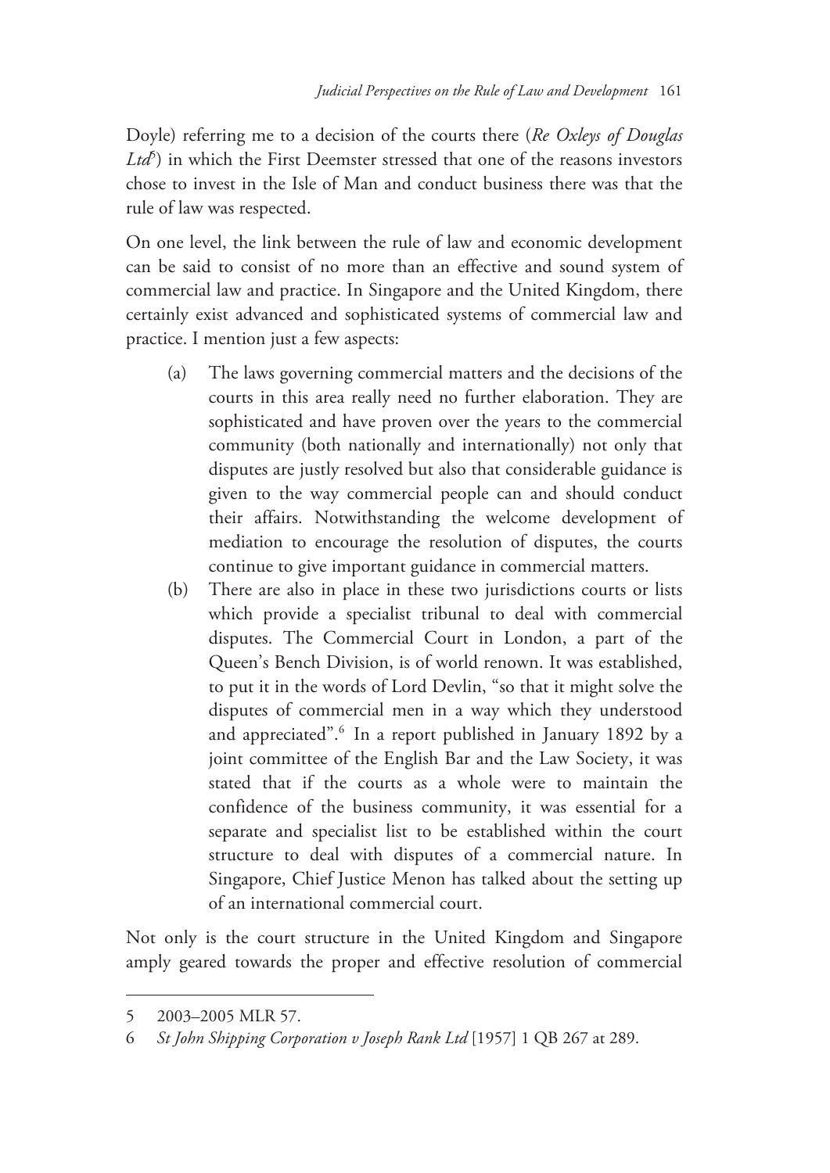Doyle) referring me to a decision of the courts there (*Re Oxleys of Douglas*  Ltd<sup>5</sup>) in which the First Deemster stressed that one of the reasons investors chose to invest in the Isle of Man and conduct business there was that the rule of law was respected.

On one level, the link between the rule of law and economic development can be said to consist of no more than an effective and sound system of commercial law and practice. In Singapore and the United Kingdom, there certainly exist advanced and sophisticated systems of commercial law and practice. I mention just a few aspects:

- (a) The laws governing commercial matters and the decisions of the courts in this area really need no further elaboration. They are sophisticated and have proven over the years to the commercial community (both nationally and internationally) not only that disputes are justly resolved but also that considerable guidance is given to the way commercial people can and should conduct their affairs. Notwithstanding the welcome development of mediation to encourage the resolution of disputes, the courts continue to give important guidance in commercial matters.
- (b) There are also in place in these two jurisdictions courts or lists which provide a specialist tribunal to deal with commercial disputes. The Commercial Court in London, a part of the Queen's Bench Division, is of world renown. It was established, to put it in the words of Lord Devlin, "so that it might solve the disputes of commercial men in a way which they understood and appreciated".<sup>6</sup> In a report published in January 1892 by a joint committee of the English Bar and the Law Society, it was stated that if the courts as a whole were to maintain the confidence of the business community, it was essential for a separate and specialist list to be established within the court structure to deal with disputes of a commercial nature. In Singapore, Chief Justice Menon has talked about the setting up of an international commercial court.

Not only is the court structure in the United Kingdom and Singapore amply geared towards the proper and effective resolution of commercial

-

<sup>5 2003–2005</sup> MLR 57.

<sup>6</sup> *St John Shipping Corporation v Joseph Rank Ltd* [1957] 1 QB 267 at 289.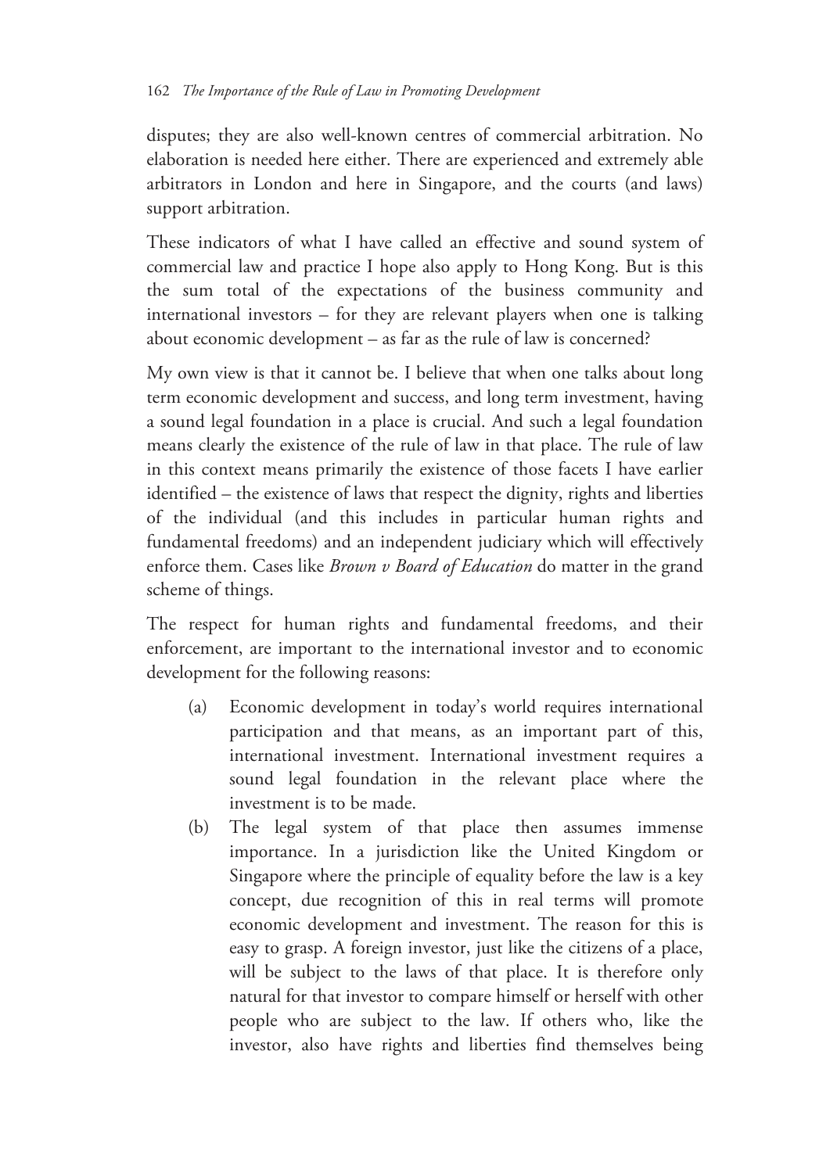disputes; they are also well-known centres of commercial arbitration. No elaboration is needed here either. There are experienced and extremely able arbitrators in London and here in Singapore, and the courts (and laws) support arbitration.

These indicators of what I have called an effective and sound system of commercial law and practice I hope also apply to Hong Kong. But is this the sum total of the expectations of the business community and international investors – for they are relevant players when one is talking about economic development – as far as the rule of law is concerned?

My own view is that it cannot be. I believe that when one talks about long term economic development and success, and long term investment, having a sound legal foundation in a place is crucial. And such a legal foundation means clearly the existence of the rule of law in that place. The rule of law in this context means primarily the existence of those facets I have earlier identified – the existence of laws that respect the dignity, rights and liberties of the individual (and this includes in particular human rights and fundamental freedoms) and an independent judiciary which will effectively enforce them. Cases like *Brown v Board of Education* do matter in the grand scheme of things.

The respect for human rights and fundamental freedoms, and their enforcement, are important to the international investor and to economic development for the following reasons:

- (a) Economic development in today's world requires international participation and that means, as an important part of this, international investment. International investment requires a sound legal foundation in the relevant place where the investment is to be made.
- (b) The legal system of that place then assumes immense importance. In a jurisdiction like the United Kingdom or Singapore where the principle of equality before the law is a key concept, due recognition of this in real terms will promote economic development and investment. The reason for this is easy to grasp. A foreign investor, just like the citizens of a place, will be subject to the laws of that place. It is therefore only natural for that investor to compare himself or herself with other people who are subject to the law. If others who, like the investor, also have rights and liberties find themselves being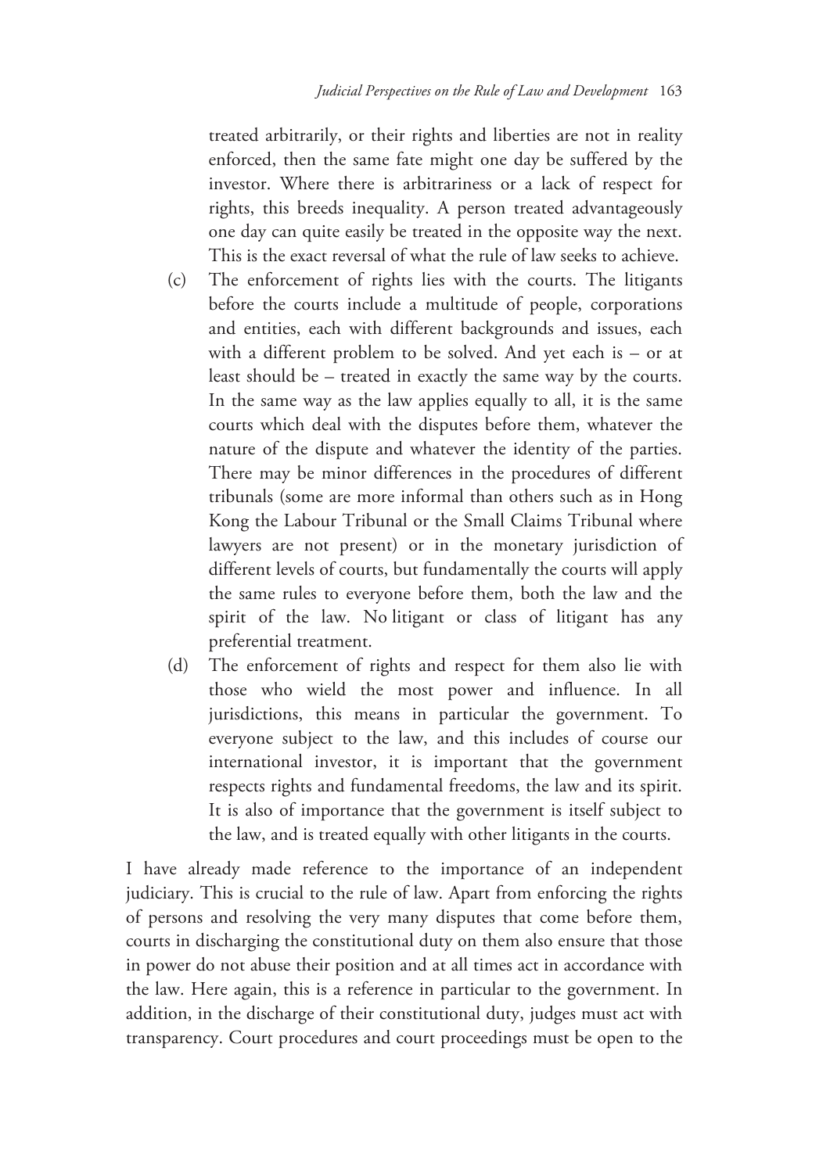treated arbitrarily, or their rights and liberties are not in reality enforced, then the same fate might one day be suffered by the investor. Where there is arbitrariness or a lack of respect for rights, this breeds inequality. A person treated advantageously one day can quite easily be treated in the opposite way the next. This is the exact reversal of what the rule of law seeks to achieve.

- (c) The enforcement of rights lies with the courts. The litigants before the courts include a multitude of people, corporations and entities, each with different backgrounds and issues, each with a different problem to be solved. And yet each is – or at least should be – treated in exactly the same way by the courts. In the same way as the law applies equally to all, it is the same courts which deal with the disputes before them, whatever the nature of the dispute and whatever the identity of the parties. There may be minor differences in the procedures of different tribunals (some are more informal than others such as in Hong Kong the Labour Tribunal or the Small Claims Tribunal where lawyers are not present) or in the monetary jurisdiction of different levels of courts, but fundamentally the courts will apply the same rules to everyone before them, both the law and the spirit of the law. No litigant or class of litigant has any preferential treatment.
- (d) The enforcement of rights and respect for them also lie with those who wield the most power and influence. In all jurisdictions, this means in particular the government. To everyone subject to the law, and this includes of course our international investor, it is important that the government respects rights and fundamental freedoms, the law and its spirit. It is also of importance that the government is itself subject to the law, and is treated equally with other litigants in the courts.

I have already made reference to the importance of an independent judiciary. This is crucial to the rule of law. Apart from enforcing the rights of persons and resolving the very many disputes that come before them, courts in discharging the constitutional duty on them also ensure that those in power do not abuse their position and at all times act in accordance with the law. Here again, this is a reference in particular to the government. In addition, in the discharge of their constitutional duty, judges must act with transparency. Court procedures and court proceedings must be open to the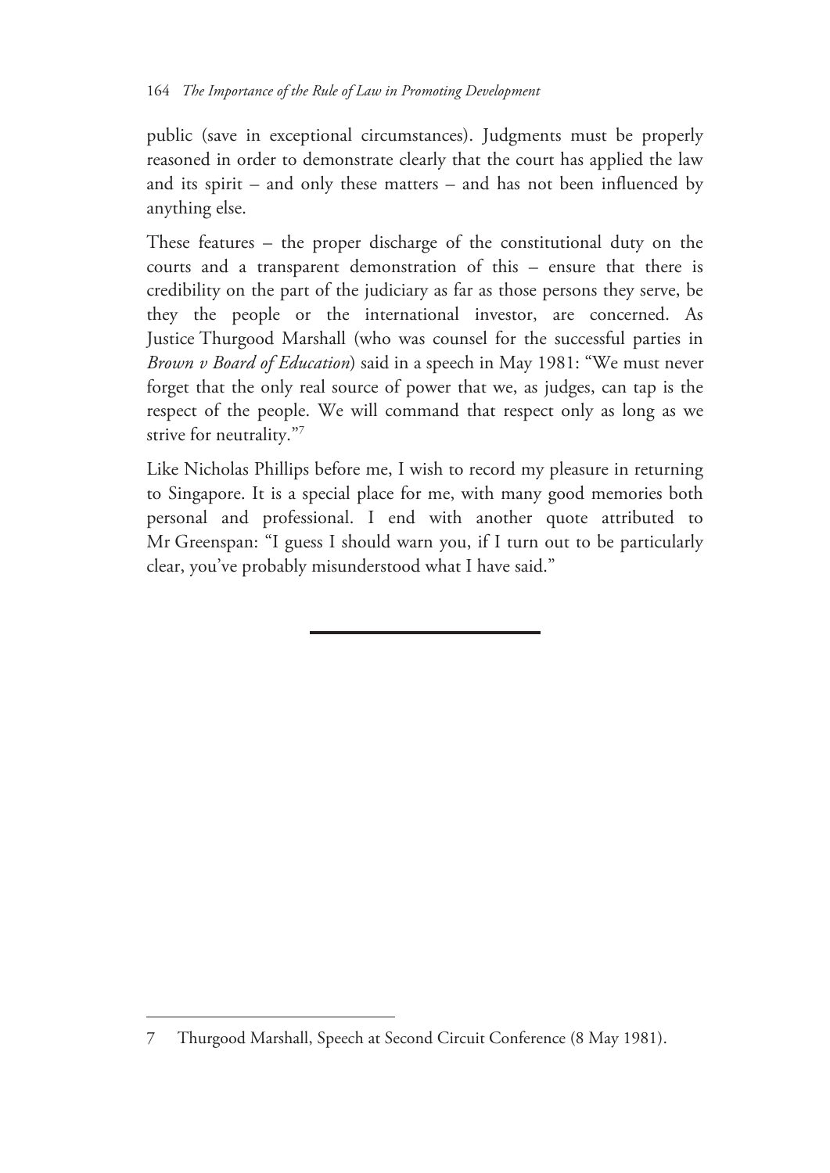public (save in exceptional circumstances). Judgments must be properly reasoned in order to demonstrate clearly that the court has applied the law and its spirit – and only these matters – and has not been influenced by anything else.

These features – the proper discharge of the constitutional duty on the courts and a transparent demonstration of this – ensure that there is credibility on the part of the judiciary as far as those persons they serve, be they the people or the international investor, are concerned. As Justice Thurgood Marshall (who was counsel for the successful parties in *Brown v Board of Education*) said in a speech in May 1981: "We must never forget that the only real source of power that we, as judges, can tap is the respect of the people. We will command that respect only as long as we strive for neutrality."7

Like Nicholas Phillips before me, I wish to record my pleasure in returning to Singapore. It is a special place for me, with many good memories both personal and professional. I end with another quote attributed to Mr Greenspan: "I guess I should warn you, if I turn out to be particularly clear, you've probably misunderstood what I have said."

<sup>7</sup> Thurgood Marshall, Speech at Second Circuit Conference (8 May 1981).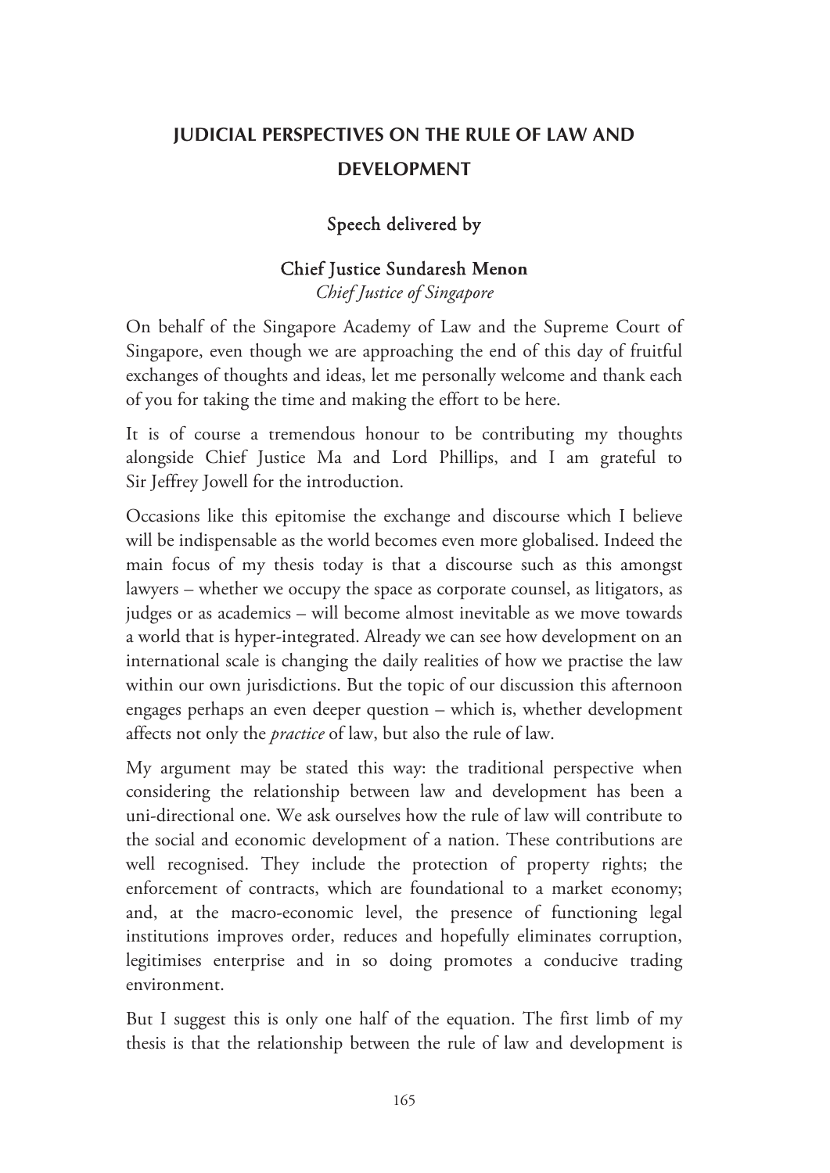## **JUDICIAL PERSPECTIVES ON THE RULE OF LAW AND DEVELOPMENT**

#### Speech delivered by

#### Chief Justice Sundaresh **Menon**

*Chief Justice of Singapore* 

On behalf of the Singapore Academy of Law and the Supreme Court of Singapore, even though we are approaching the end of this day of fruitful exchanges of thoughts and ideas, let me personally welcome and thank each of you for taking the time and making the effort to be here.

It is of course a tremendous honour to be contributing my thoughts alongside Chief Justice Ma and Lord Phillips, and I am grateful to Sir Jeffrey Jowell for the introduction.

Occasions like this epitomise the exchange and discourse which I believe will be indispensable as the world becomes even more globalised. Indeed the main focus of my thesis today is that a discourse such as this amongst lawyers – whether we occupy the space as corporate counsel, as litigators, as judges or as academics – will become almost inevitable as we move towards a world that is hyper-integrated. Already we can see how development on an international scale is changing the daily realities of how we practise the law within our own jurisdictions. But the topic of our discussion this afternoon engages perhaps an even deeper question – which is, whether development affects not only the *practice* of law, but also the rule of law.

My argument may be stated this way: the traditional perspective when considering the relationship between law and development has been a uni-directional one. We ask ourselves how the rule of law will contribute to the social and economic development of a nation. These contributions are well recognised. They include the protection of property rights; the enforcement of contracts, which are foundational to a market economy; and, at the macro-economic level, the presence of functioning legal institutions improves order, reduces and hopefully eliminates corruption, legitimises enterprise and in so doing promotes a conducive trading environment.

But I suggest this is only one half of the equation. The first limb of my thesis is that the relationship between the rule of law and development is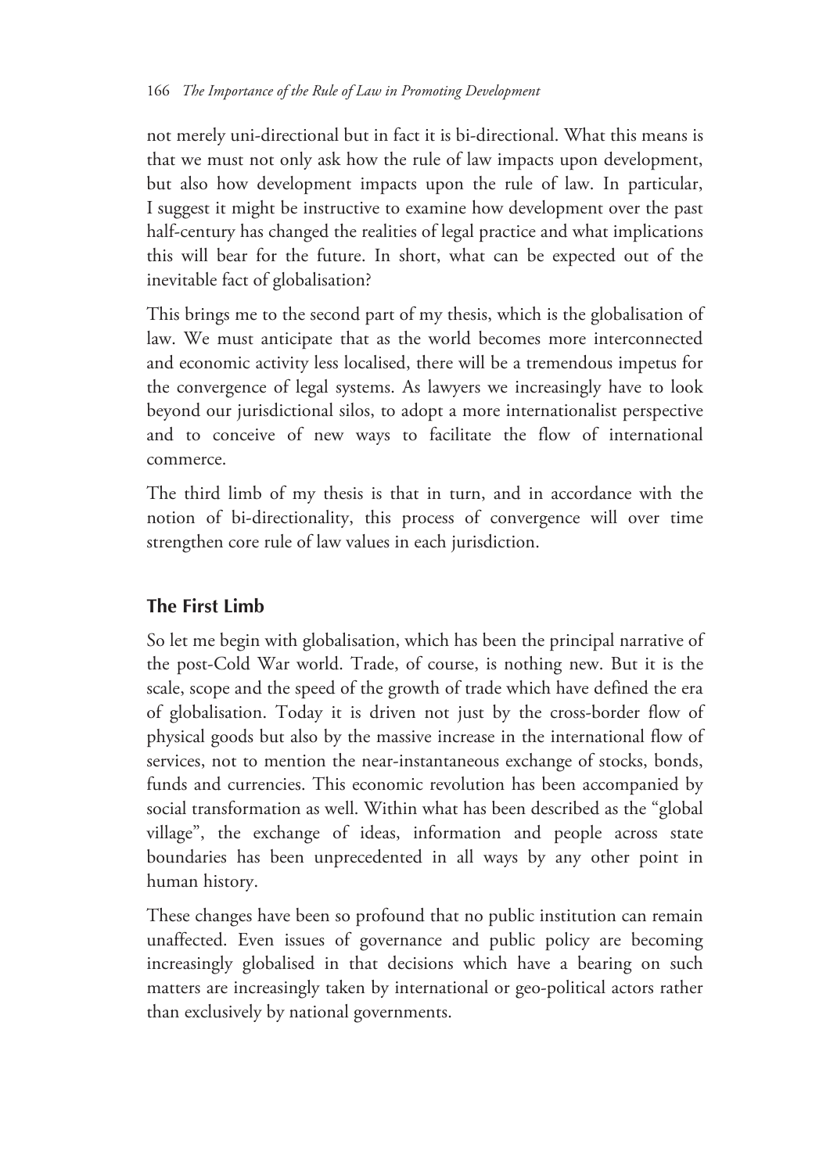not merely uni-directional but in fact it is bi-directional. What this means is that we must not only ask how the rule of law impacts upon development, but also how development impacts upon the rule of law. In particular, I suggest it might be instructive to examine how development over the past half-century has changed the realities of legal practice and what implications this will bear for the future. In short, what can be expected out of the inevitable fact of globalisation?

This brings me to the second part of my thesis, which is the globalisation of law. We must anticipate that as the world becomes more interconnected and economic activity less localised, there will be a tremendous impetus for the convergence of legal systems. As lawyers we increasingly have to look beyond our jurisdictional silos, to adopt a more internationalist perspective and to conceive of new ways to facilitate the flow of international commerce.

The third limb of my thesis is that in turn, and in accordance with the notion of bi-directionality, this process of convergence will over time strengthen core rule of law values in each jurisdiction.

#### **The First Limb**

So let me begin with globalisation, which has been the principal narrative of the post-Cold War world. Trade, of course, is nothing new. But it is the scale, scope and the speed of the growth of trade which have defined the era of globalisation. Today it is driven not just by the cross-border flow of physical goods but also by the massive increase in the international flow of services, not to mention the near-instantaneous exchange of stocks, bonds, funds and currencies. This economic revolution has been accompanied by social transformation as well. Within what has been described as the "global village", the exchange of ideas, information and people across state boundaries has been unprecedented in all ways by any other point in human history.

These changes have been so profound that no public institution can remain unaffected. Even issues of governance and public policy are becoming increasingly globalised in that decisions which have a bearing on such matters are increasingly taken by international or geo-political actors rather than exclusively by national governments.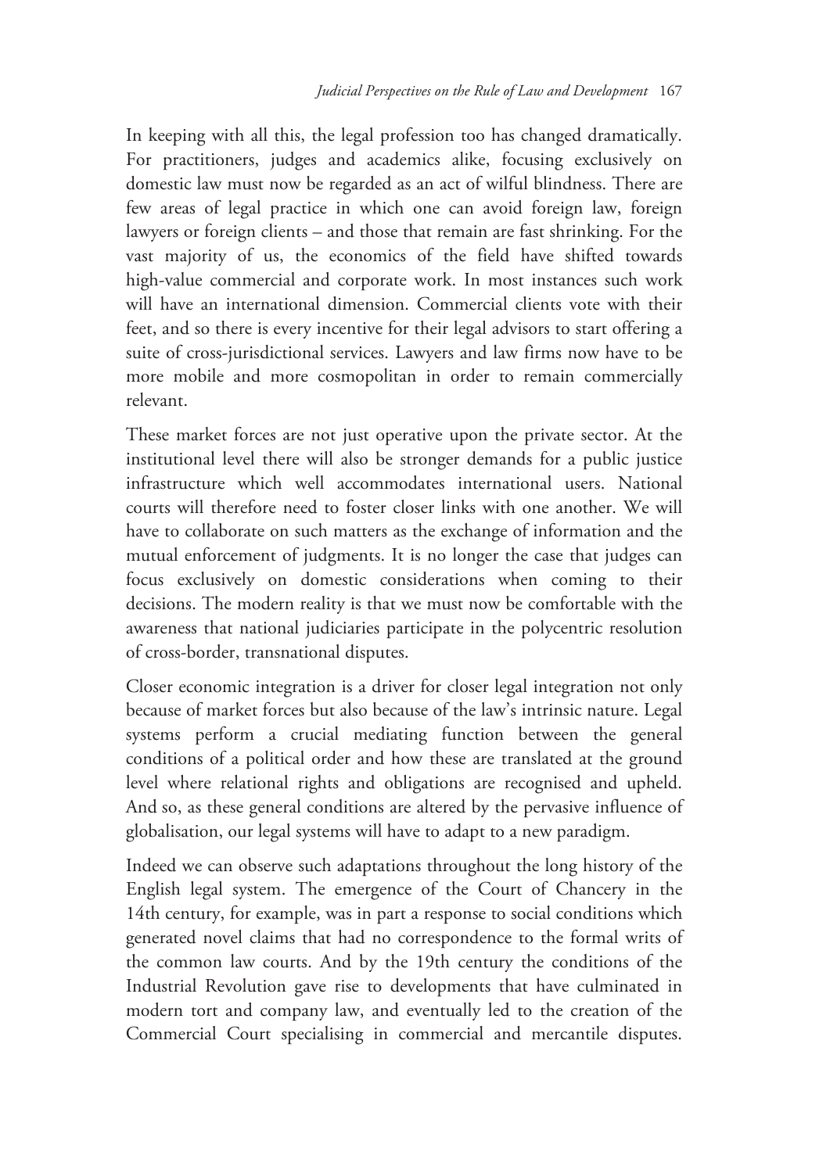In keeping with all this, the legal profession too has changed dramatically. For practitioners, judges and academics alike, focusing exclusively on domestic law must now be regarded as an act of wilful blindness. There are few areas of legal practice in which one can avoid foreign law, foreign lawyers or foreign clients – and those that remain are fast shrinking. For the vast majority of us, the economics of the field have shifted towards high-value commercial and corporate work. In most instances such work will have an international dimension. Commercial clients vote with their feet, and so there is every incentive for their legal advisors to start offering a suite of cross-jurisdictional services. Lawyers and law firms now have to be more mobile and more cosmopolitan in order to remain commercially relevant.

These market forces are not just operative upon the private sector. At the institutional level there will also be stronger demands for a public justice infrastructure which well accommodates international users. National courts will therefore need to foster closer links with one another. We will have to collaborate on such matters as the exchange of information and the mutual enforcement of judgments. It is no longer the case that judges can focus exclusively on domestic considerations when coming to their decisions. The modern reality is that we must now be comfortable with the awareness that national judiciaries participate in the polycentric resolution of cross-border, transnational disputes.

Closer economic integration is a driver for closer legal integration not only because of market forces but also because of the law's intrinsic nature. Legal systems perform a crucial mediating function between the general conditions of a political order and how these are translated at the ground level where relational rights and obligations are recognised and upheld. And so, as these general conditions are altered by the pervasive influence of globalisation, our legal systems will have to adapt to a new paradigm.

Indeed we can observe such adaptations throughout the long history of the English legal system. The emergence of the Court of Chancery in the 14th century, for example, was in part a response to social conditions which generated novel claims that had no correspondence to the formal writs of the common law courts. And by the 19th century the conditions of the Industrial Revolution gave rise to developments that have culminated in modern tort and company law, and eventually led to the creation of the Commercial Court specialising in commercial and mercantile disputes.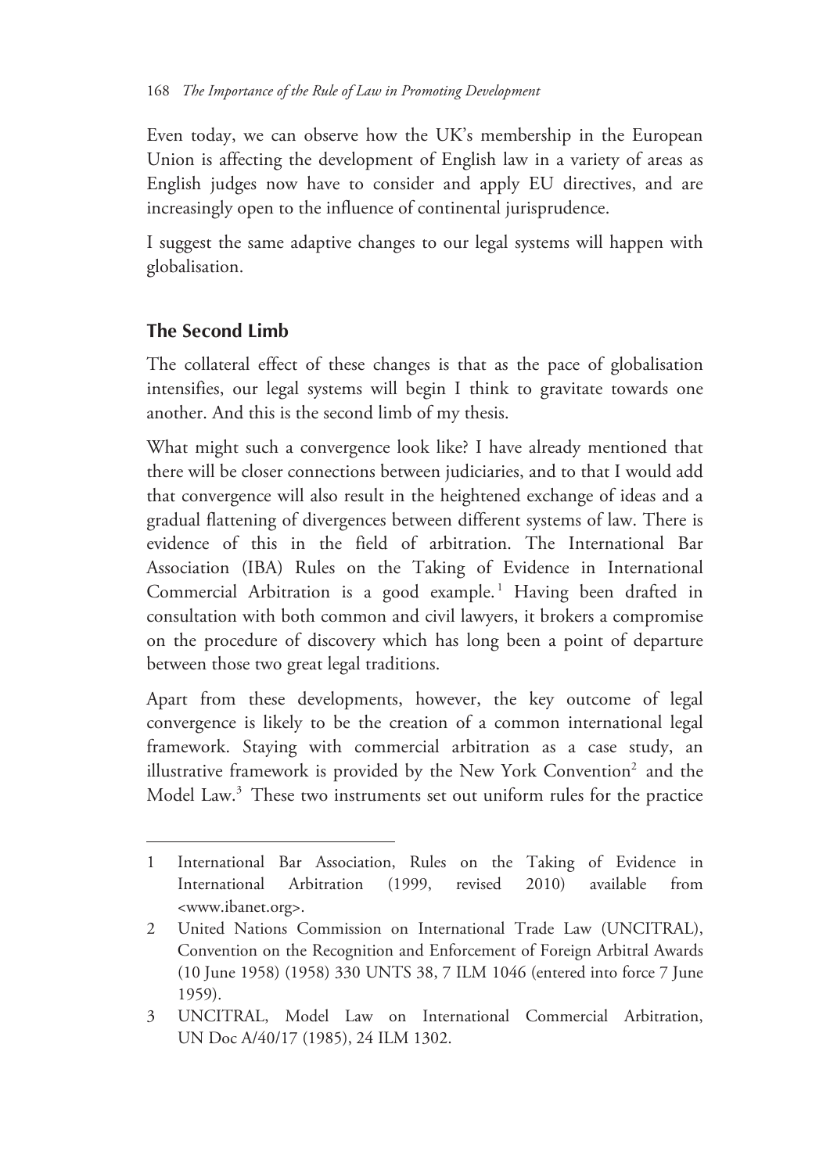Even today, we can observe how the UK's membership in the European Union is affecting the development of English law in a variety of areas as English judges now have to consider and apply EU directives, and are increasingly open to the influence of continental jurisprudence.

I suggest the same adaptive changes to our legal systems will happen with globalisation.

## **The Second Limb**

 $\overline{a}$ 

The collateral effect of these changes is that as the pace of globalisation intensifies, our legal systems will begin I think to gravitate towards one another. And this is the second limb of my thesis.

What might such a convergence look like? I have already mentioned that there will be closer connections between judiciaries, and to that I would add that convergence will also result in the heightened exchange of ideas and a gradual flattening of divergences between different systems of law. There is evidence of this in the field of arbitration. The International Bar Association (IBA) Rules on the Taking of Evidence in International Commercial Arbitration is a good example.<sup>1</sup> Having been drafted in consultation with both common and civil lawyers, it brokers a compromise on the procedure of discovery which has long been a point of departure between those two great legal traditions.

Apart from these developments, however, the key outcome of legal convergence is likely to be the creation of a common international legal framework. Staying with commercial arbitration as a case study, an illustrative framework is provided by the New York Convention<sup>2</sup> and the Model Law.<sup>3</sup> These two instruments set out uniform rules for the practice

<sup>1</sup> International Bar Association, Rules on the Taking of Evidence in International Arbitration (1999, revised 2010) available from <www.ibanet.org>.

<sup>2</sup> United Nations Commission on International Trade Law (UNCITRAL), Convention on the Recognition and Enforcement of Foreign Arbitral Awards (10 June 1958) (1958) 330 UNTS 38, 7 ILM 1046 (entered into force 7 June 1959).

<sup>3</sup> UNCITRAL, Model Law on International Commercial Arbitration, UN Doc A/40/17 (1985), 24 ILM 1302.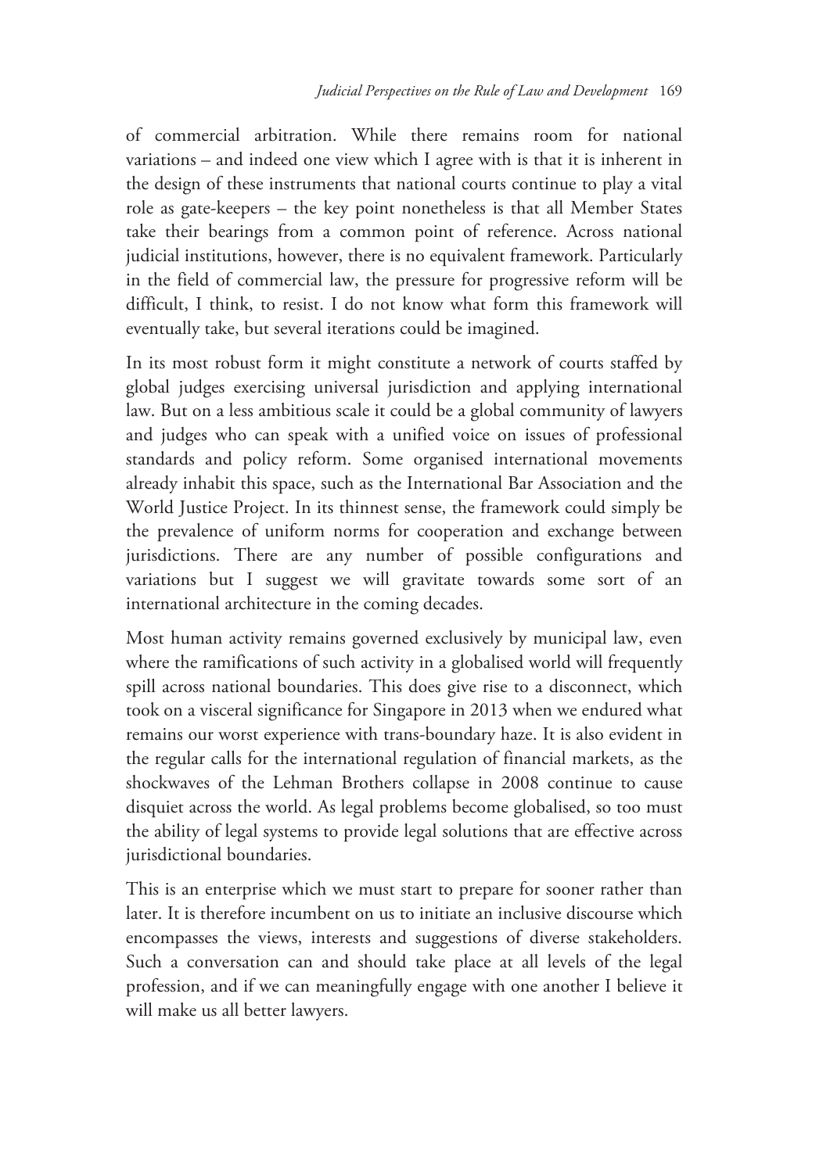of commercial arbitration. While there remains room for national variations – and indeed one view which I agree with is that it is inherent in the design of these instruments that national courts continue to play a vital role as gate-keepers – the key point nonetheless is that all Member States take their bearings from a common point of reference. Across national judicial institutions, however, there is no equivalent framework. Particularly in the field of commercial law, the pressure for progressive reform will be difficult, I think, to resist. I do not know what form this framework will eventually take, but several iterations could be imagined.

In its most robust form it might constitute a network of courts staffed by global judges exercising universal jurisdiction and applying international law. But on a less ambitious scale it could be a global community of lawyers and judges who can speak with a unified voice on issues of professional standards and policy reform. Some organised international movements already inhabit this space, such as the International Bar Association and the World Justice Project. In its thinnest sense, the framework could simply be the prevalence of uniform norms for cooperation and exchange between jurisdictions. There are any number of possible configurations and variations but I suggest we will gravitate towards some sort of an international architecture in the coming decades.

Most human activity remains governed exclusively by municipal law, even where the ramifications of such activity in a globalised world will frequently spill across national boundaries. This does give rise to a disconnect, which took on a visceral significance for Singapore in 2013 when we endured what remains our worst experience with trans-boundary haze. It is also evident in the regular calls for the international regulation of financial markets, as the shockwaves of the Lehman Brothers collapse in 2008 continue to cause disquiet across the world. As legal problems become globalised, so too must the ability of legal systems to provide legal solutions that are effective across jurisdictional boundaries.

This is an enterprise which we must start to prepare for sooner rather than later. It is therefore incumbent on us to initiate an inclusive discourse which encompasses the views, interests and suggestions of diverse stakeholders. Such a conversation can and should take place at all levels of the legal profession, and if we can meaningfully engage with one another I believe it will make us all better lawyers.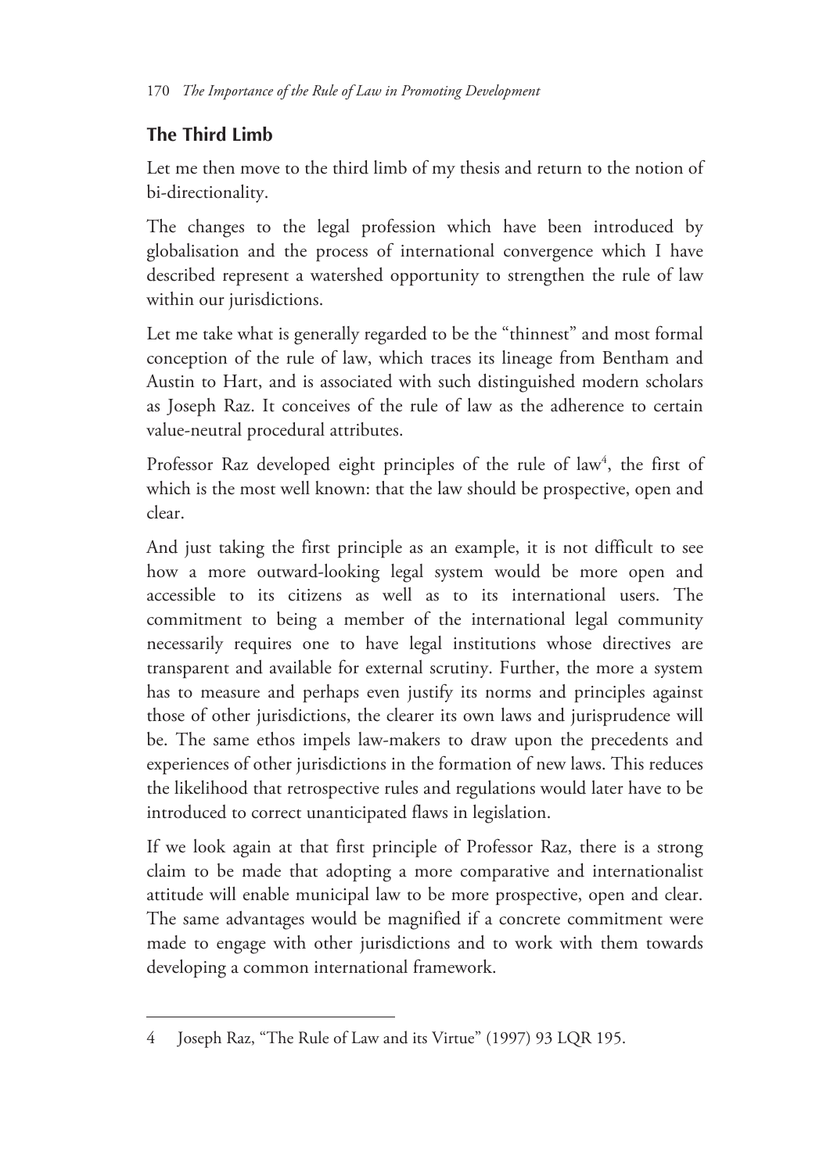## **The Third Limb**

 $\overline{a}$ 

Let me then move to the third limb of my thesis and return to the notion of bi-directionality.

The changes to the legal profession which have been introduced by globalisation and the process of international convergence which I have described represent a watershed opportunity to strengthen the rule of law within our jurisdictions.

Let me take what is generally regarded to be the "thinnest" and most formal conception of the rule of law, which traces its lineage from Bentham and Austin to Hart, and is associated with such distinguished modern scholars as Joseph Raz. It conceives of the rule of law as the adherence to certain value-neutral procedural attributes.

Professor Raz developed eight principles of the rule of law<sup>4</sup>, the first of which is the most well known: that the law should be prospective, open and clear.

And just taking the first principle as an example, it is not difficult to see how a more outward-looking legal system would be more open and accessible to its citizens as well as to its international users. The commitment to being a member of the international legal community necessarily requires one to have legal institutions whose directives are transparent and available for external scrutiny. Further, the more a system has to measure and perhaps even justify its norms and principles against those of other jurisdictions, the clearer its own laws and jurisprudence will be. The same ethos impels law-makers to draw upon the precedents and experiences of other jurisdictions in the formation of new laws. This reduces the likelihood that retrospective rules and regulations would later have to be introduced to correct unanticipated flaws in legislation.

If we look again at that first principle of Professor Raz, there is a strong claim to be made that adopting a more comparative and internationalist attitude will enable municipal law to be more prospective, open and clear. The same advantages would be magnified if a concrete commitment were made to engage with other jurisdictions and to work with them towards developing a common international framework.

<sup>4</sup> Joseph Raz, "The Rule of Law and its Virtue" (1997) 93 LQR 195.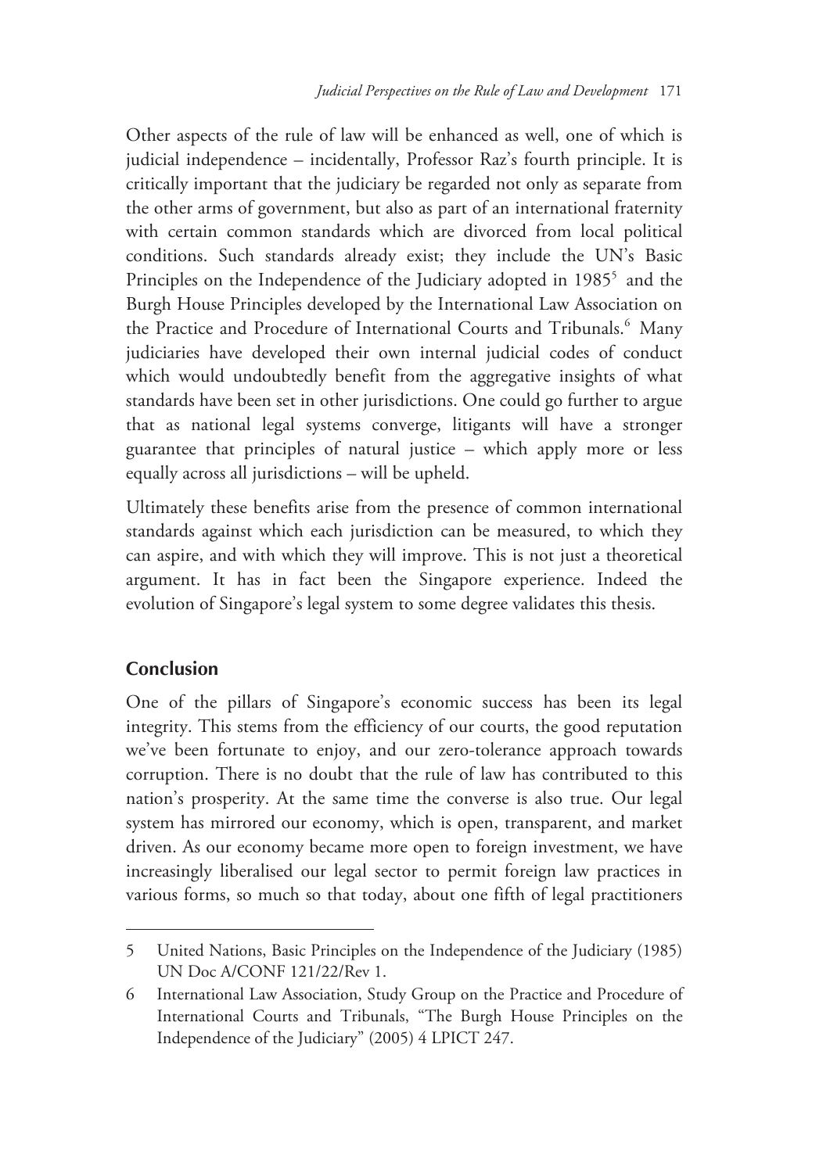Other aspects of the rule of law will be enhanced as well, one of which is judicial independence – incidentally, Professor Raz's fourth principle. It is critically important that the judiciary be regarded not only as separate from the other arms of government, but also as part of an international fraternity with certain common standards which are divorced from local political conditions. Such standards already exist; they include the UN's Basic Principles on the Independence of the Judiciary adopted in 1985<sup>5</sup> and the Burgh House Principles developed by the International Law Association on the Practice and Procedure of International Courts and Tribunals.<sup>6</sup> Many judiciaries have developed their own internal judicial codes of conduct which would undoubtedly benefit from the aggregative insights of what standards have been set in other jurisdictions. One could go further to argue that as national legal systems converge, litigants will have a stronger guarantee that principles of natural justice – which apply more or less equally across all jurisdictions – will be upheld.

Ultimately these benefits arise from the presence of common international standards against which each jurisdiction can be measured, to which they can aspire, and with which they will improve. This is not just a theoretical argument. It has in fact been the Singapore experience. Indeed the evolution of Singapore's legal system to some degree validates this thesis.

#### **Conclusion**

-

One of the pillars of Singapore's economic success has been its legal integrity. This stems from the efficiency of our courts, the good reputation we've been fortunate to enjoy, and our zero-tolerance approach towards corruption. There is no doubt that the rule of law has contributed to this nation's prosperity. At the same time the converse is also true. Our legal system has mirrored our economy, which is open, transparent, and market driven. As our economy became more open to foreign investment, we have increasingly liberalised our legal sector to permit foreign law practices in various forms, so much so that today, about one fifth of legal practitioners

<sup>5</sup> United Nations, Basic Principles on the Independence of the Judiciary (1985) UN Doc A/CONF 121/22/Rev 1.

<sup>6</sup> International Law Association, Study Group on the Practice and Procedure of International Courts and Tribunals, "The Burgh House Principles on the Independence of the Judiciary" (2005) 4 LPICT 247.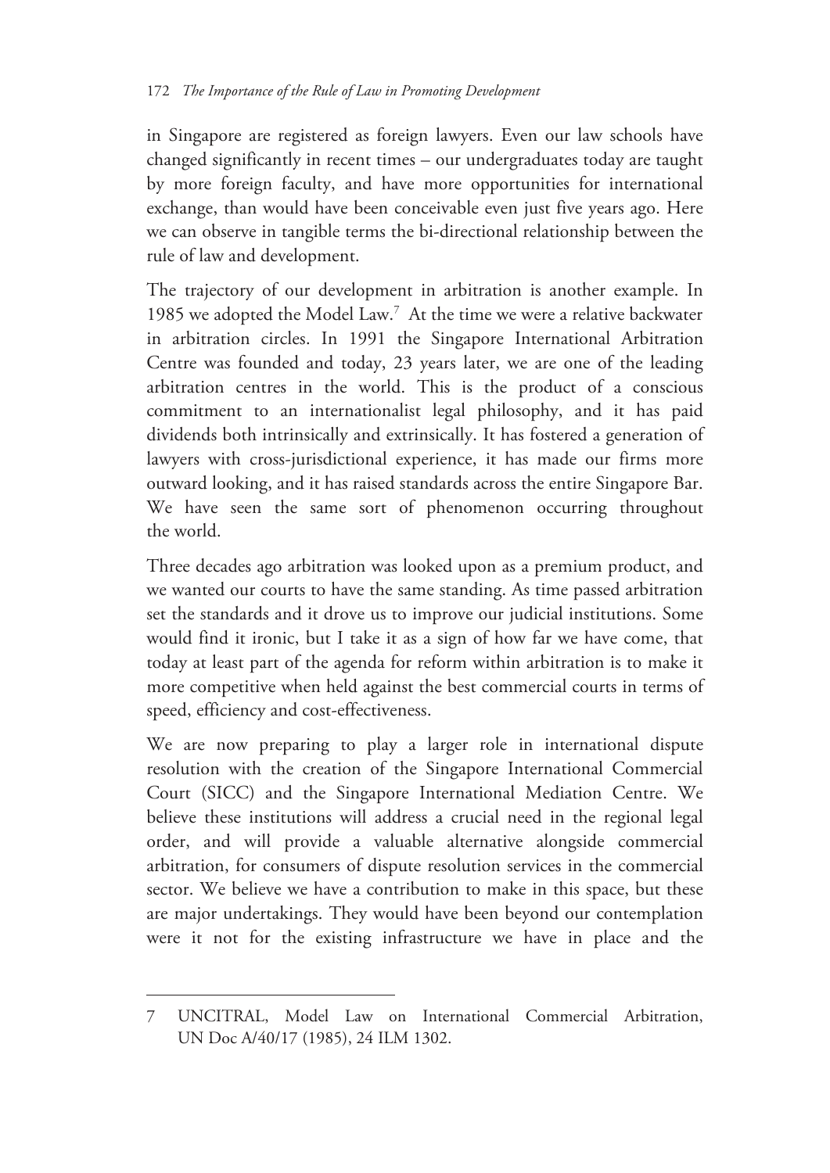in Singapore are registered as foreign lawyers. Even our law schools have changed significantly in recent times – our undergraduates today are taught by more foreign faculty, and have more opportunities for international exchange, than would have been conceivable even just five years ago. Here we can observe in tangible terms the bi-directional relationship between the rule of law and development.

The trajectory of our development in arbitration is another example. In 1985 we adopted the Model Law.<sup>7</sup> At the time we were a relative backwater in arbitration circles. In 1991 the Singapore International Arbitration Centre was founded and today, 23 years later, we are one of the leading arbitration centres in the world. This is the product of a conscious commitment to an internationalist legal philosophy, and it has paid dividends both intrinsically and extrinsically. It has fostered a generation of lawyers with cross-jurisdictional experience, it has made our firms more outward looking, and it has raised standards across the entire Singapore Bar. We have seen the same sort of phenomenon occurring throughout the world.

Three decades ago arbitration was looked upon as a premium product, and we wanted our courts to have the same standing. As time passed arbitration set the standards and it drove us to improve our judicial institutions. Some would find it ironic, but I take it as a sign of how far we have come, that today at least part of the agenda for reform within arbitration is to make it more competitive when held against the best commercial courts in terms of speed, efficiency and cost-effectiveness.

We are now preparing to play a larger role in international dispute resolution with the creation of the Singapore International Commercial Court (SICC) and the Singapore International Mediation Centre. We believe these institutions will address a crucial need in the regional legal order, and will provide a valuable alternative alongside commercial arbitration, for consumers of dispute resolution services in the commercial sector. We believe we have a contribution to make in this space, but these are major undertakings. They would have been beyond our contemplation were it not for the existing infrastructure we have in place and the

<sup>7</sup> UNCITRAL, Model Law on International Commercial Arbitration, UN Doc A/40/17 (1985), 24 ILM 1302.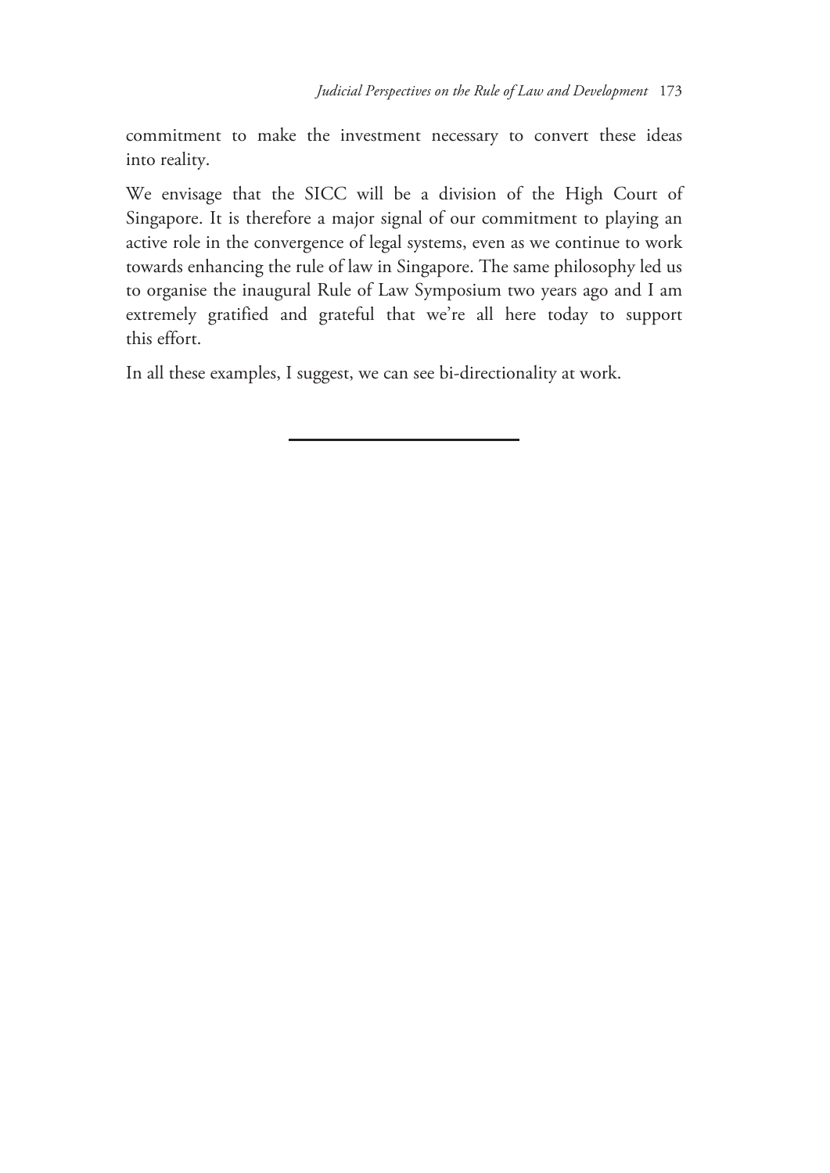commitment to make the investment necessary to convert these ideas into reality.

We envisage that the SICC will be a division of the High Court of Singapore. It is therefore a major signal of our commitment to playing an active role in the convergence of legal systems, even as we continue to work towards enhancing the rule of law in Singapore. The same philosophy led us to organise the inaugural Rule of Law Symposium two years ago and I am extremely gratified and grateful that we're all here today to support this effort.

In all these examples, I suggest, we can see bi-directionality at work.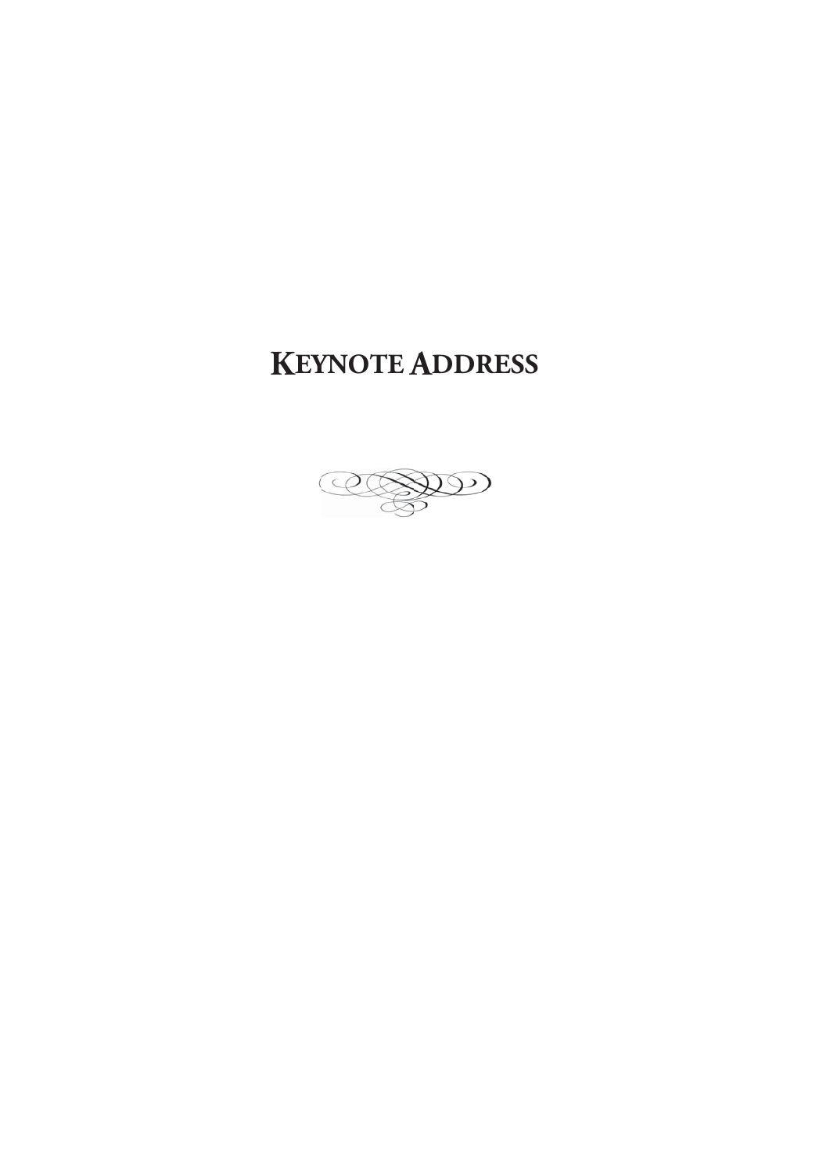## **KEYNOTE ADDRESS**

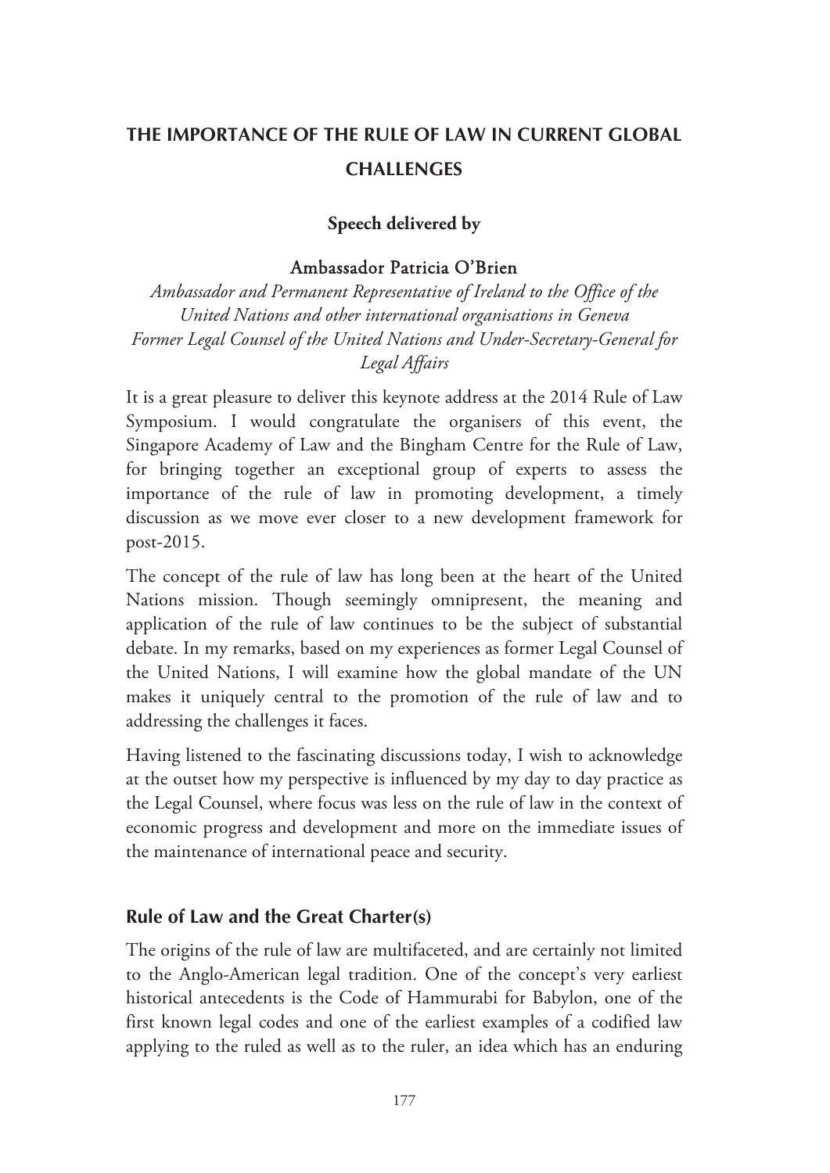## **THE IMPORTANCE OF THE RULE OF LAW IN CURRENT GLOBAL CHALLENGES**

#### **Speech delivered by**

#### Ambassador Patricia O'Brien

*Ambassador and Permanent Representative of Ireland to the Office of the United Nations and other international organisations in Geneva Former Legal Counsel of the United Nations and Under-Secretary-General for Legal Affairs* 

It is a great pleasure to deliver this keynote address at the 2014 Rule of Law Symposium. I would congratulate the organisers of this event, the Singapore Academy of Law and the Bingham Centre for the Rule of Law, for bringing together an exceptional group of experts to assess the importance of the rule of law in promoting development, a timely discussion as we move ever closer to a new development framework for post-2015.

The concept of the rule of law has long been at the heart of the United Nations mission. Though seemingly omnipresent, the meaning and application of the rule of law continues to be the subject of substantial debate. In my remarks, based on my experiences as former Legal Counsel of the United Nations, I will examine how the global mandate of the UN makes it uniquely central to the promotion of the rule of law and to addressing the challenges it faces.

Having listened to the fascinating discussions today, I wish to acknowledge at the outset how my perspective is influenced by my day to day practice as the Legal Counsel, where focus was less on the rule of law in the context of economic progress and development and more on the immediate issues of the maintenance of international peace and security.

#### **Rule of Law and the Great Charter(s)**

The origins of the rule of law are multifaceted, and are certainly not limited to the Anglo-American legal tradition. One of the concept's very earliest historical antecedents is the Code of Hammurabi for Babylon, one of the first known legal codes and one of the earliest examples of a codified law applying to the ruled as well as to the ruler, an idea which has an enduring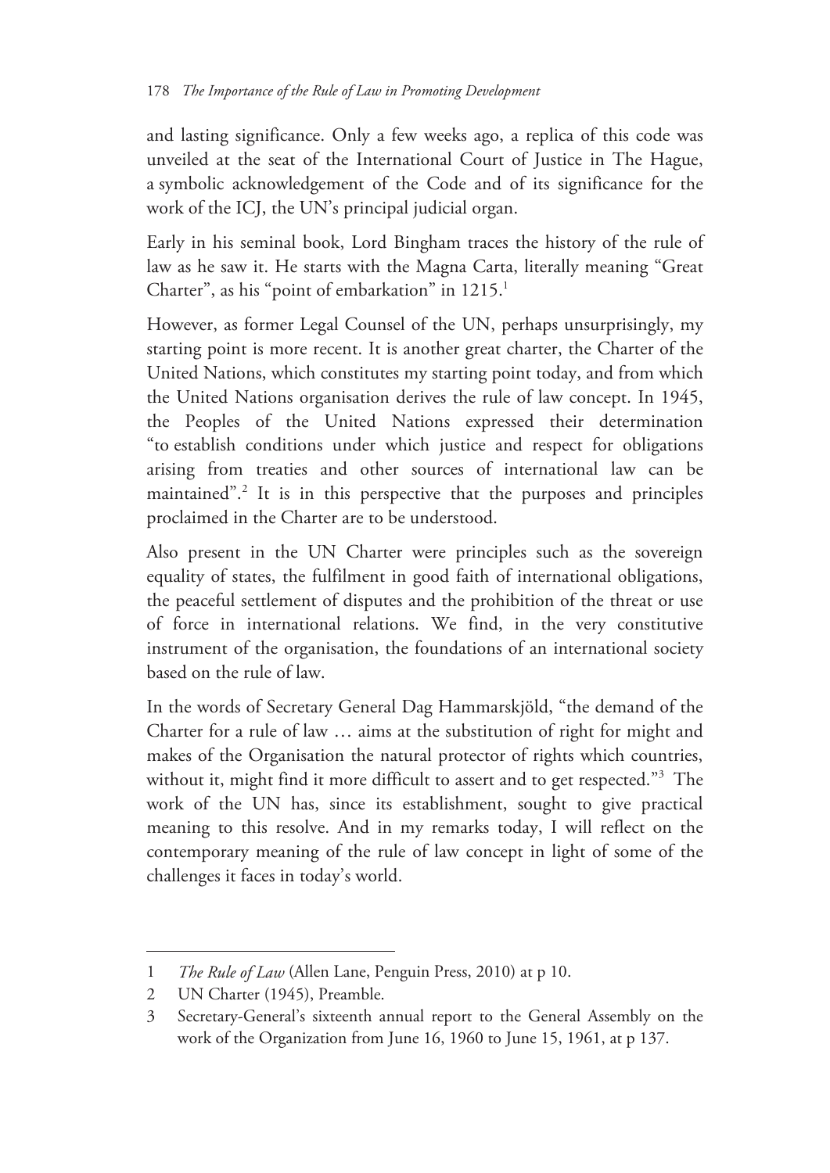and lasting significance. Only a few weeks ago, a replica of this code was unveiled at the seat of the International Court of Justice in The Hague, a symbolic acknowledgement of the Code and of its significance for the work of the ICJ, the UN's principal judicial organ.

Early in his seminal book, Lord Bingham traces the history of the rule of law as he saw it. He starts with the Magna Carta, literally meaning "Great Charter", as his "point of embarkation" in 1215.<sup>1</sup>

However, as former Legal Counsel of the UN, perhaps unsurprisingly, my starting point is more recent. It is another great charter, the Charter of the United Nations, which constitutes my starting point today, and from which the United Nations organisation derives the rule of law concept. In 1945, the Peoples of the United Nations expressed their determination "to establish conditions under which justice and respect for obligations arising from treaties and other sources of international law can be maintained".<sup>2</sup> It is in this perspective that the purposes and principles proclaimed in the Charter are to be understood.

Also present in the UN Charter were principles such as the sovereign equality of states, the fulfilment in good faith of international obligations, the peaceful settlement of disputes and the prohibition of the threat or use of force in international relations. We find, in the very constitutive instrument of the organisation, the foundations of an international society based on the rule of law.

In the words of Secretary General Dag Hammarskjöld, "the demand of the Charter for a rule of law … aims at the substitution of right for might and makes of the Organisation the natural protector of rights which countries, without it, might find it more difficult to assert and to get respected."<sup>3</sup> The work of the UN has, since its establishment, sought to give practical meaning to this resolve. And in my remarks today, I will reflect on the contemporary meaning of the rule of law concept in light of some of the challenges it faces in today's world.

<sup>1</sup> *The Rule of Law* (Allen Lane, Penguin Press, 2010) at p 10.

<sup>2</sup> UN Charter (1945), Preamble.

<sup>3</sup> Secretary-General's sixteenth annual report to the General Assembly on the work of the Organization from June 16, 1960 to June 15, 1961, at p 137.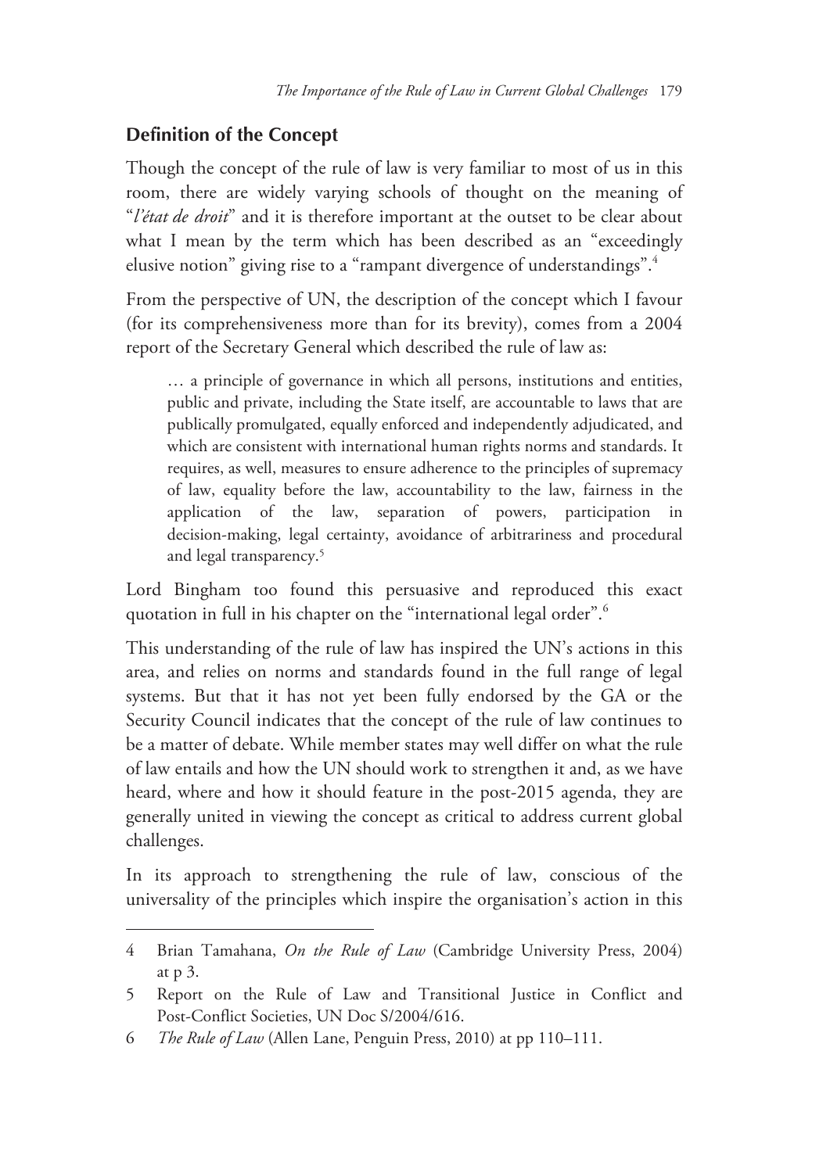#### **Definition of the Concept**

Though the concept of the rule of law is very familiar to most of us in this room, there are widely varying schools of thought on the meaning of "*l'état de droit*" and it is therefore important at the outset to be clear about what I mean by the term which has been described as an "exceedingly elusive notion" giving rise to a "rampant divergence of understandings".4

From the perspective of UN, the description of the concept which I favour (for its comprehensiveness more than for its brevity), comes from a 2004 report of the Secretary General which described the rule of law as:

… a principle of governance in which all persons, institutions and entities, public and private, including the State itself, are accountable to laws that are publically promulgated, equally enforced and independently adjudicated, and which are consistent with international human rights norms and standards. It requires, as well, measures to ensure adherence to the principles of supremacy of law, equality before the law, accountability to the law, fairness in the application of the law, separation of powers, participation in decision-making, legal certainty, avoidance of arbitrariness and procedural and legal transparency.<sup>5</sup>

Lord Bingham too found this persuasive and reproduced this exact quotation in full in his chapter on the "international legal order".<sup>6</sup>

This understanding of the rule of law has inspired the UN's actions in this area, and relies on norms and standards found in the full range of legal systems. But that it has not yet been fully endorsed by the GA or the Security Council indicates that the concept of the rule of law continues to be a matter of debate. While member states may well differ on what the rule of law entails and how the UN should work to strengthen it and, as we have heard, where and how it should feature in the post-2015 agenda, they are generally united in viewing the concept as critical to address current global challenges.

In its approach to strengthening the rule of law, conscious of the universality of the principles which inspire the organisation's action in this

-

<sup>4</sup> Brian Tamahana, *On the Rule of Law* (Cambridge University Press, 2004) at p 3.

<sup>5</sup> Report on the Rule of Law and Transitional Justice in Conflict and Post-Conflict Societies, UN Doc S/2004/616.

<sup>6</sup> *The Rule of Law* (Allen Lane, Penguin Press, 2010) at pp 110–111.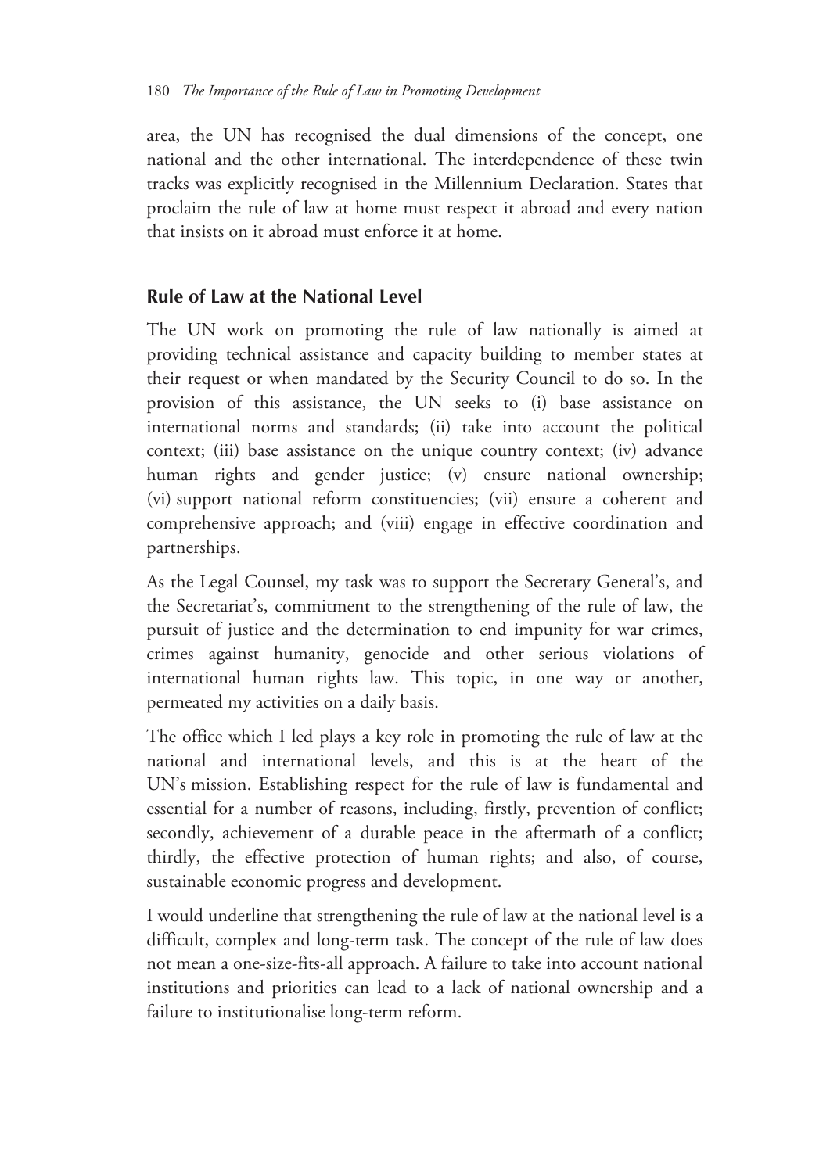area, the UN has recognised the dual dimensions of the concept, one national and the other international. The interdependence of these twin tracks was explicitly recognised in the Millennium Declaration. States that proclaim the rule of law at home must respect it abroad and every nation that insists on it abroad must enforce it at home.

#### **Rule of Law at the National Level**

The UN work on promoting the rule of law nationally is aimed at providing technical assistance and capacity building to member states at their request or when mandated by the Security Council to do so. In the provision of this assistance, the UN seeks to (i) base assistance on international norms and standards; (ii) take into account the political context; (iii) base assistance on the unique country context; (iv) advance human rights and gender justice; (v) ensure national ownership; (vi) support national reform constituencies; (vii) ensure a coherent and comprehensive approach; and (viii) engage in effective coordination and partnerships.

As the Legal Counsel, my task was to support the Secretary General's, and the Secretariat's, commitment to the strengthening of the rule of law, the pursuit of justice and the determination to end impunity for war crimes, crimes against humanity, genocide and other serious violations of international human rights law. This topic, in one way or another, permeated my activities on a daily basis.

The office which I led plays a key role in promoting the rule of law at the national and international levels, and this is at the heart of the UN's mission. Establishing respect for the rule of law is fundamental and essential for a number of reasons, including, firstly, prevention of conflict; secondly, achievement of a durable peace in the aftermath of a conflict; thirdly, the effective protection of human rights; and also, of course, sustainable economic progress and development.

I would underline that strengthening the rule of law at the national level is a difficult, complex and long-term task. The concept of the rule of law does not mean a one-size-fits-all approach. A failure to take into account national institutions and priorities can lead to a lack of national ownership and a failure to institutionalise long-term reform.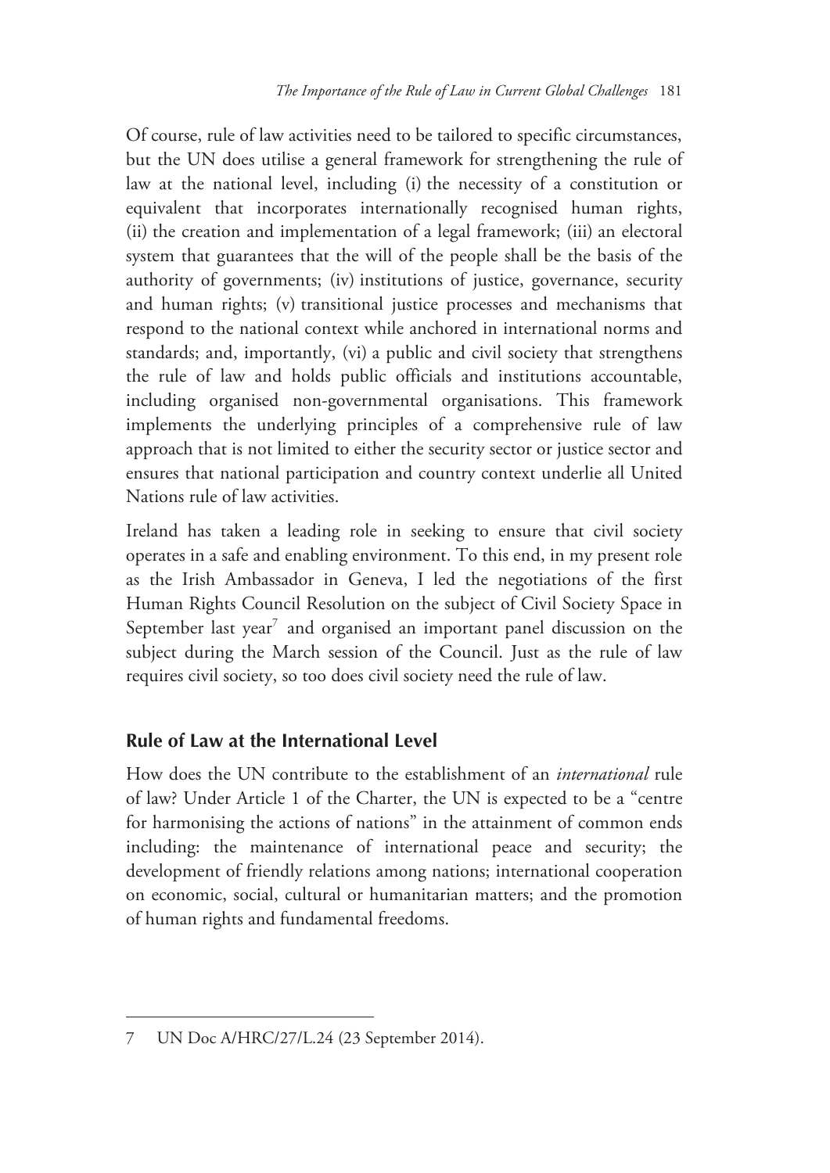Of course, rule of law activities need to be tailored to specific circumstances, but the UN does utilise a general framework for strengthening the rule of law at the national level, including (i) the necessity of a constitution or equivalent that incorporates internationally recognised human rights, (ii) the creation and implementation of a legal framework; (iii) an electoral system that guarantees that the will of the people shall be the basis of the authority of governments; (iv) institutions of justice, governance, security and human rights; (v) transitional justice processes and mechanisms that respond to the national context while anchored in international norms and standards; and, importantly, (vi) a public and civil society that strengthens the rule of law and holds public officials and institutions accountable, including organised non-governmental organisations. This framework implements the underlying principles of a comprehensive rule of law approach that is not limited to either the security sector or justice sector and ensures that national participation and country context underlie all United Nations rule of law activities.

Ireland has taken a leading role in seeking to ensure that civil society operates in a safe and enabling environment. To this end, in my present role as the Irish Ambassador in Geneva, I led the negotiations of the first Human Rights Council Resolution on the subject of Civil Society Space in September last year<sup>7</sup> and organised an important panel discussion on the subject during the March session of the Council. Just as the rule of law requires civil society, so too does civil society need the rule of law.

## **Rule of Law at the International Level**

How does the UN contribute to the establishment of an *international* rule of law? Under Article 1 of the Charter, the UN is expected to be a "centre for harmonising the actions of nations" in the attainment of common ends including: the maintenance of international peace and security; the development of friendly relations among nations; international cooperation on economic, social, cultural or humanitarian matters; and the promotion of human rights and fundamental freedoms.

-

<sup>7</sup> UN Doc A/HRC/27/L.24 (23 September 2014).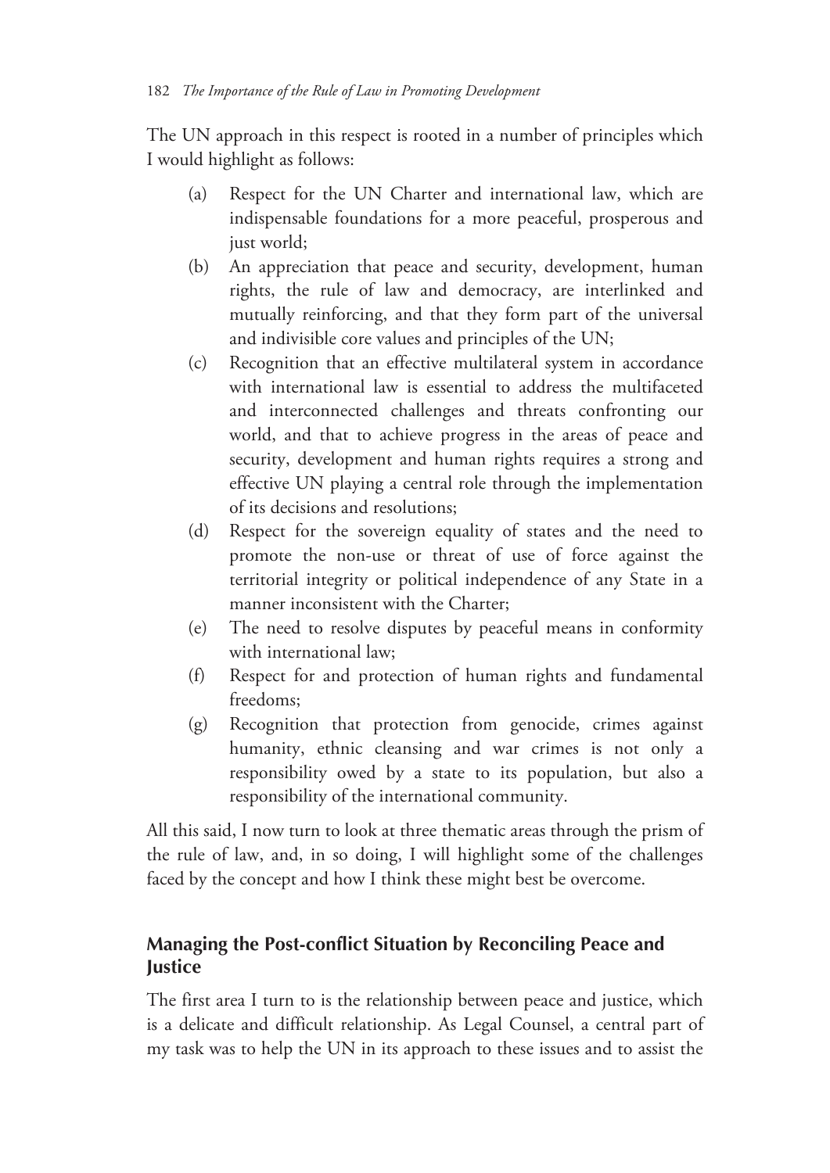The UN approach in this respect is rooted in a number of principles which I would highlight as follows:

- (a) Respect for the UN Charter and international law, which are indispensable foundations for a more peaceful, prosperous and just world;
- (b) An appreciation that peace and security, development, human rights, the rule of law and democracy, are interlinked and mutually reinforcing, and that they form part of the universal and indivisible core values and principles of the UN;
- (c) Recognition that an effective multilateral system in accordance with international law is essential to address the multifaceted and interconnected challenges and threats confronting our world, and that to achieve progress in the areas of peace and security, development and human rights requires a strong and effective UN playing a central role through the implementation of its decisions and resolutions;
- (d) Respect for the sovereign equality of states and the need to promote the non-use or threat of use of force against the territorial integrity or political independence of any State in a manner inconsistent with the Charter;
- (e) The need to resolve disputes by peaceful means in conformity with international law;
- (f) Respect for and protection of human rights and fundamental freedoms;
- (g) Recognition that protection from genocide, crimes against humanity, ethnic cleansing and war crimes is not only a responsibility owed by a state to its population, but also a responsibility of the international community.

All this said, I now turn to look at three thematic areas through the prism of the rule of law, and, in so doing, I will highlight some of the challenges faced by the concept and how I think these might best be overcome.

## **Managing the Post-conflict Situation by Reconciling Peace and Justice**

The first area I turn to is the relationship between peace and justice, which is a delicate and difficult relationship. As Legal Counsel, a central part of my task was to help the UN in its approach to these issues and to assist the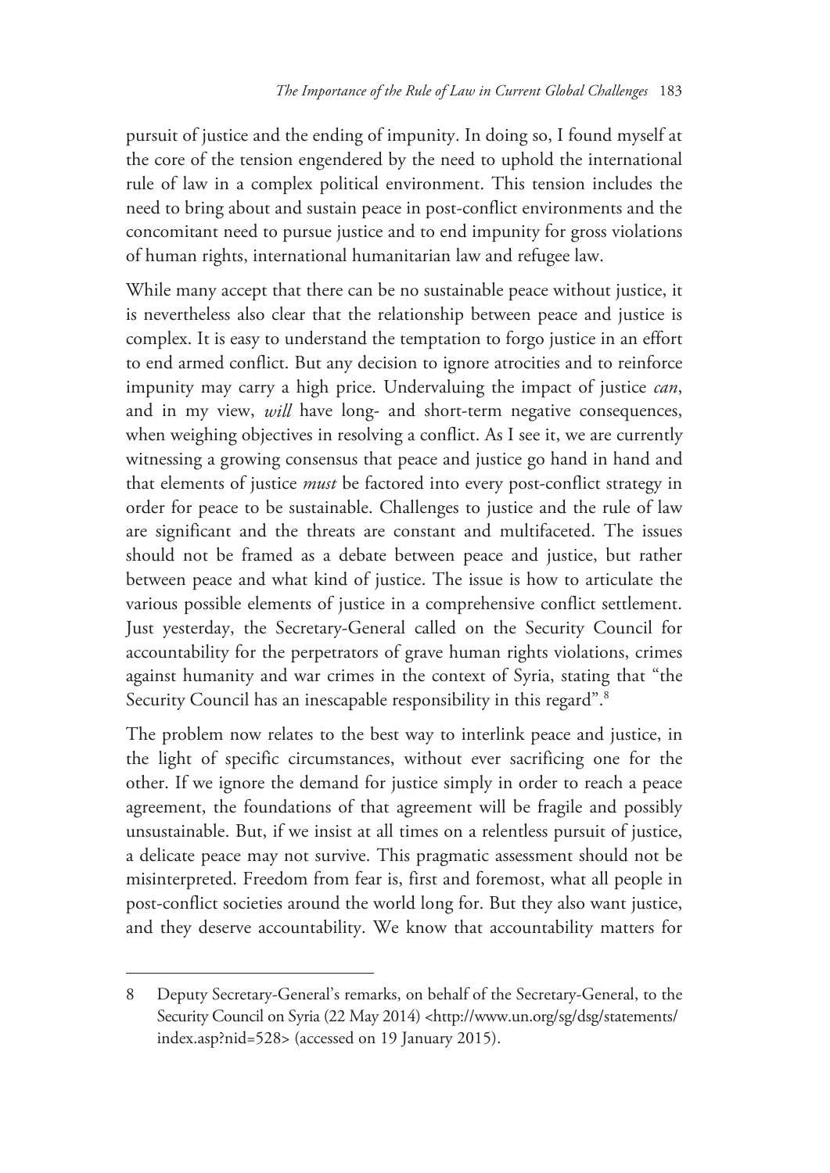pursuit of justice and the ending of impunity. In doing so, I found myself at the core of the tension engendered by the need to uphold the international rule of law in a complex political environment. This tension includes the need to bring about and sustain peace in post-conflict environments and the concomitant need to pursue justice and to end impunity for gross violations of human rights, international humanitarian law and refugee law.

While many accept that there can be no sustainable peace without justice, it is nevertheless also clear that the relationship between peace and justice is complex. It is easy to understand the temptation to forgo justice in an effort to end armed conflict. But any decision to ignore atrocities and to reinforce impunity may carry a high price. Undervaluing the impact of justice *can*, and in my view, *will* have long- and short-term negative consequences, when weighing objectives in resolving a conflict. As I see it, we are currently witnessing a growing consensus that peace and justice go hand in hand and that elements of justice *must* be factored into every post-conflict strategy in order for peace to be sustainable. Challenges to justice and the rule of law are significant and the threats are constant and multifaceted. The issues should not be framed as a debate between peace and justice, but rather between peace and what kind of justice. The issue is how to articulate the various possible elements of justice in a comprehensive conflict settlement. Just yesterday, the Secretary-General called on the Security Council for accountability for the perpetrators of grave human rights violations, crimes against humanity and war crimes in the context of Syria, stating that "the Security Council has an inescapable responsibility in this regard".<sup>8</sup>

The problem now relates to the best way to interlink peace and justice, in the light of specific circumstances, without ever sacrificing one for the other. If we ignore the demand for justice simply in order to reach a peace agreement, the foundations of that agreement will be fragile and possibly unsustainable. But, if we insist at all times on a relentless pursuit of justice, a delicate peace may not survive. This pragmatic assessment should not be misinterpreted. Freedom from fear is, first and foremost, what all people in post-conflict societies around the world long for. But they also want justice, and they deserve accountability. We know that accountability matters for

-

<sup>8</sup> Deputy Secretary-General's remarks, on behalf of the Secretary-General, to the Security Council on Syria (22 May 2014) <http://www.un.org/sg/dsg/statements/ index.asp?nid=528> (accessed on 19 January 2015).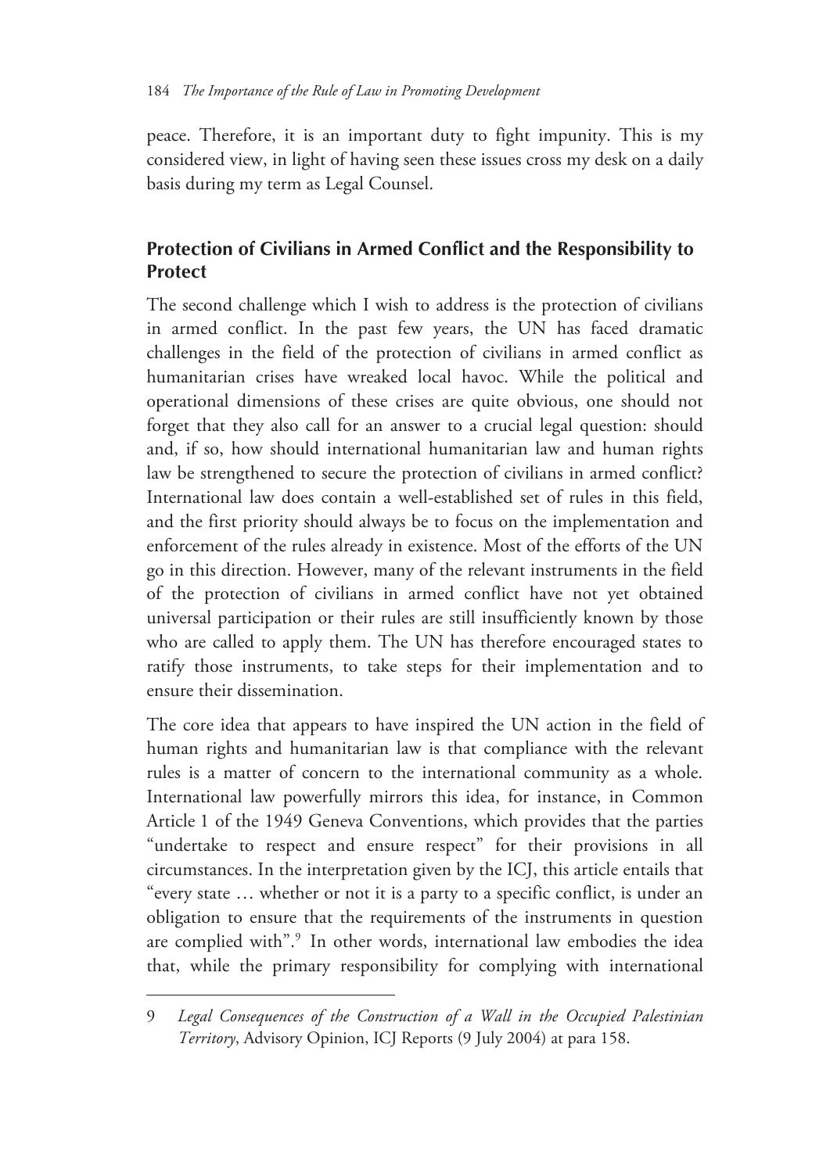peace. Therefore, it is an important duty to fight impunity. This is my considered view, in light of having seen these issues cross my desk on a daily basis during my term as Legal Counsel.

## **Protection of Civilians in Armed Conflict and the Responsibility to Protect**

The second challenge which I wish to address is the protection of civilians in armed conflict. In the past few years, the UN has faced dramatic challenges in the field of the protection of civilians in armed conflict as humanitarian crises have wreaked local havoc. While the political and operational dimensions of these crises are quite obvious, one should not forget that they also call for an answer to a crucial legal question: should and, if so, how should international humanitarian law and human rights law be strengthened to secure the protection of civilians in armed conflict? International law does contain a well-established set of rules in this field, and the first priority should always be to focus on the implementation and enforcement of the rules already in existence. Most of the efforts of the UN go in this direction. However, many of the relevant instruments in the field of the protection of civilians in armed conflict have not yet obtained universal participation or their rules are still insufficiently known by those who are called to apply them. The UN has therefore encouraged states to ratify those instruments, to take steps for their implementation and to ensure their dissemination.

The core idea that appears to have inspired the UN action in the field of human rights and humanitarian law is that compliance with the relevant rules is a matter of concern to the international community as a whole. International law powerfully mirrors this idea, for instance, in Common Article 1 of the 1949 Geneva Conventions, which provides that the parties "undertake to respect and ensure respect" for their provisions in all circumstances. In the interpretation given by the ICJ, this article entails that "every state … whether or not it is a party to a specific conflict, is under an obligation to ensure that the requirements of the instruments in question are complied with".<sup>9</sup> In other words, international law embodies the idea that, while the primary responsibility for complying with international

<sup>9</sup> *Legal Consequences of the Construction of a Wall in the Occupied Palestinian Territory*, Advisory Opinion, ICJ Reports (9 July 2004) at para 158.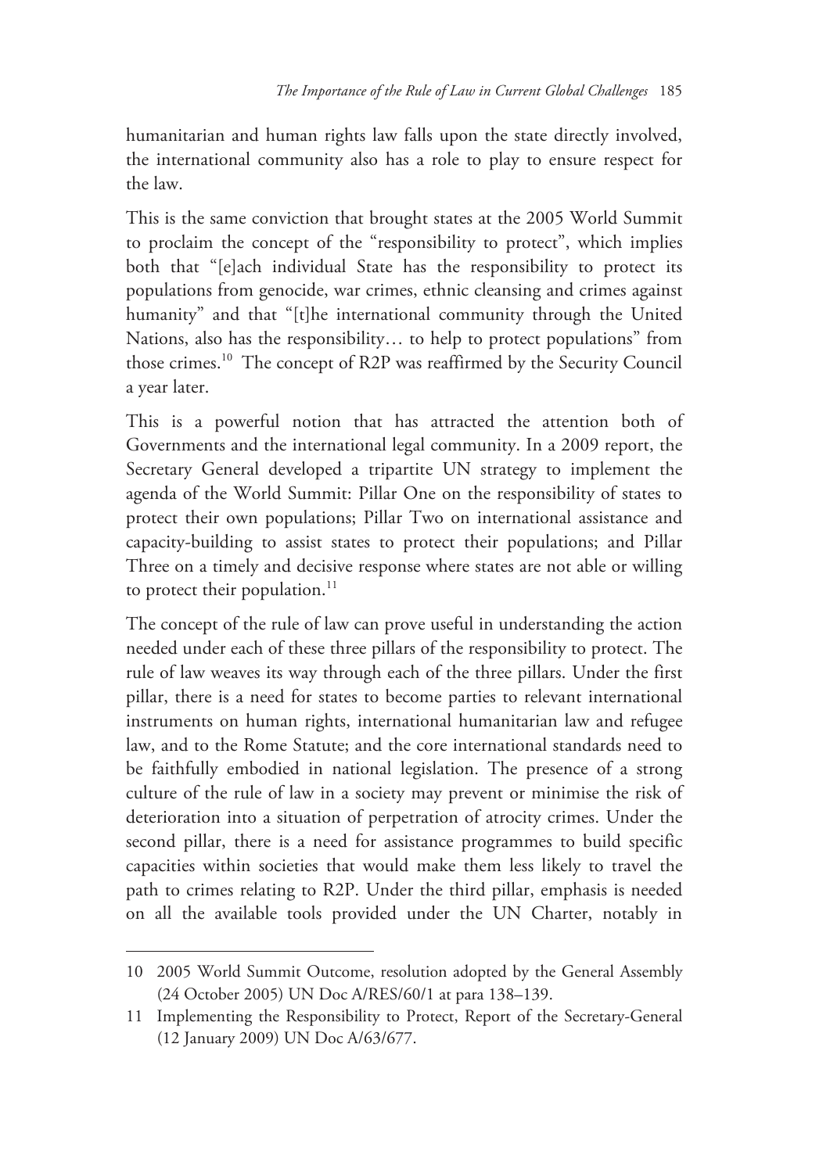humanitarian and human rights law falls upon the state directly involved, the international community also has a role to play to ensure respect for the law.

This is the same conviction that brought states at the 2005 World Summit to proclaim the concept of the "responsibility to protect", which implies both that "[e]ach individual State has the responsibility to protect its populations from genocide, war crimes, ethnic cleansing and crimes against humanity" and that "[t]he international community through the United Nations, also has the responsibility… to help to protect populations" from those crimes.10 The concept of R2P was reaffirmed by the Security Council a year later.

This is a powerful notion that has attracted the attention both of Governments and the international legal community. In a 2009 report, the Secretary General developed a tripartite UN strategy to implement the agenda of the World Summit: Pillar One on the responsibility of states to protect their own populations; Pillar Two on international assistance and capacity-building to assist states to protect their populations; and Pillar Three on a timely and decisive response where states are not able or willing to protect their population.<sup>11</sup>

The concept of the rule of law can prove useful in understanding the action needed under each of these three pillars of the responsibility to protect. The rule of law weaves its way through each of the three pillars. Under the first pillar, there is a need for states to become parties to relevant international instruments on human rights, international humanitarian law and refugee law, and to the Rome Statute; and the core international standards need to be faithfully embodied in national legislation. The presence of a strong culture of the rule of law in a society may prevent or minimise the risk of deterioration into a situation of perpetration of atrocity crimes. Under the second pillar, there is a need for assistance programmes to build specific capacities within societies that would make them less likely to travel the path to crimes relating to R2P. Under the third pillar, emphasis is needed on all the available tools provided under the UN Charter, notably in

-

<sup>10 2005</sup> World Summit Outcome, resolution adopted by the General Assembly (24 October 2005) UN Doc A/RES/60/1 at para 138–139.

<sup>11</sup> Implementing the Responsibility to Protect, Report of the Secretary-General (12 January 2009) UN Doc A/63/677.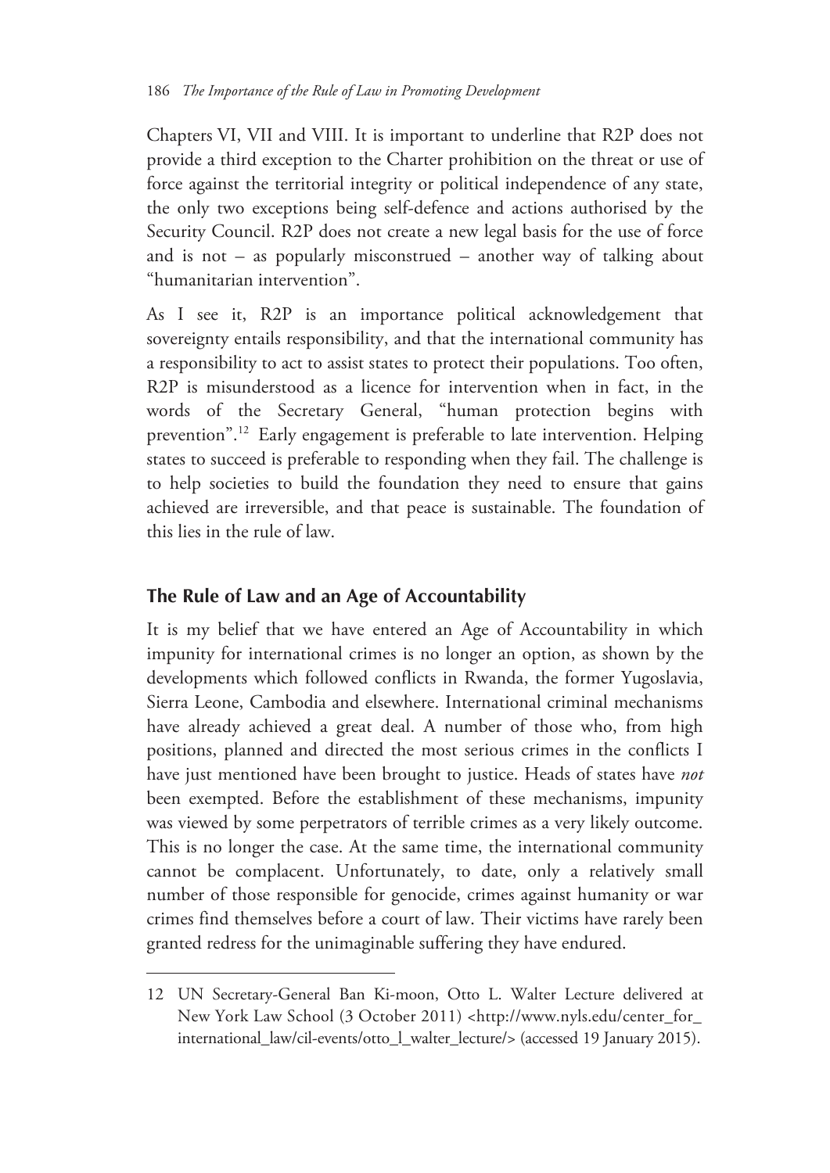Chapters VI, VII and VIII. It is important to underline that R2P does not provide a third exception to the Charter prohibition on the threat or use of force against the territorial integrity or political independence of any state, the only two exceptions being self-defence and actions authorised by the Security Council. R2P does not create a new legal basis for the use of force and is not – as popularly misconstrued – another way of talking about "humanitarian intervention".

As I see it, R2P is an importance political acknowledgement that sovereignty entails responsibility, and that the international community has a responsibility to act to assist states to protect their populations. Too often, R2P is misunderstood as a licence for intervention when in fact, in the words of the Secretary General, "human protection begins with prevention".12 Early engagement is preferable to late intervention. Helping states to succeed is preferable to responding when they fail. The challenge is to help societies to build the foundation they need to ensure that gains achieved are irreversible, and that peace is sustainable. The foundation of this lies in the rule of law.

#### **The Rule of Law and an Age of Accountability**

 $\overline{a}$ 

It is my belief that we have entered an Age of Accountability in which impunity for international crimes is no longer an option, as shown by the developments which followed conflicts in Rwanda, the former Yugoslavia, Sierra Leone, Cambodia and elsewhere. International criminal mechanisms have already achieved a great deal. A number of those who, from high positions, planned and directed the most serious crimes in the conflicts I have just mentioned have been brought to justice. Heads of states have *not* been exempted. Before the establishment of these mechanisms, impunity was viewed by some perpetrators of terrible crimes as a very likely outcome. This is no longer the case. At the same time, the international community cannot be complacent. Unfortunately, to date, only a relatively small number of those responsible for genocide, crimes against humanity or war crimes find themselves before a court of law. Their victims have rarely been granted redress for the unimaginable suffering they have endured.

<sup>12</sup> UN Secretary-General Ban Ki-moon, Otto L. Walter Lecture delivered at New York Law School (3 October 2011) <http://www.nyls.edu/center\_for\_ international\_law/cil-events/otto\_l\_walter\_lecture/> (accessed 19 January 2015).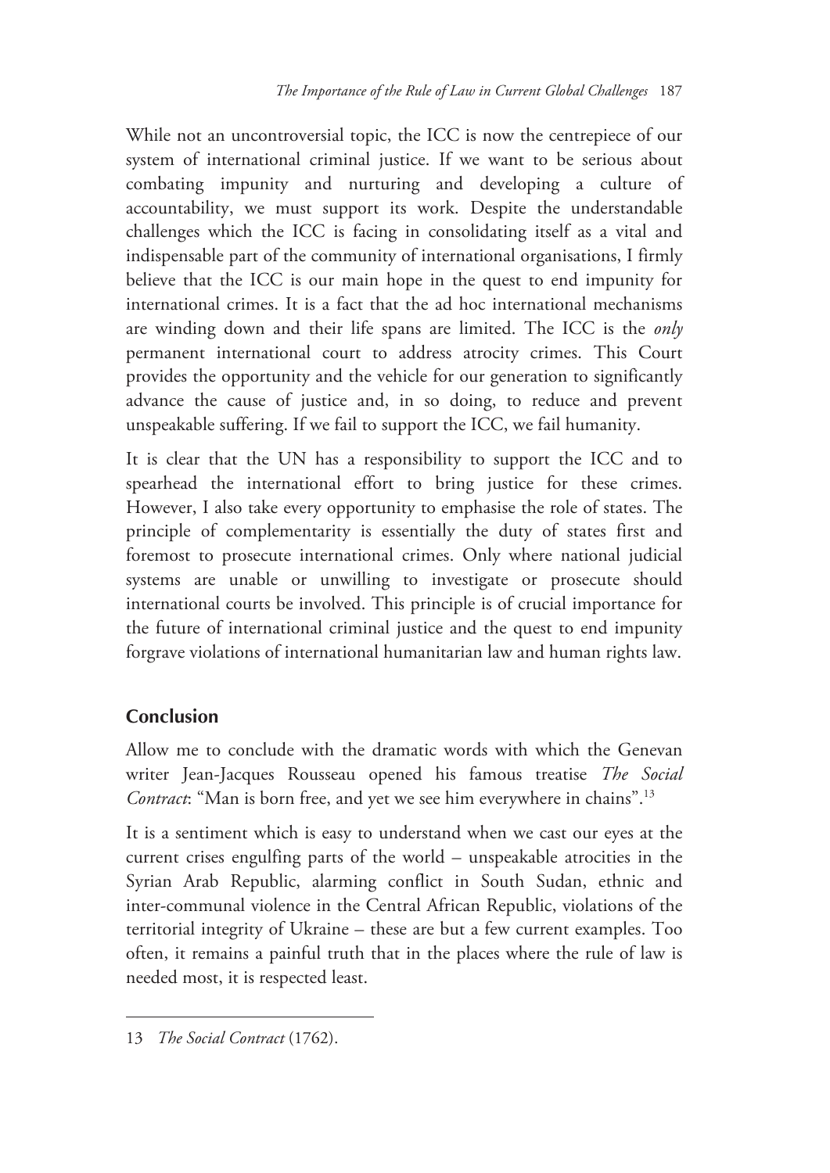While not an uncontroversial topic, the ICC is now the centrepiece of our system of international criminal justice. If we want to be serious about combating impunity and nurturing and developing a culture of accountability, we must support its work. Despite the understandable challenges which the ICC is facing in consolidating itself as a vital and indispensable part of the community of international organisations, I firmly believe that the ICC is our main hope in the quest to end impunity for international crimes. It is a fact that the ad hoc international mechanisms are winding down and their life spans are limited. The ICC is the *only* permanent international court to address atrocity crimes. This Court provides the opportunity and the vehicle for our generation to significantly advance the cause of justice and, in so doing, to reduce and prevent unspeakable suffering. If we fail to support the ICC, we fail humanity.

It is clear that the UN has a responsibility to support the ICC and to spearhead the international effort to bring justice for these crimes. However, I also take every opportunity to emphasise the role of states. The principle of complementarity is essentially the duty of states first and foremost to prosecute international crimes. Only where national judicial systems are unable or unwilling to investigate or prosecute should international courts be involved. This principle is of crucial importance for the future of international criminal justice and the quest to end impunity forgrave violations of international humanitarian law and human rights law.

#### **Conclusion**

-

Allow me to conclude with the dramatic words with which the Genevan writer Jean-Jacques Rousseau opened his famous treatise *The Social Contract*: "Man is born free, and yet we see him everywhere in chains".13

It is a sentiment which is easy to understand when we cast our eyes at the current crises engulfing parts of the world – unspeakable atrocities in the Syrian Arab Republic, alarming conflict in South Sudan, ethnic and inter-communal violence in the Central African Republic, violations of the territorial integrity of Ukraine – these are but a few current examples. Too often, it remains a painful truth that in the places where the rule of law is needed most, it is respected least.

<sup>13</sup> *The Social Contract* (1762).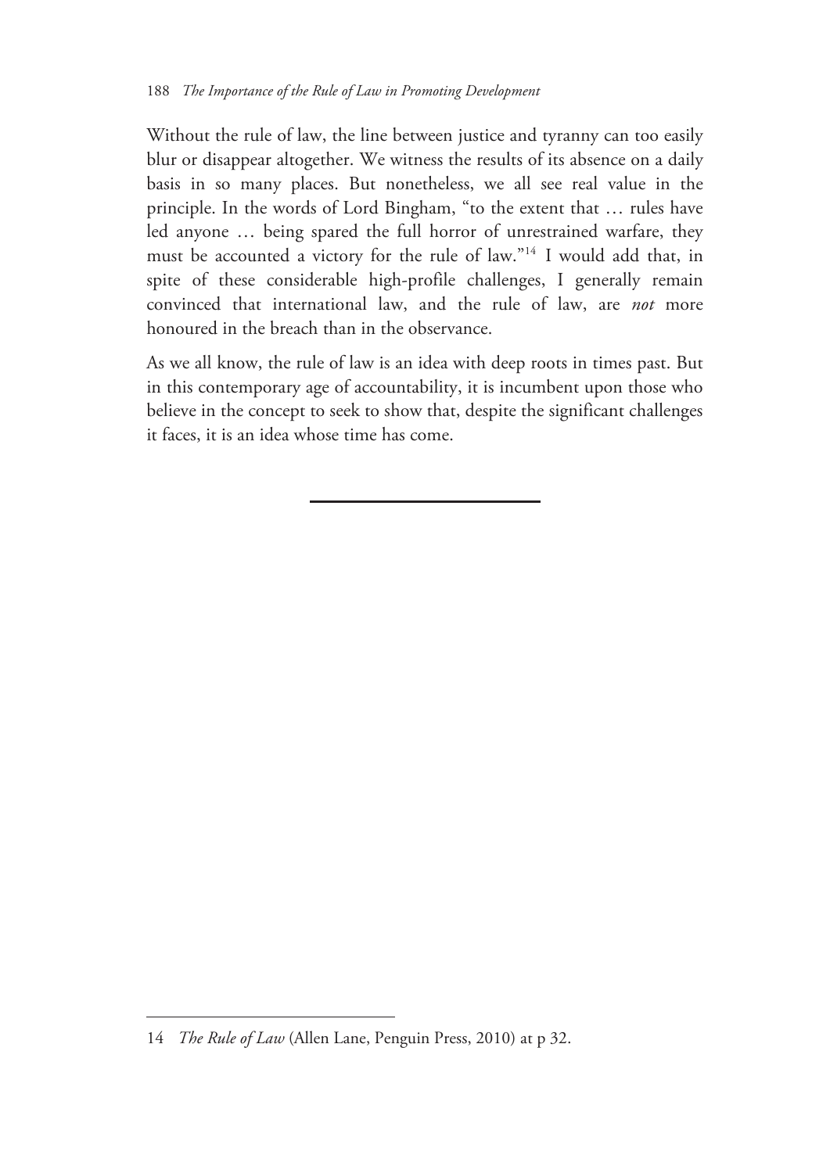Without the rule of law, the line between justice and tyranny can too easily blur or disappear altogether. We witness the results of its absence on a daily basis in so many places. But nonetheless, we all see real value in the principle. In the words of Lord Bingham, "to the extent that … rules have led anyone … being spared the full horror of unrestrained warfare, they must be accounted a victory for the rule of law."14 I would add that, in spite of these considerable high-profile challenges, I generally remain convinced that international law, and the rule of law, are *not* more honoured in the breach than in the observance.

As we all know, the rule of law is an idea with deep roots in times past. But in this contemporary age of accountability, it is incumbent upon those who believe in the concept to seek to show that, despite the significant challenges it faces, it is an idea whose time has come.

<sup>14</sup> *The Rule of Law* (Allen Lane, Penguin Press, 2010) at p 32.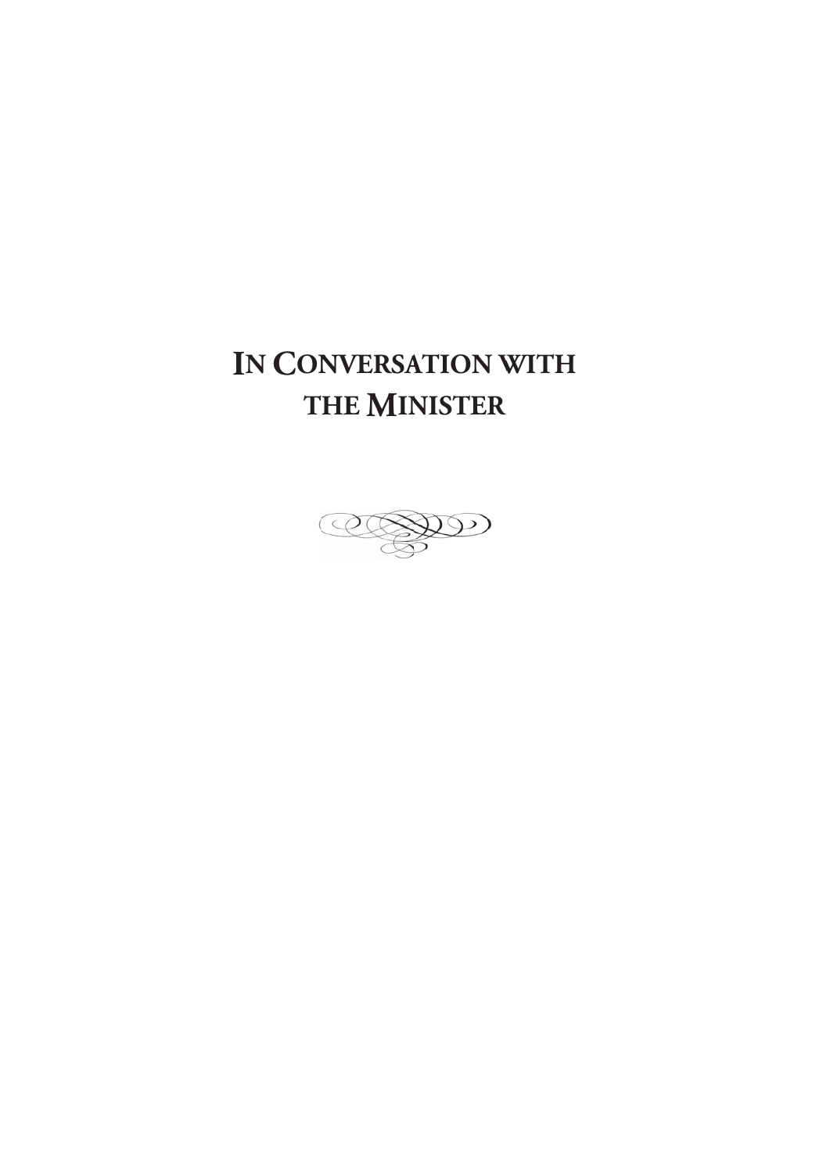# IN CONVERSATION WITH **T HE MIN ISTER**

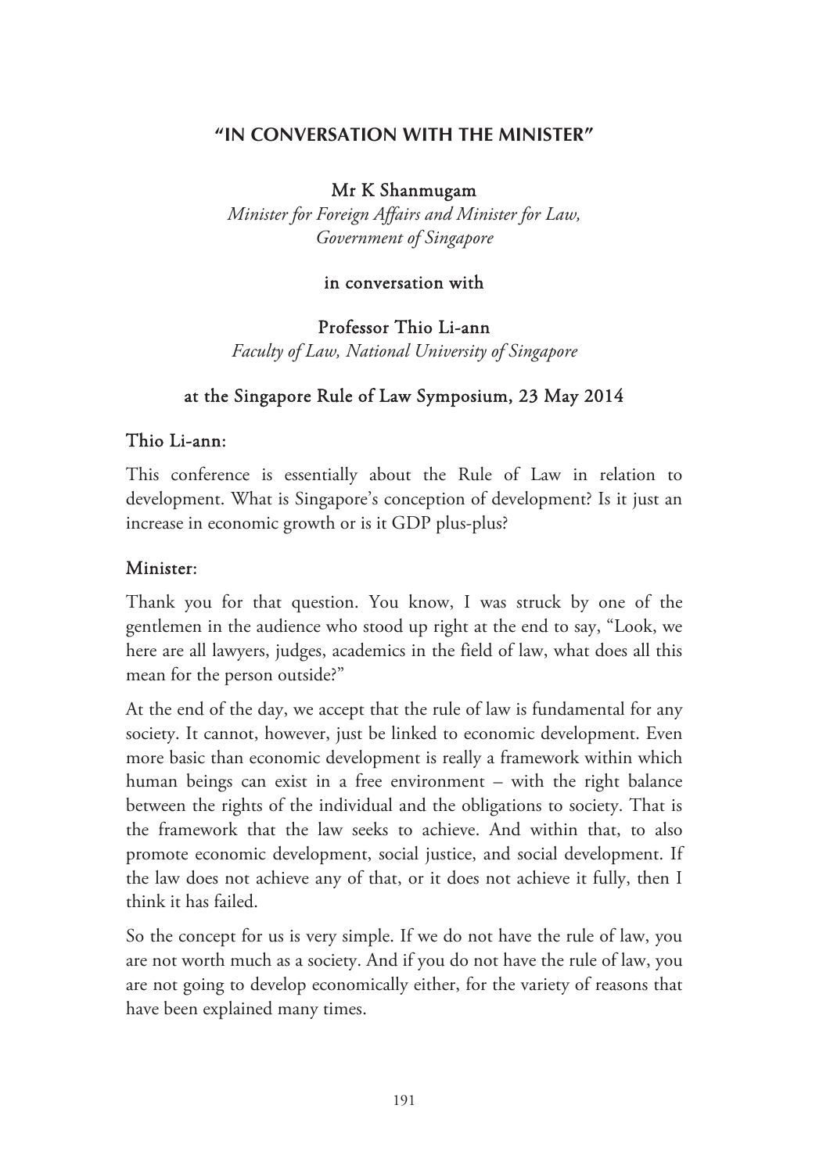#### **"IN CONVERSATION WITH THE MINISTER"**

#### Mr K Shanmugam

*Minister for Foreign Affairs and Minister for Law, Government of Singapore* 

#### in conversation with

Professor Thio Li-ann *Faculty of Law, National University of Singapore* 

#### at the Singapore Rule of Law Symposium, 23 May 2014

#### Thio Li-ann:

This conference is essentially about the Rule of Law in relation to development. What is Singapore's conception of development? Is it just an increase in economic growth or is it GDP plus-plus?

#### Minister:

Thank you for that question. You know, I was struck by one of the gentlemen in the audience who stood up right at the end to say, "Look, we here are all lawyers, judges, academics in the field of law, what does all this mean for the person outside?"

At the end of the day, we accept that the rule of law is fundamental for any society. It cannot, however, just be linked to economic development. Even more basic than economic development is really a framework within which human beings can exist in a free environment – with the right balance between the rights of the individual and the obligations to society. That is the framework that the law seeks to achieve. And within that, to also promote economic development, social justice, and social development. If the law does not achieve any of that, or it does not achieve it fully, then I think it has failed.

So the concept for us is very simple. If we do not have the rule of law, you are not worth much as a society. And if you do not have the rule of law, you are not going to develop economically either, for the variety of reasons that have been explained many times.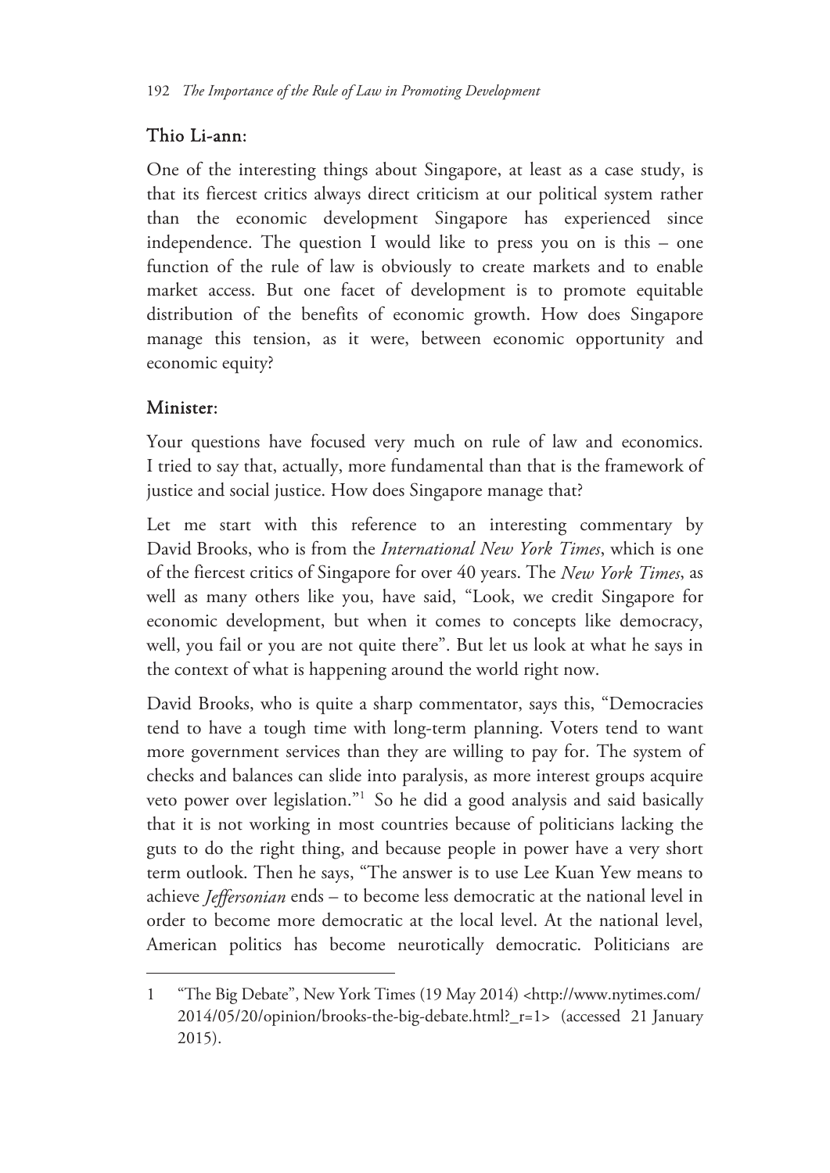### Thio Li-ann:

One of the interesting things about Singapore, at least as a case study, is that its fiercest critics always direct criticism at our political system rather than the economic development Singapore has experienced since independence. The question I would like to press you on is this – one function of the rule of law is obviously to create markets and to enable market access. But one facet of development is to promote equitable distribution of the benefits of economic growth. How does Singapore manage this tension, as it were, between economic opportunity and economic equity?

### Minister:

 $\overline{a}$ 

Your questions have focused very much on rule of law and economics. I tried to say that, actually, more fundamental than that is the framework of justice and social justice. How does Singapore manage that?

Let me start with this reference to an interesting commentary by David Brooks, who is from the *International New York Times*, which is one of the fiercest critics of Singapore for over 40 years. The *New York Times*, as well as many others like you, have said, "Look, we credit Singapore for economic development, but when it comes to concepts like democracy, well, you fail or you are not quite there". But let us look at what he says in the context of what is happening around the world right now.

David Brooks, who is quite a sharp commentator, says this, "Democracies tend to have a tough time with long-term planning. Voters tend to want more government services than they are willing to pay for. The system of checks and balances can slide into paralysis, as more interest groups acquire veto power over legislation."1 So he did a good analysis and said basically that it is not working in most countries because of politicians lacking the guts to do the right thing, and because people in power have a very short term outlook. Then he says, "The answer is to use Lee Kuan Yew means to achieve *Jeffersonian* ends – to become less democratic at the national level in order to become more democratic at the local level. At the national level, American politics has become neurotically democratic. Politicians are

<sup>1 &</sup>quot;The Big Debate", New York Times (19 May 2014) <http://www.nytimes.com/ 2014/05/20/opinion/brooks-the-big-debate.html?\_r=1> (accessed 21 January 2015).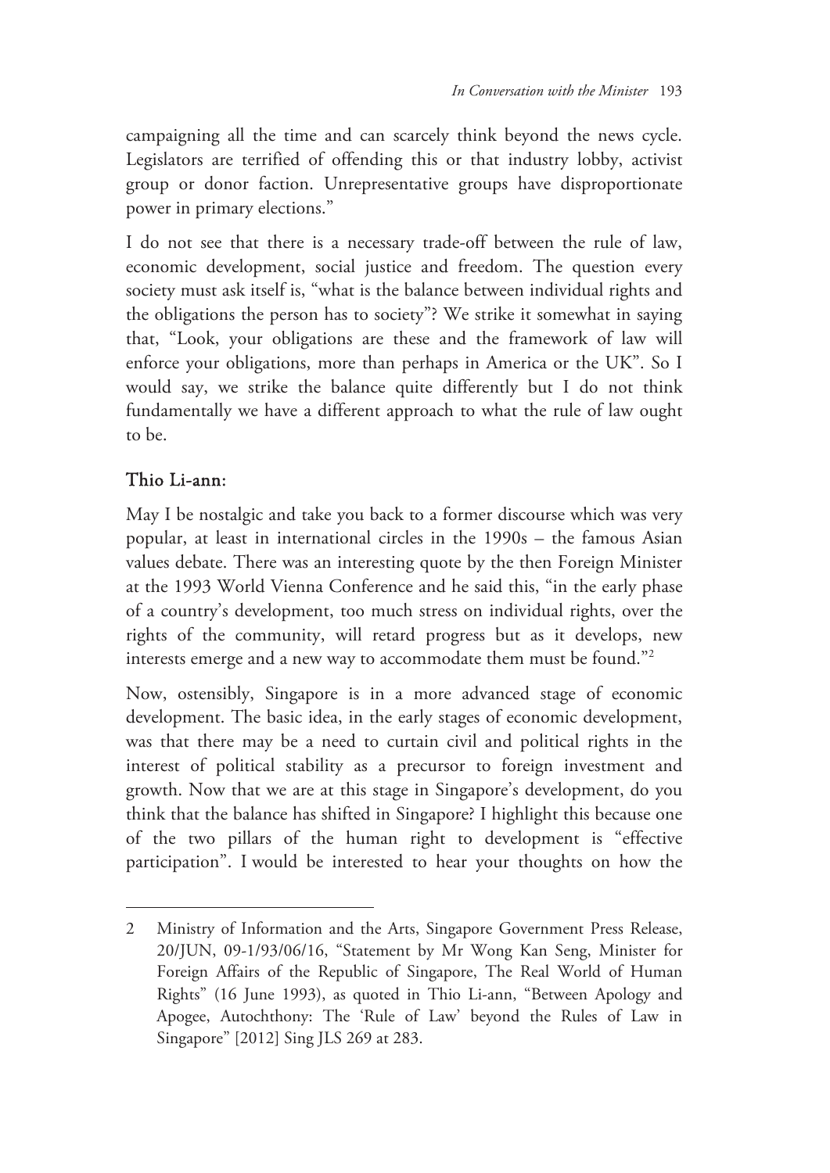campaigning all the time and can scarcely think beyond the news cycle. Legislators are terrified of offending this or that industry lobby, activist group or donor faction. Unrepresentative groups have disproportionate power in primary elections."

I do not see that there is a necessary trade-off between the rule of law, economic development, social justice and freedom. The question every society must ask itself is, "what is the balance between individual rights and the obligations the person has to society"? We strike it somewhat in saying that, "Look, your obligations are these and the framework of law will enforce your obligations, more than perhaps in America or the UK". So I would say, we strike the balance quite differently but I do not think fundamentally we have a different approach to what the rule of law ought to be.

### Thio Li-ann:

-

May I be nostalgic and take you back to a former discourse which was very popular, at least in international circles in the 1990s – the famous Asian values debate. There was an interesting quote by the then Foreign Minister at the 1993 World Vienna Conference and he said this, "in the early phase of a country's development, too much stress on individual rights, over the rights of the community, will retard progress but as it develops, new interests emerge and a new way to accommodate them must be found."2

Now, ostensibly, Singapore is in a more advanced stage of economic development. The basic idea, in the early stages of economic development, was that there may be a need to curtain civil and political rights in the interest of political stability as a precursor to foreign investment and growth. Now that we are at this stage in Singapore's development, do you think that the balance has shifted in Singapore? I highlight this because one of the two pillars of the human right to development is "effective participation". I would be interested to hear your thoughts on how the

<sup>2</sup> Ministry of Information and the Arts, Singapore Government Press Release, 20/JUN, 09-1/93/06/16, "Statement by Mr Wong Kan Seng, Minister for Foreign Affairs of the Republic of Singapore, The Real World of Human Rights" (16 June 1993), as quoted in Thio Li-ann, "Between Apology and Apogee, Autochthony: The 'Rule of Law' beyond the Rules of Law in Singapore" [2012] Sing JLS 269 at 283.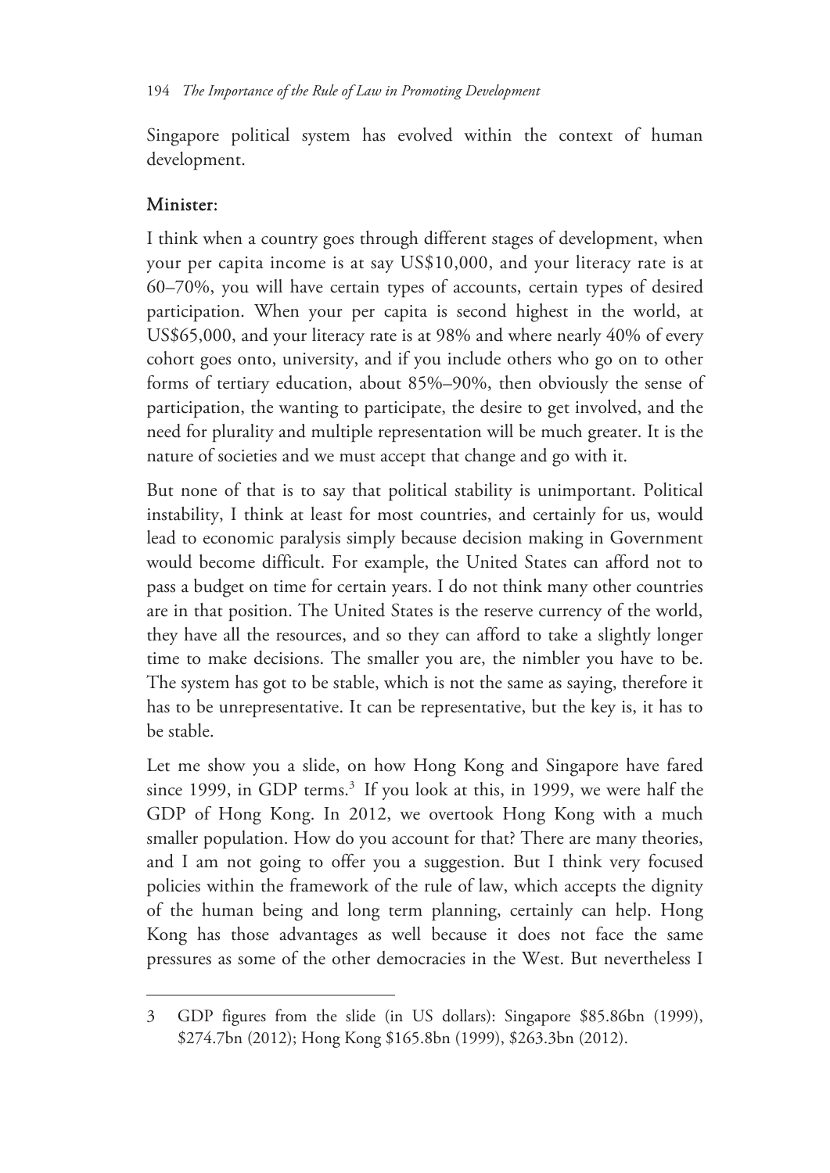Singapore political system has evolved within the context of human development.

#### Minister:

 $\overline{a}$ 

I think when a country goes through different stages of development, when your per capita income is at say US\$10,000, and your literacy rate is at 60–70%, you will have certain types of accounts, certain types of desired participation. When your per capita is second highest in the world, at US\$65,000, and your literacy rate is at 98% and where nearly 40% of every cohort goes onto, university, and if you include others who go on to other forms of tertiary education, about 85%–90%, then obviously the sense of participation, the wanting to participate, the desire to get involved, and the need for plurality and multiple representation will be much greater. It is the nature of societies and we must accept that change and go with it.

But none of that is to say that political stability is unimportant. Political instability, I think at least for most countries, and certainly for us, would lead to economic paralysis simply because decision making in Government would become difficult. For example, the United States can afford not to pass a budget on time for certain years. I do not think many other countries are in that position. The United States is the reserve currency of the world, they have all the resources, and so they can afford to take a slightly longer time to make decisions. The smaller you are, the nimbler you have to be. The system has got to be stable, which is not the same as saying, therefore it has to be unrepresentative. It can be representative, but the key is, it has to be stable.

Let me show you a slide, on how Hong Kong and Singapore have fared since 1999, in GDP terms.<sup>3</sup> If you look at this, in 1999, we were half the GDP of Hong Kong. In 2012, we overtook Hong Kong with a much smaller population. How do you account for that? There are many theories, and I am not going to offer you a suggestion. But I think very focused policies within the framework of the rule of law, which accepts the dignity of the human being and long term planning, certainly can help. Hong Kong has those advantages as well because it does not face the same pressures as some of the other democracies in the West. But nevertheless I

<sup>3</sup> GDP figures from the slide (in US dollars): Singapore \$85.86bn (1999), \$274.7bn (2012); Hong Kong \$165.8bn (1999), \$263.3bn (2012).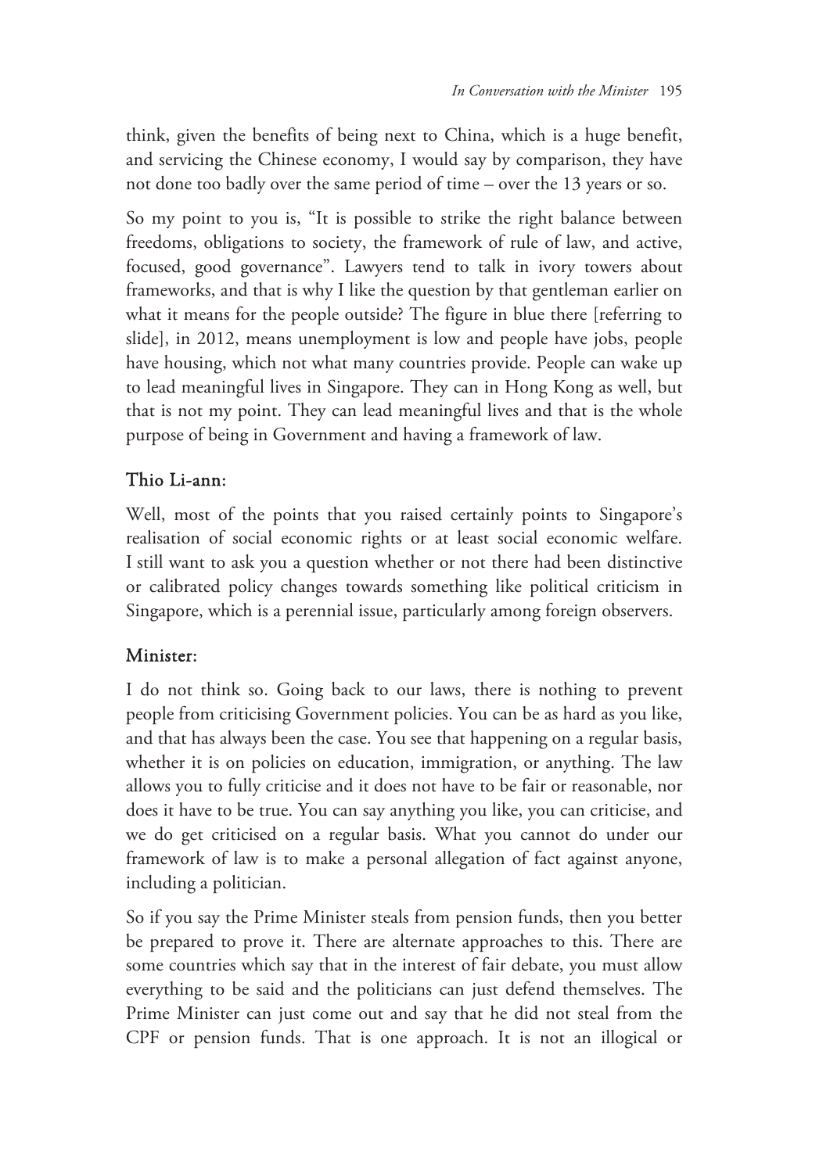think, given the benefits of being next to China, which is a huge benefit, and servicing the Chinese economy, I would say by comparison, they have not done too badly over the same period of time – over the 13 years or so.

So my point to you is, "It is possible to strike the right balance between freedoms, obligations to society, the framework of rule of law, and active, focused, good governance". Lawyers tend to talk in ivory towers about frameworks, and that is why I like the question by that gentleman earlier on what it means for the people outside? The figure in blue there [referring to slide], in 2012, means unemployment is low and people have jobs, people have housing, which not what many countries provide. People can wake up to lead meaningful lives in Singapore. They can in Hong Kong as well, but that is not my point. They can lead meaningful lives and that is the whole purpose of being in Government and having a framework of law.

### Thio Li-ann:

Well, most of the points that you raised certainly points to Singapore's realisation of social economic rights or at least social economic welfare. I still want to ask you a question whether or not there had been distinctive or calibrated policy changes towards something like political criticism in Singapore, which is a perennial issue, particularly among foreign observers.

#### Minister:

I do not think so. Going back to our laws, there is nothing to prevent people from criticising Government policies. You can be as hard as you like, and that has always been the case. You see that happening on a regular basis, whether it is on policies on education, immigration, or anything. The law allows you to fully criticise and it does not have to be fair or reasonable, nor does it have to be true. You can say anything you like, you can criticise, and we do get criticised on a regular basis. What you cannot do under our framework of law is to make a personal allegation of fact against anyone, including a politician.

So if you say the Prime Minister steals from pension funds, then you better be prepared to prove it. There are alternate approaches to this. There are some countries which say that in the interest of fair debate, you must allow everything to be said and the politicians can just defend themselves. The Prime Minister can just come out and say that he did not steal from the CPF or pension funds. That is one approach. It is not an illogical or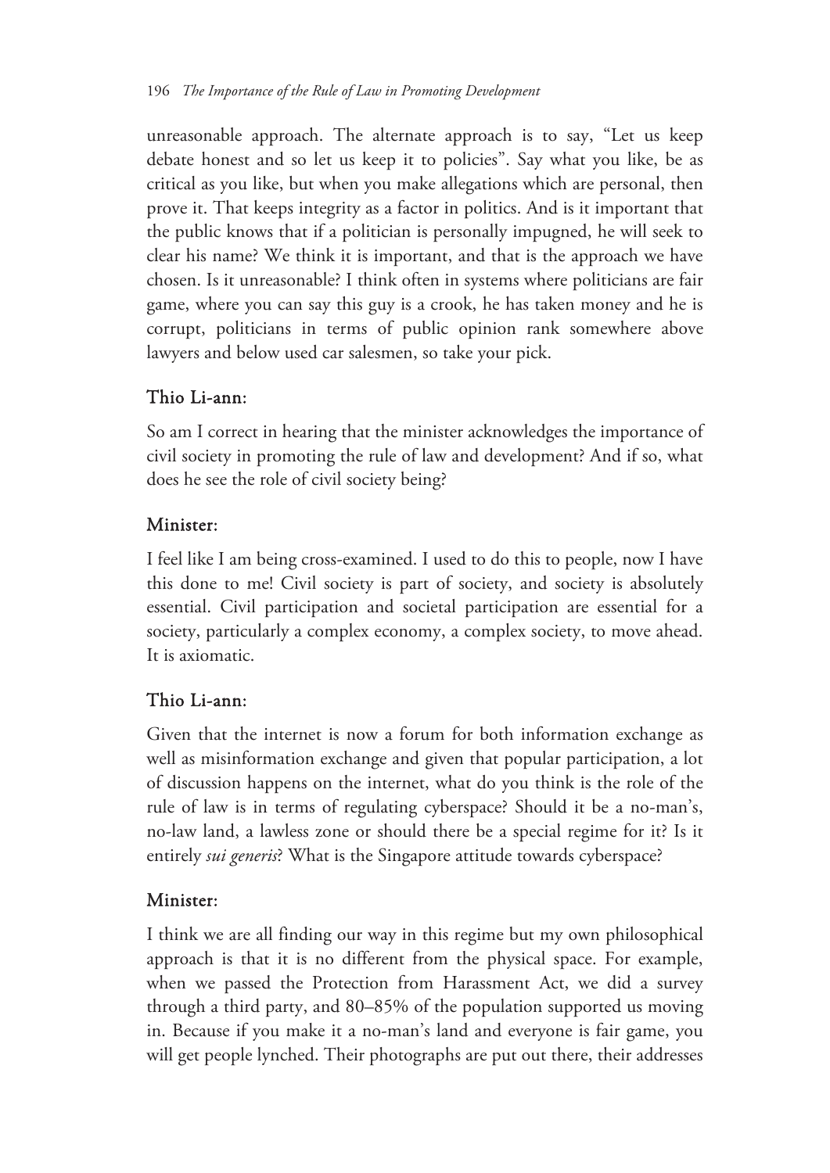unreasonable approach. The alternate approach is to say, "Let us keep debate honest and so let us keep it to policies". Say what you like, be as critical as you like, but when you make allegations which are personal, then prove it. That keeps integrity as a factor in politics. And is it important that the public knows that if a politician is personally impugned, he will seek to clear his name? We think it is important, and that is the approach we have chosen. Is it unreasonable? I think often in systems where politicians are fair game, where you can say this guy is a crook, he has taken money and he is corrupt, politicians in terms of public opinion rank somewhere above lawyers and below used car salesmen, so take your pick.

#### Thio Li-ann:

So am I correct in hearing that the minister acknowledges the importance of civil society in promoting the rule of law and development? And if so, what does he see the role of civil society being?

#### Minister:

I feel like I am being cross-examined. I used to do this to people, now I have this done to me! Civil society is part of society, and society is absolutely essential. Civil participation and societal participation are essential for a society, particularly a complex economy, a complex society, to move ahead. It is axiomatic.

#### Thio Li-ann:

Given that the internet is now a forum for both information exchange as well as misinformation exchange and given that popular participation, a lot of discussion happens on the internet, what do you think is the role of the rule of law is in terms of regulating cyberspace? Should it be a no-man's, no-law land, a lawless zone or should there be a special regime for it? Is it entirely *sui generis*? What is the Singapore attitude towards cyberspace?

#### Minister:

I think we are all finding our way in this regime but my own philosophical approach is that it is no different from the physical space. For example, when we passed the Protection from Harassment Act, we did a survey through a third party, and 80–85% of the population supported us moving in. Because if you make it a no-man's land and everyone is fair game, you will get people lynched. Their photographs are put out there, their addresses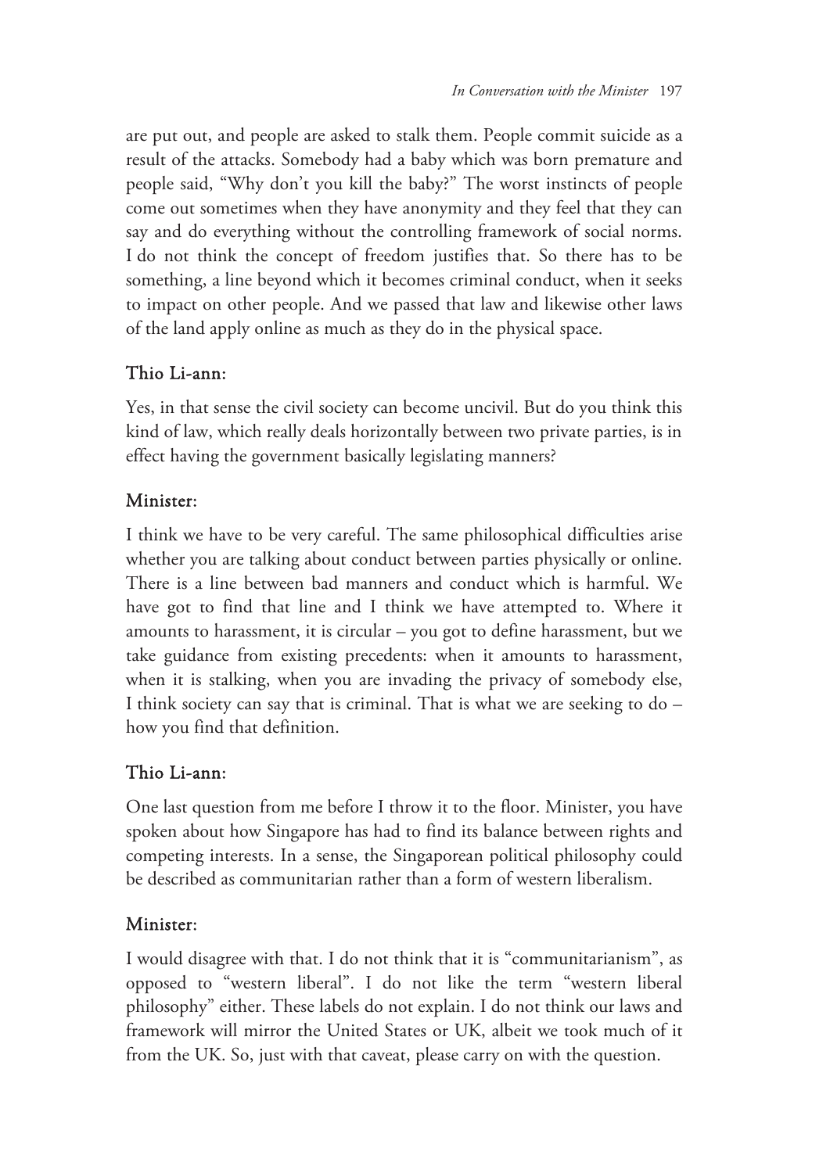are put out, and people are asked to stalk them. People commit suicide as a result of the attacks. Somebody had a baby which was born premature and people said, "Why don't you kill the baby?" The worst instincts of people come out sometimes when they have anonymity and they feel that they can say and do everything without the controlling framework of social norms. I do not think the concept of freedom justifies that. So there has to be something, a line beyond which it becomes criminal conduct, when it seeks to impact on other people. And we passed that law and likewise other laws of the land apply online as much as they do in the physical space.

#### Thio Li-ann:

Yes, in that sense the civil society can become uncivil. But do you think this kind of law, which really deals horizontally between two private parties, is in effect having the government basically legislating manners?

#### Minister:

I think we have to be very careful. The same philosophical difficulties arise whether you are talking about conduct between parties physically or online. There is a line between bad manners and conduct which is harmful. We have got to find that line and I think we have attempted to. Where it amounts to harassment, it is circular – you got to define harassment, but we take guidance from existing precedents: when it amounts to harassment, when it is stalking, when you are invading the privacy of somebody else, I think society can say that is criminal. That is what we are seeking to do – how you find that definition.

#### Thio Li-ann:

One last question from me before I throw it to the floor. Minister, you have spoken about how Singapore has had to find its balance between rights and competing interests. In a sense, the Singaporean political philosophy could be described as communitarian rather than a form of western liberalism.

#### Minister:

I would disagree with that. I do not think that it is "communitarianism", as opposed to "western liberal". I do not like the term "western liberal philosophy" either. These labels do not explain. I do not think our laws and framework will mirror the United States or UK, albeit we took much of it from the UK. So, just with that caveat, please carry on with the question.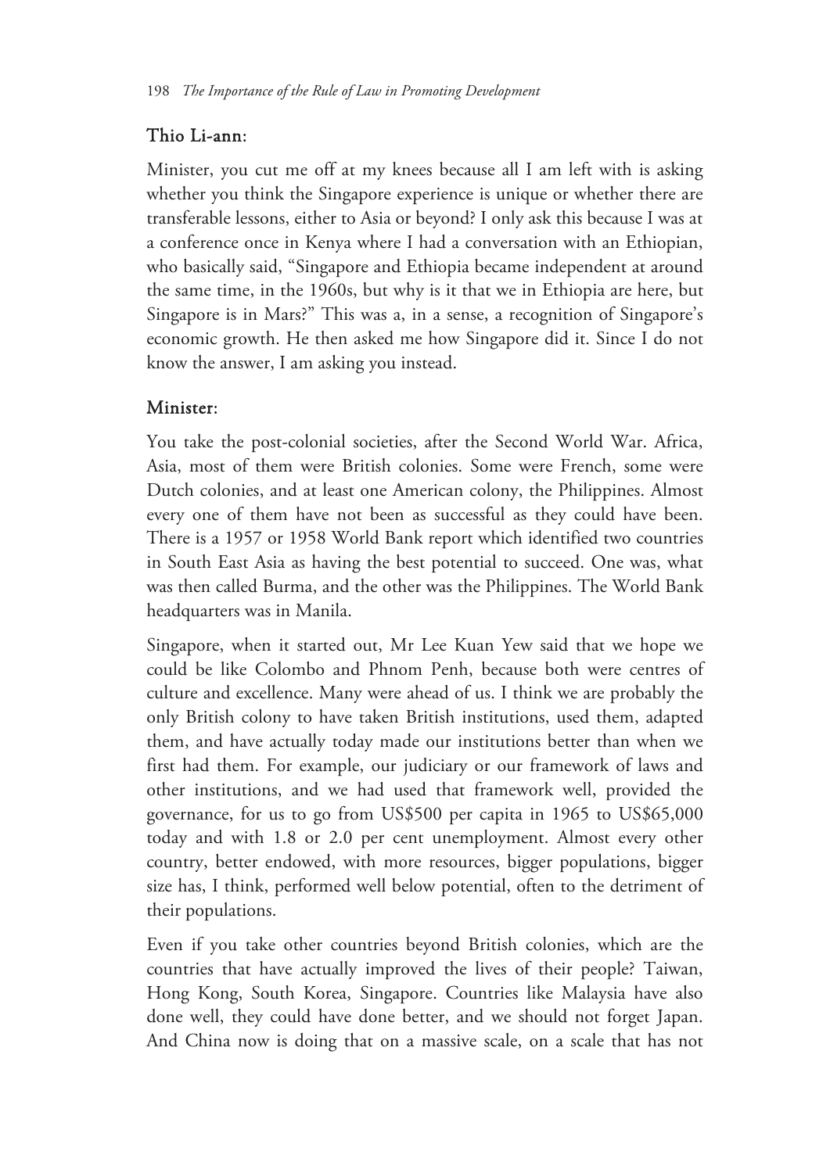#### Thio Li-ann:

Minister, you cut me off at my knees because all I am left with is asking whether you think the Singapore experience is unique or whether there are transferable lessons, either to Asia or beyond? I only ask this because I was at a conference once in Kenya where I had a conversation with an Ethiopian, who basically said, "Singapore and Ethiopia became independent at around the same time, in the 1960s, but why is it that we in Ethiopia are here, but Singapore is in Mars?" This was a, in a sense, a recognition of Singapore's economic growth. He then asked me how Singapore did it. Since I do not know the answer, I am asking you instead.

#### Minister:

You take the post-colonial societies, after the Second World War. Africa, Asia, most of them were British colonies. Some were French, some were Dutch colonies, and at least one American colony, the Philippines. Almost every one of them have not been as successful as they could have been. There is a 1957 or 1958 World Bank report which identified two countries in South East Asia as having the best potential to succeed. One was, what was then called Burma, and the other was the Philippines. The World Bank headquarters was in Manila.

Singapore, when it started out, Mr Lee Kuan Yew said that we hope we could be like Colombo and Phnom Penh, because both were centres of culture and excellence. Many were ahead of us. I think we are probably the only British colony to have taken British institutions, used them, adapted them, and have actually today made our institutions better than when we first had them. For example, our judiciary or our framework of laws and other institutions, and we had used that framework well, provided the governance, for us to go from US\$500 per capita in 1965 to US\$65,000 today and with 1.8 or 2.0 per cent unemployment. Almost every other country, better endowed, with more resources, bigger populations, bigger size has, I think, performed well below potential, often to the detriment of their populations.

Even if you take other countries beyond British colonies, which are the countries that have actually improved the lives of their people? Taiwan, Hong Kong, South Korea, Singapore. Countries like Malaysia have also done well, they could have done better, and we should not forget Japan. And China now is doing that on a massive scale, on a scale that has not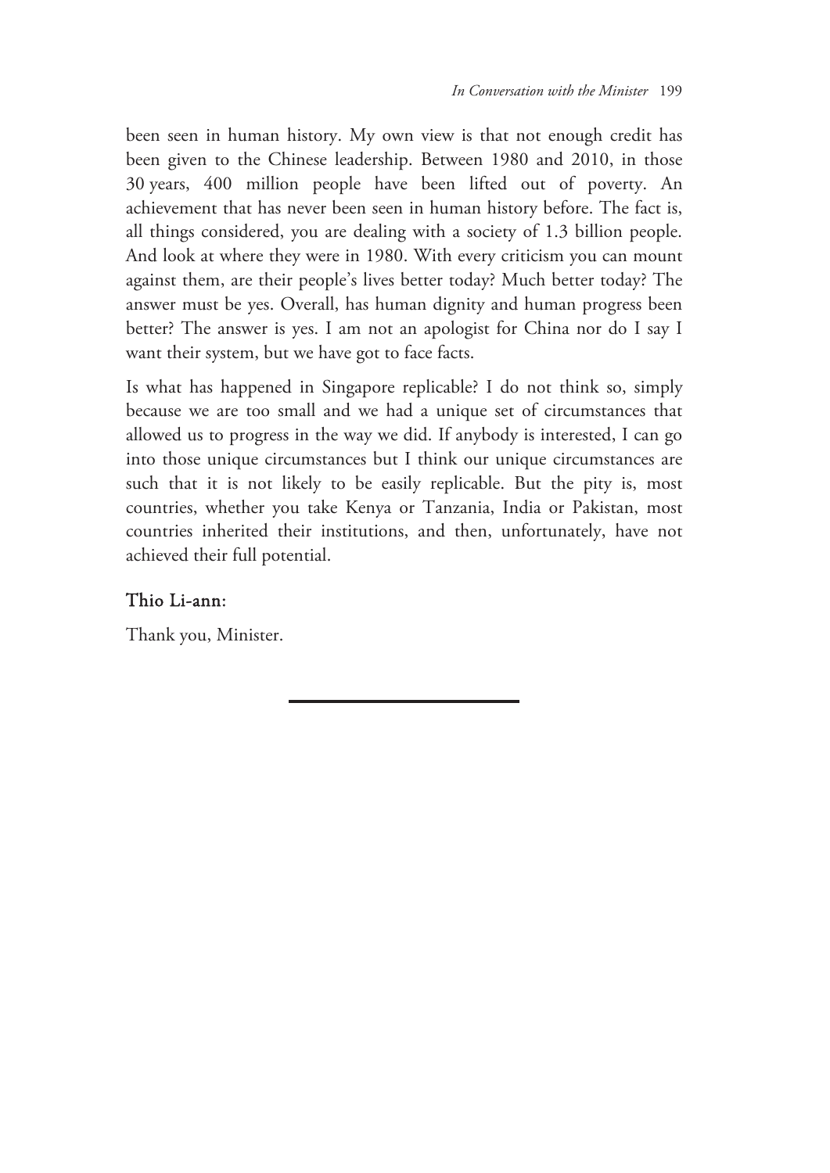been seen in human history. My own view is that not enough credit has been given to the Chinese leadership. Between 1980 and 2010, in those 30 years, 400 million people have been lifted out of poverty. An achievement that has never been seen in human history before. The fact is, all things considered, you are dealing with a society of 1.3 billion people. And look at where they were in 1980. With every criticism you can mount against them, are their people's lives better today? Much better today? The answer must be yes. Overall, has human dignity and human progress been better? The answer is yes. I am not an apologist for China nor do I say I want their system, but we have got to face facts.

Is what has happened in Singapore replicable? I do not think so, simply because we are too small and we had a unique set of circumstances that allowed us to progress in the way we did. If anybody is interested, I can go into those unique circumstances but I think our unique circumstances are such that it is not likely to be easily replicable. But the pity is, most countries, whether you take Kenya or Tanzania, India or Pakistan, most countries inherited their institutions, and then, unfortunately, have not achieved their full potential.

#### Thio Li-ann:

Thank you, Minister.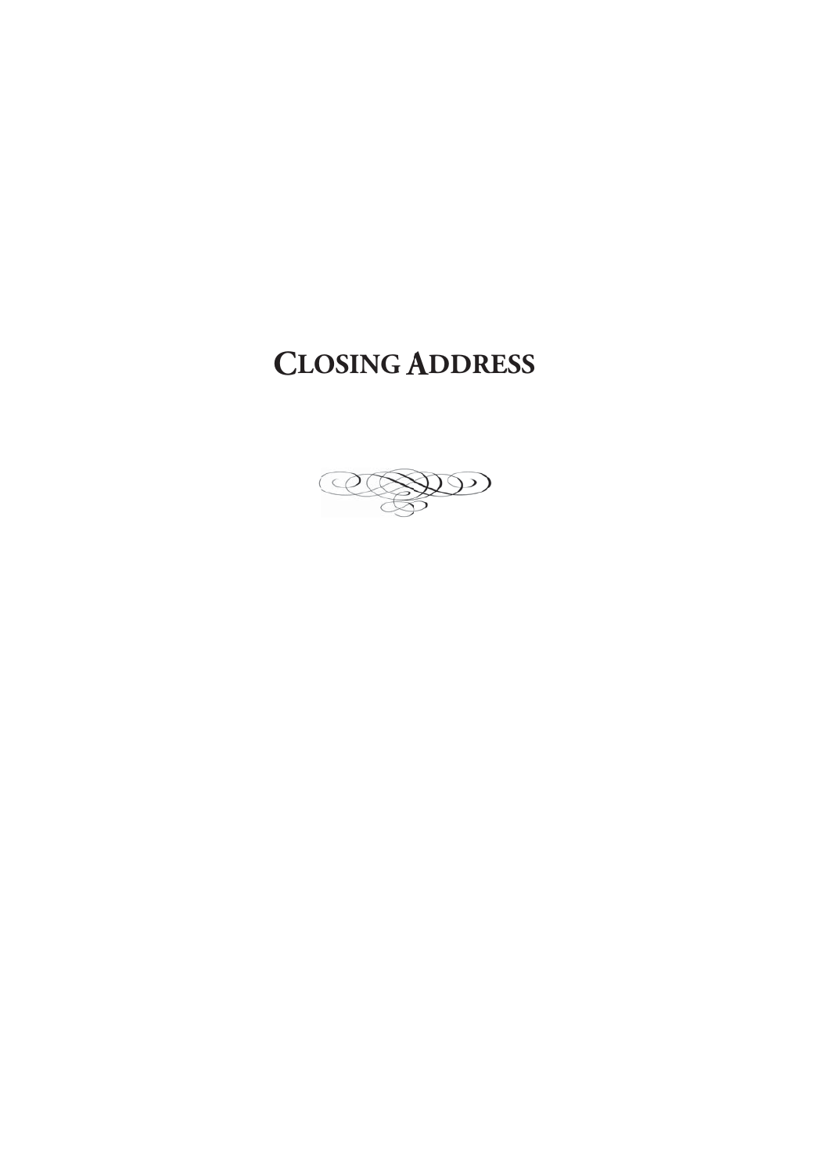# **CLOSING ADDRESS**

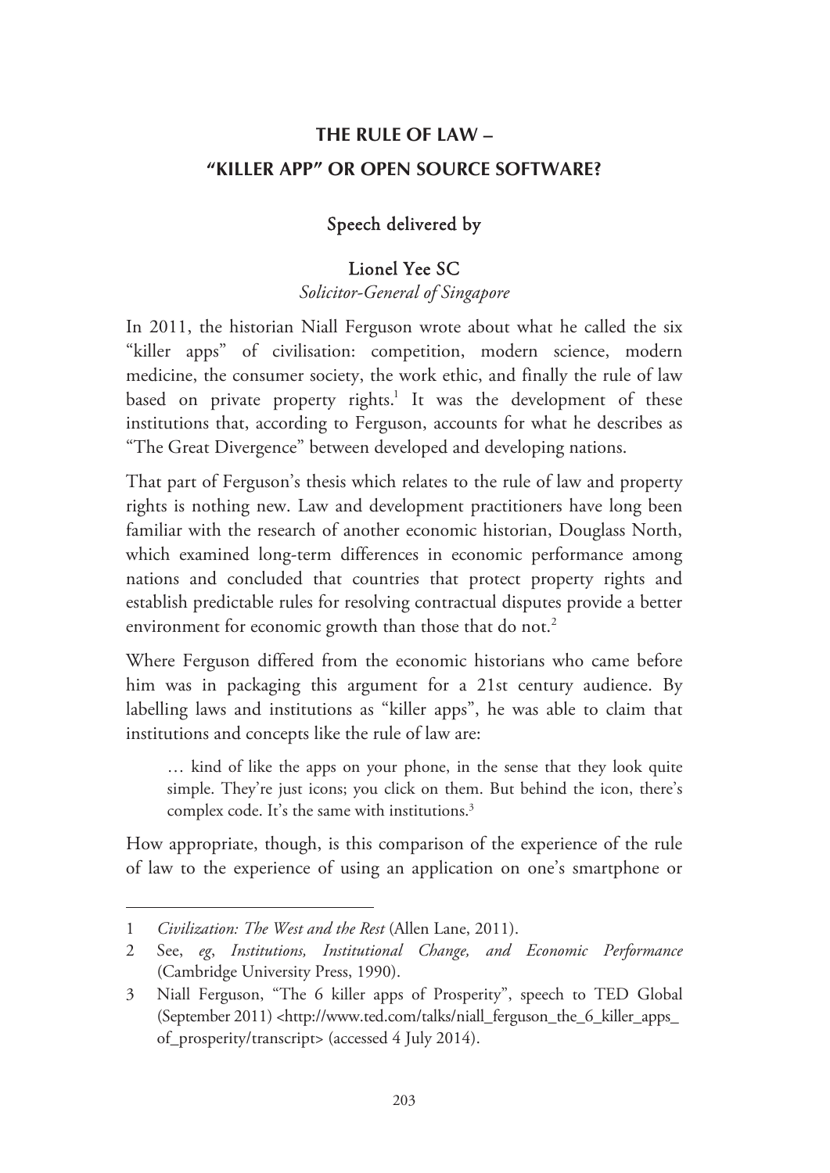## **THE RULE OF LAW – "KILLER APP" OR OPEN SOURCE SOFTWARE?**

### Speech delivered by

#### Lionel Yee SC

*Solicitor-General of Singapore* 

In 2011, the historian Niall Ferguson wrote about what he called the six "killer apps" of civilisation: competition, modern science, modern medicine, the consumer society, the work ethic, and finally the rule of law based on private property rights.<sup>1</sup> It was the development of these institutions that, according to Ferguson, accounts for what he describes as "The Great Divergence" between developed and developing nations.

That part of Ferguson's thesis which relates to the rule of law and property rights is nothing new. Law and development practitioners have long been familiar with the research of another economic historian, Douglass North, which examined long-term differences in economic performance among nations and concluded that countries that protect property rights and establish predictable rules for resolving contractual disputes provide a better environment for economic growth than those that do not.<sup>2</sup>

Where Ferguson differed from the economic historians who came before him was in packaging this argument for a 21st century audience. By labelling laws and institutions as "killer apps", he was able to claim that institutions and concepts like the rule of law are:

… kind of like the apps on your phone, in the sense that they look quite simple. They're just icons; you click on them. But behind the icon, there's complex code. It's the same with institutions.<sup>3</sup>

How appropriate, though, is this comparison of the experience of the rule of law to the experience of using an application on one's smartphone or

-

<sup>1</sup> *Civilization: The West and the Rest* (Allen Lane, 2011).

<sup>2</sup> See, *eg*, *Institutions, Institutional Change, and Economic Performance* (Cambridge University Press, 1990).

<sup>3</sup> Niall Ferguson, "The 6 killer apps of Prosperity", speech to TED Global (September 2011) <http://www.ted.com/talks/niall\_ferguson\_the\_6\_killer\_apps\_ of\_prosperity/transcript> (accessed 4 July 2014).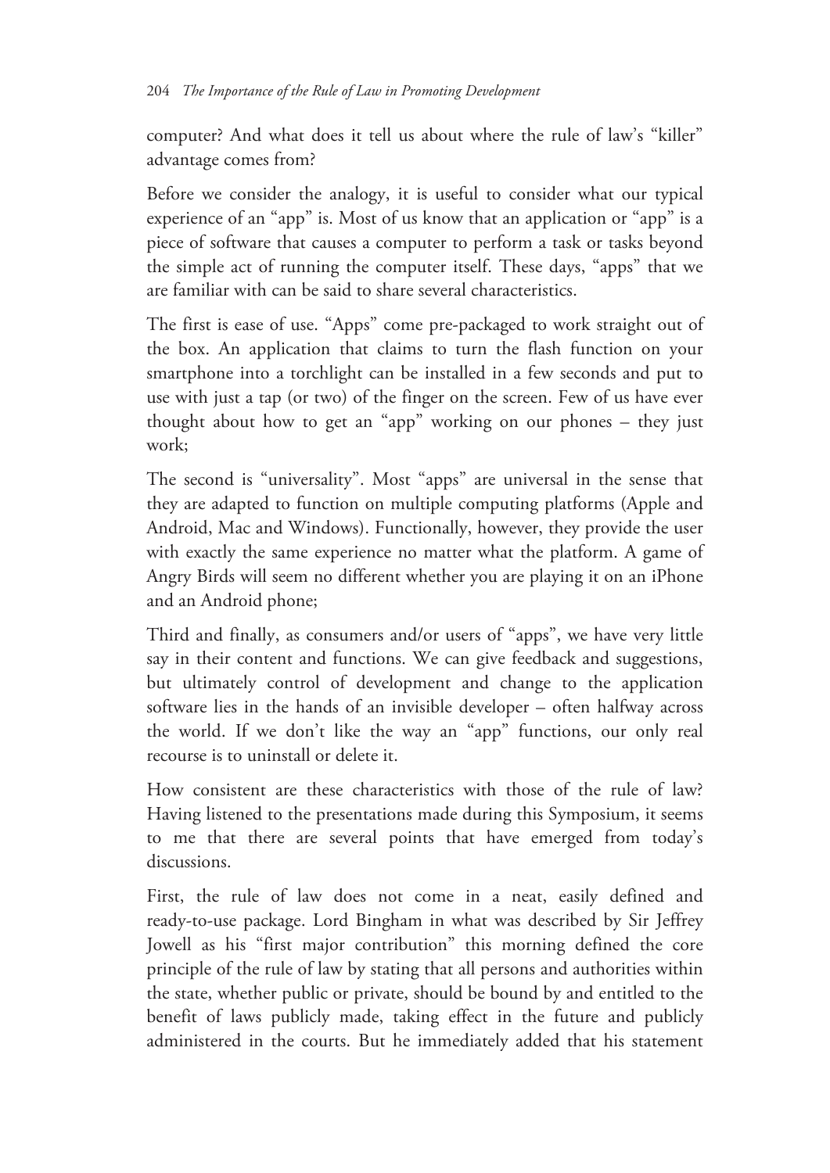computer? And what does it tell us about where the rule of law's "killer" advantage comes from?

Before we consider the analogy, it is useful to consider what our typical experience of an "app" is. Most of us know that an application or "app" is a piece of software that causes a computer to perform a task or tasks beyond the simple act of running the computer itself. These days, "apps" that we are familiar with can be said to share several characteristics.

The first is ease of use. "Apps" come pre-packaged to work straight out of the box. An application that claims to turn the flash function on your smartphone into a torchlight can be installed in a few seconds and put to use with just a tap (or two) of the finger on the screen. Few of us have ever thought about how to get an "app" working on our phones – they just work;

The second is "universality". Most "apps" are universal in the sense that they are adapted to function on multiple computing platforms (Apple and Android, Mac and Windows). Functionally, however, they provide the user with exactly the same experience no matter what the platform. A game of Angry Birds will seem no different whether you are playing it on an iPhone and an Android phone;

Third and finally, as consumers and/or users of "apps", we have very little say in their content and functions. We can give feedback and suggestions, but ultimately control of development and change to the application software lies in the hands of an invisible developer – often halfway across the world. If we don't like the way an "app" functions, our only real recourse is to uninstall or delete it.

How consistent are these characteristics with those of the rule of law? Having listened to the presentations made during this Symposium, it seems to me that there are several points that have emerged from today's discussions.

First, the rule of law does not come in a neat, easily defined and ready-to-use package. Lord Bingham in what was described by Sir Jeffrey Jowell as his "first major contribution" this morning defined the core principle of the rule of law by stating that all persons and authorities within the state, whether public or private, should be bound by and entitled to the benefit of laws publicly made, taking effect in the future and publicly administered in the courts. But he immediately added that his statement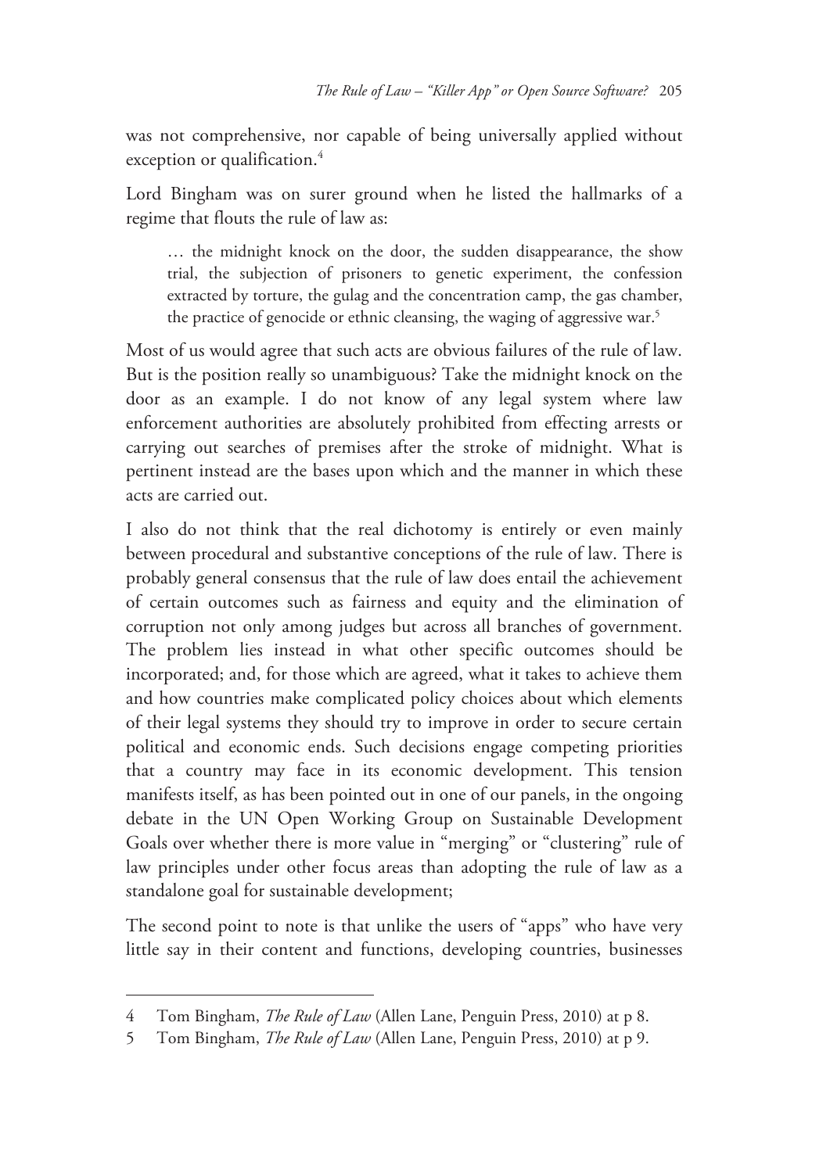was not comprehensive, nor capable of being universally applied without exception or qualification.<sup>4</sup>

Lord Bingham was on surer ground when he listed the hallmarks of a regime that flouts the rule of law as:

… the midnight knock on the door, the sudden disappearance, the show trial, the subjection of prisoners to genetic experiment, the confession extracted by torture, the gulag and the concentration camp, the gas chamber, the practice of genocide or ethnic cleansing, the waging of aggressive war.<sup>5</sup>

Most of us would agree that such acts are obvious failures of the rule of law. But is the position really so unambiguous? Take the midnight knock on the door as an example. I do not know of any legal system where law enforcement authorities are absolutely prohibited from effecting arrests or carrying out searches of premises after the stroke of midnight. What is pertinent instead are the bases upon which and the manner in which these acts are carried out.

I also do not think that the real dichotomy is entirely or even mainly between procedural and substantive conceptions of the rule of law. There is probably general consensus that the rule of law does entail the achievement of certain outcomes such as fairness and equity and the elimination of corruption not only among judges but across all branches of government. The problem lies instead in what other specific outcomes should be incorporated; and, for those which are agreed, what it takes to achieve them and how countries make complicated policy choices about which elements of their legal systems they should try to improve in order to secure certain political and economic ends. Such decisions engage competing priorities that a country may face in its economic development. This tension manifests itself, as has been pointed out in one of our panels, in the ongoing debate in the UN Open Working Group on Sustainable Development Goals over whether there is more value in "merging" or "clustering" rule of law principles under other focus areas than adopting the rule of law as a standalone goal for sustainable development;

The second point to note is that unlike the users of "apps" who have very little say in their content and functions, developing countries, businesses

-

<sup>4</sup> Tom Bingham, *The Rule of Law* (Allen Lane, Penguin Press, 2010) at p 8.

<sup>5</sup> Tom Bingham, *The Rule of Law* (Allen Lane, Penguin Press, 2010) at p 9.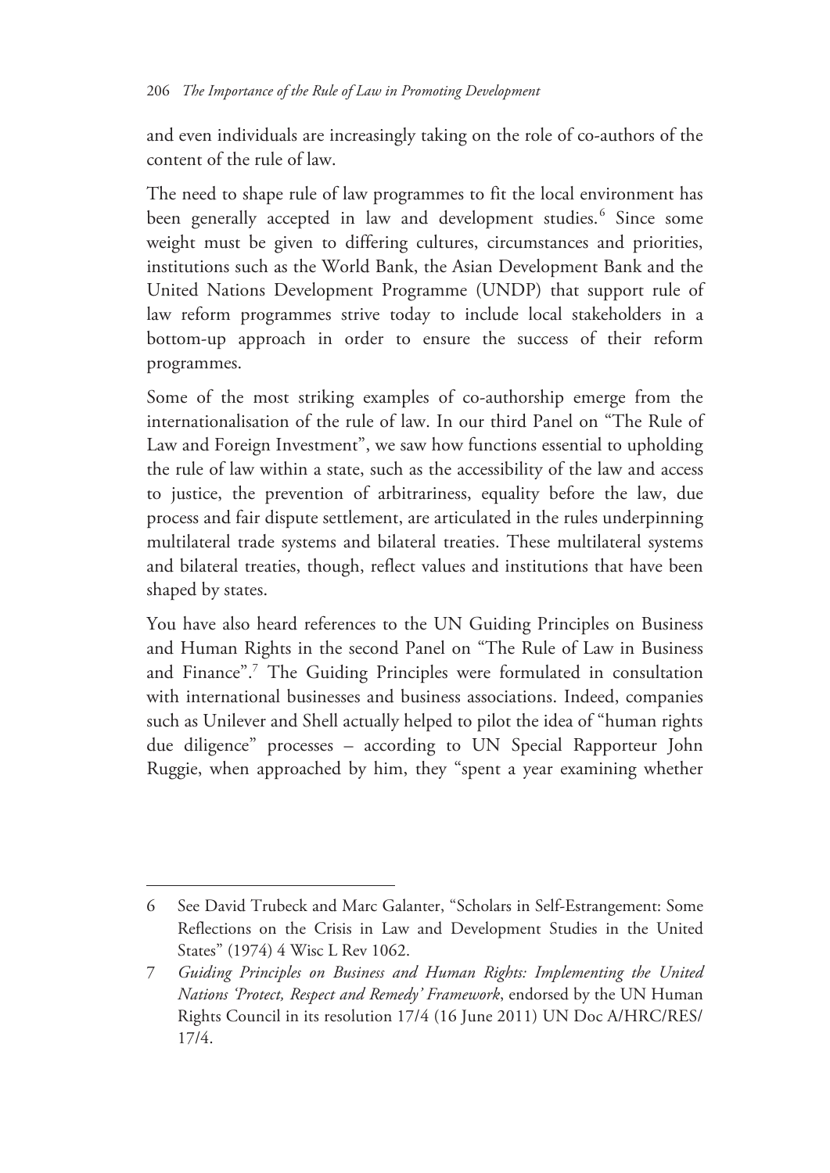and even individuals are increasingly taking on the role of co-authors of the content of the rule of law.

The need to shape rule of law programmes to fit the local environment has been generally accepted in law and development studies.<sup>6</sup> Since some weight must be given to differing cultures, circumstances and priorities, institutions such as the World Bank, the Asian Development Bank and the United Nations Development Programme (UNDP) that support rule of law reform programmes strive today to include local stakeholders in a bottom-up approach in order to ensure the success of their reform programmes.

Some of the most striking examples of co-authorship emerge from the internationalisation of the rule of law. In our third Panel on "The Rule of Law and Foreign Investment", we saw how functions essential to upholding the rule of law within a state, such as the accessibility of the law and access to justice, the prevention of arbitrariness, equality before the law, due process and fair dispute settlement, are articulated in the rules underpinning multilateral trade systems and bilateral treaties. These multilateral systems and bilateral treaties, though, reflect values and institutions that have been shaped by states.

You have also heard references to the UN Guiding Principles on Business and Human Rights in the second Panel on "The Rule of Law in Business and Finance".<sup>7</sup> The Guiding Principles were formulated in consultation with international businesses and business associations. Indeed, companies such as Unilever and Shell actually helped to pilot the idea of "human rights due diligence" processes – according to UN Special Rapporteur John Ruggie, when approached by him, they "spent a year examining whether

 $\overline{a}$ 

<sup>6</sup> See David Trubeck and Marc Galanter, "Scholars in Self-Estrangement: Some Reflections on the Crisis in Law and Development Studies in the United States" (1974) 4 Wisc L Rev 1062.

<sup>7</sup> *Guiding Principles on Business and Human Rights: Implementing the United Nations 'Protect, Respect and Remedy' Framework*, endorsed by the UN Human Rights Council in its resolution 17/4 (16 June 2011) UN Doc A/HRC/RES/ 17/4.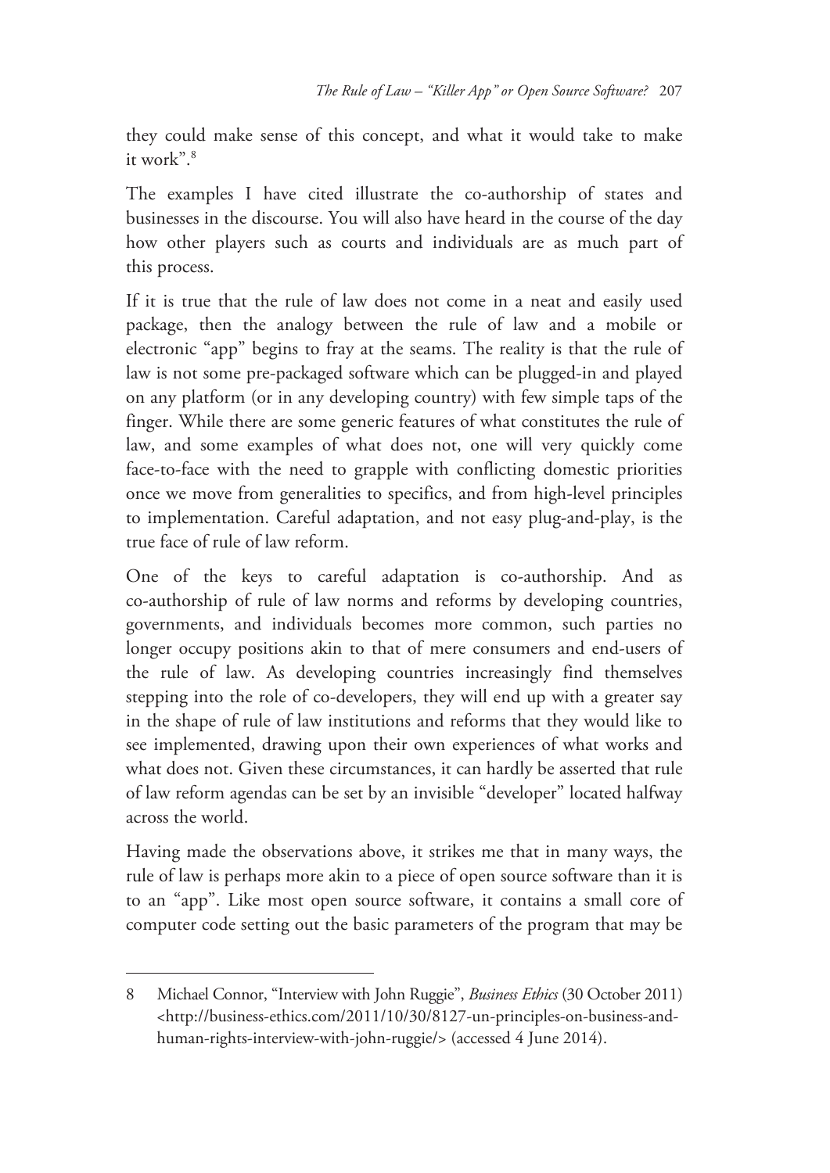they could make sense of this concept, and what it would take to make it work".<sup>8</sup>

The examples I have cited illustrate the co-authorship of states and businesses in the discourse. You will also have heard in the course of the day how other players such as courts and individuals are as much part of this process.

If it is true that the rule of law does not come in a neat and easily used package, then the analogy between the rule of law and a mobile or electronic "app" begins to fray at the seams. The reality is that the rule of law is not some pre-packaged software which can be plugged-in and played on any platform (or in any developing country) with few simple taps of the finger. While there are some generic features of what constitutes the rule of law, and some examples of what does not, one will very quickly come face-to-face with the need to grapple with conflicting domestic priorities once we move from generalities to specifics, and from high-level principles to implementation. Careful adaptation, and not easy plug-and-play, is the true face of rule of law reform.

One of the keys to careful adaptation is co-authorship. And as co-authorship of rule of law norms and reforms by developing countries, governments, and individuals becomes more common, such parties no longer occupy positions akin to that of mere consumers and end-users of the rule of law. As developing countries increasingly find themselves stepping into the role of co-developers, they will end up with a greater say in the shape of rule of law institutions and reforms that they would like to see implemented, drawing upon their own experiences of what works and what does not. Given these circumstances, it can hardly be asserted that rule of law reform agendas can be set by an invisible "developer" located halfway across the world.

Having made the observations above, it strikes me that in many ways, the rule of law is perhaps more akin to a piece of open source software than it is to an "app". Like most open source software, it contains a small core of computer code setting out the basic parameters of the program that may be

-

<sup>8</sup> Michael Connor, "Interview with John Ruggie", *Business Ethics* (30 October 2011) <http://business-ethics.com/2011/10/30/8127-un-principles-on-business-andhuman-rights-interview-with-john-ruggie/> (accessed 4 June 2014).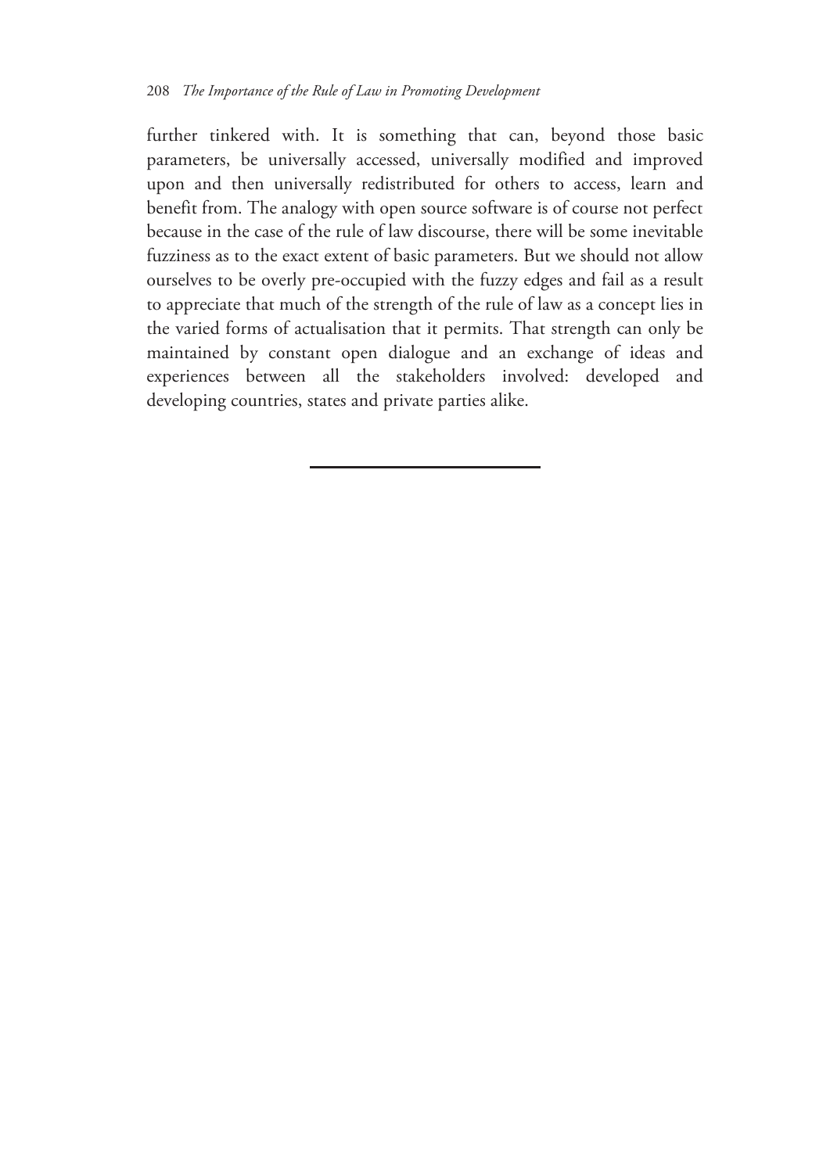further tinkered with. It is something that can, beyond those basic parameters, be universally accessed, universally modified and improved upon and then universally redistributed for others to access, learn and benefit from. The analogy with open source software is of course not perfect because in the case of the rule of law discourse, there will be some inevitable fuzziness as to the exact extent of basic parameters. But we should not allow ourselves to be overly pre-occupied with the fuzzy edges and fail as a result to appreciate that much of the strength of the rule of law as a concept lies in the varied forms of actualisation that it permits. That strength can only be maintained by constant open dialogue and an exchange of ideas and experiences between all the stakeholders involved: developed and developing countries, states and private parties alike.